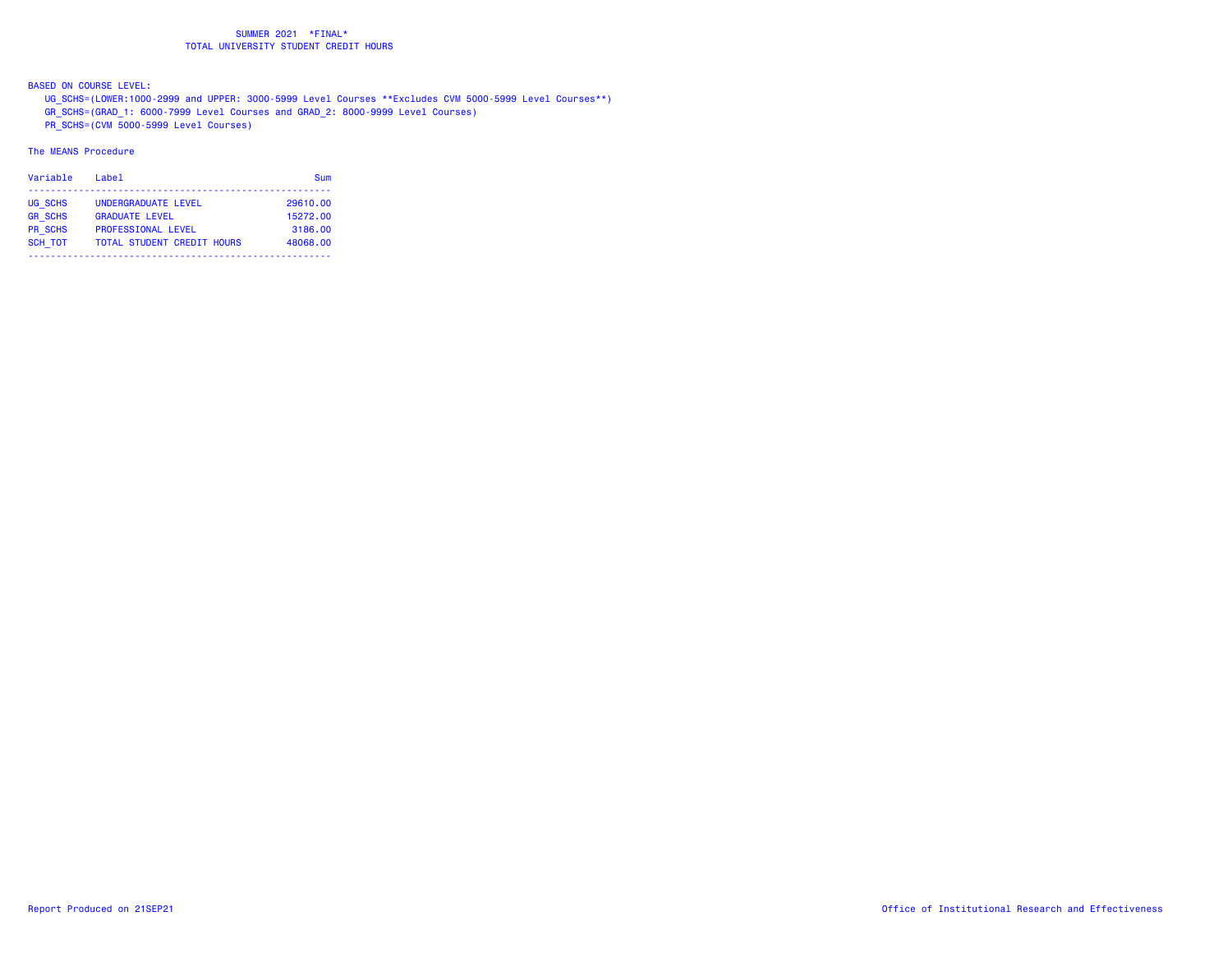BASED ON COURSE LEVEL:

UG\_SCHS=(LOWER:1000-2999 and UPPER: 3000-5999 Level Courses \*\*Excludes CVM 5000-5999 Level Courses\*\*)

GR\_SCHS=(GRAD\_1: 6000-7999 Level Courses and GRAD\_2: 8000-9999 Level Courses)

PR\_SCHS=(CVM 5000-5999 Level Courses)

| Variable                  | Label                                              | Sum                 |
|---------------------------|----------------------------------------------------|---------------------|
| UG SCHS                   | UNDERGRADUATE LEVEL                                | 29610.00            |
| <b>GR SCHS</b><br>PR SCHS | <b>GRADUATE LEVEL</b><br><b>PROFESSIONAL LEVEL</b> | 15272.00<br>3186.00 |
| <b>SCH TOT</b>            | <b>TOTAL STUDENT CREDIT HOURS</b>                  | 48068.00            |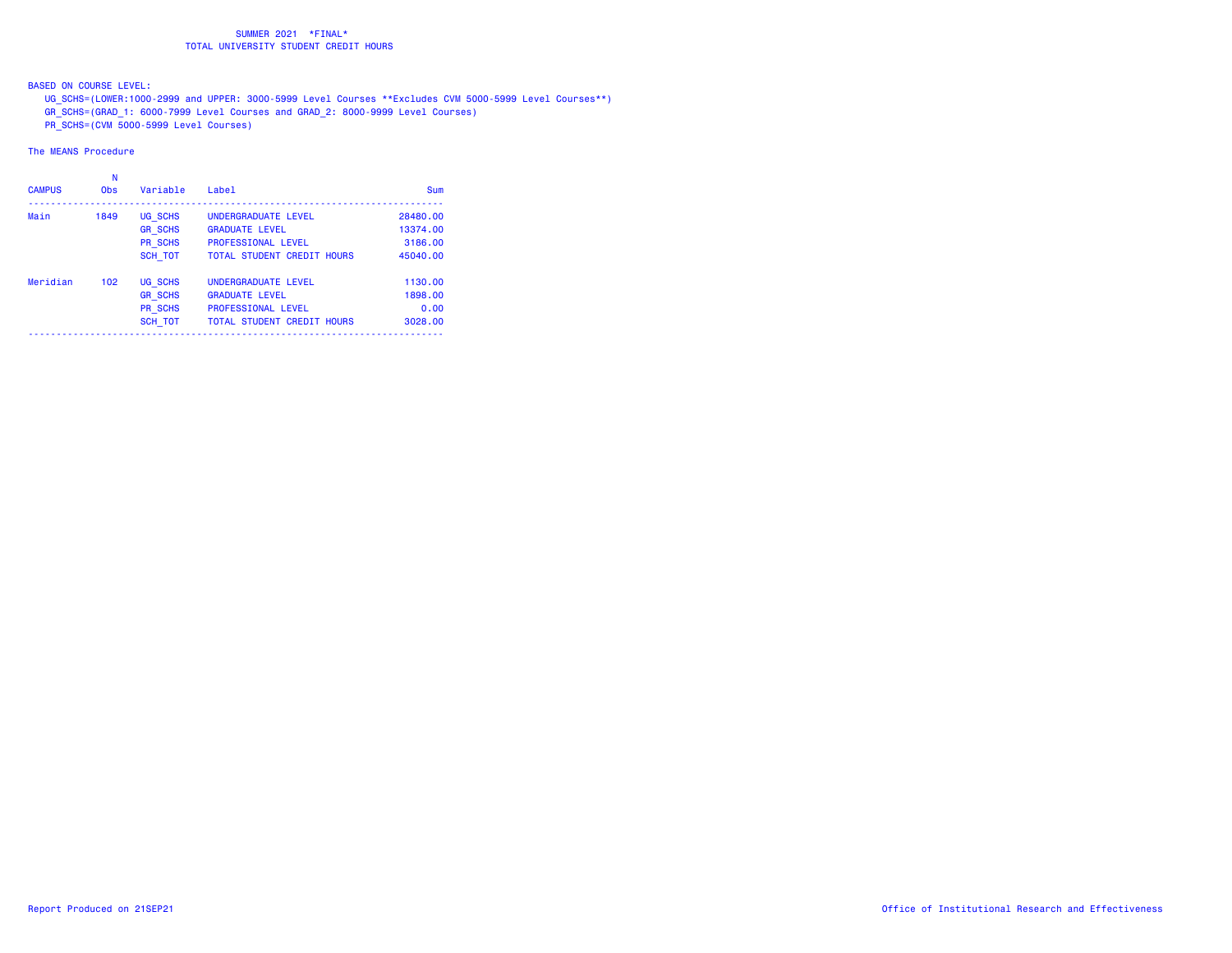BASED ON COURSE LEVEL:

UG\_SCHS=(LOWER:1000-2999 and UPPER: 3000-5999 Level Courses \*\*Excludes CVM 5000-5999 Level Courses\*\*)

GR\_SCHS=(GRAD\_1: 6000-7999 Level Courses and GRAD\_2: 8000-9999 Level Courses)

PR\_SCHS=(CVM 5000-5999 Level Courses)

| <b>CAMPUS</b> | N<br><b>Obs</b> | Variable       | Label                             | Sum      |
|---------------|-----------------|----------------|-----------------------------------|----------|
| Main          | 1849            | UG SCHS        | UNDERGRADUATE LEVEL               | 28480.00 |
|               |                 | <b>GR SCHS</b> | <b>GRADUATE LEVEL</b>             | 13374.00 |
|               |                 | PR SCHS        | <b>PROFESSIONAL LEVEL</b>         | 3186.00  |
|               |                 | <b>SCH TOT</b> | <b>TOTAL STUDENT CREDIT HOURS</b> | 45040.00 |
| Meridian      | 102             | <b>UG SCHS</b> | UNDERGRADUATE LEVEL               | 1130.00  |
|               |                 | <b>GR SCHS</b> | <b>GRADUATE LEVEL</b>             | 1898.00  |
|               |                 | PR SCHS        | <b>PROFESSIONAL LEVEL</b>         | 0.00     |
|               |                 | <b>SCH TOT</b> | <b>TOTAL STUDENT CREDIT HOURS</b> | 3028.00  |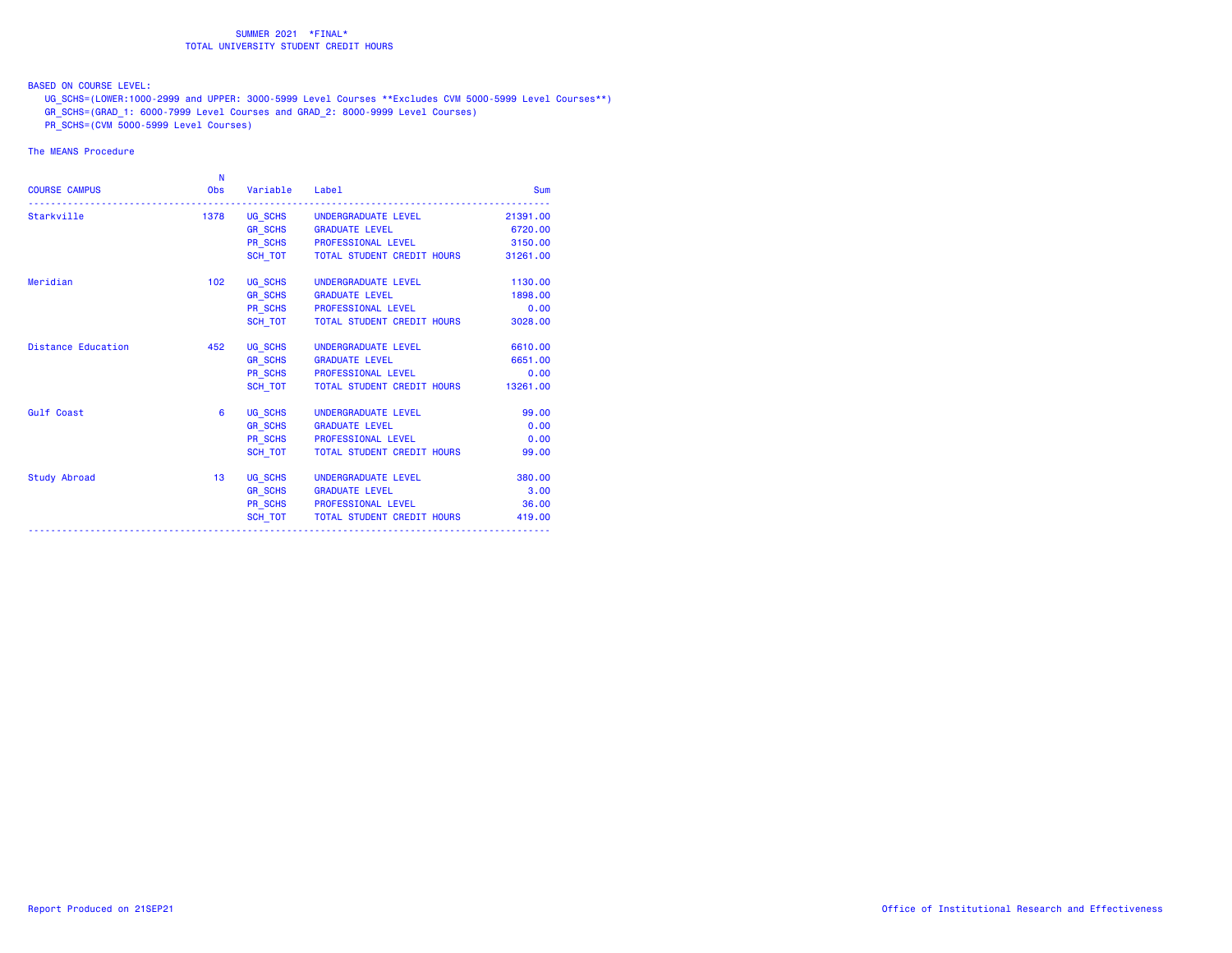BASED ON COURSE LEVEL:

UG\_SCHS=(LOWER:1000-2999 and UPPER: 3000-5999 Level Courses \*\*Excludes CVM 5000-5999 Level Courses\*\*)

GR\_SCHS=(GRAD\_1: 6000-7999 Level Courses and GRAD\_2: 8000-9999 Level Courses)

PR\_SCHS=(CVM 5000-5999 Level Courses)

| <b>COURSE CAMPUS</b>      | N<br><b>Obs</b>  | Variable Label |                                           | Sum      |
|---------------------------|------------------|----------------|-------------------------------------------|----------|
| Starkville                |                  |                | 1378 UG_SCHS UNDERGRADUATE LEVEL          | 21391.00 |
|                           |                  |                | GR_SCHS GRADUATE LEVEL                    | 6720.00  |
|                           |                  |                | PR_SCHS PROFESSIONAL LEVEL 3150.00        |          |
|                           |                  |                | SCH_TOT TOTAL STUDENT CREDIT HOURS        | 31261.00 |
| Meridian                  | 102 <sub>1</sub> |                | UG SCHS UNDERGRADUATE LEVEL               | 1130.00  |
|                           |                  |                | GR_SCHS GRADUATE LEVEL                    | 1898.00  |
|                           |                  |                | PR_SCHS PROFESSIONAL LEVEL                | 0.00     |
|                           |                  |                | SCH_TOT   TOTAL STUDENT CREDIT HOURS      | 3028.00  |
| <b>Distance Education</b> | 452              |                | UG_SCHS UNDERGRADUATE LEVEL               | 6610.00  |
|                           |                  |                | GR_SCHS GRADUATE LEVEL                    | 6651.00  |
|                           |                  |                | PR_SCHS PROFESSIONAL LEVEL                | 0.00     |
|                           |                  |                | SCH_TOT TOTAL STUDENT CREDIT HOURS        | 13261.00 |
| <b>Gulf Coast</b>         | 6                |                | UG SCHS UNDERGRADUATE LEVEL               | 99.00    |
|                           |                  |                | GR_SCHS GRADUATE LEVEL                    | 0.00     |
|                           |                  |                | PR_SCHS PROFESSIONAL LEVEL                | 0.00     |
|                           |                  |                | SCH TOT TOTAL STUDENT CREDIT HOURS        | 99.00    |
| Study Abroad              | 13               |                | UG_SCHS    UNDERGRADUATE LEVEL            | 380.00   |
|                           |                  |                | GR_SCHS GRADUATE LEVEL                    | 3.00     |
|                           |                  |                | PR SCHS PROFESSIONAL LEVEL                | 36.00    |
|                           |                  |                | SCH_TOT TOTAL STUDENT CREDIT HOURS 419.00 |          |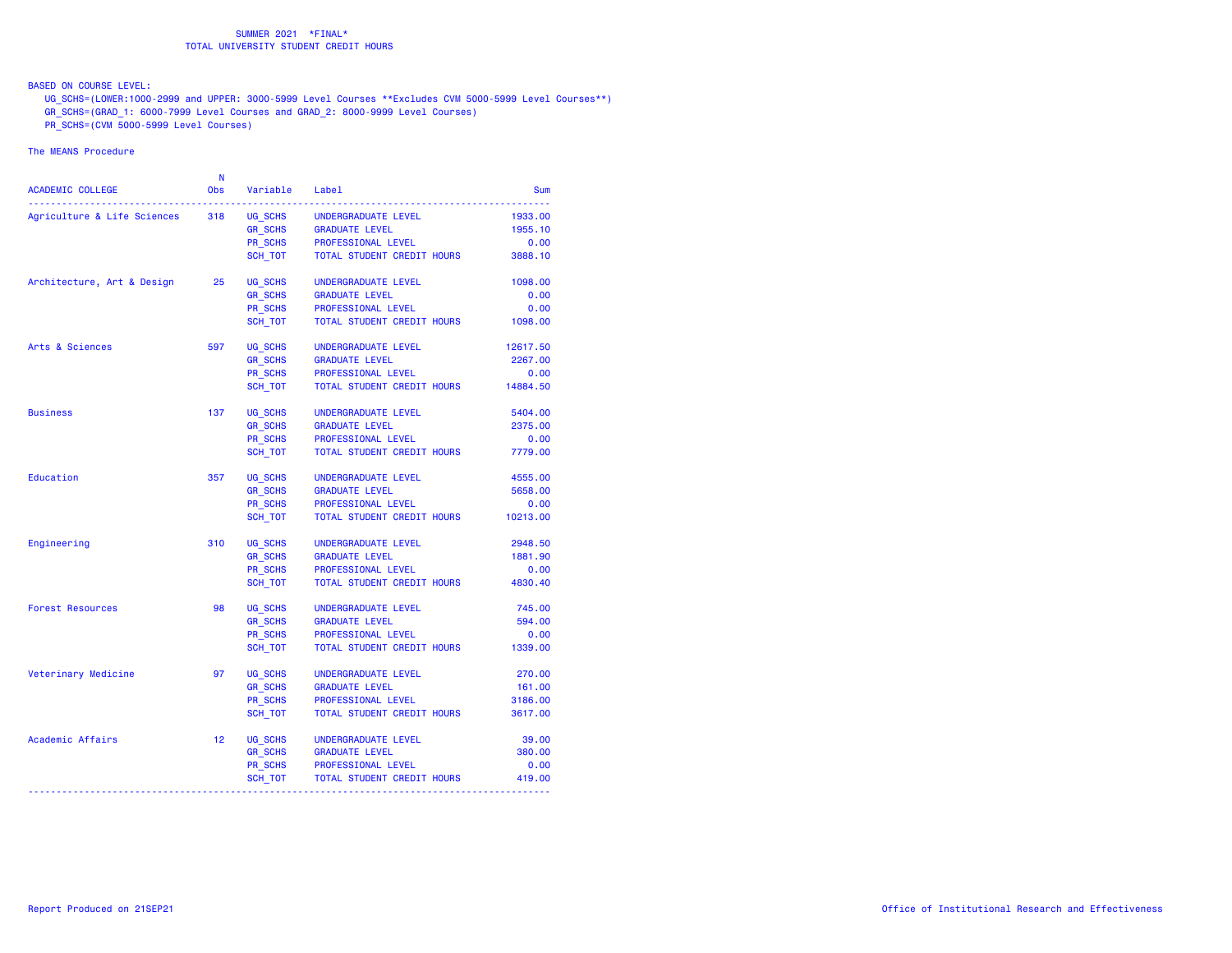BASED ON COURSE LEVEL:

UG\_SCHS=(LOWER:1000-2999 and UPPER: 3000-5999 Level Courses \*\*Excludes CVM 5000-5999 Level Courses\*\*)

GR\_SCHS=(GRAD\_1: 6000-7999 Level Courses and GRAD\_2: 8000-9999 Level Courses)

PR\_SCHS=(CVM 5000-5999 Level Courses)

| ACADEMIC COLLEGE            | N<br><b>Obs</b> | Variable             | Label                      | Sum      |
|-----------------------------|-----------------|----------------------|----------------------------|----------|
| Agriculture & Life Sciences | 318             | UG SCHS              | UNDERGRADUATE LEVEL        | 1933.00  |
|                             |                 | $GR$ <sub>SCHS</sub> | <b>GRADUATE LEVEL</b>      | 1955.10  |
|                             |                 | PR_SCHS<br>SCH_TOT   | PROFESSIONAL LEVEL         | 0.00     |
|                             |                 | SCH TOT              | TOTAL STUDENT CREDIT HOURS | 3888.10  |
| Architecture, Art & Design  | 25              | UG SCHS              | UNDERGRADUATE LEVEL        | 1098.00  |
|                             |                 | <b>GR SCHS</b>       | <b>GRADUATE LEVEL</b>      | 0.00     |
|                             |                 | PR_SCHS              | PROFESSIONAL LEVEL         | 0.00     |
|                             |                 | SCH TOT              | TOTAL STUDENT CREDIT HOURS | 1098.00  |
| Arts & Sciences             | 597             | UG SCHS              | UNDERGRADUATE LEVEL        | 12617.50 |
|                             |                 | <b>GR SCHS</b>       | <b>GRADUATE LEVEL</b>      | 2267.00  |
|                             |                 | PR_SCHS              | PROFESSIONAL LEVEL         | 0.00     |
|                             |                 | SCH_TOT              | TOTAL STUDENT CREDIT HOURS | 14884.50 |
| <b>Business</b>             | 137             | UG SCHS              | UNDERGRADUATE LEVEL        | 5404.00  |
|                             |                 | GR_SCHS              | <b>GRADUATE LEVEL</b>      | 2375.00  |
|                             |                 | PR SCHS              | PROFESSIONAL LEVEL         | 0.00     |
|                             |                 | SCH TOT              | TOTAL STUDENT CREDIT HOURS | 7779.00  |
| Education                   | 357             | UG SCHS              | UNDERGRADUATE LEVEL        | 4555.00  |
|                             |                 | GR_SCHS              | <b>GRADUATE LEVEL</b>      | 5658.00  |
|                             |                 | PR_SCHS              | PROFESSIONAL LEVEL         | 0.00     |
|                             |                 | SCH_TOT              | TOTAL STUDENT CREDIT HOURS | 10213.00 |
| Engineering                 | 310             | UG SCHS              | UNDERGRADUATE LEVEL        | 2948.50  |
|                             |                 | <b>GR SCHS</b>       | <b>GRADUATE LEVEL</b>      | 1881.90  |
|                             |                 | <b>PR SCHS</b>       | PROFESSIONAL LEVEL         | 0.00     |
|                             |                 | SCH TOT              | TOTAL STUDENT CREDIT HOURS | 4830.40  |
| <b>Forest Resources</b>     | 98              | UG SCHS              | UNDERGRADUATE LEVEL        | 745.00   |
|                             |                 | <b>GR_SCHS</b>       | <b>GRADUATE LEVEL</b>      | 594.00   |
|                             |                 | PR SCHS              | PROFESSIONAL LEVEL         | 0.00     |
|                             |                 | SCH TOT              | TOTAL STUDENT CREDIT HOURS | 1339.00  |
| Veterinary Medicine         | 97              | UG SCHS              | UNDERGRADUATE LEVEL        | 270.00   |
|                             |                 | <b>GR SCHS</b>       | <b>GRADUATE LEVEL</b>      | 161.00   |
|                             |                 | PR SCHS              | PROFESSIONAL LEVEL         | 3186.00  |
|                             |                 | SCH TOT              | TOTAL STUDENT CREDIT HOURS | 3617.00  |
| Academic Affairs            | 12              | UG SCHS              | UNDERGRADUATE LEVEL        | 39.00    |
|                             |                 | <b>GR_SCHS</b>       | <b>GRADUATE LEVEL</b>      | 380.00   |
|                             |                 | PR_SCHS              | PROFESSIONAL LEVEL         | 0.00     |
|                             |                 | SCH_TOT              | TOTAL STUDENT CREDIT HOURS | 419.00   |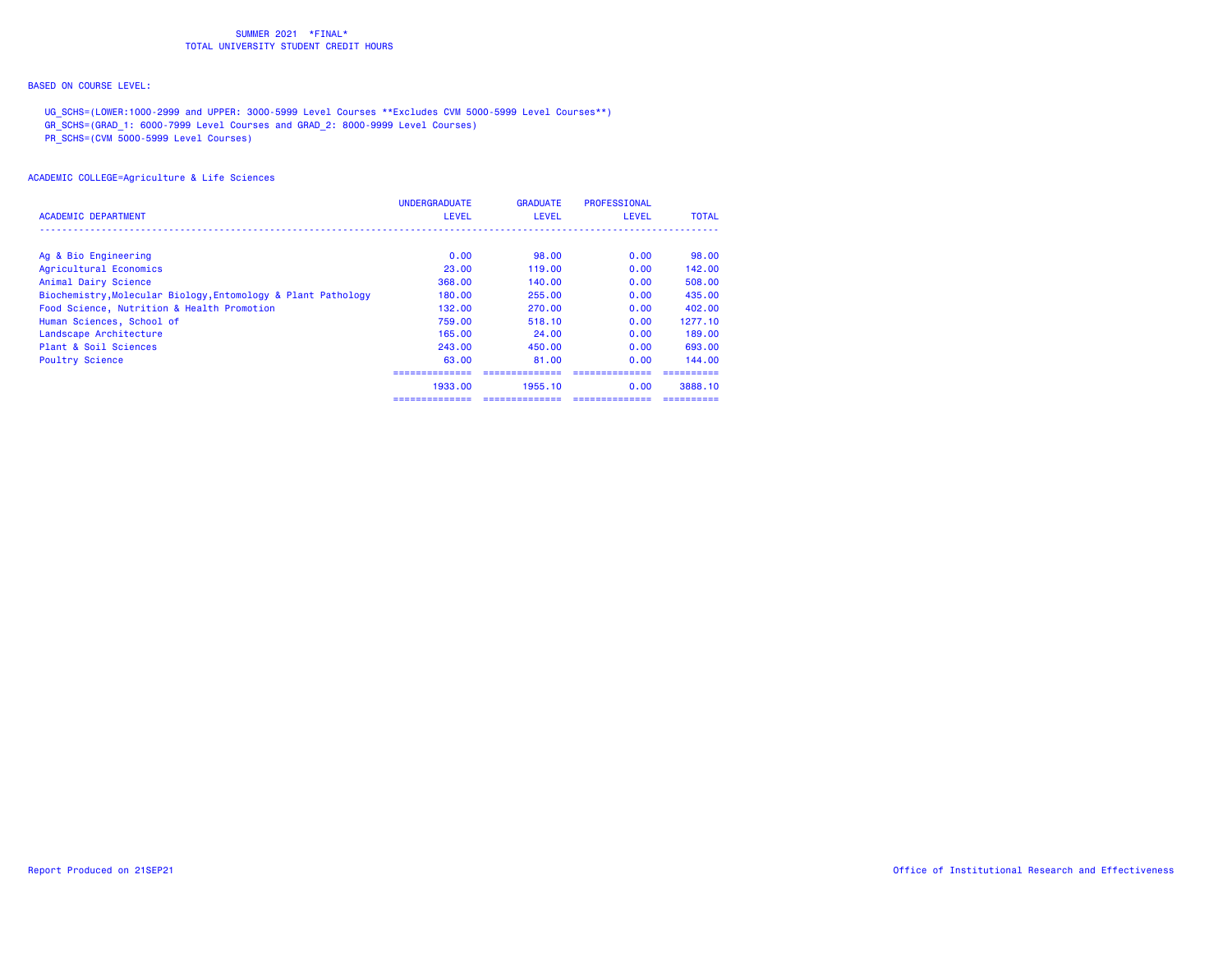## BASED ON COURSE LEVEL:

UG\_SCHS=(LOWER:1000-2999 and UPPER: 3000-5999 Level Courses \*\*Excludes CVM 5000-5999 Level Courses\*\*)

GR\_SCHS=(GRAD\_1: 6000-7999 Level Courses and GRAD\_2: 8000-9999 Level Courses)

PR\_SCHS=(CVM 5000-5999 Level Courses)

| <b>ACADEMIC DEPARTMENT</b>                                    | <b>UNDERGRADUATE</b><br><b>LEVEL</b> | <b>GRADUATE</b><br><b>LEVEL</b> | <b>PROFESSIONAL</b><br><b>LEVEL</b> | <b>TOTAL</b> |
|---------------------------------------------------------------|--------------------------------------|---------------------------------|-------------------------------------|--------------|
|                                                               |                                      |                                 |                                     |              |
| Ag & Bio Engineering                                          | 0.00                                 | 98.00                           | 0.00                                | 98.00        |
| Agricultural Economics                                        | 23,00                                | 119.00                          | 0.00                                | 142.00       |
| Animal Dairy Science                                          | 368.00                               | 140.00                          | 0.00                                | 508.00       |
| Biochemistry, Molecular Biology, Entomology & Plant Pathology | 180,00                               | 255,00                          | 0.00                                | 435,00       |
| Food Science, Nutrition & Health Promotion                    | 132.00                               | 270.00                          | 0.00                                | 402.00       |
| Human Sciences, School of                                     | 759.00                               | 518.10                          | 0.00                                | 1277.10      |
| Landscape Architecture                                        | 165.00                               | 24.00                           | 0.00                                | 189.00       |
| Plant & Soil Sciences                                         | 243.00                               | 450.00                          | 0.00                                | 693.00       |
| <b>Poultry Science</b>                                        | 63.00                                | 81.00                           | 0.00                                | 144.00       |
|                                                               |                                      |                                 |                                     |              |
|                                                               | 1933.00                              | 1955.10                         | 0.00                                | 3888.10      |
|                                                               |                                      |                                 |                                     |              |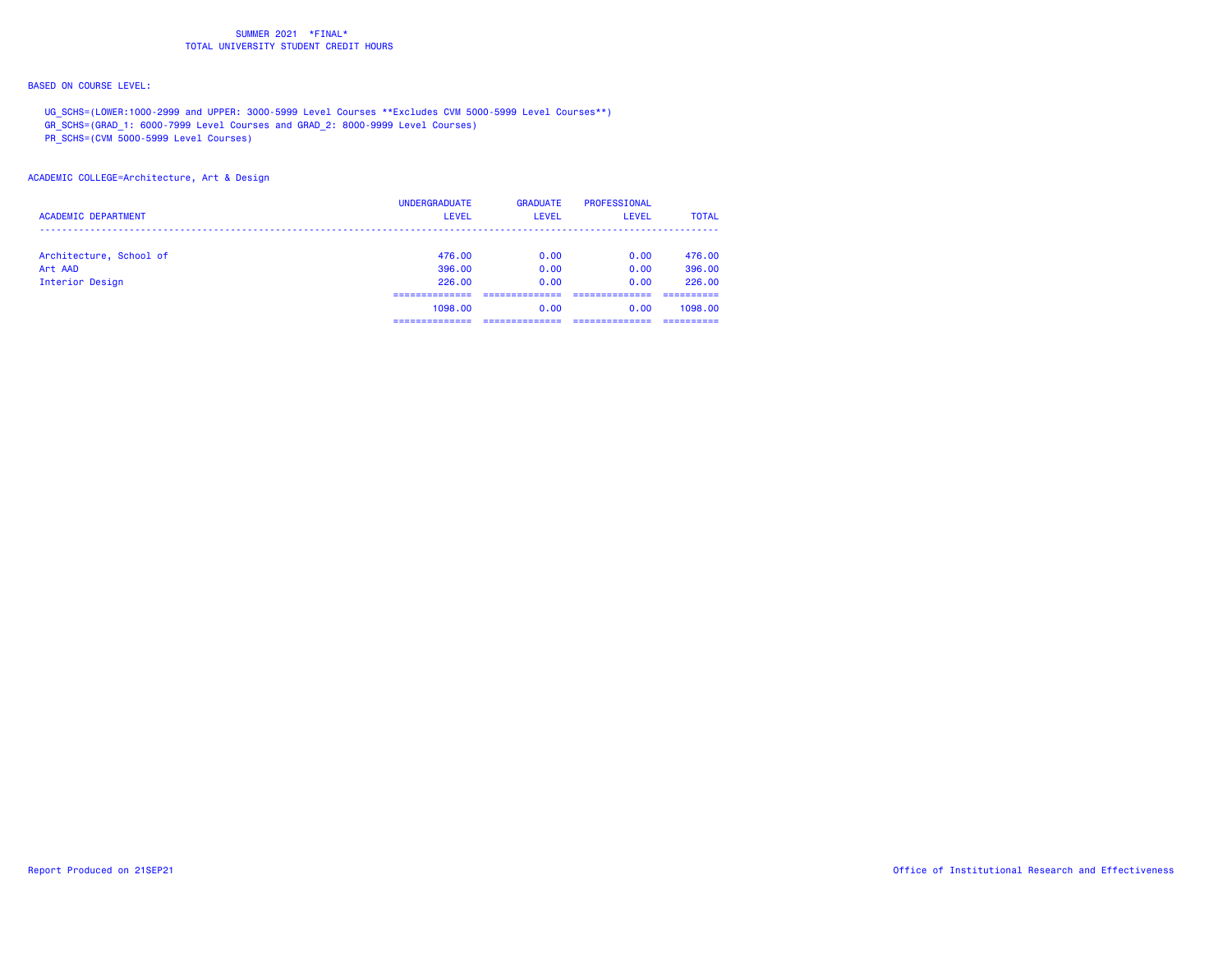## BASED ON COURSE LEVEL:

UG\_SCHS=(LOWER:1000-2999 and UPPER: 3000-5999 Level Courses \*\*Excludes CVM 5000-5999 Level Courses\*\*)

GR\_SCHS=(GRAD\_1: 6000-7999 Level Courses and GRAD\_2: 8000-9999 Level Courses)

PR\_SCHS=(CVM 5000-5999 Level Courses)

### ACADEMIC COLLEGE=Architecture, Art & Design

| <b>ACADEMIC DEPARTMENT</b> | <b>UNDERGRADUATE</b><br><b>LEVEL</b> | <b>GRADUATE</b><br>LEVEL | PROFESSIONAL<br><b>LEVEL</b> | <b>TOTAL</b> |
|----------------------------|--------------------------------------|--------------------------|------------------------------|--------------|
| Architecture, School of    | 476.00                               | 0.00                     | 0.00                         | 476.00       |
| Art AAD                    | 396,00                               | 0.00                     | 0.00                         | 396,00       |
| Interior Design            | 226,00                               | 0.00                     | 0.00                         | 226.00       |
|                            |                                      |                          |                              |              |
|                            | 1098.00                              | 0.00                     | 0.00                         | 1098.00      |
|                            |                                      |                          |                              |              |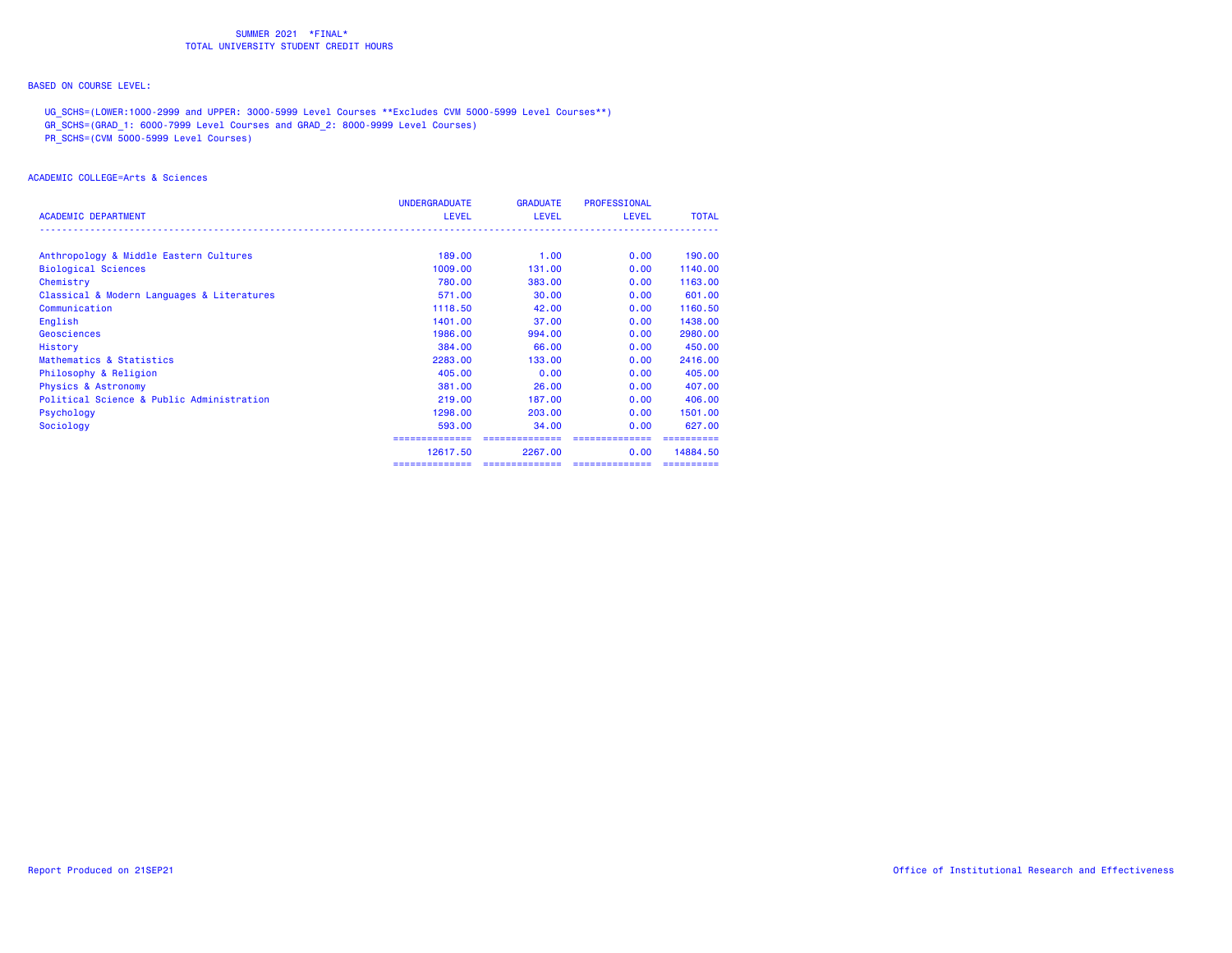## BASED ON COURSE LEVEL:

UG\_SCHS=(LOWER:1000-2999 and UPPER: 3000-5999 Level Courses \*\*Excludes CVM 5000-5999 Level Courses\*\*)

GR\_SCHS=(GRAD\_1: 6000-7999 Level Courses and GRAD\_2: 8000-9999 Level Courses)

PR\_SCHS=(CVM 5000-5999 Level Courses)

### ACADEMIC COLLEGE=Arts & Sciences

|                                            | <b>UNDERGRADUATE</b> | <b>GRADUATE</b> | <b>PROFESSIONAL</b> |              |
|--------------------------------------------|----------------------|-----------------|---------------------|--------------|
| <b>ACADEMIC DEPARTMENT</b>                 | <b>LEVEL</b>         | <b>LEVEL</b>    | <b>LEVEL</b>        | <b>TOTAL</b> |
|                                            |                      |                 |                     |              |
| Anthropology & Middle Eastern Cultures     | 189.00               | 1.00            | 0.00                | 190.00       |
| <b>Biological Sciences</b>                 | 1009.00              | 131,00          | 0.00                | 1140.00      |
| Chemistry                                  | 780.00               | 383,00          | 0.00                | 1163.00      |
| Classical & Modern Languages & Literatures | 571.00               | 30.00           | 0.00                | 601.00       |
| Communication                              | 1118.50              | 42.00           | 0.00                | 1160.50      |
| English                                    | 1401.00              | 37.00           | 0.00                | 1438.00      |
| Geosciences                                | 1986.00              | 994.00          | 0.00                | 2980.00      |
| History                                    | 384,00               | 66.00           | 0.00                | 450,00       |
| Mathematics & Statistics                   | 2283.00              | 133,00          | 0.00                | 2416.00      |
| Philosophy & Religion                      | 405,00               | 0.00            | 0.00                | 405,00       |
| <b>Physics &amp; Astronomy</b>             | 381,00               | 26,00           | 0.00                | 407.00       |
| Political Science & Public Administration  | 219,00               | 187,00          | 0.00                | 406.00       |
| Psychology                                 | 1298.00              | 203,00          | 0.00                | 1501.00      |
| Sociology                                  | 593.00               | 34,00           | 0.00                | 627,00       |
|                                            | ==============       |                 |                     |              |
|                                            | 12617.50             | 2267.00         | 0.00                | 14884.50     |
|                                            | ==============       |                 | ==============      | ==========   |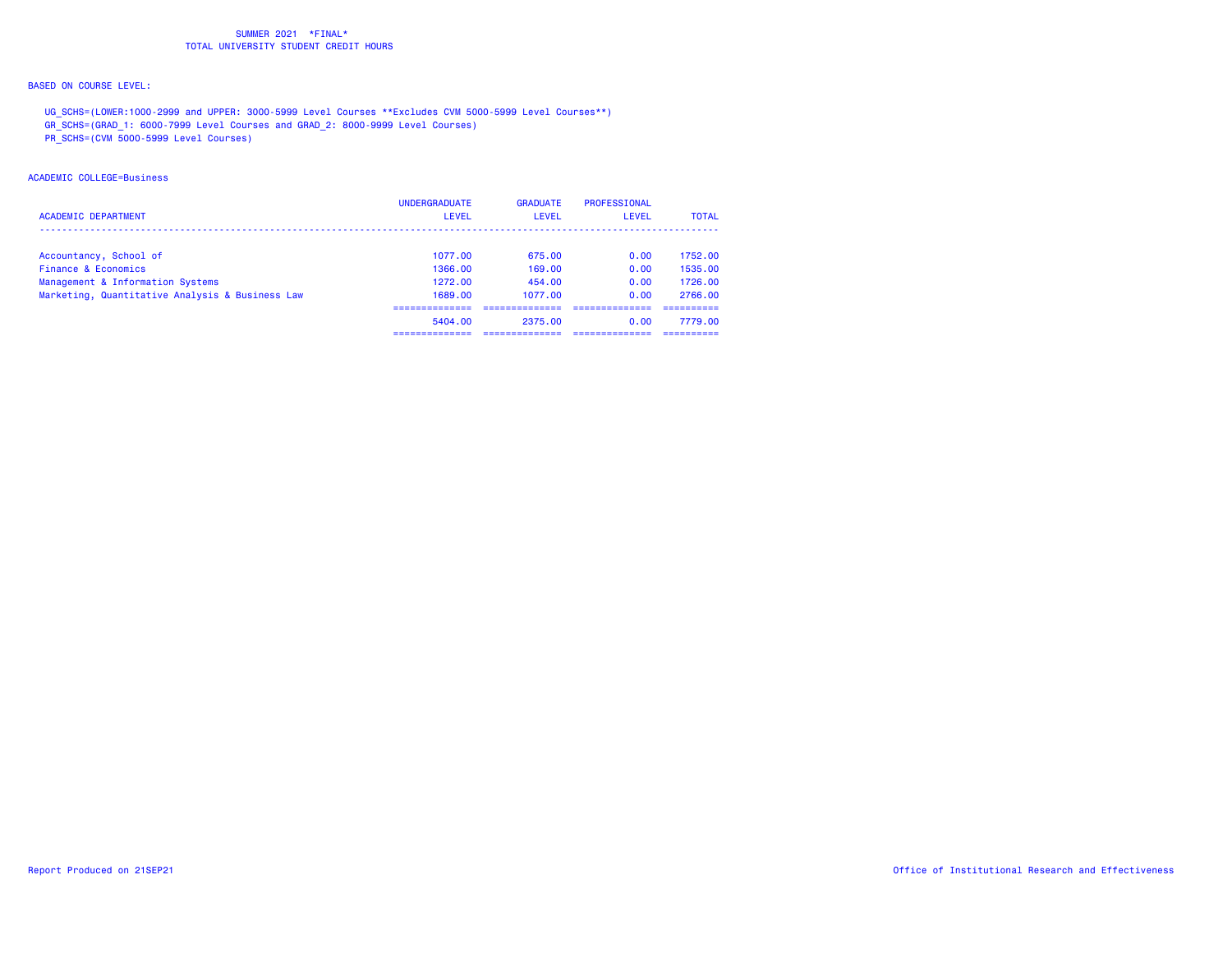## BASED ON COURSE LEVEL:

UG\_SCHS=(LOWER:1000-2999 and UPPER: 3000-5999 Level Courses \*\*Excludes CVM 5000-5999 Level Courses\*\*)

GR\_SCHS=(GRAD\_1: 6000-7999 Level Courses and GRAD\_2: 8000-9999 Level Courses)

PR\_SCHS=(CVM 5000-5999 Level Courses)

### ACADEMIC COLLEGE=Business

| <b>ACADEMIC DEPARTMENT</b>                      | <b>UNDERGRADUATE</b><br><b>LEVEL</b> | <b>GRADUATE</b><br><b>LEVEL</b> | PROFESSIONAL<br>LEVEL | <b>TOTAL</b> |
|-------------------------------------------------|--------------------------------------|---------------------------------|-----------------------|--------------|
| Accountancy, School of                          | 1077.00                              | 675.00                          | 0.00                  | 1752.00      |
| Finance & Economics                             | 1366.00                              | 169.00                          | 0.00                  | 1535.00      |
| Management & Information Systems                | 1272.00                              | 454.00                          | 0.00                  | 1726.00      |
| Marketing, Quantitative Analysis & Business Law | 1689.00                              | 1077.00                         | 0.00                  | 2766.00      |
|                                                 |                                      |                                 |                       |              |
|                                                 | 5404.00                              | 2375.00                         | 0.00                  | 7779.00      |
|                                                 |                                      |                                 |                       |              |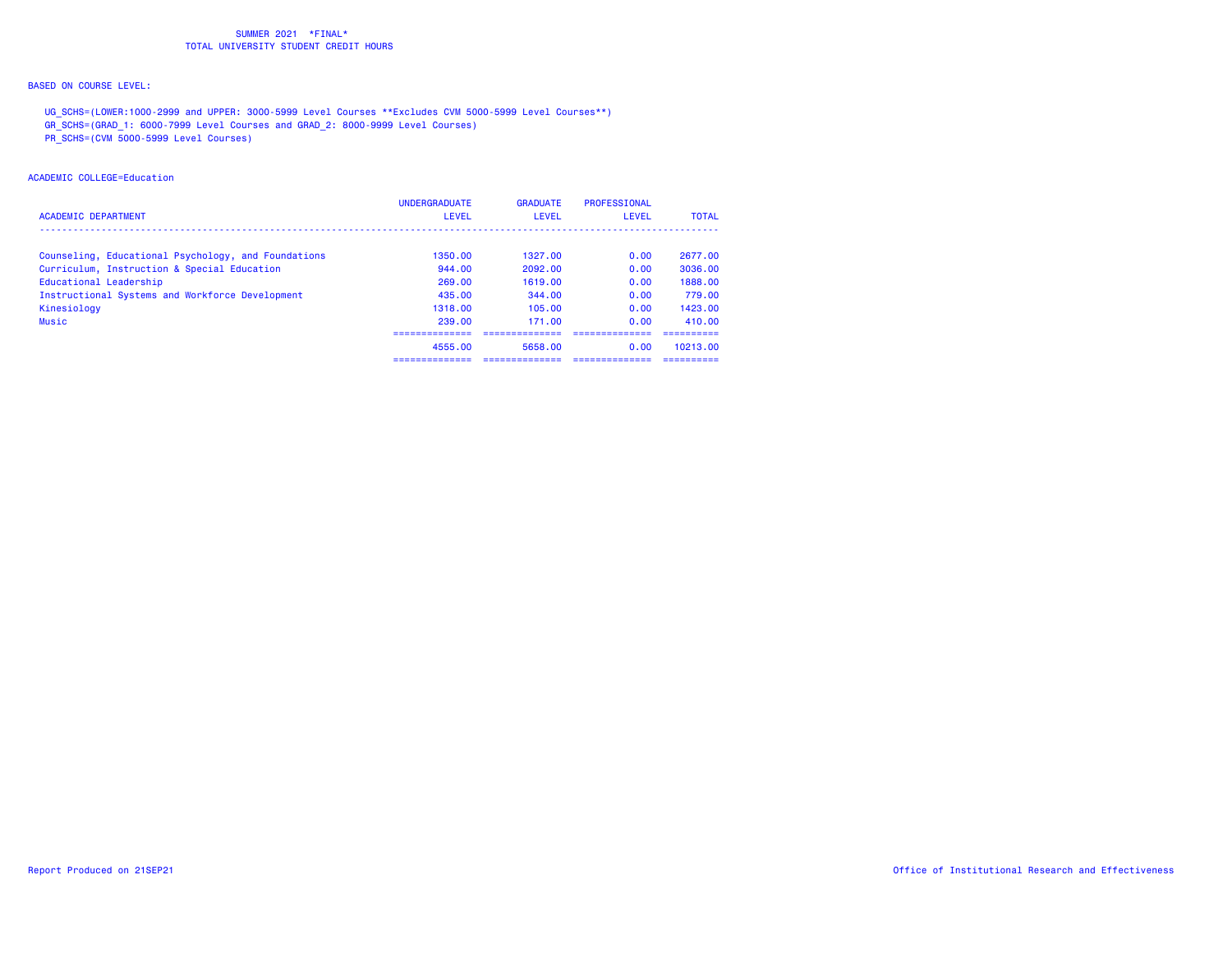## BASED ON COURSE LEVEL:

UG\_SCHS=(LOWER:1000-2999 and UPPER: 3000-5999 Level Courses \*\*Excludes CVM 5000-5999 Level Courses\*\*)

GR\_SCHS=(GRAD\_1: 6000-7999 Level Courses and GRAD\_2: 8000-9999 Level Courses)

PR\_SCHS=(CVM 5000-5999 Level Courses)

### ACADEMIC COLLEGE=Education

| <b>ACADEMIC DEPARTMENT</b>                          | <b>UNDERGRADUATE</b><br><b>LEVEL</b> | <b>GRADUATE</b><br>LEVEL | PROFESSIONAL<br>LEVEL | <b>TOTAL</b> |
|-----------------------------------------------------|--------------------------------------|--------------------------|-----------------------|--------------|
| Counseling, Educational Psychology, and Foundations | 1350.00                              | 1327.00                  | 0.00                  | 2677.00      |
| Curriculum, Instruction & Special Education         | 944.00                               | 2092.00                  | 0.00                  | 3036.00      |
| Educational Leadership                              | 269.00                               | 1619.00                  | 0.00                  | 1888.00      |
| Instructional Systems and Workforce Development     | 435.00                               | 344.00                   | 0.00                  | 779.00       |
| Kinesiology                                         | 1318.00                              | 105.00                   | 0.00                  | 1423.00      |
| Music                                               | 239.00                               | 171.00                   | 0.00                  | 410.00       |
|                                                     |                                      |                          |                       |              |
|                                                     | 4555.00                              | 5658.00                  | 0.00                  | 10213.00     |
|                                                     |                                      |                          |                       |              |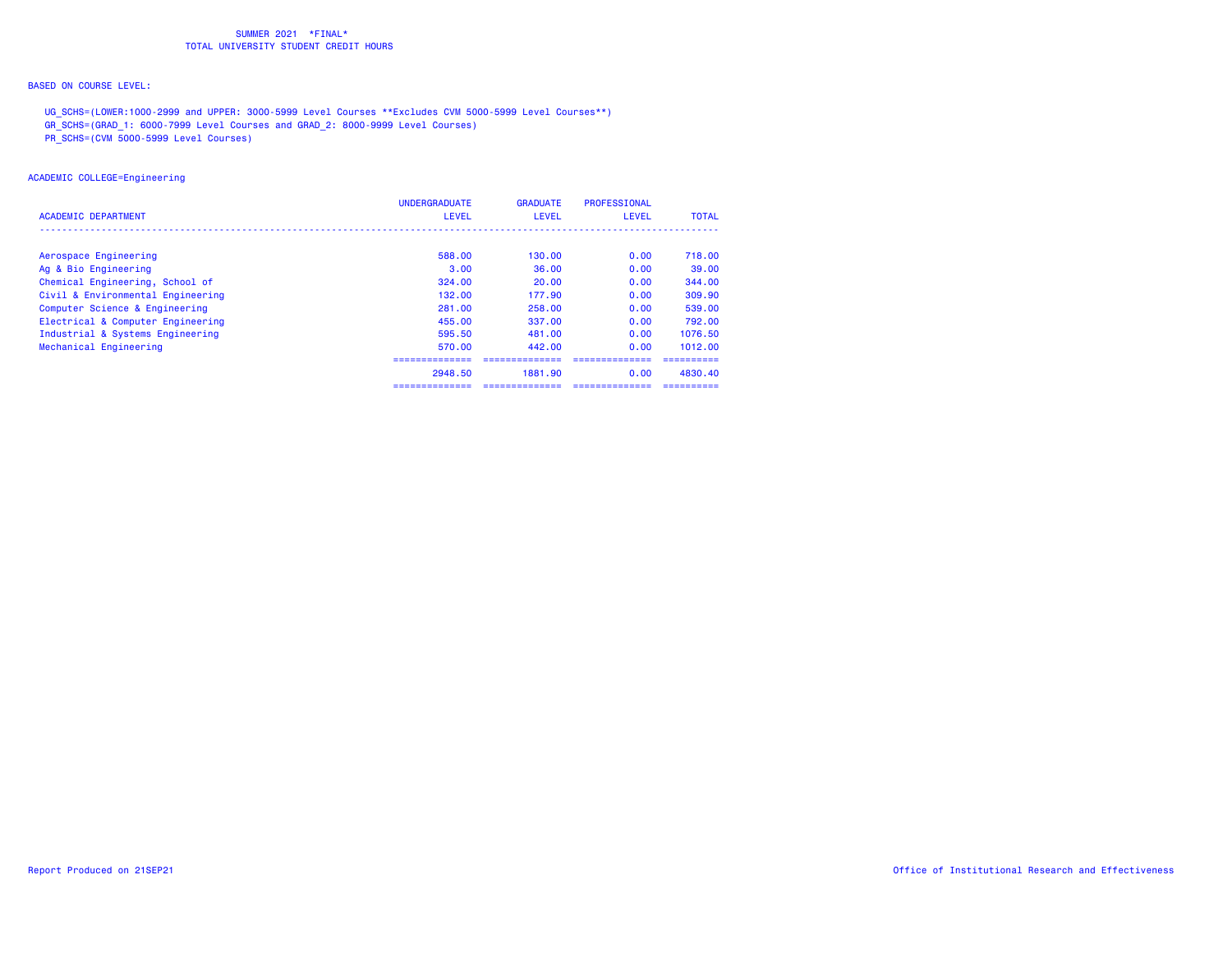## BASED ON COURSE LEVEL:

UG\_SCHS=(LOWER:1000-2999 and UPPER: 3000-5999 Level Courses \*\*Excludes CVM 5000-5999 Level Courses\*\*)

GR\_SCHS=(GRAD\_1: 6000-7999 Level Courses and GRAD\_2: 8000-9999 Level Courses)

PR\_SCHS=(CVM 5000-5999 Level Courses)

### ACADEMIC COLLEGE=Engineering

| ACADEMIC DEPARTMENT               | <b>UNDERGRADUATE</b><br><b>LEVEL</b> | <b>GRADUATE</b><br>LEVEL | PROFESSIONAL<br>LEVEL | <b>TOTAL</b> |
|-----------------------------------|--------------------------------------|--------------------------|-----------------------|--------------|
|                                   |                                      |                          |                       |              |
| Aerospace Engineering             | 588.00                               | 130.00                   | 0.00                  | 718,00       |
| Ag & Bio Engineering              | 3.00                                 | 36.00                    | 0.00                  | 39.00        |
| Chemical Engineering, School of   | 324.00                               | 20.00                    | 0.00                  | 344.00       |
| Civil & Environmental Engineering | 132.00                               | 177.90                   | 0.00                  | 309.90       |
| Computer Science & Engineering    | 281.00                               | 258.00                   | 0.00                  | 539.00       |
| Electrical & Computer Engineering | 455,00                               | 337.00                   | 0.00                  | 792.00       |
| Industrial & Systems Engineering  | 595.50                               | 481.00                   | 0.00                  | 1076.50      |
| Mechanical Engineering            | 570.00                               | 442.00                   | 0.00                  | 1012.00      |
|                                   |                                      |                          |                       |              |
|                                   | 2948.50                              | 1881.90                  | 0.00                  | 4830.40      |
|                                   |                                      |                          |                       |              |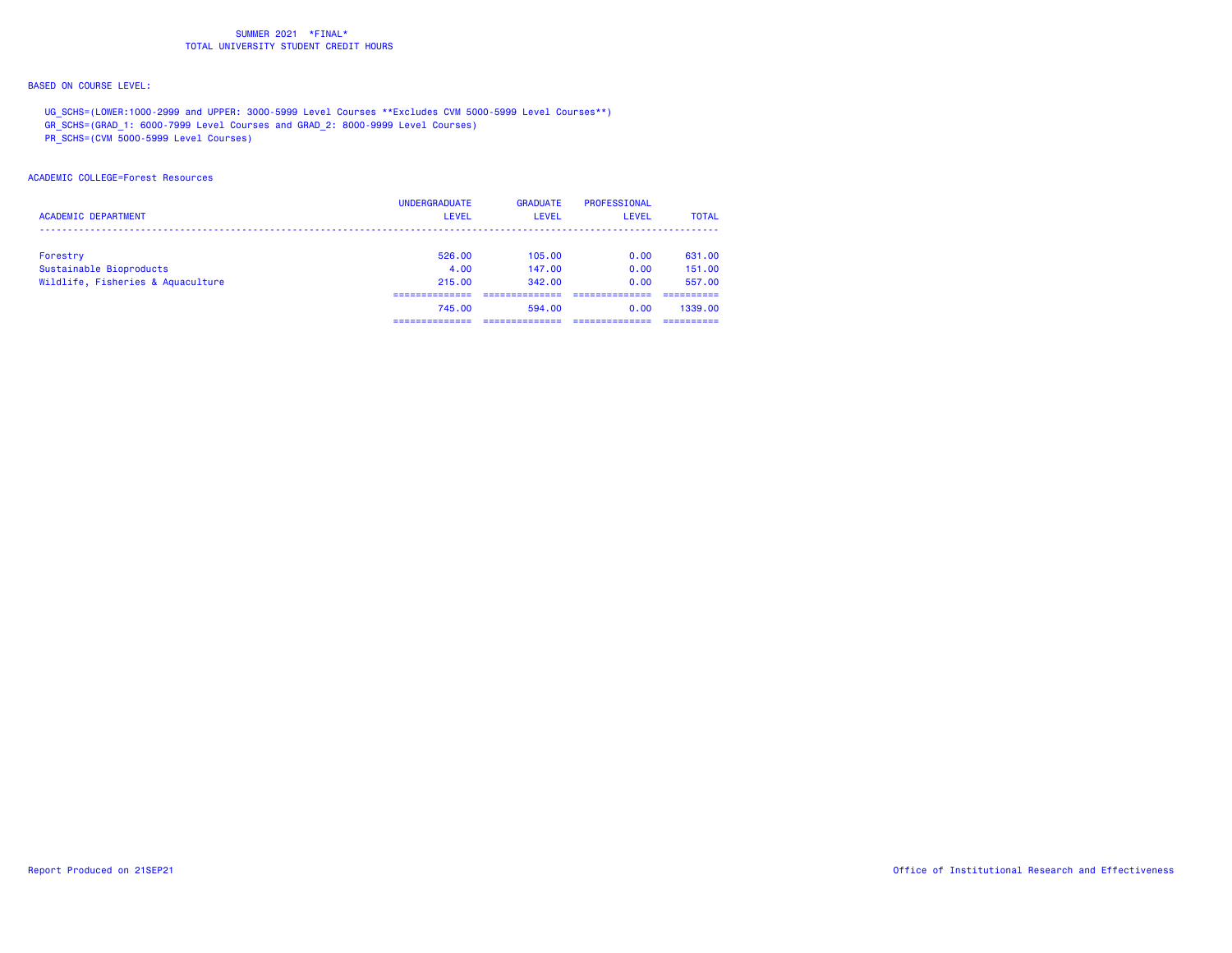## BASED ON COURSE LEVEL:

UG\_SCHS=(LOWER:1000-2999 and UPPER: 3000-5999 Level Courses \*\*Excludes CVM 5000-5999 Level Courses\*\*)

GR\_SCHS=(GRAD\_1: 6000-7999 Level Courses and GRAD\_2: 8000-9999 Level Courses)

PR\_SCHS=(CVM 5000-5999 Level Courses)

### ACADEMIC COLLEGE=Forest Resources

| <b>ACADEMIC DEPARTMENT</b>        | <b>UNDERGRADUATE</b><br><b>LEVEL</b> | <b>GRADUATE</b><br>LEVEL | PROFESSIONAL<br>LEVEL | <b>TOTAL</b> |
|-----------------------------------|--------------------------------------|--------------------------|-----------------------|--------------|
| Forestry                          | 526.00                               | 105.00                   | 0.00                  | 631,00       |
| Sustainable Bioproducts           | 4.00                                 | 147.00                   | 0.00                  | 151.00       |
| Wildlife, Fisheries & Aquaculture | 215,00                               | 342.00                   | 0.00                  | 557.00       |
|                                   |                                      |                          |                       |              |
|                                   | 745.00                               | 594.00                   | 0.00                  | 1339.00      |
|                                   |                                      |                          |                       |              |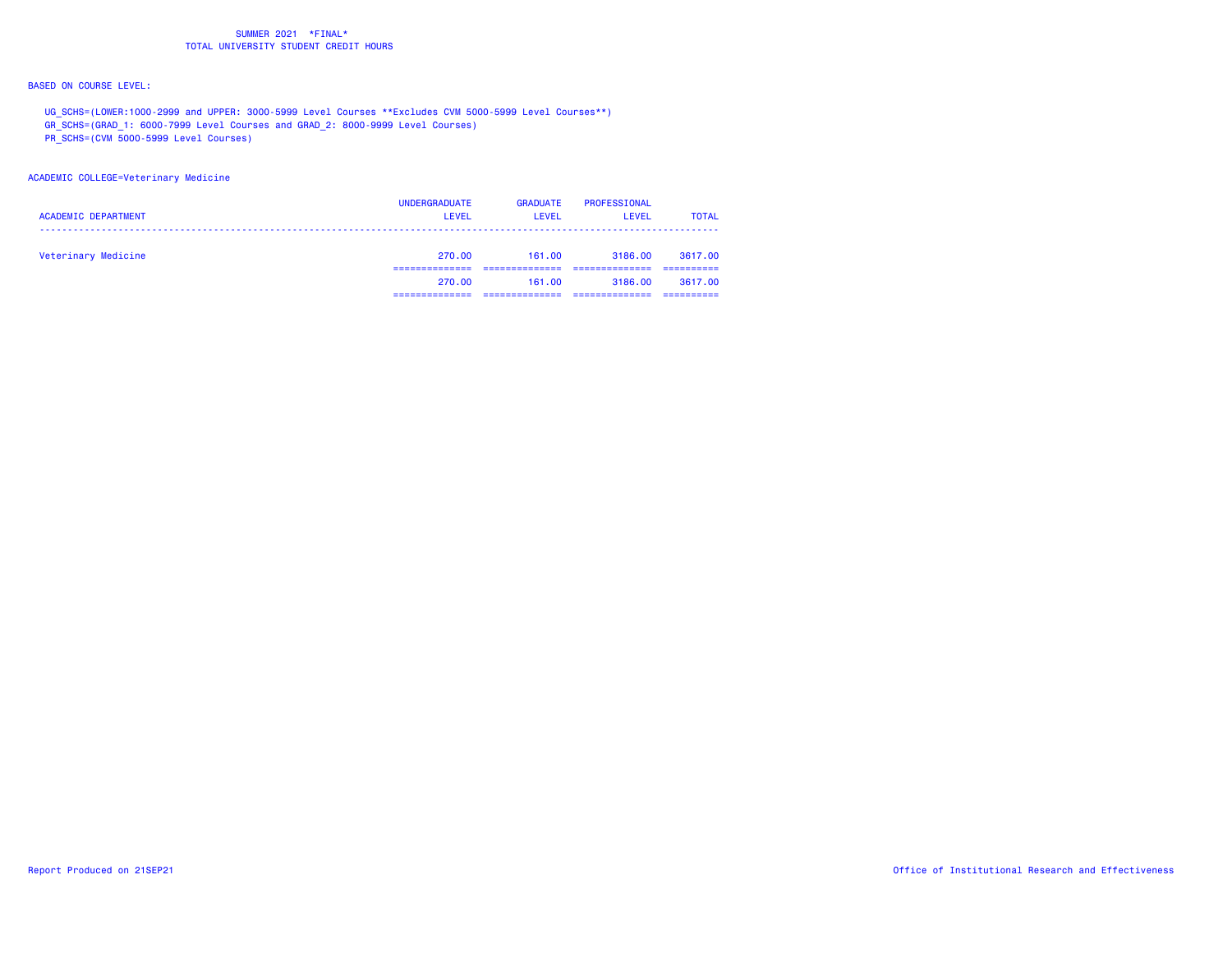## BASED ON COURSE LEVEL:

UG\_SCHS=(LOWER:1000-2999 and UPPER: 3000-5999 Level Courses \*\*Excludes CVM 5000-5999 Level Courses\*\*)

GR\_SCHS=(GRAD\_1: 6000-7999 Level Courses and GRAD\_2: 8000-9999 Level Courses)

PR\_SCHS=(CVM 5000-5999 Level Courses)

### ACADEMIC COLLEGE=Veterinary Medicine

| <b>ACADEMIC DEPARTMENT</b> | <b>UNDERGRADUATE</b><br><b>LEVEL</b> | <b>GRADUATE</b><br>LEVEL | PROFESSIONAL<br><b>LEVEL</b> | <b>TOTAL</b> |
|----------------------------|--------------------------------------|--------------------------|------------------------------|--------------|
| Veterinary Medicine        | 270.00                               | 161.00                   | 3186.00                      | 3617.00      |
|                            | 270.00                               | 161.00                   | 3186.00                      | 3617.00      |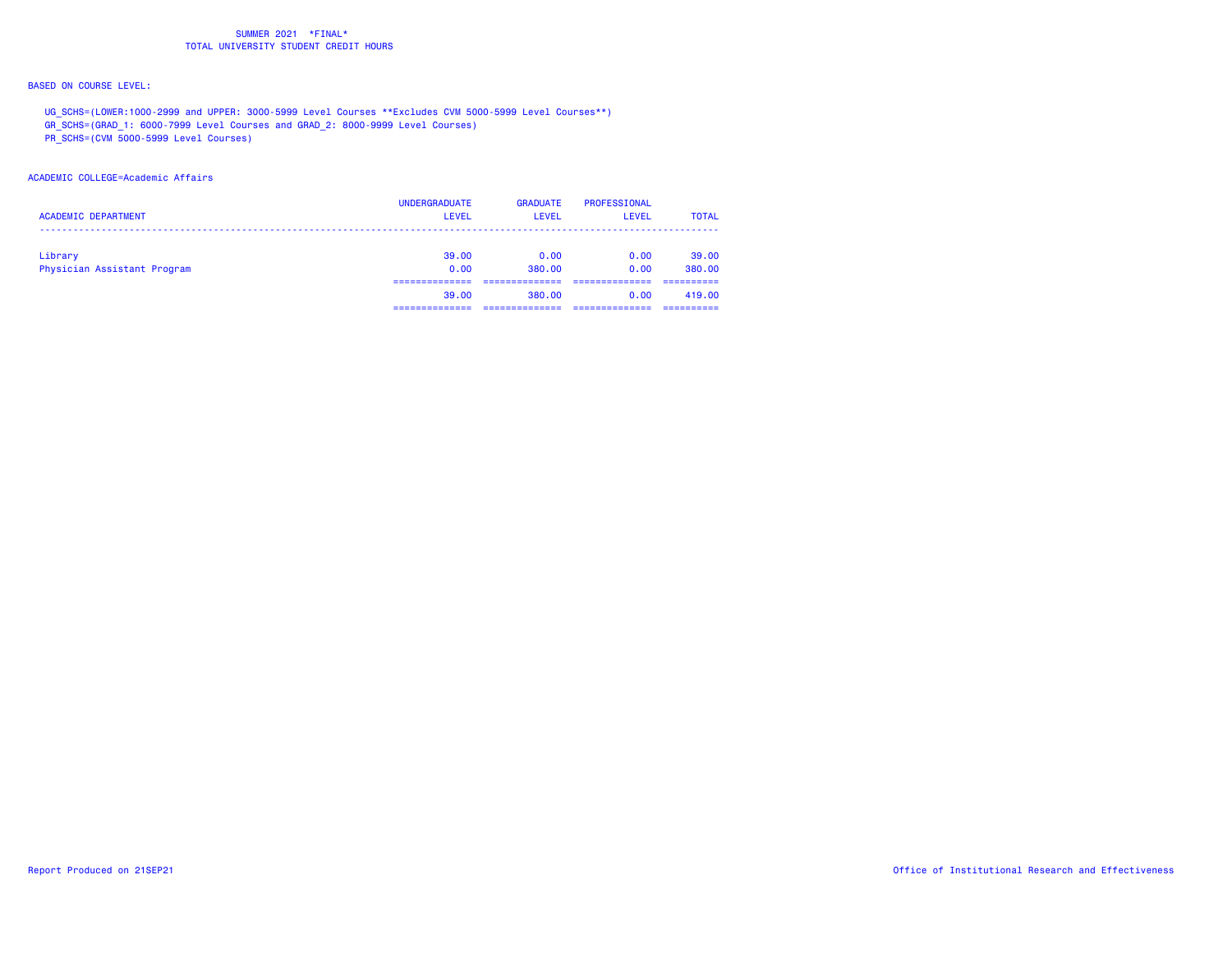## BASED ON COURSE LEVEL:

UG\_SCHS=(LOWER:1000-2999 and UPPER: 3000-5999 Level Courses \*\*Excludes CVM 5000-5999 Level Courses\*\*)

GR\_SCHS=(GRAD\_1: 6000-7999 Level Courses and GRAD\_2: 8000-9999 Level Courses)

PR\_SCHS=(CVM 5000-5999 Level Courses)

### ACADEMIC COLLEGE=Academic Affairs

| <b>UNDERGRADUATE</b> | <b>GRADUATE</b> | PROFESSIONAL | <b>TOTAL</b> |
|----------------------|-----------------|--------------|--------------|
| <b>LEVEL</b>         | <b>LEVEL</b>    | <b>LEVEL</b> |              |
| 39.00                | 0.00            | 0.00         | 39,00        |
| 0.00                 | 380.00          | 0.00         | 380,00       |
| 39.00                | 380.00          | 0.00         | 419.00       |
|                      |                 |              |              |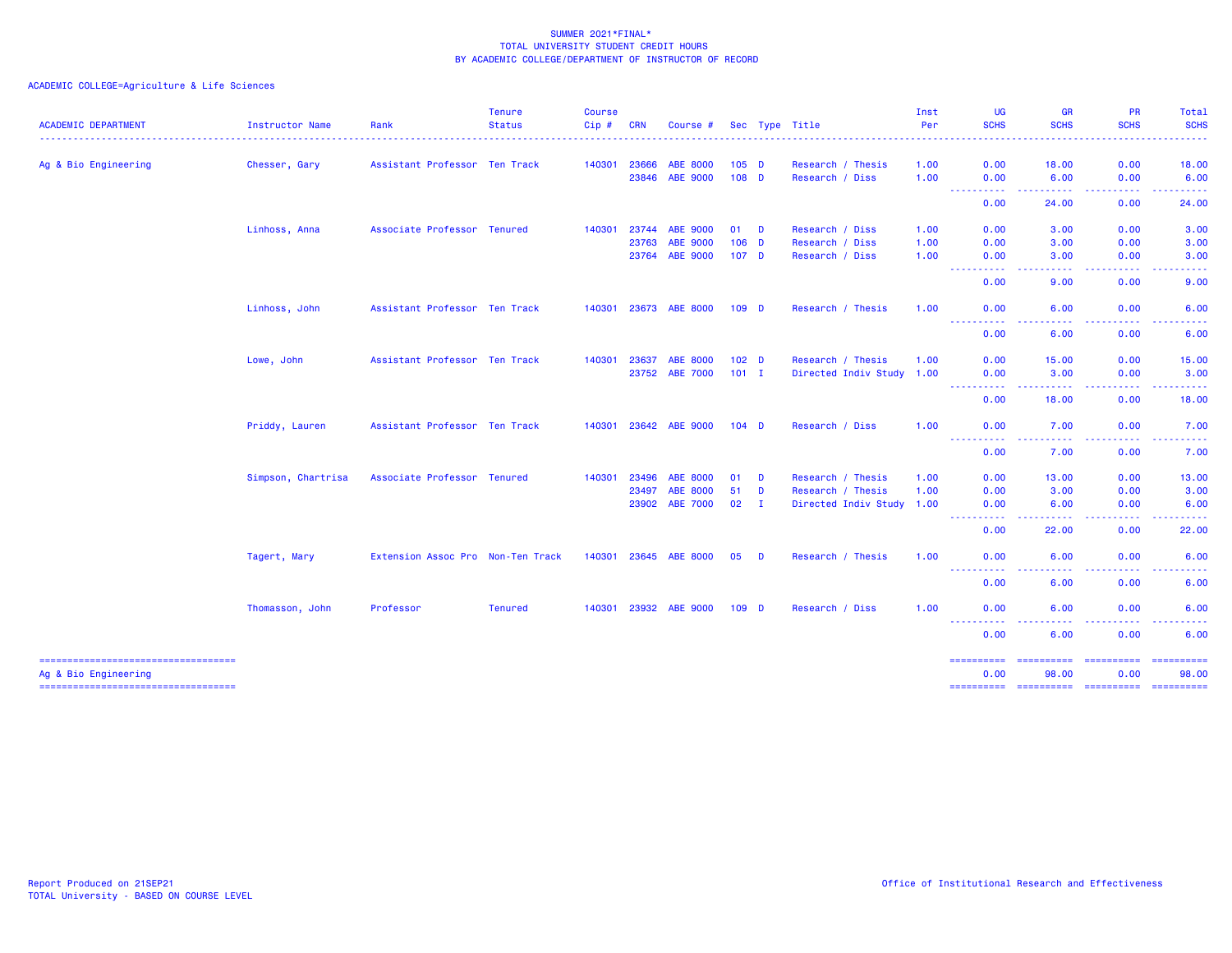| <b>ACADEMIC DEPARTMENT</b>                                  | Instructor Name    | Rank                              | <b>Tenure</b><br><b>Status</b> | <b>Course</b><br>$Cip$ # | <b>CRN</b> | Course #              |                  |   | Sec Type Title            | Inst<br>Per | <b>UG</b><br><b>SCHS</b>                                                                                    | <b>GR</b><br><b>SCHS</b>                                                                                                                   | <b>PR</b><br><b>SCHS</b>                       | <b>Total</b><br><b>SCHS</b> |
|-------------------------------------------------------------|--------------------|-----------------------------------|--------------------------------|--------------------------|------------|-----------------------|------------------|---|---------------------------|-------------|-------------------------------------------------------------------------------------------------------------|--------------------------------------------------------------------------------------------------------------------------------------------|------------------------------------------------|-----------------------------|
|                                                             |                    |                                   |                                |                          |            |                       |                  |   |                           |             |                                                                                                             |                                                                                                                                            |                                                |                             |
| Ag & Bio Engineering                                        | Chesser, Gary      | Assistant Professor Ten Track     |                                | 140301                   | 23666      | <b>ABE 8000</b>       | $105$ D          |   | Research / Thesis         | 1.00        | 0.00                                                                                                        | 18,00                                                                                                                                      | 0.00                                           | 18.00                       |
|                                                             |                    |                                   |                                |                          | 23846      | ABE 9000              | $108$ D          |   | Research / Diss           | 1.00        | 0.00                                                                                                        | 6.00                                                                                                                                       | 0.00                                           | 6.00                        |
|                                                             |                    |                                   |                                |                          |            |                       |                  |   |                           |             | .<br>$\frac{1}{2} \left( \frac{1}{2} \right) \left( \frac{1}{2} \right) \left( \frac{1}{2} \right)$<br>0.00 | .<br>24.00                                                                                                                                 | 0.00                                           | 24.00                       |
|                                                             | Linhoss, Anna      | Associate Professor Tenured       |                                | 140301                   | 23744      | <b>ABE 9000</b>       | 01 D             |   | Research / Diss           | 1.00        | 0.00                                                                                                        | 3.00                                                                                                                                       | 0.00                                           | 3.00                        |
|                                                             |                    |                                   |                                |                          | 23763      | ABE 9000              | $106$ D          |   | Research / Diss           | 1.00        | 0.00                                                                                                        | 3.00                                                                                                                                       | 0.00                                           | 3.00                        |
|                                                             |                    |                                   |                                |                          | 23764      | <b>ABE 9000</b>       | 107 <sub>D</sub> |   | Research / Diss           | 1.00        | 0.00                                                                                                        | 3.00                                                                                                                                       | 0.00                                           | 3.00                        |
|                                                             |                    |                                   |                                |                          |            |                       |                  |   |                           |             | ----------<br>0.00                                                                                          | المتماليات<br>$\frac{1}{2} \left( \frac{1}{2} \right) \left( \frac{1}{2} \right) \left( \frac{1}{2} \right)$<br>9.00                       | <b><i><u><u> - - - - -</u></u></i></b><br>0.00 | د د د د د<br>9.00           |
|                                                             | Linhoss, John      | Assistant Professor Ten Track     |                                | 140301                   |            | 23673 ABE 8000        | 109 <sub>D</sub> |   | Research / Thesis         | 1.00        | 0.00                                                                                                        | 6.00                                                                                                                                       | 0.00                                           | 6.00                        |
|                                                             |                    |                                   |                                |                          |            |                       |                  |   |                           |             | <u> - - - - - - - - - -</u><br>0.00                                                                         | 6.00                                                                                                                                       | 0.00                                           | 6.00                        |
|                                                             | Lowe, John         | Assistant Professor Ten Track     |                                | 140301                   | 23637      | ABE 8000              | 102 <sub>D</sub> |   | Research / Thesis         | 1.00        | 0.00                                                                                                        | 15.00                                                                                                                                      | 0.00                                           | 15.00                       |
|                                                             |                    |                                   |                                |                          | 23752      | <b>ABE 7000</b>       | $101$ I          |   | Directed Indiv Study 1.00 |             | 0.00                                                                                                        | 3.00                                                                                                                                       | 0.00                                           | 3.00                        |
|                                                             |                    |                                   |                                |                          |            |                       |                  |   |                           |             | ----------<br>0.00                                                                                          | -----<br>18.00                                                                                                                             | 0.00                                           | 18.00                       |
|                                                             | Priddy, Lauren     | Assistant Professor Ten Track     |                                |                          |            | 140301 23642 ABE 9000 | $104$ D          |   | Research / Diss           | 1.00        | 0.00                                                                                                        | 7.00                                                                                                                                       | 0.00                                           | 7.00                        |
|                                                             |                    |                                   |                                |                          |            |                       |                  |   |                           |             | <b></b><br>0.00                                                                                             | $\sim$ $\sim$ $\sim$<br>والمسامين<br>7.00                                                                                                  | <b><i><u><u> - - - -</u></u></i></b><br>0.00   | 7.00                        |
|                                                             | Simpson, Chartrisa | Associate Professor Tenured       |                                | 140301                   | 23496      | <b>ABE 8000</b>       | 01               | D | Research / Thesis         | 1.00        | 0.00                                                                                                        | 13.00                                                                                                                                      | 0.00                                           | 13.00                       |
|                                                             |                    |                                   |                                |                          | 23497      | <b>ABE 8000</b>       | 51               | D | Research / Thesis         | 1.00        | 0.00                                                                                                        | 3.00                                                                                                                                       | 0.00                                           | 3.00                        |
|                                                             |                    |                                   |                                |                          | 23902      | <b>ABE 7000</b>       | $02 \qquad I$    |   | Directed Indiv Study 1.00 |             | 0.00<br><u> - - - - - - - - - -</u>                                                                         | 6.00<br>.                                                                                                                                  | 0.00                                           | 6.00                        |
|                                                             |                    |                                   |                                |                          |            |                       |                  |   |                           |             | 0.00                                                                                                        | 22.00                                                                                                                                      | .<br>0.00                                      | .<br>22.00                  |
|                                                             | Tagert, Mary       | Extension Assoc Pro Non-Ten Track |                                | 140301                   |            | 23645 ABE 8000        | 05               | D | Research / Thesis         | 1.00        | 0.00                                                                                                        | 6.00                                                                                                                                       | 0.00                                           | 6.00                        |
|                                                             |                    |                                   |                                |                          |            |                       |                  |   |                           |             | ----------<br>0.00                                                                                          | .<br>6.00                                                                                                                                  | 0.00                                           | 6.00                        |
|                                                             | Thomasson, John    | Professor                         | <b>Tenured</b>                 |                          |            | 140301 23932 ABE 9000 | 109 <sub>D</sub> |   | Research / Diss           | 1.00        | 0.00                                                                                                        | 6.00                                                                                                                                       | 0.00                                           | 6.00                        |
|                                                             |                    |                                   |                                |                          |            |                       |                  |   |                           |             | <b>_________</b><br>0.00                                                                                    | $\frac{1}{2} \left( \frac{1}{2} \right) \left( \frac{1}{2} \right) \left( \frac{1}{2} \right) \left( \frac{1}{2} \right)$<br>-----<br>6.00 | -----<br>0.00                                  | .<br>6.00                   |
| -------------------------------------                       |                    |                                   |                                |                          |            |                       |                  |   |                           |             | -----------                                                                                                 |                                                                                                                                            |                                                | $=$ ==========              |
| Ag & Bio Engineering<br>----------------------------------- |                    |                                   |                                |                          |            |                       |                  |   |                           |             | 0.00                                                                                                        | 98.00                                                                                                                                      | 0.00                                           | 98.00                       |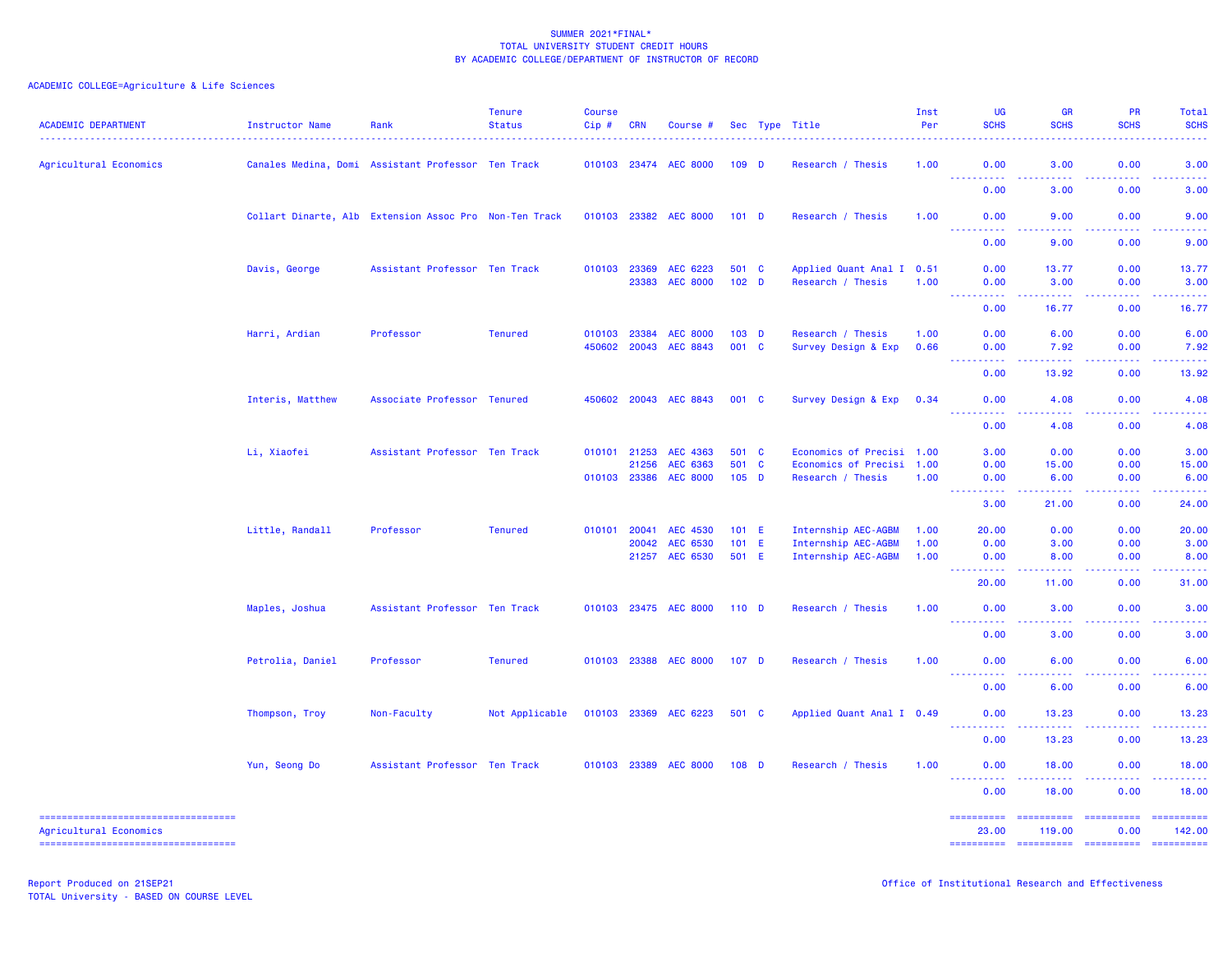| <b>ACADEMIC DEPARTMENT</b>            | Instructor Name                                        | Rank                                               | <b>Tenure</b><br><b>Status</b> | Course<br>Cip# | <b>CRN</b> | Course #              |                  |    | Sec Type Title            | Inst<br>Per | UG<br><b>SCHS</b>                                                                                                                                  | <b>GR</b><br><b>SCHS</b>                                                                                                                                                                                                                                                                                                                                                                                                                                                               | <b>PR</b><br><b>SCHS</b> | Total<br><b>SCHS</b>                                                                                                                                                                                                                                                                                                                                                                                                                                                                       |
|---------------------------------------|--------------------------------------------------------|----------------------------------------------------|--------------------------------|----------------|------------|-----------------------|------------------|----|---------------------------|-------------|----------------------------------------------------------------------------------------------------------------------------------------------------|----------------------------------------------------------------------------------------------------------------------------------------------------------------------------------------------------------------------------------------------------------------------------------------------------------------------------------------------------------------------------------------------------------------------------------------------------------------------------------------|--------------------------|--------------------------------------------------------------------------------------------------------------------------------------------------------------------------------------------------------------------------------------------------------------------------------------------------------------------------------------------------------------------------------------------------------------------------------------------------------------------------------------------|
| Agricultural Economics                |                                                        | Canales Medina, Domi Assistant Professor Ten Track |                                | 010103 23474   |            | <b>AEC 8000</b>       | $109$ D          |    | Research / Thesis         | 1.00        | 0.00<br>$\sim$ $\sim$ $\sim$ $\sim$<br>$\sim$ $\sim$ $\sim$ $\sim$                                                                                 | 3.00<br>$\omega_{\rm{eff}}$ and $\omega_{\rm{eff}}$                                                                                                                                                                                                                                                                                                                                                                                                                                    | 0.00<br>.                | 3.00                                                                                                                                                                                                                                                                                                                                                                                                                                                                                       |
|                                       |                                                        |                                                    |                                |                |            |                       |                  |    |                           |             | 0.00                                                                                                                                               | 3.00                                                                                                                                                                                                                                                                                                                                                                                                                                                                                   | 0.00                     | 3.00                                                                                                                                                                                                                                                                                                                                                                                                                                                                                       |
|                                       | Collart Dinarte, Alb Extension Assoc Pro Non-Ten Track |                                                    |                                |                |            | 010103 23382 AEC 8000 | $101$ D          |    | Research / Thesis         | 1.00        | 0.00<br>$   -$                                                                                                                                     | 9.00<br>$\frac{1}{2} \left( \frac{1}{2} \right) \left( \frac{1}{2} \right) \left( \frac{1}{2} \right)$                                                                                                                                                                                                                                                                                                                                                                                 | 0.00<br>.                | 9.00<br>$\sim$ $\sim$ $\sim$ $\sim$                                                                                                                                                                                                                                                                                                                                                                                                                                                        |
|                                       |                                                        |                                                    |                                |                |            |                       |                  |    |                           |             | 0.00                                                                                                                                               | 9.00                                                                                                                                                                                                                                                                                                                                                                                                                                                                                   | 0.00                     | 9.00                                                                                                                                                                                                                                                                                                                                                                                                                                                                                       |
|                                       | Davis, George                                          | Assistant Professor Ten Track                      |                                | 010103         | 23369      | AEC 6223              | 501 C            |    | Applied Quant Anal I 0.51 |             | 0.00                                                                                                                                               | 13.77                                                                                                                                                                                                                                                                                                                                                                                                                                                                                  | 0.00                     | 13.77                                                                                                                                                                                                                                                                                                                                                                                                                                                                                      |
|                                       |                                                        |                                                    |                                |                | 23383      | <b>AEC 8000</b>       | 102 <sub>D</sub> |    | Research / Thesis         | 1.00        | 0.00                                                                                                                                               | 3.00                                                                                                                                                                                                                                                                                                                                                                                                                                                                                   | 0.00                     | 3.00                                                                                                                                                                                                                                                                                                                                                                                                                                                                                       |
|                                       |                                                        |                                                    |                                |                |            |                       |                  |    |                           |             | .<br>0.00                                                                                                                                          | .<br>16.77                                                                                                                                                                                                                                                                                                                                                                                                                                                                             | 0.00                     | $\frac{1}{2} \left( \frac{1}{2} \right) \left( \frac{1}{2} \right) \left( \frac{1}{2} \right) \left( \frac{1}{2} \right)$<br>16.77                                                                                                                                                                                                                                                                                                                                                         |
|                                       | Harri, Ardian                                          | Professor                                          | <b>Tenured</b>                 | 010103         | 23384      | <b>AEC 8000</b>       | 103 <sub>D</sub> |    | Research / Thesis         | 1.00        | 0.00                                                                                                                                               | 6.00                                                                                                                                                                                                                                                                                                                                                                                                                                                                                   | 0.00                     | 6.00                                                                                                                                                                                                                                                                                                                                                                                                                                                                                       |
|                                       |                                                        |                                                    |                                | 450602 20043   |            | AEC 8843              | 001 C            |    | Survey Design & Exp       | 0.66        | 0.00                                                                                                                                               | 7.92                                                                                                                                                                                                                                                                                                                                                                                                                                                                                   | 0.00                     | 7.92                                                                                                                                                                                                                                                                                                                                                                                                                                                                                       |
|                                       |                                                        |                                                    |                                |                |            |                       |                  |    |                           |             | $\omega$ is a $\omega$<br>0.00                                                                                                                     | 13.92                                                                                                                                                                                                                                                                                                                                                                                                                                                                                  | .<br>0.00                | 13.92                                                                                                                                                                                                                                                                                                                                                                                                                                                                                      |
|                                       | Interis, Matthew                                       | Associate Professor Tenured                        |                                | 450602         | 20043      | AEC 8843              | 001 C            |    | Survey Design & Exp       | 0.34        | 0.00                                                                                                                                               | 4.08                                                                                                                                                                                                                                                                                                                                                                                                                                                                                   | 0.00                     | 4.08                                                                                                                                                                                                                                                                                                                                                                                                                                                                                       |
|                                       |                                                        |                                                    |                                |                |            |                       |                  |    |                           |             | $\frac{1}{2} \left( \frac{1}{2} \right) \left( \frac{1}{2} \right) \left( \frac{1}{2} \right)$<br>0.00                                             | والمالمات<br>4.08                                                                                                                                                                                                                                                                                                                                                                                                                                                                      | .<br>0.00                | $\frac{1}{2} \left( \frac{1}{2} \right) \left( \frac{1}{2} \right) \left( \frac{1}{2} \right)$<br>4.08                                                                                                                                                                                                                                                                                                                                                                                     |
|                                       | Li, Xiaofei                                            | Assistant Professor Ten Track                      |                                | 010101 21253   |            | AEC 4363              | 501 C            |    | Economics of Precisi 1.00 |             | 3.00                                                                                                                                               | 0.00                                                                                                                                                                                                                                                                                                                                                                                                                                                                                   | 0.00                     | 3.00                                                                                                                                                                                                                                                                                                                                                                                                                                                                                       |
|                                       |                                                        |                                                    |                                |                | 21256      | AEC 6363              | 501 C            |    | Economics of Precisi      | 1.00        | 0.00                                                                                                                                               | 15.00                                                                                                                                                                                                                                                                                                                                                                                                                                                                                  | 0.00                     | 15.00                                                                                                                                                                                                                                                                                                                                                                                                                                                                                      |
|                                       |                                                        |                                                    |                                | 010103 23386   |            | <b>AEC 8000</b>       | $105$ D          |    | Research / Thesis         | 1.00        | 0.00                                                                                                                                               | 6.00                                                                                                                                                                                                                                                                                                                                                                                                                                                                                   | 0.00                     | 6.00                                                                                                                                                                                                                                                                                                                                                                                                                                                                                       |
|                                       |                                                        |                                                    |                                |                |            |                       |                  |    |                           |             | $\sim$ $\sim$<br>$\frac{1}{2} \left( \frac{1}{2} \right) \left( \frac{1}{2} \right) \left( \frac{1}{2} \right) \left( \frac{1}{2} \right)$<br>3.00 | $\frac{1}{2} \left( \frac{1}{2} \right) \left( \frac{1}{2} \right) \left( \frac{1}{2} \right) \left( \frac{1}{2} \right)$<br>21.00                                                                                                                                                                                                                                                                                                                                                     | .<br>0.00                | .<br>24.00                                                                                                                                                                                                                                                                                                                                                                                                                                                                                 |
|                                       | Little, Randall                                        | Professor                                          | <b>Tenured</b>                 | 010101 20041   |            | <b>AEC 4530</b>       | $101$ E          |    | Internship AEC-AGBM       | 1.00        | 20.00                                                                                                                                              | 0.00                                                                                                                                                                                                                                                                                                                                                                                                                                                                                   | 0.00                     | 20.00                                                                                                                                                                                                                                                                                                                                                                                                                                                                                      |
|                                       |                                                        |                                                    |                                |                | 20042      | AEC 6530              | 101              | E. | Internship AEC-AGBM       | 1.00        | 0.00                                                                                                                                               | 3.00                                                                                                                                                                                                                                                                                                                                                                                                                                                                                   | 0.00                     | 3.00                                                                                                                                                                                                                                                                                                                                                                                                                                                                                       |
|                                       |                                                        |                                                    |                                |                | 21257      | AEC 6530              | 501 E            |    | Internship AEC-AGBM       | 1.00        | 0.00                                                                                                                                               | 8.00                                                                                                                                                                                                                                                                                                                                                                                                                                                                                   | 0.00                     | 8.00                                                                                                                                                                                                                                                                                                                                                                                                                                                                                       |
|                                       |                                                        |                                                    |                                |                |            |                       |                  |    |                           |             | المتمالي<br>20.00                                                                                                                                  | $\sim$ $\sim$ $\sim$ $\sim$<br>11.00                                                                                                                                                                                                                                                                                                                                                                                                                                                   | 0.00                     | 31.00                                                                                                                                                                                                                                                                                                                                                                                                                                                                                      |
|                                       | Maples, Joshua                                         | Assistant Professor Ten Track                      |                                |                |            | 010103 23475 AEC 8000 | $110$ D          |    | Research / Thesis         | 1.00        | 0.00                                                                                                                                               | 3.00                                                                                                                                                                                                                                                                                                                                                                                                                                                                                   | 0.00                     | 3.00                                                                                                                                                                                                                                                                                                                                                                                                                                                                                       |
|                                       |                                                        |                                                    |                                |                |            |                       |                  |    |                           |             | <u>.</u><br>0.00                                                                                                                                   | .<br>3.00                                                                                                                                                                                                                                                                                                                                                                                                                                                                              | .<br>0.00                | $\frac{1}{2} \left( \frac{1}{2} \right) \left( \frac{1}{2} \right) \left( \frac{1}{2} \right) \left( \frac{1}{2} \right)$<br>3.00                                                                                                                                                                                                                                                                                                                                                          |
|                                       | Petrolia, Daniel                                       | Professor                                          | <b>Tenured</b>                 |                |            | 010103 23388 AEC 8000 | 107 <sub>D</sub> |    | Research / Thesis         | 1.00        | 0.00                                                                                                                                               | 6.00                                                                                                                                                                                                                                                                                                                                                                                                                                                                                   | 0.00                     | 6.00                                                                                                                                                                                                                                                                                                                                                                                                                                                                                       |
|                                       |                                                        |                                                    |                                |                |            |                       |                  |    |                           |             | 222<br>$\omega$ is a $\omega$<br>0.00                                                                                                              | وعاعات<br>6.00                                                                                                                                                                                                                                                                                                                                                                                                                                                                         | .<br>0.00                | بالمحام<br>6.00                                                                                                                                                                                                                                                                                                                                                                                                                                                                            |
|                                       | Thompson, Troy                                         | Non-Faculty                                        | Not Applicable                 | 010103 23369   |            | AEC 6223              | 501 C            |    | Applied Quant Anal I 0.49 |             | 0.00                                                                                                                                               | 13.23                                                                                                                                                                                                                                                                                                                                                                                                                                                                                  | 0.00<br>22222            | 13.23<br>.                                                                                                                                                                                                                                                                                                                                                                                                                                                                                 |
|                                       |                                                        |                                                    |                                |                |            |                       |                  |    |                           |             | <u> - - - - - - - - - -</u><br>0.00                                                                                                                | $\frac{1}{2} \left( \frac{1}{2} \right) \left( \frac{1}{2} \right) \left( \frac{1}{2} \right) \left( \frac{1}{2} \right)$<br>13.23                                                                                                                                                                                                                                                                                                                                                     | 0.00                     | 13.23                                                                                                                                                                                                                                                                                                                                                                                                                                                                                      |
|                                       | Yun, Seong Do                                          | Assistant Professor Ten Track                      |                                | 010103 23389   |            | <b>AEC 8000</b>       | 108 D            |    | Research / Thesis         | 1.00        | 0.00<br><u>.</u>                                                                                                                                   | 18.00<br>$\frac{1}{2} \left( \frac{1}{2} \right) \left( \frac{1}{2} \right) \left( \frac{1}{2} \right) \left( \frac{1}{2} \right) \left( \frac{1}{2} \right)$                                                                                                                                                                                                                                                                                                                          | 0.00<br>.                | 18.00                                                                                                                                                                                                                                                                                                                                                                                                                                                                                      |
|                                       |                                                        |                                                    |                                |                |            |                       |                  |    |                           |             | 0.00                                                                                                                                               | 18.00                                                                                                                                                                                                                                                                                                                                                                                                                                                                                  | 0.00                     | .<br>18.00                                                                                                                                                                                                                                                                                                                                                                                                                                                                                 |
| ===================================== |                                                        |                                                    |                                |                |            |                       |                  |    |                           |             | ==========                                                                                                                                         | $\begin{array}{cccccccccc} \multicolumn{2}{c}{} & \multicolumn{2}{c}{} & \multicolumn{2}{c}{} & \multicolumn{2}{c}{} & \multicolumn{2}{c}{} & \multicolumn{2}{c}{} & \multicolumn{2}{c}{} & \multicolumn{2}{c}{} & \multicolumn{2}{c}{} & \multicolumn{2}{c}{} & \multicolumn{2}{c}{} & \multicolumn{2}{c}{} & \multicolumn{2}{c}{} & \multicolumn{2}{c}{} & \multicolumn{2}{c}{} & \multicolumn{2}{c}{} & \multicolumn{2}{c}{} & \multicolumn{2}{c}{} & \multicolumn{2}{c}{} & \mult$ | <b>EEEEEEEEE</b>         | ==========                                                                                                                                                                                                                                                                                                                                                                                                                                                                                 |
| Agricultural Economics                |                                                        |                                                    |                                |                |            |                       |                  |    |                           |             | 23,00                                                                                                                                              | 119,00                                                                                                                                                                                                                                                                                                                                                                                                                                                                                 | 0.00                     | 142.00                                                                                                                                                                                                                                                                                                                                                                                                                                                                                     |
| ----------------------------------    |                                                        |                                                    |                                |                |            |                       |                  |    |                           |             | ==========                                                                                                                                         |                                                                                                                                                                                                                                                                                                                                                                                                                                                                                        | ---------- ---------     | $\begin{minipage}{0.9\linewidth} \begin{tabular}{l} \multicolumn{2}{l}{} & \multicolumn{2}{l}{} & \multicolumn{2}{l}{} \\ \multicolumn{2}{l}{} & \multicolumn{2}{l}{} & \multicolumn{2}{l}{} \\ \multicolumn{2}{l}{} & \multicolumn{2}{l}{} & \multicolumn{2}{l}{} \\ \multicolumn{2}{l}{} & \multicolumn{2}{l}{} & \multicolumn{2}{l}{} \\ \multicolumn{2}{l}{} & \multicolumn{2}{l}{} & \multicolumn{2}{l}{} \\ \multicolumn{2}{l}{} & \multicolumn{2}{l}{} & \multicolumn{2}{l}{} \\ \$ |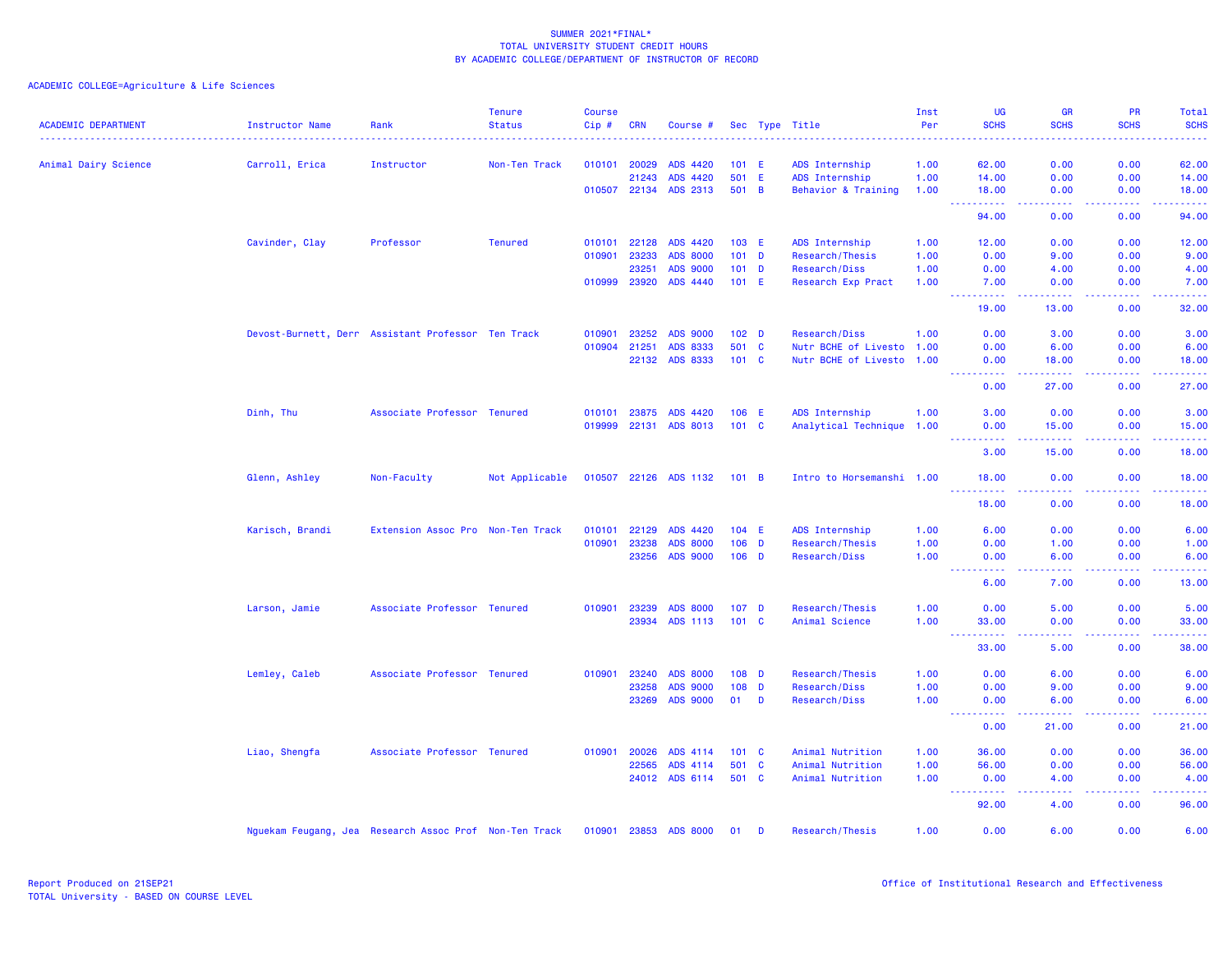|                            |                                                        |                                   | <b>Tenure</b>  | <b>Course</b> |            |                       |                  |              |                           | Inst | UG                                                                                                                                                                                   | <b>GR</b>                                                                                                                         | <b>PR</b>                                                                                                                                                    | Total            |
|----------------------------|--------------------------------------------------------|-----------------------------------|----------------|---------------|------------|-----------------------|------------------|--------------|---------------------------|------|--------------------------------------------------------------------------------------------------------------------------------------------------------------------------------------|-----------------------------------------------------------------------------------------------------------------------------------|--------------------------------------------------------------------------------------------------------------------------------------------------------------|------------------|
| <b>ACADEMIC DEPARTMENT</b> | Instructor Name                                        | Rank                              | <b>Status</b>  | Cip#          | <b>CRN</b> | Course #              |                  |              | Sec Type Title            | Per  | <b>SCHS</b>                                                                                                                                                                          | <b>SCHS</b>                                                                                                                       | <b>SCHS</b>                                                                                                                                                  | <b>SCHS</b><br>. |
| Animal Dairy Science       | Carroll, Erica                                         | Instructor                        | Non-Ten Track  | 010101        | 20029      | ADS 4420              | $101$ E          |              | ADS Internship            | 1.00 | 62.00                                                                                                                                                                                | 0.00                                                                                                                              | 0.00                                                                                                                                                         | 62.00            |
|                            |                                                        |                                   |                |               | 21243      | ADS 4420              | 501 E            |              | ADS Internship            | 1.00 | 14.00                                                                                                                                                                                | 0.00                                                                                                                              | 0.00                                                                                                                                                         | 14.00            |
|                            |                                                        |                                   |                |               |            | 010507 22134 ADS 2313 | 501 B            |              | Behavior & Training       | 1.00 | 18.00<br>222222<br>444                                                                                                                                                               | 0.00<br>.                                                                                                                         | 0.00<br>$\frac{1}{2} \left( \frac{1}{2} \right) \left( \frac{1}{2} \right) \left( \frac{1}{2} \right) \left( \frac{1}{2} \right) \left( \frac{1}{2} \right)$ | 18.00<br>22222)  |
|                            |                                                        |                                   |                |               |            |                       |                  |              |                           |      | 94.00                                                                                                                                                                                | 0.00                                                                                                                              | 0.00                                                                                                                                                         | 94.00            |
|                            | Cavinder, Clay                                         | Professor                         | <b>Tenured</b> | 010101        | 22128      | ADS 4420              | 103 E            |              | ADS Internship            | 1.00 | 12.00                                                                                                                                                                                | 0.00                                                                                                                              | 0.00                                                                                                                                                         | 12.00            |
|                            |                                                        |                                   |                | 010901        | 23233      | <b>ADS 8000</b>       | $101$ D          |              | Research/Thesis           | 1.00 | 0.00                                                                                                                                                                                 | 9.00                                                                                                                              | 0.00                                                                                                                                                         | 9.00             |
|                            |                                                        |                                   |                |               | 23251      | <b>ADS 9000</b>       | $101$ D          |              | Research/Diss             | 1.00 | 0.00                                                                                                                                                                                 | 4.00                                                                                                                              | 0.00                                                                                                                                                         | 4.00             |
|                            |                                                        |                                   |                | 010999        | 23920      | ADS 4440              | $101$ E          |              | Research Exp Pract        | 1.00 | 7.00<br>$\sim$ $\sim$ $\sim$<br>المتمامين                                                                                                                                            | 0.00<br>22222                                                                                                                     | 0.00<br>22222                                                                                                                                                | 7.00<br>.        |
|                            |                                                        |                                   |                |               |            |                       |                  |              |                           |      | 19.00                                                                                                                                                                                | 13.00                                                                                                                             | 0.00                                                                                                                                                         | 32.00            |
|                            | Devost-Burnett, Derr Assistant Professor Ten Track     |                                   |                | 010901        | 23252      | <b>ADS 9000</b>       | 102 <sub>D</sub> |              | Research/Diss             | 1.00 | 0.00                                                                                                                                                                                 | 3.00                                                                                                                              | 0.00                                                                                                                                                         | 3.00             |
|                            |                                                        |                                   |                | 010904        | 21251      | ADS 8333              | 501              | $\mathbf{C}$ | Nutr BCHE of Livesto 1.00 |      | 0.00                                                                                                                                                                                 | 6.00                                                                                                                              | 0.00                                                                                                                                                         | 6.00             |
|                            |                                                        |                                   |                |               |            | 22132 ADS 8333        | 101 C            |              | Nutr BCHE of Livesto 1.00 |      | 0.00<br><b>.</b> .                                                                                                                                                                   | 18.00<br>.                                                                                                                        | 0.00<br>. <b>.</b>                                                                                                                                           | 18.00<br>.       |
|                            |                                                        |                                   |                |               |            |                       |                  |              |                           |      | 0.00                                                                                                                                                                                 | 27.00                                                                                                                             | 0.00                                                                                                                                                         | 27.00            |
|                            | Dinh, Thu                                              | Associate Professor Tenured       |                | 010101 23875  |            | ADS 4420              | 106 E            |              | ADS Internship            | 1.00 | 3.00                                                                                                                                                                                 | 0.00                                                                                                                              | 0.00                                                                                                                                                         | 3.00             |
|                            |                                                        |                                   |                | 019999        | 22131      | ADS 8013              | $101 \quad C$    |              | Analytical Technique 1.00 |      | 0.00                                                                                                                                                                                 | 15.00                                                                                                                             | 0.00                                                                                                                                                         | 15.00            |
|                            |                                                        |                                   |                |               |            |                       |                  |              |                           |      | المتحدث والمنا<br>3.00                                                                                                                                                               | .<br>15.00                                                                                                                        | .<br>0.00                                                                                                                                                    | .<br>18.00       |
|                            | Glenn, Ashley                                          | Non-Faculty                       | Not Applicable |               |            | 010507 22126 ADS 1132 | 101 B            |              | Intro to Horsemanshi 1.00 |      | 18.00                                                                                                                                                                                | 0.00                                                                                                                              | 0.00                                                                                                                                                         | 18.00            |
|                            |                                                        |                                   |                |               |            |                       |                  |              |                           |      | 222<br>.<br>18.00                                                                                                                                                                    | 0.00                                                                                                                              | 0.00                                                                                                                                                         | وعاعاها<br>18.00 |
|                            | Karisch, Brandi                                        | Extension Assoc Pro Non-Ten Track |                | 010101        | 22129      | ADS 4420              | $104$ E          |              | ADS Internship            | 1.00 | 6.00                                                                                                                                                                                 | 0.00                                                                                                                              | 0.00                                                                                                                                                         | 6.00             |
|                            |                                                        |                                   |                | 010901        | 23238      | <b>ADS 8000</b>       | $106$ D          |              | Research/Thesis           | 1.00 | 0.00                                                                                                                                                                                 | 1.00                                                                                                                              | 0.00                                                                                                                                                         | 1.00             |
|                            |                                                        |                                   |                |               | 23256      | <b>ADS 9000</b>       | $106$ D          |              | Research/Diss             | 1.00 | 0.00                                                                                                                                                                                 | 6.00                                                                                                                              | 0.00                                                                                                                                                         | 6.00             |
|                            |                                                        |                                   |                |               |            |                       |                  |              |                           |      | .<br>6.00                                                                                                                                                                            | ولايات<br>7.00                                                                                                                    | 0.00                                                                                                                                                         | 2222.<br>13.00   |
|                            | Larson, Jamie                                          | Associate Professor Tenured       |                | 010901        | 23239      | <b>ADS 8000</b>       | 107 <sub>D</sub> |              | Research/Thesis           | 1.00 | 0.00                                                                                                                                                                                 | 5.00                                                                                                                              | 0.00                                                                                                                                                         | 5.00             |
|                            |                                                        |                                   |                |               | 23934      | ADS 1113              | $101 \quad C$    |              | Animal Science            | 1.00 | 33.00                                                                                                                                                                                | 0.00                                                                                                                              | 0.00                                                                                                                                                         | 33.00            |
|                            |                                                        |                                   |                |               |            |                       |                  |              |                           |      | <b></b><br>33.00                                                                                                                                                                     | .<br>5.00                                                                                                                         | 2.2.2.2.2<br>0.00                                                                                                                                            | .<br>38.00       |
|                            | Lemley, Caleb                                          | Associate Professor Tenured       |                | 010901        | 23240      | <b>ADS 8000</b>       | $108$ D          |              | Research/Thesis           | 1.00 | 0.00                                                                                                                                                                                 | 6.00                                                                                                                              | 0.00                                                                                                                                                         | 6.00             |
|                            |                                                        |                                   |                |               | 23258      | <b>ADS 9000</b>       | 108              | $\mathbf{D}$ | Research/Diss             | 1.00 | 0.00                                                                                                                                                                                 | 9.00                                                                                                                              | 0.00                                                                                                                                                         | 9.00             |
|                            |                                                        |                                   |                |               | 23269      | <b>ADS 9000</b>       | 01               | D            | Research/Diss             | 1.00 | 0.00<br><b><i><u>AAAAAAAAA</u></i></b>                                                                                                                                               | 6.00<br>$\frac{1}{2} \left( \frac{1}{2} \right) \left( \frac{1}{2} \right) \left( \frac{1}{2} \right) \left( \frac{1}{2} \right)$ | 0.00<br>22222                                                                                                                                                | 6.00<br>.        |
|                            |                                                        |                                   |                |               |            |                       |                  |              |                           |      | 0.00                                                                                                                                                                                 | 21.00                                                                                                                             | 0.00                                                                                                                                                         | 21.00            |
|                            | Liao, Shengfa                                          | Associate Professor Tenured       |                | 010901        | 20026      | ADS 4114              | $101 \quad C$    |              | Animal Nutrition          | 1.00 | 36.00                                                                                                                                                                                | 0.00                                                                                                                              | 0.00                                                                                                                                                         | 36.00            |
|                            |                                                        |                                   |                |               | 22565      | ADS 4114              | 501 C            |              | Animal Nutrition          | 1.00 | 56.00                                                                                                                                                                                | 0.00                                                                                                                              | 0.00                                                                                                                                                         | 56.00            |
|                            |                                                        |                                   |                |               |            | 24012 ADS 6114        | 501 C            |              | Animal Nutrition          | 1.00 | 0.00<br>$\frac{1}{2} \left( \frac{1}{2} \right) \left( \frac{1}{2} \right) \left( \frac{1}{2} \right) \left( \frac{1}{2} \right) \left( \frac{1}{2} \right)$<br>$\sim$ $\sim$ $\sim$ | 4.00<br>د د د د                                                                                                                   | 0.00<br>. <b>.</b>                                                                                                                                           | 4.00<br>.        |
|                            |                                                        |                                   |                |               |            |                       |                  |              |                           |      | 92.00                                                                                                                                                                                | 4.00                                                                                                                              | 0.00                                                                                                                                                         | 96.00            |
|                            | Nguekam Feugang, Jea Research Assoc Prof Non-Ten Track |                                   |                | 010901 23853  |            | <b>ADS 8000</b>       | 01               | D            | Research/Thesis           | 1.00 | 0.00                                                                                                                                                                                 | 6.00                                                                                                                              | 0.00                                                                                                                                                         | 6.00             |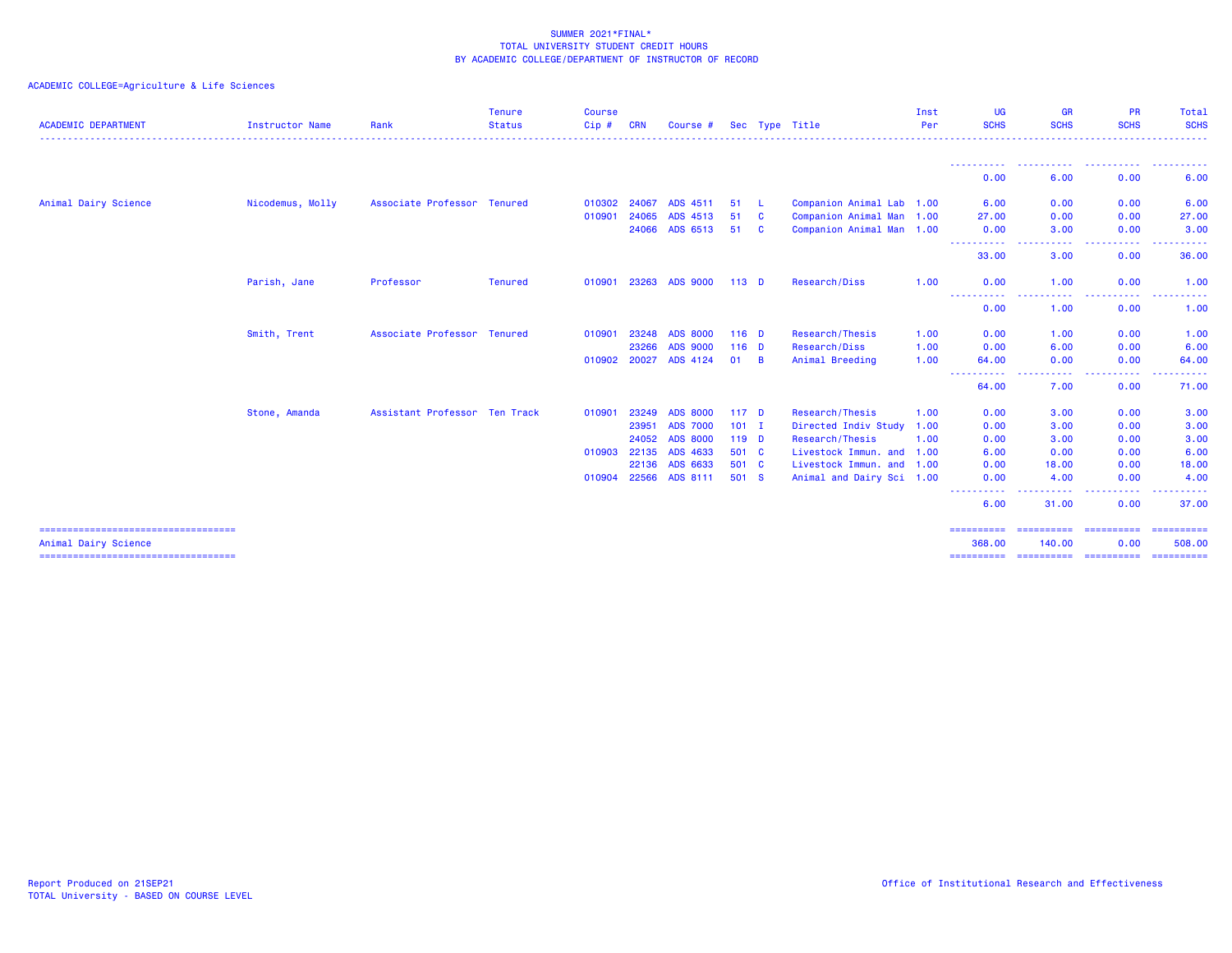| <b>ACADEMIC DEPARTMENT</b>                                   | Instructor Name  | Rank                          | Tenure<br><b>Status</b> | <b>Course</b><br>$Cip$ # | <b>CRN</b> | Course #        |                  |          | Sec Type Title            | Inst<br>Per | UG<br><b>SCHS</b>           | <b>GR</b><br><b>SCHS</b>                                                                                                          | <b>PR</b><br><b>SCHS</b> | Total<br><b>SCHS</b> |
|--------------------------------------------------------------|------------------|-------------------------------|-------------------------|--------------------------|------------|-----------------|------------------|----------|---------------------------|-------------|-----------------------------|-----------------------------------------------------------------------------------------------------------------------------------|--------------------------|----------------------|
|                                                              |                  |                               |                         |                          |            |                 |                  |          |                           |             | -----------                 | . <b>.</b> .                                                                                                                      | .                        | . <b>.</b>           |
|                                                              |                  |                               |                         |                          |            |                 |                  |          |                           |             | 0.00                        | 6.00                                                                                                                              | 0.00                     | 6.00                 |
| Animal Dairy Science                                         | Nicodemus, Molly | Associate Professor Tenured   |                         | 010302 24067             |            | ADS 4511        | 51               | - L      | Companion Animal Lab 1.00 |             | 6.00                        | 0.00                                                                                                                              | 0.00                     | 6.00                 |
|                                                              |                  |                               |                         | 010901                   | 24065      | ADS 4513        | 51               | <b>C</b> | Companion Animal Man 1.00 |             | 27.00                       | 0.00                                                                                                                              | 0.00                     | 27.00                |
|                                                              |                  |                               |                         |                          | 24066      | ADS 6513        | 51               | <b>C</b> | Companion Animal Man 1.00 |             | 0.00<br>- - - - - - - - - - | 3.00<br>$\frac{1}{2} \left( \frac{1}{2} \right) \left( \frac{1}{2} \right) \left( \frac{1}{2} \right) \left( \frac{1}{2} \right)$ | 0.00<br>.                | 3.00<br>.            |
|                                                              |                  |                               |                         |                          |            |                 |                  |          |                           |             | 33.00                       | 3.00                                                                                                                              | 0.00                     | 36.00                |
|                                                              | Parish, Jane     | Professor                     | <b>Tenured</b>          | 010901                   | 23263      | <b>ADS 9000</b> | $113$ D          |          | Research/Diss             | 1.00        | 0.00                        | 1.00                                                                                                                              | 0.00                     | 1.00                 |
|                                                              |                  |                               |                         |                          |            |                 |                  |          |                           |             | ----------<br>0.00          | -----<br>1.00                                                                                                                     | .<br>0.00                | .<br>1.00            |
|                                                              | Smith, Trent     | Associate Professor Tenured   |                         | 010901                   | 23248      | <b>ADS 8000</b> | $116$ D          |          | Research/Thesis           | 1.00        | 0.00                        | 1.00                                                                                                                              | 0.00                     | 1.00                 |
|                                                              |                  |                               |                         |                          | 23266      | <b>ADS 9000</b> | $116$ D          |          | Research/Diss             | 1.00        | 0.00                        | 6.00                                                                                                                              | 0.00                     | 6.00                 |
|                                                              |                  |                               |                         | 010902 20027             |            | ADS 4124        | 01               | <b>B</b> | Animal Breeding           | 1.00        | 64.00<br>.                  | 0.00<br>.                                                                                                                         | 0.00<br>-----            | 64.00<br>.           |
|                                                              |                  |                               |                         |                          |            |                 |                  |          |                           |             | $\cdots$<br>64.00           | 7.00                                                                                                                              | 0.00                     | 71.00                |
|                                                              | Stone, Amanda    | Assistant Professor Ten Track |                         | 010901                   | 23249      | <b>ADS 8000</b> | 117 <sub>D</sub> |          | Research/Thesis           | 1.00        | 0.00                        | 3.00                                                                                                                              | 0.00                     | 3.00                 |
|                                                              |                  |                               |                         |                          | 23951      | <b>ADS 7000</b> | $101$ I          |          | Directed Indiv Study 1.00 |             | 0.00                        | 3.00                                                                                                                              | 0.00                     | 3.00                 |
|                                                              |                  |                               |                         |                          | 24052      | <b>ADS 8000</b> | $119$ D          |          | Research/Thesis           | 1.00        | 0.00                        | 3.00                                                                                                                              | 0.00                     | 3.00                 |
|                                                              |                  |                               |                         | 010903                   | 22135      | ADS 4633        | 501 C            |          | Livestock Immun. and 1.00 |             | 6.00                        | 0.00                                                                                                                              | 0.00                     | 6.00                 |
|                                                              |                  |                               |                         |                          | 22136      | ADS 6633        | 501 C            |          | Livestock Immun. and 1.00 |             | 0.00                        | 18.00                                                                                                                             | 0.00                     | 18.00                |
|                                                              |                  |                               |                         | 010904                   | 22566      | ADS 8111        | 501 S            |          | Animal and Dairy Sci 1.00 |             | 0.00<br>----                | 4.00<br>.                                                                                                                         | 0.00<br>. <u>.</u>       | 4.00<br>- - - - - -  |
|                                                              |                  |                               |                         |                          |            |                 |                  |          |                           |             | 6.00                        | 31.00                                                                                                                             | 0.00                     | 37.00                |
| -----------------------------------                          |                  |                               |                         |                          |            |                 |                  |          |                           |             | -----------                 | -----------                                                                                                                       | ==========               | ==========           |
| Animal Dairy Science<br>==================================== |                  |                               |                         |                          |            |                 |                  |          |                           |             | 368,00<br>==========        | 140.00<br>========================                                                                                                | 0.00                     | 508,00<br>========== |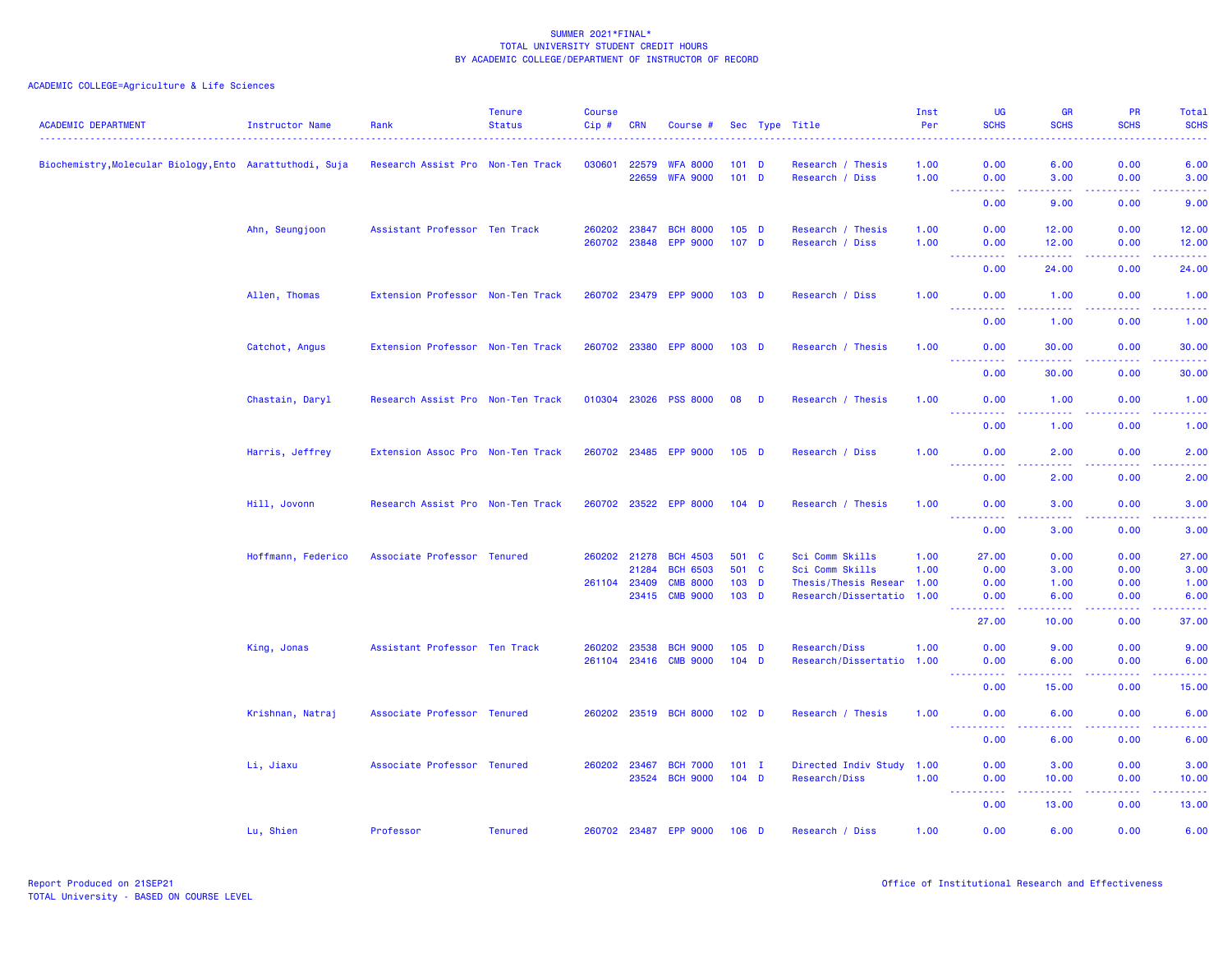| <b>ACADEMIC DEPARTMENT</b>                               | Instructor Name    | Rank                              | <b>Tenure</b><br><b>Status</b> | <b>Course</b><br>$Cip \#$ | <b>CRN</b>     | Course #                           |                             |   | Sec Type Title                                         | Inst<br>Per  | <b>UG</b><br><b>SCHS</b>                                                                                                               | <b>GR</b><br><b>SCHS</b><br>. | <b>PR</b><br><b>SCHS</b><br><u>.</u> | Total<br><b>SCHS</b><br>. |
|----------------------------------------------------------|--------------------|-----------------------------------|--------------------------------|---------------------------|----------------|------------------------------------|-----------------------------|---|--------------------------------------------------------|--------------|----------------------------------------------------------------------------------------------------------------------------------------|-------------------------------|--------------------------------------|---------------------------|
| Biochemistry, Molecular Biology, Ento Aarattuthodi, Suja |                    | Research Assist Pro Non-Ten Track |                                | 030601                    | 22579<br>22659 | <b>WFA 8000</b><br><b>WFA 9000</b> | $101$ D<br>$101$ D          |   | Research / Thesis<br>Research / Diss                   | 1.00<br>1.00 | 0.00<br>0.00                                                                                                                           | 6.00<br>3.00                  | 0.00<br>0.00                         | 6.00<br>3.00              |
|                                                          |                    |                                   |                                |                           |                |                                    |                             |   |                                                        |              | 0.00                                                                                                                                   | $  -$<br>9.00                 | .<br>0.00                            | <u>.</u><br>9.00          |
|                                                          | Ahn, Seungjoon     | Assistant Professor Ten Track     |                                | 260202<br>260702 23848    | 23847          | <b>BCH 8000</b><br><b>EPP 9000</b> | $105$ D<br>107 <sub>D</sub> |   | Research / Thesis<br>Research / Diss                   | 1.00<br>1.00 | 0.00<br>0.00                                                                                                                           | 12.00<br>12.00                | 0.00<br>0.00                         | 12.00<br>12.00            |
|                                                          |                    |                                   |                                |                           |                |                                    |                             |   |                                                        |              | ولايات<br>0.00                                                                                                                         | 24.00                         | 0.00                                 | 24.00                     |
|                                                          | Allen, Thomas      | Extension Professor Non-Ten Track |                                | 260702 23479              |                | <b>EPP 9000</b>                    | 103 <sub>D</sub>            |   | Research / Diss                                        | 1.00         | 0.00<br>2.2.2.2.2                                                                                                                      | 1.00<br>د د د د د             | 0.00<br>.                            | 1.00<br>والمستحيل         |
|                                                          |                    |                                   |                                |                           |                |                                    |                             |   |                                                        |              | 0.00                                                                                                                                   | 1.00                          | 0.00                                 | 1.00                      |
|                                                          | Catchot, Angus     | Extension Professor Non-Ten Track |                                |                           |                | 260702 23380 EPP 8000              | 103 <sub>D</sub>            |   | Research / Thesis                                      | 1.00         | 0.00<br>$\frac{1}{2} \left( \frac{1}{2} \right) \left( \frac{1}{2} \right) \left( \frac{1}{2} \right) \left( \frac{1}{2} \right)$      | 30.00                         | 0.00                                 | 30.00<br>. <b>.</b> .     |
|                                                          |                    |                                   |                                |                           |                |                                    |                             |   |                                                        |              | 0.00                                                                                                                                   | 30.00                         | 0.00                                 | 30.00                     |
|                                                          | Chastain, Daryl    | Research Assist Pro Non-Ten Track |                                | 010304 23026              |                | <b>PSS 8000</b>                    | 08                          | D | Research / Thesis                                      | 1.00         | 0.00<br>$\sim$ $\sim$ $\sim$ $\sim$<br><u>.</u>                                                                                        | 1.00<br>$  -$                 | 0.00<br>.                            | 1.00<br><u>.</u>          |
|                                                          |                    |                                   |                                |                           |                |                                    |                             |   |                                                        |              | 0.00                                                                                                                                   | 1.00                          | 0.00                                 | 1.00                      |
|                                                          | Harris, Jeffrey    | Extension Assoc Pro Non-Ten Track |                                |                           |                | 260702 23485 EPP 9000              | $105$ D                     |   | Research / Diss                                        | 1.00         | 0.00                                                                                                                                   | 2.00<br>$  -$                 | 0.00<br>.                            | 2.00<br>$- - - -$         |
|                                                          |                    |                                   |                                |                           |                |                                    |                             |   |                                                        |              | 0.00                                                                                                                                   | 2.00                          | 0.00                                 | 2.00                      |
|                                                          | Hill, Jovonn       | Research Assist Pro Non-Ten Track |                                |                           |                | 260702 23522 EPP 8000              | $104$ D                     |   | Research / Thesis                                      | 1.00         | 0.00<br>$\frac{1}{2} \left( \frac{1}{2} \right) \left( \frac{1}{2} \right) \left( \frac{1}{2} \right) \left( \frac{1}{2} \right)$<br>. | 3.00<br>$  -$                 | 0.00<br>.                            | 3.00<br>.                 |
|                                                          |                    |                                   |                                |                           |                |                                    |                             |   |                                                        |              | 0.00                                                                                                                                   | 3.00                          | 0.00                                 | 3.00                      |
|                                                          | Hoffmann, Federico | Associate Professor Tenured       |                                | 260202 21278              |                | <b>BCH 4503</b>                    | 501 C                       |   | Sci Comm Skills                                        | 1.00         | 27.00                                                                                                                                  | 0.00                          | 0.00                                 | 27.00                     |
|                                                          |                    |                                   |                                |                           | 21284          | <b>BCH 6503</b>                    | 501 C                       |   | Sci Comm Skills                                        | 1.00         | 0.00                                                                                                                                   | 3.00                          | 0.00                                 | 3.00                      |
|                                                          |                    |                                   |                                | 261104 23409              | 23415          | <b>CMB 8000</b><br><b>CMB 9000</b> | $103$ D<br>103 D            |   | Thesis/Thesis Resear 1.00<br>Research/Dissertatio 1.00 |              | 0.00<br>0.00                                                                                                                           | 1.00<br>6.00                  | 0.00<br>0.00                         | 1.00<br>6.00              |
|                                                          |                    |                                   |                                |                           |                |                                    |                             |   |                                                        |              | -----<br>27.00                                                                                                                         | د د د د<br>10.00              | 0.00                                 | والمستحيل<br>37.00        |
|                                                          |                    |                                   |                                | 260202                    | 23538          | <b>BCH 9000</b>                    | $105$ D                     |   | Research/Diss                                          | 1.00         | 0.00                                                                                                                                   | 9.00                          | 0.00                                 | 9.00                      |
|                                                          | King, Jonas        | Assistant Professor Ten Track     |                                | 261104 23416              |                | <b>CMB 9000</b>                    | $104$ D                     |   | Research/Dissertatio 1.00                              |              | 0.00                                                                                                                                   | 6.00                          | 0.00                                 | 6.00                      |
|                                                          |                    |                                   |                                |                           |                |                                    |                             |   |                                                        |              | <b>.</b> .<br>0.00                                                                                                                     | 22222<br>15.00                | . <b>.</b><br>0.00                   | .<br>15.00                |
|                                                          | Krishnan, Natraj   | Associate Professor Tenured       |                                |                           |                | 260202 23519 BCH 8000              | 102 <sub>D</sub>            |   | Research / Thesis                                      | 1.00         | 0.00                                                                                                                                   | 6.00                          | 0.00                                 | 6.00                      |
|                                                          |                    |                                   |                                |                           |                |                                    |                             |   |                                                        |              | ----------<br>0.00                                                                                                                     | .<br>6.00                     | -----<br>0.00                        | والمستناط الما<br>6.00    |
|                                                          | Li, Jiaxu          | Associate Professor Tenured       |                                | 260202 23467              |                | <b>BCH 7000</b>                    | $101$ I                     |   | Directed Indiv Study 1.00                              |              | 0.00                                                                                                                                   | 3.00                          | 0.00                                 | 3.00                      |
|                                                          |                    |                                   |                                |                           |                | 23524 BCH 9000                     | $104$ D                     |   | Research/Diss                                          | 1.00         | 0.00<br>$\sim$ $\sim$ $\sim$<br>المتمامين                                                                                              | 10.00<br>22222                | 0.00<br>22222                        | 10.00<br>.                |
|                                                          |                    |                                   |                                |                           |                |                                    |                             |   |                                                        |              | 0.00                                                                                                                                   | 13.00                         | 0.00                                 | 13.00                     |
|                                                          | Lu, Shien          | Professor                         | <b>Tenured</b>                 |                           |                | 260702 23487 EPP 9000              | $106$ D                     |   | Research / Diss                                        | 1.00         | 0.00                                                                                                                                   | 6.00                          | 0.00                                 | 6.00                      |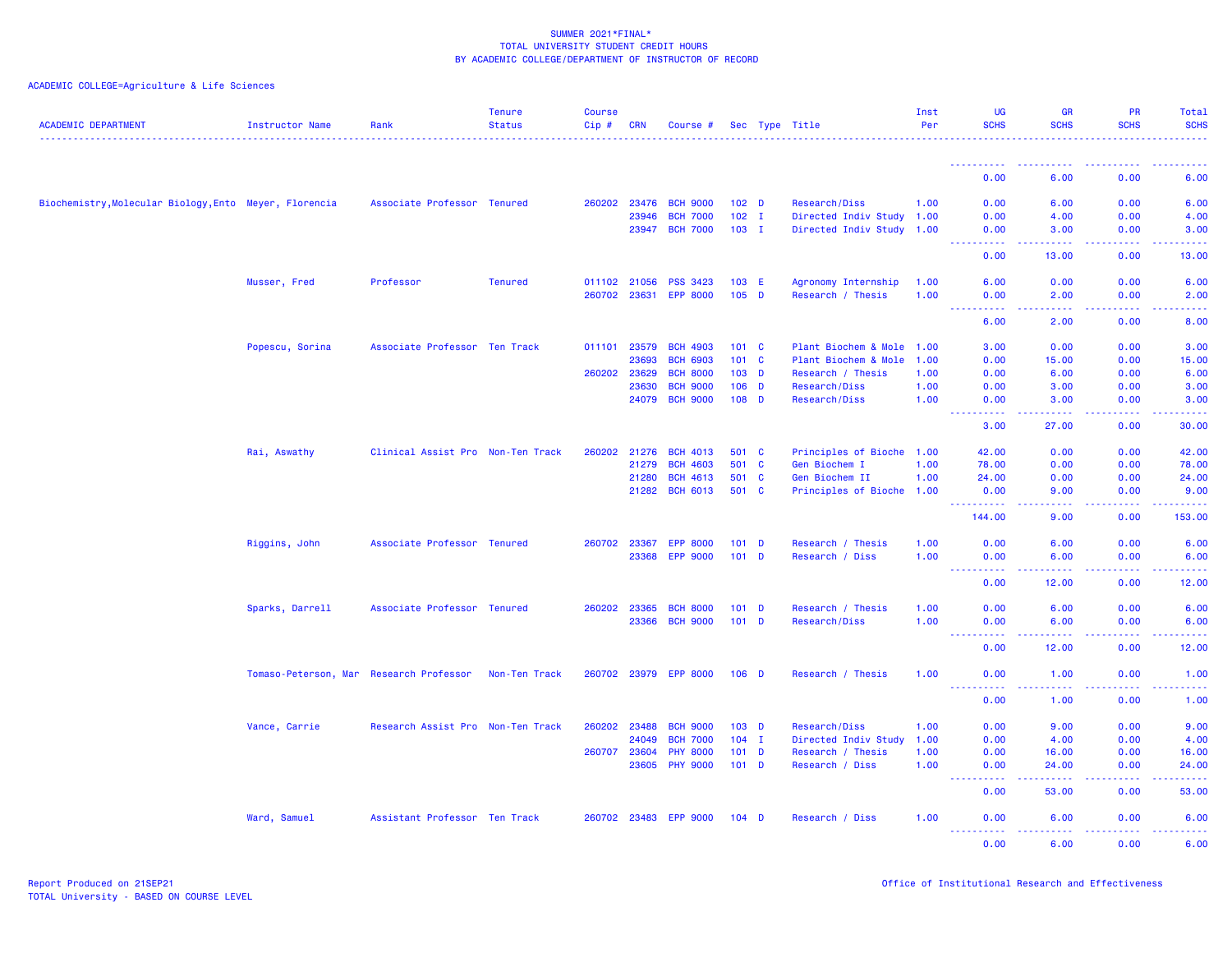| <b>ACADEMIC DEPARTMENT</b>                             | Instructor Name                         | Rank                              | <b>Tenure</b><br><b>Status</b> | <b>Course</b><br>Cip# | <b>CRN</b>     | Course #                           |                  |              | Sec Type Title            | Inst<br>Per | <b>UG</b><br><b>SCHS</b>                                                                                                                                                             | <b>GR</b><br><b>SCHS</b>                                                                                                                                     | <b>PR</b><br><b>SCHS</b>     | <b>Total</b><br><b>SCHS</b> |
|--------------------------------------------------------|-----------------------------------------|-----------------------------------|--------------------------------|-----------------------|----------------|------------------------------------|------------------|--------------|---------------------------|-------------|--------------------------------------------------------------------------------------------------------------------------------------------------------------------------------------|--------------------------------------------------------------------------------------------------------------------------------------------------------------|------------------------------|-----------------------------|
|                                                        |                                         |                                   |                                |                       |                |                                    |                  |              |                           |             | ----------                                                                                                                                                                           |                                                                                                                                                              |                              |                             |
|                                                        |                                         |                                   |                                |                       |                |                                    |                  |              |                           |             | 0.00                                                                                                                                                                                 | 6.00                                                                                                                                                         | 0.00                         | 6.00                        |
| Biochemistry, Molecular Biology, Ento Meyer, Florencia |                                         | Associate Professor Tenured       |                                |                       | 260202 23476   | <b>BCH 9000</b>                    | 102 <sub>D</sub> |              | Research/Diss             | 1.00        | 0.00                                                                                                                                                                                 | 6.00                                                                                                                                                         | 0.00                         | 6.00                        |
|                                                        |                                         |                                   |                                |                       | 23946          | <b>BCH 7000</b>                    | $102 \quad I$    |              | Directed Indiv Study 1.00 |             | 0.00                                                                                                                                                                                 | 4.00                                                                                                                                                         | 0.00                         | 4.00                        |
|                                                        |                                         |                                   |                                |                       | 23947          | <b>BCH 7000</b>                    | $103$ I          |              | Directed Indiv Study 1.00 |             | 0.00<br><u>.</u>                                                                                                                                                                     | 3.00<br>22222                                                                                                                                                | 0.00<br>.                    | 3.00<br>.                   |
|                                                        |                                         |                                   |                                |                       |                |                                    |                  |              |                           |             | 0.00                                                                                                                                                                                 | 13.00                                                                                                                                                        | 0.00                         | 13.00                       |
|                                                        | Musser, Fred                            | Professor                         | <b>Tenured</b>                 | 011102 21056          |                | <b>PSS 3423</b>                    | 103 E            |              | Agronomy Internship       | 1.00        | 6.00                                                                                                                                                                                 | 0.00                                                                                                                                                         | 0.00                         | 6.00                        |
|                                                        |                                         |                                   |                                | 260702 23631          |                | <b>EPP 8000</b>                    | $105$ D          |              | Research / Thesis         | 1.00        | 0.00<br>----                                                                                                                                                                         | 2.00<br>وبالمحام                                                                                                                                             | 0.00<br>$\sim$ $\sim$ $\sim$ | 2.00                        |
|                                                        |                                         |                                   |                                |                       |                |                                    |                  |              |                           |             | 6.00                                                                                                                                                                                 | 2.00                                                                                                                                                         | 0.00                         | 8.00                        |
|                                                        | Popescu, Sorina                         | Associate Professor Ten Track     |                                | 011101 23579          |                | <b>BCH 4903</b>                    | $101 \quad C$    |              | Plant Biochem & Mole 1.00 |             | 3.00                                                                                                                                                                                 | 0.00                                                                                                                                                         | 0.00                         | 3.00                        |
|                                                        |                                         |                                   |                                |                       | 23693          | <b>BCH 6903</b>                    | $101 \quad C$    |              | Plant Biochem & Mole      | 1.00        | 0.00                                                                                                                                                                                 | 15.00                                                                                                                                                        | 0.00                         | 15.00                       |
|                                                        |                                         |                                   |                                | 260202                | 23629          | <b>BCH 8000</b>                    | 103 <sub>D</sub> |              | Research / Thesis         | 1.00        | 0.00                                                                                                                                                                                 | 6.00                                                                                                                                                         | 0.00                         | 6.00                        |
|                                                        |                                         |                                   |                                |                       | 23630<br>24079 | <b>BCH 9000</b><br><b>BCH 9000</b> | $106$ D          |              | Research/Diss             | 1.00        | 0.00                                                                                                                                                                                 | 3.00                                                                                                                                                         | 0.00<br>0.00                 | 3.00                        |
|                                                        |                                         |                                   |                                |                       |                |                                    | $108$ D          |              | Research/Diss             | 1.00        | 0.00<br>. <b>.</b><br>$\sim$ $\sim$ $\sim$                                                                                                                                           | 3.00<br>.                                                                                                                                                    | .                            | 3.00<br>.                   |
|                                                        |                                         |                                   |                                |                       |                |                                    |                  |              |                           |             | 3.00                                                                                                                                                                                 | 27.00                                                                                                                                                        | 0.00                         | 30.00                       |
|                                                        | Rai, Aswathy                            | Clinical Assist Pro Non-Ten Track |                                | 260202                | 21276          | <b>BCH 4013</b>                    | 501 C            |              | Principles of Bioche 1.00 |             | 42.00                                                                                                                                                                                | 0.00                                                                                                                                                         | 0.00                         | 42.00                       |
|                                                        |                                         |                                   |                                |                       | 21279          | <b>BCH 4603</b>                    | 501 C            |              | Gen Biochem I             | 1.00        | 78.00                                                                                                                                                                                | 0.00                                                                                                                                                         | 0.00                         | 78.00                       |
|                                                        |                                         |                                   |                                |                       | 21280          | <b>BCH 4613</b>                    | 501              | $\mathbf{C}$ | Gen Biochem II            | 1.00        | 24.00                                                                                                                                                                                | 0.00                                                                                                                                                         | 0.00                         | 24.00                       |
|                                                        |                                         |                                   |                                |                       |                | 21282 BCH 6013                     | 501 C            |              | Principles of Bioche 1.00 |             | 0.00<br><u> - - - - - - - - - -</u>                                                                                                                                                  | 9.00<br>.                                                                                                                                                    | 0.00<br>.                    | 9.00<br><u>.</u>            |
|                                                        |                                         |                                   |                                |                       |                |                                    |                  |              |                           |             | 144.00                                                                                                                                                                               | 9.00                                                                                                                                                         | 0.00                         | 153.00                      |
|                                                        | Riggins, John                           | Associate Professor Tenured       |                                | 260702 23367          |                | <b>EPP 8000</b>                    | $101$ D          |              | Research / Thesis         | 1.00        | 0.00                                                                                                                                                                                 | 6.00                                                                                                                                                         | 0.00                         | 6.00                        |
|                                                        |                                         |                                   |                                |                       | 23368          | <b>EPP 9000</b>                    | $101$ D          |              | Research / Diss           | 1.00        | 0.00                                                                                                                                                                                 | 6.00<br>.                                                                                                                                                    | 0.00<br>22222                | 6.00<br>.                   |
|                                                        |                                         |                                   |                                |                       |                |                                    |                  |              |                           |             | $\sim$ $\sim$ $\sim$ $\sim$<br>0.00                                                                                                                                                  | 12.00                                                                                                                                                        | 0.00                         | 12.00                       |
|                                                        | Sparks, Darrell                         | Associate Professor Tenured       |                                | 260202                | 23365          | <b>BCH 8000</b>                    | $101$ D          |              | Research / Thesis         | 1.00        | 0.00                                                                                                                                                                                 | 6.00                                                                                                                                                         | 0.00                         | 6.00                        |
|                                                        |                                         |                                   |                                |                       | 23366          | <b>BCH 9000</b>                    | $101$ D          |              | Research/Diss             | 1.00        | 0.00<br>.                                                                                                                                                                            | 6.00<br>.                                                                                                                                                    | 0.00<br>.                    | 6.00<br>وساعات              |
|                                                        |                                         |                                   |                                |                       |                |                                    |                  |              |                           |             | 0.00                                                                                                                                                                                 | 12.00                                                                                                                                                        | 0.00                         | 12.00                       |
|                                                        | Tomaso-Peterson, Mar Research Professor |                                   | Non-Ten Track                  | 260702 23979          |                | <b>EPP 8000</b>                    | $106$ D          |              | Research / Thesis         | 1.00        | 0.00<br>$\frac{1}{2} \left( \frac{1}{2} \right) \left( \frac{1}{2} \right) \left( \frac{1}{2} \right) \left( \frac{1}{2} \right)$                                                    | 1.00<br>.                                                                                                                                                    | 0.00<br>.                    | 1.00<br>$\frac{1}{2}$       |
|                                                        |                                         |                                   |                                |                       |                |                                    |                  |              |                           |             | 0.00                                                                                                                                                                                 | 1.00                                                                                                                                                         | 0.00                         | 1.00                        |
|                                                        | Vance, Carrie                           | Research Assist Pro Non-Ten Track |                                | 260202                | 23488          | <b>BCH 9000</b>                    | $103$ D          |              | Research/Diss             | 1.00        | 0.00                                                                                                                                                                                 | 9.00                                                                                                                                                         | 0.00                         | 9.00                        |
|                                                        |                                         |                                   |                                |                       | 24049          | <b>BCH 7000</b>                    | 104              | $\mathbf{I}$ | Directed Indiv Study      | 1.00        | 0.00                                                                                                                                                                                 | 4.00                                                                                                                                                         | 0.00                         | 4.00                        |
|                                                        |                                         |                                   |                                | 260707                | 23604          | <b>PHY 8000</b>                    | $101$ D          |              | Research / Thesis         | 1.00        | 0.00                                                                                                                                                                                 | 16.00                                                                                                                                                        | 0.00                         | 16.00                       |
|                                                        |                                         |                                   |                                |                       | 23605          | <b>PHY 9000</b>                    | $101$ D          |              | Research / Diss           | 1.00        | 0.00<br>$\sim$ $\sim$ $\sim$<br>$\frac{1}{2} \left( \frac{1}{2} \right) \left( \frac{1}{2} \right) \left( \frac{1}{2} \right) \left( \frac{1}{2} \right) \left( \frac{1}{2} \right)$ | 24.00<br>.                                                                                                                                                   | 0.00<br>-----                | 24.00<br>.                  |
|                                                        |                                         |                                   |                                |                       |                |                                    |                  |              |                           |             | 0.00                                                                                                                                                                                 | 53.00                                                                                                                                                        | 0.00                         | 53.00                       |
|                                                        | Ward, Samuel                            | Assistant Professor Ten Track     |                                | 260702 23483          |                | <b>EPP 9000</b>                    | $104$ D          |              | Research / Diss           | 1.00        | 0.00<br><u>.</u>                                                                                                                                                                     | 6.00<br>$\frac{1}{2} \left( \frac{1}{2} \right) \left( \frac{1}{2} \right) \left( \frac{1}{2} \right) \left( \frac{1}{2} \right) \left( \frac{1}{2} \right)$ | 0.00<br>22222                | 6.00<br>.                   |
|                                                        |                                         |                                   |                                |                       |                |                                    |                  |              |                           |             | 0.00                                                                                                                                                                                 | 6.00                                                                                                                                                         | 0.00                         | 6.00                        |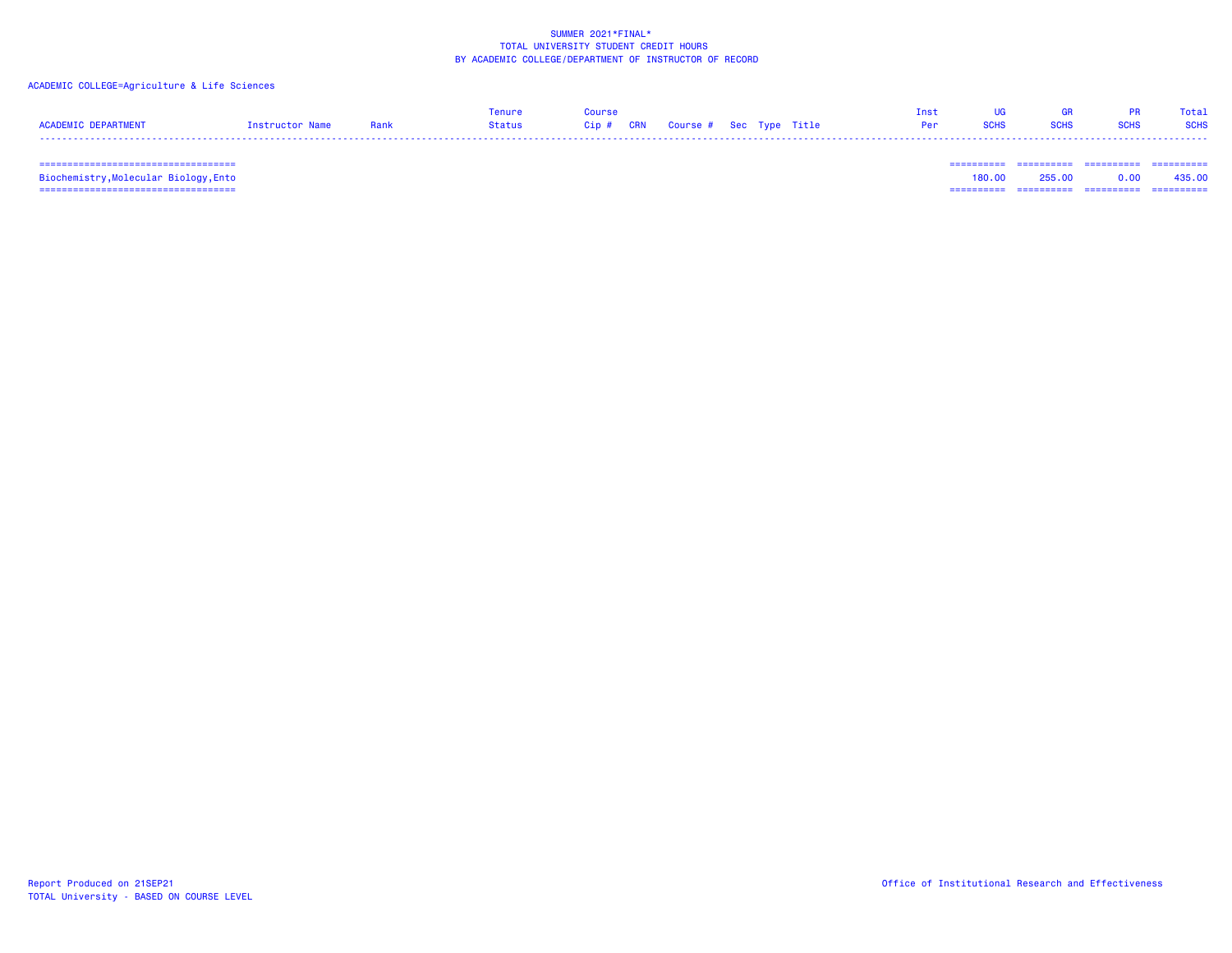### ACADEMIC COLLEGE=Agriculture & Life Sciences

|                     |                 |      | Tenure | Course |  |                            | <b>UG</b>   | <b>GR</b>   | <b>PR</b> Total |             |
|---------------------|-----------------|------|--------|--------|--|----------------------------|-------------|-------------|-----------------|-------------|
| ACADEMIC DEPARTMENT | Instructor Name | Rank |        |        |  | <b>Per Service Service</b> | <b>SCHS</b> | <b>SCHS</b> | <b>SCHS</b>     | <b>SCHS</b> |
|                     |                 |      |        |        |  |                            |             |             |                 |             |

=================================== ========== ========== ========== ==========

 =================================== ========== ========== ========== ========== Biochemistry,Molecular Biology,Ento 180.00 255.00 0.00 435.00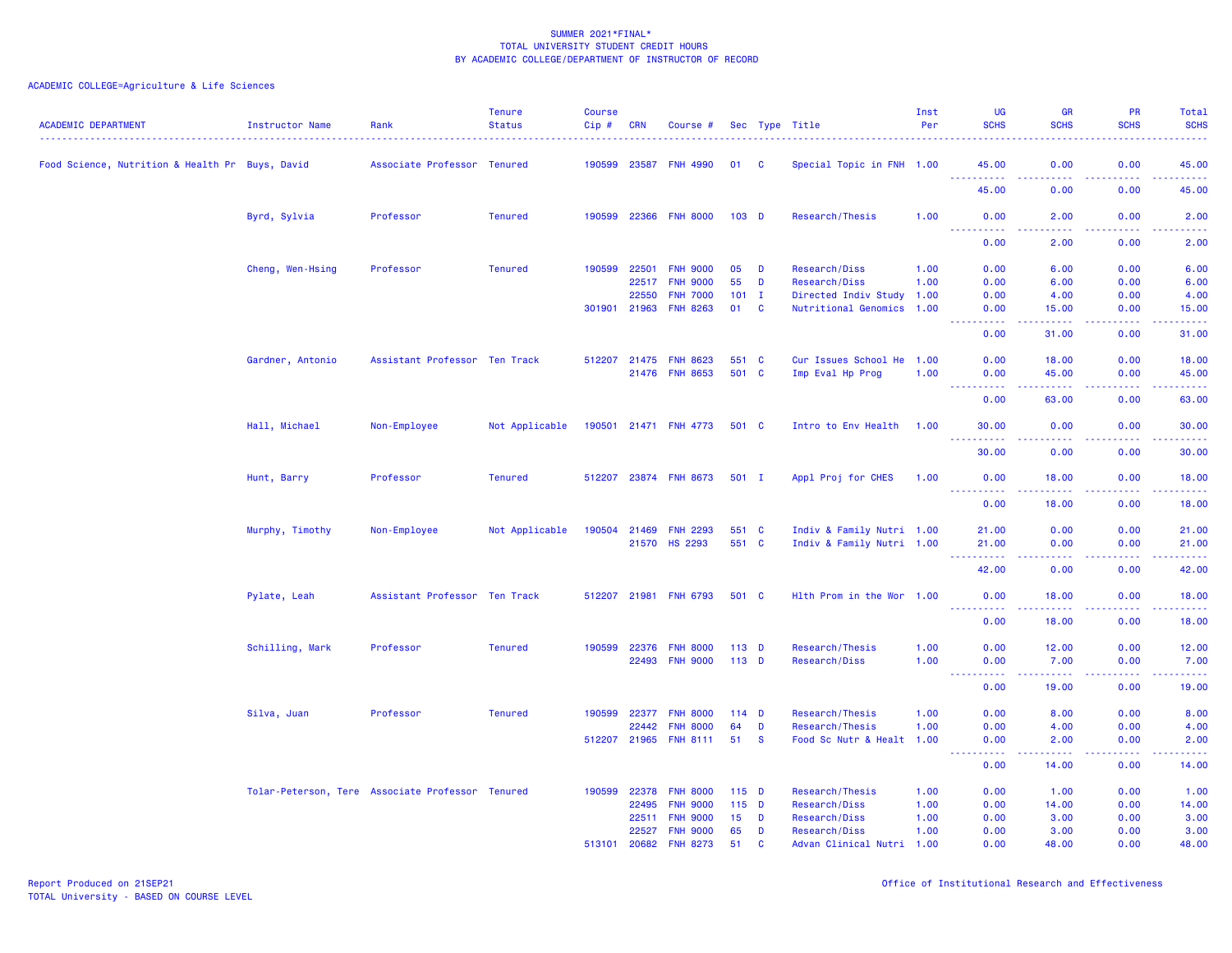| <b>ACADEMIC DEPARTMENT</b>                      | Instructor Name  | Rank                                             | <b>Tenure</b><br><b>Status</b> | <b>Course</b><br>$Cip$ # | <b>CRN</b> | Course #              |                  |              | Sec Type Title            | Inst<br>Per | <b>UG</b><br><b>SCHS</b>                | <b>GR</b><br><b>SCHS</b>                                                                                                           | PR<br><b>SCHS</b> | Total<br><b>SCHS</b>               |
|-------------------------------------------------|------------------|--------------------------------------------------|--------------------------------|--------------------------|------------|-----------------------|------------------|--------------|---------------------------|-------------|-----------------------------------------|------------------------------------------------------------------------------------------------------------------------------------|-------------------|------------------------------------|
| Food Science, Nutrition & Health Pr Buys, David |                  | Associate Professor Tenured                      |                                |                          |            | 190599 23587 FNH 4990 | 01               | <b>C</b>     | Special Topic in FNH 1.00 |             | 45.00<br><u>.</u>                       | 0.00<br>.                                                                                                                          | 0.00<br>.         | 45.00<br>.                         |
|                                                 |                  |                                                  |                                |                          |            |                       |                  |              |                           |             | 45.00                                   | 0.00                                                                                                                               | 0.00              | 45.00                              |
|                                                 | Byrd, Sylvia     | Professor                                        | <b>Tenured</b>                 |                          |            | 190599 22366 FNH 8000 | 103 <sub>D</sub> |              | Research/Thesis           | 1.00        | 0.00<br>.<br>.                          | 2.00<br>.                                                                                                                          | 0.00<br>.         | 2.00<br>د د د د د                  |
|                                                 |                  |                                                  |                                |                          |            |                       |                  |              |                           |             | 0.00                                    | 2.00                                                                                                                               | 0.00              | 2.00                               |
|                                                 | Cheng, Wen-Hsing | Professor                                        | <b>Tenured</b>                 | 190599                   | 22501      | <b>FNH 9000</b>       | 05               | D            | Research/Diss             | 1.00        | 0.00                                    | 6.00                                                                                                                               | 0.00              | 6.00                               |
|                                                 |                  |                                                  |                                |                          | 22517      | <b>FNH 9000</b>       | 55               | D            | Research/Diss             | 1.00        | 0.00                                    | 6.00                                                                                                                               | 0.00              | 6.00                               |
|                                                 |                  |                                                  |                                |                          | 22550      | <b>FNH 7000</b>       | $101$ I          |              | Directed Indiv Study      | 1.00        | 0.00                                    | 4.00                                                                                                                               | 0.00              | 4.00                               |
|                                                 |                  |                                                  |                                | 301901                   | 21963      | <b>FNH 8263</b>       | 01               | C            | Nutritional Genomics 1.00 |             | 0.00<br>المتمام مالك                    | 15.00<br>$\frac{1}{2} \left( \frac{1}{2} \right) \left( \frac{1}{2} \right) \left( \frac{1}{2} \right) \left( \frac{1}{2} \right)$ | 0.00<br>المتحدث   | 15.00<br>$\omega$ is a set         |
|                                                 |                  |                                                  |                                |                          |            |                       |                  |              |                           |             | 0.00                                    | 31.00                                                                                                                              | 0.00              | 31.00                              |
|                                                 | Gardner, Antonio | Assistant Professor Ten Track                    |                                | 512207 21475             |            | <b>FNH 8623</b>       | 551 C            |              | Cur Issues School He 1.00 |             | 0.00                                    | 18.00                                                                                                                              | 0.00              | 18.00                              |
|                                                 |                  |                                                  |                                |                          |            | 21476 FNH 8653        | 501 C            |              | Imp Eval Hp Prog          | 1.00        | 0.00<br>$-22222$                        | 45.00<br>.                                                                                                                         | 0.00<br>.         | 45.00<br>.                         |
|                                                 |                  |                                                  |                                |                          |            |                       |                  |              |                           |             | 0.00                                    | 63.00                                                                                                                              | 0.00              | 63.00                              |
|                                                 | Hall, Michael    | Non-Employee                                     | Not Applicable                 |                          |            | 190501 21471 FNH 4773 | 501 C            |              | Intro to Env Health       | 1.00        | 30.00                                   | 0.00                                                                                                                               | 0.00              | 30.00<br>د د د د د                 |
|                                                 |                  |                                                  |                                |                          |            |                       |                  |              |                           |             | .<br>30.00                              | .<br>0.00                                                                                                                          | .<br>0.00         | 30.00                              |
|                                                 | Hunt, Barry      | Professor                                        | <b>Tenured</b>                 |                          |            | 512207 23874 FNH 8673 | $501$ I          |              | Appl Proj for CHES        | 1.00        | 0.00<br><u>.</u>                        | 18.00                                                                                                                              | 0.00              | 18.00<br>.                         |
|                                                 |                  |                                                  |                                |                          |            |                       |                  |              |                           |             | 0.00                                    | .<br>18.00                                                                                                                         | .<br>0.00         | 18.00                              |
|                                                 | Murphy, Timothy  | Non-Employee                                     | Not Applicable                 | 190504                   | 21469      | <b>FNH 2293</b>       | 551 C            |              | Indiv & Family Nutri 1.00 |             | 21.00                                   | 0.00                                                                                                                               | 0.00              | 21.00                              |
|                                                 |                  |                                                  |                                |                          |            | 21570 HS 2293         | 551 C            |              | Indiv & Family Nutri 1.00 |             | 21.00                                   | 0.00                                                                                                                               | 0.00              | 21.00                              |
|                                                 |                  |                                                  |                                |                          |            |                       |                  |              |                           |             | <u> - - - - - - - - - -</u><br>42.00    | 2.2.2.2.2<br>0.00                                                                                                                  | .<br>0.00         | .<br>42.00                         |
|                                                 | Pylate, Leah     | Assistant Professor Ten Track                    |                                |                          |            | 512207 21981 FNH 6793 | 501 C            |              | Hlth Prom in the Wor 1.00 |             | 0.00                                    | 18.00                                                                                                                              | 0.00              | 18.00                              |
|                                                 |                  |                                                  |                                |                          |            |                       |                  |              |                           |             | ----------<br>0.00                      | .<br>18.00                                                                                                                         | .<br>0.00         | .<br>18.00                         |
|                                                 | Schilling, Mark  | Professor                                        | <b>Tenured</b>                 | 190599                   | 22376      | <b>FNH 8000</b>       | $113$ D          |              | Research/Thesis           | 1.00        | 0.00                                    | 12.00                                                                                                                              | 0.00              | 12.00                              |
|                                                 |                  |                                                  |                                |                          | 22493      | <b>FNH 9000</b>       | $113$ D          |              | Research/Diss             | 1.00        | 0.00                                    | 7.00                                                                                                                               | 0.00              | 7.00                               |
|                                                 |                  |                                                  |                                |                          |            |                       |                  |              |                           |             | <u> - - - - - - - - - -</u><br>0.00     | $- - - - - -$<br>19.00                                                                                                             | .<br>0.00         | .<br>19.00                         |
|                                                 | Silva, Juan      | Professor                                        | <b>Tenured</b>                 | 190599                   | 22377      | <b>FNH 8000</b>       | $114$ D          |              | Research/Thesis           | 1.00        | 0.00                                    | 8.00                                                                                                                               | 0.00              | 8.00                               |
|                                                 |                  |                                                  |                                |                          | 22442      | <b>FNH 8000</b>       | 64               | D            | Research/Thesis           | 1.00        | 0.00                                    | 4.00                                                                                                                               | 0.00              | 4.00                               |
|                                                 |                  |                                                  |                                | 512207 21965             |            | <b>FNH 8111</b>       | 51               | <b>S</b>     | Food Sc Nutr & Healt      | 1.00        | 0.00<br>$\omega_{\rm{max}}$<br>بالمستنا | 2.00<br>.                                                                                                                          | 0.00<br>الأنابات  | 2.00<br>$\omega = \omega/\omega$ . |
|                                                 |                  |                                                  |                                |                          |            |                       |                  |              |                           |             | 0.00                                    | 14.00                                                                                                                              | 0.00              | 14.00                              |
|                                                 |                  | Tolar-Peterson, Tere Associate Professor Tenured |                                | 190599                   | 22378      | <b>FNH 8000</b>       | $115$ D          |              | Research/Thesis           | 1.00        | 0.00                                    | 1.00                                                                                                                               | 0.00              | 1.00                               |
|                                                 |                  |                                                  |                                |                          | 22495      | <b>FNH 9000</b>       | $115$ D          |              | Research/Diss             | 1.00        | 0.00                                    | 14.00                                                                                                                              | 0.00              | 14.00                              |
|                                                 |                  |                                                  |                                |                          | 22511      | <b>FNH 9000</b>       | 15               | D            | Research/Diss             | 1.00        | 0.00                                    | 3.00                                                                                                                               | 0.00              | 3.00                               |
|                                                 |                  |                                                  |                                |                          | 22527      | <b>FNH 9000</b>       | 65               | D            | Research/Diss             | 1.00        | 0.00                                    | 3.00                                                                                                                               | 0.00              | 3.00                               |
|                                                 |                  |                                                  |                                | 513101                   | 20682      | <b>FNH 8273</b>       | 51               | $\mathbf{c}$ | Advan Clinical Nutri 1.00 |             | 0.00                                    | 48.00                                                                                                                              | 0.00              | 48.00                              |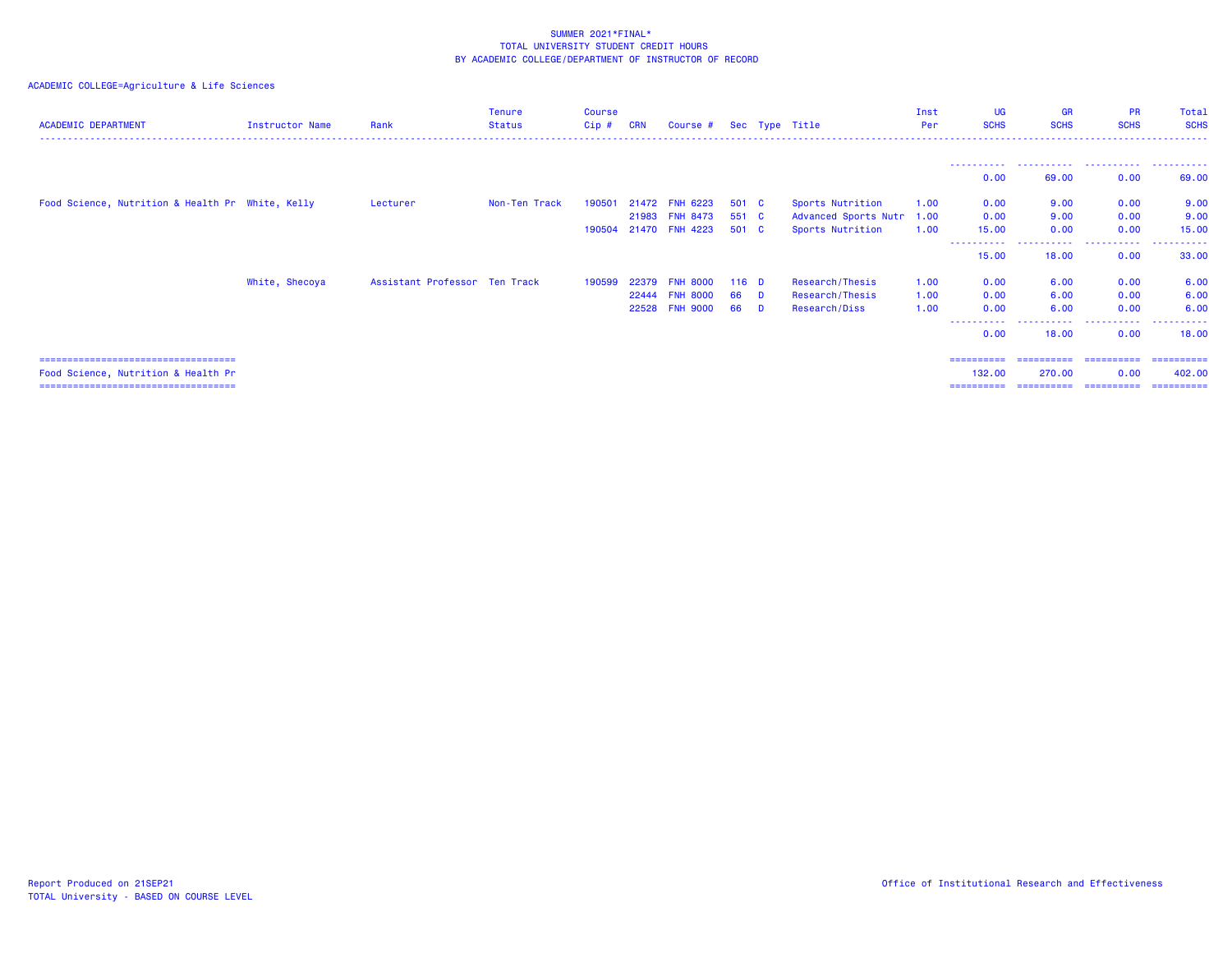| <b>ACADEMIC DEPARTMENT</b>                       | <b>Instructor Name</b> | Rank                          | <b>Tenure</b><br><b>Status</b> | <b>Course</b><br>Cip# | <b>CRN</b> | Course $#$ Sec Type Title |         |                      | Inst<br>Per | UG<br><b>SCHS</b>    | <b>GR</b><br><b>SCHS</b> | <b>PR</b><br><b>SCHS</b> | Total<br><b>SCHS</b> |
|--------------------------------------------------|------------------------|-------------------------------|--------------------------------|-----------------------|------------|---------------------------|---------|----------------------|-------------|----------------------|--------------------------|--------------------------|----------------------|
|                                                  |                        |                               |                                |                       |            |                           |         |                      |             |                      |                          |                          |                      |
|                                                  |                        |                               |                                |                       |            |                           |         |                      |             | 0.00                 | 69.00                    | 0.00                     | 69.00                |
| Food Science, Nutrition & Health Pr White, Kelly |                        | Lecturer                      | Non-Ten Track                  | 190501                | 21472      | <b>FNH 6223</b>           | 501 C   | Sports Nutrition     | 1.00        | 0.00                 | 9.00                     | 0.00                     | 9.00                 |
|                                                  |                        |                               |                                |                       | 21983      | <b>FNH 8473</b>           | 551 C   | Advanced Sports Nutr | 1.00        | 0.00                 | 9.00                     | 0.00                     | 9.00                 |
|                                                  |                        |                               |                                | 190504                |            | 21470 FNH 4223            | 501 C   | Sports Nutrition     | 1.00        | 15.00                | 0.00                     | 0.00                     | 15.00                |
|                                                  |                        |                               |                                |                       |            |                           |         |                      |             | -----------<br>15.00 | . <sub>.</sub><br>18.00  | .<br>0.00                | .<br>33.00           |
|                                                  | White, Shecoya         | Assistant Professor Ten Track |                                | 190599                | 22379      | <b>FNH 8000</b>           | $116$ D | Research/Thesis      | 1.00        | 0.00                 | 6.00                     | 0.00                     | 6.00                 |
|                                                  |                        |                               |                                |                       | 22444      | <b>FNH 8000</b>           | 66 D    | Research/Thesis      | 1.00        | 0.00                 | 6.00                     | 0.00                     | 6.00                 |
|                                                  |                        |                               |                                |                       | 22528      | <b>FNH 9000</b>           | 66 D    | Research/Diss        | 1.00        | 0.00                 | 6.00                     | 0.00                     | 6.00                 |
|                                                  |                        |                               |                                |                       |            |                           |         |                      |             | ------<br>0.00       | .<br>18.00               | .<br>0.00                | .<br>18.00           |
| ======================================           |                        |                               |                                |                       |            |                           |         |                      |             | ==========           | ==========               | -----------              | ==========           |
| Food Science, Nutrition & Health Pr              |                        |                               |                                |                       |            |                           |         |                      |             | 132.00               | 270.00                   | 0.00                     | 402,00               |
| =====================================            |                        |                               |                                |                       |            |                           |         |                      |             | ==========           | ==========               | -----------              | -----------          |
|                                                  |                        |                               |                                |                       |            |                           |         |                      |             |                      |                          |                          |                      |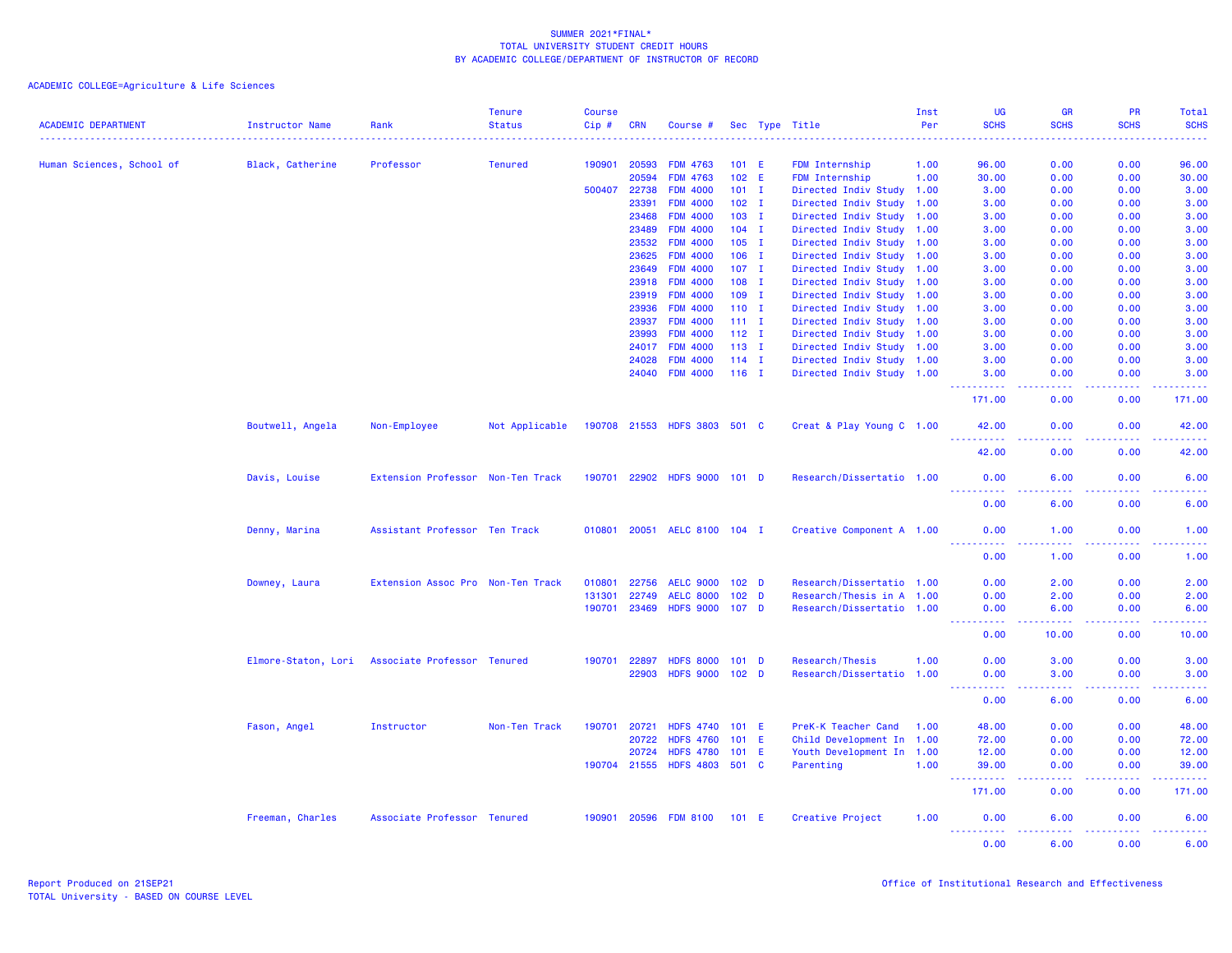| <b>ACADEMIC DEPARTMENT</b> | <b>Instructor Name</b> | Rank                                            | <b>Tenure</b><br><b>Status</b> | Course<br>Cip# | <b>CRN</b>   | Course #                     |                  |                  | Sec Type Title            | Inst<br>Per | UG<br><b>SCHS</b>                                                                                                                                    | <b>GR</b><br><b>SCHS</b> | <b>PR</b><br><b>SCHS</b>                                                                                                                                     | <b>Total</b><br><b>SCHS</b> |
|----------------------------|------------------------|-------------------------------------------------|--------------------------------|----------------|--------------|------------------------------|------------------|------------------|---------------------------|-------------|------------------------------------------------------------------------------------------------------------------------------------------------------|--------------------------|--------------------------------------------------------------------------------------------------------------------------------------------------------------|-----------------------------|
|                            |                        |                                                 |                                |                |              |                              |                  |                  |                           |             |                                                                                                                                                      |                          |                                                                                                                                                              |                             |
| Human Sciences, School of  | Black, Catherine       | Professor                                       | <b>Tenured</b>                 | 190901         | 20593        | <b>FDM 4763</b>              |                  | 101 E            | <b>FDM Internship</b>     | 1.00        | 96.00                                                                                                                                                | 0.00                     | 0.00                                                                                                                                                         | 96.00                       |
|                            |                        |                                                 |                                |                | 20594        | <b>FDM 4763</b>              |                  | 102 E            | <b>FDM Internship</b>     | 1.00        | 30.00                                                                                                                                                | 0.00                     | 0.00                                                                                                                                                         | 30.00                       |
|                            |                        |                                                 |                                | 500407         | 22738        | <b>FDM 4000</b>              |                  | $101$ I          | Directed Indiv Study 1.00 |             | 3.00                                                                                                                                                 | 0.00                     | 0.00                                                                                                                                                         | 3.00                        |
|                            |                        |                                                 |                                |                | 23391        | <b>FDM 4000</b>              |                  | $102 \quad I$    | Directed Indiv Study 1.00 |             | 3.00                                                                                                                                                 | 0.00                     | 0.00                                                                                                                                                         | 3.00                        |
|                            |                        |                                                 |                                |                | 23468        | <b>FDM 4000</b>              |                  | $103$ I          | Directed Indiv Study 1.00 |             | 3.00                                                                                                                                                 | 0.00                     | 0.00                                                                                                                                                         | 3.00                        |
|                            |                        |                                                 |                                |                | 23489        | <b>FDM 4000</b>              |                  | $104$ I          | Directed Indiv Study 1.00 |             | 3.00                                                                                                                                                 | 0.00                     | 0.00                                                                                                                                                         | 3.00                        |
|                            |                        |                                                 |                                |                | 23532        | <b>FDM 4000</b>              |                  | $105$ I          | Directed Indiv Study 1.00 |             | 3.00                                                                                                                                                 | 0.00                     | 0.00                                                                                                                                                         | 3.00                        |
|                            |                        |                                                 |                                |                | 23625        | <b>FDM 4000</b>              |                  | $106$ I          | Directed Indiv Study 1.00 |             | 3.00                                                                                                                                                 | 0.00                     | 0.00                                                                                                                                                         | 3.00                        |
|                            |                        |                                                 |                                |                | 23649        | <b>FDM 4000</b>              |                  | $107$ I          | Directed Indiv Study 1.00 |             | 3.00                                                                                                                                                 | 0.00                     | 0.00                                                                                                                                                         | 3.00                        |
|                            |                        |                                                 |                                |                | 23918        | <b>FDM 4000</b>              |                  | $108$ I          | Directed Indiv Study 1.00 |             | 3.00                                                                                                                                                 | 0.00                     | 0.00                                                                                                                                                         | 3.00                        |
|                            |                        |                                                 |                                |                | 23919        | <b>FDM 4000</b>              |                  | $109$ I          | Directed Indiv Study 1.00 |             | 3.00                                                                                                                                                 | 0.00                     | 0.00                                                                                                                                                         | 3.00                        |
|                            |                        |                                                 |                                |                | 23936        | <b>FDM 4000</b>              |                  | $110$ I          | Directed Indiv Study 1.00 |             | 3.00                                                                                                                                                 | 0.00                     | 0.00                                                                                                                                                         | 3.00                        |
|                            |                        |                                                 |                                |                | 23937        | <b>FDM 4000</b>              | $111 \quad I$    |                  | Directed Indiv Study 1.00 |             | 3.00                                                                                                                                                 | 0.00                     | 0.00                                                                                                                                                         | 3.00                        |
|                            |                        |                                                 |                                |                | 23993        | <b>FDM 4000</b>              | $112$ I          |                  | Directed Indiv Study 1.00 |             | 3.00                                                                                                                                                 | 0.00                     | 0.00                                                                                                                                                         | 3.00                        |
|                            |                        |                                                 |                                |                | 24017        | <b>FDM 4000</b>              | $113$ I          |                  | Directed Indiv Study 1.00 |             | 3.00                                                                                                                                                 | 0.00                     | 0.00                                                                                                                                                         | 3.00                        |
|                            |                        |                                                 |                                |                | 24028        | <b>FDM 4000</b>              | $114$ I          |                  | Directed Indiv Study 1.00 |             | 3.00                                                                                                                                                 | 0.00                     | 0.00                                                                                                                                                         | 3.00                        |
|                            |                        |                                                 |                                |                | 24040        | <b>FDM 4000</b>              | $116$ I          |                  | Directed Indiv Study 1.00 |             | 3.00<br>.                                                                                                                                            | 0.00<br>.                | 0.00<br>$\frac{1}{2} \left( \frac{1}{2} \right) \left( \frac{1}{2} \right) \left( \frac{1}{2} \right) \left( \frac{1}{2} \right) \left( \frac{1}{2} \right)$ | 3.00<br>المتمام مناسب       |
|                            |                        |                                                 |                                |                |              |                              |                  |                  |                           |             | 171.00                                                                                                                                               | 0.00                     | 0.00                                                                                                                                                         | 171.00                      |
|                            | Boutwell, Angela       | Non-Employee                                    | Not Applicable                 |                |              | 190708 21553 HDFS 3803 501 C |                  |                  | Creat & Play Young C 1.00 |             | 42.00<br><u>.</u>                                                                                                                                    | 0.00<br>.                | 0.00<br><u>.</u>                                                                                                                                             | 42.00<br>.                  |
|                            |                        |                                                 |                                |                |              |                              |                  |                  |                           |             | 42.00                                                                                                                                                | 0.00                     | 0.00                                                                                                                                                         | 42.00                       |
|                            | Davis, Louise          | Extension Professor Non-Ten Track               |                                |                |              | 190701 22902 HDFS 9000 101 D |                  |                  | Research/Dissertatio 1.00 |             | 0.00<br>----------                                                                                                                                   | 6.00<br>والمستناء        | 0.00<br>-----                                                                                                                                                | 6.00<br>د د د د             |
|                            |                        |                                                 |                                |                |              |                              |                  |                  |                           |             | 0.00                                                                                                                                                 | 6.00                     | 0.00                                                                                                                                                         | 6.00                        |
|                            | Denny, Marina          | Assistant Professor Ten Track                   |                                | 010801         | 20051        | AELC 8100 104 I              |                  |                  | Creative Component A 1.00 |             | 0.00<br><u>.</u>                                                                                                                                     | 1.00<br>.                | 0.00<br>2.2.2.2.2                                                                                                                                            | 1.00<br>.                   |
|                            |                        |                                                 |                                |                |              |                              |                  |                  |                           |             | 0.00                                                                                                                                                 | 1.00                     | 0.00                                                                                                                                                         | 1.00                        |
|                            | Downey, Laura          | Extension Assoc Pro Non-Ten Track               |                                | 010801         | 22756        | <b>AELC 9000</b>             | 102 <sub>D</sub> |                  | Research/Dissertatio 1.00 |             | 0.00                                                                                                                                                 | 2.00                     | 0.00                                                                                                                                                         | 2.00                        |
|                            |                        |                                                 |                                | 131301         | 22749        | <b>AELC 8000</b>             |                  | 102 <sub>D</sub> | Research/Thesis in A 1.00 |             | 0.00                                                                                                                                                 | 2.00                     | 0.00                                                                                                                                                         | 2.00                        |
|                            |                        |                                                 |                                | 190701         | 23469        | <b>HDFS 9000</b>             | 107 <sub>D</sub> |                  | Research/Dissertatio 1.00 |             | 0.00                                                                                                                                                 | 6.00                     | 0.00                                                                                                                                                         | 6.00                        |
|                            |                        |                                                 |                                |                |              |                              |                  |                  |                           |             | <u> - - - - - - - - - -</u><br>0.00                                                                                                                  | .<br>10.00               | 22222<br>0.00                                                                                                                                                | .<br>10.00                  |
|                            |                        | Elmore-Staton, Lori Associate Professor Tenured |                                | 190701         | 22897        | <b>HDFS 8000</b>             |                  | 101 <sub>D</sub> | Research/Thesis           | 1.00        | 0.00                                                                                                                                                 | 3.00                     | 0.00                                                                                                                                                         | 3.00                        |
|                            |                        |                                                 |                                |                | 22903        | HDFS 9000 102 D              |                  |                  | Research/Dissertatio 1.00 |             | 0.00                                                                                                                                                 | 3.00                     | 0.00                                                                                                                                                         | 3.00                        |
|                            |                        |                                                 |                                |                |              |                              |                  |                  |                           |             | $\frac{1}{2} \left( \frac{1}{2} \right) \left( \frac{1}{2} \right) \left( \frac{1}{2} \right) \left( \frac{1}{2} \right) \left( \frac{1}{2} \right)$ | .                        | <b><i><u><u>.</u></u></i></b>                                                                                                                                | د د د د د                   |
|                            |                        |                                                 |                                |                |              |                              |                  |                  |                           |             | 0.00                                                                                                                                                 | 6.00                     | 0.00                                                                                                                                                         | 6.00                        |
|                            | Fason, Angel           | Instructor                                      | Non-Ten Track                  | 190701         | 20721        | <b>HDFS 4740</b>             | $101$ E          |                  | PreK-K Teacher Cand       | 1.00        | 48.00                                                                                                                                                | 0.00                     | 0.00                                                                                                                                                         | 48.00                       |
|                            |                        |                                                 |                                |                | 20722        | <b>HDFS 4760</b>             | 101              | -E               | Child Development In 1.00 |             | 72.00                                                                                                                                                | 0.00                     | 0.00                                                                                                                                                         | 72.00                       |
|                            |                        |                                                 |                                |                | 20724        | <b>HDFS 4780</b>             | 101              | -E               | Youth Development In 1.00 |             | 12.00                                                                                                                                                | 0.00                     | 0.00                                                                                                                                                         | 12.00                       |
|                            |                        |                                                 |                                |                | 190704 21555 | <b>HDFS 4803</b>             | 501 C            |                  | Parenting                 | 1.00        | 39.00<br>.                                                                                                                                           | 0.00<br>.                | 0.00<br>2.2.2.2.2                                                                                                                                            | 39,00<br>.                  |
|                            |                        |                                                 |                                |                |              |                              |                  |                  |                           |             | 171.00                                                                                                                                               | 0.00                     | 0.00                                                                                                                                                         | 171.00                      |
|                            | Freeman, Charles       | Associate Professor Tenured                     |                                | 190901         | 20596        | <b>FDM 8100</b>              | 101 E            |                  | Creative Project          | 1.00        | 0.00<br><u> - - - - - - - - - -</u>                                                                                                                  | 6.00<br>.                | 0.00<br>$\frac{1}{2} \left( \frac{1}{2} \right) \left( \frac{1}{2} \right) \left( \frac{1}{2} \right) \left( \frac{1}{2} \right) \left( \frac{1}{2} \right)$ | 6.00<br>.                   |
|                            |                        |                                                 |                                |                |              |                              |                  |                  |                           |             | 0.00                                                                                                                                                 | 6.00                     | 0.00                                                                                                                                                         | 6.00                        |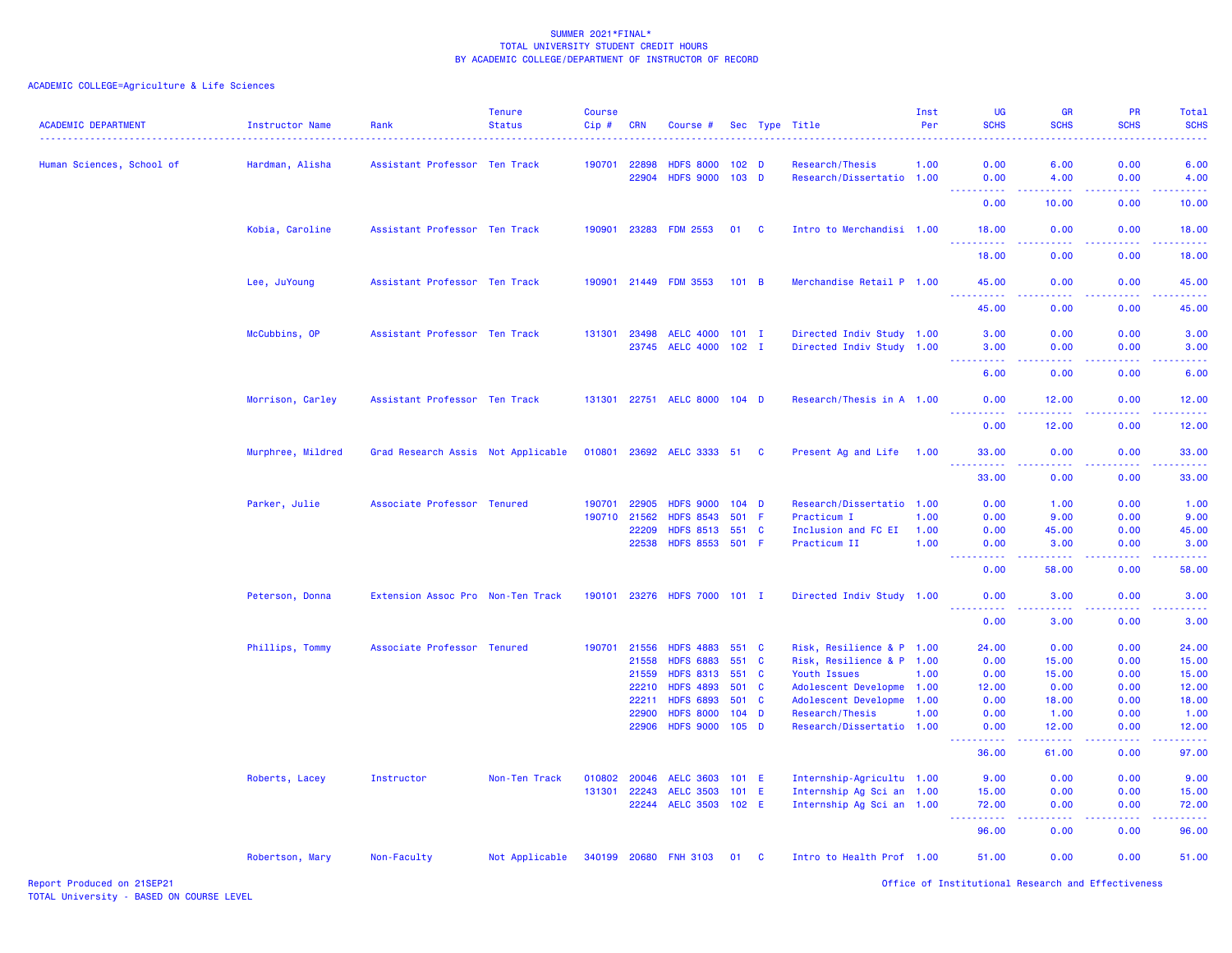| <b>ACADEMIC DEPARTMENT</b> | <b>Instructor Name</b> | Rank                               | <b>Tenure</b><br><b>Status</b> | <b>Course</b><br>Cip# | CRN          | Course #                     |                  |     | Sec Type Title            | Inst<br>Per | <b>UG</b><br><b>SCHS</b>             | <b>GR</b><br><b>SCHS</b><br>.                                                                                                     | <b>PR</b><br><b>SCHS</b><br>. | Total<br><b>SCHS</b><br>والمستناط الما |
|----------------------------|------------------------|------------------------------------|--------------------------------|-----------------------|--------------|------------------------------|------------------|-----|---------------------------|-------------|--------------------------------------|-----------------------------------------------------------------------------------------------------------------------------------|-------------------------------|----------------------------------------|
| Human Sciences, School of  | Hardman, Alisha        | Assistant Professor Ten Track      |                                | 190701                | 22898        | <b>HDFS 8000</b>             | 102 <sub>D</sub> |     | Research/Thesis           | 1.00        | 0.00                                 | 6.00                                                                                                                              | 0.00                          | 6.00                                   |
|                            |                        |                                    |                                |                       | 22904        | <b>HDFS 9000</b>             | 103 <sub>D</sub> |     | Research/Dissertatio 1.00 |             | 0.00<br>.                            | 4.00<br>د د د د                                                                                                                   | 0.00<br>.                     | 4.00<br>.                              |
|                            |                        |                                    |                                |                       |              |                              |                  |     |                           |             | 0.00                                 | 10.00                                                                                                                             | 0.00                          | 10.00                                  |
|                            | Kobia, Caroline        | Assistant Professor Ten Track      |                                | 190901                | 23283        | <b>FDM 2553</b>              | 01 C             |     | Intro to Merchandisi 1.00 |             | 18.00<br>.                           | 0.00<br>د د د د                                                                                                                   | 0.00<br>.                     | 18.00<br>.                             |
|                            |                        |                                    |                                |                       |              |                              |                  |     |                           |             | 18.00                                | 0.00                                                                                                                              | 0.00                          | 18.00                                  |
|                            | Lee, JuYoung           | Assistant Professor Ten Track      |                                |                       |              | 190901 21449 FDM 3553        | 101 B            |     | Merchandise Retail P 1.00 |             | 45.00<br>.                           | 0.00<br>$\frac{1}{2} \left( \frac{1}{2} \right) \left( \frac{1}{2} \right) \left( \frac{1}{2} \right) \left( \frac{1}{2} \right)$ | 0.00<br>.                     | 45.00<br>.                             |
|                            |                        |                                    |                                |                       |              |                              |                  |     |                           |             | 45.00                                | 0.00                                                                                                                              | 0.00                          | 45.00                                  |
|                            | McCubbins, OP          | Assistant Professor Ten Track      |                                | 131301                | 23498        | <b>AELC 4000</b>             | $101$ I          |     | Directed Indiv Study 1.00 |             | 3.00                                 | 0.00                                                                                                                              | 0.00                          | 3.00                                   |
|                            |                        |                                    |                                |                       | 23745        | AELC 4000 102 I              |                  |     | Directed Indiv Study 1.00 |             | 3.00                                 | 0.00                                                                                                                              | 0.00                          | 3.00                                   |
|                            |                        |                                    |                                |                       |              |                              |                  |     |                           |             | 6.00                                 | 0.00                                                                                                                              | 0.00                          | 6.00                                   |
|                            | Morrison, Carley       | Assistant Professor Ten Track      |                                |                       |              | 131301 22751 AELC 8000 104 D |                  |     | Research/Thesis in A 1.00 |             | 0.00                                 | 12.00                                                                                                                             | 0.00                          | 12.00<br>.                             |
|                            |                        |                                    |                                |                       |              |                              |                  |     |                           |             | 0.00                                 | 12.00                                                                                                                             | 0.00                          | 12.00                                  |
|                            | Murphree, Mildred      | Grad Research Assis Not Applicable |                                |                       |              | 010801 23692 AELC 3333 51 C  |                  |     | Present Ag and Life 1.00  |             | 33.00<br><u> - - - - - - - - - -</u> | 0.00<br>.                                                                                                                         | 0.00<br>.                     | 33.00<br>.                             |
|                            |                        |                                    |                                |                       |              |                              |                  |     |                           |             | 33.00                                | 0.00                                                                                                                              | 0.00                          | 33.00                                  |
|                            | Parker, Julie          | Associate Professor Tenured        |                                | 190701                | 22905        | <b>HDFS 9000</b>             | $104$ D          |     | Research/Dissertatio 1.00 |             | 0.00                                 | 1.00                                                                                                                              | 0.00                          | 1.00                                   |
|                            |                        |                                    |                                |                       | 190710 21562 | <b>HDFS 8543</b>             | 501 F            |     | Practicum I               | 1.00        | 0.00                                 | 9.00                                                                                                                              | 0.00                          | 9.00                                   |
|                            |                        |                                    |                                |                       | 22209        | <b>HDFS 8513</b>             | 551 C            |     | Inclusion and FC EI       | 1.00        | 0.00                                 | 45.00                                                                                                                             | 0.00                          | 45.00                                  |
|                            |                        |                                    |                                |                       | 22538        | <b>HDFS 8553</b>             | 501 F            |     | Practicum II              | 1.00        | 0.00<br>.                            | 3.00<br>-----                                                                                                                     | 0.00<br>.                     | 3.00<br>.                              |
|                            |                        |                                    |                                |                       |              |                              |                  |     |                           |             | 0.00                                 | 58.00                                                                                                                             | 0.00                          | 58.00                                  |
|                            | Peterson, Donna        | Extension Assoc Pro Non-Ten Track  |                                |                       |              | 190101 23276 HDFS 7000 101 I |                  |     | Directed Indiv Study 1.00 |             | 0.00<br><u>.</u>                     | 3.00<br>.                                                                                                                         | 0.00                          | 3.00<br>.                              |
|                            |                        |                                    |                                |                       |              |                              |                  |     |                           |             | 0.00                                 | 3.00                                                                                                                              | 0.00                          | 3.00                                   |
|                            | Phillips, Tommy        | Associate Professor Tenured        |                                | 190701                | 21556        | <b>HDFS 4883</b>             | 551 C            |     | Risk, Resilience & P 1.00 |             | 24.00                                | 0.00                                                                                                                              | 0.00                          | 24.00                                  |
|                            |                        |                                    |                                |                       | 21558        | <b>HDFS 6883</b>             | 551 C            |     | Risk, Resilience & P 1.00 |             | 0.00                                 | 15.00                                                                                                                             | 0.00                          | 15.00                                  |
|                            |                        |                                    |                                |                       | 21559        | <b>HDFS 8313</b>             | 551 C            |     | Youth Issues              | 1.00        | 0.00                                 | 15.00                                                                                                                             | 0.00                          | 15.00                                  |
|                            |                        |                                    |                                |                       | 22210        | <b>HDFS 4893</b>             | 501 C            |     | Adolescent Developme 1.00 |             | 12.00                                | 0.00                                                                                                                              | 0.00                          | 12.00                                  |
|                            |                        |                                    |                                |                       | 22211        | <b>HDFS 6893</b>             | 501 C            |     | Adolescent Developme 1.00 |             | 0.00                                 | 18.00                                                                                                                             | 0.00                          | 18.00                                  |
|                            |                        |                                    |                                |                       | 22900        | <b>HDFS 8000</b>             | $104$ D          |     | Research/Thesis           | 1.00        | 0.00                                 | 1.00                                                                                                                              | 0.00                          | 1.00                                   |
|                            |                        |                                    |                                |                       | 22906        | <b>HDFS 9000</b>             | $105$ D          |     | Research/Dissertatio 1.00 |             | 0.00<br>.                            | 12.00<br><u>.</u>                                                                                                                 | 0.00<br>.                     | 12.00<br>.                             |
|                            |                        |                                    |                                |                       |              |                              |                  |     |                           |             | 36.00                                | 61.00                                                                                                                             | 0.00                          | 97.00                                  |
|                            | Roberts, Lacey         | Instructor                         | Non-Ten Track                  | 010802                | 20046        | <b>AELC 3603</b>             | $101$ E          |     | Internship-Agricultu 1.00 |             | 9.00                                 | 0.00                                                                                                                              | 0.00                          | 9.00                                   |
|                            |                        |                                    |                                | 131301                | 22243        | <b>AELC 3503</b>             | 101 E            |     | Internship Ag Sci an 1.00 |             | 15.00                                | 0.00                                                                                                                              | 0.00                          | 15.00                                  |
|                            |                        |                                    |                                |                       |              | 22244 AELC 3503 102 E        |                  |     | Internship Ag Sci an 1.00 |             | 72.00<br>د د د د د                   | 0.00<br>د د د د                                                                                                                   | 0.00<br>.                     | 72.00<br>.                             |
|                            |                        |                                    |                                |                       |              |                              |                  |     |                           |             | 96.00                                | 0.00                                                                                                                              | 0.00                          | 96.00                                  |
|                            | Robertson, Mary        | Non-Faculty                        | Not Applicable                 |                       |              | 340199 20680 FNH 3103        | 01               | - C | Intro to Health Prof 1.00 |             | 51.00                                | 0.00                                                                                                                              | 0.00                          | 51.00                                  |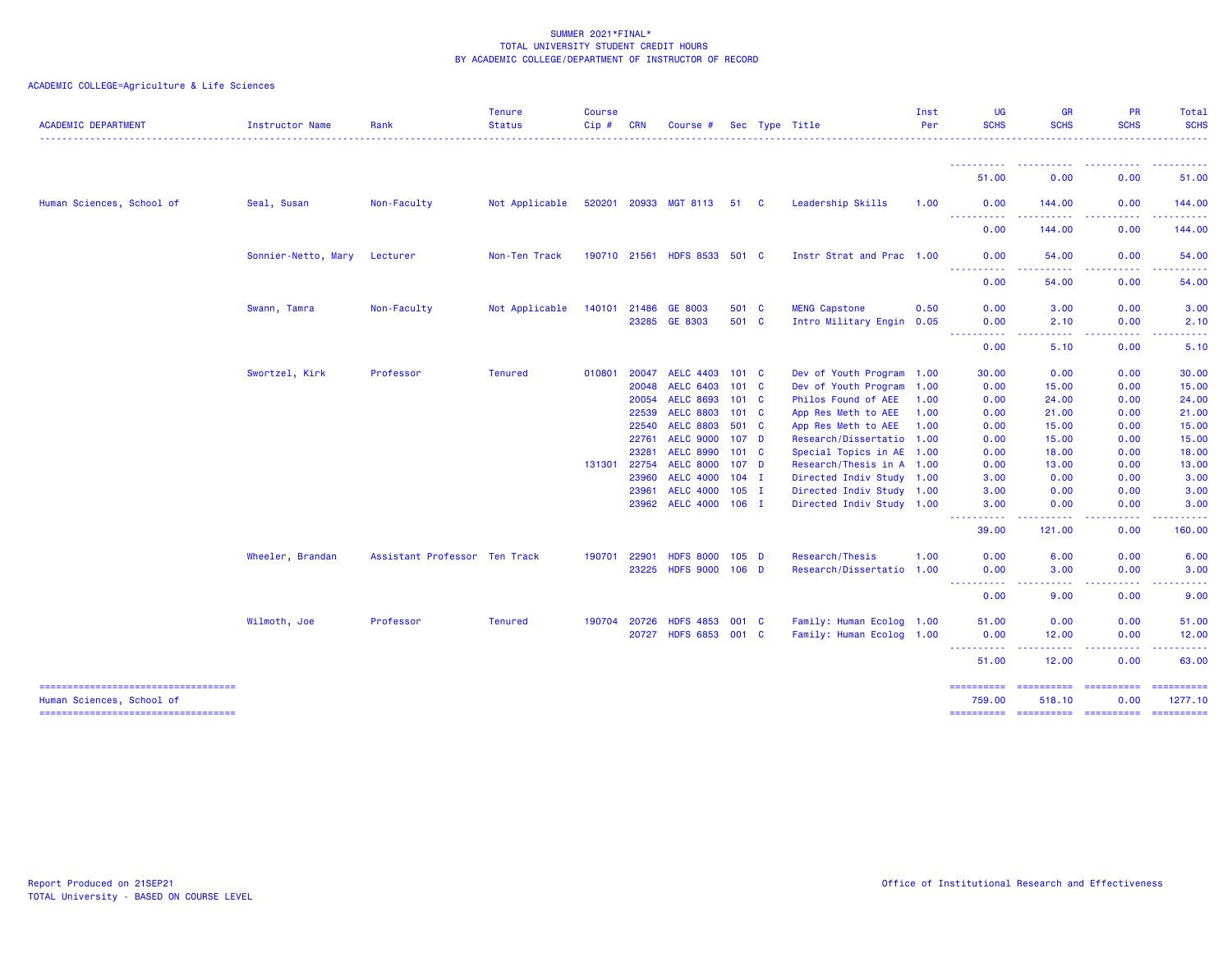| <b>ACADEMIC DEPARTMENT</b>                                                                                  | Instructor Name     | Rank                          | <b>Tenure</b><br><b>Status</b> | Course<br>Cip# | <b>CRN</b>     | Course #                             |                                | Sec Type Title                                    | Inst<br>Per  | UG<br><b>SCHS</b>                  | <b>GR</b><br><b>SCHS</b>                                                                                                                                     | <b>PR</b><br><b>SCHS</b>                                                                                                                                     | Total<br><b>SCHS</b>                                                                                                                                                                     |
|-------------------------------------------------------------------------------------------------------------|---------------------|-------------------------------|--------------------------------|----------------|----------------|--------------------------------------|--------------------------------|---------------------------------------------------|--------------|------------------------------------|--------------------------------------------------------------------------------------------------------------------------------------------------------------|--------------------------------------------------------------------------------------------------------------------------------------------------------------|------------------------------------------------------------------------------------------------------------------------------------------------------------------------------------------|
|                                                                                                             |                     |                               |                                |                |                |                                      |                                |                                                   |              | ----------<br>51.00                | 0.00                                                                                                                                                         | 0.00                                                                                                                                                         | 51.00                                                                                                                                                                                    |
| Human Sciences, School of                                                                                   | Seal, Susan         | Non-Faculty                   | Not Applicable                 |                |                | 520201 20933 MGT 8113                | 51 C                           | Leadership Skills                                 | 1.00         | 0.00                               | 144.00                                                                                                                                                       | 0.00                                                                                                                                                         | 144.00                                                                                                                                                                                   |
|                                                                                                             |                     |                               |                                |                |                |                                      |                                |                                                   |              | ----------<br>0.00                 | <b><i><u><u> - - - - -</u></u></i></b><br>144.00                                                                                                             | $\frac{1}{2} \left( \frac{1}{2} \right) \left( \frac{1}{2} \right) \left( \frac{1}{2} \right) \left( \frac{1}{2} \right) \left( \frac{1}{2} \right)$<br>0.00 | .<br>144.00                                                                                                                                                                              |
|                                                                                                             | Sonnier-Netto, Mary | Lecturer                      | Non-Ten Track                  |                | 190710 21561   | <b>HDFS 8533</b>                     | 501 C                          | Instr Strat and Prac 1.00                         |              | 0.00<br>.                          | 54.00                                                                                                                                                        | 0.00                                                                                                                                                         | 54.00                                                                                                                                                                                    |
|                                                                                                             |                     |                               |                                |                |                |                                      |                                |                                                   |              | 0.00                               | 54.00                                                                                                                                                        | 0.00                                                                                                                                                         | 54.00                                                                                                                                                                                    |
|                                                                                                             | Swann, Tamra        | Non-Faculty                   | Not Applicable                 | 140101         | 21486<br>23285 | GE 8003<br>GE 8303                   | 501 C<br>501 C                 | <b>MENG Capstone</b><br>Intro Military Engin 0.05 | 0.50         | 0.00<br>0.00                       | 3.00<br>2.10                                                                                                                                                 | 0.00<br>0.00                                                                                                                                                 | 3.00<br>2.10                                                                                                                                                                             |
|                                                                                                             |                     |                               |                                |                |                |                                      |                                |                                                   |              | .<br>0.00                          | .<br>5.10                                                                                                                                                    | <u>.</u><br>0.00                                                                                                                                             | $\frac{1}{2}$<br>5.10                                                                                                                                                                    |
|                                                                                                             | Swortzel, Kirk      | Professor                     | <b>Tenured</b>                 | 010801         | 20047          | <b>AELC 4403</b>                     | 101 <sub>C</sub>               | Dev of Youth Program 1.00                         |              | 30.00                              | 0.00                                                                                                                                                         | 0.00                                                                                                                                                         | 30.00                                                                                                                                                                                    |
|                                                                                                             |                     |                               |                                |                | 20048          | <b>AELC 6403</b><br><b>AELC 8693</b> | $101 \quad C$<br>$101 \quad C$ | Dev of Youth Program 1.00                         |              | 0.00                               | 15.00                                                                                                                                                        | 0.00                                                                                                                                                         | 15.00                                                                                                                                                                                    |
|                                                                                                             |                     |                               |                                |                | 20054<br>22539 | <b>AELC 8803</b>                     | $101 \quad C$                  | Philos Found of AEE<br>App Res Meth to AEE        | 1.00<br>1.00 | 0.00<br>0.00                       | 24.00<br>21.00                                                                                                                                               | 0.00<br>0.00                                                                                                                                                 | 24.00<br>21.00                                                                                                                                                                           |
|                                                                                                             |                     |                               |                                |                | 22540          | <b>AELC 8803</b>                     | 501 C                          | App Res Meth to AEE                               | 1.00         | 0.00                               | 15.00                                                                                                                                                        | 0.00                                                                                                                                                         | 15.00                                                                                                                                                                                    |
|                                                                                                             |                     |                               |                                |                | 22761          | <b>AELC 9000</b>                     | 107 <sub>D</sub>               | Research/Dissertatio 1.00                         |              | 0.00                               | 15.00                                                                                                                                                        | 0.00                                                                                                                                                         | 15.00                                                                                                                                                                                    |
|                                                                                                             |                     |                               |                                |                | 23281          | <b>AELC 8990</b>                     | $101 \quad C$                  | Special Topics in AE 1.00                         |              | 0.00                               | 18.00                                                                                                                                                        | 0.00                                                                                                                                                         | 18.00                                                                                                                                                                                    |
|                                                                                                             |                     |                               |                                | 131301         | 22754          | <b>AELC 8000</b>                     | 107 <sub>D</sub>               | Research/Thesis in A 1.00                         |              | 0.00                               | 13.00                                                                                                                                                        | 0.00                                                                                                                                                         | 13.00                                                                                                                                                                                    |
|                                                                                                             |                     |                               |                                |                | 23960          | <b>AELC 4000</b>                     | $104$ I                        | Directed Indiv Study 1.00                         |              | 3.00                               | 0.00                                                                                                                                                         | 0.00                                                                                                                                                         | 3.00                                                                                                                                                                                     |
|                                                                                                             |                     |                               |                                |                | 23961          | <b>AELC 4000</b>                     | $105$ I                        | Directed Indiv Study 1.00                         |              | 3.00                               | 0.00                                                                                                                                                         | 0.00                                                                                                                                                         | 3.00                                                                                                                                                                                     |
|                                                                                                             |                     |                               |                                |                | 23962          | <b>AELC 4000</b>                     | $106$ I                        | Directed Indiv Study 1.00                         |              | 3.00<br>----------                 | 0.00<br>$\frac{1}{2} \left( \frac{1}{2} \right) \left( \frac{1}{2} \right) \left( \frac{1}{2} \right) \left( \frac{1}{2} \right) \left( \frac{1}{2} \right)$ | 0.00<br>.                                                                                                                                                    | 3.00<br><b>.</b>                                                                                                                                                                         |
|                                                                                                             |                     |                               |                                |                |                |                                      |                                |                                                   |              | 39.00                              | 121.00                                                                                                                                                       | 0.00                                                                                                                                                         | 160.00                                                                                                                                                                                   |
|                                                                                                             | Wheeler, Brandan    | Assistant Professor Ten Track |                                | 190701         | 22901          | <b>HDFS 8000</b>                     | $105$ D                        | Research/Thesis                                   | 1.00         | 0.00                               | 6.00                                                                                                                                                         | 0.00                                                                                                                                                         | 6.00                                                                                                                                                                                     |
|                                                                                                             |                     |                               |                                |                | 23225          | <b>HDFS 9000</b>                     | $106$ D                        | Research/Dissertatio 1.00                         |              | 0.00<br>.                          | 3.00<br>-----                                                                                                                                                | 0.00<br>المتمام المتمار                                                                                                                                      | 3.00<br>$\frac{1}{2} \left( \frac{1}{2} \right) \left( \frac{1}{2} \right) \left( \frac{1}{2} \right) \left( \frac{1}{2} \right) \left( \frac{1}{2} \right)$                             |
|                                                                                                             |                     |                               |                                |                |                |                                      |                                |                                                   |              | 0.00                               | 9.00                                                                                                                                                         | 0.00                                                                                                                                                         | 9.00                                                                                                                                                                                     |
|                                                                                                             | Wilmoth, Joe        | Professor                     | <b>Tenured</b>                 | 190704         | 20726          | <b>HDFS 4853</b>                     | 001 C                          | Family: Human Ecolog 1.00                         |              | 51.00                              | 0.00                                                                                                                                                         | 0.00                                                                                                                                                         | 51.00                                                                                                                                                                                    |
|                                                                                                             |                     |                               |                                |                | 20727          | <b>HDFS 6853</b>                     | 001 C                          | Family: Human Ecolog 1.00                         |              | 0.00<br>----------                 | 12.00<br><u>.</u>                                                                                                                                            | 0.00<br>.                                                                                                                                                    | 12.00<br>$\frac{1}{2} \left( \frac{1}{2} \right) \left( \frac{1}{2} \right) \left( \frac{1}{2} \right) \left( \frac{1}{2} \right) \left( \frac{1}{2} \right) \left( \frac{1}{2} \right)$ |
|                                                                                                             |                     |                               |                                |                |                |                                      |                                |                                                   |              | 51.00                              | 12.00                                                                                                                                                        | 0.00                                                                                                                                                         | 63.00                                                                                                                                                                                    |
| =====================================<br>Human Sciences, School of<br>===================================== |                     |                               |                                |                |                |                                      |                                |                                                   |              | ==========<br>759,00<br>========== | ==========<br>518.10<br>=======================                                                                                                              | ==========<br>0.00                                                                                                                                           | $=$ = = = = = = = = = $=$<br>1277.10                                                                                                                                                     |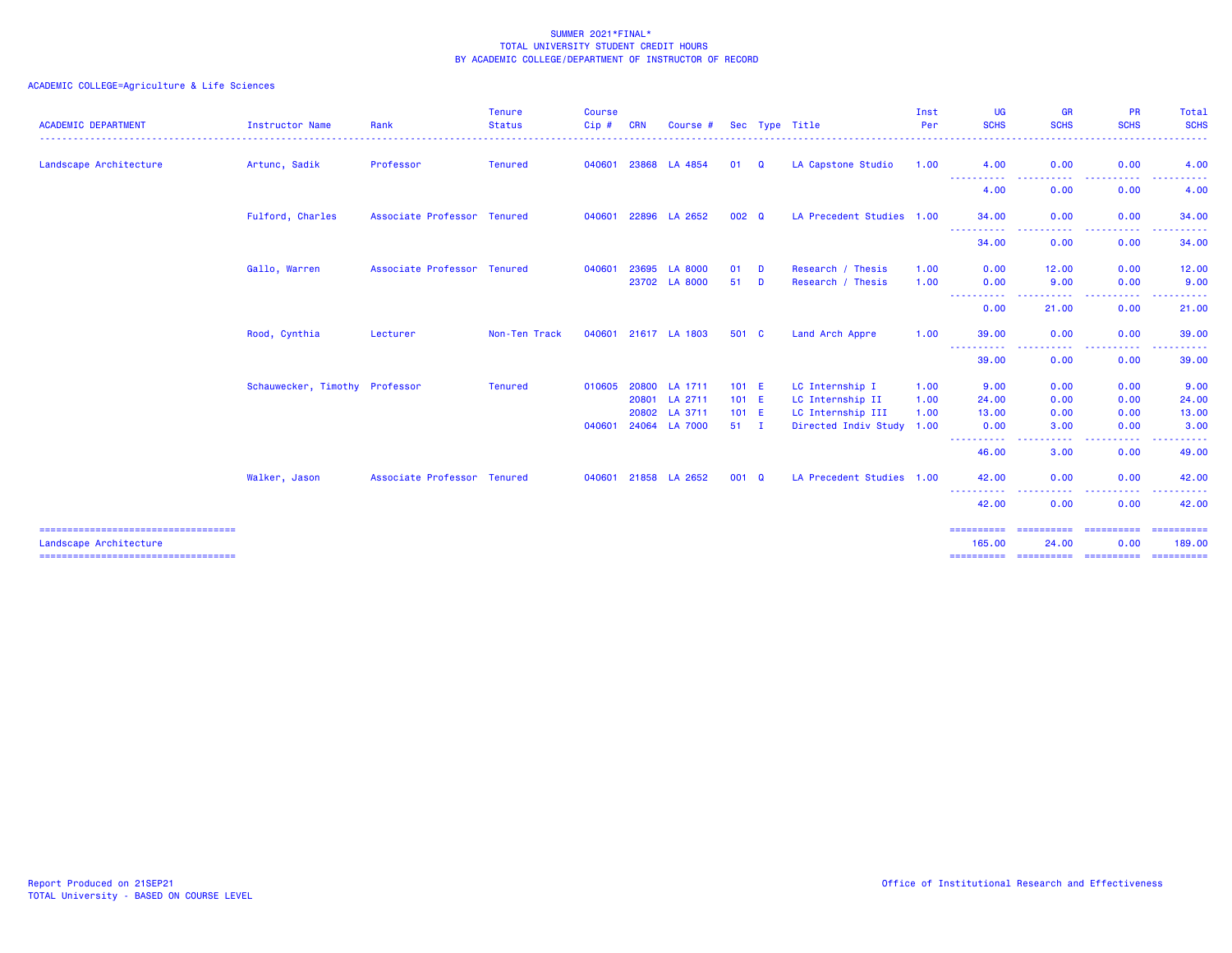| <b>ACADEMIC DEPARTMENT</b>                                       | Instructor Name                | Rank                        | <b>Tenure</b><br><b>Status</b> | <b>Course</b><br>Cip# | <b>CRN</b> | Course #       |               |   | Sec Type Title            | Inst<br>Per | UG<br><b>SCHS</b>                       | <b>GR</b><br><b>SCHS</b> | <b>PR</b><br><b>SCHS</b>                                                                                                                             | Total<br><b>SCHS</b>                                                                                                                                         |
|------------------------------------------------------------------|--------------------------------|-----------------------------|--------------------------------|-----------------------|------------|----------------|---------------|---|---------------------------|-------------|-----------------------------------------|--------------------------|------------------------------------------------------------------------------------------------------------------------------------------------------|--------------------------------------------------------------------------------------------------------------------------------------------------------------|
| Landscape Architecture                                           | Artunc, Sadik                  | Professor                   | <b>Tenured</b>                 | 040601                | 23868      | LA 4854        | 01            | Q | LA Capstone Studio        | 1.00        | 4.00                                    | 0.00                     | 0.00                                                                                                                                                 | 4.00                                                                                                                                                         |
|                                                                  |                                |                             |                                |                       |            |                |               |   |                           |             | ----------<br>4.00                      | $\frac{1}{2}$<br>0.00    | . <b>.</b> .<br>0.00                                                                                                                                 | 4.00                                                                                                                                                         |
|                                                                  | Fulford, Charles               | Associate Professor Tenured |                                | 040601                |            | 22896 LA 2652  | 002 Q         |   | LA Precedent Studies 1.00 |             | 34.00                                   | 0.00                     | 0.00                                                                                                                                                 | 34.00                                                                                                                                                        |
|                                                                  |                                |                             |                                |                       |            |                |               |   |                           |             | <b>.</b> .<br>34.00                     | المتمام المنا<br>0.00    | المتمام المتمار<br>$\frac{1}{2} \left( \frac{1}{2} \right) \left( \frac{1}{2} \right) \left( \frac{1}{2} \right) \left( \frac{1}{2} \right)$<br>0.00 | .<br>34.00                                                                                                                                                   |
|                                                                  | Gallo, Warren                  | Associate Professor Tenured |                                | 040601                | 23695      | <b>LA 8000</b> | 01            | D | Research / Thesis         | 1.00        | 0.00                                    | 12.00                    | 0.00                                                                                                                                                 | 12.00                                                                                                                                                        |
|                                                                  |                                |                             |                                |                       |            | 23702 LA 8000  | 51            | D | Research / Thesis         | 1.00        | 0.00<br>.<br><b><i><u>ALLAS</u></i></b> | 9.00<br>-----            | 0.00<br>-----                                                                                                                                        | 9.00<br>. <u>.</u> .                                                                                                                                         |
|                                                                  |                                |                             |                                |                       |            |                |               |   |                           |             | 0.00                                    | 21.00                    | 0.00                                                                                                                                                 | 21.00                                                                                                                                                        |
|                                                                  | Rood, Cynthia                  | Lecturer                    | Non-Ten Track                  | 040601                |            | 21617 LA 1803  | 501 C         |   | Land Arch Appre           | 1.00        | 39.00                                   | 0.00                     | 0.00                                                                                                                                                 | 39.00                                                                                                                                                        |
|                                                                  |                                |                             |                                |                       |            |                |               |   |                           |             | <b>.</b> .<br>39.00                     | .<br>0.00                | المتمام والمنا<br>$\frac{1}{2} \left( \frac{1}{2} \right) \left( \frac{1}{2} \right) \left( \frac{1}{2} \right) \left( \frac{1}{2} \right)$<br>0.00  | <b><i><u><u> - - - - -</u></u></i></b><br>39.00                                                                                                              |
|                                                                  | Schauwecker, Timothy Professor |                             | <b>Tenured</b>                 | 010605                | 20800      | LA 1711        | $101$ E       |   | LC Internship I           | 1.00        | 9.00                                    | 0.00                     | 0.00                                                                                                                                                 | 9.00                                                                                                                                                         |
|                                                                  |                                |                             |                                |                       | 20801      | LA 2711        | $101$ E       |   | LC Internship II          | 1.00        | 24.00                                   | 0.00                     | 0.00                                                                                                                                                 | 24.00                                                                                                                                                        |
|                                                                  |                                |                             |                                |                       | 20802      | LA 3711        | $101$ E       |   | LC Internship III         | 1.00        | 13.00                                   | 0.00                     | 0.00                                                                                                                                                 | 13.00                                                                                                                                                        |
|                                                                  |                                |                             |                                | 040601                |            | 24064 LA 7000  | $51 \quad I$  |   | Directed Indiv Study 1.00 |             | 0.00<br>----------                      | 3.00<br>$\frac{1}{2}$    | 0.00<br>.                                                                                                                                            | 3.00<br>$\frac{1}{2} \left( \frac{1}{2} \right) \left( \frac{1}{2} \right) \left( \frac{1}{2} \right) \left( \frac{1}{2} \right) \left( \frac{1}{2} \right)$ |
|                                                                  |                                |                             |                                |                       |            |                |               |   |                           |             | 46.00                                   | 3.00                     | 0.00                                                                                                                                                 | 49.00                                                                                                                                                        |
|                                                                  | Walker, Jason                  | Associate Professor Tenured |                                | 040601 21858          |            | LA 2652        | $001 \quad Q$ |   | LA Precedent Studies 1.00 |             | 42.00                                   | 0.00                     | 0.00                                                                                                                                                 | 42.00                                                                                                                                                        |
|                                                                  |                                |                             |                                |                       |            |                |               |   |                           |             | ----------<br>42.00                     | ----<br>0.00             | -----<br>0.00                                                                                                                                        | .<br>42.00                                                                                                                                                   |
| ======================================<br>Landscape Architecture |                                |                             |                                |                       |            |                |               |   |                           |             | 165.00                                  | 24.00                    | 0.00                                                                                                                                                 | =======<br>189,00                                                                                                                                            |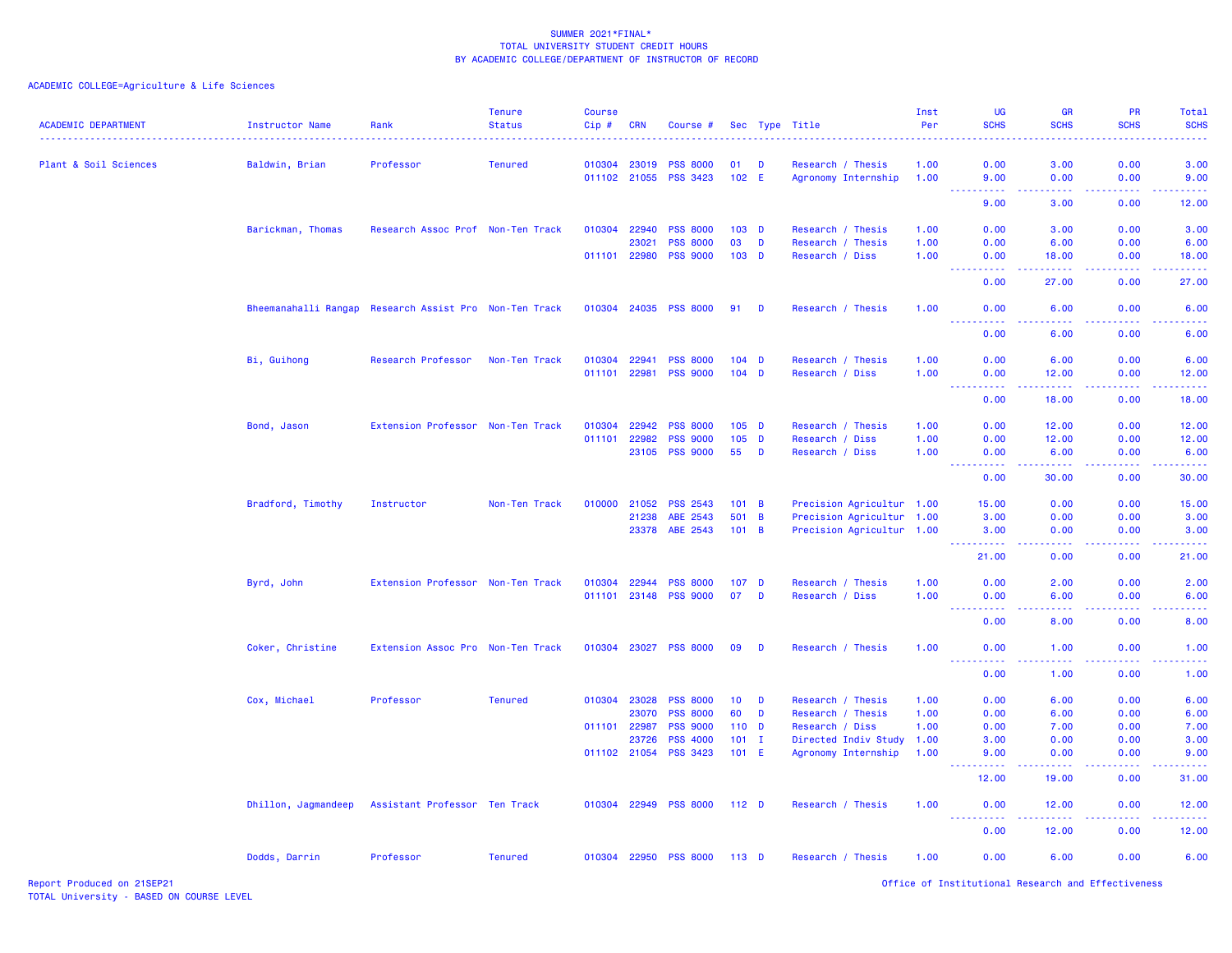| <b>ACADEMIC DEPARTMENT</b> | <b>Instructor Name</b> | Rank                                                   | <b>Tenure</b><br><b>Status</b> | <b>Course</b><br>Cip# | <b>CRN</b>   | Course #              |                  |                | Sec Type Title            | Inst<br>Per | UG<br><b>SCHS</b>                                                                                               | <b>GR</b><br><b>SCHS</b>                                                                                                                                      | PR<br><b>SCHS</b>     | Total<br><b>SCHS</b> |
|----------------------------|------------------------|--------------------------------------------------------|--------------------------------|-----------------------|--------------|-----------------------|------------------|----------------|---------------------------|-------------|-----------------------------------------------------------------------------------------------------------------|---------------------------------------------------------------------------------------------------------------------------------------------------------------|-----------------------|----------------------|
| Plant & Soil Sciences      | Baldwin, Brian         | Professor                                              | <b>Tenured</b>                 |                       | 010304 23019 | <b>PSS 8000</b>       | 01               | D              | Research / Thesis         | 1.00        | 0.00                                                                                                            | 3.00                                                                                                                                                          | 0.00                  | 3.00                 |
|                            |                        |                                                        |                                |                       | 011102 21055 | <b>PSS 3423</b>       | 102 E            |                | Agronomy Internship       | 1.00        | 9.00                                                                                                            | 0.00<br>.                                                                                                                                                     | 0.00                  | 9.00                 |
|                            |                        |                                                        |                                |                       |              |                       |                  |                |                           |             | 9.00                                                                                                            | 3.00                                                                                                                                                          | 0.00                  | 12.00                |
|                            | Barickman, Thomas      | Research Assoc Prof Non-Ten Track                      |                                | 010304                | 22940        | <b>PSS 8000</b>       | 103 <sub>D</sub> |                | Research / Thesis         | 1.00        | 0.00                                                                                                            | 3.00                                                                                                                                                          | 0.00                  | 3.00                 |
|                            |                        |                                                        |                                |                       | 23021        | <b>PSS 8000</b>       | 03               | D              | Research / Thesis         | 1.00        | 0.00                                                                                                            | 6.00                                                                                                                                                          | 0.00                  | 6.00                 |
|                            |                        |                                                        |                                |                       | 011101 22980 | <b>PSS 9000</b>       | 103 <sub>D</sub> |                | Research / Diss           | 1.00        | 0.00                                                                                                            | 18.00                                                                                                                                                         | 0.00                  | 18.00                |
|                            |                        |                                                        |                                |                       |              |                       |                  |                |                           |             | .<br>0.00                                                                                                       | .<br>27.00                                                                                                                                                    | <b></b><br>0.00       | .<br>27.00           |
|                            |                        | Bheemanahalli Rangap Research Assist Pro Non-Ten Track |                                | 010304 24035          |              | <b>PSS 8000</b>       | 91               | D              | Research / Thesis         | 1.00        | 0.00                                                                                                            | 6.00                                                                                                                                                          | 0.00                  | 6.00                 |
|                            |                        |                                                        |                                |                       |              |                       |                  |                |                           |             | <u>.</u><br>0.00                                                                                                | 22222<br>6.00                                                                                                                                                 | الداعات عامات<br>0.00 | .<br>6.00            |
|                            | Bi, Guihong            | Research Professor                                     | Non-Ten Track                  | 010304                | 22941        | <b>PSS 8000</b>       | $104$ D          |                | Research / Thesis         | 1.00        | 0.00                                                                                                            | 6.00                                                                                                                                                          | 0.00                  | 6.00                 |
|                            |                        |                                                        |                                | 011101 22981          |              | <b>PSS 9000</b>       | $104$ D          |                | Research / Diss           | 1.00        | 0.00                                                                                                            | 12.00                                                                                                                                                         | 0.00                  | 12.00                |
|                            |                        |                                                        |                                |                       |              |                       |                  |                |                           |             | $\sim$ $\sim$ $\sim$<br>.<br>0.00                                                                               | .<br>18.00                                                                                                                                                    | .<br>0.00             | 18.00                |
|                            | Bond, Jason            | Extension Professor Non-Ten Track                      |                                | 010304                | 22942        | <b>PSS 8000</b>       | $105$ D          |                | Research / Thesis         | 1.00        | 0.00                                                                                                            | 12.00                                                                                                                                                         | 0.00                  | 12.00                |
|                            |                        |                                                        |                                | 011101                | 22982        | <b>PSS 9000</b>       | 105              | <b>D</b>       | Research / Diss           | 1.00        | 0.00                                                                                                            | 12.00                                                                                                                                                         | 0.00                  | 12.00                |
|                            |                        |                                                        |                                |                       | 23105        | <b>PSS 9000</b>       | 55               | D              | Research / Diss           | 1.00        | 0.00                                                                                                            | 6.00                                                                                                                                                          | 0.00                  | 6.00                 |
|                            |                        |                                                        |                                |                       |              |                       |                  |                |                           |             | <u> - - - - - - - - - -</u><br>0.00                                                                             | $-1 - 1 - 1 = 0$<br>30.00                                                                                                                                     | 2.2.2.2.2<br>0.00     | .<br>30.00           |
|                            | Bradford, Timothy      | Instructor                                             | Non-Ten Track                  | 010000                | 21052        | <b>PSS 2543</b>       | 101 B            |                | Precision Agricultur 1.00 |             | 15.00                                                                                                           | 0.00                                                                                                                                                          | 0.00                  | 15.00                |
|                            |                        |                                                        |                                |                       | 21238        | ABE 2543              | 501              | $\overline{B}$ | Precision Agricultur 1.00 |             | 3.00                                                                                                            | 0.00                                                                                                                                                          | 0.00                  | 3.00                 |
|                            |                        |                                                        |                                |                       | 23378        | ABE 2543              | 101 B            |                | Precision Agricultur 1.00 |             | 3.00                                                                                                            | 0.00                                                                                                                                                          | 0.00                  | 3.00                 |
|                            |                        |                                                        |                                |                       |              |                       |                  |                |                           |             | .<br>21.00                                                                                                      | المتمالين<br>0.00                                                                                                                                             | .<br>0.00             | .<br>21.00           |
|                            | Byrd, John             | Extension Professor Non-Ten Track                      |                                | 010304                | 22944        | <b>PSS 8000</b>       | 107 <sub>D</sub> |                | Research / Thesis         | 1.00        | 0.00                                                                                                            | 2.00                                                                                                                                                          | 0.00                  | 2.00                 |
|                            |                        |                                                        |                                |                       | 011101 23148 | <b>PSS 9000</b>       | 07               | D              | Research / Diss           | 1.00        | 0.00                                                                                                            | 6.00                                                                                                                                                          | 0.00                  | 6.00                 |
|                            |                        |                                                        |                                |                       |              |                       |                  |                |                           |             | 0.00                                                                                                            | 8.00                                                                                                                                                          | 0.00                  | 8.00                 |
|                            | Coker, Christine       | Extension Assoc Pro Non-Ten Track                      |                                |                       | 010304 23027 | <b>PSS 8000</b>       | 09               | D              | Research / Thesis         | 1.00        | 0.00<br>$\frac{1}{2} \left( \frac{1}{2} \right) \left( \frac{1}{2} \right) \left( \frac{1}{2} \right)$<br>$  -$ | 1.00<br>$\sim$ $\sim$ $\sim$                                                                                                                                  | 0.00                  | 1.00                 |
|                            |                        |                                                        |                                |                       |              |                       |                  |                |                           |             | 0.00                                                                                                            | 1.00                                                                                                                                                          | 0.00                  | 1.00                 |
|                            | Cox, Michael           | Professor                                              | <b>Tenured</b>                 | 010304                | 23028        | <b>PSS 8000</b>       | 10 <sub>1</sub>  | D              | Research / Thesis         | 1.00        | 0.00                                                                                                            | 6.00                                                                                                                                                          | 0.00                  | 6.00                 |
|                            |                        |                                                        |                                |                       | 23070        | <b>PSS 8000</b>       | 60               | D              | Research / Thesis         | 1.00        | 0.00                                                                                                            | 6.00                                                                                                                                                          | 0.00                  | 6.00                 |
|                            |                        |                                                        |                                |                       | 011101 22987 | <b>PSS 9000</b>       | 110 <sub>D</sub> |                | Research / Diss           | 1.00        | 0.00                                                                                                            | 7.00                                                                                                                                                          | 0.00                  | 7.00                 |
|                            |                        |                                                        |                                |                       | 23726        | <b>PSS 4000</b>       | $101$ I          |                | Directed Indiv Study      | 1.00        | 3.00                                                                                                            | 0.00                                                                                                                                                          | 0.00                  | 3.00                 |
|                            |                        |                                                        |                                |                       | 011102 21054 | <b>PSS 3423</b>       | $101$ E          |                | Agronomy Internship       | 1.00        | 9.00<br>22222                                                                                                   | 0.00<br>.                                                                                                                                                     | 0.00<br>.             | 9.00<br>د د د د د    |
|                            |                        |                                                        |                                |                       |              |                       |                  |                |                           |             | 12.00                                                                                                           | 19.00                                                                                                                                                         | 0.00                  | 31.00                |
|                            | Dhillon, Jagmandeep    | Assistant Professor Ten Track                          |                                |                       |              | 010304 22949 PSS 8000 | 112 <sub>D</sub> |                | Research / Thesis         | 1.00        | 0.00<br><u> - - - - - - - - - -</u>                                                                             | 12.00<br>$\frac{1}{2} \left( \frac{1}{2} \right) \left( \frac{1}{2} \right) \left( \frac{1}{2} \right) \left( \frac{1}{2} \right) \left( \frac{1}{2} \right)$ | 0.00<br>.             | 12.00<br>.           |
|                            |                        |                                                        |                                |                       |              |                       |                  |                |                           |             | 0.00                                                                                                            | 12.00                                                                                                                                                         | 0.00                  | 12.00                |
|                            | Dodds, Darrin          | Professor                                              | <b>Tenured</b>                 |                       | 010304 22950 | <b>PSS 8000</b>       | $113$ D          |                | Research / Thesis         | 1.00        | 0.00                                                                                                            | 6.00                                                                                                                                                          | 0.00                  | 6.00                 |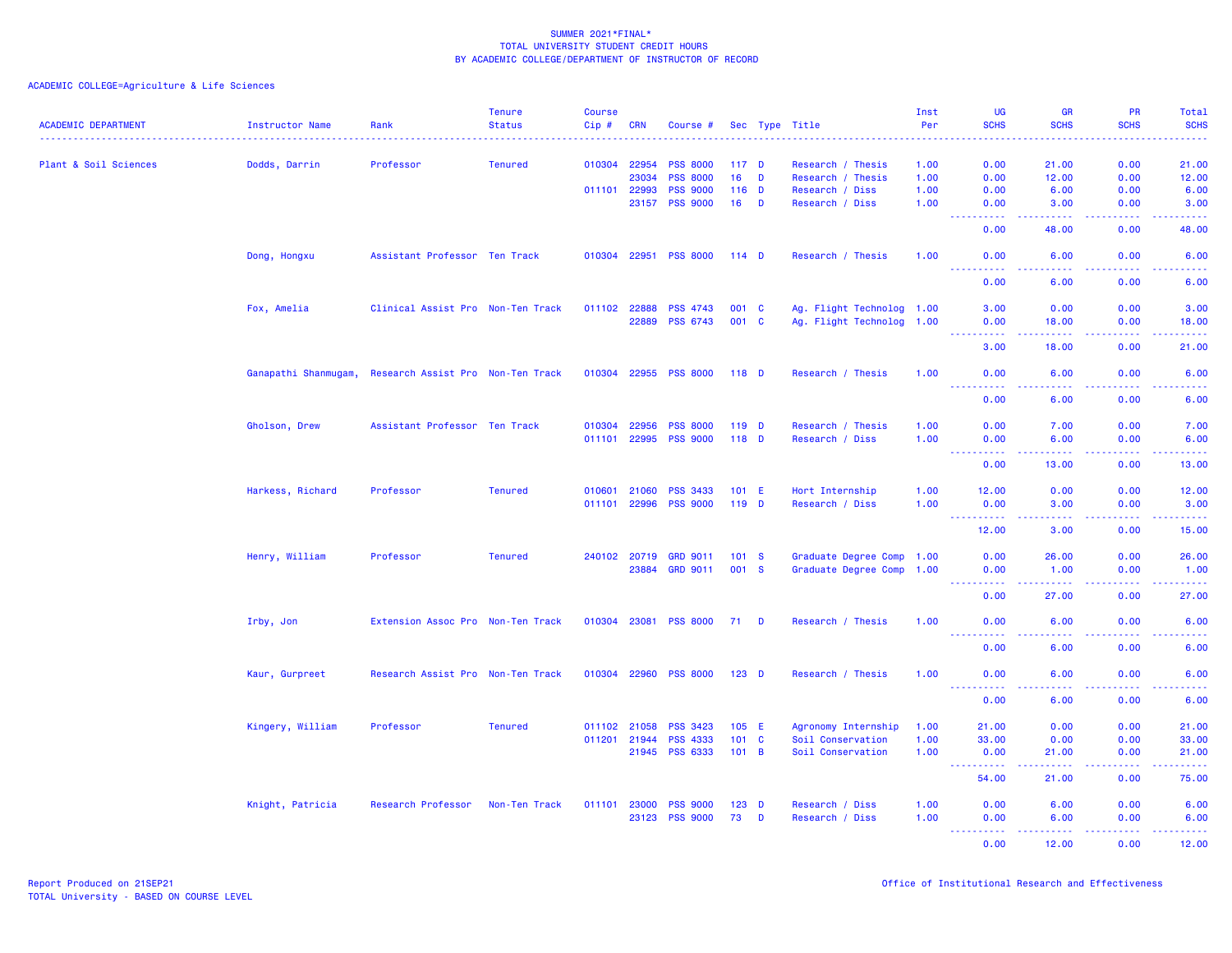| <b>ACADEMIC DEPARTMENT</b> | <b>Instructor Name</b> | Rank                              | <b>Tenure</b><br><b>Status</b> | <b>Course</b><br>$Cip$ # | <b>CRN</b>   | Course #        |                  |              | Sec Type Title            | Inst<br>Per | <b>UG</b><br><b>SCHS</b>                                                                                                                                     | <b>GR</b><br><b>SCHS</b> | <b>PR</b><br><b>SCHS</b> | <b>Total</b><br><b>SCHS</b> |
|----------------------------|------------------------|-----------------------------------|--------------------------------|--------------------------|--------------|-----------------|------------------|--------------|---------------------------|-------------|--------------------------------------------------------------------------------------------------------------------------------------------------------------|--------------------------|--------------------------|-----------------------------|
|                            |                        |                                   |                                |                          |              |                 |                  |              |                           |             |                                                                                                                                                              |                          |                          |                             |
| Plant & Soil Sciences      | Dodds, Darrin          | Professor                         | <b>Tenured</b>                 | 010304 22954             |              | <b>PSS 8000</b> | 117 <sub>D</sub> |              | Research / Thesis         | 1.00        | 0.00                                                                                                                                                         | 21.00                    | 0.00                     | 21.00                       |
|                            |                        |                                   |                                |                          | 23034        | <b>PSS 8000</b> | 16               | <b>D</b>     | Research / Thesis         | 1.00        | 0.00                                                                                                                                                         | 12.00                    | 0.00                     | 12.00                       |
|                            |                        |                                   |                                | 011101 22993             |              | <b>PSS 9000</b> | $116$ D          |              | Research / Diss           | 1.00        | 0.00                                                                                                                                                         | 6.00                     | 0.00                     | 6.00                        |
|                            |                        |                                   |                                |                          | 23157        | <b>PSS 9000</b> | 16               | D            | Research / Diss           | 1.00        | 0.00<br>ولاوياء                                                                                                                                              | 3.00                     | 0.00                     | 3.00<br>وساعات              |
|                            |                        |                                   |                                |                          |              |                 |                  |              |                           |             | 0.00                                                                                                                                                         | 48.00                    | 0.00                     | 48.00                       |
|                            | Dong, Hongxu           | Assistant Professor Ten Track     |                                | 010304                   | 22951        | <b>PSS 8000</b> | $114$ D          |              | Research / Thesis         | 1.00        | 0.00                                                                                                                                                         | 6.00                     | 0.00                     | 6.00                        |
|                            |                        |                                   |                                |                          |              |                 |                  |              |                           |             | 0.00                                                                                                                                                         | 6.00                     | 0.00                     | 6.00                        |
|                            | Fox, Amelia            | Clinical Assist Pro Non-Ten Track |                                | 011102 22888             |              | <b>PSS 4743</b> | 001 C            |              | Ag. Flight Technolog 1.00 |             | 3.00                                                                                                                                                         | 0.00                     | 0.00                     | 3.00                        |
|                            |                        |                                   |                                |                          | 22889        | <b>PSS 6743</b> | 001 C            |              | Ag. Flight Technolog 1.00 |             | 0.00<br><b></b>                                                                                                                                              | 18.00<br>.               | 0.00<br>.                | 18.00<br>.                  |
|                            |                        |                                   |                                |                          |              |                 |                  |              |                           |             | 3.00                                                                                                                                                         | 18.00                    | 0.00                     | 21.00                       |
|                            | Ganapathi Shanmugam,   | Research Assist Pro Non-Ten Track |                                | 010304                   | 22955        | <b>PSS 8000</b> | 118 <sub>D</sub> |              | Research / Thesis         | 1.00        | 0.00                                                                                                                                                         | 6.00                     | 0.00                     | 6.00                        |
|                            |                        |                                   |                                |                          |              |                 |                  |              |                           |             | 0.00                                                                                                                                                         | 6.00                     | 0.00                     | 6.00                        |
|                            | Gholson, Drew          | Assistant Professor Ten Track     |                                | 010304                   | 22956        | <b>PSS 8000</b> | 119 D            |              | Research / Thesis         | 1.00        | 0.00                                                                                                                                                         | 7.00                     | 0.00                     | 7.00                        |
|                            |                        |                                   |                                | 011101                   | 22995        | <b>PSS 9000</b> | 118 D            |              | Research / Diss           | 1.00        | 0.00                                                                                                                                                         | 6.00                     | 0.00                     | 6.00                        |
|                            |                        |                                   |                                |                          |              |                 |                  |              |                           |             | 22222                                                                                                                                                        | 22222                    | .                        | وعاعاها                     |
|                            |                        |                                   |                                |                          |              |                 |                  |              |                           |             | 0.00                                                                                                                                                         | 13.00                    | 0.00                     | 13.00                       |
|                            | Harkess, Richard       | Professor                         | <b>Tenured</b>                 | 010601                   | 21060        | <b>PSS 3433</b> | $101$ E          |              | Hort Internship           | 1.00        | 12.00                                                                                                                                                        | 0.00                     | 0.00                     | 12.00                       |
|                            |                        |                                   |                                | 011101 22996             |              | <b>PSS 9000</b> | 119 D            |              | Research / Diss           | 1.00        | 0.00<br><u>.</u>                                                                                                                                             | 3.00<br>22222            | 0.00<br>.                | 3.00<br>د د د د د           |
|                            |                        |                                   |                                |                          |              |                 |                  |              |                           |             | 12.00                                                                                                                                                        | 3.00                     | 0.00                     | 15.00                       |
|                            | Henry, William         | Professor                         | <b>Tenured</b>                 |                          | 240102 20719 | <b>GRD 9011</b> | 101 S            |              | Graduate Degree Comp 1.00 |             | 0.00                                                                                                                                                         | 26.00                    | 0.00                     | 26.00                       |
|                            |                        |                                   |                                |                          | 23884        | <b>GRD 9011</b> | 001 S            |              | Graduate Degree Comp      | 1.00        | 0.00                                                                                                                                                         | 1.00                     | 0.00                     | 1.00                        |
|                            |                        |                                   |                                |                          |              |                 |                  |              |                           |             | ----------<br>0.00                                                                                                                                           | المتمام مناسب<br>27.00   | . <b>.</b> .<br>0.00     | .<br>27.00                  |
|                            | Irby, Jon              | Extension Assoc Pro Non-Ten Track |                                | 010304 23081             |              | <b>PSS 8000</b> | 71 D             |              | Research / Thesis         | 1.00        | 0.00                                                                                                                                                         | 6.00                     | 0.00                     | 6.00                        |
|                            |                        |                                   |                                |                          |              |                 |                  |              |                           |             | <u> - - - - - - - - - -</u>                                                                                                                                  | .                        | <u>.</u>                 | .                           |
|                            |                        |                                   |                                |                          |              |                 |                  |              |                           |             | 0.00                                                                                                                                                         | 6.00                     | 0.00                     | 6.00                        |
|                            | Kaur, Gurpreet         | Research Assist Pro Non-Ten Track |                                | 010304                   | 22960        | <b>PSS 8000</b> | $123$ D          |              | Research / Thesis         | 1.00        | 0.00<br>.                                                                                                                                                    | 6.00                     | 0.00                     | 6.00<br>.                   |
|                            |                        |                                   |                                |                          |              |                 |                  |              |                           |             | 0.00                                                                                                                                                         | 6.00                     | 0.00                     | 6.00                        |
|                            | Kingery, William       | Professor                         | <b>Tenured</b>                 | 011102 21058             |              | <b>PSS 3423</b> | 105 E            |              | Agronomy Internship       | 1.00        | 21.00                                                                                                                                                        | 0.00                     | 0.00                     | 21.00                       |
|                            |                        |                                   |                                | 011201 21944             |              | <b>PSS 4333</b> | 101              | $\mathbf{C}$ | Soil Conservation         | 1.00        | 33.00                                                                                                                                                        | 0.00                     | 0.00                     | 33.00                       |
|                            |                        |                                   |                                |                          | 21945        | <b>PSS 6333</b> | 101 B            |              | Soil Conservation         | 1.00        | 0.00<br>$\frac{1}{2} \left( \frac{1}{2} \right) \left( \frac{1}{2} \right) \left( \frac{1}{2} \right) \left( \frac{1}{2} \right) \left( \frac{1}{2} \right)$ | 21.00<br>22222           | 0.00<br>.                | 21.00<br>.                  |
|                            |                        |                                   |                                |                          |              |                 |                  |              |                           |             | 54.00                                                                                                                                                        | 21.00                    | 0.00                     | 75.00                       |
|                            | Knight, Patricia       | Research Professor                | Non-Ten Track                  | 011101 23000             |              | <b>PSS 9000</b> | $123$ D          |              | Research / Diss           | 1.00        | 0.00                                                                                                                                                         | 6.00                     | 0.00                     | 6.00                        |
|                            |                        |                                   |                                |                          | 23123        | <b>PSS 9000</b> | 73               | D            | Research / Diss           | 1.00        | 0.00                                                                                                                                                         | 6.00                     | 0.00                     | 6.00                        |
|                            |                        |                                   |                                |                          |              |                 |                  |              |                           |             | المستما                                                                                                                                                      | بالأباب                  | المتمامي                 | وساعات                      |
|                            |                        |                                   |                                |                          |              |                 |                  |              |                           |             | 0.00                                                                                                                                                         | 12.00                    | 0.00                     | 12,00                       |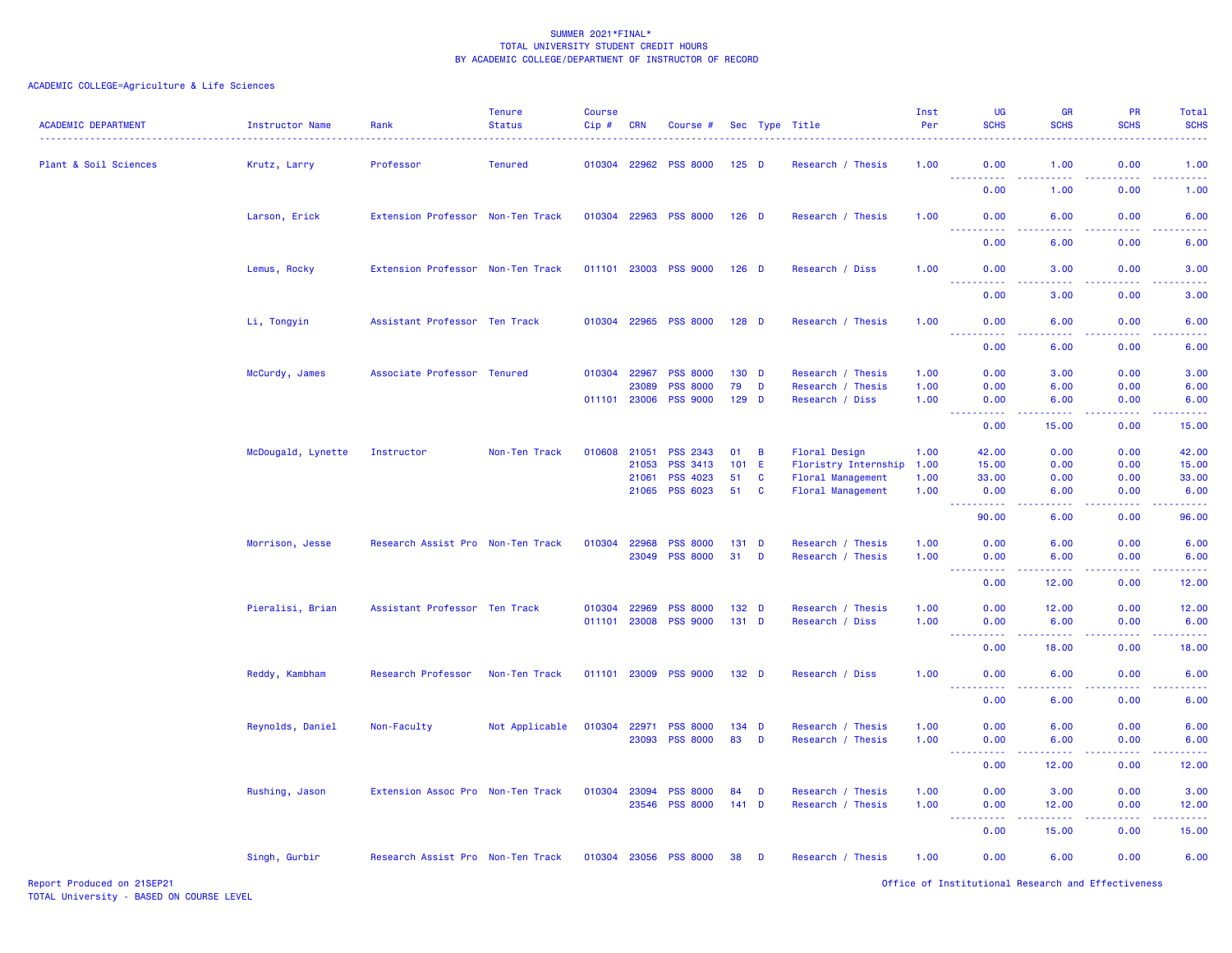| <b>ACADEMIC DEPARTMENT</b> | <b>Instructor Name</b> | Rank                              | <b>Tenure</b><br><b>Status</b> | <b>Course</b><br>$Cip$ # | <b>CRN</b>     | Course #                           |                  |              | Sec Type Title           | Inst<br>Per  | <b>UG</b><br><b>SCHS</b>                                                                            | <b>GR</b><br><b>SCHS</b>                                                                                                           | PR<br><b>SCHS</b> | Total<br><b>SCHS</b>                                                                                                                                 |
|----------------------------|------------------------|-----------------------------------|--------------------------------|--------------------------|----------------|------------------------------------|------------------|--------------|--------------------------|--------------|-----------------------------------------------------------------------------------------------------|------------------------------------------------------------------------------------------------------------------------------------|-------------------|------------------------------------------------------------------------------------------------------------------------------------------------------|
| Plant & Soil Sciences      | Krutz, Larry           | Professor                         | <b>Tenured</b>                 | 010304 22962             |                | <b>PSS 8000</b>                    | $125$ D          |              | Research / Thesis        | 1.00         | 0.00<br>.                                                                                           | 1.00<br>المتمام المتاب                                                                                                             | 0.00<br>د د د د . | 1.00<br>.                                                                                                                                            |
|                            |                        |                                   |                                |                          |                |                                    |                  |              |                          |              | 0.00                                                                                                | 1.00                                                                                                                               | 0.00              | 1.00                                                                                                                                                 |
|                            | Larson, Erick          | Extension Professor Non-Ten Track |                                |                          |                | 010304 22963 PSS 8000              | $126$ D          |              | Research / Thesis        | 1.00         | 0.00<br>22222                                                                                       | 6.00                                                                                                                               | 0.00              | 6.00                                                                                                                                                 |
|                            |                        |                                   |                                |                          |                |                                    |                  |              |                          |              | 0.00                                                                                                | 6.00                                                                                                                               | 0.00              | 6.00                                                                                                                                                 |
|                            | Lemus, Rocky           | Extension Professor Non-Ten Track |                                |                          |                | 011101 23003 PSS 9000              | $126$ D          |              | Research / Diss          | 1.00         | 0.00                                                                                                | 3.00                                                                                                                               | 0.00              | 3.00                                                                                                                                                 |
|                            |                        |                                   |                                |                          |                |                                    |                  |              |                          |              | 222222<br>0.00                                                                                      | الداليات الداري<br>3.00                                                                                                            | 22222<br>0.00     | $\frac{1}{2} \left( \frac{1}{2} \right) \left( \frac{1}{2} \right) \left( \frac{1}{2} \right) \left( \frac{1}{2} \right)$<br>3.00                    |
|                            | Li, Tongyin            | Assistant Professor Ten Track     |                                | 010304 22965             |                | <b>PSS 8000</b>                    | $128$ D          |              | Research / Thesis        | 1.00         | 0.00                                                                                                | 6.00                                                                                                                               | 0.00              | 6.00                                                                                                                                                 |
|                            |                        |                                   |                                |                          |                |                                    |                  |              |                          |              | $\sim$ $\sim$ $\sim$ $\sim$<br>0.00                                                                 | 6.00                                                                                                                               | 0.00              | 6.00                                                                                                                                                 |
|                            | McCurdy, James         | Associate Professor Tenured       |                                | 010304                   | 22967          | <b>PSS 8000</b>                    | 130 D            |              | Research / Thesis        | 1.00         | 0.00                                                                                                | 3.00                                                                                                                               | 0.00              | 3.00                                                                                                                                                 |
|                            |                        |                                   |                                |                          | 23089          | <b>PSS 8000</b>                    | 79               | D            | Research / Thesis        | 1.00         | 0.00                                                                                                | 6.00                                                                                                                               | 0.00              | 6.00                                                                                                                                                 |
|                            |                        |                                   |                                | 011101 23006             |                | <b>PSS 9000</b>                    | 129 D            |              | Research / Diss          | 1.00         | 0.00                                                                                                | 6.00                                                                                                                               | 0.00              | 6.00                                                                                                                                                 |
|                            |                        |                                   |                                |                          |                |                                    |                  |              |                          |              | $-22222$<br>----<br>0.00                                                                            | .<br>15.00                                                                                                                         | .<br>0.00         | .<br>15.00                                                                                                                                           |
|                            |                        |                                   |                                |                          |                |                                    |                  |              |                          |              |                                                                                                     |                                                                                                                                    |                   |                                                                                                                                                      |
|                            | McDougald, Lynette     | Instructor                        | Non-Ten Track                  | 010608                   | 21051          | <b>PSS 2343</b><br><b>PSS 3413</b> | 01<br>$101$ E    | B            | Floral Design            | 1.00         | 42.00                                                                                               | 0.00                                                                                                                               | 0.00              | 42.00                                                                                                                                                |
|                            |                        |                                   |                                |                          | 21053<br>21061 | <b>PSS 4023</b>                    | 51               | C            | Floristry Internship     | 1.00<br>1.00 | 15.00<br>33.00                                                                                      | 0.00<br>0.00                                                                                                                       | 0.00<br>0.00      | 15.00<br>33.00                                                                                                                                       |
|                            |                        |                                   |                                |                          | 21065          | <b>PSS 6023</b>                    | 51               | C            | <b>Floral Management</b> | 1.00         | 0.00                                                                                                | 6.00                                                                                                                               | 0.00              | 6.00                                                                                                                                                 |
|                            |                        |                                   |                                |                          |                |                                    |                  |              | Floral Management        |              | <b>.</b>                                                                                            | $\sim$ $\sim$ $\sim$ $\sim$                                                                                                        | .                 | بالأبالات                                                                                                                                            |
|                            |                        |                                   |                                |                          |                |                                    |                  |              |                          |              | 90.00                                                                                               | 6.00                                                                                                                               | 0.00              | 96.00                                                                                                                                                |
|                            | Morrison, Jesse        | Research Assist Pro Non-Ten Track |                                | 010304                   | 22968          | <b>PSS 8000</b>                    | $131$ D          |              | Research / Thesis        | 1.00         | 0.00                                                                                                | 6.00                                                                                                                               | 0.00              | 6.00                                                                                                                                                 |
|                            |                        |                                   |                                |                          | 23049          | <b>PSS 8000</b>                    | 31               | D            | Research / Thesis        | 1.00         | 0.00                                                                                                | 6.00                                                                                                                               | 0.00              | 6.00                                                                                                                                                 |
|                            |                        |                                   |                                |                          |                |                                    |                  |              |                          |              | <b></b><br>0.00                                                                                     | 22222<br>12.00                                                                                                                     | .<br>0.00         | د د د د د<br>12.00                                                                                                                                   |
|                            | Pieralisi, Brian       | Assistant Professor Ten Track     |                                | 010304                   | 22969          | <b>PSS 8000</b>                    | 132 <sub>D</sub> |              | Research / Thesis        | 1.00         | 0.00                                                                                                | 12.00                                                                                                                              | 0.00              | 12.00                                                                                                                                                |
|                            |                        |                                   |                                | 011101                   | 23008          | <b>PSS 9000</b>                    | $131$ D          |              | Research / Diss          | 1.00         | 0.00                                                                                                | 6.00                                                                                                                               | 0.00              | 6.00                                                                                                                                                 |
|                            |                        |                                   |                                |                          |                |                                    |                  |              |                          |              | <b><i><u><u><b>Little Little Little</b></u></u></i></b><br>0.00                                     | $\frac{1}{2} \left( \frac{1}{2} \right) \left( \frac{1}{2} \right) \left( \frac{1}{2} \right) \left( \frac{1}{2} \right)$<br>18.00 | .<br>0.00         | $\frac{1}{2} \left( \frac{1}{2} \right) \left( \frac{1}{2} \right) \left( \frac{1}{2} \right) \left( \frac{1}{2} \right)$<br>18.00                   |
|                            | Reddy, Kambham         | Research Professor                | Non-Ten Track                  | 011101 23009             |                | <b>PSS 9000</b>                    | 132 <sub>D</sub> |              | Research / Diss          | 1.00         | 0.00                                                                                                | 6.00                                                                                                                               | 0.00              | 6.00                                                                                                                                                 |
|                            |                        |                                   |                                |                          |                |                                    |                  |              |                          |              | .<br>0.00                                                                                           | .<br>6.00                                                                                                                          | .<br>0.00         | $\frac{1}{2} \left( \frac{1}{2} \right) \left( \frac{1}{2} \right) \left( \frac{1}{2} \right) \left( \frac{1}{2} \right)$<br>6.00                    |
|                            | Reynolds, Daniel       | Non-Faculty                       | Not Applicable                 | 010304                   | 22971          | <b>PSS 8000</b>                    | $134$ D          |              | Research / Thesis        | 1.00         | 0.00                                                                                                | 6.00                                                                                                                               | 0.00              | 6.00                                                                                                                                                 |
|                            |                        |                                   |                                |                          | 23093          | <b>PSS 8000</b>                    | 83               | $\mathbf{D}$ | Research / Thesis        | 1.00         | 0.00                                                                                                | 6.00                                                                                                                               | 0.00              | 6.00                                                                                                                                                 |
|                            |                        |                                   |                                |                          |                |                                    |                  |              |                          |              | $\frac{1}{2} \left( \frac{1}{2} \right) \left( \frac{1}{2} \right) \left( \frac{1}{2} \right)$<br>. | .                                                                                                                                  | .                 | $\frac{1}{2} \left( \frac{1}{2} \right) \left( \frac{1}{2} \right) \left( \frac{1}{2} \right) \left( \frac{1}{2} \right) \left( \frac{1}{2} \right)$ |
|                            |                        |                                   |                                |                          |                |                                    |                  |              |                          |              | 0.00                                                                                                | 12.00                                                                                                                              | 0.00              | 12.00                                                                                                                                                |
|                            | Rushing, Jason         | Extension Assoc Pro Non-Ten Track |                                | 010304                   |                | 23094 PSS 8000                     | 84               | D            | Research / Thesis        | 1.00         | 0.00                                                                                                | 3.00                                                                                                                               | 0.00              | 3.00                                                                                                                                                 |
|                            |                        |                                   |                                |                          |                | 23546 PSS 8000                     | $141$ D          |              | Research / Thesis        | 1.00         | 0.00                                                                                                | 12.00                                                                                                                              | 0.00              | 12.00                                                                                                                                                |
|                            |                        |                                   |                                |                          |                |                                    |                  |              |                          |              | .<br>$\sim$ $\sim$ $\sim$<br>0.00                                                                   | $\begin{array}{cccccccccccccc} \bullet & \bullet & \bullet & \bullet & \bullet & \bullet & \bullet \end{array}$<br>15.00           | .<br>0.00         | د د د د د<br>15.00                                                                                                                                   |
|                            | Singh, Gurbir          | Research Assist Pro Non-Ten Track |                                | 010304 23056             |                | <b>PSS 8000</b>                    | 38               | Ð            | Research / Thesis        | 1.00         | 0.00                                                                                                | 6.00                                                                                                                               | 0.00              | 6.00                                                                                                                                                 |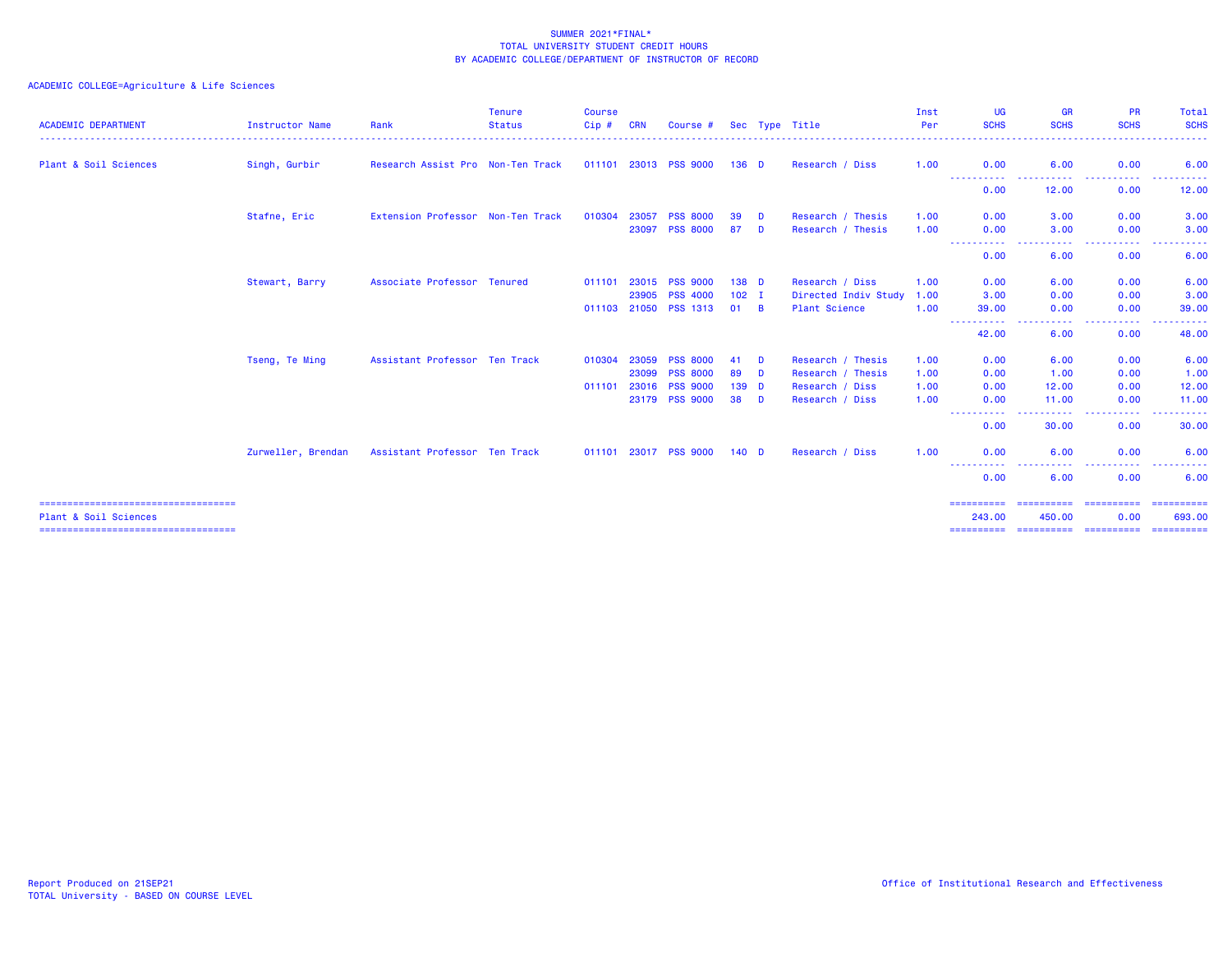| <b>ACADEMIC DEPARTMENT</b>             | <b>Instructor Name</b> | Rank                              | <b>Tenure</b><br><b>Status</b> | <b>Course</b><br>$Cip$ # | <b>CRN</b> | Course #              |                  |          | Sec Type Title       | Inst<br>Per | UG<br><b>SCHS</b>             | <b>GR</b><br><b>SCHS</b> | <b>PR</b><br><b>SCHS</b> | Total<br><b>SCHS</b> |
|----------------------------------------|------------------------|-----------------------------------|--------------------------------|--------------------------|------------|-----------------------|------------------|----------|----------------------|-------------|-------------------------------|--------------------------|--------------------------|----------------------|
| Plant & Soil Sciences                  | Singh, Gurbir          | Research Assist Pro Non-Ten Track |                                | 011101 23013             |            | <b>PSS 9000</b>       | $136$ D          |          | Research / Diss      | 1.00        | 0.00                          | 6.00                     | 0.00                     | 6.00                 |
|                                        |                        |                                   |                                |                          |            |                       |                  |          |                      |             | ----------<br>0.00            | . <u>.</u> .<br>12.00    | .<br>0.00                | 12.00                |
|                                        | Stafne, Eric           | Extension Professor Non-Ten Track |                                | 010304                   | 23057      | <b>PSS 8000</b>       | 39               | D        | Research / Thesis    | 1.00        | 0.00                          | 3.00                     | 0.00                     | 3.00                 |
|                                        |                        |                                   |                                |                          | 23097      | <b>PSS 8000</b>       | 87               | D        | Research / Thesis    | 1.00        | 0.00<br>. <b>. .</b>          | 3.00<br>. <b>.</b> .     | 0.00<br>.                | 3.00<br>. <b>.</b> . |
|                                        |                        |                                   |                                |                          |            |                       |                  |          |                      |             | 0.00                          | 6.00                     | 0.00                     | 6.00                 |
|                                        | Stewart, Barry         | Associate Professor Tenured       |                                | 011101                   | 23015      | <b>PSS 9000</b>       | 138 D            |          | Research / Diss      | 1.00        | 0.00                          | 6.00                     | 0.00                     | 6.00                 |
|                                        |                        |                                   |                                |                          | 23905      | <b>PSS 4000</b>       | $102$ I          |          | Directed Indiv Study | 1.00        | 3.00                          | 0.00                     | 0.00                     | 3.00                 |
|                                        |                        |                                   |                                |                          |            | 011103 21050 PSS 1313 | $01 \quad B$     |          | <b>Plant Science</b> | 1.00        | 39.00<br>. <b>. .</b>         | 0.00<br>----             | 0.00<br>-----            | 39.00<br><u>.</u>    |
|                                        |                        |                                   |                                |                          |            |                       |                  |          |                      |             | 42.00                         | 6.00                     | 0.00                     | 48.00                |
|                                        | Tseng, Te Ming         | Assistant Professor Ten Track     |                                | 010304                   | 23059      | <b>PSS 8000</b>       | 41               | D        | Research / Thesis    | 1.00        | 0.00                          | 6.00                     | 0.00                     | 6.00                 |
|                                        |                        |                                   |                                |                          | 23099      | <b>PSS 8000</b>       | 89               | <b>D</b> | Research / Thesis    | 1.00        | 0.00                          | 1.00                     | 0.00                     | 1.00                 |
|                                        |                        |                                   |                                | 011101                   | 23016      | <b>PSS 9000</b>       | 139 <sub>D</sub> |          | Research / Diss      | 1.00        | 0.00                          | 12.00                    | 0.00                     | 12.00                |
|                                        |                        |                                   |                                |                          |            | 23179 PSS 9000        | 38 D             |          | Research / Diss      | 1.00        | 0.00<br>المتمامين<br>$\cdots$ | 11.00<br>.               | 0.00<br>.                | 11.00<br>.           |
|                                        |                        |                                   |                                |                          |            |                       |                  |          |                      |             | 0.00                          | 30.00                    | 0.00                     | 30.00                |
|                                        | Zurweller, Brendan     | Assistant Professor Ten Track     |                                |                          |            | 011101 23017 PSS 9000 | 140 <sub>D</sub> |          | Research / Diss      | 1.00        | 0.00                          | 6.00                     | 0.00                     | 6.00                 |
|                                        |                        |                                   |                                |                          |            |                       |                  |          |                      |             | -----<br>0.00                 | 6.00                     | 0.00                     | 6.00                 |
| ====================================== |                        |                                   |                                |                          |            |                       |                  |          |                      |             | ==========                    |                          |                          |                      |
| Plant & Soil Sciences                  |                        |                                   |                                |                          |            |                       |                  |          |                      |             | 243.00<br>==========          | 450.00<br>==========     | 0.00<br>==========       | 693.00<br>========== |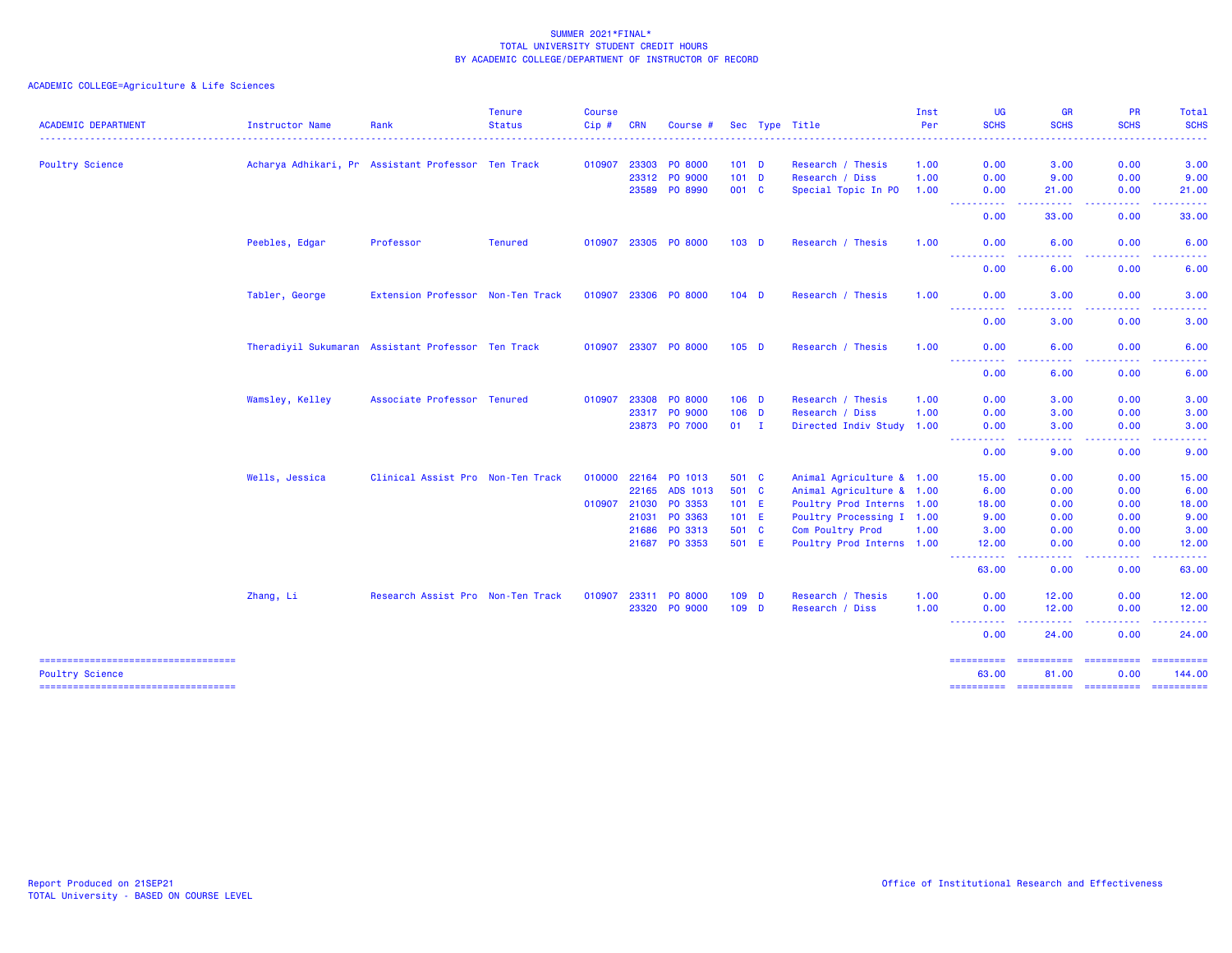| <b>ACADEMIC DEPARTMENT</b>                                      | Instructor Name | Rank                                               | <b>Tenure</b><br><b>Status</b> | Course<br>Cip# | <b>CRN</b> | Course #             |         | Sec Type Title            | Inst<br>Per | <b>UG</b><br><b>SCHS</b>                                                                                                                                                                                                                                                                                                                                                                                                                                                                        | <b>GR</b><br><b>SCHS</b>                                                                                                          | PR<br><b>SCHS</b>                                                                                                                                            | <b>Total</b><br><b>SCHS</b>                                                                                                                                                                                                                                                                                                                                                                                                                                                                      |
|-----------------------------------------------------------------|-----------------|----------------------------------------------------|--------------------------------|----------------|------------|----------------------|---------|---------------------------|-------------|-------------------------------------------------------------------------------------------------------------------------------------------------------------------------------------------------------------------------------------------------------------------------------------------------------------------------------------------------------------------------------------------------------------------------------------------------------------------------------------------------|-----------------------------------------------------------------------------------------------------------------------------------|--------------------------------------------------------------------------------------------------------------------------------------------------------------|--------------------------------------------------------------------------------------------------------------------------------------------------------------------------------------------------------------------------------------------------------------------------------------------------------------------------------------------------------------------------------------------------------------------------------------------------------------------------------------------------|
|                                                                 |                 |                                                    |                                |                |            |                      |         |                           |             |                                                                                                                                                                                                                                                                                                                                                                                                                                                                                                 | .                                                                                                                                 | .                                                                                                                                                            | .                                                                                                                                                                                                                                                                                                                                                                                                                                                                                                |
| Poultry Science                                                 |                 | Acharya Adhikari, Pr Assistant Professor Ten Track |                                | 010907         | 23303      | <b>PO 8000</b>       | $101$ D | Research / Thesis         | 1.00        | 0.00                                                                                                                                                                                                                                                                                                                                                                                                                                                                                            | 3.00                                                                                                                              | 0.00                                                                                                                                                         | 3.00                                                                                                                                                                                                                                                                                                                                                                                                                                                                                             |
|                                                                 |                 |                                                    |                                |                | 23312      | <b>PO 9000</b>       | $101$ D | Research / Diss           | 1.00        | 0.00                                                                                                                                                                                                                                                                                                                                                                                                                                                                                            | 9.00                                                                                                                              | 0.00                                                                                                                                                         | 9.00                                                                                                                                                                                                                                                                                                                                                                                                                                                                                             |
|                                                                 |                 |                                                    |                                |                | 23589      | PO 8990              | 001 C   | Special Topic In PO       | 1.00        | 0.00<br>----------                                                                                                                                                                                                                                                                                                                                                                                                                                                                              | 21.00<br>-----                                                                                                                    | 0.00<br>. <b>.</b>                                                                                                                                           | 21.00<br>.                                                                                                                                                                                                                                                                                                                                                                                                                                                                                       |
|                                                                 |                 |                                                    |                                |                |            |                      |         |                           |             | 0.00                                                                                                                                                                                                                                                                                                                                                                                                                                                                                            | 33.00                                                                                                                             | 0.00                                                                                                                                                         | 33.00                                                                                                                                                                                                                                                                                                                                                                                                                                                                                            |
|                                                                 | Peebles, Edgar  | Professor                                          | <b>Tenured</b>                 |                |            | 010907 23305 PO 8000 | $103$ D | Research / Thesis         | 1.00        | 0.00<br>$\frac{1}{2} \left( \frac{1}{2} \right) \left( \frac{1}{2} \right) \left( \frac{1}{2} \right)$<br><u>.</u>                                                                                                                                                                                                                                                                                                                                                                              | 6.00                                                                                                                              | 0.00                                                                                                                                                         | 6.00                                                                                                                                                                                                                                                                                                                                                                                                                                                                                             |
|                                                                 |                 |                                                    |                                |                |            |                      |         |                           |             | 0.00                                                                                                                                                                                                                                                                                                                                                                                                                                                                                            | 6.00                                                                                                                              | 0.00                                                                                                                                                         | 6.00                                                                                                                                                                                                                                                                                                                                                                                                                                                                                             |
|                                                                 | Tabler, George  | Extension Professor Non-Ten Track                  |                                | 010907 23306   |            | <b>PO 8000</b>       | $104$ D | Research / Thesis         | 1.00        | 0.00<br>$\frac{1}{2} \left( \frac{1}{2} \right) \left( \frac{1}{2} \right) \left( \frac{1}{2} \right) \left( \frac{1}{2} \right) \left( \frac{1}{2} \right)$                                                                                                                                                                                                                                                                                                                                    | 3.00                                                                                                                              | 0.00                                                                                                                                                         | 3.00                                                                                                                                                                                                                                                                                                                                                                                                                                                                                             |
|                                                                 |                 |                                                    |                                |                |            |                      |         |                           |             | 0.00                                                                                                                                                                                                                                                                                                                                                                                                                                                                                            | 3.00                                                                                                                              | 0.00                                                                                                                                                         | 3.00                                                                                                                                                                                                                                                                                                                                                                                                                                                                                             |
|                                                                 |                 | Theradiyil Sukumaran Assistant Professor Ten Track |                                |                |            | 010907 23307 PO 8000 | $105$ D | Research / Thesis         | 1.00        | 0.00<br>----------                                                                                                                                                                                                                                                                                                                                                                                                                                                                              | 6.00<br>$\frac{1}{2} \left( \frac{1}{2} \right) \left( \frac{1}{2} \right) \left( \frac{1}{2} \right) \left( \frac{1}{2} \right)$ | 0.00<br>.                                                                                                                                                    | 6.00                                                                                                                                                                                                                                                                                                                                                                                                                                                                                             |
|                                                                 |                 |                                                    |                                |                |            |                      |         |                           |             | 0.00                                                                                                                                                                                                                                                                                                                                                                                                                                                                                            | 6.00                                                                                                                              | 0.00                                                                                                                                                         | 6.00                                                                                                                                                                                                                                                                                                                                                                                                                                                                                             |
|                                                                 | Wamsley, Kelley | Associate Professor Tenured                        |                                | 010907         | 23308      | <b>PO 8000</b>       | $106$ D | Research / Thesis         | 1.00        | 0.00                                                                                                                                                                                                                                                                                                                                                                                                                                                                                            | 3.00                                                                                                                              | 0.00                                                                                                                                                         | 3.00                                                                                                                                                                                                                                                                                                                                                                                                                                                                                             |
|                                                                 |                 |                                                    |                                |                | 23317      | PO 9000              | $106$ D | Research / Diss           | 1.00        | 0.00                                                                                                                                                                                                                                                                                                                                                                                                                                                                                            | 3.00                                                                                                                              | 0.00                                                                                                                                                         | 3.00                                                                                                                                                                                                                                                                                                                                                                                                                                                                                             |
|                                                                 |                 |                                                    |                                |                |            | 23873 PO 7000        | $01$ I  | Directed Indiv Study 1.00 |             | 0.00<br>----------                                                                                                                                                                                                                                                                                                                                                                                                                                                                              | 3.00<br>.                                                                                                                         | 0.00<br>$\frac{1}{2} \left( \frac{1}{2} \right) \left( \frac{1}{2} \right) \left( \frac{1}{2} \right) \left( \frac{1}{2} \right) \left( \frac{1}{2} \right)$ | 3.00<br>.                                                                                                                                                                                                                                                                                                                                                                                                                                                                                        |
|                                                                 |                 |                                                    |                                |                |            |                      |         |                           |             | 0.00                                                                                                                                                                                                                                                                                                                                                                                                                                                                                            | 9.00                                                                                                                              | 0.00                                                                                                                                                         | 9.00                                                                                                                                                                                                                                                                                                                                                                                                                                                                                             |
|                                                                 | Wells, Jessica  | Clinical Assist Pro Non-Ten Track                  |                                | 010000         | 22164      | PO 1013              | 501 C   | Animal Agriculture & 1.00 |             | 15.00                                                                                                                                                                                                                                                                                                                                                                                                                                                                                           | 0.00                                                                                                                              | 0.00                                                                                                                                                         | 15.00                                                                                                                                                                                                                                                                                                                                                                                                                                                                                            |
|                                                                 |                 |                                                    |                                |                | 22165      | ADS 1013             | 501 C   | Animal Agriculture & 1.00 |             | 6.00                                                                                                                                                                                                                                                                                                                                                                                                                                                                                            | 0.00                                                                                                                              | 0.00                                                                                                                                                         | 6.00                                                                                                                                                                                                                                                                                                                                                                                                                                                                                             |
|                                                                 |                 |                                                    |                                | 010907 21030   |            | PO 3353              | 101 E   | Poultry Prod Interns 1.00 |             | 18.00                                                                                                                                                                                                                                                                                                                                                                                                                                                                                           | 0.00                                                                                                                              | 0.00                                                                                                                                                         | 18.00                                                                                                                                                                                                                                                                                                                                                                                                                                                                                            |
|                                                                 |                 |                                                    |                                |                | 21031      | PO 3363              | 101 E   | Poultry Processing I 1.00 |             | 9.00                                                                                                                                                                                                                                                                                                                                                                                                                                                                                            | 0.00                                                                                                                              | 0.00                                                                                                                                                         | 9.00                                                                                                                                                                                                                                                                                                                                                                                                                                                                                             |
|                                                                 |                 |                                                    |                                |                | 21686      | PO 3313              | 501 C   | Com Poultry Prod          | 1.00        | 3.00                                                                                                                                                                                                                                                                                                                                                                                                                                                                                            | 0.00                                                                                                                              | 0.00                                                                                                                                                         | 3.00                                                                                                                                                                                                                                                                                                                                                                                                                                                                                             |
|                                                                 |                 |                                                    |                                |                | 21687      | PO 3353              | 501 E   | Poultry Prod Interns 1.00 |             | 12.00<br>.                                                                                                                                                                                                                                                                                                                                                                                                                                                                                      | 0.00<br>$\frac{1}{2} \left( \frac{1}{2} \right) \left( \frac{1}{2} \right) \left( \frac{1}{2} \right)$                            | 0.00<br>.                                                                                                                                                    | 12.00<br>. <u>.</u> .                                                                                                                                                                                                                                                                                                                                                                                                                                                                            |
|                                                                 |                 |                                                    |                                |                |            |                      |         |                           |             | 63.00                                                                                                                                                                                                                                                                                                                                                                                                                                                                                           | 0.00                                                                                                                              | 0.00                                                                                                                                                         | 63.00                                                                                                                                                                                                                                                                                                                                                                                                                                                                                            |
|                                                                 | Zhang, Li       | Research Assist Pro Non-Ten Track                  |                                | 010907         | 23311      | <b>PO 8000</b>       | $109$ D | Research / Thesis         | 1.00        | 0.00                                                                                                                                                                                                                                                                                                                                                                                                                                                                                            | 12.00                                                                                                                             | 0.00                                                                                                                                                         | 12.00                                                                                                                                                                                                                                                                                                                                                                                                                                                                                            |
|                                                                 |                 |                                                    |                                |                |            | 23320 PO 9000        | $109$ D | Research / Diss           | 1.00        | 0.00<br>$\sim$ $\sim$ $\sim$ $\sim$<br>.                                                                                                                                                                                                                                                                                                                                                                                                                                                        | 12.00<br>.                                                                                                                        | 0.00<br>د د د د                                                                                                                                              | 12.00<br>.                                                                                                                                                                                                                                                                                                                                                                                                                                                                                       |
|                                                                 |                 |                                                    |                                |                |            |                      |         |                           |             | 0.00                                                                                                                                                                                                                                                                                                                                                                                                                                                                                            | 24.00                                                                                                                             | 0.00                                                                                                                                                         | 24.00                                                                                                                                                                                                                                                                                                                                                                                                                                                                                            |
| =====================================<br><b>Poultry Science</b> |                 |                                                    |                                |                |            |                      |         |                           |             | $\begin{array}{cccccccccc} \multicolumn{2}{c}{} & \multicolumn{2}{c}{} & \multicolumn{2}{c}{} & \multicolumn{2}{c}{} & \multicolumn{2}{c}{} & \multicolumn{2}{c}{} & \multicolumn{2}{c}{} & \multicolumn{2}{c}{} & \multicolumn{2}{c}{} & \multicolumn{2}{c}{} & \multicolumn{2}{c}{} & \multicolumn{2}{c}{} & \multicolumn{2}{c}{} & \multicolumn{2}{c}{} & \multicolumn{2}{c}{} & \multicolumn{2}{c}{} & \multicolumn{2}{c}{} & \multicolumn{2}{c}{} & \multicolumn{2}{c}{} & \mult$<br>63.00 | ==========<br>81.00                                                                                                               | <b>ESSESSERS</b><br>0.00                                                                                                                                     | $\begin{array}{cccccccccc} \multicolumn{2}{c}{} & \multicolumn{2}{c}{} & \multicolumn{2}{c}{} & \multicolumn{2}{c}{} & \multicolumn{2}{c}{} & \multicolumn{2}{c}{} & \multicolumn{2}{c}{} & \multicolumn{2}{c}{} & \multicolumn{2}{c}{} & \multicolumn{2}{c}{} & \multicolumn{2}{c}{} & \multicolumn{2}{c}{} & \multicolumn{2}{c}{} & \multicolumn{2}{c}{} & \multicolumn{2}{c}{} & \multicolumn{2}{c}{} & \multicolumn{2}{c}{} & \multicolumn{2}{c}{} & \multicolumn{2}{c}{} & \mult$<br>144.00 |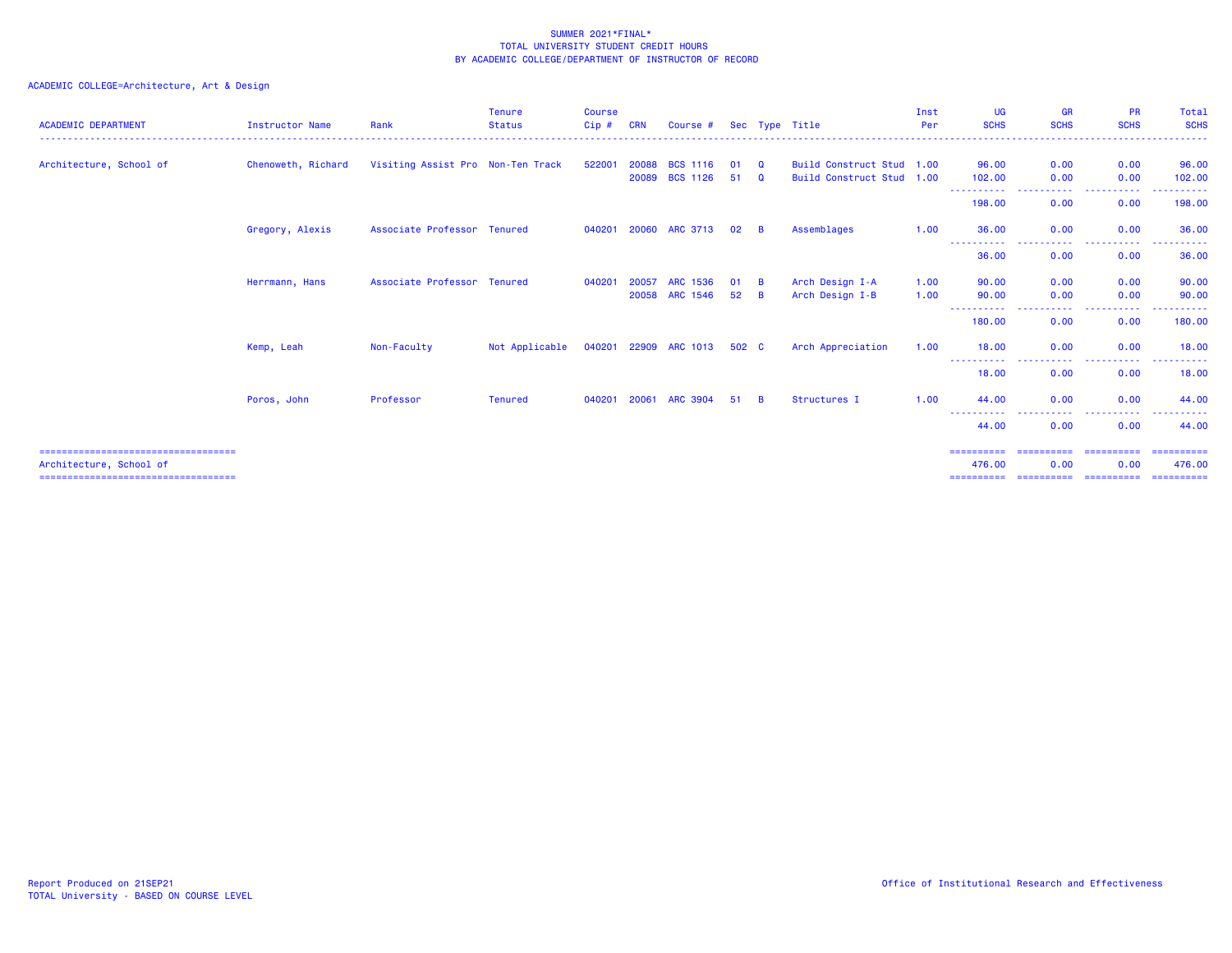### ACADEMIC COLLEGE=Architecture, Art & Design

| <b>ACADEMIC DEPARTMENT</b>                                                                                  | <b>Instructor Name</b> | Rank                              | <b>Tenure</b><br><b>Status</b> | <b>Course</b><br>Cip# | <b>CRN</b>     | Course #                           |          |                      | Sec Type Title                                         | Inst<br>Per  | UG<br><b>SCHS</b>                                                                                            | <b>GR</b><br><b>SCHS</b>           | <b>PR</b><br><b>SCHS</b>                                                                                                                                     | Total<br><b>SCHS</b>                |
|-------------------------------------------------------------------------------------------------------------|------------------------|-----------------------------------|--------------------------------|-----------------------|----------------|------------------------------------|----------|----------------------|--------------------------------------------------------|--------------|--------------------------------------------------------------------------------------------------------------|------------------------------------|--------------------------------------------------------------------------------------------------------------------------------------------------------------|-------------------------------------|
| Architecture, School of                                                                                     | Chenoweth, Richard     | Visiting Assist Pro Non-Ten Track |                                | 522001                | 20088<br>20089 | <b>BCS 1116</b><br><b>BCS 1126</b> | 01<br>51 | Q<br>$\Omega$        | Build Construct Stud 1.00<br>Build Construct Stud 1.00 |              | 96.00<br>102.00                                                                                              | 0.00<br>0.00                       | 0.00<br>0.00                                                                                                                                                 | 96.00<br>102.00                     |
|                                                                                                             |                        |                                   |                                |                       |                |                                    |          |                      |                                                        |              | -----------<br>$  -$<br>198.00                                                                               | <b><i><u>ALLAS</u></i></b><br>0.00 | .<br>0.00                                                                                                                                                    | .<br>198.00                         |
|                                                                                                             | Gregory, Alexis        | Associate Professor Tenured       |                                |                       |                | 040201 20060 ARC 3713              | 02       | <b>B</b>             | Assemblages                                            | 1.00         | 36.00                                                                                                        | 0.00                               | 0.00                                                                                                                                                         | 36.00                               |
|                                                                                                             |                        |                                   |                                |                       |                |                                    |          |                      |                                                        |              | -----------<br>36.00                                                                                         | . <b>.</b><br>0.00                 | $\frac{1}{2} \left( \frac{1}{2} \right) \left( \frac{1}{2} \right) \left( \frac{1}{2} \right) \left( \frac{1}{2} \right) \left( \frac{1}{2} \right)$<br>0.00 | .<br>36.00                          |
|                                                                                                             | Herrmann, Hans         | Associate Professor Tenured       |                                | 040201                | 20057<br>20058 | <b>ARC 1536</b><br>ARC 1546        | 01<br>52 | <b>B</b><br><b>B</b> | Arch Design I-A<br>Arch Design I-B                     | 1.00<br>1.00 | 90.00<br>90.00                                                                                               | 0.00<br>0.00                       | 0.00<br>0.00                                                                                                                                                 | 90.00<br>90.00                      |
|                                                                                                             |                        |                                   |                                |                       |                |                                    |          |                      |                                                        |              | ----------- ---<br>180.00                                                                                    | . <b>.</b> .<br>0.00               | .<br>0.00                                                                                                                                                    | .<br>180.00                         |
|                                                                                                             | Kemp, Leah             | Non-Faculty                       | Not Applicable                 |                       |                | 040201 22909 ARC 1013              | 502 C    |                      | Arch Appreciation                                      | 1.00         | 18.00<br>$\frac{1}{2} \left( \frac{1}{2} \right) \left( \frac{1}{2} \right) \left( \frac{1}{2} \right)$<br>. | 0.00                               | 0.00<br>----                                                                                                                                                 | 18.00<br>.                          |
|                                                                                                             |                        |                                   |                                |                       |                |                                    |          |                      |                                                        |              | 18.00                                                                                                        | 0.00                               | 0.00                                                                                                                                                         | 18.00                               |
|                                                                                                             | Poros, John            | Professor                         | <b>Tenured</b>                 | 040201                | 20061          | ARC 3904                           | 51       | <b>B</b>             | Structures I                                           | 1.00         | 44.00<br>$\frac{1}{2} \left( \frac{1}{2} \right) \frac{1}{2} \left( \frac{1}{2} \right)$                     | 0.00                               | 0.00                                                                                                                                                         | 44.00                               |
|                                                                                                             |                        |                                   |                                |                       |                |                                    |          |                      |                                                        |              | 44.00                                                                                                        | 0.00                               | 0.00                                                                                                                                                         | 44.00                               |
| ======================================<br>Architecture, School of<br>====================================== |                        |                                   |                                |                       |                |                                    |          |                      |                                                        |              | ==========<br>476.00<br>==========                                                                           | ==========<br>0.00<br>==========   | ==========<br>0.00<br>==========                                                                                                                             | -----------<br>476.00<br>========== |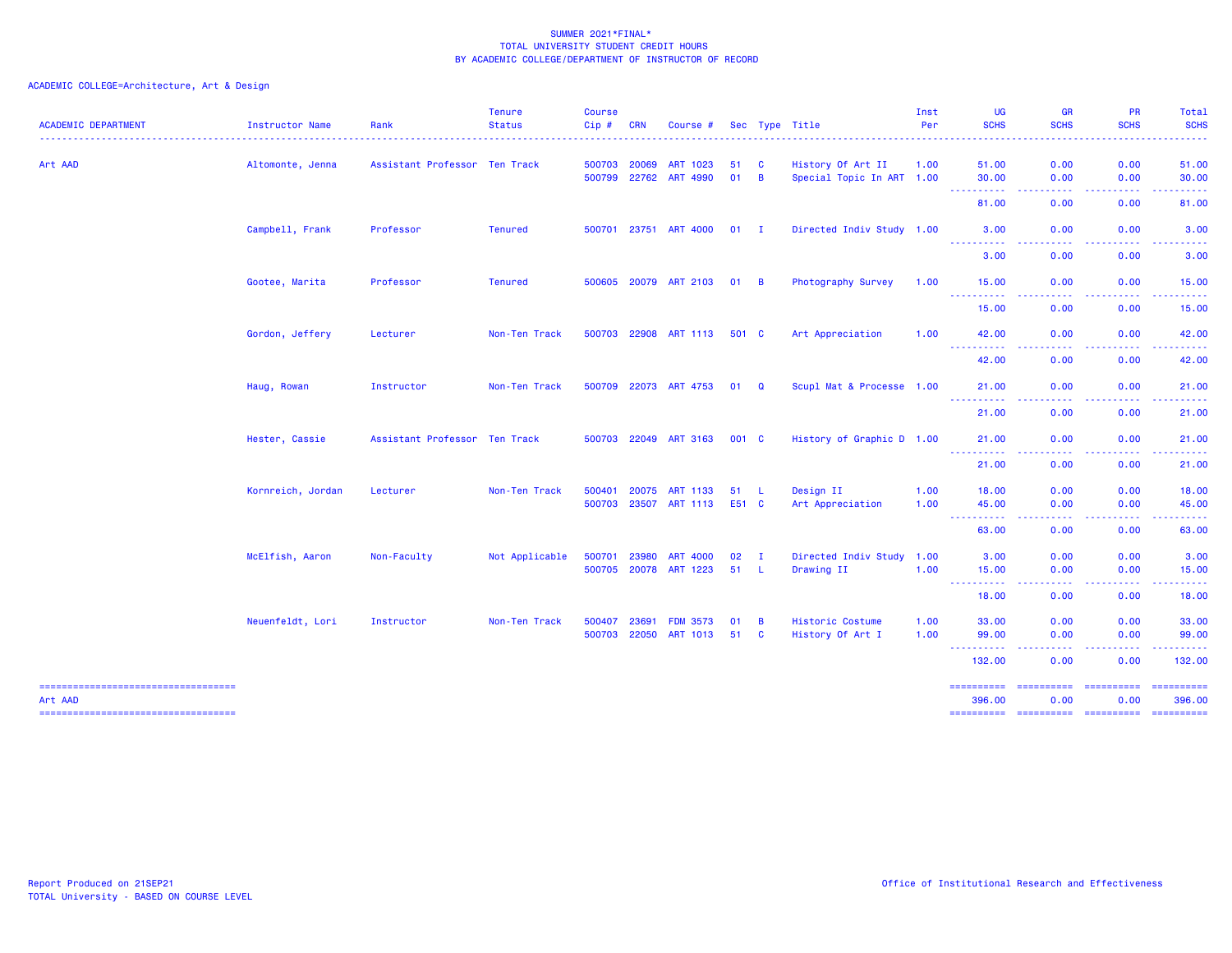ACADEMIC COLLEGE=Architecture, Art & Design

| <b>ACADEMIC DEPARTMENT</b>                     | Instructor Name   | Rank                          | <b>Tenure</b><br><b>Status</b> | <b>Course</b><br>Cip# | <b>CRN</b>                   | Course #                           |              |                   | Sec Type Title                                 | Inst<br>Per  | UG<br><b>SCHS</b>    | <b>GR</b><br><b>SCHS</b>                                                             | PR<br><b>SCHS</b>        | Total<br><b>SCHS</b> |
|------------------------------------------------|-------------------|-------------------------------|--------------------------------|-----------------------|------------------------------|------------------------------------|--------------|-------------------|------------------------------------------------|--------------|----------------------|--------------------------------------------------------------------------------------|--------------------------|----------------------|
| Art AAD                                        | Altomonte, Jenna  | Assistant Professor Ten Track |                                |                       | 500703 20069<br>500799 22762 | <b>ART 1023</b><br>ART 4990        | 51<br>01     | $\mathbf{C}$<br>B | History Of Art II<br>Special Topic In ART 1.00 | 1.00         | 51.00<br>30.00       | 0.00<br>0.00                                                                         | 0.00<br>0.00             | 51.00<br>30.00       |
|                                                |                   |                               |                                |                       |                              |                                    |              |                   |                                                |              | ----------<br>81.00  | د د د د<br>0.00                                                                      | .<br>0.00                | .<br>81.00           |
|                                                | Campbell, Frank   | Professor                     | <b>Tenured</b>                 |                       |                              | 500701 23751 ART 4000              | $01$ I       |                   | Directed Indiv Study 1.00                      |              | 3.00                 | 0.00                                                                                 | 0.00                     | 3.00                 |
|                                                |                   |                               |                                |                       |                              |                                    |              |                   |                                                |              | <b></b><br>3.00      | .<br>0.00                                                                            | .<br>0.00                | .<br>3.00            |
|                                                | Gootee, Marita    | Professor                     | <b>Tenured</b>                 |                       |                              | 500605 20079 ART 2103              | $01 \quad B$ |                   | Photography Survey                             | 1.00         | 15.00<br><u>.</u>    | 0.00                                                                                 | 0.00                     | 15.00                |
|                                                |                   |                               |                                |                       |                              |                                    |              |                   |                                                |              | 15.00                | 0.00                                                                                 | 0.00                     | 15.00                |
|                                                | Gordon, Jeffery   | Lecturer                      | Non-Ten Track                  |                       |                              | 500703 22908 ART 1113              | 501 C        |                   | Art Appreciation                               | 1.00         | 42.00<br>----------  | 0.00                                                                                 | 0.00                     | 42.00                |
|                                                |                   |                               |                                |                       |                              |                                    |              |                   |                                                |              | 42.00                | 0.00                                                                                 | 0.00                     | 42.00                |
|                                                | Haug, Rowan       | Instructor                    | Non-Ten Track                  |                       |                              | 500709 22073 ART 4753              | $01 \quad Q$ |                   | Scupl Mat & Processe 1.00                      |              | 21.00<br>----------  | 0.00<br>-----<br>$\frac{1}{2} \left( \frac{1}{2} \right) \left( \frac{1}{2} \right)$ | 0.00<br>-----            | 21.00<br>------      |
|                                                |                   |                               |                                |                       |                              |                                    |              |                   |                                                |              | 21.00                | 0.00                                                                                 | 0.00                     | 21.00                |
|                                                | Hester, Cassie    | Assistant Professor Ten Track |                                |                       |                              | 500703 22049 ART 3163              | 001 C        |                   | History of Graphic D 1.00                      |              | 21.00<br>.           | 0.00                                                                                 | 0.00                     | 21.00                |
|                                                |                   |                               |                                |                       |                              |                                    |              |                   |                                                |              | 21.00                | 0.00                                                                                 | 0.00                     | 21.00                |
|                                                | Kornreich, Jordan | Lecturer                      | Non-Ten Track                  | 500401                | 20075<br>500703 23507        | ART 1133<br>ART 1113               | 51<br>E51 C  | - L               | Design II<br>Art Appreciation                  | 1.00<br>1.00 | 18.00<br>45.00       | 0.00<br>0.00                                                                         | 0.00<br>0.00             | 18.00<br>45.00       |
|                                                |                   |                               |                                |                       |                              |                                    |              |                   |                                                |              | ----------<br>63.00  | 0.00                                                                                 | .<br>0.00                | 63.00                |
|                                                | McElfish, Aaron   | Non-Faculty                   | Not Applicable                 | 500701                | 23980                        | <b>ART 4000</b>                    | 02           | $\mathbf{I}$      | Directed Indiv Study 1.00                      |              | 3.00                 | 0.00                                                                                 | 0.00                     | 3.00                 |
|                                                |                   |                               |                                |                       |                              | 500705 20078 ART 1223              | 51           | - L               | Drawing II                                     | 1.00         | 15.00<br>----------  | 0.00<br>.                                                                            | 0.00<br>.                | 15.00<br>.           |
|                                                |                   |                               |                                |                       |                              |                                    |              |                   |                                                |              | 18.00                | 0.00                                                                                 | 0.00                     | 18.00                |
|                                                | Neuenfeldt, Lori  | Instructor                    | Non-Ten Track                  | 500407                | 23691<br>500703 22050        | <b>FDM 3573</b><br><b>ART 1013</b> | 01<br>51 C   | B                 | Historic Costume<br>History Of Art I           | 1.00<br>1.00 | 33.00<br>99.00       | 0.00<br>0.00                                                                         | 0.00<br>0.00             | 33.00<br>99.00       |
|                                                |                   |                               |                                |                       |                              |                                    |              |                   |                                                |              | ----------<br>132.00 | .<br>$\frac{1}{2} \left( \frac{1}{2} \right) \left( \frac{1}{2} \right)$<br>0.00     | .<br>0.00                | <b></b><br>132.00    |
| -----------------------------------<br>Art AAD |                   |                               |                                |                       |                              |                                    |              |                   |                                                |              | ==========<br>396.00 | ==========<br>0.00                                                                   | <b>EEEEEEEEE</b><br>0.00 | ==========<br>396.00 |
| -----------------------------------            |                   |                               |                                |                       |                              |                                    |              |                   |                                                |              | ==========           | ======================                                                               |                          |                      |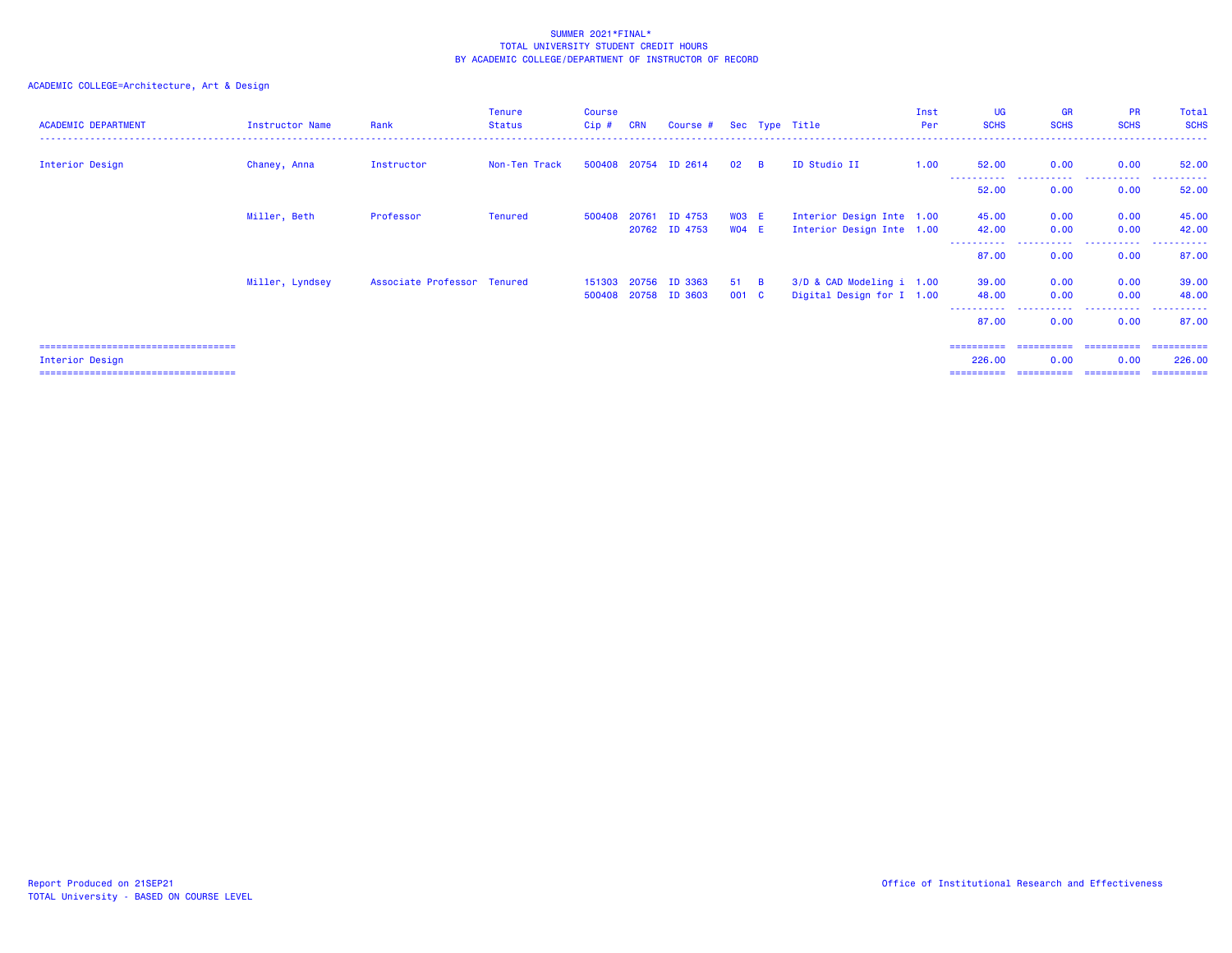### ACADEMIC COLLEGE=Architecture, Art & Design

| <b>ACADEMIC DEPARTMENT</b>             | Instructor Name | Rank                        | <b>Tenure</b><br>Status | <b>Course</b><br>$Cip$ # | <b>CRN</b> | Course # Sec Type Title  |                    |                                                        | Inst<br>Per | UG<br><b>SCHS</b>    | <b>GR</b><br><b>SCHS</b>           | <b>PR</b><br><b>SCHS</b> | Total<br><b>SCHS</b>  |
|----------------------------------------|-----------------|-----------------------------|-------------------------|--------------------------|------------|--------------------------|--------------------|--------------------------------------------------------|-------------|----------------------|------------------------------------|--------------------------|-----------------------|
| Interior Design                        | Chaney, Anna    | Instructor                  | Non-Ten Track           |                          |            | 500408 20754 ID 2614     | $02 \quad B$       | ID Studio II                                           | 1.00        | 52.00                | 0.00                               | 0.00                     | 52.00                 |
|                                        |                 |                             |                         |                          |            |                          |                    |                                                        |             | -----------<br>52.00 | .<br>0.00                          | .<br>0.00                | .<br>52.00            |
|                                        | Miller, Beth    | Professor                   | <b>Tenured</b>          | 500408                   | 20761      | ID 4753<br>20762 ID 4753 | $WO3$ E<br>$WO4$ E | Interior Design Inte 1.00<br>Interior Design Inte 1.00 |             | 45.00<br>42.00       | 0.00<br>0.00                       | 0.00<br>0.00             | 45.00<br>42.00        |
|                                        |                 |                             |                         |                          |            |                          |                    |                                                        |             | ----------<br>87.00  | <b><i><u>ALLAS</u></i></b><br>0.00 | .<br>0.00                | . <u>.</u> .<br>87.00 |
|                                        | Miller, Lyndsey | Associate Professor Tenured |                         | 151303                   | 20756      | ID 3363                  | 51 B               | 3/D & CAD Modeling i 1.00                              |             | 39.00                | 0.00                               | 0.00                     | 39.00                 |
|                                        |                 |                             |                         |                          |            | 500408 20758 ID 3603     | 001 C              | Digital Design for I 1.00                              |             | 48.00<br>----------  | 0.00<br>-----------                | 0.00<br>.                | 48.00<br>.            |
|                                        |                 |                             |                         |                          |            |                          |                    |                                                        |             | 87.00                | 0.00                               | 0.00                     | 87.00                 |
| ====================================== |                 |                             |                         |                          |            |                          |                    |                                                        |             | ==========           | ==========                         | ==========               | -----------           |
| Interior Design                        |                 |                             |                         |                          |            |                          |                    |                                                        |             | 226,00               | 0.00                               | 0.00                     | 226.00                |

Interior Design 226.00 0.00 0.00 226.00

=================================== ========== ========== ========== ==========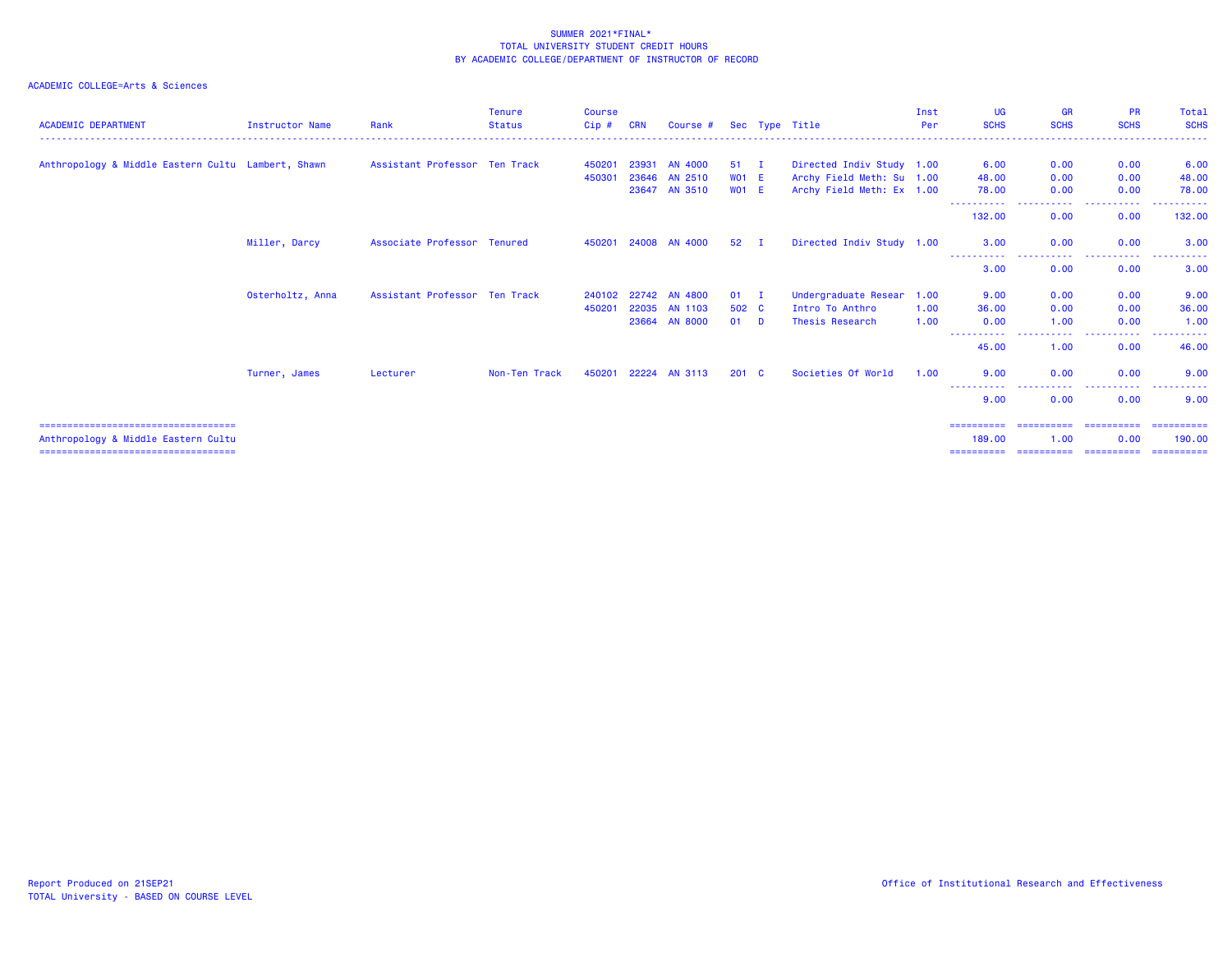### ACADEMIC COLLEGE=Arts & Sciences

| <b>ACADEMIC DEPARTMENT</b>                         | Instructor Name  | Rank                          | <b>Tenure</b><br><b>Status</b> | <b>Course</b><br>Cip# | <b>CRN</b> | Course #             |                 | Sec Type Title            | Inst<br>Per | UG<br><b>SCHS</b>    | <b>GR</b><br><b>SCHS</b> | <b>PR</b><br><b>SCHS</b> | Total<br><b>SCHS</b> |
|----------------------------------------------------|------------------|-------------------------------|--------------------------------|-----------------------|------------|----------------------|-----------------|---------------------------|-------------|----------------------|--------------------------|--------------------------|----------------------|
|                                                    |                  |                               |                                |                       |            |                      |                 |                           |             |                      |                          |                          |                      |
| Anthropology & Middle Eastern Cultu Lambert, Shawn |                  | Assistant Professor Ten Track |                                | 450201                | 23931      | <b>AN 4000</b>       | $51 \quad I$    | Directed Indiv Study 1.00 |             | 6.00                 | 0.00                     | 0.00                     | 6.00                 |
|                                                    |                  |                               |                                | 450301                |            | 23646 AN 2510        | $WO1$ E         | Archy Field Meth: Su 1.00 |             | 48.00                | 0.00                     | 0.00                     | 48.00                |
|                                                    |                  |                               |                                |                       |            | 23647 AN 3510        | $WO1$ E         | Archy Field Meth: Ex 1.00 |             | 78.00                | 0.00                     | 0.00                     | 78.00                |
|                                                    |                  |                               |                                |                       |            |                      |                 |                           |             | 132.00               | 0.00                     | 0.00                     | 132.00               |
|                                                    | Miller, Darcy    | Associate Professor Tenured   |                                | 450201                |            | 24008 AN 4000        | 52 <sub>2</sub> | Directed Indiv Study 1.00 |             | 3.00                 | 0.00                     | 0.00                     | 3.00                 |
|                                                    |                  |                               |                                |                       |            |                      |                 |                           |             | 3.00                 | 0.00                     | 0.00                     | 3.00                 |
|                                                    | Osterholtz, Anna | Assistant Professor Ten Track |                                |                       |            | 240102 22742 AN 4800 | $01$ I          | Undergraduate Resear      | 1.00        | 9.00                 | 0.00                     | 0.00                     | 9.00                 |
|                                                    |                  |                               |                                | 450201                |            | 22035 AN 1103        | 502 C           | Intro To Anthro           | 1.00        | 36.00                | 0.00                     | 0.00                     | 36.00                |
|                                                    |                  |                               |                                |                       |            | 23664 AN 8000        | $01$ D          | Thesis Research           | 1.00        | 0.00                 | 1.00                     | 0.00                     | 1.00                 |
|                                                    |                  |                               |                                |                       |            |                      |                 |                           |             | -----------<br>45.00 | .<br>1.00                | 0.00                     | 46.00                |
|                                                    | Turner, James    | Lecturer                      | Non-Ten Track                  | 450201                |            | 22224 AN 3113        | $201 \quad C$   | Societies Of World        | 1.00        | 9.00                 | 0.00                     | 0.00                     | 9.00                 |
|                                                    |                  |                               |                                |                       |            |                      |                 |                           |             | 9.00                 | 0.00                     | 0.00                     | 9.00                 |
| ===================================                |                  |                               |                                |                       |            |                      |                 |                           |             | ==========           | ==========               | -----------              | ==========           |
| Anthropology & Middle Eastern Cultu                |                  |                               |                                |                       |            |                      |                 |                           |             | 189,00               | 1.00                     | 0.00                     | 190.00               |

=================================== ========== ========== ========== ==========

Anthropology & Middle Eastern Cultu<br>----------------------------------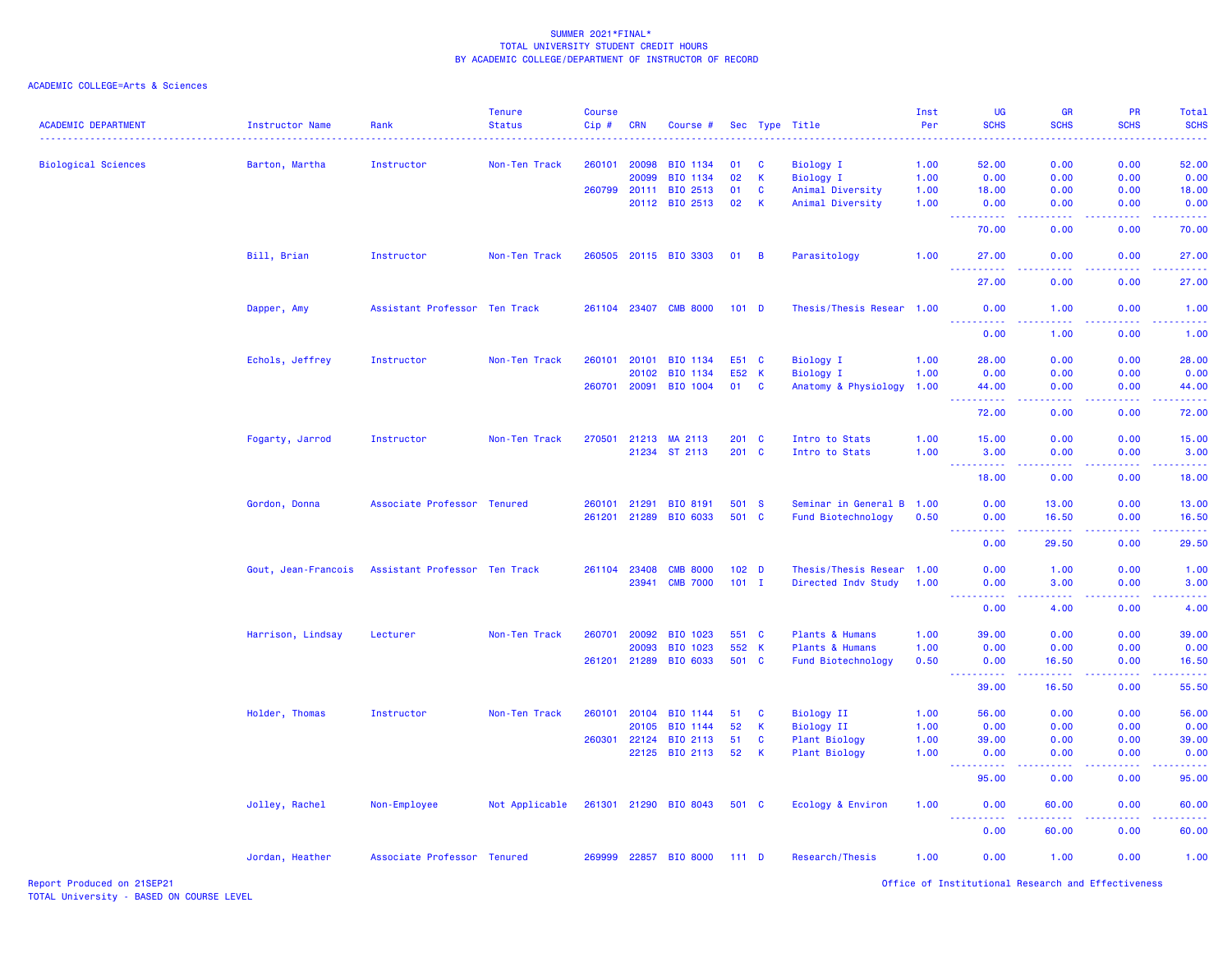ACADEMIC COLLEGE=Arts & Sciences

| <b>ACADEMIC DEPARTMENT</b> | Instructor Name     | Rank                          | <b>Tenure</b><br><b>Status</b> | Course<br>Cip# | <b>CRN</b>   | Course #              |         |                  | Sec Type Title            | Inst<br>Per | UG<br><b>SCHS</b>                                                                                         | GR<br><b>SCHS</b>               | PR<br><b>SCHS</b> | Total<br><b>SCHS</b>                                                                                                               |
|----------------------------|---------------------|-------------------------------|--------------------------------|----------------|--------------|-----------------------|---------|------------------|---------------------------|-------------|-----------------------------------------------------------------------------------------------------------|---------------------------------|-------------------|------------------------------------------------------------------------------------------------------------------------------------|
| <b>Biological Sciences</b> | Barton, Martha      | Instructor                    | Non-Ten Track                  | 260101         | 20098        | BIO 1134              | 01      | <b>C</b>         | Biology I                 | 1.00        | 52.00                                                                                                     | 0.00                            | 0.00              | 52.00                                                                                                                              |
|                            |                     |                               |                                |                | 20099        | BIO 1134              | 02      | <b>K</b>         | <b>Biology I</b>          | 1.00        | 0.00                                                                                                      | 0.00                            | 0.00              | 0.00                                                                                                                               |
|                            |                     |                               |                                | 260799         | 20111        | BIO 2513              | 01      | $\mathbf{C}$     | Animal Diversity          | 1.00        | 18.00                                                                                                     | 0.00                            | 0.00              | 18.00                                                                                                                              |
|                            |                     |                               |                                |                | 20112        | BIO 2513              | 02      | <b>K</b>         | Animal Diversity          | 1.00        | 0.00<br><u>.</u>                                                                                          | 0.00<br>المتمامين               | 0.00<br>22222     | 0.00<br>.                                                                                                                          |
|                            |                     |                               |                                |                |              |                       |         |                  |                           |             | 70.00                                                                                                     | 0.00                            | 0.00              | 70.00                                                                                                                              |
|                            | Bill, Brian         | Instructor                    | Non-Ten Track                  | 260505         |              | 20115 BIO 3303        | 01      | $\overline{B}$   | Parasitology              | 1.00        | 27.00                                                                                                     | 0.00                            | 0.00              | 27.00                                                                                                                              |
|                            |                     |                               |                                |                |              |                       |         |                  |                           |             | 27.00                                                                                                     | 0.00                            | 0.00              | 27.00                                                                                                                              |
|                            | Dapper, Amy         | Assistant Professor Ten Track |                                |                |              | 261104 23407 CMB 8000 |         | 101 <sub>D</sub> | Thesis/Thesis Resear 1.00 |             | 0.00<br>.                                                                                                 | 1.00<br>د عاما عاما             | 0.00              | 1.00<br>.                                                                                                                          |
|                            |                     |                               |                                |                |              |                       |         |                  |                           |             | 0.00                                                                                                      | 1.00                            | 0.00              | 1.00                                                                                                                               |
|                            | Echols, Jeffrey     | Instructor                    | Non-Ten Track                  | 260101         | 20101        | BIO 1134              |         | E51 C            | <b>Biology I</b>          | 1.00        | 28.00                                                                                                     | 0.00                            | 0.00              | 28.00                                                                                                                              |
|                            |                     |                               |                                |                | 20102        | BIO 1134              | E52 K   |                  | Biology I                 | 1.00        | 0.00                                                                                                      | 0.00                            | 0.00              | 0.00                                                                                                                               |
|                            |                     |                               |                                |                |              | 260701 20091 BIO 1004 | 01      | $\mathbf{C}$     | Anatomy & Physiology      | 1.00        | 44.00<br>.<br>---                                                                                         | 0.00<br>بالأباء                 | 0.00<br>المستملة  | 44.00<br>.                                                                                                                         |
|                            |                     |                               |                                |                |              |                       |         |                  |                           |             | 72.00                                                                                                     | 0.00                            | 0.00              | 72.00                                                                                                                              |
|                            | Fogarty, Jarrod     | Instructor                    | Non-Ten Track                  | 270501         | 21213        | MA 2113               |         | $201 \quad C$    | Intro to Stats            | 1.00        | 15.00                                                                                                     | 0.00                            | 0.00              | 15.00                                                                                                                              |
|                            |                     |                               |                                |                |              | 21234 ST 2113         |         | 201 C            | Intro to Stats            | 1.00        | 3.00                                                                                                      | 0.00                            | 0.00              | 3.00                                                                                                                               |
|                            |                     |                               |                                |                |              |                       |         |                  |                           |             | <u> - - - - - - - - - -</u><br>18.00                                                                      | ولالات<br>0.00                  | .<br>0.00         | .<br>18.00                                                                                                                         |
|                            | Gordon, Donna       | Associate Professor Tenured   |                                |                | 260101 21291 | <b>BIO 8191</b>       |         | 501 S            | Seminar in General B 1.00 |             | 0.00                                                                                                      | 13.00                           | 0.00              | 13.00                                                                                                                              |
|                            |                     |                               |                                |                | 261201 21289 | BIO 6033              |         | 501 C            | Fund Biotechnology        | 0.50        | 0.00                                                                                                      | 16.50                           | 0.00              | 16.50                                                                                                                              |
|                            |                     |                               |                                |                |              |                       |         |                  |                           |             | 22222<br>0.00                                                                                             | .<br>29.50                      | 0.00              | $\frac{1}{2} \left( \frac{1}{2} \right) \left( \frac{1}{2} \right) \left( \frac{1}{2} \right) \left( \frac{1}{2} \right)$<br>29.50 |
|                            | Gout, Jean-Francois | Assistant Professor Ten Track |                                |                | 261104 23408 | <b>CMB 8000</b>       |         | 102 <sub>D</sub> | Thesis/Thesis Resear 1.00 |             | 0.00                                                                                                      | 1.00                            | 0.00              | 1.00                                                                                                                               |
|                            |                     |                               |                                |                | 23941        | <b>CMB 7000</b>       |         | $101$ I          | Directed Indv Study       | 1.00        | 0.00                                                                                                      | 3.00                            | 0.00              | 3.00                                                                                                                               |
|                            |                     |                               |                                |                |              |                       |         |                  |                           |             | .<br>0.00                                                                                                 | $\omega$ is $\omega$ in<br>4.00 | الأعامات<br>0.00  | الدائد ب<br>4.00                                                                                                                   |
|                            | Harrison, Lindsay   | Lecturer                      | Non-Ten Track                  | 260701         | 20092        | BIO 1023              | 551 C   |                  | Plants & Humans           | 1.00        | 39.00                                                                                                     | 0.00                            | 0.00              | 39.00                                                                                                                              |
|                            |                     |                               |                                |                | 20093        | BIO 1023              |         | 552 K            | Plants & Humans           | 1.00        | 0.00                                                                                                      | 0.00                            | 0.00              | 0.00                                                                                                                               |
|                            |                     |                               |                                |                | 261201 21289 | BIO 6033              |         | 501 C            | Fund Biotechnology        | 0.50        | 0.00                                                                                                      | 16.50                           | 0.00              | 16.50                                                                                                                              |
|                            |                     |                               |                                |                |              |                       |         |                  |                           |             | $\sim 100$<br>.<br>39.00                                                                                  | -----<br>16.50                  | .<br>0.00         | .<br>55.50                                                                                                                         |
|                            | Holder, Thomas      | Instructor                    | Non-Ten Track                  | 260101         | 20104        | BIO 1144              | 51      | <b>C</b>         | <b>Biology II</b>         | 1.00        | 56.00                                                                                                     | 0.00                            | 0.00              | 56.00                                                                                                                              |
|                            |                     |                               |                                |                | 20105        | BIO 1144              | 52      | <b>K</b>         | <b>Biology II</b>         | 1.00        | 0.00                                                                                                      | 0.00                            | 0.00              | 0.00                                                                                                                               |
|                            |                     |                               |                                | 260301         | 22124        | BIO 2113              | 51      | C                | <b>Plant Biology</b>      | 1.00        | 39.00                                                                                                     | 0.00                            | 0.00              | 39.00                                                                                                                              |
|                            |                     |                               |                                |                |              | 22125 BIO 2113        | 52      | $\mathsf{K}$     | <b>Plant Biology</b>      | 1.00        | 0.00<br>$\begin{array}{cccccccccc} \bullet & \bullet & \bullet & \bullet & \bullet & \bullet \end{array}$ | 0.00                            | 0.00              | 0.00<br>والمتمام المار                                                                                                             |
|                            |                     |                               |                                |                |              |                       |         |                  |                           |             | 95.00                                                                                                     | 0.00                            | 0.00              | 95.00                                                                                                                              |
|                            | Jolley, Rachel      | Non-Employee                  | Not Applicable                 |                |              | 261301 21290 BIO 8043 | 501 C   |                  | Ecology & Environ         | 1.00        | 0.00<br>22222<br>المتمام مالك                                                                             | 60.00<br>.                      | 0.00              | 60.00<br>.                                                                                                                         |
|                            |                     |                               |                                |                |              |                       |         |                  |                           |             | 0.00                                                                                                      | 60.00                           | 0.00              | 60.00                                                                                                                              |
|                            | Jordan, Heather     | Associate Professor Tenured   |                                |                |              | 269999 22857 BIO 8000 | $111$ D |                  | Research/Thesis           | 1.00        | 0.00                                                                                                      | 1.00                            | 0.00              | 1.00                                                                                                                               |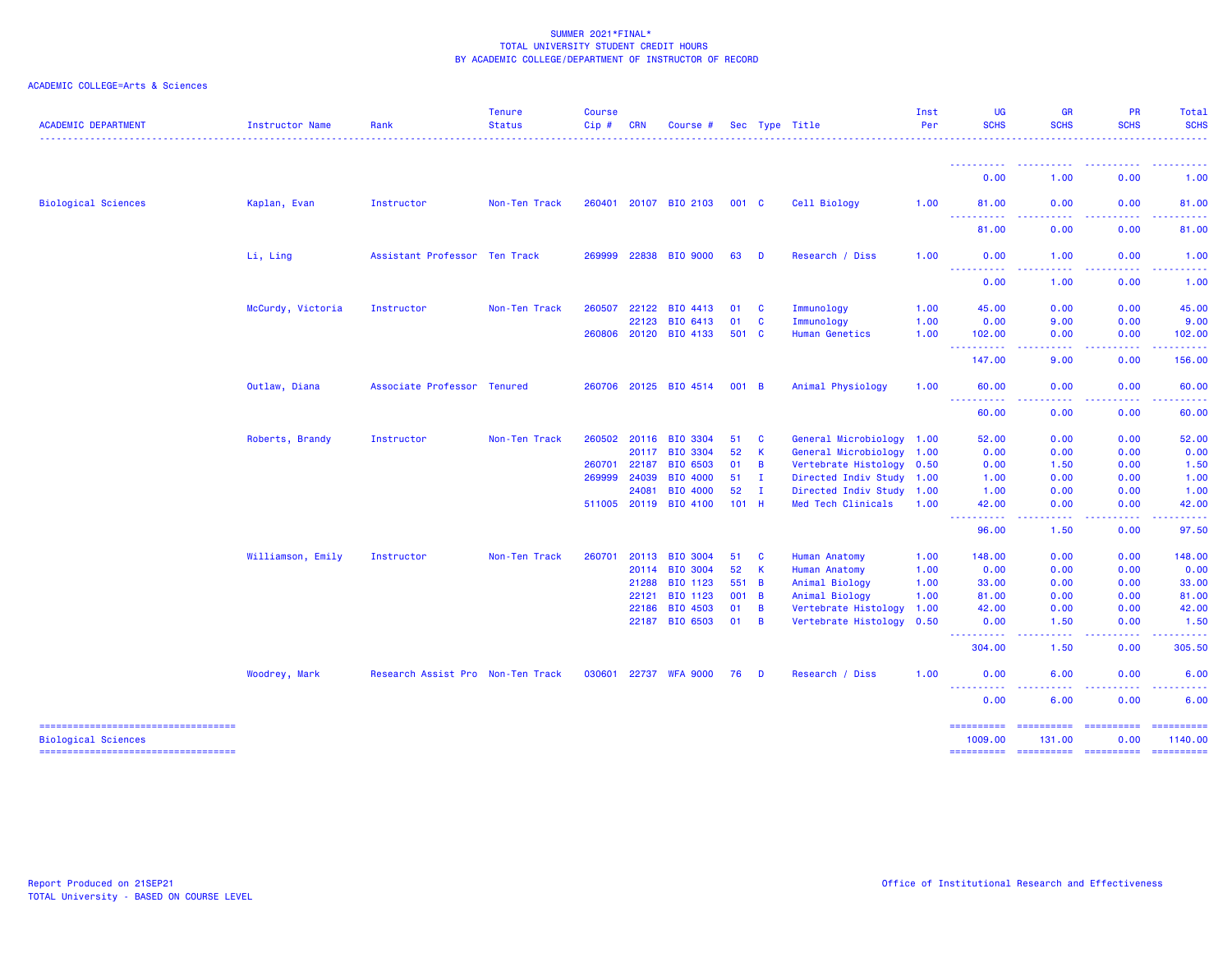| <b>ACADEMIC DEPARTMENT</b>                                        | <b>Instructor Name</b> | Rank                              | <b>Tenure</b><br><b>Status</b> | <b>Course</b><br>Cip# | <b>CRN</b> | Course #              |              |              | Sec Type Title            | Inst<br>Per | UG<br><b>SCHS</b>                                                                                                                          | <b>GR</b><br><b>SCHS</b>            | PR<br><b>SCHS</b>                                                                                                                                                                                                                                                                                                                                                                                                                                                                              | Total<br><b>SCHS</b>                                                                                                                                                                                                                                                                                                                                                                                                         |
|-------------------------------------------------------------------|------------------------|-----------------------------------|--------------------------------|-----------------------|------------|-----------------------|--------------|--------------|---------------------------|-------------|--------------------------------------------------------------------------------------------------------------------------------------------|-------------------------------------|------------------------------------------------------------------------------------------------------------------------------------------------------------------------------------------------------------------------------------------------------------------------------------------------------------------------------------------------------------------------------------------------------------------------------------------------------------------------------------------------|------------------------------------------------------------------------------------------------------------------------------------------------------------------------------------------------------------------------------------------------------------------------------------------------------------------------------------------------------------------------------------------------------------------------------|
|                                                                   |                        |                                   |                                |                       |            |                       |              |              |                           |             |                                                                                                                                            |                                     |                                                                                                                                                                                                                                                                                                                                                                                                                                                                                                |                                                                                                                                                                                                                                                                                                                                                                                                                              |
|                                                                   |                        |                                   |                                |                       |            |                       |              |              |                           |             | 0.00                                                                                                                                       | 1.00                                | 0.00                                                                                                                                                                                                                                                                                                                                                                                                                                                                                           | 1.00                                                                                                                                                                                                                                                                                                                                                                                                                         |
| <b>Biological Sciences</b>                                        | Kaplan, Evan           | Instructor                        | Non-Ten Track                  |                       |            | 260401 20107 BIO 2103 | 001 C        |              | Cell Biology              | 1.00        | 81.00                                                                                                                                      | 0.00                                | 0.00                                                                                                                                                                                                                                                                                                                                                                                                                                                                                           | 81.00                                                                                                                                                                                                                                                                                                                                                                                                                        |
|                                                                   |                        |                                   |                                |                       |            |                       |              |              |                           |             | $\sim$ $\sim$ $\sim$ $\sim$<br>81.00                                                                                                       | 0.00                                | 0.00                                                                                                                                                                                                                                                                                                                                                                                                                                                                                           | 81.00                                                                                                                                                                                                                                                                                                                                                                                                                        |
|                                                                   | Li, Ling               | Assistant Professor Ten Track     |                                | 269999                |            | 22838 BIO 9000        | 63           | D            | Research / Diss           | 1.00        | 0.00<br>-----<br>$\frac{1}{2} \left( \frac{1}{2} \right) \left( \frac{1}{2} \right) \left( \frac{1}{2} \right) \left( \frac{1}{2} \right)$ | 1.00                                | 0.00                                                                                                                                                                                                                                                                                                                                                                                                                                                                                           | 1.00                                                                                                                                                                                                                                                                                                                                                                                                                         |
|                                                                   |                        |                                   |                                |                       |            |                       |              |              |                           |             | 0.00                                                                                                                                       | 1.00                                | 0.00                                                                                                                                                                                                                                                                                                                                                                                                                                                                                           | 1.00                                                                                                                                                                                                                                                                                                                                                                                                                         |
|                                                                   | McCurdy, Victoria      | Instructor                        | Non-Ten Track                  | 260507                | 22122      | <b>BIO 4413</b>       | 01           | C            | Immunology                | 1.00        | 45.00                                                                                                                                      | 0.00                                | 0.00                                                                                                                                                                                                                                                                                                                                                                                                                                                                                           | 45.00                                                                                                                                                                                                                                                                                                                                                                                                                        |
|                                                                   |                        |                                   |                                |                       | 22123      | BIO 6413              | 01           | C            | Immunology                | 1.00        | 0.00                                                                                                                                       | 9.00                                | 0.00                                                                                                                                                                                                                                                                                                                                                                                                                                                                                           | 9.00                                                                                                                                                                                                                                                                                                                                                                                                                         |
|                                                                   |                        |                                   |                                |                       |            | 260806 20120 BIO 4133 | 501 C        |              | <b>Human Genetics</b>     | 1.00        | 102.00<br><b></b>                                                                                                                          | 0.00                                | 0.00                                                                                                                                                                                                                                                                                                                                                                                                                                                                                           | 102.00<br>.                                                                                                                                                                                                                                                                                                                                                                                                                  |
|                                                                   |                        |                                   |                                |                       |            |                       |              |              |                           |             | 147.00                                                                                                                                     | 9.00                                | 0.00                                                                                                                                                                                                                                                                                                                                                                                                                                                                                           | 156.00                                                                                                                                                                                                                                                                                                                                                                                                                       |
|                                                                   | Outlaw, Diana          | Associate Professor Tenured       |                                |                       |            | 260706 20125 BIO 4514 | 001 B        |              | Animal Physiology         | 1.00        | 60.00<br><u> - - - - - - - - - -</u>                                                                                                       | 0.00<br>$\sim$ $\sim$ $\sim$ $\sim$ | 0.00                                                                                                                                                                                                                                                                                                                                                                                                                                                                                           | 60.00<br>.                                                                                                                                                                                                                                                                                                                                                                                                                   |
|                                                                   |                        |                                   |                                |                       |            |                       |              |              |                           |             | 60.00                                                                                                                                      | 0.00                                | 0.00                                                                                                                                                                                                                                                                                                                                                                                                                                                                                           | 60.00                                                                                                                                                                                                                                                                                                                                                                                                                        |
|                                                                   | Roberts, Brandy        | Instructor                        | Non-Ten Track                  | 260502                | 20116      | <b>BIO 3304</b>       | 51           | <b>C</b>     | General Microbiology 1.00 |             | 52.00                                                                                                                                      | 0.00                                | 0.00                                                                                                                                                                                                                                                                                                                                                                                                                                                                                           | 52.00                                                                                                                                                                                                                                                                                                                                                                                                                        |
|                                                                   |                        |                                   |                                |                       | 20117      | <b>BIO 3304</b>       | 52           | -K           | General Microbiology      | 1.00        | 0.00                                                                                                                                       | 0.00                                | 0.00                                                                                                                                                                                                                                                                                                                                                                                                                                                                                           | 0.00                                                                                                                                                                                                                                                                                                                                                                                                                         |
|                                                                   |                        |                                   |                                | 260701                | 22187      | BIO 6503              | 01           | B            | Vertebrate Histology 0.50 |             | 0.00                                                                                                                                       | 1.50                                | 0.00                                                                                                                                                                                                                                                                                                                                                                                                                                                                                           | 1.50                                                                                                                                                                                                                                                                                                                                                                                                                         |
|                                                                   |                        |                                   |                                | 269999                | 24039      | <b>BIO 4000</b>       | 51           | л.           | Directed Indiv Study 1.00 |             | 1.00                                                                                                                                       | 0.00                                | 0.00                                                                                                                                                                                                                                                                                                                                                                                                                                                                                           | 1.00                                                                                                                                                                                                                                                                                                                                                                                                                         |
|                                                                   |                        |                                   |                                |                       | 24081      | BIO 4000              | 52           | $\mathbf{I}$ | Directed Indiv Study 1.00 |             | 1.00                                                                                                                                       | 0.00                                | 0.00                                                                                                                                                                                                                                                                                                                                                                                                                                                                                           | 1.00                                                                                                                                                                                                                                                                                                                                                                                                                         |
|                                                                   |                        |                                   |                                |                       |            | 511005 20119 BIO 4100 | $101$ H      |              | Med Tech Clinicals        | 1.00        | 42.00<br><b>.</b>                                                                                                                          | 0.00<br>.                           | 0.00                                                                                                                                                                                                                                                                                                                                                                                                                                                                                           | 42.00<br>. <b>.</b> .                                                                                                                                                                                                                                                                                                                                                                                                        |
|                                                                   |                        |                                   |                                |                       |            |                       |              |              |                           |             | 96.00                                                                                                                                      | 1.50                                | 0.00                                                                                                                                                                                                                                                                                                                                                                                                                                                                                           | 97.50                                                                                                                                                                                                                                                                                                                                                                                                                        |
|                                                                   | Williamson, Emily      | Instructor                        | Non-Ten Track                  | 260701                | 20113      | <b>BIO 3004</b>       | 51           | <b>C</b>     | <b>Human Anatomy</b>      | 1.00        | 148.00                                                                                                                                     | 0.00                                | 0.00                                                                                                                                                                                                                                                                                                                                                                                                                                                                                           | 148.00                                                                                                                                                                                                                                                                                                                                                                                                                       |
|                                                                   |                        |                                   |                                |                       |            | 20114 BIO 3004        | 52           | $\mathbf{K}$ | Human Anatomy             | 1.00        | 0.00                                                                                                                                       | 0.00                                | 0.00                                                                                                                                                                                                                                                                                                                                                                                                                                                                                           | 0.00                                                                                                                                                                                                                                                                                                                                                                                                                         |
|                                                                   |                        |                                   |                                |                       | 21288      | BIO 1123              | 551 B        |              | Animal Biology            | 1.00        | 33.00                                                                                                                                      | 0.00                                | 0.00                                                                                                                                                                                                                                                                                                                                                                                                                                                                                           | 33.00                                                                                                                                                                                                                                                                                                                                                                                                                        |
|                                                                   |                        |                                   |                                |                       | 22121      | BIO 1123              | 001 B        |              | Animal Biology            | 1.00        | 81.00                                                                                                                                      | 0.00                                | 0.00                                                                                                                                                                                                                                                                                                                                                                                                                                                                                           | 81.00                                                                                                                                                                                                                                                                                                                                                                                                                        |
|                                                                   |                        |                                   |                                |                       | 22186      | BIO 4503              | 01           | B            | Vertebrate Histology      | 1.00        | 42.00                                                                                                                                      | 0.00                                | 0.00                                                                                                                                                                                                                                                                                                                                                                                                                                                                                           | 42.00                                                                                                                                                                                                                                                                                                                                                                                                                        |
|                                                                   |                        |                                   |                                |                       |            | 22187 BIO 6503        | $01 \quad B$ |              | Vertebrate Histology      | 0.50        | 0.00<br><b>.</b>                                                                                                                           | 1.50<br>$   -$                      | 0.00<br>.                                                                                                                                                                                                                                                                                                                                                                                                                                                                                      | 1.50                                                                                                                                                                                                                                                                                                                                                                                                                         |
|                                                                   |                        |                                   |                                |                       |            |                       |              |              |                           |             | 304.00                                                                                                                                     | 1.50                                | 0.00                                                                                                                                                                                                                                                                                                                                                                                                                                                                                           | 305.50                                                                                                                                                                                                                                                                                                                                                                                                                       |
|                                                                   | Woodrey, Mark          | Research Assist Pro Non-Ten Track |                                |                       |            | 030601 22737 WFA 9000 | 76           | D            | Research / Diss           | 1.00        | 0.00<br><b></b>                                                                                                                            | 6.00                                | 0.00                                                                                                                                                                                                                                                                                                                                                                                                                                                                                           | 6.00                                                                                                                                                                                                                                                                                                                                                                                                                         |
|                                                                   |                        |                                   |                                |                       |            |                       |              |              |                           |             | 0.00                                                                                                                                       | 6.00                                | 0.00                                                                                                                                                                                                                                                                                                                                                                                                                                                                                           | 6.00                                                                                                                                                                                                                                                                                                                                                                                                                         |
| -----------------------------------<br><b>Biological Sciences</b> |                        |                                   |                                |                       |            |                       |              |              |                           |             | ==========<br>1009.00                                                                                                                      | ==========<br>131.00                | $\begin{array}{cccccccccc} \multicolumn{2}{c}{} & \multicolumn{2}{c}{} & \multicolumn{2}{c}{} & \multicolumn{2}{c}{} & \multicolumn{2}{c}{} & \multicolumn{2}{c}{} & \multicolumn{2}{c}{} & \multicolumn{2}{c}{} & \multicolumn{2}{c}{} & \multicolumn{2}{c}{} & \multicolumn{2}{c}{} & \multicolumn{2}{c}{} & \multicolumn{2}{c}{} & \multicolumn{2}{c}{} & \multicolumn{2}{c}{} & \multicolumn{2}{c}{} & \multicolumn{2}{c}{} & \multicolumn{2}{c}{} & \multicolumn{2}{c}{} & \mult$<br>0.00 | ==========<br>1140.00                                                                                                                                                                                                                                                                                                                                                                                                        |
| ----------------------------------                                |                        |                                   |                                |                       |            |                       |              |              |                           |             | ==========                                                                                                                                 | ==========                          | $\begin{minipage}{0.9\linewidth} \begin{tabular}{l} \multicolumn{2}{l}{} & \multicolumn{2}{l}{} & \multicolumn{2}{l}{} \\ \multicolumn{2}{l}{} & \multicolumn{2}{l}{} & \multicolumn{2}{l}{} \\ \multicolumn{2}{l}{} & \multicolumn{2}{l}{} & \multicolumn{2}{l}{} \\ \multicolumn{2}{l}{} & \multicolumn{2}{l}{} & \multicolumn{2}{l}{} \\ \multicolumn{2}{l}{} & \multicolumn{2}{l}{} & \multicolumn{2}{l}{} \\ \multicolumn{2}{l}{} & \multicolumn{2}{l}{} & \multicolumn{2}{l}{} \\ \$     | $\begin{minipage}{0.9\linewidth} \hspace*{-0.2cm} \textbf{1} & \textbf{2} & \textbf{3} & \textbf{5} & \textbf{6} & \textbf{7} \\ \textbf{5} & \textbf{6} & \textbf{7} & \textbf{8} & \textbf{8} & \textbf{9} & \textbf{10} \\ \textbf{6} & \textbf{8} & \textbf{8} & \textbf{8} & \textbf{9} & \textbf{10} & \textbf{10} \\ \textbf{7} & \textbf{9} & \textbf{10} & \textbf{10} & \textbf{10} & \textbf{10} & \textbf{10} &$ |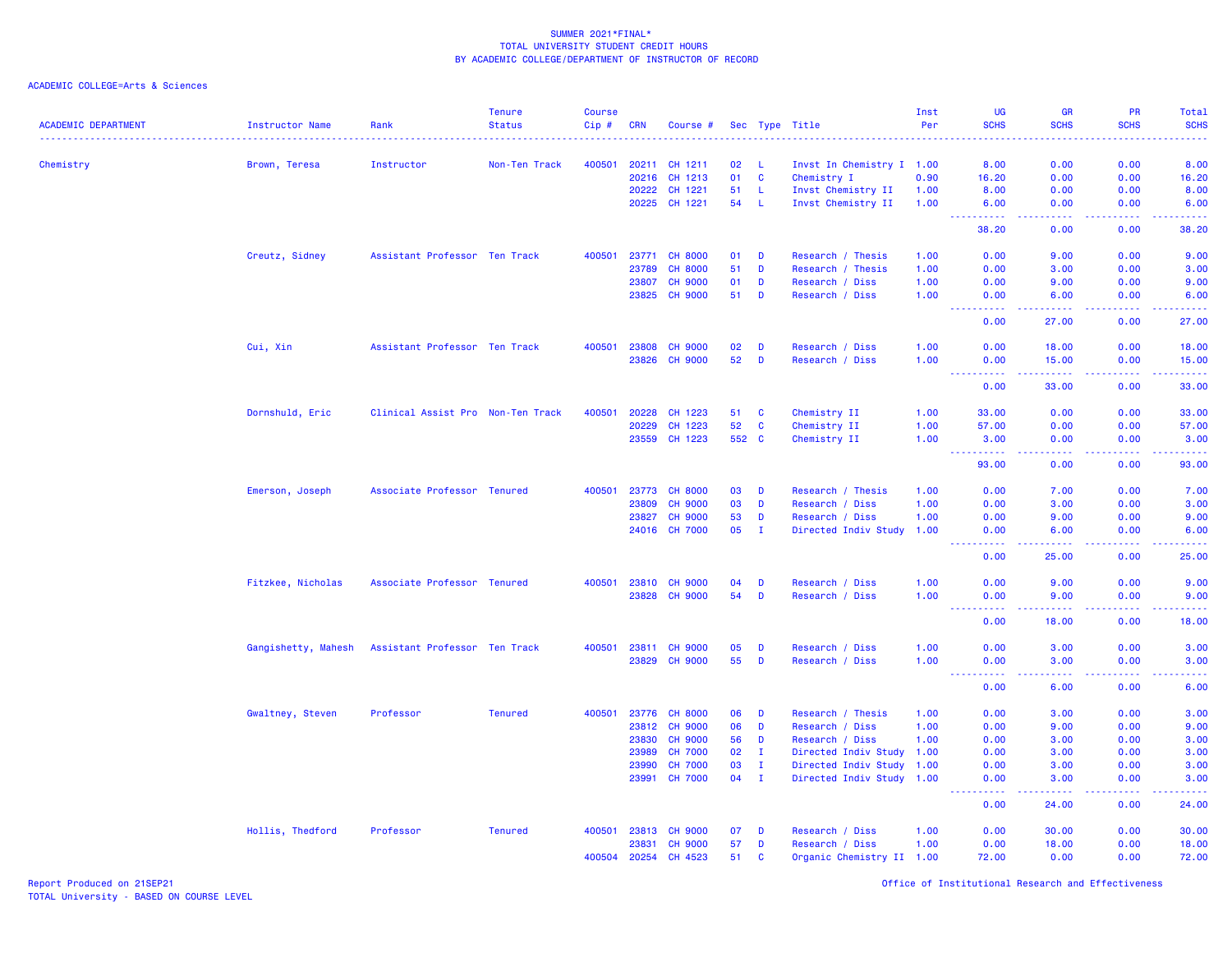| <b>ACADEMIC DEPARTMENT</b> | Instructor Name     | Rank                              | <b>Tenure</b><br><b>Status</b><br>. | <b>Course</b><br>$Cip \#$ | <b>CRN</b>   | Course #             |       |              | Sec Type Title            | Inst<br>Per | <b>UG</b><br><b>SCHS</b>                            | <b>GR</b><br><b>SCHS</b> | <b>PR</b><br><b>SCHS</b>                                                                                                                                     | Total<br><b>SCHS</b><br>.                                                                                                         |
|----------------------------|---------------------|-----------------------------------|-------------------------------------|---------------------------|--------------|----------------------|-------|--------------|---------------------------|-------------|-----------------------------------------------------|--------------------------|--------------------------------------------------------------------------------------------------------------------------------------------------------------|-----------------------------------------------------------------------------------------------------------------------------------|
| Chemistry                  | Brown, Teresa       | Instructor                        | Non-Ten Track                       | 400501                    |              | 20211 CH 1211        | 02    | - L          | Invst In Chemistry I 1.00 |             | 8.00                                                | 0.00                     | 0.00                                                                                                                                                         | 8.00                                                                                                                              |
|                            |                     |                                   |                                     |                           | 20216        | CH 1213              | 01    | $\mathbf{C}$ | Chemistry I               | 0.90        | 16.20                                               | 0.00                     | 0.00                                                                                                                                                         | 16.20                                                                                                                             |
|                            |                     |                                   |                                     |                           | 20222        | CH 1221              | 51    | -L           | Invst Chemistry II        | 1.00        | 8.00                                                | 0.00                     | 0.00                                                                                                                                                         | 8.00                                                                                                                              |
|                            |                     |                                   |                                     |                           |              | 20225 CH 1221        | 54    | - L          | Invst Chemistry II        | 1.00        | 6.00                                                | 0.00                     | 0.00                                                                                                                                                         | 6.00                                                                                                                              |
|                            |                     |                                   |                                     |                           |              |                      |       |              |                           |             | .<br>38.20                                          | د د د د<br>0.00          | 22222<br>0.00                                                                                                                                                | المتمامين<br>38.20                                                                                                                |
|                            | Creutz, Sidney      | Assistant Professor Ten Track     |                                     | 400501                    |              | 23771 CH 8000        | 01    | D            | Research / Thesis         | 1.00        | 0.00                                                | 9.00                     | 0.00                                                                                                                                                         | 9.00                                                                                                                              |
|                            |                     |                                   |                                     |                           | 23789        | <b>CH 8000</b>       | 51    | D            | Research / Thesis         | 1.00        | 0.00                                                | 3.00                     | 0.00                                                                                                                                                         | 3.00                                                                                                                              |
|                            |                     |                                   |                                     |                           | 23807        | <b>CH 9000</b>       | 01    | D            | Research / Diss           | 1.00        | 0.00                                                | 9.00                     | 0.00                                                                                                                                                         | 9.00                                                                                                                              |
|                            |                     |                                   |                                     |                           | 23825        | <b>CH 9000</b>       | 51    | D            | Research / Diss           | 1.00        | 0.00                                                | 6.00                     | 0.00                                                                                                                                                         | 6.00                                                                                                                              |
|                            |                     |                                   |                                     |                           |              |                      |       |              |                           |             | $\omega_{\rm c}$ and $\omega_{\rm c}$<br>0.00       | .<br>27,00               | .<br>0.00                                                                                                                                                    | .<br>27,00                                                                                                                        |
|                            | Cui, Xin            | Assistant Professor Ten Track     |                                     |                           | 400501 23808 | <b>CH 9000</b>       | 02    | D            | Research / Diss           | 1.00        | 0.00                                                | 18.00                    | 0.00                                                                                                                                                         | 18.00                                                                                                                             |
|                            |                     |                                   |                                     |                           | 23826        | <b>CH 9000</b>       | 52    | D            | Research / Diss           | 1.00        | 0.00<br>.<br>$\sim$ $\sim$ $\sim$                   | 15.00<br>.               | 0.00<br>2.2.2.2.2                                                                                                                                            | 15.00<br><u>.</u>                                                                                                                 |
|                            |                     |                                   |                                     |                           |              |                      |       |              |                           |             | 0.00                                                | 33.00                    | 0.00                                                                                                                                                         | 33.00                                                                                                                             |
|                            | Dornshuld, Eric     | Clinical Assist Pro Non-Ten Track |                                     | 400501                    | 20228        | CH 1223              | 51    | <b>C</b>     | Chemistry II              | 1.00        | 33.00                                               | 0.00                     | 0.00                                                                                                                                                         | 33.00                                                                                                                             |
|                            |                     |                                   |                                     |                           | 20229        | CH 1223              | 52    | <b>C</b>     | Chemistry II              | 1.00        | 57.00                                               | 0.00                     | 0.00                                                                                                                                                         | 57.00                                                                                                                             |
|                            |                     |                                   |                                     |                           |              | 23559 CH 1223        | 552 C |              | Chemistry II              | 1.00        | 3.00<br>22222                                       | 0.00<br>.                | 0.00<br>. <b>.</b>                                                                                                                                           | 3.00<br>.                                                                                                                         |
|                            |                     |                                   |                                     |                           |              |                      |       |              |                           |             | 93.00                                               | 0.00                     | 0.00                                                                                                                                                         | 93.00                                                                                                                             |
|                            | Emerson, Joseph     | Associate Professor Tenured       |                                     | 400501                    |              | 23773 CH 8000        | 03    | D            | Research / Thesis         | 1.00        | 0.00                                                | 7.00                     | 0.00                                                                                                                                                         | 7.00                                                                                                                              |
|                            |                     |                                   |                                     |                           | 23809        | <b>CH 9000</b>       | 03    | D            | Research / Diss           | 1.00        | 0.00                                                | 3.00                     | 0.00                                                                                                                                                         | 3.00                                                                                                                              |
|                            |                     |                                   |                                     |                           | 23827        | <b>CH 9000</b>       | 53    | D            | Research / Diss           | 1.00        | 0.00                                                | 9.00                     | 0.00                                                                                                                                                         | 9.00                                                                                                                              |
|                            |                     |                                   |                                     |                           | 24016        | <b>CH 7000</b>       | 05    | $\mathbf{I}$ | Directed Indiv Study      | 1.00        | 0.00                                                | 6.00<br>.                | 0.00                                                                                                                                                         | 6.00                                                                                                                              |
|                            |                     |                                   |                                     |                           |              |                      |       |              |                           |             | 0.00                                                | 25.00                    | 0.00                                                                                                                                                         | 25.00                                                                                                                             |
|                            | Fitzkee, Nicholas   | Associate Professor Tenured       |                                     |                           |              | 400501 23810 CH 9000 | 04    | D            | Research / Diss           | 1.00        | 0.00                                                | 9.00                     | 0.00                                                                                                                                                         | 9.00                                                                                                                              |
|                            |                     |                                   |                                     |                           | 23828        | <b>CH 9000</b>       | 54    | D            | Research / Diss           | 1.00        | 0.00                                                | 9.00<br>.                | 0.00                                                                                                                                                         | 9.00<br>$\frac{1}{2} \left( \frac{1}{2} \right) \left( \frac{1}{2} \right) \left( \frac{1}{2} \right) \left( \frac{1}{2} \right)$ |
|                            |                     |                                   |                                     |                           |              |                      |       |              |                           |             | $\sim$ $\sim$ .<br>المتمالين<br>0.00                | 18.00                    | .<br>0.00                                                                                                                                                    | 18.00                                                                                                                             |
|                            | Gangishetty, Mahesh | Assistant Professor Ten Track     |                                     |                           |              | 400501 23811 CH 9000 | 05    | D            | Research / Diss           | 1.00        | 0.00                                                | 3.00                     | 0.00                                                                                                                                                         | 3.00                                                                                                                              |
|                            |                     |                                   |                                     |                           | 23829        | <b>CH 9000</b>       | 55    | D            | Research / Diss           | 1.00        | 0.00<br>a a a a ar<br>$\sim$ $\sim$ $\sim$ $\sim$   | 3.00<br>22222            | 0.00<br>$\frac{1}{2} \left( \frac{1}{2} \right) \left( \frac{1}{2} \right) \left( \frac{1}{2} \right) \left( \frac{1}{2} \right) \left( \frac{1}{2} \right)$ | 3.00                                                                                                                              |
|                            |                     |                                   |                                     |                           |              |                      |       |              |                           |             | 0.00                                                | 6.00                     | 0.00                                                                                                                                                         | .<br>6.00                                                                                                                         |
|                            | Gwaltney, Steven    | Professor                         | <b>Tenured</b>                      | 400501                    | 23776        | <b>CH 8000</b>       | 06    | D            | Research / Thesis         | 1.00        | 0.00                                                | 3.00                     | 0.00                                                                                                                                                         | 3.00                                                                                                                              |
|                            |                     |                                   |                                     |                           | 23812        | <b>CH 9000</b>       | 06    | D            | Research / Diss           | 1.00        | 0.00                                                | 9.00                     | 0.00                                                                                                                                                         | 9.00                                                                                                                              |
|                            |                     |                                   |                                     |                           | 23830        | <b>CH 9000</b>       | 56    | D            | Research / Diss           | 1.00        | 0.00                                                | 3.00                     | 0.00                                                                                                                                                         | 3.00                                                                                                                              |
|                            |                     |                                   |                                     |                           | 23989        | <b>CH 7000</b>       | 02    | $\mathbf{I}$ | Directed Indiv Study 1.00 |             | 0.00                                                | 3.00                     | 0.00                                                                                                                                                         | 3.00                                                                                                                              |
|                            |                     |                                   |                                     |                           | 23990        | <b>CH 7000</b>       | 03    | $\mathbf{I}$ | Directed Indiv Study 1.00 |             | 0.00                                                | 3.00                     | 0.00                                                                                                                                                         | 3.00                                                                                                                              |
|                            |                     |                                   |                                     |                           | 23991        | <b>CH 7000</b>       | 04    | $\mathbf{I}$ | Directed Indiv Study 1.00 |             | 0.00<br>$\omega_{\rm{eff}}$ and $\omega_{\rm{eff}}$ | 3.00<br>.                | 0.00<br>المتمامين                                                                                                                                            | 3.00<br>.                                                                                                                         |
|                            |                     |                                   |                                     |                           |              |                      |       |              |                           |             | 0.00                                                | 24.00                    | 0.00                                                                                                                                                         | 24.00                                                                                                                             |
|                            | Hollis, Thedford    | Professor                         | <b>Tenured</b>                      | 400501                    | 23813        | <b>CH 9000</b>       | 07    | D            | Research / Diss           | 1.00        | 0.00                                                | 30.00                    | 0.00                                                                                                                                                         | 30.00                                                                                                                             |
|                            |                     |                                   |                                     |                           | 23831        | <b>CH 9000</b>       | 57    | D            | Research / Diss           | 1.00        | 0.00                                                | 18.00                    | 0.00                                                                                                                                                         | 18.00                                                                                                                             |
|                            |                     |                                   |                                     | 400504                    | 20254        | CH 4523              | 51    | $\mathbf{C}$ | Organic Chemistry II 1.00 |             | 72.00                                               | 0.00                     | 0.00                                                                                                                                                         | 72.00                                                                                                                             |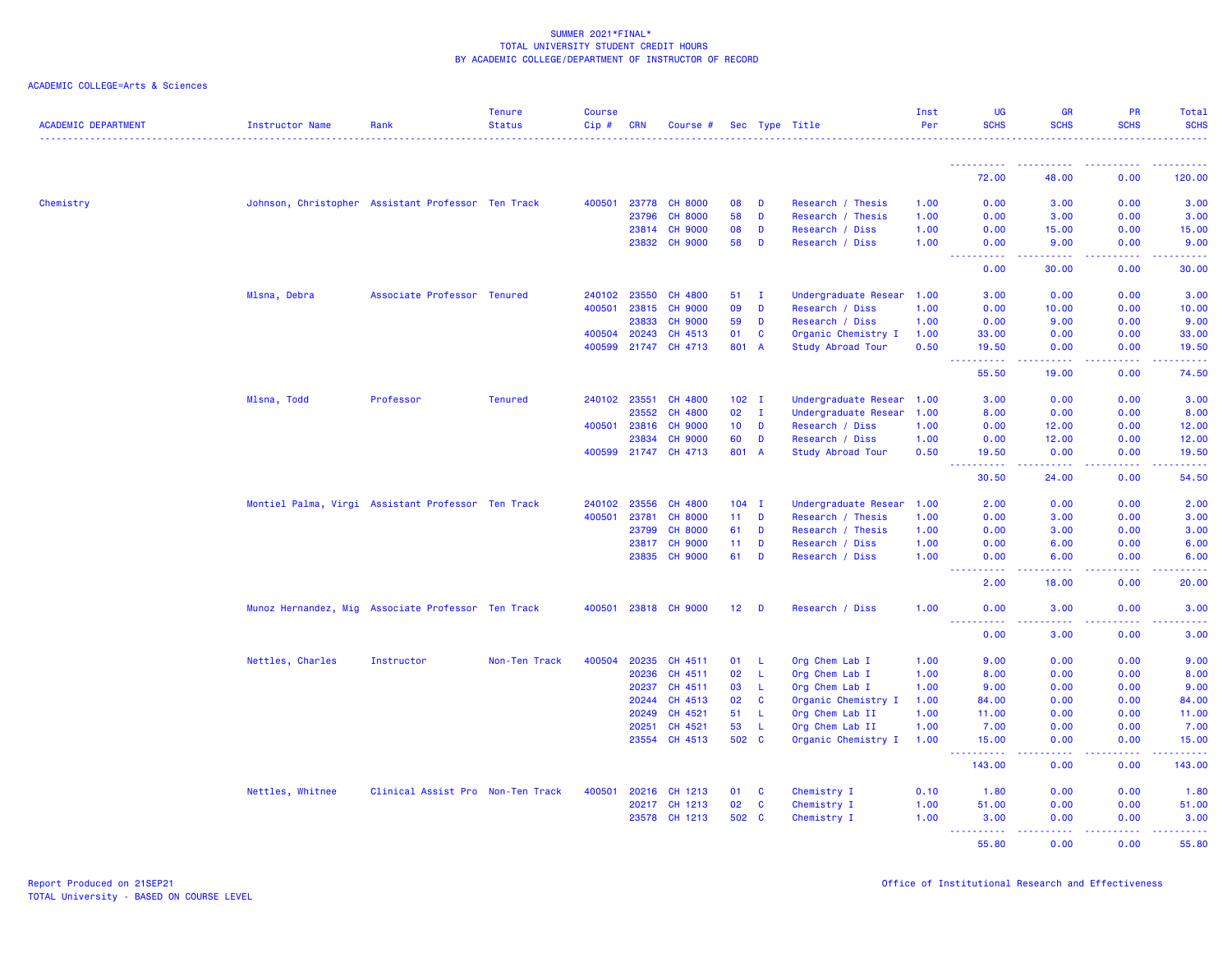| <b>ACADEMIC DEPARTMENT</b> | Instructor Name                                    | Rank                              | <b>Tenure</b><br><b>Status</b> | <b>Course</b><br>$Cip \#$ | <b>CRN</b> | Course #             |                 |              | Sec Type Title            | Inst<br>Per | <b>UG</b><br><b>SCHS</b>                                                                                                                                                | <b>GR</b><br><b>SCHS</b> | <b>PR</b><br><b>SCHS</b> | Total<br><b>SCHS</b> |
|----------------------------|----------------------------------------------------|-----------------------------------|--------------------------------|---------------------------|------------|----------------------|-----------------|--------------|---------------------------|-------------|-------------------------------------------------------------------------------------------------------------------------------------------------------------------------|--------------------------|--------------------------|----------------------|
|                            |                                                    |                                   |                                |                           |            |                      |                 |              |                           |             | -----------                                                                                                                                                             |                          |                          |                      |
|                            |                                                    |                                   |                                |                           |            |                      |                 |              |                           |             | 72.00                                                                                                                                                                   | 48.00                    | 0.00                     | 120.00               |
| Chemistry                  | Johnson, Christopher Assistant Professor Ten Track |                                   |                                | 400501                    | 23778      | <b>CH 8000</b>       | 80              | D            | Research / Thesis         | 1.00        | 0.00                                                                                                                                                                    | 3.00                     | 0.00                     | 3.00                 |
|                            |                                                    |                                   |                                |                           | 23796      | <b>CH 8000</b>       | 58              | D            | Research / Thesis         | 1.00        | 0.00                                                                                                                                                                    | 3.00                     | 0.00                     | 3.00                 |
|                            |                                                    |                                   |                                |                           | 23814      | <b>CH 9000</b>       | 08              | D            | Research / Diss           | 1.00        | 0.00                                                                                                                                                                    | 15.00                    | 0.00                     | 15.00                |
|                            |                                                    |                                   |                                |                           | 23832      | <b>CH 9000</b>       | 58              | D            | Research / Diss           | 1.00        | 0.00<br>.                                                                                                                                                               | 9.00<br>.                | 0.00<br>.                | 9.00<br>المتمامين    |
|                            |                                                    |                                   |                                |                           |            |                      |                 |              |                           |             | 0.00                                                                                                                                                                    | 30.00                    | 0.00                     | 30.00                |
|                            | Mlsna, Debra                                       | Associate Professor Tenured       |                                | 240102                    | 23550      | CH 4800              | 51              | $\mathbf{I}$ | Undergraduate Resear 1.00 |             | 3.00                                                                                                                                                                    | 0.00                     | 0.00                     | 3.00                 |
|                            |                                                    |                                   |                                | 400501                    | 23815      | <b>CH 9000</b>       | 09              | D            | Research / Diss           | 1.00        | 0.00                                                                                                                                                                    | 10.00                    | 0.00                     | 10.00                |
|                            |                                                    |                                   |                                |                           | 23833      | <b>CH 9000</b>       | 59              | D            | Research / Diss           | 1.00        | 0.00                                                                                                                                                                    | 9.00                     | 0.00                     | 9.00                 |
|                            |                                                    |                                   |                                | 400504                    | 20243      | CH 4513              | 01              | $\mathbf{C}$ | Organic Chemistry I       | 1.00        | 33.00                                                                                                                                                                   | 0.00                     | 0.00                     | 33.00                |
|                            |                                                    |                                   |                                | 400599                    | 21747      | CH 4713              | 801 A           |              | Study Abroad Tour         | 0.50        | 19.50<br>.<br>$  -$                                                                                                                                                     | 0.00<br>$- - - - -$      | 0.00<br><u>.</u>         | 19.50<br>.           |
|                            |                                                    |                                   |                                |                           |            |                      |                 |              |                           |             | 55.50                                                                                                                                                                   | 19.00                    | 0.00                     | 74.50                |
|                            | Mlsna, Todd                                        | Professor                         | <b>Tenured</b>                 | 240102                    | 23551      | CH 4800              | $102$ I         |              | Undergraduate Resear 1.00 |             | 3.00                                                                                                                                                                    | 0.00                     | 0.00                     | 3.00                 |
|                            |                                                    |                                   |                                |                           | 23552      | <b>CH 4800</b>       | 02              | $\mathbf{I}$ | Undergraduate Resear 1.00 |             | 8.00                                                                                                                                                                    | 0.00                     | 0.00                     | 8.00                 |
|                            |                                                    |                                   |                                | 400501                    | 23816      | <b>CH 9000</b>       | 10 <sub>1</sub> | D            | Research / Diss           | 1.00        | 0.00                                                                                                                                                                    | 12.00                    | 0.00                     | 12.00                |
|                            |                                                    |                                   |                                |                           | 23834      | <b>CH 9000</b>       | 60              | D            | Research / Diss           | 1.00        | 0.00                                                                                                                                                                    | 12.00                    | 0.00                     | 12.00                |
|                            |                                                    |                                   |                                |                           |            | 400599 21747 CH 4713 | 801 A           |              | <b>Study Abroad Tour</b>  | 0.50        | 19.50<br>444<br>المتمام المتمار                                                                                                                                         | 0.00<br>.                | 0.00<br>المتمامين        | 19.50<br>.           |
|                            |                                                    |                                   |                                |                           |            |                      |                 |              |                           |             | 30.50                                                                                                                                                                   | 24.00                    | 0.00                     | 54.50                |
|                            | Montiel Palma, Virgi Assistant Professor Ten Track |                                   |                                | 240102                    | 23556      | <b>CH 4800</b>       | 104             | $\mathbf{I}$ | Undergraduate Resear      | 1.00        | 2.00                                                                                                                                                                    | 0.00                     | 0.00                     | 2.00                 |
|                            |                                                    |                                   |                                | 400501                    | 23781      | <b>CH 8000</b>       | 11              | D            | Research / Thesis         | 1.00        | 0.00                                                                                                                                                                    | 3.00                     | 0.00                     | 3.00                 |
|                            |                                                    |                                   |                                |                           | 23799      | <b>CH 8000</b>       | 61              | D            | Research / Thesis         | 1.00        | 0.00                                                                                                                                                                    | 3.00                     | 0.00                     | 3.00                 |
|                            |                                                    |                                   |                                |                           | 23817      | <b>CH 9000</b>       | 11              | D            | Research / Diss           | 1.00        | 0.00                                                                                                                                                                    | 6.00                     | 0.00                     | 6.00                 |
|                            |                                                    |                                   |                                |                           | 23835      | <b>CH 9000</b>       | 61              | D            | Research / Diss           | 1.00        | 0.00<br>.<br>444                                                                                                                                                        | 6.00<br>.                | 0.00<br>.                | 6.00<br>.            |
|                            |                                                    |                                   |                                |                           |            |                      |                 |              |                           |             | 2.00                                                                                                                                                                    | 18.00                    | 0.00                     | 20.00                |
|                            | Munoz Hernandez, Mig Associate Professor Ten Track |                                   |                                | 400501                    |            | 23818 CH 9000        | 12 <sub>1</sub> | <b>D</b>     | Research / Diss           | 1.00        | 0.00                                                                                                                                                                    | 3.00                     | 0.00                     | 3.00                 |
|                            |                                                    |                                   |                                |                           |            |                      |                 |              |                           |             | $- - -$<br>$\frac{1}{2} \left( \frac{1}{2} \right) \left( \frac{1}{2} \right) \left( \frac{1}{2} \right) \left( \frac{1}{2} \right) \left( \frac{1}{2} \right)$<br>0.00 | <u>.</u><br>3.00         | . <b>.</b><br>0.00       | .<br>3.00            |
|                            | Nettles, Charles                                   | Instructor                        | Non-Ten Track                  | 400504                    | 20235      | CH 4511              | 01              | - L          | Org Chem Lab I            | 1.00        | 9.00                                                                                                                                                                    | 0.00                     | 0.00                     | 9.00                 |
|                            |                                                    |                                   |                                |                           | 20236      | CH 4511              | 02              | -L           | Org Chem Lab I            | 1.00        | 8.00                                                                                                                                                                    | 0.00                     | 0.00                     | 8.00                 |
|                            |                                                    |                                   |                                |                           | 20237      | CH 4511              | 03              | - L          | Org Chem Lab I            | 1.00        | 9.00                                                                                                                                                                    | 0.00                     | 0.00                     | 9.00                 |
|                            |                                                    |                                   |                                |                           | 20244      | CH 4513              | 02              | <b>C</b>     | Organic Chemistry I       | 1.00        | 84.00                                                                                                                                                                   | 0.00                     | 0.00                     | 84.00                |
|                            |                                                    |                                   |                                |                           | 20249      | CH 4521              | 51              | L.           | Org Chem Lab II           | 1.00        | 11.00                                                                                                                                                                   | 0.00                     | 0.00                     | 11.00                |
|                            |                                                    |                                   |                                |                           | 20251      | CH 4521              | 53              | $\mathsf{L}$ | Org Chem Lab II           | 1.00        | 7.00                                                                                                                                                                    | 0.00                     | 0.00                     | 7.00                 |
|                            |                                                    |                                   |                                |                           | 23554      | CH 4513              | 502             | $\mathbf{C}$ | Organic Chemistry I       | 1.00        | 15.00<br>22222                                                                                                                                                          | 0.00<br>$\sim$           | 0.00                     | 15.00<br>الداعات عاد |
|                            |                                                    |                                   |                                |                           |            |                      |                 |              |                           |             | 143.00                                                                                                                                                                  | 0.00                     | 0.00                     | 143.00               |
|                            | Nettles, Whitnee                                   | Clinical Assist Pro Non-Ten Track |                                | 400501                    | 20216      | CH 1213              | 01              | - C          | Chemistry I               | 0.10        | 1.80                                                                                                                                                                    | 0.00                     | 0.00                     | 1.80                 |
|                            |                                                    |                                   |                                |                           | 20217      | CH 1213              | 02              | $\mathbf{C}$ | Chemistry I               | 1.00        | 51.00                                                                                                                                                                   | 0.00                     | 0.00                     | 51.00                |
|                            |                                                    |                                   |                                |                           | 23578      | CH 1213              | 502             | <b>C</b>     | Chemistry I               | 1.00        | 3.00                                                                                                                                                                    | 0.00                     | 0.00                     | 3.00                 |
|                            |                                                    |                                   |                                |                           |            |                      |                 |              |                           |             | <u> - - - - - - - - - -</u><br>55.80                                                                                                                                    | .<br>0.00                | 22222<br>0.00            | .<br>55.80           |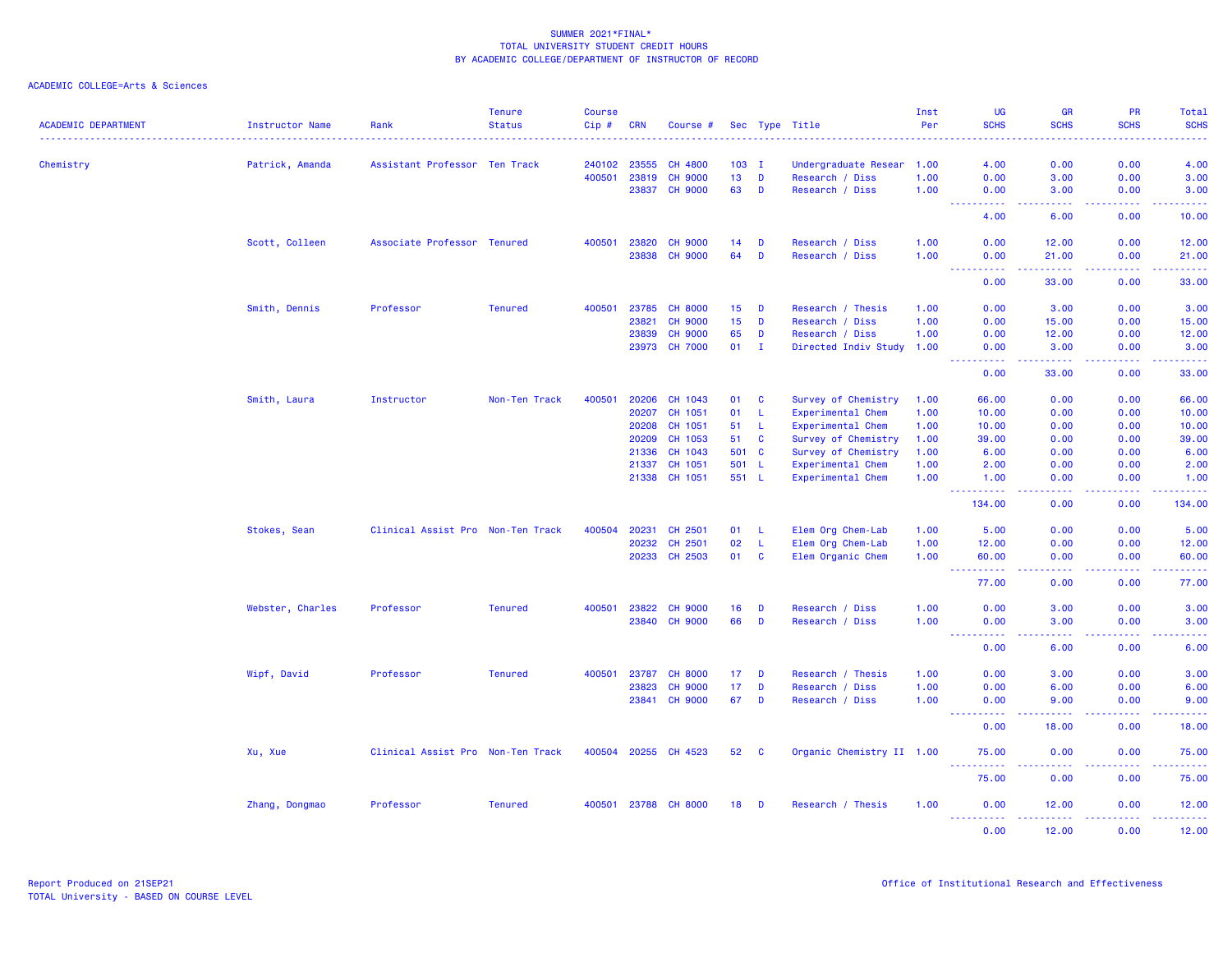| <b>ACADEMIC DEPARTMENT</b> | Instructor Name  | Rank                              | <b>Tenure</b><br><b>Status</b> | <b>Course</b><br>Cip#                       | <b>CRN</b> | Course #       |               |              | Sec Type Title                          | Inst<br>Per | <b>UG</b><br><b>SCHS</b>                                                                                                               | <b>GR</b><br><b>SCHS</b> | PR<br><b>SCHS</b>                   | Total<br><b>SCHS</b>               |
|----------------------------|------------------|-----------------------------------|--------------------------------|---------------------------------------------|------------|----------------|---------------|--------------|-----------------------------------------|-------------|----------------------------------------------------------------------------------------------------------------------------------------|--------------------------|-------------------------------------|------------------------------------|
|                            |                  |                                   |                                | <b><i><u><u>AAAAA</u></u></i></b><br>240102 | 23555      | <b>CH 4800</b> |               |              |                                         | 1.00        | .<br>4.00                                                                                                                              | <b></b><br>0.00          | .<br>0.00                           | .                                  |
| Chemistry                  | Patrick, Amanda  | Assistant Professor Ten Track     |                                | 400501                                      | 23819      | <b>CH 9000</b> | $103$ I<br>13 | D            | Undergraduate Resear<br>Research / Diss | 1.00        | 0.00                                                                                                                                   | 3.00                     | 0.00                                | 4.00<br>3.00                       |
|                            |                  |                                   |                                |                                             | 23837      | <b>CH 9000</b> | 63            | D            | Research / Diss                         | 1.00        | 0.00                                                                                                                                   | 3.00                     | 0.00                                | 3.00                               |
|                            |                  |                                   |                                |                                             |            |                |               |              |                                         |             | $\sim$ $\sim$ $\sim$ $\sim$<br>.                                                                                                       | د د د د                  | .                                   | .                                  |
|                            |                  |                                   |                                |                                             |            |                |               |              |                                         |             | 4.00                                                                                                                                   | 6.00                     | 0.00                                | 10.00                              |
|                            | Scott, Colleen   | Associate Professor Tenured       |                                | 400501                                      | 23820      | <b>CH 9000</b> | 14            | D            | Research / Diss                         | 1.00        | 0.00                                                                                                                                   | 12.00                    | 0.00                                | 12.00                              |
|                            |                  |                                   |                                |                                             | 23838      | <b>CH 9000</b> | 64            | D            | Research / Diss                         | 1.00        | 0.00<br>.<br>$\frac{1}{2} \left( \frac{1}{2} \right) \left( \frac{1}{2} \right) \left( \frac{1}{2} \right) \left( \frac{1}{2} \right)$ | 21.00<br>.               | 0.00<br>.                           | 21.00<br>.                         |
|                            |                  |                                   |                                |                                             |            |                |               |              |                                         |             | 0.00                                                                                                                                   | 33.00                    | 0.00                                | 33.00                              |
|                            | Smith, Dennis    | Professor                         | <b>Tenured</b>                 | 400501                                      | 23785      | <b>CH 8000</b> | 15            | D            | Research / Thesis                       | 1.00        | 0.00                                                                                                                                   | 3.00                     | 0.00                                | 3.00                               |
|                            |                  |                                   |                                |                                             | 23821      | <b>CH 9000</b> | 15            | D            | Research / Diss                         | 1.00        | 0.00                                                                                                                                   | 15.00                    | 0.00                                | 15.00                              |
|                            |                  |                                   |                                |                                             | 23839      | <b>CH 9000</b> | 65            | D            | Research / Diss                         | 1.00        | 0.00                                                                                                                                   | 12.00                    | 0.00                                | 12.00                              |
|                            |                  |                                   |                                |                                             | 23973      | <b>CH 7000</b> | 01            | I.           | Directed Indiv Study                    | 1.00        | 0.00<br><u>.</u>                                                                                                                       | 3.00<br>.                | 0.00<br>. <b>.</b>                  | 3.00<br>.                          |
|                            |                  |                                   |                                |                                             |            |                |               |              |                                         |             | 0.00                                                                                                                                   | 33.00                    | 0.00                                | 33.00                              |
|                            | Smith, Laura     | Instructor                        | Non-Ten Track                  | 400501                                      | 20206      | CH 1043        | 01            | C            | Survey of Chemistry                     | 1.00        | 66.00                                                                                                                                  | 0.00                     | 0.00                                | 66.00                              |
|                            |                  |                                   |                                |                                             | 20207      | CH 1051        | 01            | L.           | Experimental Chem                       | 1.00        | 10.00                                                                                                                                  | 0.00                     | 0.00                                | 10.00                              |
|                            |                  |                                   |                                |                                             | 20208      | CH 1051        | 51            | L.           | Experimental Chem                       | 1.00        | 10.00                                                                                                                                  | 0.00                     | 0.00                                | 10.00                              |
|                            |                  |                                   |                                |                                             | 20209      | CH 1053        | 51            | C            | Survey of Chemistry                     | 1.00        | 39.00                                                                                                                                  | 0.00                     | 0.00                                | 39.00                              |
|                            |                  |                                   |                                |                                             | 21336      | CH 1043        | 501           | $\mathbf{C}$ | Survey of Chemistry                     | 1.00        | 6.00                                                                                                                                   | 0.00                     | 0.00                                | 6.00                               |
|                            |                  |                                   |                                |                                             | 21337      | CH 1051        | 501           | <b>L</b>     | Experimental Chem                       | 1.00        | 2.00                                                                                                                                   | 0.00                     | 0.00                                | 2.00                               |
|                            |                  |                                   |                                |                                             | 21338      | CH 1051        | 551 L         |              | Experimental Chem                       | 1.00        | 1.00<br><u>.</u>                                                                                                                       | 0.00<br>.                | 0.00<br>.                           | 1.00<br>.                          |
|                            |                  |                                   |                                |                                             |            |                |               |              |                                         |             | 134.00                                                                                                                                 | 0.00                     | 0.00                                | 134.00                             |
|                            | Stokes, Sean     | Clinical Assist Pro Non-Ten Track |                                | 400504                                      | 20231      | CH 2501        | 01            | L.           | Elem Org Chem-Lab                       | 1.00        | 5.00                                                                                                                                   | 0.00                     | 0.00                                | 5.00                               |
|                            |                  |                                   |                                |                                             | 20232      | CH 2501        | 02            | <b>L</b>     | Elem Org Chem-Lab                       | 1.00        | 12.00                                                                                                                                  | 0.00                     | 0.00                                | 12.00                              |
|                            |                  |                                   |                                |                                             | 20233      | CH 2503        | 01            | C            | Elem Organic Chem                       | 1.00        | 60.00<br><b></b>                                                                                                                       | 0.00<br>.                | 0.00<br>.                           | 60.00<br>.                         |
|                            |                  |                                   |                                |                                             |            |                |               |              |                                         |             | 77.00                                                                                                                                  | 0.00                     | 0.00                                | 77.00                              |
|                            | Webster, Charles | Professor                         | <b>Tenured</b>                 | 400501                                      | 23822      | <b>CH 9000</b> | 16            | D            | Research / Diss                         | 1.00        | 0.00                                                                                                                                   | 3.00                     | 0.00                                | 3.00                               |
|                            |                  |                                   |                                |                                             | 23840      | <b>CH 9000</b> | 66            | D            | Research / Diss                         | 1.00        | 0.00                                                                                                                                   | 3.00                     | 0.00                                | 3.00                               |
|                            |                  |                                   |                                |                                             |            |                |               |              |                                         |             | <b>.</b><br>0.00                                                                                                                       | المتمالين<br>6.00        | .<br>0.00                           | $\omega = \omega = \omega$<br>6.00 |
|                            | Wipf, David      | Professor                         | <b>Tenured</b>                 | 400501                                      | 23787      | <b>CH 8000</b> | 17            | D            | Research / Thesis                       | 1.00        | 0.00                                                                                                                                   | 3.00                     | 0.00                                | 3.00                               |
|                            |                  |                                   |                                |                                             | 23823      | <b>CH 9000</b> | 17            | D            | Research / Diss                         | 1.00        | 0.00                                                                                                                                   | 6.00                     | 0.00                                | 6.00                               |
|                            |                  |                                   |                                |                                             | 23841      | <b>CH 9000</b> | 67            | D            | Research / Diss                         | 1.00        | 0.00                                                                                                                                   | 9.00                     | 0.00                                | 9.00                               |
|                            |                  |                                   |                                |                                             |            |                |               |              |                                         |             | . <b>.</b><br>0.00                                                                                                                     | 22222<br>18.00           | .<br>0.00                           | .<br>18.00                         |
|                            | Xu, Xue          | Clinical Assist Pro Non-Ten Track |                                | 400504                                      | 20255      | CH 4523        | 52            | C            | Organic Chemistry II 1.00               |             | 75.00                                                                                                                                  | 0.00                     | 0.00                                | 75.00                              |
|                            |                  |                                   |                                |                                             |            |                |               |              |                                         |             | <b>.</b> .<br>75.00                                                                                                                    | 0.00                     | $\omega \sim \omega/\omega$<br>0.00 | .<br>75.00                         |
|                            | Zhang, Dongmao   | Professor                         | <b>Tenured</b>                 | 400501                                      |            | 23788 CH 8000  | 18            | D            | Research / Thesis                       | 1.00        | 0.00                                                                                                                                   | 12.00                    | 0.00                                | 12.00                              |
|                            |                  |                                   |                                |                                             |            |                |               |              |                                         |             | 0.00                                                                                                                                   | 12.00                    | 0.00                                | .<br>12.00                         |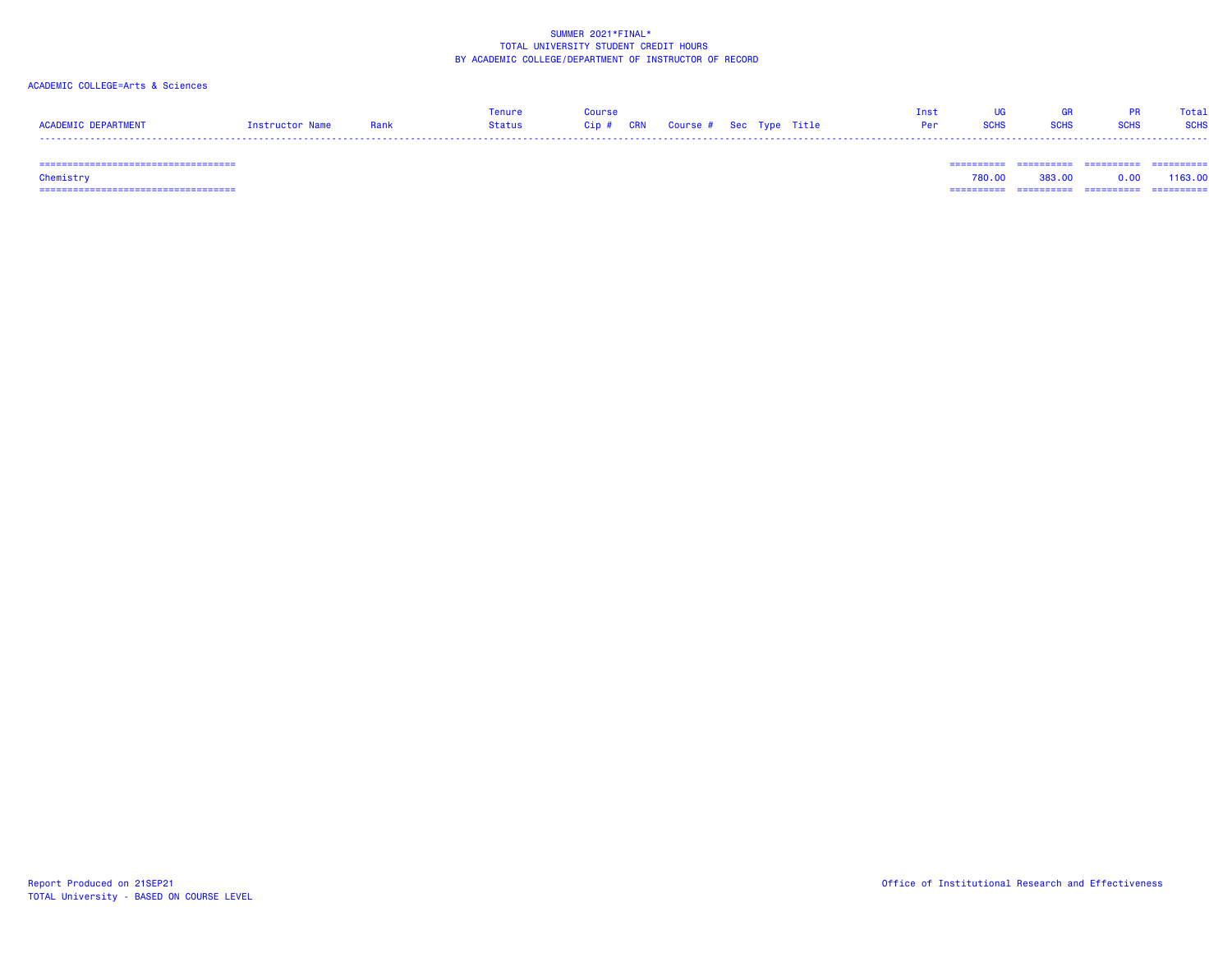### ACADEMIC COLLEGE=Arts & Sciences

|                            |                 |      | enure  | Course                            |  |            | <b>TIG</b> | - GR        |             | Total       |
|----------------------------|-----------------|------|--------|-----------------------------------|--|------------|------------|-------------|-------------|-------------|
| <b>ACADEMIC DEPARTMENT</b> | Instructor Name | Rank | Status | Cip # CRN Course # Sec Type Title |  | <b>Per</b> | SCHS       | <b>SCHS</b> | <b>SCHS</b> | <b>SCHS</b> |
|                            |                 |      |        |                                   |  |            |            |             |             |             |

=================================== ========== ========== ========== ==========

 =================================== ========== ========== ========== ========== Chemistry 780.00 383.00 0.00 1163.00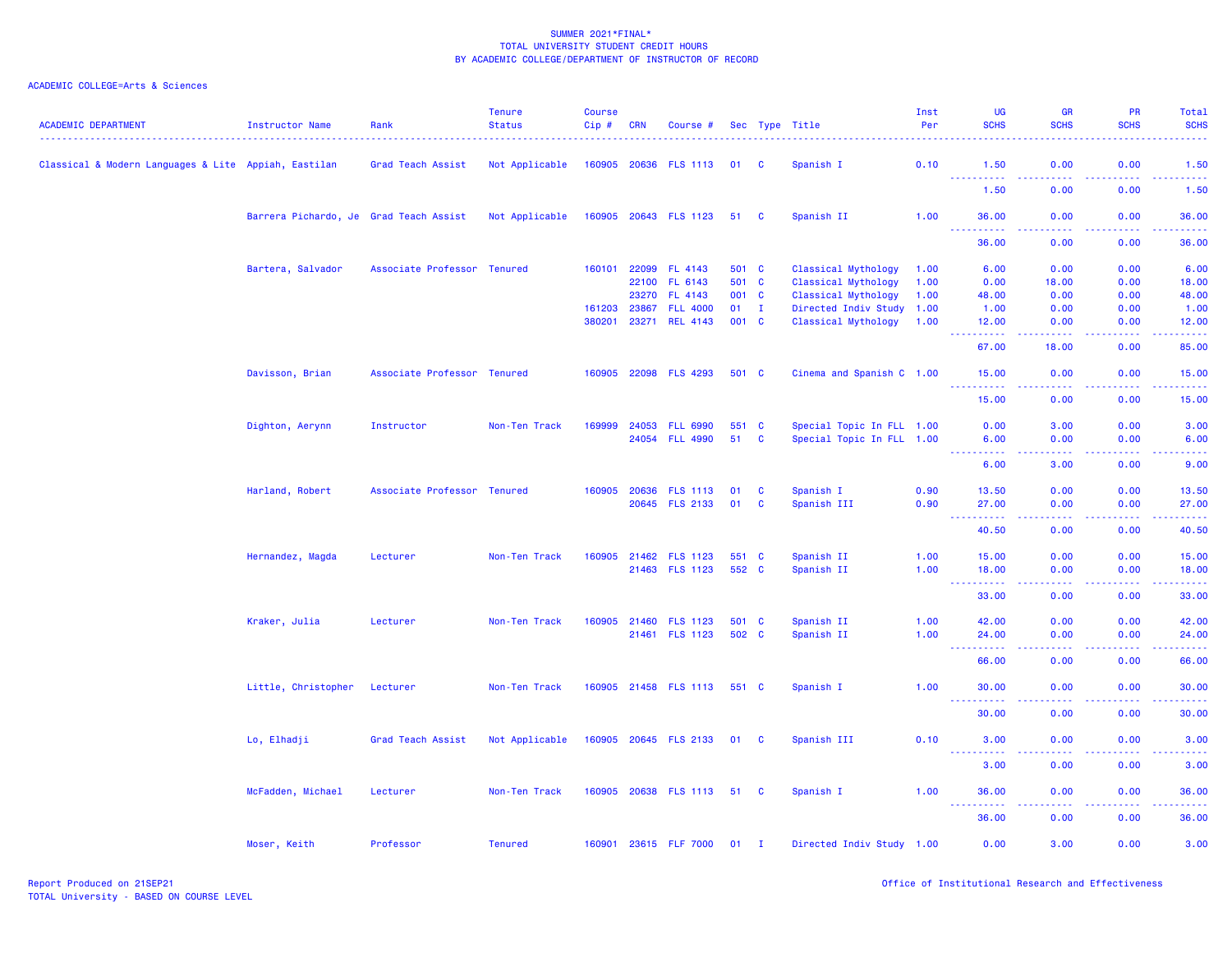| <b>ACADEMIC DEPARTMENT</b>                           | Instructor Name                        | Rank                        | <b>Tenure</b><br><b>Status</b> | <b>Course</b><br>Cip# | <b>CRN</b> | Course #                   |               |              | Sec Type Title            | Inst<br>Per | UG<br><b>SCHS</b>                                                    | <b>GR</b><br><b>SCHS</b> | <b>PR</b><br><b>SCHS</b> | Total<br><b>SCHS</b>              |
|------------------------------------------------------|----------------------------------------|-----------------------------|--------------------------------|-----------------------|------------|----------------------------|---------------|--------------|---------------------------|-------------|----------------------------------------------------------------------|--------------------------|--------------------------|-----------------------------------|
| Classical & Modern Languages & Lite Appiah, Eastilan |                                        | Grad Teach Assist           | Not Applicable                 |                       |            | 160905 20636 FLS 1113      | 01            | <b>C</b>     | Spanish I                 | 0.10        | 1.50                                                                 | 0.00                     | 0.00                     | 1.50                              |
|                                                      |                                        |                             |                                |                       |            |                            |               |              |                           |             | <u>.</u><br>1.50                                                     | .<br>0.00                | .<br>0.00                | .<br>1.50                         |
|                                                      | Barrera Pichardo, Je Grad Teach Assist |                             | Not Applicable                 |                       |            | 160905 20643 FLS 1123      | 51 C          |              | Spanish II                | 1.00        | 36.00                                                                | 0.00                     | 0.00                     | 36.00                             |
|                                                      |                                        |                             |                                |                       |            |                            |               |              |                           |             | 36.00                                                                | 0.00                     | 0.00                     | 36.00                             |
|                                                      | Bartera, Salvador                      | Associate Professor Tenured |                                | 160101                | 22099      | FL 4143                    | 501 C         |              | Classical Mythology       | 1.00        | 6.00                                                                 | 0.00                     | 0.00                     | 6.00                              |
|                                                      |                                        |                             |                                |                       | 22100      | FL 6143                    | 501 C         |              | Classical Mythology       | 1.00        | 0.00                                                                 | 18.00                    | 0.00                     | 18.00                             |
|                                                      |                                        |                             |                                |                       | 23270      | FL 4143                    | 001 C         |              | Classical Mythology       | 1.00        | 48.00                                                                | 0.00                     | 0.00                     | 48.00                             |
|                                                      |                                        |                             |                                | 161203                | 23867      | <b>FLL 4000</b>            | $01 \qquad I$ |              | Directed Indiv Study 1.00 |             | 1.00                                                                 | 0.00                     | 0.00                     | 1.00                              |
|                                                      |                                        |                             |                                | 380201                | 23271      | <b>REL 4143</b>            | 001 C         |              | Classical Mythology       | 1.00        | 12.00<br>المتمامين                                                   | 0.00<br>وعاعات           | 0.00<br>.                | 12.00<br>المتمامين                |
|                                                      |                                        |                             |                                |                       |            |                            |               |              |                           |             | 67.00                                                                | 18.00                    | 0.00                     | 85.00                             |
|                                                      | Davisson, Brian                        | Associate Professor Tenured |                                |                       |            | 160905 22098 FLS 4293      | 501 C         |              | Cinema and Spanish C 1.00 |             | 15.00<br>.                                                           | 0.00                     | 0.00                     | 15.00                             |
|                                                      |                                        |                             |                                |                       |            |                            |               |              |                           |             | 15.00                                                                | 0.00                     | 0.00                     | 15.00                             |
|                                                      | Dighton, Aerynn                        | Instructor                  | Non-Ten Track                  | 169999                | 24053      | <b>FLL 6990</b>            | 551 C         |              | Special Topic In FLL 1.00 |             | 0.00                                                                 | 3.00                     | 0.00                     | 3.00                              |
|                                                      |                                        |                             |                                |                       | 24054      | <b>FLL 4990</b>            | 51            | $\mathbf{C}$ | Special Topic In FLL 1.00 |             | 6.00                                                                 | 0.00                     | 0.00                     | 6.00                              |
|                                                      |                                        |                             |                                |                       |            |                            |               |              |                           |             | <b></b>                                                              | وبالمحام                 | بالأباب                  | وساعات                            |
|                                                      |                                        |                             |                                |                       |            |                            |               |              |                           |             | 6.00                                                                 | 3.00                     | 0.00                     | 9.00                              |
|                                                      | Harland, Robert                        | Associate Professor Tenured |                                | 160905                | 20636      | <b>FLS 1113</b>            | 01            | <b>C</b>     | Spanish I                 | 0.90        | 13.50                                                                | 0.00                     | 0.00                     | 13.50                             |
|                                                      |                                        |                             |                                |                       |            | 20645 FLS 2133             | 01            | C            | Spanish III               | 0.90        | 27.00<br>$\omega_{\rm{max}}$<br>.                                    | 0.00<br>.                | 0.00<br>.                | 27.00<br>.                        |
|                                                      |                                        |                             |                                |                       |            |                            |               |              |                           |             | 40.50                                                                | 0.00                     | 0.00                     | 40.50                             |
|                                                      | Hernandez, Magda                       | Lecturer                    | Non-Ten Track                  |                       |            | 160905 21462 FLS 1123      | 551 C         |              | Spanish II                | 1.00        | 15.00                                                                | 0.00                     | 0.00                     | 15.00                             |
|                                                      |                                        |                             |                                |                       |            | 21463 FLS 1123             | 552 C         |              | Spanish II                | 1.00        | 18.00                                                                | 0.00                     | 0.00                     | 18.00                             |
|                                                      |                                        |                             |                                |                       |            |                            |               |              |                           |             | .<br>$\sim$ $\sim$ $\sim$<br>33.00                                   | المتمامين<br>0.00        | . <b>.</b><br>0.00       | .<br>33.00                        |
|                                                      | Kraker, Julia                          | Lecturer                    | Non-Ten Track                  | 160905                | 21460      | <b>FLS 1123</b>            | 501 C         |              | Spanish II                | 1.00        | 42.00                                                                | 0.00                     | 0.00                     | 42.00                             |
|                                                      |                                        |                             |                                |                       |            | 21461 FLS 1123             | 502 C         |              | Spanish II                | 1.00        | 24.00                                                                | 0.00                     | 0.00                     | 24.00                             |
|                                                      |                                        |                             |                                |                       |            |                            |               |              |                           |             | .<br>$\frac{1}{2} \left( \frac{1}{2} + \frac{1}{2} \right)$<br>66.00 | .<br>0.00                | . <b>.</b><br>0.00       | .<br>66.00                        |
|                                                      | Little, Christopher                    | Lecturer                    | Non-Ten Track                  |                       |            | 160905 21458 FLS 1113      | 551 C         |              | Spanish I                 | 1.00        | 30.00                                                                | 0.00                     | 0.00                     | 30.00                             |
|                                                      |                                        |                             |                                |                       |            |                            |               |              |                           |             | $\sim 100$<br>.<br>30.00                                             | .<br>0.00                | .<br>0.00                | .<br>30.00                        |
|                                                      | Lo, Elhadji                            | Grad Teach Assist           | Not Applicable                 |                       |            | 160905 20645 FLS 2133      | 01 C          |              | Spanish III               | 0.10        | 3.00                                                                 | 0.00                     | 0.00                     | 3.00                              |
|                                                      |                                        |                             |                                |                       |            |                            |               |              |                           |             | 3.00                                                                 | ولايات<br>0.00           | .<br>0.00                | $\omega$ is $\omega$ in .<br>3.00 |
|                                                      | McFadden, Michael                      | Lecturer                    | Non-Ten Track                  |                       |            | 160905 20638 FLS 1113 51 C |               |              | Spanish I                 | 1.00        | 36.00                                                                | 0.00                     | 0.00                     | 36.00                             |
|                                                      |                                        |                             |                                |                       |            |                            |               |              |                           |             | 36.00                                                                | 0.00                     | 0.00                     | 36.00                             |
|                                                      | Moser, Keith                           | Professor                   | <b>Tenured</b>                 |                       |            | 160901 23615 FLF 7000      | $01$ I        |              | Directed Indiv Study 1.00 |             | 0.00                                                                 | 3.00                     | 0.00                     | 3.00                              |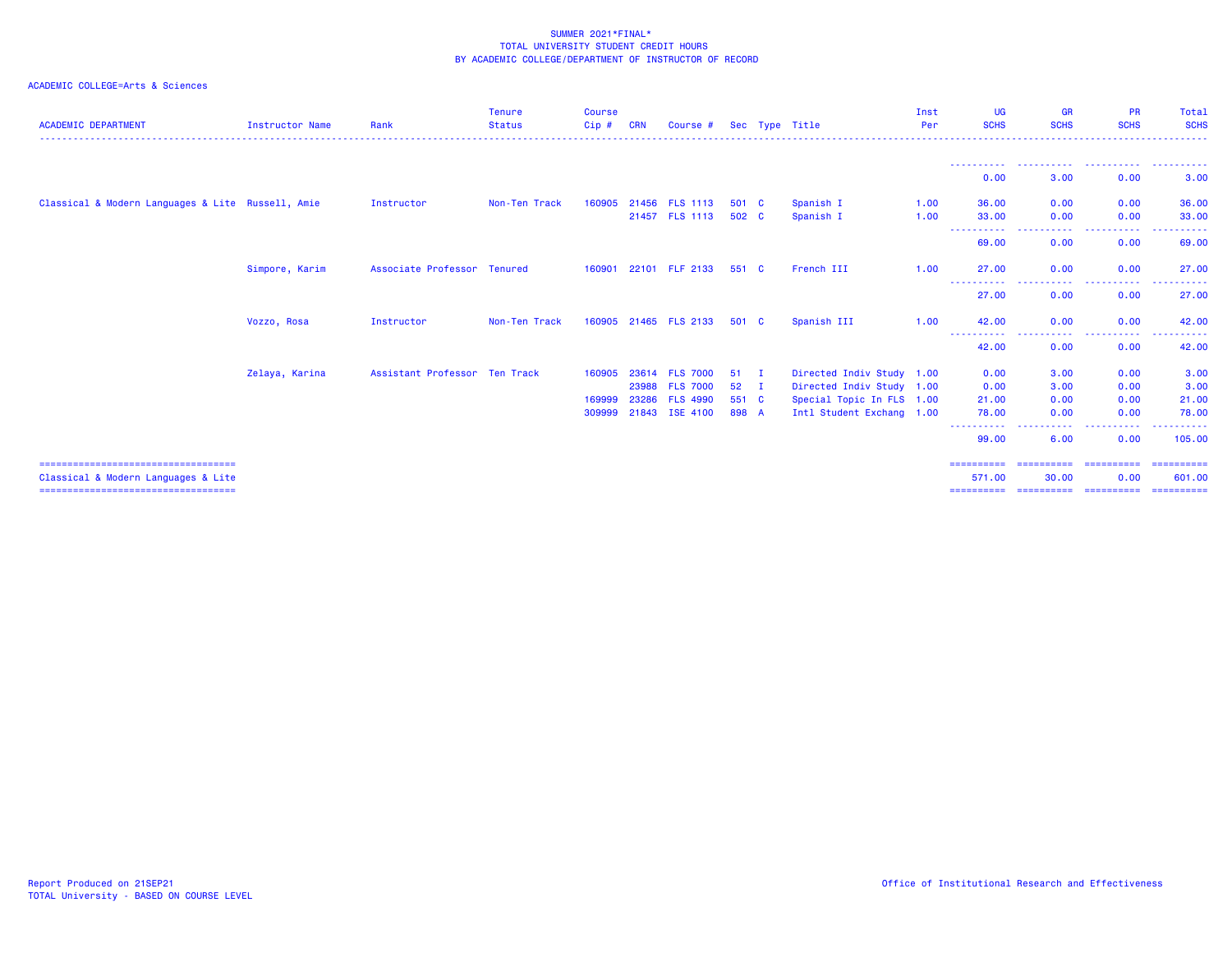| <b>ACADEMIC DEPARTMENT</b>                        | <b>Instructor Name</b> | Rank                          | <b>Tenure</b><br><b>Status</b> | <b>Course</b><br>$Cip$ # | <b>CRN</b> | Course #              |       |     | Sec Type Title            | Inst<br>Per | UG<br><b>SCHS</b>                                                                                                                                    | <b>GR</b><br><b>SCHS</b> | <b>PR</b><br><b>SCHS</b>                                                                                                               | Total<br><b>SCHS</b> |
|---------------------------------------------------|------------------------|-------------------------------|--------------------------------|--------------------------|------------|-----------------------|-------|-----|---------------------------|-------------|------------------------------------------------------------------------------------------------------------------------------------------------------|--------------------------|----------------------------------------------------------------------------------------------------------------------------------------|----------------------|
|                                                   |                        |                               |                                |                          |            |                       |       |     |                           |             |                                                                                                                                                      |                          |                                                                                                                                        |                      |
|                                                   |                        |                               |                                |                          |            |                       |       |     |                           |             | 0.00                                                                                                                                                 | 3.00                     | 0.00                                                                                                                                   | 3.00                 |
| Classical & Modern Languages & Lite Russell, Amie |                        | Instructor                    | Non-Ten Track                  | 160905                   |            | 21456 FLS 1113        | 501 C |     | Spanish I                 | 1.00        | 36.00                                                                                                                                                | 0.00                     | 0.00                                                                                                                                   | 36.00                |
|                                                   |                        |                               |                                |                          |            | 21457 FLS 1113        | 502 C |     | Spanish I                 | 1.00        | 33.00<br>-----------                                                                                                                                 | 0.00<br>.                | 0.00<br>.<br>$\frac{1}{2} \left( \frac{1}{2} \right) \left( \frac{1}{2} \right) \left( \frac{1}{2} \right) \left( \frac{1}{2} \right)$ | 33,00<br>------      |
|                                                   |                        |                               |                                |                          |            |                       |       |     |                           |             | 69.00                                                                                                                                                | 0.00                     | 0.00                                                                                                                                   | 69.00                |
|                                                   | Simpore, Karim         | Associate Professor Tenured   |                                |                          |            | 160901 22101 FLF 2133 | 551 C |     | French III                | 1.00        | 27.00                                                                                                                                                | 0.00                     | 0.00                                                                                                                                   | 27.00                |
|                                                   |                        |                               |                                |                          |            |                       |       |     |                           |             | -----------<br>27.00                                                                                                                                 | .<br>0.00                | .<br>0.00                                                                                                                              | 27.00                |
|                                                   | Vozzo, Rosa            | Instructor                    | Non-Ten Track                  |                          |            | 160905 21465 FLS 2133 | 501 C |     | Spanish III               | 1.00        | 42.00                                                                                                                                                | 0.00                     | 0.00                                                                                                                                   | 42.00                |
|                                                   |                        |                               |                                |                          |            |                       |       |     |                           |             | 42.00                                                                                                                                                | 0.00                     | 0.00                                                                                                                                   | 42.00                |
|                                                   | Zelaya, Karina         | Assistant Professor Ten Track |                                | 160905                   |            | 23614 FLS 7000        | 51    | - 1 | Directed Indiv Study 1.00 |             | 0.00                                                                                                                                                 | 3.00                     | 0.00                                                                                                                                   | 3.00                 |
|                                                   |                        |                               |                                |                          |            | 23988 FLS 7000        | 52    | - I | Directed Indiv Study 1.00 |             | 0.00                                                                                                                                                 | 3.00                     | 0.00                                                                                                                                   | 3.00                 |
|                                                   |                        |                               |                                | 169999                   |            | 23286 FLS 4990        | 551 C |     | Special Topic In FLS 1.00 |             | 21.00                                                                                                                                                | 0.00                     | 0.00                                                                                                                                   | 21.00                |
|                                                   |                        |                               |                                | 309999                   |            | 21843 ISE 4100        | 898 A |     | Intl Student Exchang 1.00 |             | 78.00<br>$\frac{1}{2} \left( \frac{1}{2} \right) \left( \frac{1}{2} \right) \left( \frac{1}{2} \right) \left( \frac{1}{2} \right)$<br>. <b>. .</b> . | 0.00                     | 0.00<br>. <u>.</u> .                                                                                                                   | 78.00                |
|                                                   |                        |                               |                                |                          |            |                       |       |     |                           |             | 99.00                                                                                                                                                | 6.00                     | 0.00                                                                                                                                   | 105.00               |
| ======================================            |                        |                               |                                |                          |            |                       |       |     |                           |             | ==========                                                                                                                                           | ==========               | -=========== ==========                                                                                                                |                      |
| Classical & Modern Languages & Lite               |                        |                               |                                |                          |            |                       |       |     |                           |             | 571.00                                                                                                                                               | 30.00                    | 0.00                                                                                                                                   | 601.00               |
| ======================================            |                        |                               |                                |                          |            |                       |       |     |                           |             | ==========                                                                                                                                           |                          | _========== =========== ==========                                                                                                     |                      |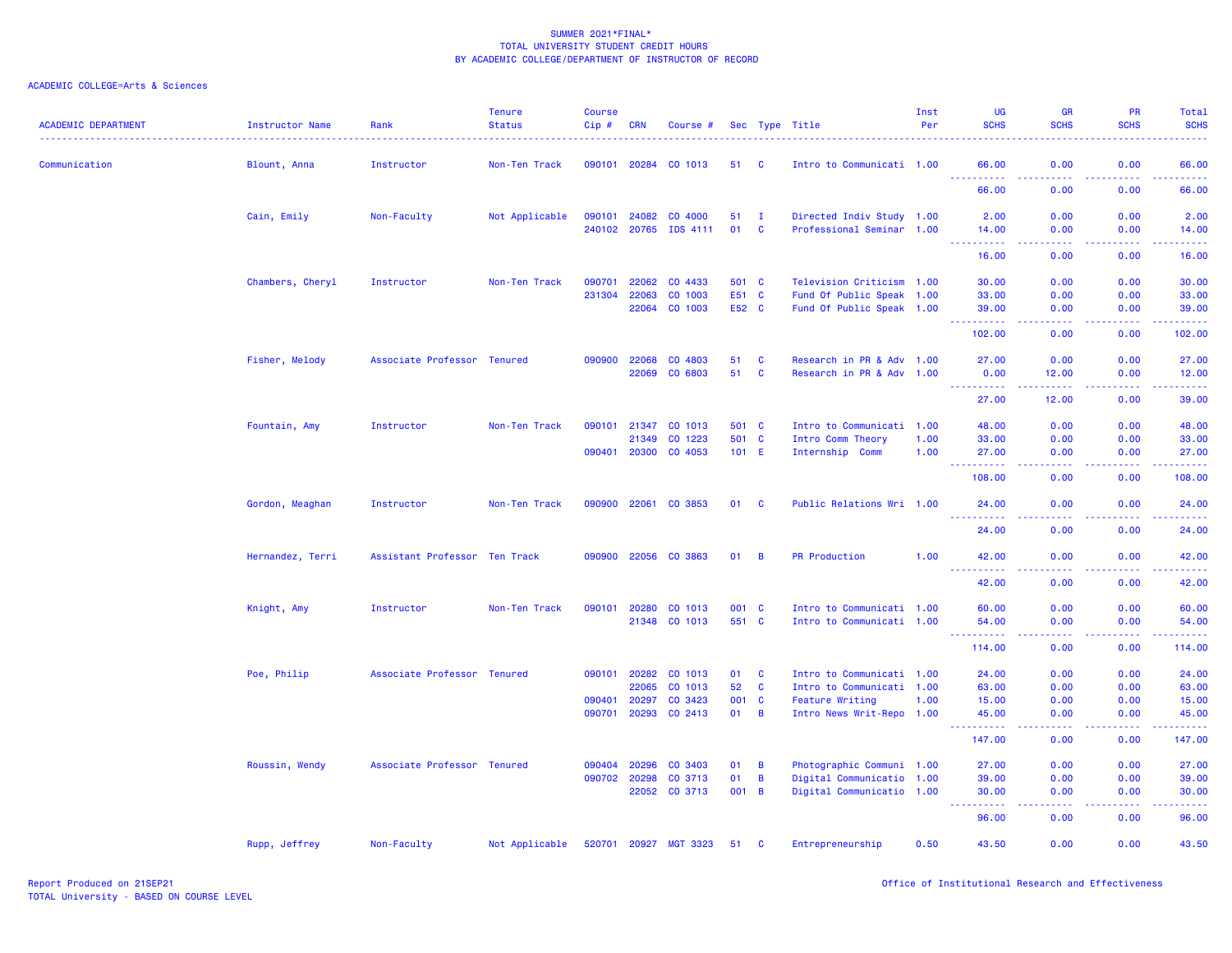| <b>ACADEMIC DEPARTMENT</b> | <b>Instructor Name</b> | Rank                          | <b>Tenure</b><br><b>Status</b> | <b>Course</b><br>Cip# | <b>CRN</b>                   | Course #              |                |                          | Sec Type Title                                         | Inst<br>Per | <b>UG</b><br><b>SCHS</b>                                                                                                                                                              | <b>GR</b><br><b>SCHS</b>            | <b>PR</b><br><b>SCHS</b> | Total<br><b>SCHS</b> |
|----------------------------|------------------------|-------------------------------|--------------------------------|-----------------------|------------------------------|-----------------------|----------------|--------------------------|--------------------------------------------------------|-------------|---------------------------------------------------------------------------------------------------------------------------------------------------------------------------------------|-------------------------------------|--------------------------|----------------------|
| Communication              | Blount, Anna           | Instructor                    | Non-Ten Track                  |                       | 090101 20284                 | CO 1013               | 51             | <b>C</b>                 | Intro to Communicati 1.00                              |             | 66.00                                                                                                                                                                                 | 0.00                                | 0.00                     | 66.00                |
|                            |                        |                               |                                |                       |                              |                       |                |                          |                                                        |             | <u>.</u><br>66.00                                                                                                                                                                     | .<br>0.00                           | 22222<br>0.00            | .<br>66.00           |
|                            | Cain, Emily            | Non-Faculty                   | Not Applicable                 |                       | 090101 24082<br>240102 20765 | CO 4000<br>IDS 4111   | 51<br>01       | $\mathbf{I}$<br><b>C</b> | Directed Indiv Study 1.00<br>Professional Seminar 1.00 |             | 2.00<br>14.00                                                                                                                                                                         | 0.00<br>0.00                        | 0.00<br>0.00             | 2.00<br>14.00        |
|                            |                        |                               |                                |                       |                              |                       |                |                          |                                                        |             | .<br>16.00                                                                                                                                                                            | .<br>0.00                           | . <b>.</b><br>0.00       | .<br>16.00           |
|                            | Chambers, Cheryl       | Instructor                    | Non-Ten Track                  | 090701                | 22062                        | CO 4433               | 501 C          |                          | Television Criticism 1.00                              |             | 30.00                                                                                                                                                                                 | 0.00                                | 0.00                     | 30.00                |
|                            |                        |                               |                                | 231304                | 22063<br>22064               | CO 1003<br>CO 1003    | E51 C<br>E52 C |                          | Fund Of Public Speak 1.00<br>Fund Of Public Speak 1.00 |             | 33.00<br>39.00                                                                                                                                                                        | 0.00<br>0.00                        | 0.00<br>0.00             | 33.00<br>39.00       |
|                            |                        |                               |                                |                       |                              |                       |                |                          |                                                        |             | <u>.</u><br>102.00                                                                                                                                                                    | .<br>0.00                           | . <b>.</b><br>0.00       | .<br>102.00          |
|                            | Fisher, Melody         | Associate Professor Tenured   |                                | 090900                | 22068<br>22069               | CO 4803<br>CO 6803    | 51<br>51       | <b>C</b><br>$\mathbf{C}$ | Research in PR & Adv 1.00<br>Research in PR & Adv 1.00 |             | 27.00<br>0.00                                                                                                                                                                         | 0.00<br>12.00                       | 0.00<br>0.00             | 27.00<br>12.00       |
|                            |                        |                               |                                |                       |                              |                       |                |                          |                                                        |             | .<br>27,00                                                                                                                                                                            | 22222<br>12.00                      | 0.00                     | .<br>39.00           |
|                            | Fountain, Amy          | Instructor                    | Non-Ten Track                  |                       | 090101 21347                 | CO 1013               | 501 C          |                          | Intro to Communicati 1.00                              |             | 48.00                                                                                                                                                                                 | 0.00                                | 0.00                     | 48.00                |
|                            |                        |                               |                                |                       | 21349                        | CO 1223               | 501 C          |                          | Intro Comm Theory                                      | 1.00        | 33.00                                                                                                                                                                                 | 0.00                                | 0.00                     | 33.00                |
|                            |                        |                               |                                |                       | 090401 20300                 | CO 4053               | $101$ E        |                          | Internship Comm                                        | 1.00        | 27.00                                                                                                                                                                                 | 0.00                                | 0.00<br>.                | 27.00<br>.           |
|                            |                        |                               |                                |                       |                              |                       |                |                          |                                                        |             | 108.00                                                                                                                                                                                | 0.00                                | 0.00                     | 108.00               |
|                            | Gordon, Meaghan        | Instructor                    | Non-Ten Track                  |                       | 090900 22061                 | CO 3853               | 01             | $\mathbf{C}$             | Public Relations Wri 1.00                              |             | 24.00                                                                                                                                                                                 | 0.00                                | 0.00                     | 24.00                |
|                            |                        |                               |                                |                       |                              |                       |                |                          |                                                        |             | 24.00                                                                                                                                                                                 | 0.00                                | 0.00                     | 24.00                |
|                            | Hernandez, Terri       | Assistant Professor Ten Track |                                | 090900                | 22056                        | CO 3863               | 01             | $\overline{B}$           | <b>PR Production</b>                                   | 1.00        | 42.00<br>222<br>.                                                                                                                                                                     | 0.00<br>.                           | 0.00<br>بالمحامي         | 42.00<br>.           |
|                            |                        |                               |                                |                       |                              |                       |                |                          |                                                        |             | 42.00                                                                                                                                                                                 | 0.00                                | 0.00                     | 42.00                |
|                            | Knight, Amy            | Instructor                    | Non-Ten Track                  |                       | 090101 20280                 | CO 1013               | 001 C          |                          | Intro to Communicati 1.00                              |             | 60.00                                                                                                                                                                                 | 0.00                                | 0.00                     | 60.00                |
|                            |                        |                               |                                |                       | 21348                        | CO 1013               | 551 C          |                          | Intro to Communicati 1.00                              |             | 54.00<br>----------                                                                                                                                                                   | 0.00<br>$\sim$ $\sim$ $\sim$ $\sim$ | 0.00<br>بالأباب          | 54.00<br>المستمات    |
|                            |                        |                               |                                |                       |                              |                       |                |                          |                                                        |             | 114.00                                                                                                                                                                                | 0.00                                | 0.00                     | 114.00               |
|                            | Poe, Philip            | Associate Professor Tenured   |                                |                       | 090101 20282                 | CO 1013               | 01             | $\mathbf{C}$             | Intro to Communicati 1.00                              |             | 24.00                                                                                                                                                                                 | 0.00                                | 0.00                     | 24.00                |
|                            |                        |                               |                                |                       | 22065                        | CO 1013               | 52             | $\mathbf{C}$             | Intro to Communicati 1.00                              |             | 63.00                                                                                                                                                                                 | 0.00                                | 0.00                     | 63.00                |
|                            |                        |                               |                                | 090401                | 20297                        | CO 3423               | 001 C          |                          | <b>Feature Writing</b>                                 | 1.00        | 15.00                                                                                                                                                                                 | 0.00                                | 0.00                     | 15.00                |
|                            |                        |                               |                                |                       |                              | 090701 20293 CO 2413  | 01 B           |                          | Intro News Writ-Repo 1.00                              |             | 45.00<br>.                                                                                                                                                                            | 0.00<br>.                           | 0.00<br>.                | 45.00<br>.           |
|                            |                        |                               |                                |                       |                              |                       |                |                          |                                                        |             | 147.00                                                                                                                                                                                | 0.00                                | 0.00                     | 147.00               |
|                            | Roussin, Wendy         | Associate Professor Tenured   |                                | 090404                | 20296                        | CO 3403               | 01             | $\overline{B}$           | Photographic Communi 1.00                              |             | 27.00                                                                                                                                                                                 | 0.00                                | 0.00                     | 27.00                |
|                            |                        |                               |                                |                       | 090702 20298                 | CO 3713               | 01             | $\overline{B}$           | Digital Communicatio 1.00                              |             | 39.00                                                                                                                                                                                 | 0.00                                | 0.00                     | 39.00                |
|                            |                        |                               |                                |                       | 22052                        | CO 3713               | 001 B          |                          | Digital Communicatio 1.00                              |             | 30.00<br>$\sim$ $\sim$ $\sim$<br>$\frac{1}{2} \left( \frac{1}{2} \right) \left( \frac{1}{2} \right) \left( \frac{1}{2} \right) \left( \frac{1}{2} \right) \left( \frac{1}{2} \right)$ | 0.00<br>$\sim$ $\sim$ $\sim$ $\sim$ | 0.00<br>. <b>.</b>       | 30.00<br>.           |
|                            |                        |                               |                                |                       |                              |                       |                |                          |                                                        |             | 96.00                                                                                                                                                                                 | 0.00                                | 0.00                     | 96.00                |
|                            | Rupp, Jeffrey          | Non-Faculty                   | Not Applicable                 |                       |                              | 520701 20927 MGT 3323 | 51 C           |                          | Entrepreneurship                                       | 0.50        | 43.50                                                                                                                                                                                 | 0.00                                | 0.00                     | 43.50                |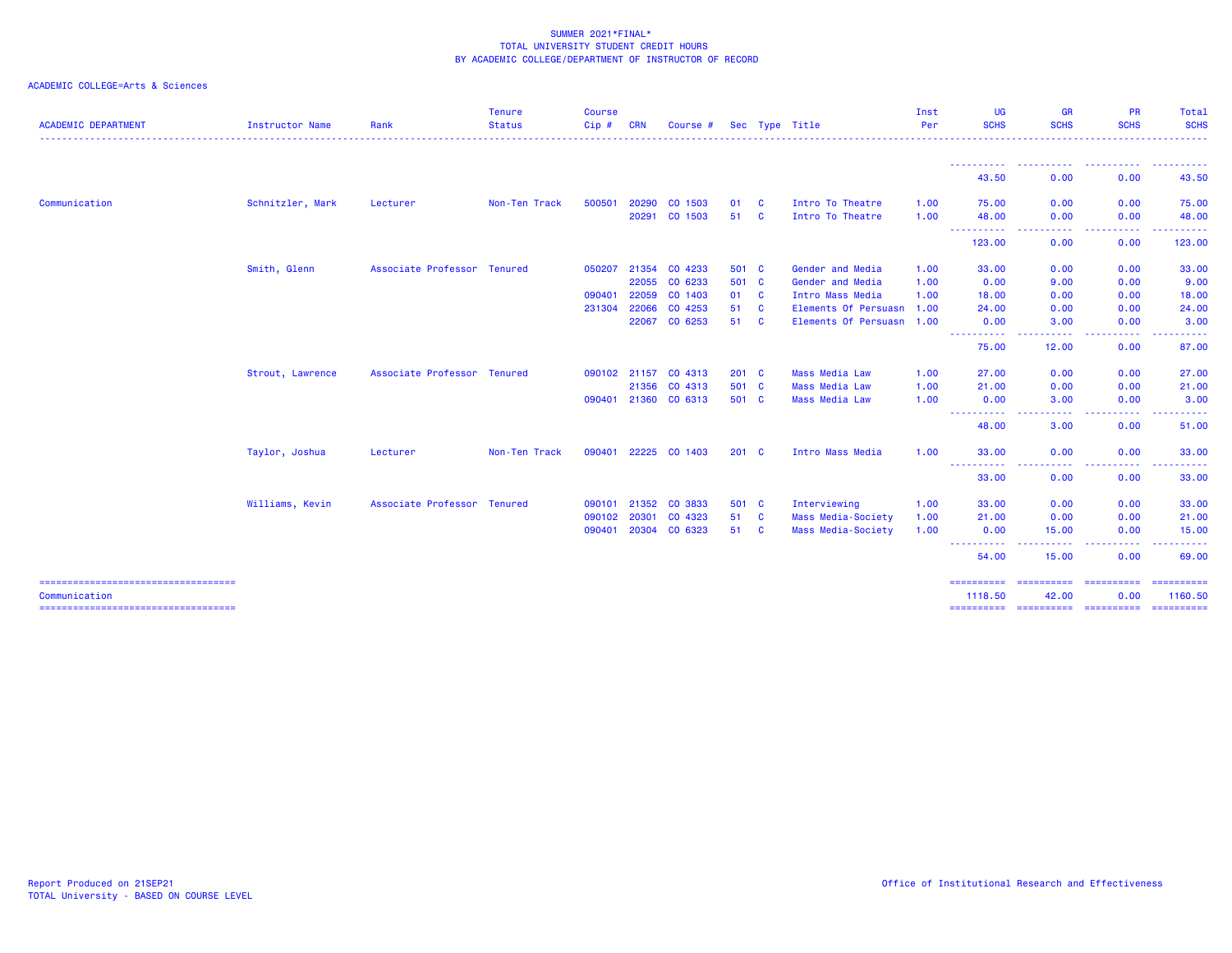| <b>ACADEMIC DEPARTMENT</b>                           | Instructor Name  | Rank                        | <b>Tenure</b><br><b>Status</b> | <b>Course</b><br>$Cip$ # | <b>CRN</b> | Course #             |               |              | Sec Type Title            | Inst<br>Per | <b>UG</b><br><b>SCHS</b>            | <b>GR</b><br><b>SCHS</b>                                                                                                          | <b>PR</b><br><b>SCHS</b> | Total<br><b>SCHS</b> |
|------------------------------------------------------|------------------|-----------------------------|--------------------------------|--------------------------|------------|----------------------|---------------|--------------|---------------------------|-------------|-------------------------------------|-----------------------------------------------------------------------------------------------------------------------------------|--------------------------|----------------------|
|                                                      |                  |                             |                                |                          |            |                      |               |              |                           |             |                                     |                                                                                                                                   |                          |                      |
|                                                      |                  |                             |                                |                          |            |                      |               |              |                           |             | 43.50                               | 0.00                                                                                                                              | 0.00                     | 43.50                |
| Communication                                        | Schnitzler, Mark | Lecturer                    | Non-Ten Track                  | 500501                   | 20290      | CO 1503              | 01            | <b>C</b>     | Intro To Theatre          | 1.00        | 75.00                               | 0.00                                                                                                                              | 0.00                     | 75.00                |
|                                                      |                  |                             |                                |                          | 20291      | CO 1503              | 51            | <b>C</b>     | Intro To Theatre          | 1.00        | 48.00<br>-----------                | 0.00<br>$\frac{1}{2} \left( \frac{1}{2} \right) \left( \frac{1}{2} \right) \left( \frac{1}{2} \right)$                            | 0.00<br>.                | 48.00                |
|                                                      |                  |                             |                                |                          |            |                      |               |              |                           |             | 123.00                              | 0.00                                                                                                                              | 0.00                     | 123,00               |
|                                                      | Smith, Glenn     | Associate Professor Tenured |                                | 050207                   | 21354      | CO 4233              | 501 C         |              | Gender and Media          | 1.00        | 33.00                               | 0.00                                                                                                                              | 0.00                     | 33.00                |
|                                                      |                  |                             |                                |                          | 22055      | CO 6233              | 501 C         |              | Gender and Media          | 1.00        | 0.00                                | 9.00                                                                                                                              | 0.00                     | 9.00                 |
|                                                      |                  |                             |                                | 090401                   | 22059      | CO 1403              | 01            | $\mathbf{C}$ | Intro Mass Media          | 1.00        | 18.00                               | 0.00                                                                                                                              | 0.00                     | 18.00                |
|                                                      |                  |                             |                                | 231304                   | 22066      | CO 4253              | 51            | $\mathbf{C}$ | Elements Of Persuasn      | 1.00        | 24.00                               | 0.00                                                                                                                              | 0.00                     | 24.00                |
|                                                      |                  |                             |                                |                          | 22067      | CO 6253              | 51            | <b>C</b>     | Elements Of Persuasn 1.00 |             | 0.00<br><u> - - - - - - - - - -</u> | 3.00<br>.                                                                                                                         | 0.00<br>2.2.2.2.2        | 3.00<br>.            |
|                                                      |                  |                             |                                |                          |            |                      |               |              |                           |             | 75.00                               | 12.00                                                                                                                             | 0.00                     | 87.00                |
|                                                      | Strout, Lawrence | Associate Professor Tenured |                                |                          |            | 090102 21157 CO 4313 | $201$ C       |              | <b>Mass Media Law</b>     | 1.00        | 27.00                               | 0.00                                                                                                                              | 0.00                     | 27.00                |
|                                                      |                  |                             |                                |                          | 21356      | CO 4313              | 501 C         |              | <b>Mass Media Law</b>     | 1.00        | 21.00                               | 0.00                                                                                                                              | 0.00                     | 21.00                |
|                                                      |                  |                             |                                | 090401                   |            | 21360 CO 6313        | 501 C         |              | <b>Mass Media Law</b>     | 1.00        | 0.00<br>---------- <i>-</i>         | 3.00<br>$\frac{1}{2} \left( \frac{1}{2} \right) \left( \frac{1}{2} \right) \left( \frac{1}{2} \right) \left( \frac{1}{2} \right)$ | 0.00<br>.                | 3.00<br>.            |
|                                                      |                  |                             |                                |                          |            |                      |               |              |                           |             | 48.00                               | 3.00                                                                                                                              | 0.00                     | 51.00                |
|                                                      | Taylor, Joshua   | Lecturer                    | Non-Ten Track                  | 090401                   |            | 22225 CO 1403        | $201 \quad C$ |              | Intro Mass Media          | 1.00        | 33.00                               | 0.00                                                                                                                              | 0.00                     | 33.00                |
|                                                      |                  |                             |                                |                          |            |                      |               |              |                           |             | ----------<br>33.00                 | $\frac{1}{2} \left( \frac{1}{2} \right) \left( \frac{1}{2} \right) \left( \frac{1}{2} \right)$<br>0.00                            | .<br>0.00                | .<br>33.00           |
|                                                      | Williams, Kevin  | Associate Professor Tenured |                                | 090101                   | 21352      | CO 3833              | 501 C         |              | Interviewing              | 1.00        | 33.00                               | 0.00                                                                                                                              | 0.00                     | 33.00                |
|                                                      |                  |                             |                                | 090102                   | 20301      | CO 4323              | 51            | <b>C</b>     | Mass Media-Society        | 1.00        | 21.00                               | 0.00                                                                                                                              | 0.00                     | 21.00                |
|                                                      |                  |                             |                                | 090401                   | 20304      | CO 6323              | 51            | <b>C</b>     | Mass Media-Society        | 1.00        | 0.00<br>----------                  | 15.00<br>-----                                                                                                                    | 0.00<br>المتمام مالما    | 15.00<br>.           |
|                                                      |                  |                             |                                |                          |            |                      |               |              |                           |             | 54.00                               | 15.00                                                                                                                             | 0.00                     | 69.00                |
| -----------------------------------<br>Communication |                  |                             |                                |                          |            |                      |               |              |                           |             | ==========<br>1118.50               | ==========<br>42.00                                                                                                               | ==========<br>0.00       | 1160.50              |
| =====================================                |                  |                             |                                |                          |            |                      |               |              |                           |             | ==========                          | ----------- ----------                                                                                                            |                          | -----------          |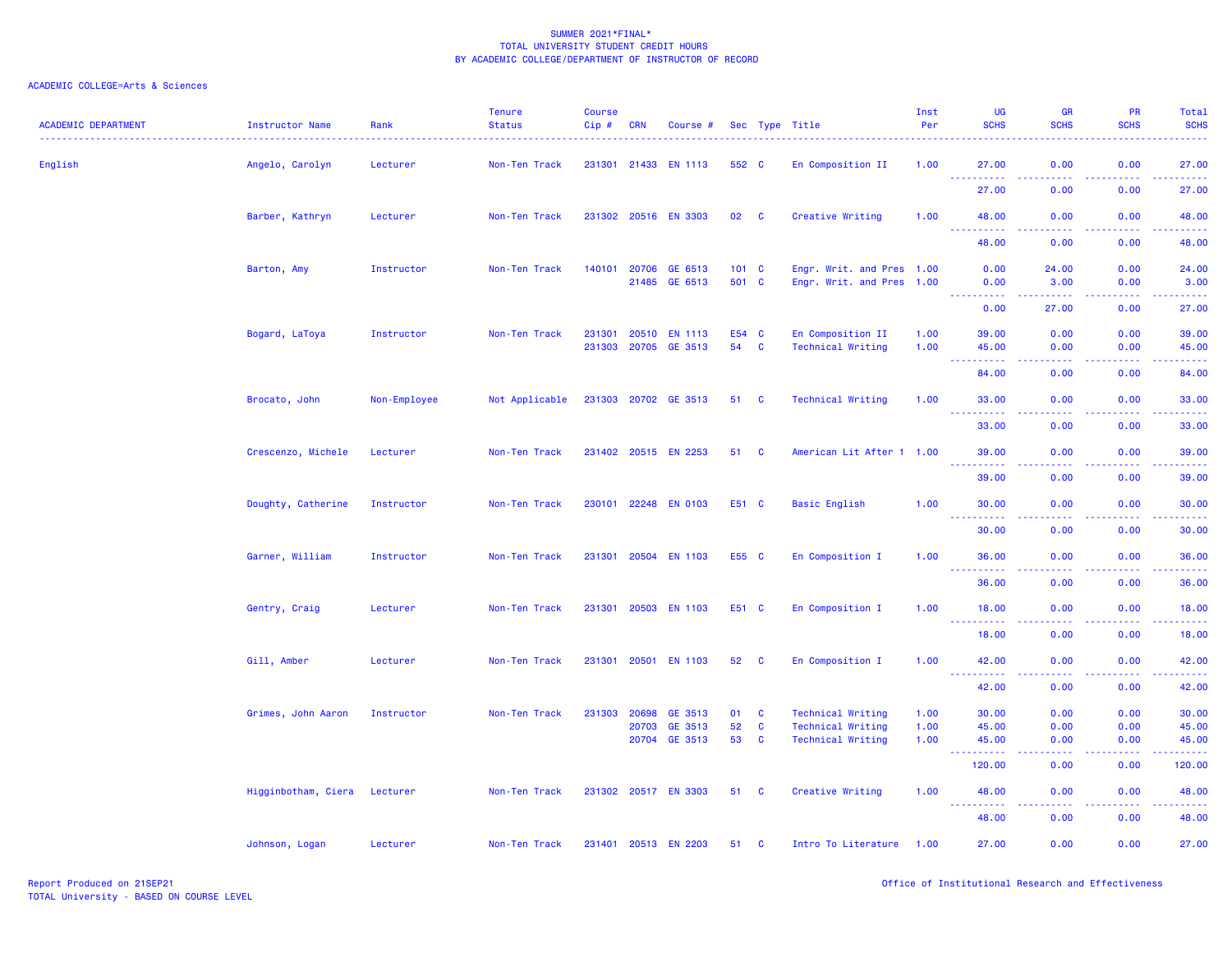| <b>ACADEMIC DEPARTMENT</b> | Instructor Name              | Rank         | <b>Tenure</b><br><b>Status</b> | <b>Course</b><br>Cip# | <b>CRN</b> | Course #             |                 |              | Sec Type Title            | Inst<br>Per | UG<br><b>SCHS</b>                    | GR<br><b>SCHS</b>                                                                                                                 | PR<br><b>SCHS</b> | <b>Total</b><br><b>SCHS</b>                                                                                                        |
|----------------------------|------------------------------|--------------|--------------------------------|-----------------------|------------|----------------------|-----------------|--------------|---------------------------|-------------|--------------------------------------|-----------------------------------------------------------------------------------------------------------------------------------|-------------------|------------------------------------------------------------------------------------------------------------------------------------|
| English                    | Angelo, Carolyn              | Lecturer     | Non-Ten Track                  |                       |            | 231301 21433 EN 1113 | 552 C           |              | En Composition II         | 1.00        | 27.00                                | 0.00                                                                                                                              | 0.00              | 27.00                                                                                                                              |
|                            |                              |              |                                |                       |            |                      |                 |              |                           |             | $\sim$ $\sim$ $\sim$<br>.<br>27.00   | $  -$<br>0.00                                                                                                                     | 0.00              | 27.00                                                                                                                              |
|                            | Barber, Kathryn              | Lecturer     | Non-Ten Track                  |                       |            | 231302 20516 EN 3303 | 02 C            |              | Creative Writing          | 1.00        | 48.00                                | 0.00                                                                                                                              | 0.00              | 48.00                                                                                                                              |
|                            |                              |              |                                |                       |            |                      |                 |              |                           |             | $  -$<br><b>.</b><br>48.00           | .<br>0.00                                                                                                                         | .<br>0.00         | .<br>48.00                                                                                                                         |
|                            | Barton, Amy                  | Instructor   | Non-Ten Track                  | 140101                | 20706      | GE 6513              | $101 \quad C$   |              | Engr. Writ. and Pres 1.00 |             | 0.00                                 | 24.00                                                                                                                             | 0.00              | 24.00                                                                                                                              |
|                            |                              |              |                                |                       |            | 21485 GE 6513        | 501 C           |              | Engr. Writ. and Pres 1.00 |             | 0.00<br>.                            | 3.00<br>.                                                                                                                         | 0.00              | 3.00                                                                                                                               |
|                            |                              |              |                                |                       |            |                      |                 |              |                           |             | 0.00                                 | 27.00                                                                                                                             | 0.00              | 27.00                                                                                                                              |
|                            | Bogard, LaToya               | Instructor   | Non-Ten Track                  | 231301                | 20510      | <b>EN 1113</b>       | E54 C           |              | En Composition II         | 1.00        | 39.00                                | 0.00                                                                                                                              | 0.00              | 39.00                                                                                                                              |
|                            |                              |              |                                |                       |            | 231303 20705 GE 3513 | 54              | $\mathbf{C}$ | <b>Technical Writing</b>  | 1.00        | 45.00                                | 0.00<br>$\sim$ $\sim$ $\sim$ $\sim$                                                                                               | 0.00              | 45.00<br>والمناصبات                                                                                                                |
|                            |                              |              |                                |                       |            |                      |                 |              |                           |             | 84.00                                | 0.00                                                                                                                              | 0.00              | 84.00                                                                                                                              |
|                            | Brocato, John                | Non-Employee | Not Applicable                 |                       |            | 231303 20702 GE 3513 | 51 C            |              | <b>Technical Writing</b>  | 1.00        | 33.00<br>.<br>.                      | 0.00<br>$\frac{1}{2} \left( \frac{1}{2} \right) \left( \frac{1}{2} \right) \left( \frac{1}{2} \right) \left( \frac{1}{2} \right)$ | 0.00              | 33.00                                                                                                                              |
|                            |                              |              |                                |                       |            |                      |                 |              |                           |             | 33.00                                | 0.00                                                                                                                              | 0.00              | 33.00                                                                                                                              |
|                            | Crescenzo, Michele           | Lecturer     | Non-Ten Track                  |                       |            | 231402 20515 EN 2253 | 51 C            |              | American Lit After 1 1.00 |             | 39.00                                | 0.00                                                                                                                              | 0.00              | 39.00                                                                                                                              |
|                            |                              |              |                                |                       |            |                      |                 |              |                           |             | ----------<br>39.00                  | 0.00                                                                                                                              | 0.00              | 39.00                                                                                                                              |
|                            | Doughty, Catherine           | Instructor   | Non-Ten Track                  |                       |            | 230101 22248 EN 0103 | E51 C           |              | <b>Basic English</b>      | 1.00        | 30.00<br>$\sim 100$<br>.             | 0.00<br>د د د د                                                                                                                   | 0.00              | 30.00<br>$\frac{1}{2} \left( \frac{1}{2} \right) \left( \frac{1}{2} \right) \left( \frac{1}{2} \right) \left( \frac{1}{2} \right)$ |
|                            |                              |              |                                |                       |            |                      |                 |              |                           |             | 30.00                                | 0.00                                                                                                                              | 0.00              | 30.00                                                                                                                              |
|                            | Garner, William              | Instructor   | Non-Ten Track                  |                       |            | 231301 20504 EN 1103 | E55 C           |              | En Composition I          | 1.00        | 36.00<br><u> - - - - - - - - - -</u> | 0.00<br>بالأباد                                                                                                                   | 0.00<br>22222     | 36.00<br>.                                                                                                                         |
|                            |                              |              |                                |                       |            |                      |                 |              |                           |             | 36.00                                | 0.00                                                                                                                              | 0.00              | 36.00                                                                                                                              |
|                            | Gentry, Craig                | Lecturer     | Non-Ten Track                  |                       |            | 231301 20503 EN 1103 | E51 C           |              | En Composition I          | 1.00        | 18.00<br><u>.</u>                    | 0.00<br>د د د د                                                                                                                   | 0.00<br>.         | 18.00<br>.                                                                                                                         |
|                            |                              |              |                                |                       |            |                      |                 |              |                           |             | 18.00                                | 0.00                                                                                                                              | 0.00              | 18.00                                                                                                                              |
|                            | Gill, Amber                  | Lecturer     | Non-Ten Track                  |                       |            | 231301 20501 EN 1103 | 52 <sub>2</sub> | <b>C</b>     | En Composition I          | 1.00        | 42.00<br>444                         | 0.00                                                                                                                              | 0.00              | 42.00                                                                                                                              |
|                            |                              |              |                                |                       |            |                      |                 |              |                           |             | 42.00                                | 0.00                                                                                                                              | 0.00              | 42.00                                                                                                                              |
|                            | Grimes, John Aaron           | Instructor   | Non-Ten Track                  | 231303 20698          |            | GE 3513              | 01              | $\mathbf{C}$ | <b>Technical Writing</b>  | 1.00        | 30.00                                | 0.00                                                                                                                              | 0.00              | 30.00                                                                                                                              |
|                            |                              |              |                                |                       | 20703      | GE 3513              | 52              | $\mathbf{C}$ | <b>Technical Writing</b>  | 1.00        | 45.00                                | 0.00                                                                                                                              | 0.00              | 45.00                                                                                                                              |
|                            |                              |              |                                |                       | 20704      | GE 3513              | 53              | $\mathbf{C}$ | <b>Technical Writing</b>  | 1.00        | 45.00<br><b></b>                     | 0.00<br>بالأباد                                                                                                                   | 0.00<br>.         | 45.00<br>.                                                                                                                         |
|                            |                              |              |                                |                       |            |                      |                 |              |                           |             | 120.00                               | 0.00                                                                                                                              | 0.00              | 120.00                                                                                                                             |
|                            | Higginbotham, Ciera Lecturer |              | Non-Ten Track                  |                       |            | 231302 20517 EN 3303 | 51 C            |              | Creative Writing          | 1.00        | 48.00                                | 0.00                                                                                                                              | 0.00              | 48.00                                                                                                                              |
|                            |                              |              |                                |                       |            |                      |                 |              |                           |             | 48.00                                | 0.00                                                                                                                              | 0.00              | 48.00                                                                                                                              |
|                            | Johnson, Logan               | Lecturer     | Non-Ten Track                  |                       |            | 231401 20513 EN 2203 | 51              | $\mathbf{C}$ | Intro To Literature       | 1.00        | 27,00                                | 0.00                                                                                                                              | 0.00              | 27.00                                                                                                                              |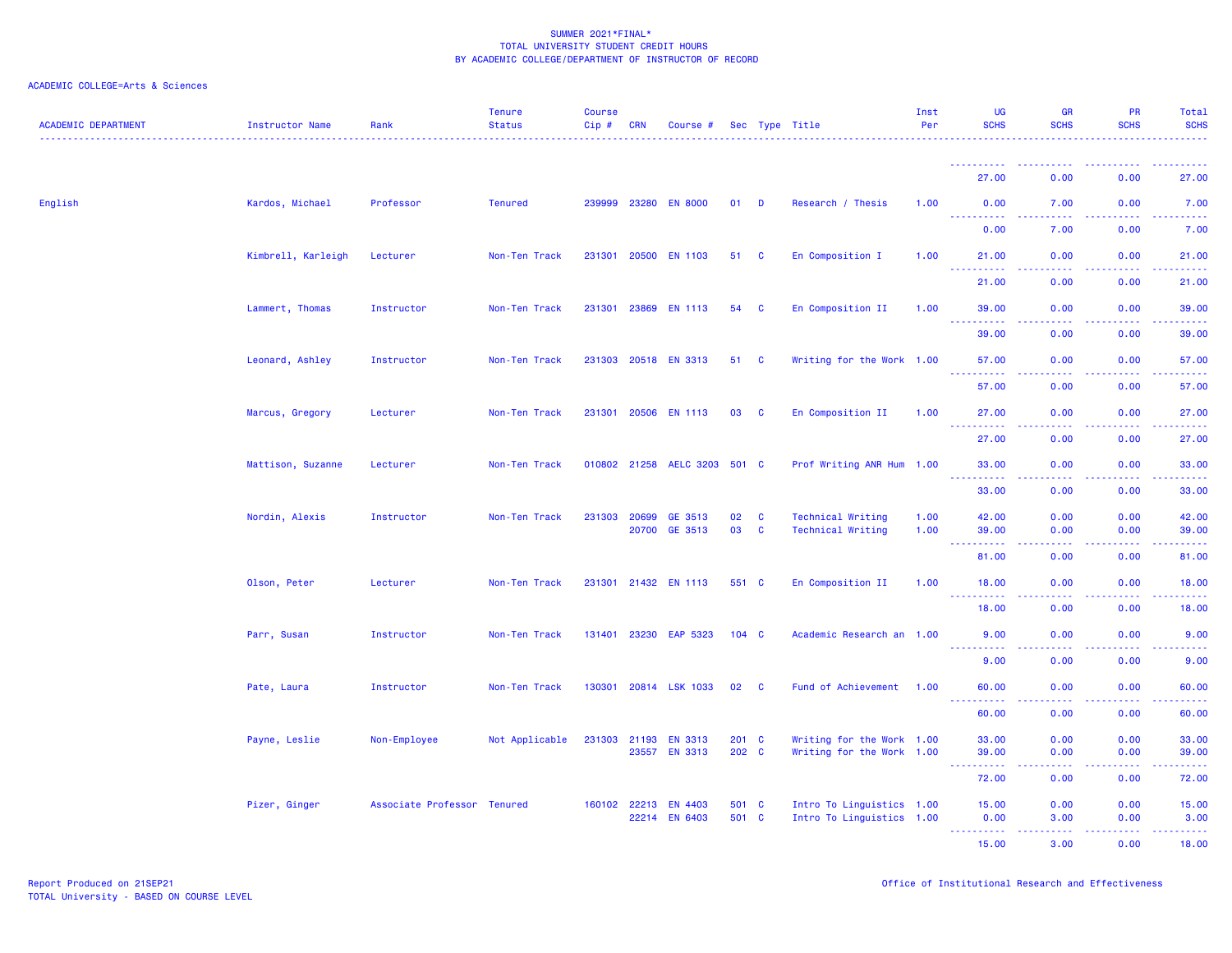| <b>ACADEMIC DEPARTMENT</b> | <b>Instructor Name</b> | Rank                        | <b>Tenure</b><br><b>Status</b> | <b>Course</b><br>Cip# | CRN          | Course #               |         |              | Sec Type Title            | Inst<br>Per | <b>UG</b><br><b>SCHS</b>                                                                                                                                                                                                                | <b>GR</b><br><b>SCHS</b>       | <b>PR</b><br><b>SCHS</b> | Total<br><b>SCHS</b>                                                                                                              |
|----------------------------|------------------------|-----------------------------|--------------------------------|-----------------------|--------------|------------------------|---------|--------------|---------------------------|-------------|-----------------------------------------------------------------------------------------------------------------------------------------------------------------------------------------------------------------------------------------|--------------------------------|--------------------------|-----------------------------------------------------------------------------------------------------------------------------------|
|                            |                        |                             |                                |                       |              |                        |         |              |                           |             | <b></b>                                                                                                                                                                                                                                 | ----                           |                          | .                                                                                                                                 |
|                            |                        |                             |                                |                       |              |                        |         |              |                           |             | 27.00                                                                                                                                                                                                                                   | 0.00                           | 0.00                     | 27.00                                                                                                                             |
| English                    | Kardos, Michael        | Professor                   | <b>Tenured</b>                 |                       | 239999 23280 | <b>EN 8000</b>         | 01      | D            | Research / Thesis         | 1.00        | 0.00<br>$\frac{1}{2} \left( \frac{1}{2} \right) \left( \frac{1}{2} \right) \left( \frac{1}{2} \right) \left( \frac{1}{2} \right) \left( \frac{1}{2} \right)$                                                                            | 7.00<br>.                      | 0.00<br>.                | 7.00<br>$\frac{1}{2} \left( \frac{1}{2} \right) \left( \frac{1}{2} \right) \left( \frac{1}{2} \right) \left( \frac{1}{2} \right)$ |
|                            |                        |                             |                                |                       |              |                        |         |              |                           |             | 0.00                                                                                                                                                                                                                                    | 7.00                           | 0.00                     | 7.00                                                                                                                              |
|                            | Kimbrell, Karleigh     | Lecturer                    | Non-Ten Track                  |                       |              | 231301 20500 EN 1103   | 51      | C            | En Composition I          | 1.00        | 21.00<br>$\sim$ $\sim$ $\sim$<br>$\frac{1}{2} \left( \frac{1}{2} \right) \left( \frac{1}{2} \right) \left( \frac{1}{2} \right) \left( \frac{1}{2} \right)$                                                                              | 0.00                           | 0.00<br>.                | 21.00<br>.                                                                                                                        |
|                            |                        |                             |                                |                       |              |                        |         |              |                           |             | 21.00                                                                                                                                                                                                                                   | 0.00                           | 0.00                     | 21.00                                                                                                                             |
|                            | Lammert, Thomas        | Instructor                  | Non-Ten Track                  | 231301                | 23869        | <b>EN 1113</b>         | 54      | C            | En Composition II         | 1.00        | 39.00                                                                                                                                                                                                                                   | 0.00                           | 0.00                     | 39.00                                                                                                                             |
|                            |                        |                             |                                |                       |              |                        |         |              |                           |             | $\sim$ $\sim$ $\sim$ $\sim$<br>39.00                                                                                                                                                                                                    | $\omega$ is a $\omega$<br>0.00 | .<br>0.00                | .<br>39.00                                                                                                                        |
|                            | Leonard, Ashley        | Instructor                  | Non-Ten Track                  | 231303 20518          |              | <b>EN 3313</b>         | 51      | C            | Writing for the Work 1.00 |             | 57.00                                                                                                                                                                                                                                   | 0.00                           | 0.00                     | 57.00                                                                                                                             |
|                            |                        |                             |                                |                       |              |                        |         |              |                           |             | $\omega_{\rm{eff}}$ and $\omega_{\rm{eff}}$<br>$\frac{1}{2} \left( \frac{1}{2} \right) \left( \frac{1}{2} \right) \left( \frac{1}{2} \right) \left( \frac{1}{2} \right) \left( \frac{1}{2} \right) \left( \frac{1}{2} \right)$<br>57.00 | 0.00                           | بالأباد<br>0.00          | .<br>57.00                                                                                                                        |
|                            | Marcus, Gregory        | Lecturer                    | Non-Ten Track                  |                       | 231301 20506 | <b>EN 1113</b>         | 03      | <b>C</b>     | En Composition II         | 1.00        | 27.00                                                                                                                                                                                                                                   | 0.00                           | 0.00                     | 27.00                                                                                                                             |
|                            |                        |                             |                                |                       |              |                        |         |              |                           |             | 27.00                                                                                                                                                                                                                                   | 0.00                           | 0.00                     | 27.00                                                                                                                             |
|                            | Mattison, Suzanne      | Lecturer                    | Non-Ten Track                  |                       |              | 010802 21258 AELC 3203 | 501 C   |              | Prof Writing ANR Hum 1.00 |             | 33.00                                                                                                                                                                                                                                   | 0.00                           | 0.00                     | 33.00                                                                                                                             |
|                            |                        |                             |                                |                       |              |                        |         |              |                           |             | 33.00                                                                                                                                                                                                                                   | 0.00                           | 0.00                     | 33.00                                                                                                                             |
|                            | Nordin, Alexis         | Instructor                  | Non-Ten Track                  | 231303                | 20699        | GE 3513                | 02      | $\mathbf{C}$ | <b>Technical Writing</b>  | 1.00        | 42.00                                                                                                                                                                                                                                   | 0.00                           | 0.00                     | 42.00                                                                                                                             |
|                            |                        |                             |                                |                       | 20700        | GE 3513                | 03      | $\mathbf{C}$ | <b>Technical Writing</b>  | 1.00        | 39.00<br>$\sim$ $\sim$ $\sim$                                                                                                                                                                                                           | 0.00                           | 0.00                     | 39.00<br>والمتمام المار                                                                                                           |
|                            |                        |                             |                                |                       |              |                        |         |              |                           |             | 81.00                                                                                                                                                                                                                                   | 0.00                           | 0.00                     | 81.00                                                                                                                             |
|                            | Olson, Peter           | Lecturer                    | Non-Ten Track                  |                       |              | 231301 21432 EN 1113   | 551 C   |              | En Composition II         | 1.00        | 18.00<br>.                                                                                                                                                                                                                              | 0.00                           | 0.00                     | 18.00<br>والمستحيل                                                                                                                |
|                            |                        |                             |                                |                       |              |                        |         |              |                           |             | 18.00                                                                                                                                                                                                                                   | 0.00                           | 0.00                     | 18.00                                                                                                                             |
|                            | Parr, Susan            | Instructor                  | Non-Ten Track                  |                       | 131401 23230 | EAP 5323               | 104 C   |              | Academic Research an 1.00 |             | 9.00                                                                                                                                                                                                                                    | 0.00                           | 0.00                     | 9.00                                                                                                                              |
|                            |                        |                             |                                |                       |              |                        |         |              |                           |             | 9.00                                                                                                                                                                                                                                    | 0.00                           | 0.00                     | 9.00                                                                                                                              |
|                            | Pate, Laura            | Instructor                  | Non-Ten Track                  | 130301                |              | 20814 LSK 1033         | 02      | $\mathbf{C}$ | Fund of Achievement 1.00  |             | 60.00<br>$\sim$ $\sim$ $\sim$<br>.                                                                                                                                                                                                      | 0.00<br>بالمحام                | 0.00<br>بالمحامي         | 60.00<br>والمستحيل                                                                                                                |
|                            |                        |                             |                                |                       |              |                        |         |              |                           |             | 60.00                                                                                                                                                                                                                                   | 0.00                           | 0.00                     | 60.00                                                                                                                             |
|                            | Payne, Leslie          | Non-Employee                | Not Applicable                 | 231303                | 21193        | <b>EN 3313</b>         | $201$ C |              | Writing for the Work 1.00 |             | 33.00                                                                                                                                                                                                                                   | 0.00                           | 0.00                     | 33.00                                                                                                                             |
|                            |                        |                             |                                |                       |              | 23557 EN 3313          | 202 C   |              | Writing for the Work 1.00 |             | 39.00<br>$\frac{1}{2} \left( \frac{1}{2} \right) \left( \frac{1}{2} \right) \left( \frac{1}{2} \right) \left( \frac{1}{2} \right) \left( \frac{1}{2} \right)$                                                                           | 0.00<br>.                      | 0.00<br>.                | 39.00<br>.                                                                                                                        |
|                            |                        |                             |                                |                       |              |                        |         |              |                           |             | 72.00                                                                                                                                                                                                                                   | 0.00                           | 0.00                     | 72.00                                                                                                                             |
|                            | Pizer, Ginger          | Associate Professor Tenured |                                |                       | 160102 22213 | <b>EN 4403</b>         | 501 C   |              | Intro To Linguistics 1.00 |             | 15.00                                                                                                                                                                                                                                   | 0.00                           | 0.00                     | 15.00                                                                                                                             |
|                            |                        |                             |                                |                       | 22214        | <b>EN 6403</b>         | 501 C   |              | Intro To Linguistics 1.00 |             | 0.00<br><b></b>                                                                                                                                                                                                                         | 3.00<br>.                      | 0.00<br>. <b>.</b>       | 3.00<br>.                                                                                                                         |
|                            |                        |                             |                                |                       |              |                        |         |              |                           |             | 15.00                                                                                                                                                                                                                                   | 3.00                           | 0.00                     | 18.00                                                                                                                             |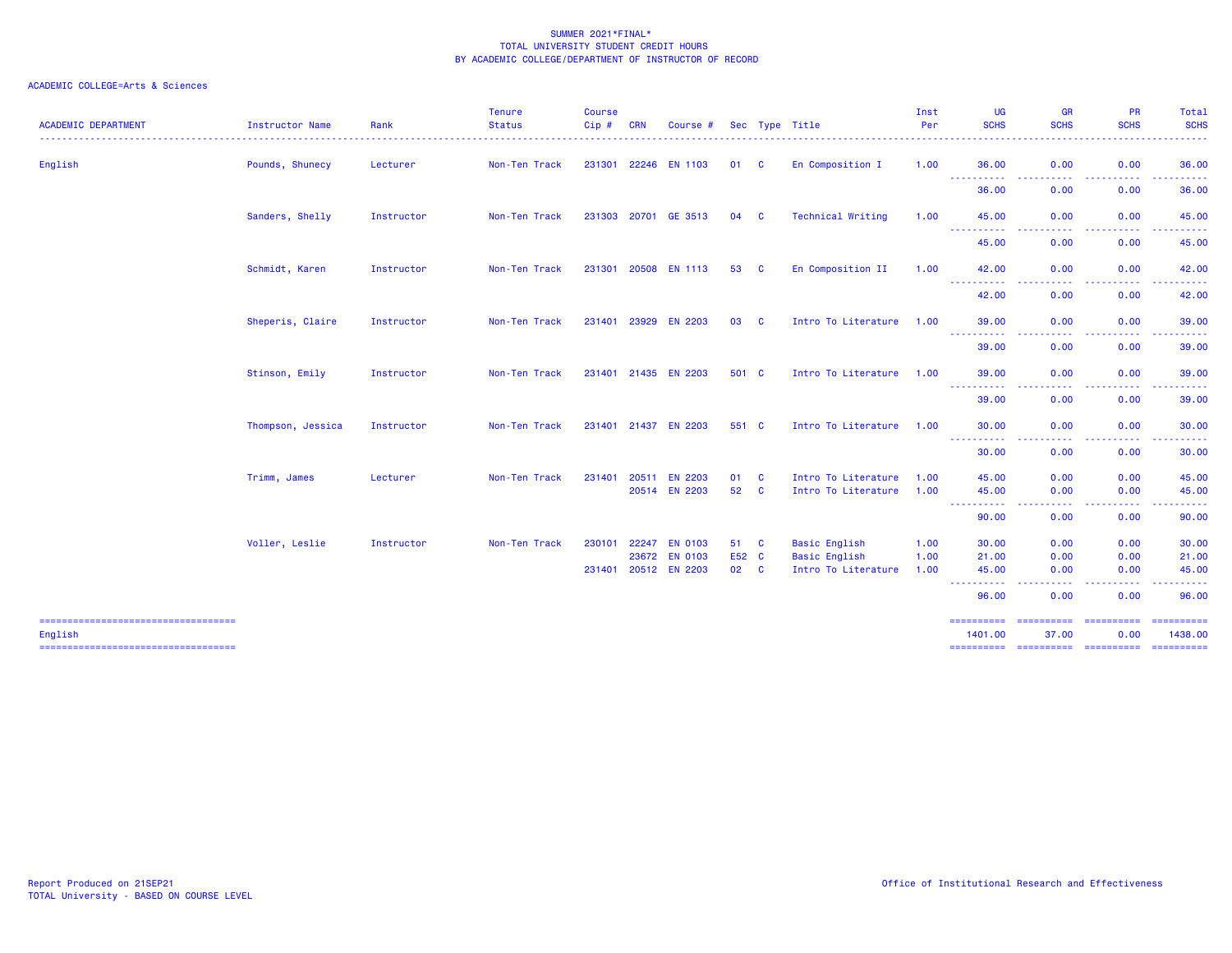| <b>ACADEMIC DEPARTMENT</b>                       | Instructor Name   | Rank       | <b>Tenure</b><br><b>Status</b> | <b>Course</b><br>Cip# | <b>CRN</b>   | Course #                                               |                       |              | Sec Type Title                                                      | Inst<br>Per          | UG<br><b>SCHS</b>                                                                                                                  | <b>GR</b><br><b>SCHS</b>                                                                                                          | PR<br><b>SCHS</b>                                                                                                                                            | Total<br><b>SCHS</b>                                                                                                                                          |
|--------------------------------------------------|-------------------|------------|--------------------------------|-----------------------|--------------|--------------------------------------------------------|-----------------------|--------------|---------------------------------------------------------------------|----------------------|------------------------------------------------------------------------------------------------------------------------------------|-----------------------------------------------------------------------------------------------------------------------------------|--------------------------------------------------------------------------------------------------------------------------------------------------------------|---------------------------------------------------------------------------------------------------------------------------------------------------------------|
| English                                          | Pounds, Shunecy   | Lecturer   | Non-Ten Track                  |                       |              | 231301 22246 EN 1103                                   | 01                    | <b>C</b>     | En Composition I                                                    | 1.00                 | 36.00                                                                                                                              | 0.00<br><b>.</b>                                                                                                                  | 0.00                                                                                                                                                         | 36.00                                                                                                                                                         |
|                                                  |                   |            |                                |                       |              |                                                        |                       |              |                                                                     |                      | -----------<br>36.00                                                                                                               | $\frac{1}{2} \left( \frac{1}{2} \right) \left( \frac{1}{2} \right) \left( \frac{1}{2} \right) \left( \frac{1}{2} \right)$<br>0.00 | .<br>$- - -$<br>0.00                                                                                                                                         | .<br>36.00                                                                                                                                                    |
|                                                  | Sanders, Shelly   | Instructor | Non-Ten Track                  |                       | 231303 20701 | GE 3513                                                | 04                    | <b>C</b>     | Technical Writing                                                   | 1.00                 | 45.00                                                                                                                              | 0.00<br>. <b>.</b><br>$\frac{1}{2} \left( \frac{1}{2} \right) \left( \frac{1}{2} \right) \left( \frac{1}{2} \right)$              | 0.00<br>.                                                                                                                                                    | 45.00<br>.                                                                                                                                                    |
|                                                  |                   |            |                                |                       |              |                                                        |                       |              |                                                                     |                      | -----------<br>45.00                                                                                                               | 0.00                                                                                                                              | 0.00                                                                                                                                                         | 45.00                                                                                                                                                         |
|                                                  | Schmidt, Karen    | Instructor | Non-Ten Track                  |                       |              | 231301 20508 EN 1113                                   | 53                    | <b>C</b>     | En Composition II                                                   | 1.00                 | 42.00                                                                                                                              | 0.00<br>$\frac{1}{2} \left( \frac{1}{2} \right) \left( \frac{1}{2} \right) \left( \frac{1}{2} \right)$<br>.                       | 0.00<br>$\frac{1}{2} \left( \frac{1}{2} \right) \frac{1}{2} \left( \frac{1}{2} \right)$                                                                      | 42.00<br>$- - - - - - -$                                                                                                                                      |
|                                                  |                   |            |                                |                       |              |                                                        |                       |              |                                                                     |                      | -----------<br>42.00                                                                                                               | 0.00                                                                                                                              | -----<br>0.00                                                                                                                                                | 42.00                                                                                                                                                         |
|                                                  | Sheperis, Claire  | Instructor | Non-Ten Track                  |                       |              | 231401 23929 EN 2203                                   | 03                    | <b>C</b>     | Intro To Literature                                                 | 1.00                 | 39.00<br>$\frac{1}{2} \left( \frac{1}{2} \right) \left( \frac{1}{2} \right) \left( \frac{1}{2} \right) \left( \frac{1}{2} \right)$ | 0.00                                                                                                                              | 0.00                                                                                                                                                         | 39.00                                                                                                                                                         |
|                                                  |                   |            |                                |                       |              |                                                        |                       |              |                                                                     |                      | د عام عا<br>39.00                                                                                                                  | 0.00                                                                                                                              | 0.00                                                                                                                                                         | 39.00                                                                                                                                                         |
|                                                  | Stinson, Emily    | Instructor | Non-Ten Track                  |                       |              | 231401 21435 EN 2203                                   | 501 C                 |              | Intro To Literature 1.00                                            |                      | 39,00<br>-----------                                                                                                               | 0.00<br>$\frac{1}{2} \left( \frac{1}{2} \right) \left( \frac{1}{2} \right) \left( \frac{1}{2} \right)$<br>.                       | 0.00<br>$\frac{1}{2} \left( \frac{1}{2} \right) \left( \frac{1}{2} \right) \left( \frac{1}{2} \right) \left( \frac{1}{2} \right) \left( \frac{1}{2} \right)$ | 39.00<br>$\frac{1}{2} \left( \frac{1}{2} \right) \left( \frac{1}{2} \right) \left( \frac{1}{2} \right) \left( \frac{1}{2} \right) \left( \frac{1}{2} \right)$ |
|                                                  |                   |            |                                |                       |              |                                                        |                       |              |                                                                     |                      | 39.00                                                                                                                              | 0.00                                                                                                                              | 0.00                                                                                                                                                         | 39.00                                                                                                                                                         |
|                                                  | Thompson, Jessica | Instructor | Non-Ten Track                  |                       |              | 231401 21437 EN 2203                                   | 551 C                 |              | Intro To Literature 1.00                                            |                      | 30.00                                                                                                                              | 0.00                                                                                                                              | 0.00                                                                                                                                                         | 30.00                                                                                                                                                         |
|                                                  |                   |            |                                |                       |              |                                                        |                       |              |                                                                     |                      | ----------<br>30.00                                                                                                                | 0.00                                                                                                                              | 0.00                                                                                                                                                         | 30.00                                                                                                                                                         |
|                                                  | Trimm, James      | Lecturer   | Non-Ten Track                  | 231401                | 20511        | <b>EN 2203</b><br>20514 EN 2203                        | 01<br>52 C            | $\mathbf{C}$ | Intro To Literature<br>Intro To Literature                          | 1.00<br>1.00         | 45.00<br>45.00<br>-----<br>-----                                                                                                   | 0.00<br>0.00                                                                                                                      | 0.00<br>0.00                                                                                                                                                 | 45.00<br>45.00                                                                                                                                                |
|                                                  |                   |            |                                |                       |              |                                                        |                       |              |                                                                     |                      | 90.00                                                                                                                              | 0.00                                                                                                                              | 0.00                                                                                                                                                         | 90.00                                                                                                                                                         |
|                                                  | Voller, Leslie    | Instructor | Non-Ten Track                  | 230101                |              | 22247 EN 0103<br>23672 EN 0103<br>231401 20512 EN 2203 | 51 C<br>E52 C<br>02 C |              | <b>Basic English</b><br><b>Basic English</b><br>Intro To Literature | 1.00<br>1.00<br>1.00 | 30.00<br>21.00<br>45.00<br>-----------<br>96.00                                                                                    | 0.00<br>0.00<br>0.00<br>. <b>.</b><br>$- - -$<br>0.00                                                                             | 0.00<br>0.00<br>0.00<br>-----<br>0.00                                                                                                                        | 30.00<br>21.00<br>45.00<br>.<br>96.00                                                                                                                         |
| =====================================<br>English |                   |            |                                |                       |              |                                                        |                       |              |                                                                     |                      | ==========<br>1401.00                                                                                                              | ==========<br>37.00                                                                                                               | <b>BERREERES</b><br>0.00                                                                                                                                     | <b>ESSESSERS</b><br>1438.00                                                                                                                                   |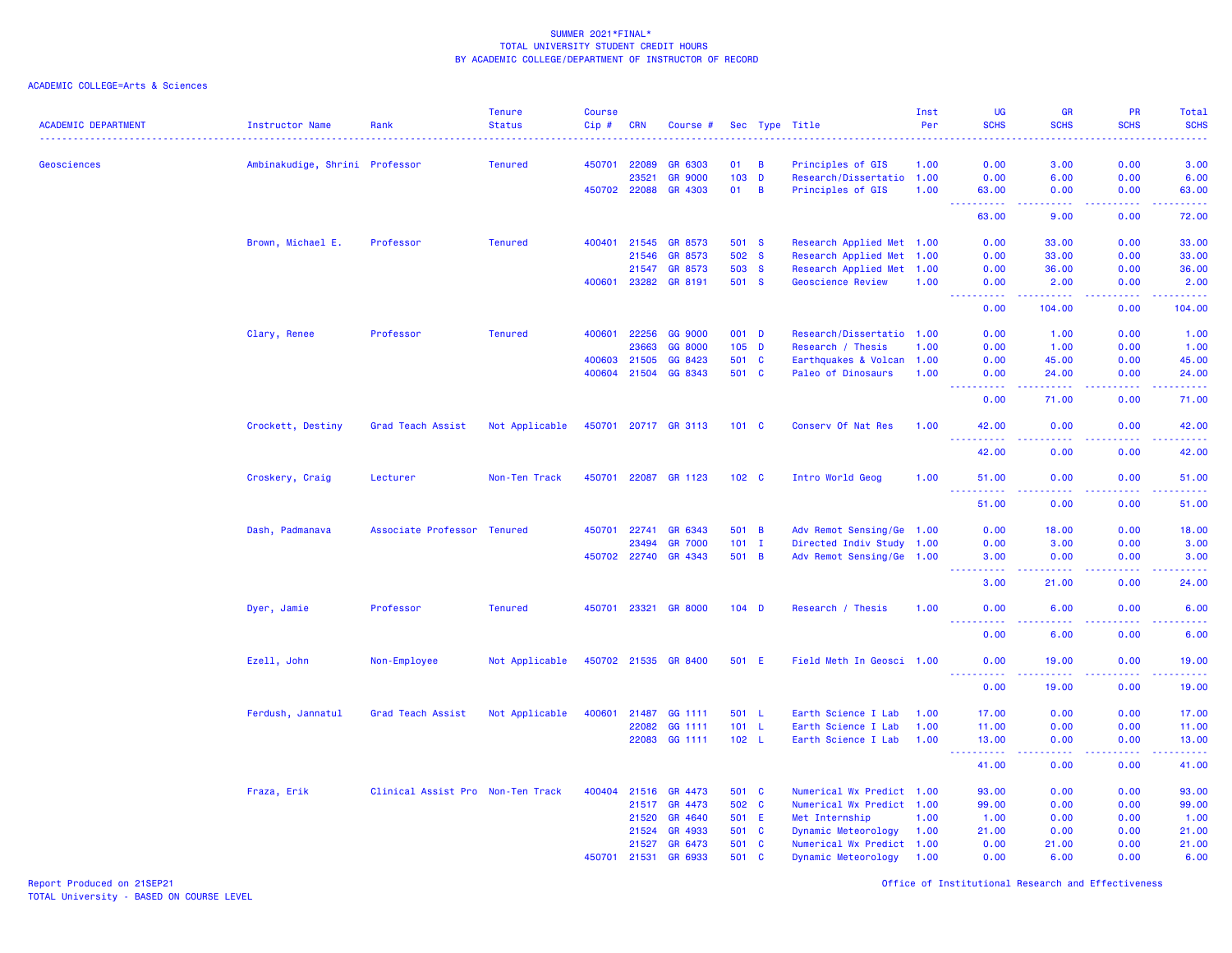ACADEMIC COLLEGE=Arts & Sciences

| <b>ACADEMIC DEPARTMENT</b> | <b>Instructor Name</b>         | Rank                              | <b>Tenure</b><br><b>Status</b> | <b>Course</b><br>Cip# | <b>CRN</b>   | Course #             |                |                | Sec Type Title            | Inst<br>Per | UG<br><b>SCHS</b>                         | <b>GR</b><br><b>SCHS</b>                                                                                                           | <b>PR</b><br><b>SCHS</b> | Total<br><b>SCHS</b>                |
|----------------------------|--------------------------------|-----------------------------------|--------------------------------|-----------------------|--------------|----------------------|----------------|----------------|---------------------------|-------------|-------------------------------------------|------------------------------------------------------------------------------------------------------------------------------------|--------------------------|-------------------------------------|
| Geosciences                | Ambinakudige, Shrini Professor |                                   | <b>Tenured</b>                 |                       | 450701 22089 | GR 6303              | 01             | $\overline{B}$ | Principles of GIS         | 1.00        | 0.00                                      | 3.00                                                                                                                               | 0.00                     | ----<br>3.00                        |
|                            |                                |                                   |                                |                       | 23521        | <b>GR 9000</b>       | 103            | $\mathbf{D}$   | Research/Dissertatio 1.00 |             | 0.00                                      | 6.00                                                                                                                               | 0.00                     | 6.00                                |
|                            |                                |                                   |                                |                       | 450702 22088 | GR 4303              | 01             | $\overline{B}$ | Principles of GIS         | 1.00        | 63.00                                     | 0.00                                                                                                                               | 0.00                     | 63.00                               |
|                            |                                |                                   |                                |                       |              |                      |                |                |                           |             | $\sim$ $\sim$ $\sim$<br>المستملة<br>63.00 | وبالمحام<br>9.00                                                                                                                   | المستملة<br>0.00         | وساعاتها<br>72.00                   |
|                            |                                |                                   |                                |                       |              |                      |                |                |                           |             |                                           |                                                                                                                                    |                          |                                     |
|                            | Brown, Michael E.              | Professor                         | <b>Tenured</b>                 |                       | 400401 21545 | GR 8573              | 501 S          |                | Research Applied Met 1.00 |             | 0.00                                      | 33.00                                                                                                                              | 0.00                     | 33.00                               |
|                            |                                |                                   |                                |                       | 21546        | GR 8573              | 502 S          |                | Research Applied Met 1.00 |             | 0.00                                      | 33.00                                                                                                                              | 0.00                     | 33.00                               |
|                            |                                |                                   |                                |                       | 21547        | GR 8573<br>GR 8191   | 503 S<br>501 S |                | Research Applied Met 1.00 |             | 0.00                                      | 36.00                                                                                                                              | 0.00                     | 36.00                               |
|                            |                                |                                   |                                |                       | 400601 23282 |                      |                |                | Geoscience Review         | 1.00        | 0.00<br>.                                 | 2.00<br>.                                                                                                                          | 0.00<br>-----            | 2.00<br>، د د د د د                 |
|                            |                                |                                   |                                |                       |              |                      |                |                |                           |             | 0.00                                      | 104.00                                                                                                                             | 0.00                     | 104.00                              |
|                            | Clary, Renee                   | Professor                         | <b>Tenured</b>                 | 400601                | 22256        | GG 9000              | 001 D          |                | Research/Dissertatio 1.00 |             | 0.00                                      | 1.00                                                                                                                               | 0.00                     | 1.00                                |
|                            |                                |                                   |                                |                       | 23663        | GG 8000              | $105$ D        |                | Research / Thesis         | 1.00        | 0.00                                      | 1.00                                                                                                                               | 0.00                     | 1.00                                |
|                            |                                |                                   |                                | 400603                | 21505        | GG 8423              | 501 C          |                | Earthquakes & Volcan 1.00 |             | 0.00                                      | 45.00                                                                                                                              | 0.00                     | 45.00                               |
|                            |                                |                                   |                                | 400604                | 21504        | GG 8343              | 501 C          |                | Paleo of Dinosaurs        | 1.00        | 0.00<br>الداعات عامان                     | 24.00<br>.                                                                                                                         | 0.00<br>22222            | 24.00<br>.                          |
|                            |                                |                                   |                                |                       |              |                      |                |                |                           |             | 0.00                                      | 71.00                                                                                                                              | 0.00                     | 71.00                               |
|                            | Crockett, Destiny              | Grad Teach Assist                 | Not Applicable                 |                       |              | 450701 20717 GR 3113 | $101 \quad C$  |                | Conserv Of Nat Res        | 1.00        | 42.00<br>222222                           | 0.00<br>.                                                                                                                          | 0.00<br>22222            | 42.00<br>.                          |
|                            |                                |                                   |                                |                       |              |                      |                |                |                           |             | 42.00                                     | 0.00                                                                                                                               | 0.00                     | 42.00                               |
|                            | Croskery, Craig                | Lecturer                          | Non-Ten Track                  | 450701                | 22087        | GR 1123              | $102 \quad C$  |                | Intro World Geog          | 1.00        | 51.00<br>.                                | 0.00<br>$\frac{1}{2} \left( \frac{1}{2} \right) \left( \frac{1}{2} \right) \left( \frac{1}{2} \right)$                             | 0.00<br>المالمات         | 51.00<br>.                          |
|                            |                                |                                   |                                |                       |              |                      |                |                |                           |             | 51.00                                     | 0.00                                                                                                                               | 0.00                     | 51.00                               |
|                            | Dash, Padmanava                | Associate Professor Tenured       |                                | 450701                | 22741        | GR 6343              | 501 B          |                | Adv Remot Sensing/Ge 1.00 |             | 0.00                                      | 18.00                                                                                                                              | 0.00                     | 18.00                               |
|                            |                                |                                   |                                |                       | 23494        | <b>GR 7000</b>       | $101$ I        |                | Directed Indiv Study 1.00 |             | 0.00                                      | 3.00                                                                                                                               | 0.00                     | 3.00                                |
|                            |                                |                                   |                                |                       |              | 450702 22740 GR 4343 | 501 B          |                | Adv Remot Sensing/Ge 1.00 |             | 3,00                                      | 0.00                                                                                                                               | 0.00                     | 3.00                                |
|                            |                                |                                   |                                |                       |              |                      |                |                |                           |             | .<br>$- - -$<br>3.00                      | $\frac{1}{2} \left( \frac{1}{2} \right) \left( \frac{1}{2} \right) \left( \frac{1}{2} \right) \left( \frac{1}{2} \right)$<br>21.00 | 22222<br>0.00            | .<br>24.00                          |
|                            | Dyer, Jamie                    | Professor                         | <b>Tenured</b>                 |                       | 450701 23321 | <b>GR 8000</b>       | $104$ D        |                | Research / Thesis         | 1.00        | 0.00                                      | 6.00                                                                                                                               | 0.00                     | 6.00                                |
|                            |                                |                                   |                                |                       |              |                      |                |                |                           |             | 0.00                                      | وعامات<br>6.00                                                                                                                     | .<br>0.00                | $\sim$ $\sim$ $\sim$ $\sim$<br>6.00 |
|                            | Ezell, John                    | Non-Employee                      | Not Applicable                 |                       | 450702 21535 | <b>GR 8400</b>       | 501 E          |                | Field Meth In Geosci 1.00 |             | 0.00                                      | 19.00                                                                                                                              | 0.00                     | 19.00                               |
|                            |                                |                                   |                                |                       |              |                      |                |                |                           |             | <u>.</u><br>0.00                          | $- - - - -$<br>19.00                                                                                                               | 22222<br>0.00            | .<br>19.00                          |
|                            | Ferdush, Jannatul              | Grad Teach Assist                 | Not Applicable                 | 400601                | 21487        | GG 1111              | 501 L          |                | Earth Science I Lab       | 1.00        | 17.00                                     | 0.00                                                                                                                               | 0.00                     | 17.00                               |
|                            |                                |                                   |                                |                       | 22082        | GG 1111              | 101 L          |                | Earth Science I Lab       | 1.00        | 11.00                                     | 0.00                                                                                                                               | 0.00                     | 11.00                               |
|                            |                                |                                   |                                |                       |              | 22083 GG 1111        | 102 L          |                | Earth Science I Lab       | 1.00        | 13.00<br>.                                | 0.00<br>.                                                                                                                          | 0.00<br>.                | 13.00<br>.                          |
|                            |                                |                                   |                                |                       |              |                      |                |                |                           |             | 41.00                                     | 0.00                                                                                                                               | 0.00                     | 41.00                               |
|                            | Fraza, Erik                    | Clinical Assist Pro Non-Ten Track |                                | 400404                | 21516        | GR 4473              | 501 C          |                | Numerical Wx Predict 1.00 |             | 93.00                                     | 0.00                                                                                                                               | 0.00                     | 93.00                               |
|                            |                                |                                   |                                |                       | 21517        | GR 4473              | 502 C          |                | Numerical Wx Predict 1.00 |             | 99.00                                     | 0.00                                                                                                                               | 0.00                     | 99.00                               |
|                            |                                |                                   |                                |                       | 21520        | GR 4640              | 501 E          |                | Met Internship            | 1.00        | 1.00                                      | 0.00                                                                                                                               | 0.00                     | 1.00                                |
|                            |                                |                                   |                                |                       | 21524        | GR 4933              | 501 C          |                | Dynamic Meteorology       | 1.00        | 21.00                                     | 0.00                                                                                                                               | 0.00                     | 21.00                               |
|                            |                                |                                   |                                |                       | 21527        | GR 6473              | 501            | $\mathbf{C}$   | Numerical Wx Predict 1.00 |             | 0.00                                      | 21.00                                                                                                                              | 0.00                     | 21.00                               |
|                            |                                |                                   |                                |                       | 450701 21531 | GR 6933              | 501 C          |                | Dynamic Meteorology       | 1.00        | 0.00                                      | 6.00                                                                                                                               | 0.00                     | 6.00                                |

Report Produced on 21SEP21 Office of Institutional Research and Effectiveness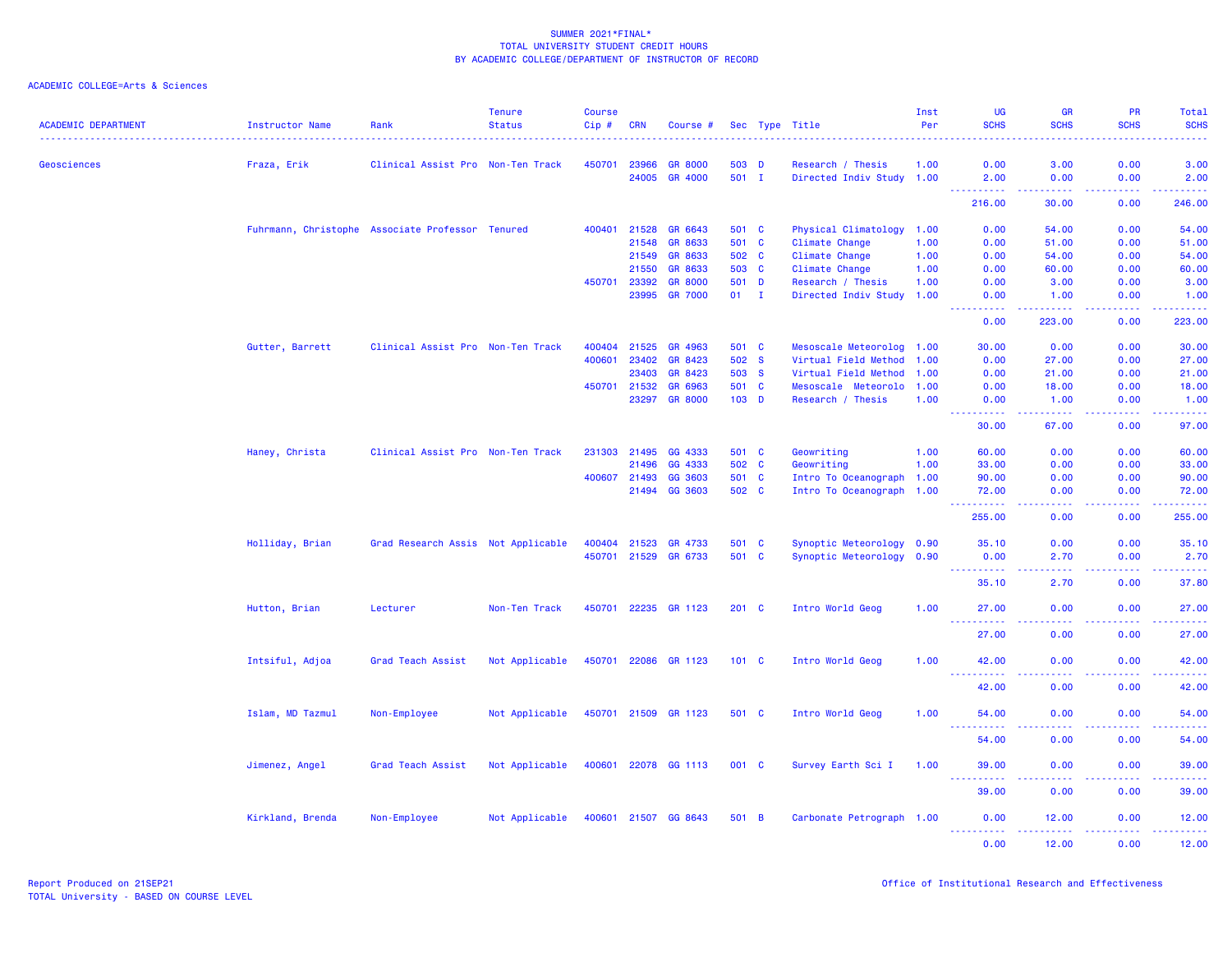| <b>ACADEMIC DEPARTMENT</b> | Instructor Name                                  | Rank                               | <b>Tenure</b><br><b>Status</b> | <b>Course</b><br>$Cip \#$ | <b>CRN</b>   | Course #             |               | Sec Type Title                         | Inst<br>Per  | UG<br><b>SCHS</b>                    | <b>GR</b><br><b>SCHS</b>            | <b>PR</b><br><b>SCHS</b> | Total<br><b>SCHS</b>       |
|----------------------------|--------------------------------------------------|------------------------------------|--------------------------------|---------------------------|--------------|----------------------|---------------|----------------------------------------|--------------|--------------------------------------|-------------------------------------|--------------------------|----------------------------|
| Geosciences                | Fraza, Erik                                      | Clinical Assist Pro Non-Ten Track  |                                | 450701                    | 23966        | <b>GR 8000</b>       | 503 D         | Research / Thesis                      | 1.00         | 0.00                                 | 3.00                                | 0.00                     | 3.00                       |
|                            |                                                  |                                    |                                |                           | 24005        | GR 4000              | 501 I         | Directed Indiv Study 1.00              |              | 2.00                                 | 0.00                                | 0.00                     | 2.00                       |
|                            |                                                  |                                    |                                |                           |              |                      |               |                                        |              | <b>.</b><br>216.00                   | -----<br>30.00                      | . <b>.</b><br>0.00       | المتمام والمتمار<br>246.00 |
|                            |                                                  |                                    |                                | 400401                    | 21528        | GR 6643              | 501 C         |                                        |              | 0.00                                 | 54.00                               | 0.00                     | 54.00                      |
|                            | Fuhrmann, Christophe Associate Professor Tenured |                                    |                                |                           | 21548        | GR 8633              | 501 C         | Physical Climatology<br>Climate Change | 1.00<br>1.00 | 0.00                                 | 51.00                               | 0.00                     | 51.00                      |
|                            |                                                  |                                    |                                |                           | 21549        | GR 8633              | 502 C         | Climate Change                         | 1.00         | 0.00                                 | 54.00                               | 0.00                     | 54.00                      |
|                            |                                                  |                                    |                                |                           | 21550        | GR 8633              | 503 C         | Climate Change                         | 1.00         | 0.00                                 | 60.00                               | 0.00                     | 60.00                      |
|                            |                                                  |                                    |                                | 450701                    | 23392        | <b>GR 8000</b>       | 501 D         | Research / Thesis                      | 1.00         | 0.00                                 | 3.00                                | 0.00                     | 3.00                       |
|                            |                                                  |                                    |                                |                           | 23995        | <b>GR 7000</b>       | $01$ I        | Directed Indiv Study 1.00              |              | 0.00                                 | 1.00                                | 0.00                     | 1.00                       |
|                            |                                                  |                                    |                                |                           |              |                      |               |                                        |              | 2.2.2.2.2<br>0.00                    | .<br>223.00                         | .<br>0.00                | .<br>223.00                |
|                            | Gutter, Barrett                                  | Clinical Assist Pro Non-Ten Track  |                                | 400404                    | 21525        | GR 4963              | 501 C         | Mesoscale Meteorolog 1.00              |              | 30.00                                | 0.00                                | 0.00                     | 30.00                      |
|                            |                                                  |                                    |                                | 400601                    | 23402        | GR 8423              | 502 S         | Virtual Field Method                   | 1.00         | 0.00                                 | 27.00                               | 0.00                     | 27.00                      |
|                            |                                                  |                                    |                                |                           | 23403        | GR 8423              | 503 S         | Virtual Field Method                   | 1.00         | 0.00                                 | 21.00                               | 0.00                     | 21.00                      |
|                            |                                                  |                                    |                                | 450701                    | 21532        | GR 6963              | 501 C         | Mesoscale Meteorolo 1.00               |              | 0.00                                 | 18.00                               | 0.00                     | 18.00                      |
|                            |                                                  |                                    |                                |                           | 23297        | <b>GR 8000</b>       | $103$ D       | Research / Thesis                      | 1.00         | 0.00                                 | 1.00                                | 0.00                     | 1.00                       |
|                            |                                                  |                                    |                                |                           |              |                      |               |                                        |              | الداعات عامان<br>30.00               | المتمامين<br>67.00                  | .<br>0.00                | .<br>97.00                 |
|                            |                                                  |                                    |                                |                           |              |                      |               |                                        |              |                                      |                                     |                          |                            |
|                            | Haney, Christa                                   | Clinical Assist Pro Non-Ten Track  |                                | 231303                    | 21495        | GG 4333              | 501 C         | Geowriting                             | 1.00         | 60.00                                | 0.00                                | 0.00                     | 60.00                      |
|                            |                                                  |                                    |                                |                           | 21496        | GG 4333              | 502 C         | Geowriting                             | 1.00         | 33.00                                | 0.00                                | 0.00                     | 33.00                      |
|                            |                                                  |                                    |                                |                           | 400607 21493 | GG 3603              | 501 C         | Intro To Oceanograph 1.00              |              | 90.00                                | 0.00                                | 0.00                     | 90.00                      |
|                            |                                                  |                                    |                                |                           | 21494        | GG 3603              | 502 C         | Intro To Oceanograph 1.00              |              | 72.00<br>.                           | 0.00<br>$\sim$ $\sim$ $\sim$ $\sim$ | 0.00<br>.                | 72.00<br>.                 |
|                            |                                                  |                                    |                                |                           |              |                      |               |                                        |              | 255.00                               | 0.00                                | 0.00                     | 255.00                     |
|                            | Holliday, Brian                                  | Grad Research Assis Not Applicable |                                | 400404                    | 21523        | GR 4733              | 501 C         | Synoptic Meteorology 0.90              |              | 35.10                                | 0.00                                | 0.00                     | 35.10                      |
|                            |                                                  |                                    |                                | 450701                    | 21529        | GR 6733              | 501 C         | Synoptic Meteorology 0.90              |              | 0.00                                 | 2.70                                | 0.00                     | 2.70                       |
|                            |                                                  |                                    |                                |                           |              |                      |               |                                        |              | 35.10                                | 2.70                                | 0.00                     | 37.80                      |
|                            | Hutton, Brian                                    | Lecturer                           | Non-Ten Track                  |                           |              | 450701 22235 GR 1123 | $201 \quad C$ | Intro World Geog                       | 1.00         | 27.00                                | 0.00                                | 0.00                     | 27.00                      |
|                            |                                                  |                                    |                                |                           |              |                      |               |                                        |              | <u> - - - - - - - - - -</u><br>27,00 | المتمالين<br>0.00                   | 22222<br>0.00            | .<br>27.00                 |
|                            | Intsiful, Adjoa                                  | Grad Teach Assist                  | Not Applicable                 | 450701                    | 22086        | GR 1123              | $101 \quad C$ | Intro World Geog                       | 1.00         | 42.00<br><u>.</u>                    | 0.00<br>د د د د                     | 0.00<br>.                | 42.00<br>.                 |
|                            |                                                  |                                    |                                |                           |              |                      |               |                                        |              | 42.00                                | 0.00                                | 0.00                     | 42.00                      |
|                            | Islam, MD Tazmul                                 | Non-Employee                       | Not Applicable                 |                           |              | 450701 21509 GR 1123 | 501 C         | Intro World Geog                       | 1.00         | 54.00                                | 0.00                                | 0.00                     | 54.00                      |
|                            |                                                  |                                    |                                |                           |              |                      |               |                                        |              | 54.00                                | 0.00                                | 0.00                     | 54.00                      |
|                            | Jimenez, Angel                                   | Grad Teach Assist                  | Not Applicable                 |                           |              | 400601 22078 GG 1113 | 001 C         | Survey Earth Sci I                     | 1.00         | 39.00<br><u>.</u>                    | 0.00<br>.                           | 0.00<br>.                | 39.00<br>.                 |
|                            |                                                  |                                    |                                |                           |              |                      |               |                                        |              | 39.00                                | 0.00                                | 0.00                     | 39.00                      |
|                            | Kirkland, Brenda                                 | Non-Employee                       | Not Applicable                 |                           |              | 400601 21507 GG 8643 | 501 B         | Carbonate Petrograph 1.00              |              | 0.00<br><u>.</u>                     | 12.00<br>.                          | 0.00<br>.                | 12.00<br>.                 |
|                            |                                                  |                                    |                                |                           |              |                      |               |                                        |              | 0.00                                 | 12.00                               | 0.00                     | 12.00                      |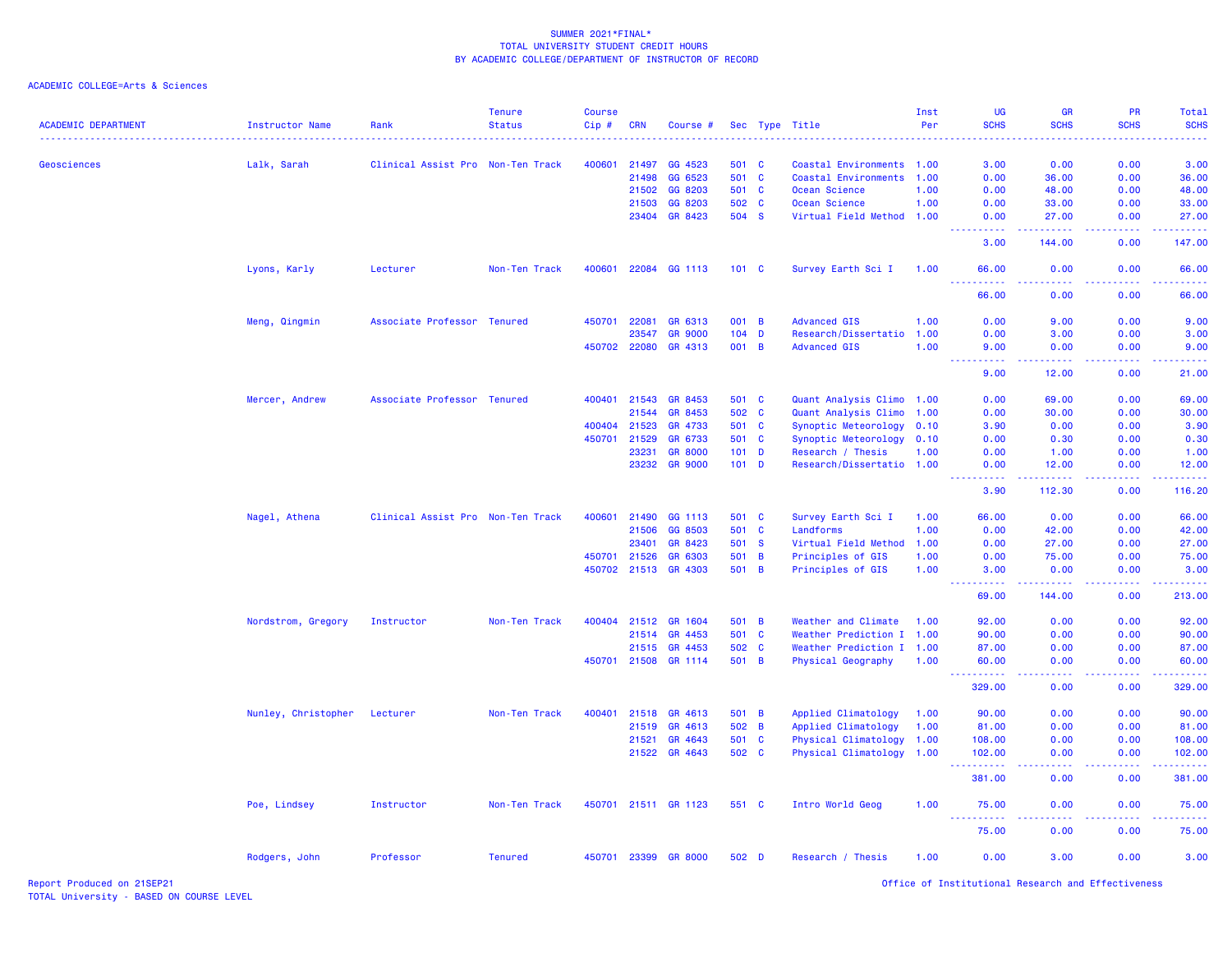### ACADEMIC COLLEGE=Arts & Sciences

| <b>ACADEMIC DEPARTMENT</b> | Instructor Name     | Rank                              | <b>Tenure</b><br><b>Status</b> | <b>Course</b><br>Cip# | <b>CRN</b>   | Course #             |               |              | Sec Type Title            | Inst<br>Per | UG<br><b>SCHS</b>                    | GR<br><b>SCHS</b>                                                                                                                                             | PR<br><b>SCHS</b>  | Total<br><b>SCHS</b>                                                                                                                                           |
|----------------------------|---------------------|-----------------------------------|--------------------------------|-----------------------|--------------|----------------------|---------------|--------------|---------------------------|-------------|--------------------------------------|---------------------------------------------------------------------------------------------------------------------------------------------------------------|--------------------|----------------------------------------------------------------------------------------------------------------------------------------------------------------|
| Geosciences                | Lalk, Sarah         | Clinical Assist Pro Non-Ten Track |                                | 400601                | 21497        | GG 4523              | 501 C         |              | Coastal Environments 1.00 |             | 3.00                                 | 0.00                                                                                                                                                          | 0.00               | 3.00                                                                                                                                                           |
|                            |                     |                                   |                                |                       | 21498        | GG 6523              | 501 C         |              | Coastal Environments      | 1.00        | 0.00                                 | 36.00                                                                                                                                                         | 0.00               | 36.00                                                                                                                                                          |
|                            |                     |                                   |                                |                       | 21502        | GG 8203              | 501 C         |              | Ocean Science             | 1.00        | 0.00                                 | 48.00                                                                                                                                                         | 0.00               | 48.00                                                                                                                                                          |
|                            |                     |                                   |                                |                       | 21503        | GG 8203              | 502 C         |              | Ocean Science             | 1.00        | 0.00                                 | 33.00                                                                                                                                                         | 0.00               | 33.00                                                                                                                                                          |
|                            |                     |                                   |                                |                       | 23404        | GR 8423              | 504 S         |              | Virtual Field Method 1.00 |             | 0.00<br><b><i><u></u></i></b>        | 27.00<br>$\frac{1}{2} \left( \frac{1}{2} \right) \left( \frac{1}{2} \right) \left( \frac{1}{2} \right) \left( \frac{1}{2} \right) \left( \frac{1}{2} \right)$ | 0.00<br>.          | 27.00<br>.                                                                                                                                                     |
|                            |                     |                                   |                                |                       |              |                      |               |              |                           |             | 3.00                                 | 144.00                                                                                                                                                        | 0.00               | 147.00                                                                                                                                                         |
|                            | Lyons, Karly        | Lecturer                          | Non-Ten Track                  |                       | 400601 22084 | GG 1113              | $101 \quad C$ |              | Survey Earth Sci I        | 1.00        | 66.00                                | 0.00                                                                                                                                                          | 0.00               | 66.00                                                                                                                                                          |
|                            |                     |                                   |                                |                       |              |                      |               |              |                           |             | 66.00                                | 0.00                                                                                                                                                          | 0.00               | 66.00                                                                                                                                                          |
|                            | Meng, Qingmin       | Associate Professor Tenured       |                                | 450701                | 22081        | GR 6313              | 001 B         |              | <b>Advanced GIS</b>       | 1.00        | 0.00                                 | 9.00                                                                                                                                                          | 0.00               | 9.00                                                                                                                                                           |
|                            |                     |                                   |                                |                       | 23547        | <b>GR 9000</b>       | $104$ D       |              | Research/Dissertatio 1.00 |             | 0.00                                 | 3.00                                                                                                                                                          | 0.00               | 3.00                                                                                                                                                           |
|                            |                     |                                   |                                |                       | 450702 22080 | GR 4313              | 001 B         |              | <b>Advanced GIS</b>       | 1.00        | 9.00<br>.                            | 0.00<br>$\frac{1}{2} \left( \frac{1}{2} \right) \left( \frac{1}{2} \right) \left( \frac{1}{2} \right) \left( \frac{1}{2} \right) \left( \frac{1}{2} \right)$  | 0.00<br>. <b>.</b> | 9.00<br>.                                                                                                                                                      |
|                            |                     |                                   |                                |                       |              |                      |               |              |                           |             | 9.00                                 | 12.00                                                                                                                                                         | 0.00               | 21.00                                                                                                                                                          |
|                            | Mercer, Andrew      | Associate Professor Tenured       |                                | 400401                | 21543        | GR 8453              | 501 C         |              | Quant Analysis Climo 1.00 |             | 0.00                                 | 69.00                                                                                                                                                         | 0.00               | 69.00                                                                                                                                                          |
|                            |                     |                                   |                                |                       | 21544        | GR 8453              | 502           | $\mathbf{C}$ | Quant Analysis Climo 1.00 |             | 0.00                                 | 30.00                                                                                                                                                         | 0.00               | 30.00                                                                                                                                                          |
|                            |                     |                                   |                                | 400404                | 21523        | GR 4733              | 501 C         |              | Synoptic Meteorology 0.10 |             | 3.90                                 | 0.00                                                                                                                                                          | 0.00               | 3.90                                                                                                                                                           |
|                            |                     |                                   |                                | 450701                | 21529        | GR 6733              | 501 C         |              | Synoptic Meteorology 0.10 |             | 0.00                                 | 0.30                                                                                                                                                          | 0.00               | 0.30                                                                                                                                                           |
|                            |                     |                                   |                                |                       | 23231        | <b>GR 8000</b>       | $101$ D       |              | Research / Thesis         | 1.00        | 0.00                                 | 1.00                                                                                                                                                          | 0.00               | 1.00                                                                                                                                                           |
|                            |                     |                                   |                                |                       | 23232        | <b>GR 9000</b>       | $101$ D       |              | Research/Dissertatio 1.00 |             | 0.00<br>.                            | 12.00<br><u>.</u>                                                                                                                                             | 0.00<br>22222      | 12.00                                                                                                                                                          |
|                            |                     |                                   |                                |                       |              |                      |               |              |                           |             | 3.90                                 | 112.30                                                                                                                                                        | 0.00               | $\frac{1}{2} \left( \frac{1}{2} \right) \left( \frac{1}{2} \right) \left( \frac{1}{2} \right) \left( \frac{1}{2} \right) \left( \frac{1}{2} \right)$<br>116.20 |
|                            | Nagel, Athena       | Clinical Assist Pro Non-Ten Track |                                | 400601                | 21490        | GG 1113              | 501 C         |              | Survey Earth Sci I        | 1.00        | 66.00                                | 0.00                                                                                                                                                          | 0.00               | 66.00                                                                                                                                                          |
|                            |                     |                                   |                                |                       | 21506        | GG 8503              | 501 C         |              | Landforms                 | 1.00        | 0.00                                 | 42.00                                                                                                                                                         | 0.00               | 42.00                                                                                                                                                          |
|                            |                     |                                   |                                |                       | 23401        | GR 8423              | 501           | <b>S</b>     | Virtual Field Method      | 1.00        | 0.00                                 | 27.00                                                                                                                                                         | 0.00               | 27.00                                                                                                                                                          |
|                            |                     |                                   |                                | 450701                | 21526        | GR 6303              | 501 B         |              | Principles of GIS         | 1.00        | 0.00                                 | 75.00                                                                                                                                                         | 0.00               | 75.00                                                                                                                                                          |
|                            |                     |                                   |                                |                       |              | 450702 21513 GR 4303 | 501 B         |              | Principles of GIS         | 1.00        | 3.00                                 | 0.00                                                                                                                                                          | 0.00               | 3.00                                                                                                                                                           |
|                            |                     |                                   |                                |                       |              |                      |               |              |                           |             | 69.00                                | 144.00                                                                                                                                                        | 0.00               | 213.00                                                                                                                                                         |
|                            | Nordstrom, Gregory  | Instructor                        | Non-Ten Track                  |                       | 400404 21512 | <b>GR 1604</b>       | 501 B         |              | Weather and Climate       | 1.00        | 92.00                                | 0.00                                                                                                                                                          | 0.00               | 92.00                                                                                                                                                          |
|                            |                     |                                   |                                |                       | 21514        | GR 4453              | 501 C         |              | Weather Prediction I 1.00 |             | 90.00                                | 0.00                                                                                                                                                          | 0.00               | 90.00                                                                                                                                                          |
|                            |                     |                                   |                                |                       | 21515        | GR 4453              | 502 C         |              | Weather Prediction I 1.00 |             | 87.00                                | 0.00                                                                                                                                                          | 0.00               | 87.00                                                                                                                                                          |
|                            |                     |                                   |                                |                       | 450701 21508 | GR 1114              | 501 B         |              | Physical Geography        | 1.00        | 60.00<br>.                           | 0.00<br>$\sim$ $\sim$ $\sim$ $\sim$                                                                                                                           | 0.00               | 60.00<br>.                                                                                                                                                     |
|                            |                     |                                   |                                |                       |              |                      |               |              |                           |             | 329.00                               | 0.00                                                                                                                                                          | 0.00               | 329.00                                                                                                                                                         |
|                            | Nunley, Christopher | Lecturer                          | Non-Ten Track                  | 400401                | 21518        | GR 4613              | 501 B         |              | Applied Climatology       | 1.00        | 90.00                                | 0.00                                                                                                                                                          | 0.00               | 90.00                                                                                                                                                          |
|                            |                     |                                   |                                |                       | 21519        | GR 4613              | 502 B         |              | Applied Climatology       | 1.00        | 81.00                                | 0.00                                                                                                                                                          | 0.00               | 81.00                                                                                                                                                          |
|                            |                     |                                   |                                |                       | 21521        | GR 4643              | 501 C         |              | Physical Climatology      | 1.00        | 108.00                               | 0.00                                                                                                                                                          | 0.00               | 108.00                                                                                                                                                         |
|                            |                     |                                   |                                |                       | 21522        | GR 4643              | 502 C         |              | Physical Climatology 1.00 |             | 102.00<br>.                          | 0.00<br>.                                                                                                                                                     | 0.00<br>22222      | 102.00<br>.                                                                                                                                                    |
|                            |                     |                                   |                                |                       |              |                      |               |              |                           |             | 381.00                               | 0.00                                                                                                                                                          | 0.00               | 381.00                                                                                                                                                         |
|                            | Poe, Lindsey        | Instructor                        | Non-Ten Track                  |                       |              | 450701 21511 GR 1123 | 551 C         |              | Intro World Geog          | 1.00        | 75.00<br>$\sim$ $\sim$ $\sim$ .<br>. | 0.00<br>.                                                                                                                                                     | 0.00<br>.          | 75.00<br>.                                                                                                                                                     |
|                            |                     |                                   |                                |                       |              |                      |               |              |                           |             | 75.00                                | 0.00                                                                                                                                                          | 0.00               | 75.00                                                                                                                                                          |
|                            | Rodgers, John       | Professor                         | <b>Tenured</b>                 |                       |              | 450701 23399 GR 8000 | 502 D         |              | Research / Thesis         | 1.00        | 0.00                                 | 3.00                                                                                                                                                          | 0.00               | 3.00                                                                                                                                                           |

Report Produced on 21SEP21 Office of Institutional Research and Effectiveness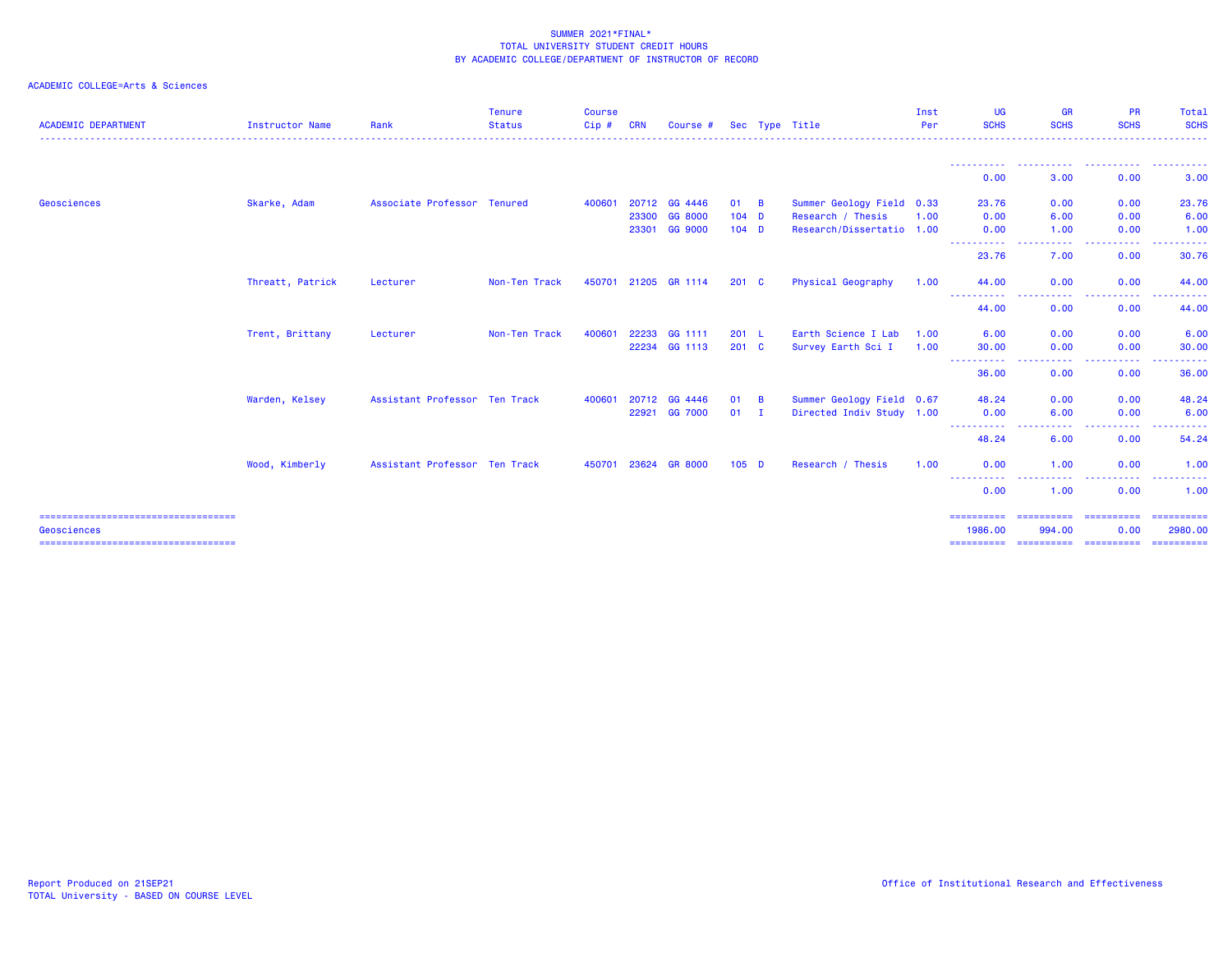| <b>ACADEMIC DEPARTMENT</b>                           | <b>Instructor Name</b> | Rank                          | <b>Tenure</b><br><b>Status</b> | <b>Course</b><br>Cip# | <b>CRN</b> | Course #       |               |                | Sec Type Title            | Inst<br>Per | UG<br><b>SCHS</b>     | GR<br><b>SCHS</b>                                                                                           | <b>PR</b><br><b>SCHS</b>                                                      | Total<br><b>SCHS</b>  |
|------------------------------------------------------|------------------------|-------------------------------|--------------------------------|-----------------------|------------|----------------|---------------|----------------|---------------------------|-------------|-----------------------|-------------------------------------------------------------------------------------------------------------|-------------------------------------------------------------------------------|-----------------------|
|                                                      |                        |                               |                                |                       |            |                |               |                |                           |             |                       |                                                                                                             | .                                                                             |                       |
|                                                      |                        |                               |                                |                       |            |                |               |                |                           |             | 0.00                  | 3.00                                                                                                        | 0.00                                                                          | 3.00                  |
| Geosciences                                          | Skarke, Adam           | Associate Professor Tenured   |                                | 400601                |            | 20712 GG 4446  | 01            | $\overline{B}$ | Summer Geology Field 0.33 |             | 23.76                 | 0.00                                                                                                        | 0.00                                                                          | 23.76                 |
|                                                      |                        |                               |                                |                       | 23300      | GG 8000        | $104$ D       |                | Research / Thesis         | 1.00        | 0.00                  | 6.00                                                                                                        | 0.00                                                                          | 6.00                  |
|                                                      |                        |                               |                                |                       | 23301      | GG 9000        | $104$ D       |                | Research/Dissertatio 1.00 |             | 0.00<br>----------    | 1.00<br><b><i><u><u>.</u></u></i></b><br>.                                                                  | 0.00<br>$\sim$ $\sim$ $\sim$ $\sim$<br><b><i><u><u> - - - - -</u></u></i></b> | 1.00<br>------        |
|                                                      |                        |                               |                                |                       |            |                |               |                |                           |             | 23.76                 | 7.00                                                                                                        | 0.00                                                                          | 30.76                 |
|                                                      | Threatt, Patrick       | Lecturer                      | Non-Ten Track                  | 450701                |            | 21205 GR 1114  | $201 \quad C$ |                | <b>Physical Geography</b> | 1.00        | 44.00<br>----------   | 0.00<br>----                                                                                                | 0.00<br>.                                                                     | 44.00                 |
|                                                      |                        |                               |                                |                       |            |                |               |                |                           |             | 44.00                 | 0.00                                                                                                        | 0.00                                                                          | 44.00                 |
|                                                      | Trent, Brittany        | Lecturer                      | Non-Ten Track                  | 400601                | 22233      | GG 1111        | 201 L         |                | Earth Science I Lab       | 1.00        | 6.00                  | 0.00                                                                                                        | 0.00                                                                          | 6.00                  |
|                                                      |                        |                               |                                |                       |            | 22234 GG 1113  | 201 C         |                | Survey Earth Sci I        | 1.00        | 30.00<br>----------   | 0.00<br>-----                                                                                               | 0.00<br>$\cdots$                                                              | 30.00<br>------       |
|                                                      |                        |                               |                                |                       |            |                |               |                |                           |             | 36.00                 | 0.00                                                                                                        | 0.00                                                                          | 36.00                 |
|                                                      | Warden, Kelsey         | Assistant Professor Ten Track |                                | 400601                | 20712      | GG 4446        | 01            | $\overline{B}$ | Summer Geology Field 0.67 |             | 48.24                 | 0.00                                                                                                        | 0.00                                                                          | 48.24                 |
|                                                      |                        |                               |                                |                       | 22921      | GG 7000        | 01            | - I            | Directed Indiv Study 1.00 |             | 0.00<br>.             | 6.00<br>$\frac{1}{2} \left( \frac{1}{2} \right) \left( \frac{1}{2} \right) \left( \frac{1}{2} \right)$<br>. | 0.00<br>-----                                                                 | 6.00                  |
|                                                      |                        |                               |                                |                       |            |                |               |                |                           |             | 48.24                 | 6.00                                                                                                        | 0.00                                                                          | 54.24                 |
|                                                      | Wood, Kimberly         | Assistant Professor Ten Track |                                | 450701                | 23624      | <b>GR 8000</b> | $105$ D       |                | Research / Thesis         | 1.00        | 0.00                  | 1.00                                                                                                        | 0.00<br>. <u>.</u> .                                                          | 1.00                  |
|                                                      |                        |                               |                                |                       |            |                |               |                |                           |             | 0.00                  | 1.00                                                                                                        | 0.00                                                                          | 1.00                  |
| ====================================                 |                        |                               |                                |                       |            |                |               |                |                           |             | ==========            | ==========                                                                                                  | ==========                                                                    | ==========            |
| Geosciences<br>===================================== |                        |                               |                                |                       |            |                |               |                |                           |             | 1986.00<br>========== | 994.00<br>==========                                                                                        | 0.00<br>-----------                                                           | 2980.00<br>========== |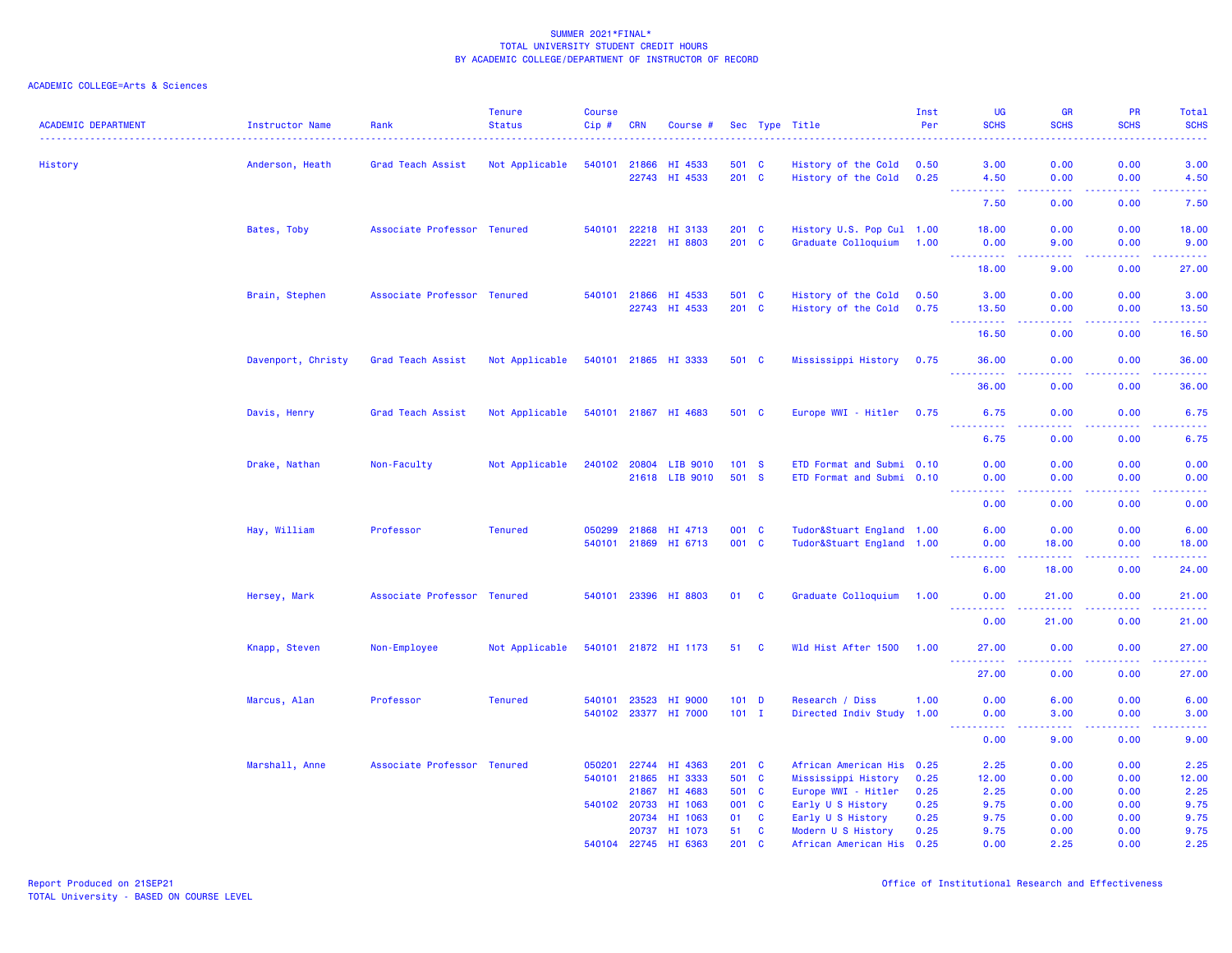| <b>ACADEMIC DEPARTMENT</b> | Instructor Name    | Rank                        | <b>Tenure</b><br><b>Status</b> | <b>Course</b><br>Cip # | <b>CRN</b>   | Course #                              |           |                   | Sec Type Title                                  | Inst<br>Per | <b>UG</b><br><b>SCHS</b>                                                                                                                                     | <b>GR</b><br><b>SCHS</b>                                                                                                          | PR<br><b>SCHS</b> | Total<br><b>SCHS</b>                                                                                                              |
|----------------------------|--------------------|-----------------------------|--------------------------------|------------------------|--------------|---------------------------------------|-----------|-------------------|-------------------------------------------------|-------------|--------------------------------------------------------------------------------------------------------------------------------------------------------------|-----------------------------------------------------------------------------------------------------------------------------------|-------------------|-----------------------------------------------------------------------------------------------------------------------------------|
| History                    | Anderson, Heath    | Grad Teach Assist           | Not Applicable                 |                        | 540101 21866 | HI 4533                               | 501 C     |                   | History of the Cold                             | 0.50        | 3.00                                                                                                                                                         | 0.00                                                                                                                              | 0.00              | 3.00                                                                                                                              |
|                            |                    |                             |                                |                        |              | 22743 HI 4533                         | 201 C     |                   | History of the Cold                             | 0.25        | 4.50                                                                                                                                                         | 0.00                                                                                                                              | 0.00              | 4.50                                                                                                                              |
|                            |                    |                             |                                |                        |              |                                       |           |                   |                                                 |             | -----<br>7.50                                                                                                                                                | $\frac{1}{2} \left( \frac{1}{2} \right) \left( \frac{1}{2} \right) \left( \frac{1}{2} \right) \left( \frac{1}{2} \right)$<br>0.00 | .<br>0.00         | $\frac{1}{2} \left( \frac{1}{2} \right) \left( \frac{1}{2} \right) \left( \frac{1}{2} \right) \left( \frac{1}{2} \right)$<br>7.50 |
|                            | Bates, Toby        | Associate Professor Tenured |                                | 540101                 | 22218        | HI 3133                               | $201$ C   |                   | History U.S. Pop Cul 1.00                       |             | 18.00                                                                                                                                                        | 0.00                                                                                                                              | 0.00              | 18.00                                                                                                                             |
|                            |                    |                             |                                |                        | 22221        | HI 8803                               | 201 C     |                   | Graduate Colloquium                             | 1.00        | 0.00<br>.                                                                                                                                                    | 9.00<br>بالمحام                                                                                                                   | 0.00              | 9.00<br>وبالمستريب                                                                                                                |
|                            |                    |                             |                                |                        |              |                                       |           |                   |                                                 |             | 18.00                                                                                                                                                        | 9.00                                                                                                                              | 0.00              | 27.00                                                                                                                             |
|                            | Brain, Stephen     | Associate Professor Tenured |                                |                        | 540101 21866 | HI 4533                               | 501 C     |                   | History of the Cold                             | 0.50        | 3.00                                                                                                                                                         | 0.00                                                                                                                              | 0.00              | 3.00                                                                                                                              |
|                            |                    |                             |                                |                        |              | 22743 HI 4533                         | 201 C     |                   | History of the Cold                             | 0.75        | 13.50<br><b></b>                                                                                                                                             | 0.00<br>.                                                                                                                         | 0.00<br>.         | 13.50<br>.                                                                                                                        |
|                            |                    |                             |                                |                        |              |                                       |           |                   |                                                 |             | 16.50                                                                                                                                                        | 0.00                                                                                                                              | 0.00              | 16.50                                                                                                                             |
|                            | Davenport, Christy | Grad Teach Assist           | Not Applicable                 |                        |              | 540101 21865 HI 3333                  | 501 C     |                   | Mississippi History                             | 0.75        | 36.00                                                                                                                                                        | 0.00                                                                                                                              | 0.00<br>.         | 36.00<br>.                                                                                                                        |
|                            |                    |                             |                                |                        |              |                                       |           |                   |                                                 |             | <u>.</u><br>36.00                                                                                                                                            | 0.00                                                                                                                              | 0.00              | 36.00                                                                                                                             |
|                            | Davis, Henry       | Grad Teach Assist           | Not Applicable                 |                        |              | 540101 21867 HI 4683                  | 501 C     |                   | Europe WWI - Hitler                             | 0.75        | 6.75                                                                                                                                                         | 0.00                                                                                                                              | 0.00              | 6.75                                                                                                                              |
|                            |                    |                             |                                |                        |              |                                       |           |                   |                                                 |             | 6.75                                                                                                                                                         | 0.00                                                                                                                              | 0.00              | $\frac{1}{2} \left( \frac{1}{2} \right) \left( \frac{1}{2} \right) \left( \frac{1}{2} \right) \left( \frac{1}{2} \right)$<br>6.75 |
|                            | Drake, Nathan      | Non-Faculty                 | Not Applicable                 | 240102                 | 20804        | LIB 9010                              | 101 S     |                   | ETD Format and Submi 0.10                       |             | 0.00                                                                                                                                                         | 0.00                                                                                                                              | 0.00              | 0.00                                                                                                                              |
|                            |                    |                             |                                |                        |              | 21618 LIB 9010                        | 501 S     |                   | ETD Format and Submi 0.10                       |             | 0.00<br>$\frac{1}{2} \left( \frac{1}{2} \right) \left( \frac{1}{2} \right) \left( \frac{1}{2} \right) \left( \frac{1}{2} \right) \left( \frac{1}{2} \right)$ | 0.00<br>.                                                                                                                         | 0.00<br>.         | 0.00<br>$\frac{1}{2} \left( \frac{1}{2} \right) \left( \frac{1}{2} \right) \left( \frac{1}{2} \right) \left( \frac{1}{2} \right)$ |
|                            |                    |                             |                                |                        |              |                                       |           |                   |                                                 |             | 0.00                                                                                                                                                         | 0.00                                                                                                                              | 0.00              | 0.00                                                                                                                              |
|                            | Hay, William       | Professor                   | <b>Tenured</b>                 | 050299                 | 21868        | HI 4713                               | 001 C     |                   | Tudor&Stuart England 1.00                       |             | 6.00                                                                                                                                                         | 0.00                                                                                                                              | 0.00              | 6.00                                                                                                                              |
|                            |                    |                             |                                |                        |              | 540101 21869 HI 6713                  | 001 C     |                   | Tudor&Stuart England 1.00                       |             | 0.00<br>.                                                                                                                                                    | 18.00<br><b><i><u><u>.</u></u></i></b>                                                                                            | 0.00<br>.         | 18.00<br>د د د د د                                                                                                                |
|                            |                    |                             |                                |                        |              |                                       |           |                   |                                                 |             | 6.00                                                                                                                                                         | 18.00                                                                                                                             | 0.00              | 24.00                                                                                                                             |
|                            | Hersey, Mark       | Associate Professor Tenured |                                |                        |              | 540101 23396 HI 8803                  | 01        | <b>C</b>          | Graduate Colloquium                             | 1.00        | 0.00<br>.                                                                                                                                                    | 21.00<br>.                                                                                                                        | 0.00<br>.         | 21.00<br>.                                                                                                                        |
|                            |                    |                             |                                |                        |              |                                       |           |                   |                                                 |             | 0.00                                                                                                                                                         | 21.00                                                                                                                             | 0.00              | 21.00                                                                                                                             |
|                            | Knapp, Steven      | Non-Employee                | Not Applicable                 |                        |              | 540101 21872 HI 1173                  | 51 C      |                   | Wld Hist After 1500                             | 1.00        | 27.00                                                                                                                                                        | 0.00                                                                                                                              | 0.00              | 27.00<br>.                                                                                                                        |
|                            |                    |                             |                                |                        |              |                                       |           |                   |                                                 |             | <u> - - - - - - - - - -</u><br>27.00                                                                                                                         | .<br>0.00                                                                                                                         | .<br>0.00         | 27.00                                                                                                                             |
|                            | Marcus, Alan       | Professor                   | <b>Tenured</b>                 | 540101                 | 23523        | HI 9000                               | $101$ D   |                   | Research / Diss                                 | 1.00        | 0.00                                                                                                                                                         | 6.00                                                                                                                              | 0.00              | 6.00                                                                                                                              |
|                            |                    |                             |                                |                        |              | 540102 23377 HI 7000                  | $101$ I   |                   | Directed Indiv Study 1.00                       |             | 0.00<br>.                                                                                                                                                    | 3.00<br>.                                                                                                                         | 0.00<br>.         | 3.00<br>.                                                                                                                         |
|                            |                    |                             |                                |                        |              |                                       |           |                   |                                                 |             | 0.00                                                                                                                                                         | 9.00                                                                                                                              | 0.00              | 9.00                                                                                                                              |
|                            | Marshall, Anne     | Associate Professor Tenured |                                | 050201                 | 22744        | HI 4363                               | $201$ C   |                   | African American His 0.25                       |             | 2.25                                                                                                                                                         | 0.00                                                                                                                              | 0.00              | 2.25                                                                                                                              |
|                            |                    |                             |                                | 540101                 | 21865        | HI 3333                               | 501 C     |                   | Mississippi History                             | 0.25        | 12.00                                                                                                                                                        | 0.00                                                                                                                              | 0.00              | 12.00                                                                                                                             |
|                            |                    |                             |                                |                        | 21867        | HI 4683                               | 501 C     |                   | Europe WWI - Hitler                             | 0.25        | 2.25                                                                                                                                                         | 0.00                                                                                                                              | 0.00              | 2.25                                                                                                                              |
|                            |                    |                             |                                |                        | 540102 20733 | HI 1063                               | 001 C     |                   | Early U S History                               | 0.25        | 9.75                                                                                                                                                         | 0.00                                                                                                                              | 0.00              | 9.75                                                                                                                              |
|                            |                    |                             |                                |                        | 20734        | HI 1063                               | 01        | C                 | Early U S History                               | 0.25        | 9.75                                                                                                                                                         | 0.00                                                                                                                              | 0.00              | 9.75                                                                                                                              |
|                            |                    |                             |                                |                        |              | 20737 HI 1073<br>540104 22745 HI 6363 | 51<br>201 | C<br>$\mathbf{C}$ | Modern U S History<br>African American His 0.25 | 0.25        | 9.75<br>0.00                                                                                                                                                 | 0.00<br>2.25                                                                                                                      | 0.00<br>0.00      | 9.75<br>2.25                                                                                                                      |
|                            |                    |                             |                                |                        |              |                                       |           |                   |                                                 |             |                                                                                                                                                              |                                                                                                                                   |                   |                                                                                                                                   |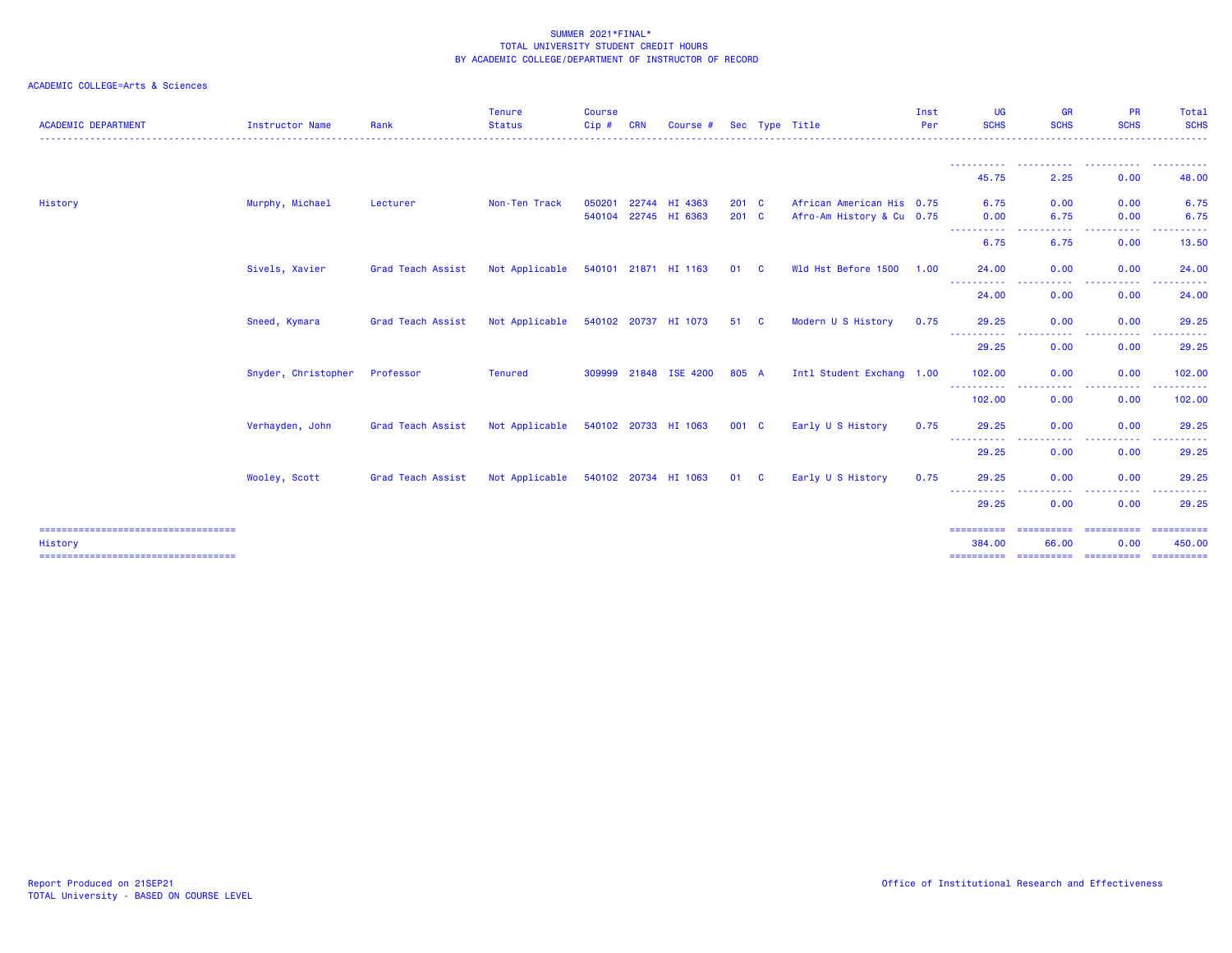| <b>ACADEMIC DEPARTMENT</b>                       | Instructor Name     | Rank              | <b>Tenure</b><br><b>Status</b> | <b>Course</b><br>Cip# | <b>CRN</b> | Course #                              |                          | Sec Type Title                                         | Inst<br>Per | UG<br><b>SCHS</b>                                                                                                                  | <b>GR</b><br><b>SCHS</b>                                                                               | <b>PR</b><br><b>SCHS</b> | Total<br><b>SCHS</b>                                                                                                                                                                                                                                                                                                                                                                                                                                                                   |
|--------------------------------------------------|---------------------|-------------------|--------------------------------|-----------------------|------------|---------------------------------------|--------------------------|--------------------------------------------------------|-------------|------------------------------------------------------------------------------------------------------------------------------------|--------------------------------------------------------------------------------------------------------|--------------------------|----------------------------------------------------------------------------------------------------------------------------------------------------------------------------------------------------------------------------------------------------------------------------------------------------------------------------------------------------------------------------------------------------------------------------------------------------------------------------------------|
|                                                  |                     |                   |                                |                       |            |                                       |                          |                                                        |             | -----------<br>45.75                                                                                                               | $\frac{1}{2} \left( \frac{1}{2} \right) \left( \frac{1}{2} \right) \left( \frac{1}{2} \right)$<br>2.25 | 0.00                     | .<br>48.00                                                                                                                                                                                                                                                                                                                                                                                                                                                                             |
| History                                          | Murphy, Michael     | Lecturer          | Non-Ten Track                  | 050201                |            | 22744 HI 4363<br>540104 22745 HI 6363 | $201 \quad C$<br>$201$ C | African American His 0.75<br>Afro-Am History & Cu 0.75 |             | 6.75<br>0.00                                                                                                                       | 0.00<br>6.75                                                                                           | 0.00<br>0.00             | 6.75<br>6.75                                                                                                                                                                                                                                                                                                                                                                                                                                                                           |
|                                                  |                     |                   |                                |                       |            |                                       |                          |                                                        |             | -----------<br>6.75                                                                                                                | . <u>.</u> .<br>6.75                                                                                   | 0.00                     | 13.50                                                                                                                                                                                                                                                                                                                                                                                                                                                                                  |
|                                                  | Sivels, Xavier      | Grad Teach Assist | Not Applicable                 |                       |            | 540101 21871 HI 1163                  | 01 C                     | Wld Hst Before 1500                                    | 1.00        | 24.00<br>- - - - - - - - - - -                                                                                                     | 0.00<br>$\frac{1}{2} \left( \frac{1}{2} \right) \left( \frac{1}{2} \right) \left( \frac{1}{2} \right)$ | 0.00<br>.                | 24.00                                                                                                                                                                                                                                                                                                                                                                                                                                                                                  |
|                                                  |                     |                   |                                |                       |            |                                       |                          |                                                        |             | 24.00                                                                                                                              | 0.00                                                                                                   | 0.00                     | 24.00                                                                                                                                                                                                                                                                                                                                                                                                                                                                                  |
|                                                  | Sneed, Kymara       | Grad Teach Assist | Not Applicable                 |                       |            | 540102 20737 HI 1073                  | 51 C                     | Modern U S History                                     | 0.75        | 29.25<br>-----------                                                                                                               | 0.00<br>.<br>$\cdots$                                                                                  | 0.00<br>-----            | 29.25                                                                                                                                                                                                                                                                                                                                                                                                                                                                                  |
|                                                  |                     |                   |                                |                       |            |                                       |                          |                                                        |             | 29.25                                                                                                                              | 0.00                                                                                                   | 0.00                     | 29.25                                                                                                                                                                                                                                                                                                                                                                                                                                                                                  |
|                                                  | Snyder, Christopher | Professor         | <b>Tenured</b>                 |                       |            | 309999 21848 ISE 4200                 | 805 A                    | Intl Student Exchang 1.00                              |             | 102.00<br>----------                                                                                                               | 0.00<br>. <b>.</b> .                                                                                   | 0.00<br>.                | 102.00<br>. <b>.</b>                                                                                                                                                                                                                                                                                                                                                                                                                                                                   |
|                                                  |                     |                   |                                |                       |            |                                       |                          |                                                        |             | 102.00                                                                                                                             | 0.00                                                                                                   | 0.00                     | 102.00                                                                                                                                                                                                                                                                                                                                                                                                                                                                                 |
|                                                  | Verhayden, John     | Grad Teach Assist | Not Applicable                 |                       |            | 540102 20733 HI 1063                  | 001 C                    | Early U S History                                      | 0.75        | 29.25<br>----------                                                                                                                | 0.00<br>.                                                                                              | 0.00                     | 29.25                                                                                                                                                                                                                                                                                                                                                                                                                                                                                  |
|                                                  |                     |                   |                                |                       |            |                                       |                          |                                                        |             | 29.25                                                                                                                              | 0.00                                                                                                   | 0.00                     | 29.25                                                                                                                                                                                                                                                                                                                                                                                                                                                                                  |
|                                                  | Wooley, Scott       | Grad Teach Assist | Not Applicable                 |                       |            | 540102 20734 HI 1063                  | 01 C                     | Early U S History                                      | 0.75        | 29.25<br>$\frac{1}{2} \left( \frac{1}{2} \right) \left( \frac{1}{2} \right) \left( \frac{1}{2} \right) \left( \frac{1}{2} \right)$ | 0.00                                                                                                   | 0.00                     | 29.25                                                                                                                                                                                                                                                                                                                                                                                                                                                                                  |
|                                                  |                     |                   |                                |                       |            |                                       |                          |                                                        |             | 29.25                                                                                                                              | 0.00                                                                                                   | 0.00                     | 29.25                                                                                                                                                                                                                                                                                                                                                                                                                                                                                  |
| =====================================<br>History |                     |                   |                                |                       |            |                                       |                          |                                                        |             | ==========<br>384.00                                                                                                               | ==========<br>66.00                                                                                    | ==========<br>0.00       | 450.00                                                                                                                                                                                                                                                                                                                                                                                                                                                                                 |
| ======================================           |                     |                   |                                |                       |            |                                       |                          |                                                        |             | ==========                                                                                                                         | ==========                                                                                             | - ==========             | $\begin{array}{cccccccccc} \multicolumn{2}{c}{} & \multicolumn{2}{c}{} & \multicolumn{2}{c}{} & \multicolumn{2}{c}{} & \multicolumn{2}{c}{} & \multicolumn{2}{c}{} & \multicolumn{2}{c}{} & \multicolumn{2}{c}{} & \multicolumn{2}{c}{} & \multicolumn{2}{c}{} & \multicolumn{2}{c}{} & \multicolumn{2}{c}{} & \multicolumn{2}{c}{} & \multicolumn{2}{c}{} & \multicolumn{2}{c}{} & \multicolumn{2}{c}{} & \multicolumn{2}{c}{} & \multicolumn{2}{c}{} & \multicolumn{2}{c}{} & \mult$ |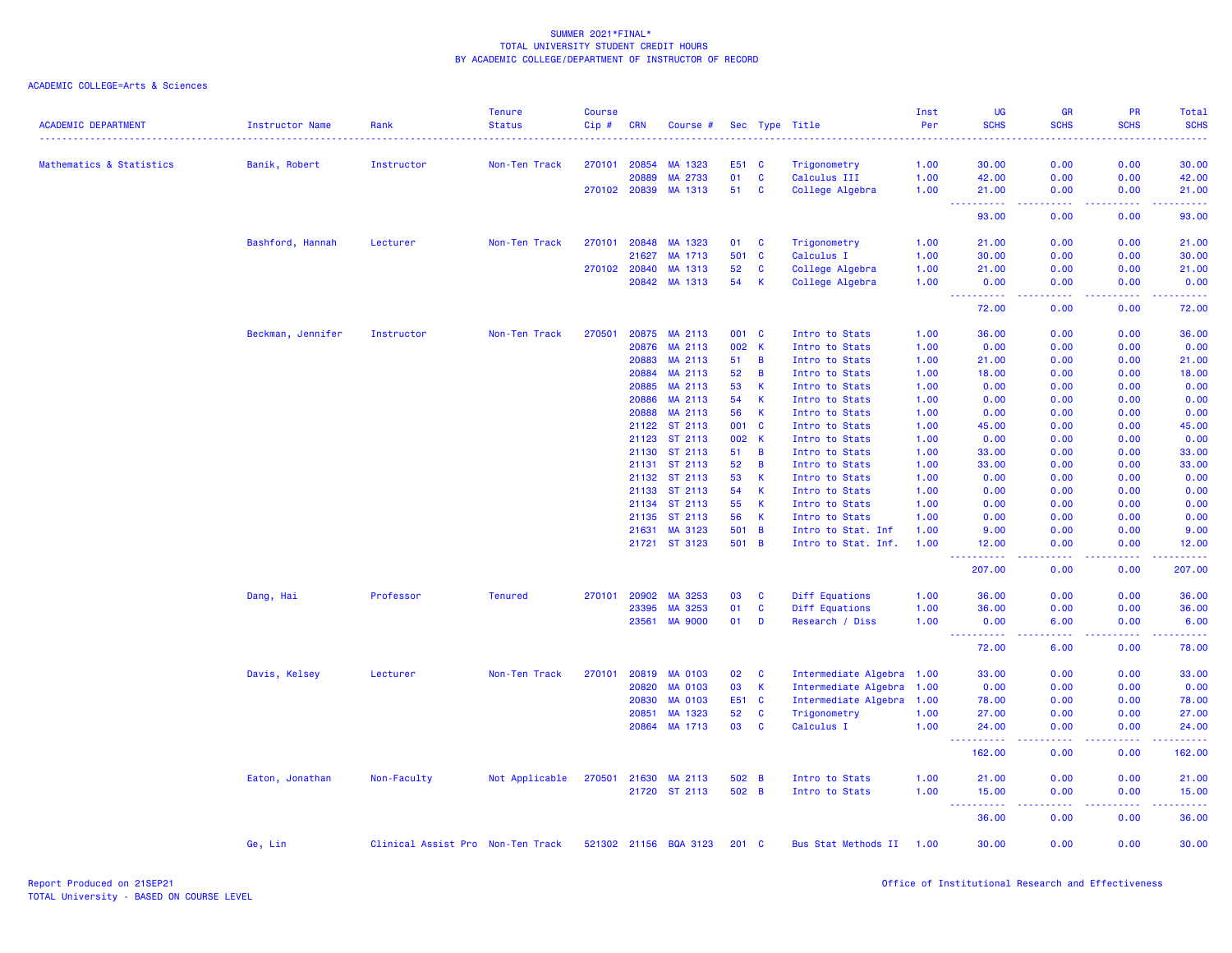| <b>ACADEMIC DEPARTMENT</b> | <b>Instructor Name</b> | Rank                              | <b>Tenure</b><br><b>Status</b> | <b>Course</b><br>Cip# | <b>CRN</b>     | Course #              |             |                | Sec Type Title               | Inst<br>Per  | <b>UG</b><br><b>SCHS</b>                                                                       | <b>GR</b><br><b>SCHS</b>            | <b>PR</b><br><b>SCHS</b> | Total<br><b>SCHS</b> |
|----------------------------|------------------------|-----------------------------------|--------------------------------|-----------------------|----------------|-----------------------|-------------|----------------|------------------------------|--------------|------------------------------------------------------------------------------------------------|-------------------------------------|--------------------------|----------------------|
|                            |                        |                                   |                                |                       |                |                       |             |                |                              | <u>.</u>     |                                                                                                |                                     |                          | .                    |
| Mathematics & Statistics   | Banik, Robert          | Instructor                        | Non-Ten Track                  | 270101                | 20854<br>20889 | MA 1323<br>MA 2733    | E51 C<br>01 | $\mathbf{C}$   | Trigonometry<br>Calculus III | 1.00<br>1.00 | 30.00<br>42.00                                                                                 | 0.00<br>0.00                        | 0.00<br>0.00             | 30.00                |
|                            |                        |                                   |                                |                       | 270102 20839   | MA 1313               | 51          | <b>C</b>       | College Algebra              | 1.00         | 21.00                                                                                          | 0.00                                | 0.00                     | 42.00<br>21.00       |
|                            |                        |                                   |                                |                       |                |                       |             |                |                              |              | $\frac{1}{2} \left( \frac{1}{2} \right) \left( \frac{1}{2} \right) \left( \frac{1}{2} \right)$ | الداعات عا                          | 22222                    | .                    |
|                            |                        |                                   |                                |                       |                |                       |             |                |                              |              | 93.00                                                                                          | 0.00                                | 0.00                     | 93.00                |
|                            | Bashford, Hannah       | Lecturer                          | Non-Ten Track                  | 270101                | 20848          | MA 1323               | 01          | C              | Trigonometry                 | 1.00         | 21.00                                                                                          | 0.00                                | 0.00                     | 21.00                |
|                            |                        |                                   |                                |                       | 21627          | MA 1713               | 501         | $\mathbf{C}$   | Calculus I                   | 1.00         | 30.00                                                                                          | 0.00                                | 0.00                     | 30.00                |
|                            |                        |                                   |                                |                       | 270102 20840   | MA 1313               | 52          | C              | College Algebra              | 1.00         | 21.00                                                                                          | 0.00                                | 0.00                     | 21.00                |
|                            |                        |                                   |                                |                       | 20842          | MA 1313               | 54          | К              | College Algebra              | 1.00         | 0.00<br>المتمامين<br>المتعام                                                                   | 0.00<br>$\sim$ $\sim$ $\sim$ $\sim$ | 0.00<br>.                | 0.00<br>.            |
|                            |                        |                                   |                                |                       |                |                       |             |                |                              |              | 72.00                                                                                          | 0.00                                | 0.00                     | 72.00                |
|                            | Beckman, Jennifer      | Instructor                        | Non-Ten Track                  | 270501                | 20875          | MA 2113               | 001 C       |                | Intro to Stats               | 1.00         | 36.00                                                                                          | 0.00                                | 0.00                     | 36.00                |
|                            |                        |                                   |                                |                       | 20876          | MA 2113               | 002 K       |                | Intro to Stats               | 1.00         | 0.00                                                                                           | 0.00                                | 0.00                     | 0.00                 |
|                            |                        |                                   |                                |                       | 20883          | MA 2113               | 51          | $\overline{B}$ | Intro to Stats               | 1.00         | 21.00                                                                                          | 0.00                                | 0.00                     | 21.00                |
|                            |                        |                                   |                                |                       | 20884          | MA 2113               | 52          | B              | Intro to Stats               | 1.00         | 18.00                                                                                          | 0.00                                | 0.00                     | 18.00                |
|                            |                        |                                   |                                |                       | 20885          | MA 2113               | 53          | $\mathsf{K}$   | Intro to Stats               | 1.00         | 0.00                                                                                           | 0.00                                | 0.00                     | 0.00                 |
|                            |                        |                                   |                                |                       | 20886          | MA 2113               | 54          | $\mathsf{K}$   | Intro to Stats               | 1.00         | 0.00                                                                                           | 0.00                                | 0.00                     | 0.00                 |
|                            |                        |                                   |                                |                       | 20888          | MA 2113               | 56          | $\mathsf{K}$   | Intro to Stats               | 1.00         | 0.00                                                                                           | 0.00                                | 0.00                     | 0.00                 |
|                            |                        |                                   |                                |                       |                | 21122 ST 2113         | 001         | $\mathbf{C}$   | Intro to Stats               | 1.00         | 45.00                                                                                          | 0.00                                | 0.00                     | 45.00                |
|                            |                        |                                   |                                |                       | 21123          | ST 2113               | 002 K       |                | Intro to Stats               | 1.00         | 0.00                                                                                           | 0.00                                | 0.00                     | 0.00                 |
|                            |                        |                                   |                                |                       | 21130          | ST 2113               | 51          | $\overline{B}$ | Intro to Stats               | 1.00         | 33.00                                                                                          | 0.00                                | 0.00                     | 33.00                |
|                            |                        |                                   |                                |                       | 21131          | ST 2113               | 52          | $\overline{B}$ | Intro to Stats               | 1.00         | 33.00                                                                                          | 0.00                                | 0.00                     | 33.00                |
|                            |                        |                                   |                                |                       | 21132          | ST 2113               | 53          | $\mathbf{K}$   | Intro to Stats               | 1.00         | 0.00                                                                                           | 0.00                                | 0.00                     | 0.00                 |
|                            |                        |                                   |                                |                       |                | 21133 ST 2113         | 54          | $\mathsf{K}$   | Intro to Stats               | 1.00         | 0.00                                                                                           | 0.00                                | 0.00                     | 0.00                 |
|                            |                        |                                   |                                |                       |                | 21134 ST 2113         | 55          | <b>K</b>       | Intro to Stats               | 1.00         | 0.00                                                                                           | 0.00                                | 0.00                     | 0.00                 |
|                            |                        |                                   |                                |                       | 21135          | ST 2113               | 56          | $\mathsf{K}$   | Intro to Stats               | 1.00         | 0.00                                                                                           | 0.00                                | 0.00                     | 0.00                 |
|                            |                        |                                   |                                |                       | 21631          | MA 3123               | 501 B       |                | Intro to Stat. Inf           | 1.00         | 9.00                                                                                           | 0.00                                | 0.00                     | 9.00                 |
|                            |                        |                                   |                                |                       |                | 21721 ST 3123         | 501 B       |                | Intro to Stat. Inf.          | 1.00         | 12.00                                                                                          | 0.00                                | 0.00                     | 12.00<br>المتمامين   |
|                            |                        |                                   |                                |                       |                |                       |             |                |                              |              | 207.00                                                                                         | 0.00                                | 0.00                     | 207.00               |
|                            | Dang, Hai              | Professor                         | <b>Tenured</b>                 | 270101                | 20902          | MA 3253               | 03          | <b>C</b>       | Diff Equations               | 1.00         | 36.00                                                                                          | 0.00                                | 0.00                     | 36.00                |
|                            |                        |                                   |                                |                       | 23395          | MA 3253               | 01          | $\mathbf{C}$   | Diff Equations               | 1.00         | 36.00                                                                                          | 0.00                                | 0.00                     | 36.00                |
|                            |                        |                                   |                                |                       | 23561          | <b>MA 9000</b>        | 01          | D              | Research / Diss              | 1.00         | 0.00<br>.                                                                                      | 6.00<br>.                           | 0.00<br>. <b>.</b>       | 6.00<br>.            |
|                            |                        |                                   |                                |                       |                |                       |             |                |                              |              | 72.00                                                                                          | 6.00                                | 0.00                     | 78.00                |
|                            | Davis, Kelsey          | Lecturer                          | Non-Ten Track                  | 270101                | 20819          | <b>MA 0103</b>        | 02          | <b>C</b>       | Intermediate Algebra 1.00    |              | 33.00                                                                                          | 0.00                                | 0.00                     | 33.00                |
|                            |                        |                                   |                                |                       | 20820          | <b>MA 0103</b>        | 03          | $\mathsf{K}$   | Intermediate Algebra 1.00    |              | 0.00                                                                                           | 0.00                                | 0.00                     | 0.00                 |
|                            |                        |                                   |                                |                       | 20830          | <b>MA 0103</b>        | E51 C       |                | Intermediate Algebra 1.00    |              | 78.00                                                                                          | 0.00                                | 0.00                     | 78.00                |
|                            |                        |                                   |                                |                       | 20851          | MA 1323               | 52          | $\mathbf{C}$   | Trigonometry                 | 1.00         | 27.00                                                                                          | 0.00                                | 0.00                     | 27.00                |
|                            |                        |                                   |                                |                       | 20864          | MA 1713               | 03          | $\mathbf{C}$   | Calculus I                   | 1.00         | 24.00                                                                                          | 0.00                                | 0.00                     | 24.00                |
|                            |                        |                                   |                                |                       |                |                       |             |                |                              |              | 162.00                                                                                         | 0.00                                | 0.00                     | 162.00               |
|                            | Eaton, Jonathan        | Non-Faculty                       | Not Applicable                 | 270501 21630          |                | MA 2113               | 502 B       |                | Intro to Stats               | 1.00         | 21.00                                                                                          | 0.00                                | 0.00                     | 21.00                |
|                            |                        |                                   |                                |                       |                | 21720 ST 2113         | 502 B       |                | Intro to Stats               | 1.00         | 15.00                                                                                          | 0.00                                | 0.00                     | 15.00                |
|                            |                        |                                   |                                |                       |                |                       |             |                |                              |              | بالأبابات<br>36.00                                                                             | $  -$<br>0.00                       | .<br>0.00                | المتمامين<br>36.00   |
|                            | Ge, Lin                | Clinical Assist Pro Non-Ten Track |                                |                       |                | 521302 21156 BQA 3123 | 201 C       |                | Bus Stat Methods II 1.00     |              | 30.00                                                                                          | 0.00                                | 0.00                     | 30.00                |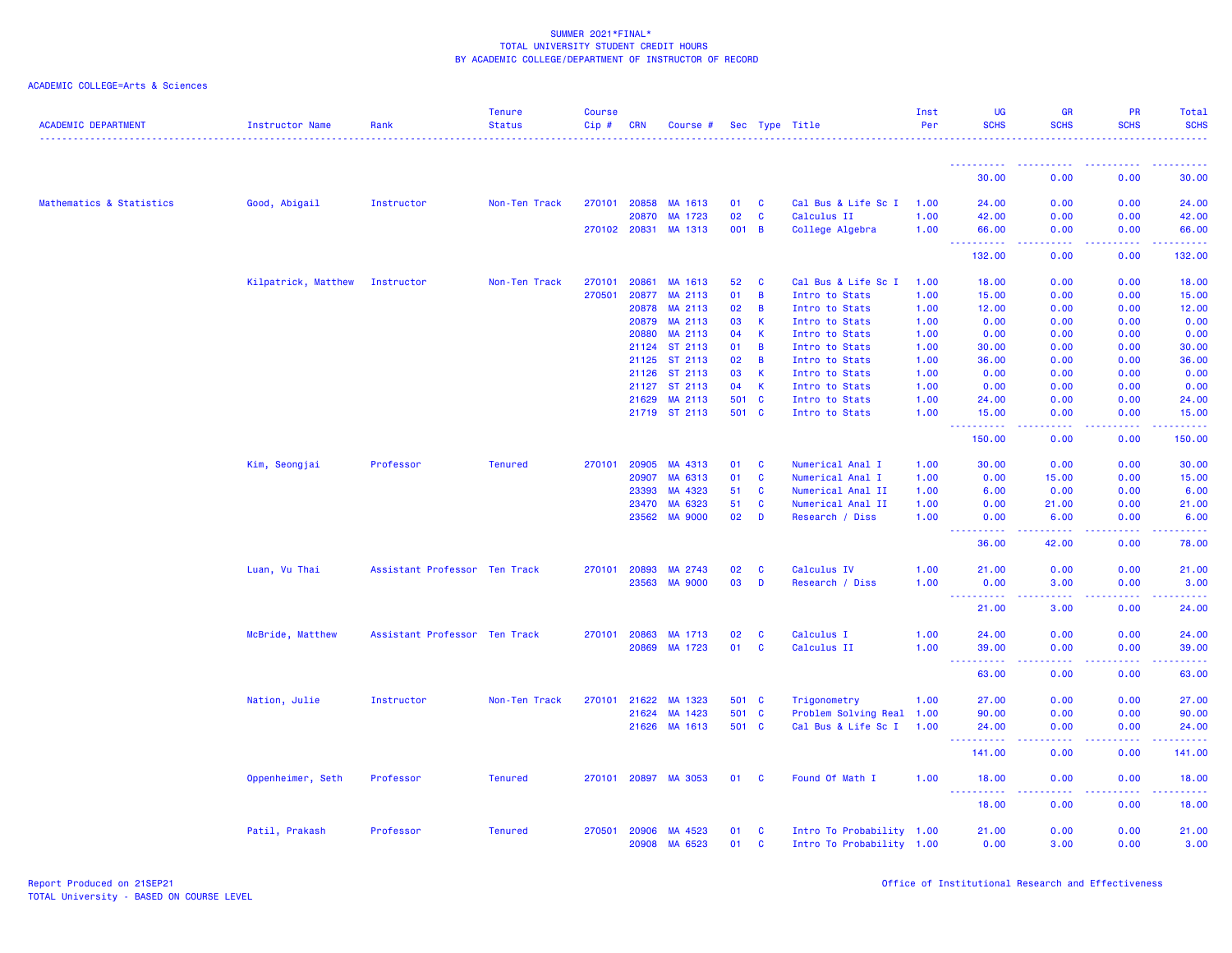| <b>ACADEMIC DEPARTMENT</b> | Instructor Name     | Rank                          | <b>Tenure</b><br><b>Status</b> | <b>Course</b><br>Cip# | <b>CRN</b>     | Course #           |          |                                | Sec Type Title                   | Inst<br>Per  | UG<br><b>SCHS</b>                                                                                                                                              | <b>GR</b><br><b>SCHS</b>                                                                                                                                     | <b>PR</b><br><b>SCHS</b> | Total<br><b>SCHS</b> |
|----------------------------|---------------------|-------------------------------|--------------------------------|-----------------------|----------------|--------------------|----------|--------------------------------|----------------------------------|--------------|----------------------------------------------------------------------------------------------------------------------------------------------------------------|--------------------------------------------------------------------------------------------------------------------------------------------------------------|--------------------------|----------------------|
|                            |                     |                               |                                |                       |                |                    |          |                                |                                  |              |                                                                                                                                                                |                                                                                                                                                              |                          |                      |
|                            |                     |                               |                                |                       |                |                    |          |                                |                                  |              | 30.00                                                                                                                                                          | 0.00                                                                                                                                                         | 0.00                     | 30.00                |
| Mathematics & Statistics   | Good, Abigail       | Instructor                    | Non-Ten Track                  |                       | 270101 20858   | MA 1613            | 01       | <b>C</b>                       | Cal Bus & Life Sc I              | 1.00         | 24.00                                                                                                                                                          | 0.00                                                                                                                                                         | 0.00                     | 24.00                |
|                            |                     |                               |                                |                       | 20870          | MA 1723            | 02       | $\mathbf{C}$                   | Calculus II                      | 1.00         | 42.00                                                                                                                                                          | 0.00                                                                                                                                                         | 0.00                     | 42.00                |
|                            |                     |                               |                                |                       | 270102 20831   | MA 1313            | 001 B    |                                | College Algebra                  | 1.00         | 66.00                                                                                                                                                          | 0.00                                                                                                                                                         | 0.00                     | 66.00                |
|                            |                     |                               |                                |                       |                |                    |          |                                |                                  |              | $  -$<br>. <b>.</b><br>132.00                                                                                                                                  | المتمامين<br>0.00                                                                                                                                            | . <b>.</b><br>0.00       | .<br>132.00          |
|                            | Kilpatrick, Matthew | Instructor                    | Non-Ten Track                  | 270101                | 20861          | MA 1613            | 52       | <b>C</b>                       | Cal Bus & Life Sc I              | 1.00         | 18.00                                                                                                                                                          | 0.00                                                                                                                                                         | 0.00                     | 18.00                |
|                            |                     |                               |                                | 270501                | 20877          | MA 2113            | 01       | $\overline{B}$                 | Intro to Stats                   | 1.00         | 15.00                                                                                                                                                          | 0.00                                                                                                                                                         | 0.00                     | 15.00                |
|                            |                     |                               |                                |                       | 20878          | MA 2113            | 02       | $\overline{B}$                 | Intro to Stats                   | 1.00         | 12.00                                                                                                                                                          | 0.00                                                                                                                                                         | 0.00                     | 12.00                |
|                            |                     |                               |                                |                       | 20879          | MA 2113            | 03       | $\mathsf{K}$                   | Intro to Stats                   | 1.00         | 0.00                                                                                                                                                           | 0.00                                                                                                                                                         | 0.00                     | 0.00                 |
|                            |                     |                               |                                |                       | 20880          | MA 2113            | 04       | $\mathsf{K}$                   | Intro to Stats                   | 1.00         | 0.00                                                                                                                                                           | 0.00                                                                                                                                                         | 0.00                     | 0.00                 |
|                            |                     |                               |                                |                       | 21124          | ST 2113            | 01       | $\overline{B}$                 | Intro to Stats                   | 1.00         | 30.00                                                                                                                                                          | 0.00                                                                                                                                                         | 0.00                     | 30.00                |
|                            |                     |                               |                                |                       | 21125<br>21126 | ST 2113<br>ST 2113 | 02<br>03 | $\overline{B}$<br>$\mathsf{K}$ | Intro to Stats<br>Intro to Stats | 1.00<br>1.00 | 36.00<br>0.00                                                                                                                                                  | 0.00<br>0.00                                                                                                                                                 | 0.00<br>0.00             | 36.00<br>0.00        |
|                            |                     |                               |                                |                       | 21127          | ST 2113            | 04       | $\mathsf{K}$                   | Intro to Stats                   | 1.00         | 0.00                                                                                                                                                           | 0.00                                                                                                                                                         | 0.00                     | 0.00                 |
|                            |                     |                               |                                |                       | 21629          | MA 2113            | 501 C    |                                | Intro to Stats                   | 1.00         | 24.00                                                                                                                                                          | 0.00                                                                                                                                                         | 0.00                     | 24.00                |
|                            |                     |                               |                                |                       |                | 21719 ST 2113      | 501 C    |                                | Intro to Stats                   | 1.00         | 15.00                                                                                                                                                          | 0.00                                                                                                                                                         | 0.00                     | 15.00                |
|                            |                     |                               |                                |                       |                |                    |          |                                |                                  |              | $\frac{1}{2} \left( \frac{1}{2} \right) \left( \frac{1}{2} \right) \left( \frac{1}{2} \right) \left( \frac{1}{2} \right) \left( \frac{1}{2} \right)$<br>150.00 | $\frac{1}{2} \left( \frac{1}{2} \right) \left( \frac{1}{2} \right) \left( \frac{1}{2} \right)$<br>0.00                                                       | .<br>0.00                | .<br>150.00          |
|                            | Kim, Seongjai       | Professor                     | <b>Tenured</b>                 | 270101                | 20905          | MA 4313            | 01       | <b>C</b>                       | Numerical Anal I                 | 1.00         | 30.00                                                                                                                                                          | 0.00                                                                                                                                                         | 0.00                     | 30.00                |
|                            |                     |                               |                                |                       | 20907          | MA 6313            | 01       | $\mathbf{C}$                   | Numerical Anal I                 | 1.00         | 0.00                                                                                                                                                           | 15.00                                                                                                                                                        | 0.00                     | 15.00                |
|                            |                     |                               |                                |                       | 23393          | MA 4323            | 51       | C                              | Numerical Anal II                | 1.00         | 6.00                                                                                                                                                           | 0.00                                                                                                                                                         | 0.00                     | 6.00                 |
|                            |                     |                               |                                |                       | 23470          | MA 6323            | 51       | $\mathbf{C}$                   | Numerical Anal II                | 1.00         | 0.00                                                                                                                                                           | 21.00                                                                                                                                                        | 0.00                     | 21.00                |
|                            |                     |                               |                                |                       | 23562          | <b>MA 9000</b>     | 02       | D                              | Research / Diss                  | 1.00         | 0.00<br>.                                                                                                                                                      | 6.00<br>$\frac{1}{2} \left( \frac{1}{2} \right) \left( \frac{1}{2} \right) \left( \frac{1}{2} \right) \left( \frac{1}{2} \right) \left( \frac{1}{2} \right)$ | 0.00<br>.                | 6.00<br>.            |
|                            |                     |                               |                                |                       |                |                    |          |                                |                                  |              | 36.00                                                                                                                                                          | 42.00                                                                                                                                                        | 0.00                     | 78.00                |
|                            | Luan, Vu Thai       | Assistant Professor Ten Track |                                | 270101                | 20893          | MA 2743            | 02       | C                              | Calculus IV                      | 1.00         | 21.00                                                                                                                                                          | 0.00                                                                                                                                                         | 0.00                     | 21.00                |
|                            |                     |                               |                                |                       | 23563          | <b>MA 9000</b>     | 03       | D                              | Research / Diss                  | 1.00         | 0.00<br><u>.</u>                                                                                                                                               | 3.00<br>.                                                                                                                                                    | 0.00<br>.                | 3.00<br>.            |
|                            |                     |                               |                                |                       |                |                    |          |                                |                                  |              | 21.00                                                                                                                                                          | 3.00                                                                                                                                                         | 0.00                     | 24.00                |
|                            | McBride, Matthew    | Assistant Professor Ten Track |                                |                       | 270101 20863   | MA 1713            | 02       | C                              | Calculus I                       | 1.00         | 24.00                                                                                                                                                          | 0.00                                                                                                                                                         | 0.00                     | 24.00                |
|                            |                     |                               |                                |                       | 20869          | MA 1723            | 01       | <b>C</b>                       | Calculus II                      | 1.00         | 39.00<br>.                                                                                                                                                     | 0.00<br>.                                                                                                                                                    | 0.00<br>22222            | 39.00                |
|                            |                     |                               |                                |                       |                |                    |          |                                |                                  |              | $\sim 100$<br>63.00                                                                                                                                            | 0.00                                                                                                                                                         | 0.00                     | .<br>63.00           |
|                            | Nation, Julie       | Instructor                    | Non-Ten Track                  | 270101                | 21622          | MA 1323            | 501 C    |                                | Trigonometry                     | 1.00         | 27.00                                                                                                                                                          | 0.00                                                                                                                                                         | 0.00                     | 27.00                |
|                            |                     |                               |                                |                       | 21624          | MA 1423            | 501 C    |                                | Problem Solving Real 1.00        |              | 90.00                                                                                                                                                          | 0.00                                                                                                                                                         | 0.00                     | 90.00                |
|                            |                     |                               |                                |                       |                | 21626 MA 1613      | 501 C    |                                | Cal Bus & Life Sc I 1.00         |              | 24.00                                                                                                                                                          | 0.00                                                                                                                                                         | 0.00                     | 24.00                |
|                            |                     |                               |                                |                       |                |                    |          |                                |                                  |              | 141.00                                                                                                                                                         | 0.00                                                                                                                                                         | 0.00                     | 141.00               |
|                            | Oppenheimer, Seth   | Professor                     | <b>Tenured</b>                 |                       | 270101 20897   | MA 3053            | 01 C     |                                | Found Of Math I                  | 1.00         | 18.00                                                                                                                                                          | 0.00                                                                                                                                                         | 0.00                     | 18.00                |
|                            |                     |                               |                                |                       |                |                    |          |                                |                                  |              | $\frac{1}{2} \left( \frac{1}{2} \right) \left( \frac{1}{2} \right) \left( \frac{1}{2} \right) \left( \frac{1}{2} \right)$<br>18.00                             | والمالمات<br>0.00                                                                                                                                            | بالمحامي<br>0.00         | .<br>18.00           |
|                            | Patil, Prakash      | Professor                     | <b>Tenured</b>                 | 270501                | 20906          | MA 4523            | 01       | <b>C</b>                       | Intro To Probability 1.00        |              | 21.00                                                                                                                                                          | 0.00                                                                                                                                                         | 0.00                     | 21.00                |
|                            |                     |                               |                                |                       | 20908          | MA 6523            | 01       | $\mathbf{C}$                   | Intro To Probability 1.00        |              | 0.00                                                                                                                                                           | 3.00                                                                                                                                                         | 0.00                     | 3.00                 |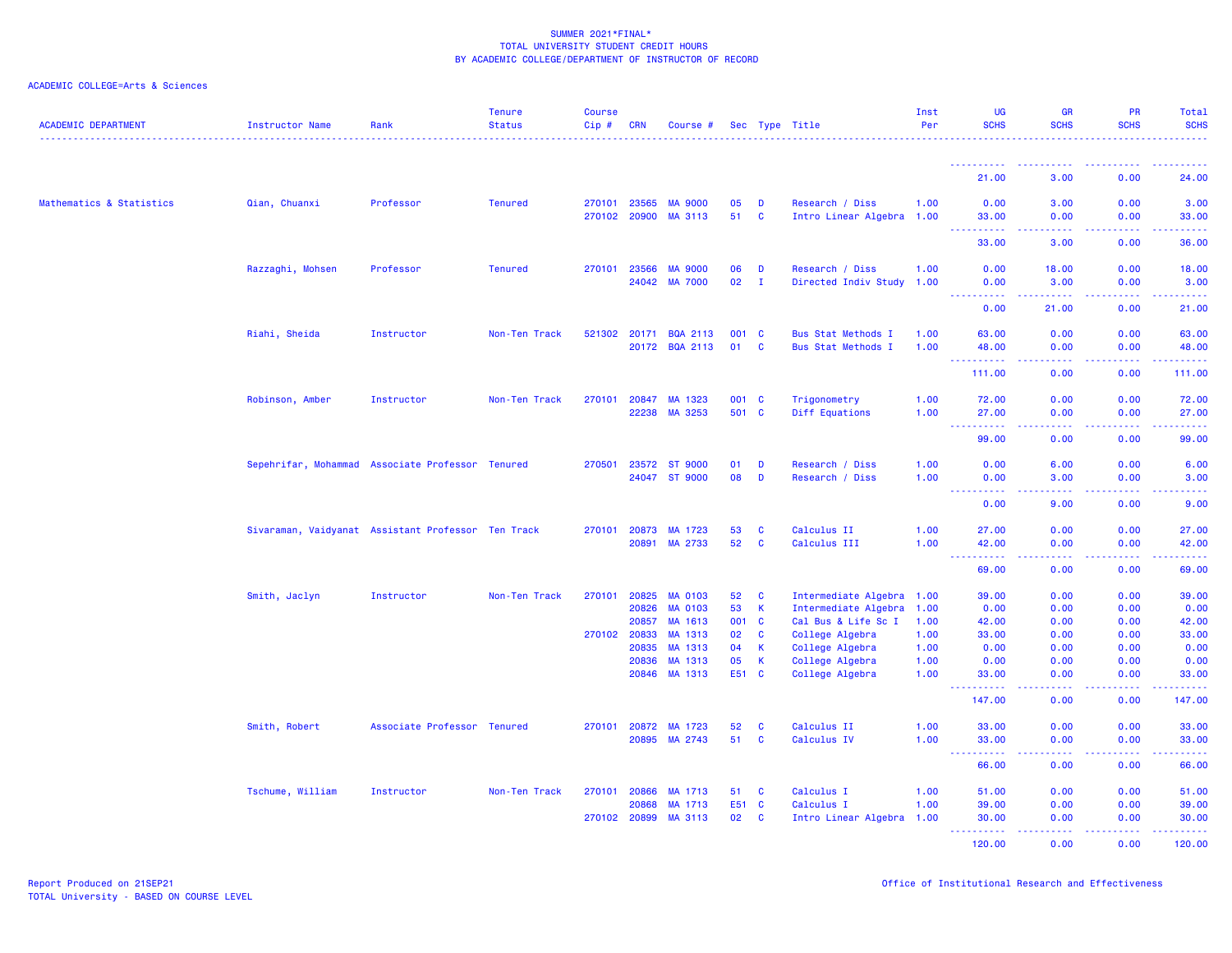| <b>ACADEMIC DEPARTMENT</b> | <b>Instructor Name</b> | Rank                                               | <b>Tenure</b><br><b>Status</b> | <b>Course</b><br>Cip# | <b>CRN</b>     | Course #                         |           |                   | Sec Type Title                         | Inst<br>Per  | UG<br><b>SCHS</b>                     | <b>GR</b><br><b>SCHS</b>            | <b>PR</b><br><b>SCHS</b> | <b>Total</b><br><b>SCHS</b>                                                                                           |
|----------------------------|------------------------|----------------------------------------------------|--------------------------------|-----------------------|----------------|----------------------------------|-----------|-------------------|----------------------------------------|--------------|---------------------------------------|-------------------------------------|--------------------------|-----------------------------------------------------------------------------------------------------------------------|
|                            |                        |                                                    |                                |                       |                |                                  |           |                   |                                        |              | <u> - - - - - - - - - -</u>           | . <u>.</u>                          | <u>.</u>                 | .                                                                                                                     |
|                            |                        |                                                    |                                |                       |                |                                  |           |                   |                                        |              | 21.00                                 | 3.00                                | 0.00                     | 24.00                                                                                                                 |
| Mathematics & Statistics   | Qian, Chuanxi          | Professor                                          | <b>Tenured</b>                 | 270101 23565          |                | <b>MA 9000</b>                   | 05        | D                 | Research / Diss                        | 1.00         | 0.00                                  | 3.00                                | 0.00                     | 3.00                                                                                                                  |
|                            |                        |                                                    |                                | 270102 20900          |                | MA 3113                          | 51        | $\mathbf{C}$      | Intro Linear Algebra 1.00              |              | 33.00<br>.                            | 0.00<br>.                           | 0.00<br>$  -$            | 33.00<br>.                                                                                                            |
|                            |                        |                                                    |                                |                       |                |                                  |           |                   |                                        |              | 33.00                                 | 3.00                                | 0.00                     | 36.00                                                                                                                 |
|                            | Razzaghi, Mohsen       | Professor                                          | <b>Tenured</b>                 | 270101                | 23566          | <b>MA 9000</b><br><b>MA 7000</b> | 06<br>02  | D                 | Research / Diss                        | 1.00         | 0.00                                  | 18.00                               | 0.00                     | 18.00                                                                                                                 |
|                            |                        |                                                    |                                |                       | 24042          |                                  |           | $\mathbf{I}$      | Directed Indiv Study                   | 1.00         | 0.00                                  | 3.00                                | 0.00                     | 3.00                                                                                                                  |
|                            |                        |                                                    |                                |                       |                |                                  |           |                   |                                        |              | 0.00                                  | 21.00                               | 0.00                     | 21.00                                                                                                                 |
|                            | Riahi, Sheida          | Instructor                                         | Non-Ten Track                  | 521302                | 20171          | <b>BQA 2113</b>                  | 001       | $\mathbf{C}$      | <b>Bus Stat Methods I</b>              | 1.00         | 63.00                                 | 0.00                                | 0.00                     | 63.00                                                                                                                 |
|                            |                        |                                                    |                                |                       |                | 20172 BQA 2113                   | 01        | <b>C</b>          | <b>Bus Stat Methods I</b>              | 1.00         | 48.00<br>$\sim 10$<br>.               | 0.00<br>$\sim$ $\sim$ $\sim$ $\sim$ | 0.00<br>.                | 48.00<br>.                                                                                                            |
|                            |                        |                                                    |                                |                       |                |                                  |           |                   |                                        |              | 111.00                                | 0.00                                | 0.00                     | 111.00                                                                                                                |
|                            | Robinson, Amber        | Instructor                                         | Non-Ten Track                  | 270101                | 20847          | MA 1323                          | 001 C     |                   | Trigonometry                           | 1.00         | 72.00                                 | 0.00                                | 0.00                     | 72.00                                                                                                                 |
|                            |                        |                                                    |                                |                       | 22238          | MA 3253                          | 501 C     |                   | Diff Equations                         | 1.00         | 27.00<br>$\sim 100$<br>.              | 0.00<br>.                           | 0.00<br>.                | 27.00<br>.                                                                                                            |
|                            |                        |                                                    |                                |                       |                |                                  |           |                   |                                        |              | 99.00                                 | 0.00                                | 0.00                     | 99.00                                                                                                                 |
|                            |                        | Sepehrifar, Mohammad Associate Professor Tenured   |                                | 270501                | 23572          | <b>ST 9000</b>                   | 01        | D                 | Research / Diss                        | 1.00         | 0.00                                  | 6.00                                | 0.00                     | 6.00                                                                                                                  |
|                            |                        |                                                    |                                |                       | 24047          | <b>ST 9000</b>                   | 08        | D                 | Research / Diss                        | 1.00         | 0.00<br>22222<br>$\sim$ $\sim$ $\sim$ | 3.00<br>بالأباد                     | 0.00<br>.                | 3.00<br>وتوتون                                                                                                        |
|                            |                        |                                                    |                                |                       |                |                                  |           |                   |                                        |              | 0.00                                  | 9.00                                | 0.00                     | 9.00                                                                                                                  |
|                            |                        | Sivaraman, Vaidyanat Assistant Professor Ten Track |                                | 270101                | 20873          | MA 1723                          | 53        | <b>C</b>          | Calculus II                            | 1.00         | 27.00                                 | 0.00                                | 0.00                     | 27.00                                                                                                                 |
|                            |                        |                                                    |                                |                       | 20891          | MA 2733                          | 52        | <b>C</b>          | Calculus III                           | 1.00         | 42.00<br>$\sim 100$<br>بالاناباذ      | 0.00<br>ولايات                      | 0.00                     | 42.00<br>.                                                                                                            |
|                            |                        |                                                    |                                |                       |                |                                  |           |                   |                                        |              | 69.00                                 | 0.00                                | 0.00                     | 69.00                                                                                                                 |
|                            | Smith, Jaclyn          | Instructor                                         | Non-Ten Track                  | 270101                | 20825          | <b>MA 0103</b>                   | 52        | $\mathbf{C}$      | Intermediate Algebra 1.00              |              | 39.00                                 | 0.00                                | 0.00                     | 39.00                                                                                                                 |
|                            |                        |                                                    |                                |                       | 20826          | <b>MA 0103</b>                   | 53        | $\mathbf{K}$      | Intermediate Algebra                   | 1.00         | 0.00                                  | 0.00                                | 0.00                     | 0.00                                                                                                                  |
|                            |                        |                                                    |                                | 270102                | 20857<br>20833 | MA 1613<br>MA 1313               | 001<br>02 | $\mathbf{C}$<br>C | Cal Bus & Life Sc I<br>College Algebra | 1.00<br>1.00 | 42.00<br>33.00                        | 0.00<br>0.00                        | 0.00<br>0.00             | 42.00<br>33.00                                                                                                        |
|                            |                        |                                                    |                                |                       | 20835          | MA 1313                          | 04        | $\mathsf{K}$      | College Algebra                        | 1.00         | 0.00                                  | 0.00                                | 0.00                     | 0.00                                                                                                                  |
|                            |                        |                                                    |                                |                       | 20836          | MA 1313                          | 05        | <b>K</b>          | College Algebra                        | 1.00         | 0.00                                  | 0.00                                | 0.00                     | 0.00                                                                                                                  |
|                            |                        |                                                    |                                |                       |                | 20846 MA 1313                    | E51 C     |                   | College Algebra                        | 1.00         | 33.00                                 | 0.00                                | 0.00                     | 33.00                                                                                                                 |
|                            |                        |                                                    |                                |                       |                |                                  |           |                   |                                        |              | 147.00                                | .<br>0.00                           | 22222<br>0.00            | $\begin{array}{cccccccccc} \bullet & \bullet & \bullet & \bullet & \bullet & \bullet & \bullet \end{array}$<br>147.00 |
|                            | Smith, Robert          | Associate Professor Tenured                        |                                | 270101 20872          |                | MA 1723                          | 52        | C                 | Calculus II                            | 1.00         | 33.00                                 | 0.00                                | 0.00                     | 33.00                                                                                                                 |
|                            |                        |                                                    |                                |                       | 20895          | MA 2743                          | 51        | C                 | Calculus IV                            | 1.00         | 33.00<br><u> - - - - - - - - - -</u>  | 0.00<br>.                           | 0.00<br>.                | 33.00<br>.                                                                                                            |
|                            |                        |                                                    |                                |                       |                |                                  |           |                   |                                        |              | 66.00                                 | 0.00                                | 0.00                     | 66.00                                                                                                                 |
|                            | Tschume, William       | Instructor                                         | Non-Ten Track                  | 270101                | 20866          | MA 1713                          | 51        | $\mathbf{C}$      | Calculus I                             | 1.00         | 51.00                                 | 0.00                                | 0.00                     | 51.00                                                                                                                 |
|                            |                        |                                                    |                                |                       | 20868          | MA 1713                          | E51       | $\mathbf{C}$      | Calculus I                             | 1.00         | 39.00                                 | 0.00                                | 0.00                     | 39.00                                                                                                                 |
|                            |                        |                                                    |                                | 270102 20899          |                | MA 3113                          | 02        | $\mathbf{C}$      | Intro Linear Algebra 1.00              |              | 30.00<br><u>.</u>                     | 0.00<br>المتمامين                   | 0.00<br>.                | 30.00<br>بالمستما                                                                                                     |
|                            |                        |                                                    |                                |                       |                |                                  |           |                   |                                        |              | 120.00                                | 0.00                                | 0.00                     | 120.00                                                                                                                |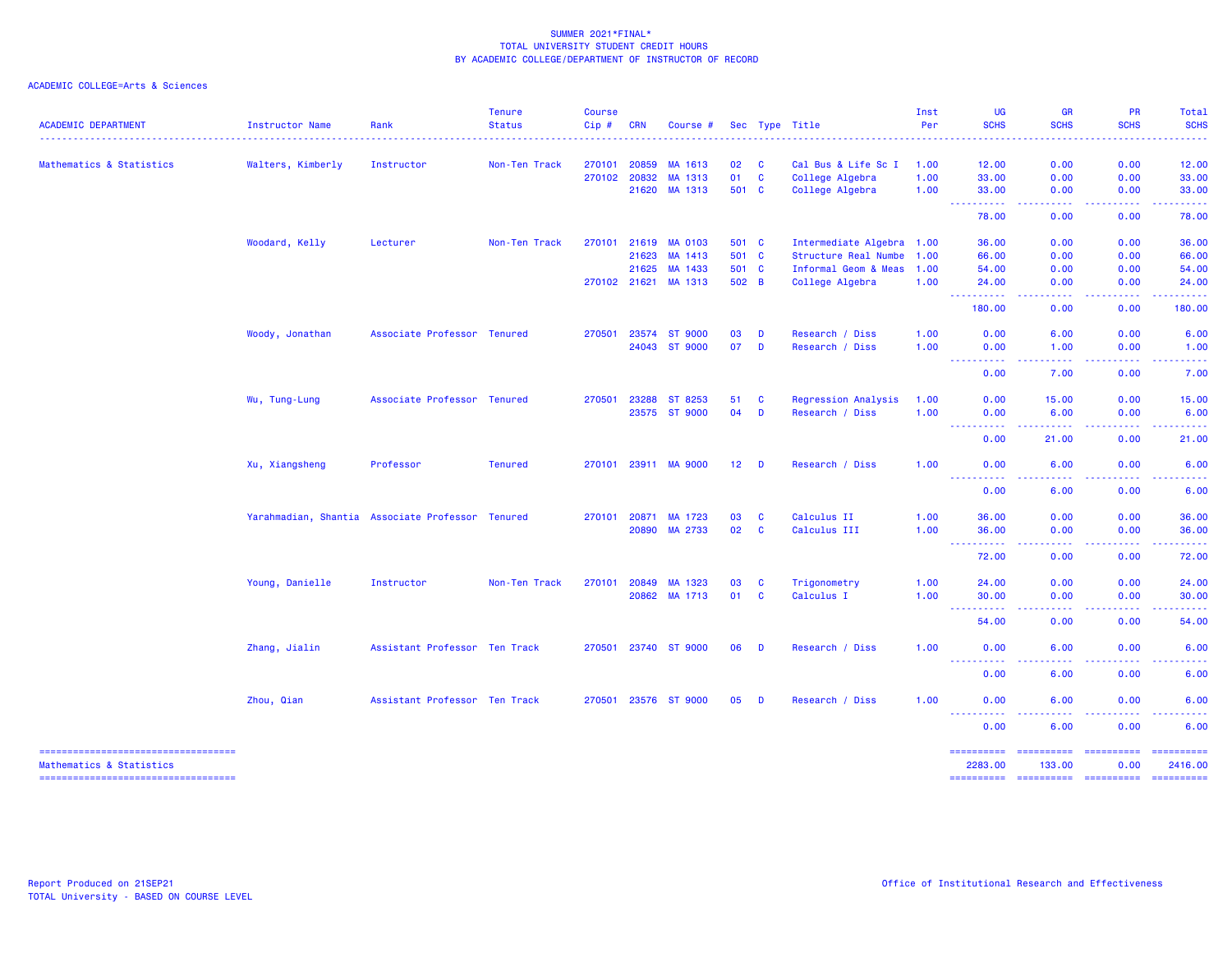| <b>ACADEMIC DEPARTMENT</b>            | <b>Instructor Name</b> | Rank                                             | <b>Tenure</b><br><b>Status</b> | <b>Course</b><br>$Cip \#$ | CRN          | Course #             |        |          | Sec Type Title             | Inst<br>Per | <b>UG</b><br><b>SCHS</b>                                                                                                               | <b>GR</b><br><b>SCHS</b> | PR<br><b>SCHS</b>                                                                                                                                                                                                                                                                                                                                                                                                                                                                              | Total<br><b>SCHS</b>                                                                                                              |
|---------------------------------------|------------------------|--------------------------------------------------|--------------------------------|---------------------------|--------------|----------------------|--------|----------|----------------------------|-------------|----------------------------------------------------------------------------------------------------------------------------------------|--------------------------|------------------------------------------------------------------------------------------------------------------------------------------------------------------------------------------------------------------------------------------------------------------------------------------------------------------------------------------------------------------------------------------------------------------------------------------------------------------------------------------------|-----------------------------------------------------------------------------------------------------------------------------------|
|                                       |                        |                                                  |                                |                           |              |                      |        |          |                            |             |                                                                                                                                        |                          |                                                                                                                                                                                                                                                                                                                                                                                                                                                                                                |                                                                                                                                   |
| Mathematics & Statistics              | Walters, Kimberly      | Instructor                                       | Non-Ten Track                  | 270101                    | 20859        | MA 1613              | 02     | <b>C</b> | Cal Bus & Life Sc I        | 1.00        | 12.00                                                                                                                                  | 0.00                     | 0.00                                                                                                                                                                                                                                                                                                                                                                                                                                                                                           | 12.00                                                                                                                             |
|                                       |                        |                                                  |                                |                           | 270102 20832 | MA 1313              | 01     | <b>C</b> | College Algebra            | 1.00        | 33.00                                                                                                                                  | 0.00                     | 0.00                                                                                                                                                                                                                                                                                                                                                                                                                                                                                           | 33.00                                                                                                                             |
|                                       |                        |                                                  |                                |                           | 21620        | MA 1313              | 501 C  |          | College Algebra            | 1.00        | 33.00<br>-----------                                                                                                                   | 0.00<br>.                | 0.00<br>$\frac{1}{2} \left( \frac{1}{2} \right) \left( \frac{1}{2} \right) \left( \frac{1}{2} \right) \left( \frac{1}{2} \right) \left( \frac{1}{2} \right)$                                                                                                                                                                                                                                                                                                                                   | 33.00<br>.                                                                                                                        |
|                                       |                        |                                                  |                                |                           |              |                      |        |          |                            |             | 78.00                                                                                                                                  | 0.00                     | 0.00                                                                                                                                                                                                                                                                                                                                                                                                                                                                                           | 78.00                                                                                                                             |
|                                       | Woodard, Kelly         | Lecturer                                         | Non-Ten Track                  |                           | 270101 21619 | <b>MA 0103</b>       | 501 C  |          | Intermediate Algebra 1.00  |             | 36.00                                                                                                                                  | 0.00                     | 0.00                                                                                                                                                                                                                                                                                                                                                                                                                                                                                           | 36.00                                                                                                                             |
|                                       |                        |                                                  |                                |                           | 21623        | MA 1413              | 501 C  |          | Structure Real Numbe       | 1.00        | 66.00                                                                                                                                  | 0.00                     | 0.00                                                                                                                                                                                                                                                                                                                                                                                                                                                                                           | 66.00                                                                                                                             |
|                                       |                        |                                                  |                                |                           | 21625        | MA 1433              | 501 C  |          | Informal Geom & Meas       | 1.00        | 54.00                                                                                                                                  | 0.00                     | 0.00                                                                                                                                                                                                                                                                                                                                                                                                                                                                                           | 54.00                                                                                                                             |
|                                       |                        |                                                  |                                |                           | 270102 21621 | MA 1313              | 502 B  |          | College Algebra            | 1.00        | 24.00<br><u> - - - - - - - - - -</u>                                                                                                   | 0.00<br>.                | 0.00<br>$\frac{1}{2} \left( \frac{1}{2} \right) \left( \frac{1}{2} \right) \left( \frac{1}{2} \right) \left( \frac{1}{2} \right) \left( \frac{1}{2} \right)$                                                                                                                                                                                                                                                                                                                                   | 24.00<br><u> 22222</u>                                                                                                            |
|                                       |                        |                                                  |                                |                           |              |                      |        |          |                            |             | 180.00                                                                                                                                 | 0.00                     | 0.00                                                                                                                                                                                                                                                                                                                                                                                                                                                                                           | 180.00                                                                                                                            |
|                                       | Woody, Jonathan        | Associate Professor Tenured                      |                                | 270501                    | 23574        | <b>ST 9000</b>       | 03     | D        | Research / Diss            | 1.00        | 0.00                                                                                                                                   | 6.00                     | 0.00                                                                                                                                                                                                                                                                                                                                                                                                                                                                                           | 6.00                                                                                                                              |
|                                       |                        |                                                  |                                |                           | 24043        | <b>ST 9000</b>       | 07     | D        | Research / Diss            | 1.00        | 0.00<br>----------                                                                                                                     | 1.00<br>بالأباب          | 0.00<br>.                                                                                                                                                                                                                                                                                                                                                                                                                                                                                      | 1.00<br>.                                                                                                                         |
|                                       |                        |                                                  |                                |                           |              |                      |        |          |                            |             | 0.00                                                                                                                                   | 7.00                     | 0.00                                                                                                                                                                                                                                                                                                                                                                                                                                                                                           | 7.00                                                                                                                              |
|                                       | Wu, Tung-Lung          | Associate Professor Tenured                      |                                | 270501                    | 23288        | ST 8253              | 51     | <b>C</b> | <b>Regression Analysis</b> | 1.00        | 0.00                                                                                                                                   | 15.00                    | 0.00                                                                                                                                                                                                                                                                                                                                                                                                                                                                                           | 15.00                                                                                                                             |
|                                       |                        |                                                  |                                |                           |              | 23575 ST 9000        | 04     | D        | Research / Diss            | 1.00        | 0.00<br>----------                                                                                                                     | 6.00<br>.                | 0.00<br>$\begin{array}{cccccccccccccc} \multicolumn{2}{c}{} & \multicolumn{2}{c}{} & \multicolumn{2}{c}{} & \multicolumn{2}{c}{} & \multicolumn{2}{c}{} & \multicolumn{2}{c}{} & \multicolumn{2}{c}{} & \multicolumn{2}{c}{} & \multicolumn{2}{c}{} & \multicolumn{2}{c}{} & \multicolumn{2}{c}{} & \multicolumn{2}{c}{} & \multicolumn{2}{c}{} & \multicolumn{2}{c}{} & \multicolumn{2}{c}{} & \multicolumn{2}{c}{} & \multicolumn{2}{c}{} & \multicolumn{2}{c}{} & \multicolumn{2}{c}{} & \$ | 6.00<br>. <b>.</b> .                                                                                                              |
|                                       |                        |                                                  |                                |                           |              |                      |        |          |                            |             | 0.00                                                                                                                                   | 21.00                    | 0.00                                                                                                                                                                                                                                                                                                                                                                                                                                                                                           | 21.00                                                                                                                             |
|                                       | Xu, Xiangsheng         | Professor                                        | <b>Tenured</b>                 |                           |              | 270101 23911 MA 9000 | $12$ D |          | Research / Diss            | 1.00        | 0.00<br><u> - - - - - - - - - -</u>                                                                                                    | 6.00                     | 0.00                                                                                                                                                                                                                                                                                                                                                                                                                                                                                           | 6.00                                                                                                                              |
|                                       |                        |                                                  |                                |                           |              |                      |        |          |                            |             | 0.00                                                                                                                                   | .<br>6.00                | $\frac{1}{2} \left( \frac{1}{2} \right) \left( \frac{1}{2} \right) \left( \frac{1}{2} \right) \left( \frac{1}{2} \right) \left( \frac{1}{2} \right)$<br>0.00                                                                                                                                                                                                                                                                                                                                   | .<br>6.00                                                                                                                         |
|                                       |                        | Yarahmadian, Shantia Associate Professor Tenured |                                |                           | 270101 20871 | MA 1723              | 03     | C        | Calculus II                | 1.00        | 36.00                                                                                                                                  | 0.00                     | 0.00                                                                                                                                                                                                                                                                                                                                                                                                                                                                                           | 36.00                                                                                                                             |
|                                       |                        |                                                  |                                |                           | 20890        | MA 2733              | 02     | <b>C</b> | Calculus III               | 1.00        | 36.00                                                                                                                                  | 0.00                     | 0.00                                                                                                                                                                                                                                                                                                                                                                                                                                                                                           | 36.00                                                                                                                             |
|                                       |                        |                                                  |                                |                           |              |                      |        |          |                            |             | 72.00                                                                                                                                  | 0.00                     | 0.00                                                                                                                                                                                                                                                                                                                                                                                                                                                                                           | 72.00                                                                                                                             |
|                                       | Young, Danielle        | Instructor                                       | Non-Ten Track                  | 270101                    | 20849        | MA 1323              | 03     | <b>C</b> | Trigonometry               | 1.00        | 24.00                                                                                                                                  | 0.00                     | 0.00                                                                                                                                                                                                                                                                                                                                                                                                                                                                                           | 24.00                                                                                                                             |
|                                       |                        |                                                  |                                |                           | 20862        | MA 1713              | 01     | C        | Calculus I                 | 1.00        | 30.00<br>$- - -$                                                                                                                       | 0.00                     | 0.00                                                                                                                                                                                                                                                                                                                                                                                                                                                                                           | 30.00                                                                                                                             |
|                                       |                        |                                                  |                                |                           |              |                      |        |          |                            |             | 54.00                                                                                                                                  | 0.00                     | 0.00                                                                                                                                                                                                                                                                                                                                                                                                                                                                                           | 54.00                                                                                                                             |
|                                       | Zhang, Jialin          | Assistant Professor Ten Track                    |                                |                           |              | 270501 23740 ST 9000 | 06     | D        | Research / Diss            | 1.00        | 0.00                                                                                                                                   | 6.00                     | 0.00                                                                                                                                                                                                                                                                                                                                                                                                                                                                                           | 6.00                                                                                                                              |
|                                       |                        |                                                  |                                |                           |              |                      |        |          |                            |             | ----------<br>0.00                                                                                                                     | د د د د<br>6.00          | .<br>0.00                                                                                                                                                                                                                                                                                                                                                                                                                                                                                      | $\frac{1}{2} \left( \frac{1}{2} \right) \left( \frac{1}{2} \right) \left( \frac{1}{2} \right) \left( \frac{1}{2} \right)$<br>6.00 |
|                                       | Zhou, Qian             | Assistant Professor Ten Track                    |                                |                           |              | 270501 23576 ST 9000 | 05     | D        | Research / Diss            | 1.00        | 0.00                                                                                                                                   | 6.00                     | 0.00                                                                                                                                                                                                                                                                                                                                                                                                                                                                                           | 6.00                                                                                                                              |
|                                       |                        |                                                  |                                |                           |              |                      |        |          |                            |             | $\frac{1}{2} \left( \frac{1}{2} \right) \left( \frac{1}{2} \right) \left( \frac{1}{2} \right) \left( \frac{1}{2} \right)$<br>.<br>0.00 | 6.00                     | 0.00                                                                                                                                                                                                                                                                                                                                                                                                                                                                                           | 6.00                                                                                                                              |
| ===================================== |                        |                                                  |                                |                           |              |                      |        |          |                            |             | ==========                                                                                                                             | ==========               | ==========                                                                                                                                                                                                                                                                                                                                                                                                                                                                                     | ==========                                                                                                                        |
| Mathematics & Statistics              |                        |                                                  |                                |                           |              |                      |        |          |                            |             | 2283.00                                                                                                                                | 133,00                   | 0.00                                                                                                                                                                                                                                                                                                                                                                                                                                                                                           | 2416.00                                                                                                                           |
| ------------------------------------  |                        |                                                  |                                |                           |              |                      |        |          |                            |             |                                                                                                                                        |                          |                                                                                                                                                                                                                                                                                                                                                                                                                                                                                                | - ==========                                                                                                                      |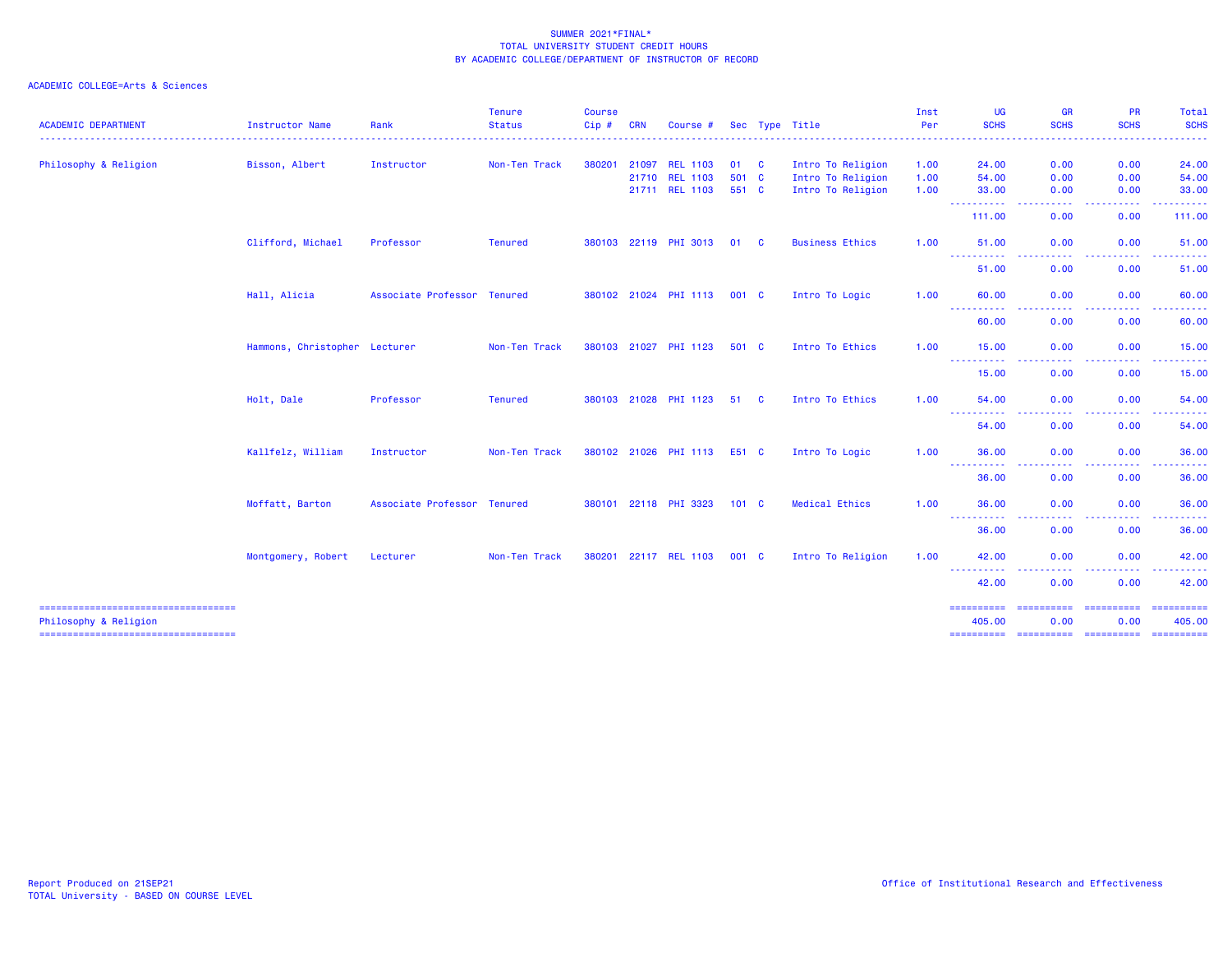| <b>ACADEMIC DEPARTMENT</b>                                     | <b>Instructor Name</b>        | Rank                        | <b>Tenure</b><br><b>Status</b> | <b>Course</b><br>Cip# | <b>CRN</b> | Course #              |               |          | Sec Type Title         | Inst<br>Per | <b>UG</b><br><b>SCHS</b>                                                                                                           | GR<br><b>SCHS</b>          | <b>PR</b><br><b>SCHS</b>                                                                                    | Total<br><b>SCHS</b>                                                                                                                                                                                                                                                                                                                                                                                                                                                                   |
|----------------------------------------------------------------|-------------------------------|-----------------------------|--------------------------------|-----------------------|------------|-----------------------|---------------|----------|------------------------|-------------|------------------------------------------------------------------------------------------------------------------------------------|----------------------------|-------------------------------------------------------------------------------------------------------------|----------------------------------------------------------------------------------------------------------------------------------------------------------------------------------------------------------------------------------------------------------------------------------------------------------------------------------------------------------------------------------------------------------------------------------------------------------------------------------------|
|                                                                |                               |                             |                                |                       |            |                       |               |          |                        |             |                                                                                                                                    |                            |                                                                                                             | $- - - - -$                                                                                                                                                                                                                                                                                                                                                                                                                                                                            |
| Philosophy & Religion                                          | Bisson, Albert                | Instructor                  | Non-Ten Track                  | 380201                |            | 21097 REL 1103        | 01 C          |          | Intro To Religion      | 1.00        | 24.00                                                                                                                              | 0.00                       | 0.00                                                                                                        | 24.00                                                                                                                                                                                                                                                                                                                                                                                                                                                                                  |
|                                                                |                               |                             |                                |                       |            | 21710 REL 1103        | 501 C         |          | Intro To Religion      | 1.00        | 54.00                                                                                                                              | 0.00                       | 0.00                                                                                                        | 54.00                                                                                                                                                                                                                                                                                                                                                                                                                                                                                  |
|                                                                |                               |                             |                                |                       |            | 21711 REL 1103        | 551 C         |          | Intro To Religion      | 1.00        | 33.00<br>----------                                                                                                                | 0.00<br>.                  | 0.00<br>.                                                                                                   | 33.00<br>------                                                                                                                                                                                                                                                                                                                                                                                                                                                                        |
|                                                                |                               |                             |                                |                       |            |                       |               |          |                        |             | 111.00                                                                                                                             | 0.00                       | 0.00                                                                                                        | 111.00                                                                                                                                                                                                                                                                                                                                                                                                                                                                                 |
|                                                                | Clifford, Michael             | Professor                   | <b>Tenured</b>                 |                       |            | 380103 22119 PHI 3013 | 01            | <b>C</b> | <b>Business Ethics</b> | 1.00        | 51.00                                                                                                                              | 0.00                       | 0.00                                                                                                        | 51.00                                                                                                                                                                                                                                                                                                                                                                                                                                                                                  |
|                                                                |                               |                             |                                |                       |            |                       |               |          |                        |             | -----------<br>51.00                                                                                                               | .<br>0.00                  | .<br>$\frac{1}{2} \left( \frac{1}{2} \right) \left( \frac{1}{2} \right) \left( \frac{1}{2} \right)$<br>0.00 | .<br>51.00                                                                                                                                                                                                                                                                                                                                                                                                                                                                             |
|                                                                | Hall, Alicia                  | Associate Professor Tenured |                                |                       |            | 380102 21024 PHI 1113 | 001 C         |          | Intro To Logic         | 1.00        | 60.00                                                                                                                              | 0.00                       | 0.00                                                                                                        | 60.00                                                                                                                                                                                                                                                                                                                                                                                                                                                                                  |
|                                                                |                               |                             |                                |                       |            |                       |               |          |                        |             | ----------<br>60.00                                                                                                                | .<br>0.00                  | .<br>0.00                                                                                                   | - - - - - -<br>60.00                                                                                                                                                                                                                                                                                                                                                                                                                                                                   |
|                                                                |                               |                             |                                |                       |            |                       |               |          |                        |             |                                                                                                                                    |                            |                                                                                                             |                                                                                                                                                                                                                                                                                                                                                                                                                                                                                        |
|                                                                | Hammons, Christopher Lecturer |                             | Non-Ten Track                  |                       |            | 380103 21027 PHI 1123 | 501 C         |          | Intro To Ethics        | 1.00        | 15.00<br><b>.</b>                                                                                                                  | 0.00                       | 0.00                                                                                                        | 15.00                                                                                                                                                                                                                                                                                                                                                                                                                                                                                  |
|                                                                |                               |                             |                                |                       |            |                       |               |          |                        |             | 15.00                                                                                                                              | 0.00                       | 0.00                                                                                                        | 15.00                                                                                                                                                                                                                                                                                                                                                                                                                                                                                  |
|                                                                | Holt, Dale                    | Professor                   | <b>Tenured</b>                 |                       |            | 380103 21028 PHI 1123 | 51            | <b>C</b> | Intro To Ethics        | 1.00        | 54.00                                                                                                                              | 0.00                       | 0.00                                                                                                        | 54.00                                                                                                                                                                                                                                                                                                                                                                                                                                                                                  |
|                                                                |                               |                             |                                |                       |            |                       |               |          |                        |             | ----<br>.<br>54.00                                                                                                                 | ----<br>0.00               | .<br>0.00                                                                                                   | .<br>54.00                                                                                                                                                                                                                                                                                                                                                                                                                                                                             |
|                                                                | Kallfelz, William             | Instructor                  | Non-Ten Track                  |                       |            | 380102 21026 PHI 1113 | E51 C         |          | Intro To Logic         | 1.00        | 36.00                                                                                                                              | 0.00                       | 0.00                                                                                                        | 36.00                                                                                                                                                                                                                                                                                                                                                                                                                                                                                  |
|                                                                |                               |                             |                                |                       |            |                       |               |          |                        |             | -----------<br>36.00                                                                                                               | المتمالين<br>0.00          | -----<br>0.00                                                                                               | ------<br>36.00                                                                                                                                                                                                                                                                                                                                                                                                                                                                        |
|                                                                | Moffatt, Barton               | Associate Professor Tenured |                                |                       |            | 380101 22118 PHI 3323 | $101 \quad C$ |          | <b>Medical Ethics</b>  | 1.00        | 36.00                                                                                                                              | 0.00                       | 0.00                                                                                                        | 36.00                                                                                                                                                                                                                                                                                                                                                                                                                                                                                  |
|                                                                |                               |                             |                                |                       |            |                       |               |          |                        |             | $\frac{1}{2} \left( \frac{1}{2} \right) \left( \frac{1}{2} \right) \left( \frac{1}{2} \right) \left( \frac{1}{2} \right)$<br>36.00 | 0.00                       | 0.00                                                                                                        | 36.00                                                                                                                                                                                                                                                                                                                                                                                                                                                                                  |
|                                                                |                               |                             |                                |                       |            |                       |               |          |                        |             |                                                                                                                                    |                            |                                                                                                             | 42.00                                                                                                                                                                                                                                                                                                                                                                                                                                                                                  |
|                                                                |                               |                             |                                |                       |            |                       |               |          |                        |             | . <b>.</b>                                                                                                                         |                            |                                                                                                             |                                                                                                                                                                                                                                                                                                                                                                                                                                                                                        |
|                                                                |                               |                             |                                |                       |            |                       |               |          |                        |             |                                                                                                                                    |                            |                                                                                                             | 42.00                                                                                                                                                                                                                                                                                                                                                                                                                                                                                  |
| =====================================<br>Philosophy & Religion |                               |                             |                                |                       |            |                       |               |          |                        |             | ==========<br>405.00                                                                                                               | <b>ESSESSESSE</b><br>0.00  | eccessesses<br>0.00                                                                                         | 405.00                                                                                                                                                                                                                                                                                                                                                                                                                                                                                 |
| -----------------------------------                            | Montgomery, Robert            | Lecturer                    | Non-Ten Track                  |                       |            | 380201 22117 REL 1103 | 001 C         |          | Intro To Religion      | 1.00        | 42.00<br>42.00<br>==========                                                                                                       | 0.00<br>0.00<br>========== | 0.00<br>0.00<br>-----------                                                                                 | $\begin{array}{cccccccccc} \multicolumn{2}{c}{} & \multicolumn{2}{c}{} & \multicolumn{2}{c}{} & \multicolumn{2}{c}{} & \multicolumn{2}{c}{} & \multicolumn{2}{c}{} & \multicolumn{2}{c}{} & \multicolumn{2}{c}{} & \multicolumn{2}{c}{} & \multicolumn{2}{c}{} & \multicolumn{2}{c}{} & \multicolumn{2}{c}{} & \multicolumn{2}{c}{} & \multicolumn{2}{c}{} & \multicolumn{2}{c}{} & \multicolumn{2}{c}{} & \multicolumn{2}{c}{} & \multicolumn{2}{c}{} & \multicolumn{2}{c}{} & \mult$ |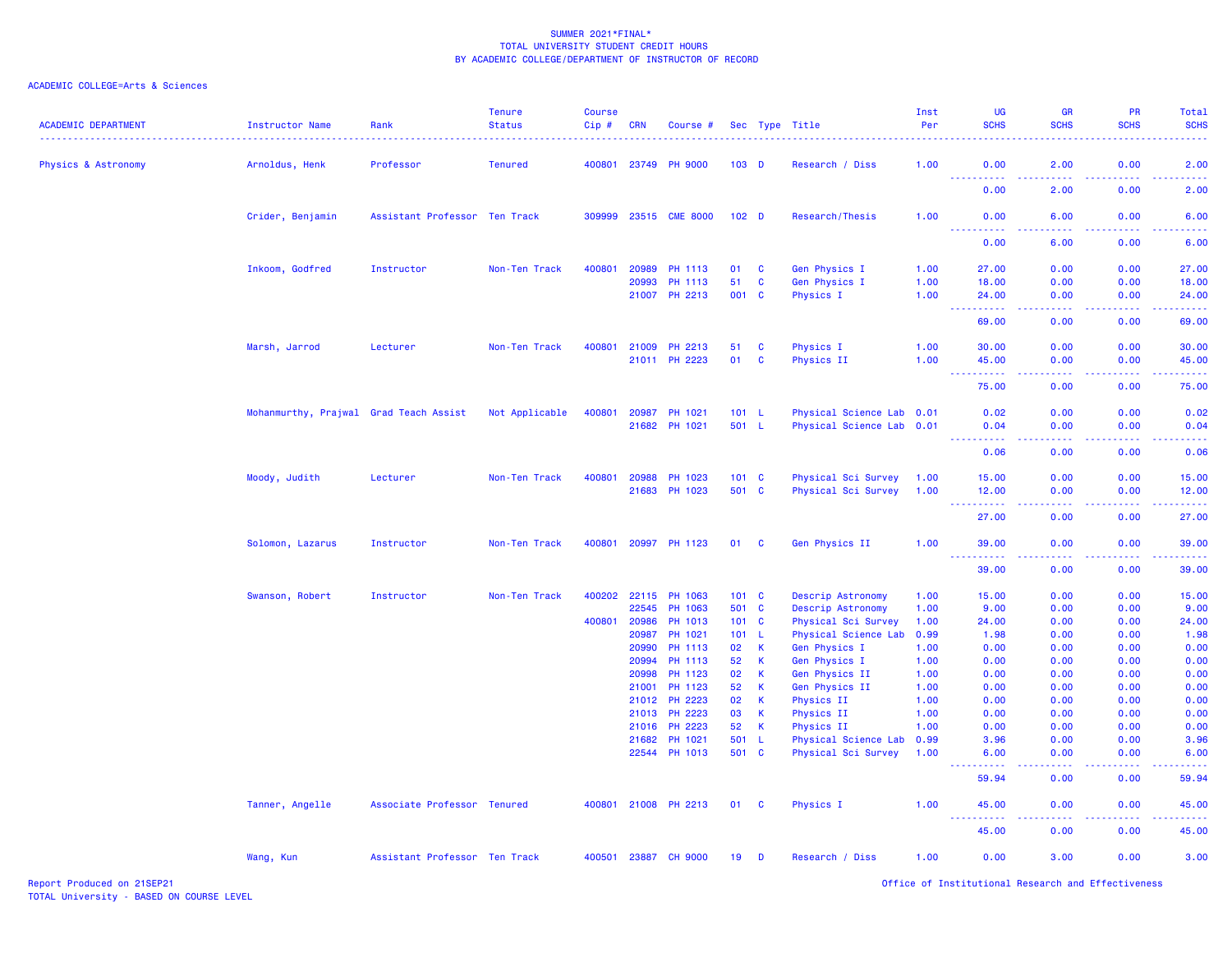| <b>ACADEMIC DEPARTMENT</b> | Instructor Name                        | Rank                          | <b>Tenure</b><br><b>Status</b> | <b>Course</b><br>Cip# | <b>CRN</b>     | Course #             |                  |                             | Sec Type Title                   | Inst<br>Per  | UG<br><b>SCHS</b>                                                                                    | <b>GR</b><br><b>SCHS</b>            | <b>PR</b><br><b>SCHS</b>            | Total<br><b>SCHS</b>                                                                                                               |
|----------------------------|----------------------------------------|-------------------------------|--------------------------------|-----------------------|----------------|----------------------|------------------|-----------------------------|----------------------------------|--------------|------------------------------------------------------------------------------------------------------|-------------------------------------|-------------------------------------|------------------------------------------------------------------------------------------------------------------------------------|
| Physics & Astronomy        | Arnoldus, Henk                         | Professor                     | <b>Tenured</b>                 | 400801                | 23749          | <b>PH 9000</b>       | $103$ D          |                             | Research / Diss                  | 1.00         | 0.00                                                                                                 | 2.00                                | 0.00                                | 2.00                                                                                                                               |
|                            |                                        |                               |                                |                       |                |                      |                  |                             |                                  |              | 0.00                                                                                                 | 2.00                                | 0.00                                | 2.00                                                                                                                               |
|                            | Crider, Benjamin                       | Assistant Professor Ten Track |                                | 309999                |                | 23515 CME 8000       | 102 <sub>D</sub> |                             | Research/Thesis                  | 1.00         | 0.00<br>د د د د                                                                                      | 6.00<br>والمستناء                   | 0.00                                | 6.00<br>----                                                                                                                       |
|                            |                                        |                               |                                |                       |                |                      |                  |                             |                                  |              | 0.00                                                                                                 | 6.00                                | 0.00                                | 6.00                                                                                                                               |
|                            | Inkoom, Godfred                        | Instructor                    | Non-Ten Track                  | 400801                | 20989          | PH 1113              | 01               | <b>C</b>                    | Gen Physics I                    | 1.00         | 27.00                                                                                                | 0.00                                | 0.00                                | 27.00                                                                                                                              |
|                            |                                        |                               |                                |                       | 20993          | PH 1113              | 51               | $\mathbf{C}$                | Gen Physics I                    | 1.00         | 18.00                                                                                                | 0.00                                | 0.00                                | 18.00                                                                                                                              |
|                            |                                        |                               |                                |                       | 21007          | PH 2213              | 001 C            |                             | Physics I                        | 1.00         | 24.00                                                                                                | 0.00<br>.                           | 0.00<br>$\sim$ $\sim$ $\sim$ $\sim$ | 24.00<br>$\frac{1}{2}$ . $\frac{1}{2}$ . $\frac{1}{2}$                                                                             |
|                            |                                        |                               |                                |                       |                |                      |                  |                             |                                  |              | 69.00                                                                                                | 0.00                                | 0.00                                | 69.00                                                                                                                              |
|                            | Marsh, Jarrod                          | Lecturer                      | Non-Ten Track                  | 400801                | 21009          | PH 2213              | 51               | <b>C</b>                    | Physics I                        | 1.00         | 30.00                                                                                                | 0.00                                | 0.00                                | 30.00                                                                                                                              |
|                            |                                        |                               |                                |                       |                | 21011 PH 2223        | 01               | $\mathbf{C}$                | Physics II                       | 1.00         | 45.00<br>.<br>$\sim$ $\sim$ $\sim$                                                                   | 0.00<br>.                           | 0.00<br>. <b>.</b>                  | 45.00<br>.                                                                                                                         |
|                            |                                        |                               |                                |                       |                |                      |                  |                             |                                  |              | 75.00                                                                                                | 0.00                                | 0.00                                | 75.00                                                                                                                              |
|                            | Mohanmurthy, Prajwal Grad Teach Assist |                               | Not Applicable                 | 400801                | 20987          | PH 1021              | 101 L            |                             | Physical Science Lab 0.01        |              | 0.02                                                                                                 | 0.00                                | 0.00                                | 0.02                                                                                                                               |
|                            |                                        |                               |                                |                       | 21682          | PH 1021              | 501 L            |                             | Physical Science Lab 0.01        |              | 0.04<br>بالأبابات                                                                                    | 0.00<br>$\omega \sim \omega/\omega$ | 0.00<br>. <b>.</b>                  | 0.04<br>$\sim$ $\sim$ $\sim$ $\sim$                                                                                                |
|                            |                                        |                               |                                |                       |                |                      |                  |                             |                                  |              | 0.06                                                                                                 | 0.00                                | 0.00                                | 0.06                                                                                                                               |
|                            | Moody, Judith                          | Lecturer                      | Non-Ten Track                  | 400801                | 20988          | PH 1023              | 101 C            |                             | Physical Sci Survey              | 1.00         | 15.00                                                                                                | 0.00                                | 0.00                                | 15.00                                                                                                                              |
|                            |                                        |                               |                                |                       | 21683          | PH 1023              | 501 C            |                             | Physical Sci Survey              | 1.00         | 12.00<br><b>.</b><br>$\frac{1}{2} \left( \frac{1}{2} \right) \frac{1}{2} \left( \frac{1}{2} \right)$ | 0.00<br>د د د د                     | 0.00<br>.                           | 12.00<br>.                                                                                                                         |
|                            |                                        |                               |                                |                       |                |                      |                  |                             |                                  |              | 27.00                                                                                                | 0.00                                | 0.00                                | 27.00                                                                                                                              |
|                            | Solomon, Lazarus                       | Instructor                    | Non-Ten Track                  | 400801                | 20997          | PH 1123              | 01               | $\mathbf{C}$                | Gen Physics II                   | 1.00         | 39.00<br><u>.</u>                                                                                    | 0.00                                | 0.00                                | 39.00                                                                                                                              |
|                            |                                        |                               |                                |                       |                |                      |                  |                             |                                  |              | 39.00                                                                                                | 0.00                                | 0.00                                | 39.00                                                                                                                              |
|                            | Swanson, Robert                        | Instructor                    | Non-Ten Track                  | 400202                | 22115          | PH 1063              | 101 C            |                             | Descrip Astronomy                | 1.00         | 15.00                                                                                                | 0.00                                | 0.00                                | 15.00                                                                                                                              |
|                            |                                        |                               |                                |                       | 22545          | PH 1063              | 501 C            |                             | Descrip Astronomy                | 1.00         | 9.00                                                                                                 | 0.00                                | 0.00                                | 9.00                                                                                                                               |
|                            |                                        |                               |                                | 400801                | 20986          | PH 1013              | 101 C            |                             | Physical Sci Survey              | 1.00         | 24.00                                                                                                | 0.00                                | 0.00                                | 24.00                                                                                                                              |
|                            |                                        |                               |                                |                       | 20987          | PH 1021              | 101 L            |                             | Physical Science Lab             | 0.99         | 1.98                                                                                                 | 0.00                                | 0.00                                | 1.98                                                                                                                               |
|                            |                                        |                               |                                |                       | 20990          | PH 1113              | 02               | $\mathbf{K}$                | Gen Physics I                    | 1.00         | 0.00                                                                                                 | 0.00                                | 0.00                                | 0.00                                                                                                                               |
|                            |                                        |                               |                                |                       | 20994          | PH 1113<br>PH 1123   | 52               | $\mathbf{K}$<br>$\mathsf K$ | Gen Physics I                    | 1.00         | 0.00                                                                                                 | 0.00                                | 0.00                                | 0.00                                                                                                                               |
|                            |                                        |                               |                                |                       | 20998<br>21001 | PH 1123              | 02<br>52         | $\mathsf K$                 | Gen Physics II<br>Gen Physics II | 1.00<br>1.00 | 0.00<br>0.00                                                                                         | 0.00<br>0.00                        | 0.00<br>0.00                        | 0.00<br>0.00                                                                                                                       |
|                            |                                        |                               |                                |                       | 21012          | PH 2223              | 02               | $\,$ K                      | Physics II                       | 1.00         | 0.00                                                                                                 | 0.00                                | 0.00                                | 0.00                                                                                                                               |
|                            |                                        |                               |                                |                       | 21013          | PH 2223              | 03               | $\mathsf{K}$                | Physics II                       | 1.00         | 0.00                                                                                                 | 0.00                                | 0.00                                | 0.00                                                                                                                               |
|                            |                                        |                               |                                |                       | 21016          | PH 2223              | 52               | <b>K</b>                    | Physics II                       | 1.00         | 0.00                                                                                                 | 0.00                                | 0.00                                | 0.00                                                                                                                               |
|                            |                                        |                               |                                |                       | 21682          | PH 1021              | 501 L            |                             | Physical Science Lab             | 0.99         | 3.96                                                                                                 | 0.00                                | 0.00                                | 3.96                                                                                                                               |
|                            |                                        |                               |                                |                       |                | 22544 PH 1013        | 501 C            |                             | Physical Sci Survey              | 1.00         | 6.00                                                                                                 | 0.00                                | 0.00                                | 6.00                                                                                                                               |
|                            |                                        |                               |                                |                       |                |                      |                  |                             |                                  |              | 59.94                                                                                                | $\sim$ $\sim$ $\sim$ $\sim$<br>0.00 | .<br>0.00                           | $\frac{1}{2} \left( \frac{1}{2} \right) \left( \frac{1}{2} \right) \left( \frac{1}{2} \right) \left( \frac{1}{2} \right)$<br>59.94 |
|                            | Tanner, Angelle                        | Associate Professor Tenured   |                                |                       |                | 400801 21008 PH 2213 | 01 C             |                             | Physics I                        | 1.00         | 45.00<br>$\sim 100$<br>.                                                                             | 0.00<br>والمسامين                   | 0.00<br>.                           | 45.00<br>.                                                                                                                         |
|                            |                                        |                               |                                |                       |                |                      |                  |                             |                                  |              | 45.00                                                                                                | 0.00                                | 0.00                                | 45.00                                                                                                                              |
|                            | Wang, Kun                              | Assistant Professor Ten Track |                                |                       | 400501 23887   | <b>CH 9000</b>       | 19               | D                           | Research / Diss                  | 1.00         | 0.00                                                                                                 | 3.00                                | 0.00                                | 3.00                                                                                                                               |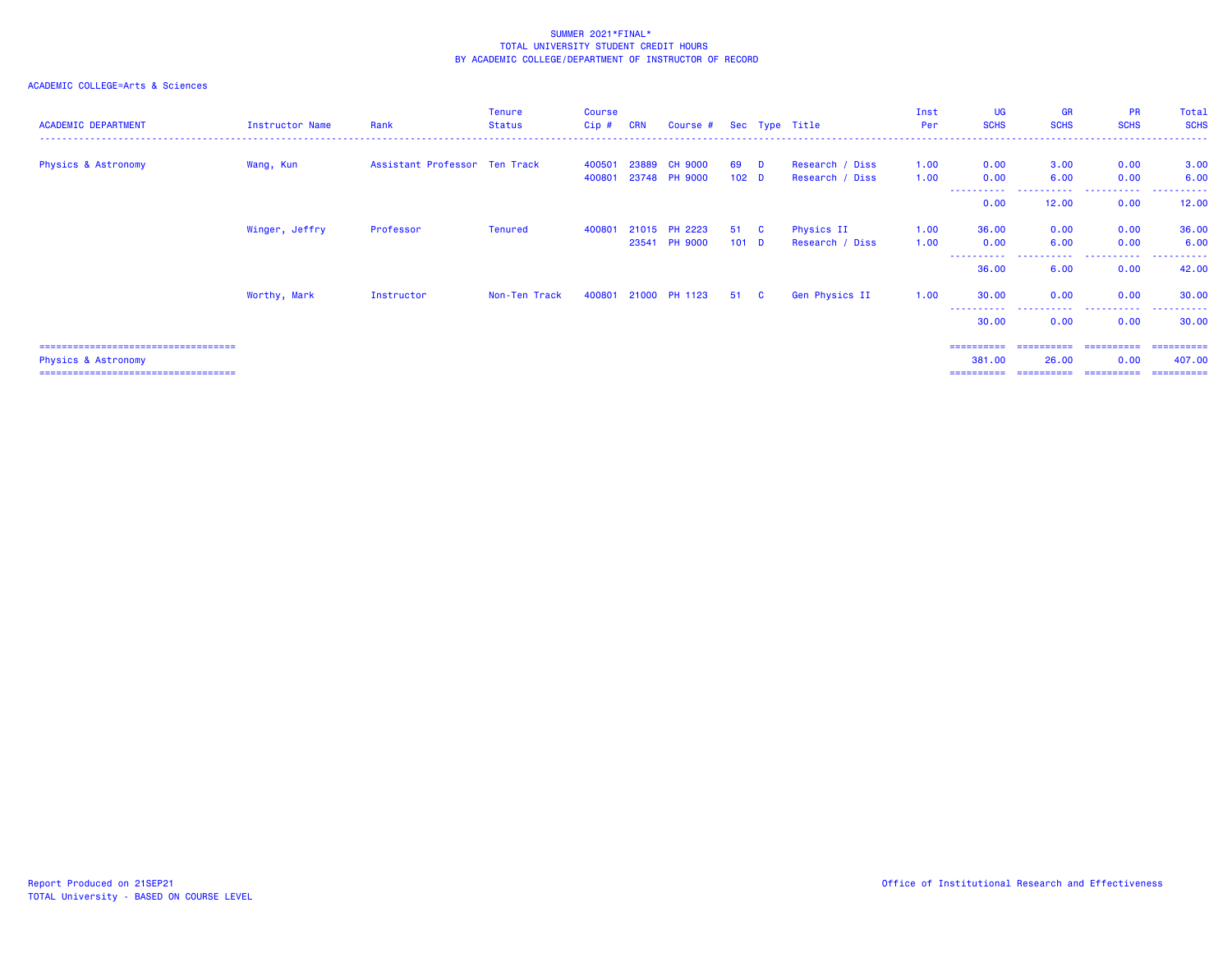### ACADEMIC COLLEGE=Arts & Sciences

| <b>ACADEMIC DEPARTMENT</b>                                    | Instructor Name | Rank                          | Tenure<br><b>Status</b> | <b>Course</b><br>$Cip \#$ | <b>CRN</b> | Course # Sec Type Title         |                          |          |                                    | Inst<br>Per  | <b>UG</b><br><b>SCHS</b> | <b>GR</b><br><b>SCHS</b> | <b>PR</b><br><b>SCHS</b> | Total<br><b>SCHS</b>  |
|---------------------------------------------------------------|-----------------|-------------------------------|-------------------------|---------------------------|------------|---------------------------------|--------------------------|----------|------------------------------------|--------------|--------------------------|--------------------------|--------------------------|-----------------------|
| <b>Physics &amp; Astronomy</b>                                | Wang, Kun       | Assistant Professor Ten Track |                         | 400501<br>400801          | 23889      | <b>CH 9000</b><br>23748 PH 9000 | 69<br>102 <sub>D</sub>   | D        | Research / Diss<br>Research / Diss | 1.00<br>1.00 | 0.00<br>0.00             | 3.00<br>6.00             | 0.00<br>0.00             | 3.00<br>6.00          |
|                                                               |                 |                               |                         |                           |            |                                 |                          |          |                                    |              | -----------<br>0.00      | .<br>12.00               | .<br>0.00                | .<br>12.00            |
|                                                               | Winger, Jeffry  | Professor                     | Tenured                 | 400801                    |            | 21015 PH 2223<br>23541 PH 9000  | 51 C<br>101 <sub>D</sub> |          | Physics II<br>Research / Diss      | 1.00<br>1.00 | 36.00<br>0.00            | 0.00<br>6.00             | 0.00<br>0.00             | 36.00<br>6.00         |
|                                                               |                 |                               |                         |                           |            |                                 |                          |          |                                    |              | -----------<br>36.00     | .<br>6.00                | .<br>0.00                | .<br>42.00            |
|                                                               | Worthy, Mark    | Instructor                    | Non-Ten Track           | 400801                    |            | 21000 PH 1123                   | 51                       | <b>C</b> | Gen Physics II                     | 1.00         | 30.00                    | 0.00                     | 0.00                     | 30.00                 |
|                                                               |                 |                               |                         |                           |            |                                 |                          |          |                                    |              | ----------<br>30.00      | .<br>0.00                | .<br>0.00                | .<br>30.00            |
| ======================================<br>Physics & Astronomy |                 |                               |                         |                           |            |                                 |                          |          |                                    |              | ==========<br>381.00     | ==========<br>26.00      | -----------<br>0.00      | -----------<br>407.00 |

Physics & Astronomy 381.00 26.00 0.00 407.00

=================================== ========== ========== ========== ==========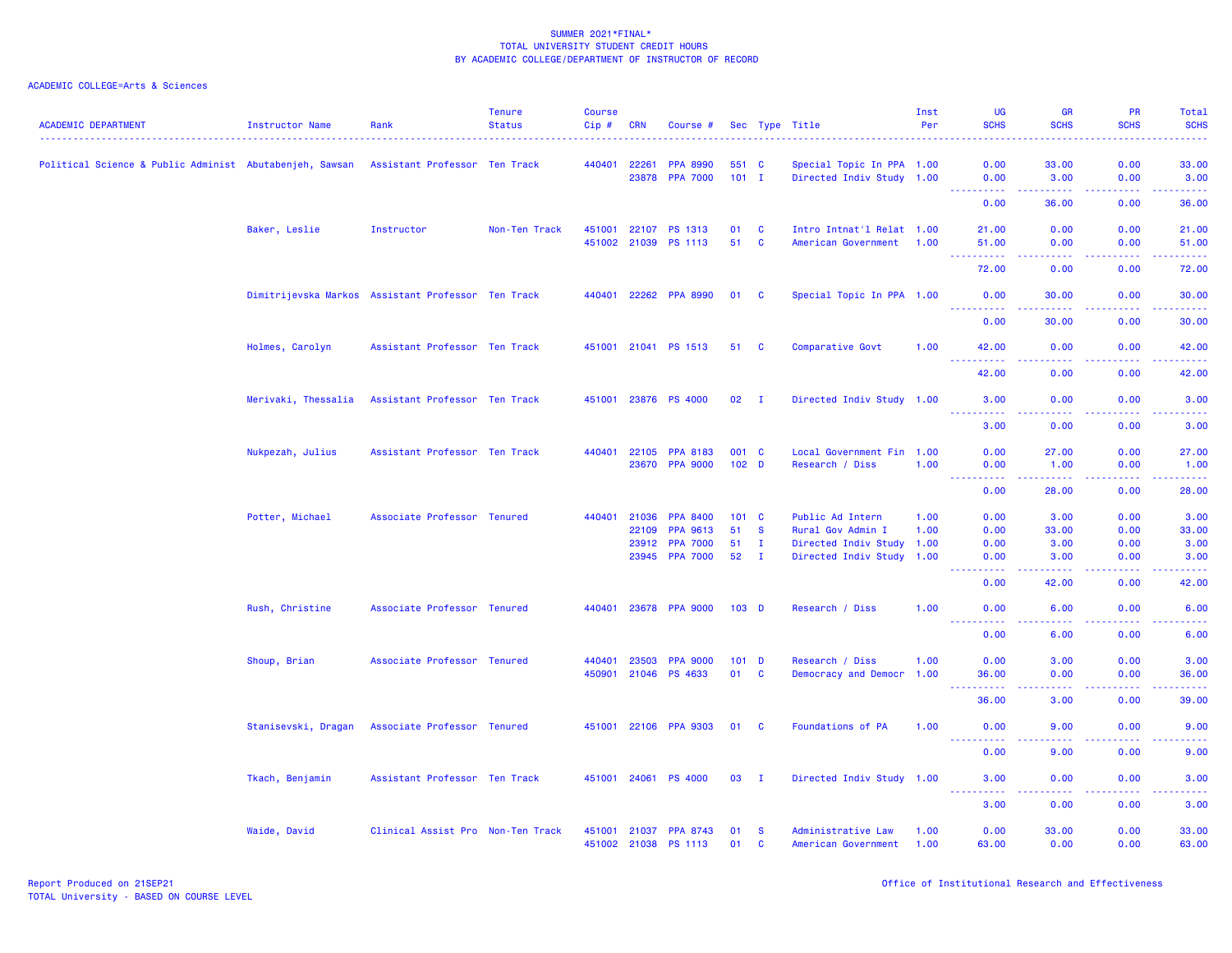| <b>ACADEMIC DEPARTMENT</b>                              | <b>Instructor Name</b> | Rank                                               | <b>Tenure</b><br><b>Status</b> | <b>Course</b><br>Cip# | <b>CRN</b>   | Course #                                |                  |                      | Sec Type Title                            | Inst<br>Per  | <b>UG</b><br><b>SCHS</b>                                                                                                                                                                                                                                                                                                                                                                                                                                                                       | <b>GR</b><br><b>SCHS</b>                                                                                                                                     | PR<br><b>SCHS</b> | Total<br><b>SCHS</b><br>$\frac{1}{2} \left( \frac{1}{2} \right) \left( \frac{1}{2} \right) \left( \frac{1}{2} \right) \left( \frac{1}{2} \right)$ |
|---------------------------------------------------------|------------------------|----------------------------------------------------|--------------------------------|-----------------------|--------------|-----------------------------------------|------------------|----------------------|-------------------------------------------|--------------|------------------------------------------------------------------------------------------------------------------------------------------------------------------------------------------------------------------------------------------------------------------------------------------------------------------------------------------------------------------------------------------------------------------------------------------------------------------------------------------------|--------------------------------------------------------------------------------------------------------------------------------------------------------------|-------------------|---------------------------------------------------------------------------------------------------------------------------------------------------|
| Political Science & Public Administ Abutabenjeh, Sawsan |                        | Assistant Professor Ten Track                      |                                | 440401                | 22261        | <b>PPA 8990</b>                         | 551 C            |                      | Special Topic In PPA 1.00                 |              | 0.00                                                                                                                                                                                                                                                                                                                                                                                                                                                                                           | 33.00                                                                                                                                                        | 0.00              | 33.00                                                                                                                                             |
|                                                         |                        |                                                    |                                |                       | 23878        | <b>PPA 7000</b>                         | $101$ I          |                      | Directed Indiv Study 1.00                 |              | 0.00<br>.                                                                                                                                                                                                                                                                                                                                                                                                                                                                                      | 3.00<br>$\frac{1}{2} \left( \frac{1}{2} \right) \left( \frac{1}{2} \right) \left( \frac{1}{2} \right) \left( \frac{1}{2} \right) \left( \frac{1}{2} \right)$ | 0.00<br>.         | 3.00<br>.                                                                                                                                         |
|                                                         |                        |                                                    |                                |                       |              |                                         |                  |                      |                                           |              | 0.00                                                                                                                                                                                                                                                                                                                                                                                                                                                                                           | 36.00                                                                                                                                                        | 0.00              | 36.00                                                                                                                                             |
|                                                         | Baker, Leslie          | Instructor                                         | Non-Ten Track                  | 451001                | 22107        | <b>PS 1313</b>                          | 01               | <b>C</b>             | Intro Intnat'l Relat 1.00                 |              | 21.00                                                                                                                                                                                                                                                                                                                                                                                                                                                                                          | 0.00                                                                                                                                                         | 0.00              | 21.00                                                                                                                                             |
|                                                         |                        |                                                    |                                |                       |              | 451002 21039 PS 1113                    | 51               | C                    | American Government 1.00                  |              | 51.00<br><u> - - - - - - - - - -</u>                                                                                                                                                                                                                                                                                                                                                                                                                                                           | 0.00<br>$- - - - -$                                                                                                                                          | 0.00<br>.         | 51.00<br>.                                                                                                                                        |
|                                                         |                        |                                                    |                                |                       |              |                                         |                  |                      |                                           |              | 72.00                                                                                                                                                                                                                                                                                                                                                                                                                                                                                          | 0.00                                                                                                                                                         | 0.00              | 72.00                                                                                                                                             |
|                                                         |                        | Dimitrijevska Markos Assistant Professor Ten Track |                                |                       |              | 440401 22262 PPA 8990                   | 01               | <b>C</b>             | Special Topic In PPA 1.00                 |              | 0.00<br><u>.</u>                                                                                                                                                                                                                                                                                                                                                                                                                                                                               | 30.00<br>$- - - - -$                                                                                                                                         | 0.00<br>.         | 30.00<br>.                                                                                                                                        |
|                                                         |                        |                                                    |                                |                       |              |                                         |                  |                      |                                           |              | 0.00                                                                                                                                                                                                                                                                                                                                                                                                                                                                                           | 30.00                                                                                                                                                        | 0.00              | 30.00                                                                                                                                             |
|                                                         | Holmes, Carolyn        | Assistant Professor Ten Track                      |                                |                       |              | 451001 21041 PS 1513                    | 51               | <b>C</b>             | Comparative Govt                          | 1.00         | 42.00<br>.                                                                                                                                                                                                                                                                                                                                                                                                                                                                                     | 0.00<br>.                                                                                                                                                    | 0.00<br>.         | 42.00<br>.                                                                                                                                        |
|                                                         |                        |                                                    |                                |                       |              |                                         |                  |                      |                                           |              | 42.00                                                                                                                                                                                                                                                                                                                                                                                                                                                                                          | 0.00                                                                                                                                                         | 0.00              | 42.00                                                                                                                                             |
|                                                         | Merivaki, Thessalia    | Assistant Professor Ten Track                      |                                |                       |              | 451001 23876 PS 4000                    | 02               | . п                  | Directed Indiv Study 1.00                 |              | 3.00<br><u>.</u>                                                                                                                                                                                                                                                                                                                                                                                                                                                                               | 0.00<br>.                                                                                                                                                    | 0.00<br>.         | 3.00<br>د د د د د                                                                                                                                 |
|                                                         |                        |                                                    |                                |                       |              |                                         |                  |                      |                                           |              | 3.00                                                                                                                                                                                                                                                                                                                                                                                                                                                                                           | 0.00                                                                                                                                                         | 0.00              | 3.00                                                                                                                                              |
|                                                         | Nukpezah, Julius       | Assistant Professor Ten Track                      |                                | 440401                | 22105        | <b>PPA 8183</b>                         | 001 C            |                      | Local Government Fin 1.00                 |              | 0.00                                                                                                                                                                                                                                                                                                                                                                                                                                                                                           | 27.00                                                                                                                                                        | 0.00              | 27.00                                                                                                                                             |
|                                                         |                        |                                                    |                                |                       |              | 23670 PPA 9000                          | 102 <sub>D</sub> |                      | Research / Diss                           | 1.00         | 0.00<br>22222                                                                                                                                                                                                                                                                                                                                                                                                                                                                                  | 1.00<br>$- - - - -$                                                                                                                                          | 0.00<br>.         | 1.00<br>.                                                                                                                                         |
|                                                         |                        |                                                    |                                |                       |              |                                         |                  |                      |                                           |              | 0.00                                                                                                                                                                                                                                                                                                                                                                                                                                                                                           | 28.00                                                                                                                                                        | 0.00              | 28.00                                                                                                                                             |
|                                                         | Potter, Michael        | Associate Professor Tenured                        |                                |                       | 440401 21036 | <b>PPA 8400</b>                         | $101 \quad C$    |                      | Public Ad Intern                          | 1.00         | 0.00                                                                                                                                                                                                                                                                                                                                                                                                                                                                                           | 3.00                                                                                                                                                         | 0.00              | 3.00                                                                                                                                              |
|                                                         |                        |                                                    |                                |                       | 22109        | <b>PPA 9613</b>                         | 51               | $\mathbf{s}$         | Rural Gov Admin I                         | 1.00         | 0.00                                                                                                                                                                                                                                                                                                                                                                                                                                                                                           | 33.00                                                                                                                                                        | 0.00              | 33.00                                                                                                                                             |
|                                                         |                        |                                                    |                                |                       | 23912        | <b>PPA 7000</b>                         | 51               | л.                   | Directed Indiv Study                      | 1.00         | 0.00                                                                                                                                                                                                                                                                                                                                                                                                                                                                                           | 3.00                                                                                                                                                         | 0.00              | 3.00                                                                                                                                              |
|                                                         |                        |                                                    |                                |                       |              | 23945 PPA 7000                          | 52               | $\blacksquare$       | Directed Indiv Study 1.00                 |              | 0.00<br>$\begin{array}{cccccccccccccc} \multicolumn{2}{c}{} & \multicolumn{2}{c}{} & \multicolumn{2}{c}{} & \multicolumn{2}{c}{} & \multicolumn{2}{c}{} & \multicolumn{2}{c}{} & \multicolumn{2}{c}{} & \multicolumn{2}{c}{} & \multicolumn{2}{c}{} & \multicolumn{2}{c}{} & \multicolumn{2}{c}{} & \multicolumn{2}{c}{} & \multicolumn{2}{c}{} & \multicolumn{2}{c}{} & \multicolumn{2}{c}{} & \multicolumn{2}{c}{} & \multicolumn{2}{c}{} & \multicolumn{2}{c}{} & \multicolumn{2}{c}{} & \$ | 3.00<br>-----                                                                                                                                                | 0.00<br>.         | 3.00<br>.                                                                                                                                         |
|                                                         |                        |                                                    |                                |                       |              |                                         |                  |                      |                                           |              | 0.00                                                                                                                                                                                                                                                                                                                                                                                                                                                                                           | 42.00                                                                                                                                                        | 0.00              | 42.00                                                                                                                                             |
|                                                         | Rush, Christine        | Associate Professor Tenured                        |                                | 440401                |              | 23678 PPA 9000                          | $103$ D          |                      | Research / Diss                           | 1.00         | 0.00<br>$\frac{1}{2} \left( \frac{1}{2} \right) \left( \frac{1}{2} \right) \left( \frac{1}{2} \right) \left( \frac{1}{2} \right) \left( \frac{1}{2} \right)$                                                                                                                                                                                                                                                                                                                                   | 6.00<br>د د د د                                                                                                                                              | 0.00<br>د د د د   | 6.00<br>$\frac{1}{2} \left( \frac{1}{2} \right) \left( \frac{1}{2} \right) \left( \frac{1}{2} \right) \left( \frac{1}{2} \right)$                 |
|                                                         |                        |                                                    |                                |                       |              |                                         |                  |                      |                                           |              | 0.00                                                                                                                                                                                                                                                                                                                                                                                                                                                                                           | 6.00                                                                                                                                                         | 0.00              | 6.00                                                                                                                                              |
|                                                         | Shoup, Brian           | Associate Professor Tenured                        |                                | 440401                | 23503        | <b>PPA 9000</b>                         | $101$ D          |                      | Research / Diss                           | 1.00         | 0.00                                                                                                                                                                                                                                                                                                                                                                                                                                                                                           | 3.00                                                                                                                                                         | 0.00              | 3.00                                                                                                                                              |
|                                                         |                        |                                                    |                                | 450901                |              | 21046 PS 4633                           | 01               | <b>C</b>             | Democracy and Democr 1.00                 |              | 36.00<br>.                                                                                                                                                                                                                                                                                                                                                                                                                                                                                     | 0.00<br>.                                                                                                                                                    | 0.00<br>.         | 36.00<br>.                                                                                                                                        |
|                                                         |                        |                                                    |                                |                       |              |                                         |                  |                      |                                           |              | 36.00                                                                                                                                                                                                                                                                                                                                                                                                                                                                                          | 3.00                                                                                                                                                         | 0.00              | 39.00                                                                                                                                             |
|                                                         | Stanisevski, Dragan    | Associate Professor Tenured                        |                                |                       |              | 451001 22106 PPA 9303                   | 01 C             |                      | <b>Foundations of PA</b>                  | 1.00         | 0.00<br>$\frac{1}{2} \left( \frac{1}{2} \right) \left( \frac{1}{2} \right) \left( \frac{1}{2} \right)$<br>.                                                                                                                                                                                                                                                                                                                                                                                    | 9.00<br>$\frac{1}{2} \left( \frac{1}{2} \right) \left( \frac{1}{2} \right) \left( \frac{1}{2} \right) \left( \frac{1}{2} \right)$                            | 0.00<br>.         | 9.00<br>$\frac{1}{2} \left( \frac{1}{2} \right) \left( \frac{1}{2} \right) \left( \frac{1}{2} \right) \left( \frac{1}{2} \right)$                 |
|                                                         |                        |                                                    |                                |                       |              |                                         |                  |                      |                                           |              | 0.00                                                                                                                                                                                                                                                                                                                                                                                                                                                                                           | 9.00                                                                                                                                                         | 0.00              | 9.00                                                                                                                                              |
|                                                         | Tkach, Benjamin        | Assistant Professor Ten Track                      |                                | 451001 24061          |              | <b>PS 4000</b>                          | 03               | $\mathbf{I}$         | Directed Indiv Study 1.00                 |              | 3.00<br><b><i><u><u><b>a</b></u></u> a a a a a</i></b>                                                                                                                                                                                                                                                                                                                                                                                                                                         | 0.00<br>22222                                                                                                                                                | 0.00<br>22222     | 3.00<br>د د د د د                                                                                                                                 |
|                                                         |                        |                                                    |                                |                       |              |                                         |                  |                      |                                           |              | 3.00                                                                                                                                                                                                                                                                                                                                                                                                                                                                                           | 0.00                                                                                                                                                         | 0.00              | 3.00                                                                                                                                              |
|                                                         | Waide, David           | Clinical Assist Pro Non-Ten Track                  |                                | 451001 21037          |              | <b>PPA 8743</b><br>451002 21038 PS 1113 | 01<br>01         | <b>S</b><br><b>C</b> | Administrative Law<br>American Government | 1.00<br>1.00 | 0.00<br>63.00                                                                                                                                                                                                                                                                                                                                                                                                                                                                                  | 33.00<br>0.00                                                                                                                                                | 0.00<br>0.00      | 33.00<br>63.00                                                                                                                                    |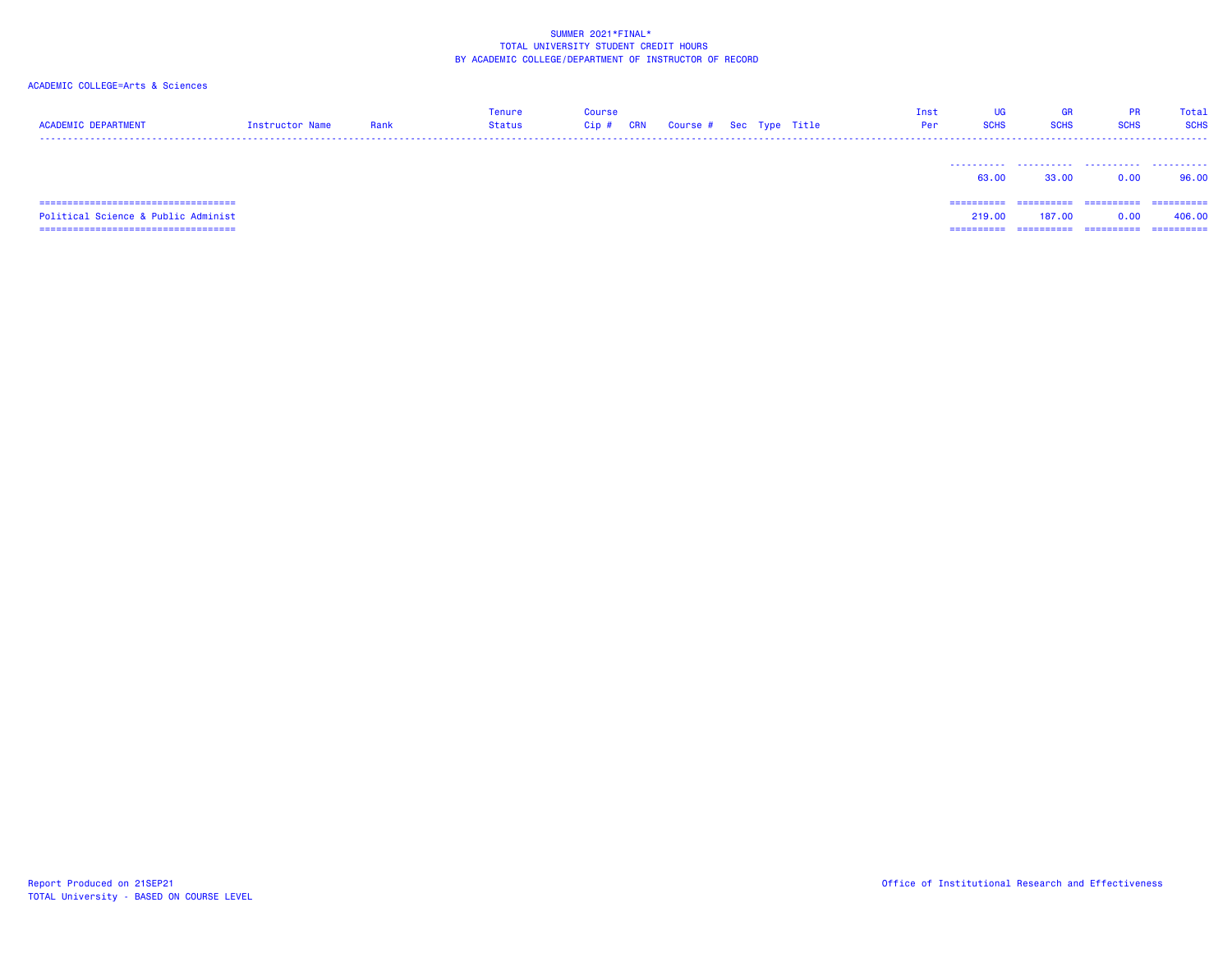| <b>ACADEMIC DEPARTMENT</b>            | Instructor Name | Rank | <b>Tenure</b><br>Status | <b>Course</b><br>$Cip$ # | <b>CRN</b> | Course # Sec Type Title |  | Inst<br>Per | UG<br><b>SCHS</b> | GR<br><b>SCHS</b> | <b>PR</b><br><b>SCHS</b> | Total<br><b>SCHS</b> |
|---------------------------------------|-----------------|------|-------------------------|--------------------------|------------|-------------------------|--|-------------|-------------------|-------------------|--------------------------|----------------------|
|                                       |                 |      |                         |                          |            |                         |  |             | 63.00             | 33.00             | 0.00                     | 96.00                |
| ------------------------------------- |                 |      |                         |                          |            |                         |  |             | ==========        | -----------       | -----------              | -----------          |
| Political Science & Public Administ   |                 |      |                         |                          |            |                         |  |             | 219,00            | 187,00            | 0.00                     | 406.00               |
| ===================================== |                 |      |                         |                          |            |                         |  |             | =========         |                   | =========                | ==========           |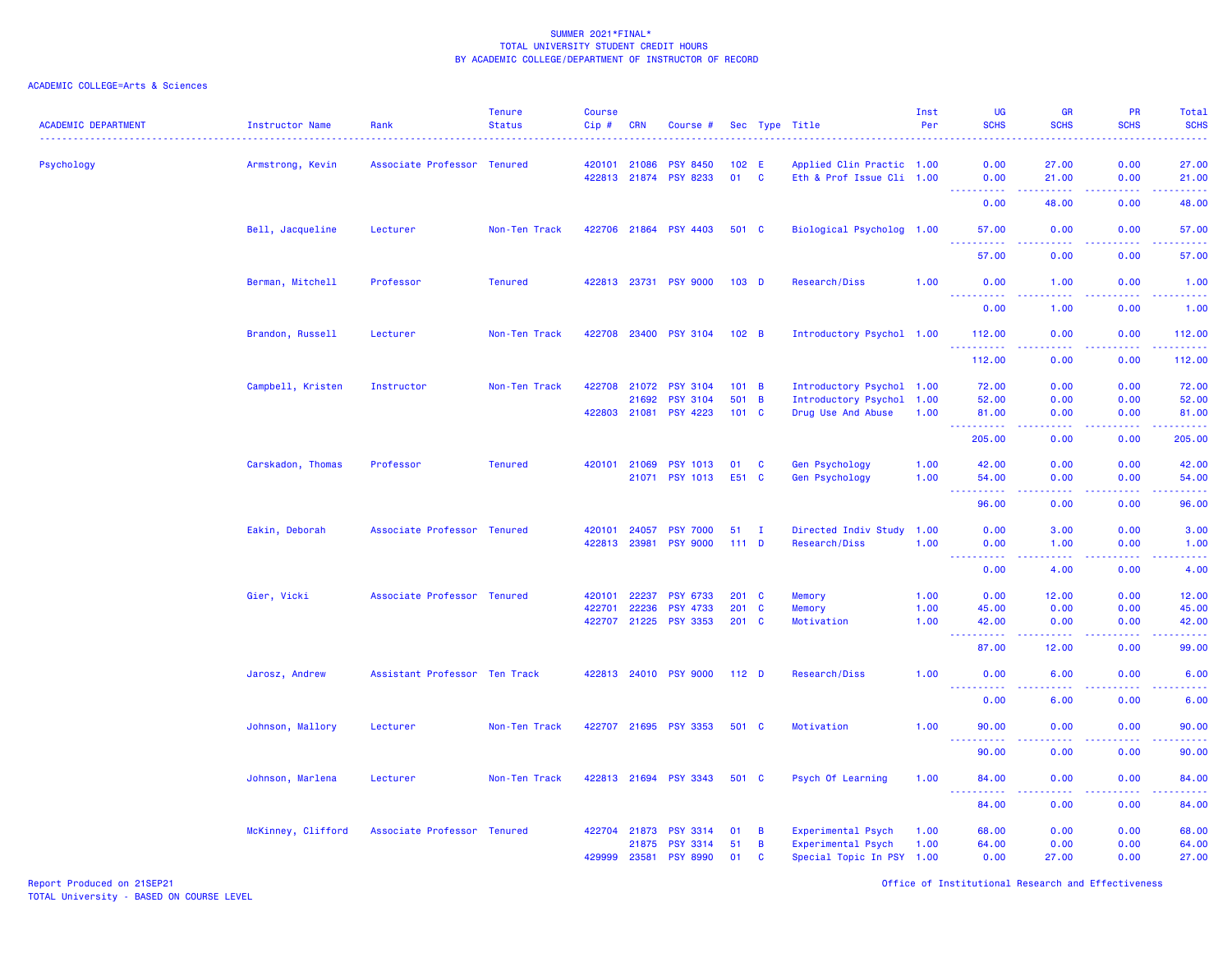| <b>ACADEMIC DEPARTMENT</b> | <b>Instructor Name</b> | Rank                          | <b>Tenure</b><br><b>Status</b> | <b>Course</b><br>Cip# | <b>CRN</b>     | Course #                                 |                  |               | Sec Type Title                                  | Inst<br>Per | <b>UG</b><br><b>SCHS</b>                                                                                                                                      | <b>GR</b><br><b>SCHS</b>       | PR<br><b>SCHS</b> | Total<br><b>SCHS</b><br>والانتاب                                                                                                   |
|----------------------------|------------------------|-------------------------------|--------------------------------|-----------------------|----------------|------------------------------------------|------------------|---------------|-------------------------------------------------|-------------|---------------------------------------------------------------------------------------------------------------------------------------------------------------|--------------------------------|-------------------|------------------------------------------------------------------------------------------------------------------------------------|
| Psychology                 | Armstrong, Kevin       | Associate Professor Tenured   |                                | 420101 21086          |                | <b>PSY 8450</b>                          | 102 E            |               | Applied Clin Practic 1.00                       |             | 0.00                                                                                                                                                          | 27.00                          | 0.00              | 27.00                                                                                                                              |
|                            |                        |                               |                                |                       |                | 422813 21874 PSY 8233                    | 01 C             |               | Eth & Prof Issue Cli 1.00                       |             | 0.00<br>د د د د                                                                                                                                               | 21.00<br>.                     | 0.00<br>.         | 21.00<br>.                                                                                                                         |
|                            |                        |                               |                                |                       |                |                                          |                  |               |                                                 |             | 0.00                                                                                                                                                          | 48.00                          | 0.00              | 48.00                                                                                                                              |
|                            | Bell, Jacqueline       | Lecturer                      | Non-Ten Track                  |                       |                | 422706 21864 PSY 4403                    | 501 C            |               | Biological Psycholog 1.00                       |             | 57.00<br>. <u>.</u> .                                                                                                                                         | 0.00                           | 0.00<br>.         | 57.00<br>.                                                                                                                         |
|                            |                        |                               |                                |                       |                |                                          |                  |               |                                                 |             | 57.00                                                                                                                                                         | 0.00                           | 0.00              | 57.00                                                                                                                              |
|                            | Berman, Mitchell       | Professor                     | <b>Tenured</b>                 |                       |                | 422813 23731 PSY 9000                    | 103 <sub>D</sub> |               | Research/Diss                                   | 1.00        | 0.00<br>.                                                                                                                                                     | 1.00<br>د د د د                | 0.00<br>.         | 1.00<br>.                                                                                                                          |
|                            |                        |                               |                                |                       |                |                                          |                  |               |                                                 |             | 0.00                                                                                                                                                          | 1.00                           | 0.00              | 1.00                                                                                                                               |
|                            | Brandon, Russell       | Lecturer                      | Non-Ten Track                  | 422708                | 23400          | <b>PSY 3104</b>                          | 102 B            |               | Introductory Psychol 1.00                       |             | 112.00<br><u> - - - - - - - - - -</u>                                                                                                                         | 0.00<br>.                      | 0.00<br>.         | 112.00<br>.                                                                                                                        |
|                            |                        |                               |                                |                       |                |                                          |                  |               |                                                 |             | 112.00                                                                                                                                                        | 0.00                           | 0.00              | 112.00                                                                                                                             |
|                            | Campbell, Kristen      | Instructor                    | Non-Ten Track                  | 422708                | 21072          | <b>PSY 3104</b>                          | 101 B            |               | Introductory Psychol 1.00                       |             | 72.00                                                                                                                                                         | 0.00                           | 0.00              | 72.00                                                                                                                              |
|                            |                        |                               |                                |                       | 21692          | <b>PSY 3104</b><br>422803 21081 PSY 4223 | 501 B<br>101 C   |               | Introductory Psychol 1.00<br>Drug Use And Abuse | 1.00        | 52.00<br>81.00                                                                                                                                                | 0.00<br>0.00                   | 0.00<br>0.00      | 52.00<br>81.00                                                                                                                     |
|                            |                        |                               |                                |                       |                |                                          |                  |               |                                                 |             | .<br>205.00                                                                                                                                                   | $\omega$ is a $\omega$<br>0.00 | .<br>0.00         | .<br>205.00                                                                                                                        |
|                            | Carskadon, Thomas      | Professor                     | <b>Tenured</b>                 | 420101 21069          |                | <b>PSY 1013</b>                          | 01               | C             | Gen Psychology                                  | 1.00        | 42.00                                                                                                                                                         | 0.00                           | 0.00              | 42.00                                                                                                                              |
|                            |                        |                               |                                |                       | 21071          | <b>PSY 1013</b>                          | E51 C            |               | Gen Psychology                                  | 1.00        | 54.00                                                                                                                                                         | 0.00                           | 0.00              | 54.00                                                                                                                              |
|                            |                        |                               |                                |                       |                |                                          |                  |               |                                                 |             | 96.00                                                                                                                                                         | .<br>0.00                      | د د د د<br>0.00   | والمستحيل<br>96.00                                                                                                                 |
|                            | Eakin, Deborah         | Associate Professor Tenured   |                                | 420101                | 24057          | <b>PSY 7000</b>                          | 51 I             |               | Directed Indiv Study 1.00                       |             | 0.00                                                                                                                                                          | 3.00                           | 0.00              | 3.00                                                                                                                               |
|                            |                        |                               |                                | 422813 23981          |                | <b>PSY 9000</b>                          | 111D             |               | Research/Diss                                   | 1.00        | 0.00                                                                                                                                                          | 1.00                           | 0.00              | 1.00                                                                                                                               |
|                            |                        |                               |                                |                       |                |                                          |                  |               |                                                 |             | .<br>0.00                                                                                                                                                     | .<br>4.00                      | .<br>0.00         | .<br>4.00                                                                                                                          |
|                            | Gier, Vicki            | Associate Professor Tenured   |                                | 420101                | 22237          | <b>PSY 6733</b>                          | $201$ C          |               | Memory                                          | 1.00        | 0.00                                                                                                                                                          | 12.00                          | 0.00              | 12.00                                                                                                                              |
|                            |                        |                               |                                | 422701                | 22236          | <b>PSY 4733</b>                          | 201              | C             | Memory                                          | 1.00        | 45.00                                                                                                                                                         | 0.00                           | 0.00              | 45.00                                                                                                                              |
|                            |                        |                               |                                |                       |                | 422707 21225 PSY 3353                    | $201$ C          |               | Motivation                                      | 1.00        | 42.00<br>$\frac{1}{2} \left( \frac{1}{2} \right) \left( \frac{1}{2} \right) \left( \frac{1}{2} \right) \left( \frac{1}{2} \right) \left( \frac{1}{2} \right)$ | 0.00<br>.                      | 0.00<br>.         | 42.00<br>.                                                                                                                         |
|                            |                        |                               |                                |                       |                |                                          |                  |               |                                                 |             | 87.00                                                                                                                                                         | 12.00                          | 0.00              | 99.00                                                                                                                              |
|                            | Jarosz, Andrew         | Assistant Professor Ten Track |                                |                       |                | 422813 24010 PSY 9000                    | 112 <sub>D</sub> |               | Research/Diss                                   | 1.00        | 0.00                                                                                                                                                          | 6.00                           | 0.00              | 6.00                                                                                                                               |
|                            |                        |                               |                                |                       |                |                                          |                  |               |                                                 |             | 0.00                                                                                                                                                          | 6.00                           | 0.00              | 6.00                                                                                                                               |
|                            | Johnson, Mallory       | Lecturer                      | Non-Ten Track                  |                       |                | 422707 21695 PSY 3353                    | 501 C            |               | Motivation                                      | 1.00        | 90.00<br><u>.</u>                                                                                                                                             | 0.00                           | 0.00              | 90.00<br>$\frac{1}{2} \left( \frac{1}{2} \right) \left( \frac{1}{2} \right) \left( \frac{1}{2} \right) \left( \frac{1}{2} \right)$ |
|                            |                        |                               |                                |                       |                |                                          |                  |               |                                                 |             | 90.00                                                                                                                                                         | 0.00                           | 0.00              | 90.00                                                                                                                              |
|                            | Johnson, Marlena       | Lecturer                      | Non-Ten Track                  |                       |                | 422813 21694 PSY 3343                    | 501 C            |               | Psych Of Learning                               | 1.00        | 84.00                                                                                                                                                         | 0.00                           | 0.00              | 84.00                                                                                                                              |
|                            |                        |                               |                                |                       |                |                                          |                  |               |                                                 |             | .<br>84.00                                                                                                                                                    | 0.00                           | .<br>0.00         | وتوتون<br>84.00                                                                                                                    |
|                            | McKinney, Clifford     | Associate Professor Tenured   |                                | 422704                | 21873          | <b>PSY 3314</b>                          | 01               | B             | Experimental Psych                              | 1.00        | 68.00                                                                                                                                                         | 0.00                           | 0.00              | 68.00                                                                                                                              |
|                            |                        |                               |                                | 429999                | 21875<br>23581 | <b>PSY 3314</b><br><b>PSY 8990</b>       | 51<br>01         | B<br><b>C</b> | Experimental Psych<br>Special Topic In PSY 1.00 | 1.00        | 64.00<br>0.00                                                                                                                                                 | 0.00<br>27.00                  | 0.00<br>0.00      | 64.00<br>27.00                                                                                                                     |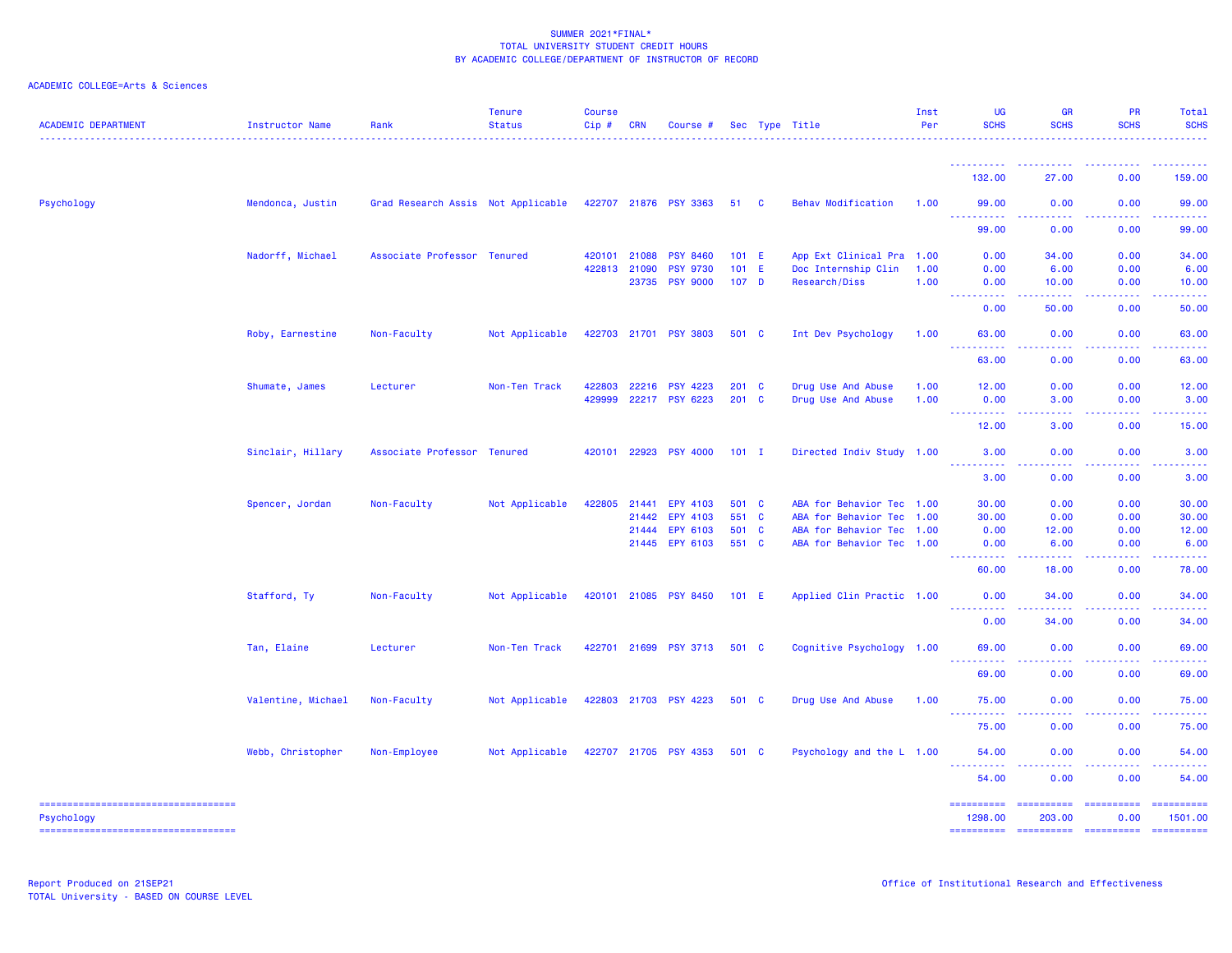| <b>ACADEMIC DEPARTMENT</b>                           | Instructor Name    | Rank                               | <b>Tenure</b><br><b>Status</b> | <b>Course</b><br>Cip# | <b>CRN</b> | Course #              |                  | Sec Type Title            | Inst<br>Per | UG<br><b>SCHS</b>                                                                                                                                                                                                                                                                                                                                                                                                                                                                                | <b>GR</b><br><b>SCHS</b>                                                                                                                                                                                                                                                                                                                                                                                                                                                               | PR<br><b>SCHS</b>                                                                                                                                                                                                                                                                                                                                                                                                                                                                         | Total<br><b>SCHS</b>   |
|------------------------------------------------------|--------------------|------------------------------------|--------------------------------|-----------------------|------------|-----------------------|------------------|---------------------------|-------------|--------------------------------------------------------------------------------------------------------------------------------------------------------------------------------------------------------------------------------------------------------------------------------------------------------------------------------------------------------------------------------------------------------------------------------------------------------------------------------------------------|----------------------------------------------------------------------------------------------------------------------------------------------------------------------------------------------------------------------------------------------------------------------------------------------------------------------------------------------------------------------------------------------------------------------------------------------------------------------------------------|-------------------------------------------------------------------------------------------------------------------------------------------------------------------------------------------------------------------------------------------------------------------------------------------------------------------------------------------------------------------------------------------------------------------------------------------------------------------------------------------|------------------------|
|                                                      |                    |                                    |                                |                       |            |                       |                  |                           |             | <u> - - - - - - - - - -</u><br>132.00                                                                                                                                                                                                                                                                                                                                                                                                                                                            | 27.00                                                                                                                                                                                                                                                                                                                                                                                                                                                                                  | 0.00                                                                                                                                                                                                                                                                                                                                                                                                                                                                                      | 159.00                 |
| Psychology                                           | Mendonca, Justin   | Grad Research Assis Not Applicable |                                |                       |            | 422707 21876 PSY 3363 | 51 C             | <b>Behav Modification</b> | 1.00        | 99.00                                                                                                                                                                                                                                                                                                                                                                                                                                                                                            | 0.00                                                                                                                                                                                                                                                                                                                                                                                                                                                                                   | 0.00                                                                                                                                                                                                                                                                                                                                                                                                                                                                                      | 99.00                  |
|                                                      |                    |                                    |                                |                       |            |                       |                  |                           |             | $\frac{1}{2} \left( \frac{1}{2} \right) \left( \frac{1}{2} \right) \left( \frac{1}{2} \right)$<br>.<br>99.00                                                                                                                                                                                                                                                                                                                                                                                     | .<br>0.00                                                                                                                                                                                                                                                                                                                                                                                                                                                                              | 0.00                                                                                                                                                                                                                                                                                                                                                                                                                                                                                      | 99.00                  |
|                                                      | Nadorff, Michael   | Associate Professor Tenured        |                                | 420101 21088          |            | <b>PSY 8460</b>       | 101 E            | App Ext Clinical Pra 1.00 |             | 0.00                                                                                                                                                                                                                                                                                                                                                                                                                                                                                             | 34.00                                                                                                                                                                                                                                                                                                                                                                                                                                                                                  | 0.00                                                                                                                                                                                                                                                                                                                                                                                                                                                                                      | 34.00                  |
|                                                      |                    |                                    |                                | 422813 21090          |            | <b>PSY 9730</b>       | $101$ E          | Doc Internship Clin       | 1.00        | 0.00                                                                                                                                                                                                                                                                                                                                                                                                                                                                                             | 6.00                                                                                                                                                                                                                                                                                                                                                                                                                                                                                   | 0.00                                                                                                                                                                                                                                                                                                                                                                                                                                                                                      | 6.00                   |
|                                                      |                    |                                    |                                |                       | 23735      | <b>PSY 9000</b>       | 107 <sub>D</sub> | Research/Diss             | 1.00        | 0.00<br><u>.</u>                                                                                                                                                                                                                                                                                                                                                                                                                                                                                 | 10.00<br>.                                                                                                                                                                                                                                                                                                                                                                                                                                                                             | 0.00                                                                                                                                                                                                                                                                                                                                                                                                                                                                                      | 10.00                  |
|                                                      |                    |                                    |                                |                       |            |                       |                  |                           |             | 0.00                                                                                                                                                                                                                                                                                                                                                                                                                                                                                             | 50.00                                                                                                                                                                                                                                                                                                                                                                                                                                                                                  | 0.00                                                                                                                                                                                                                                                                                                                                                                                                                                                                                      | 50.00                  |
|                                                      | Roby, Earnestine   | Non-Faculty                        | Not Applicable                 |                       |            | 422703 21701 PSY 3803 | 501 C            | Int Dev Psychology        | 1.00        | 63.00                                                                                                                                                                                                                                                                                                                                                                                                                                                                                            | 0.00                                                                                                                                                                                                                                                                                                                                                                                                                                                                                   | 0.00                                                                                                                                                                                                                                                                                                                                                                                                                                                                                      | 63.00                  |
|                                                      |                    |                                    |                                |                       |            |                       |                  |                           |             | د د د د د<br>63.00                                                                                                                                                                                                                                                                                                                                                                                                                                                                               | .<br>0.00                                                                                                                                                                                                                                                                                                                                                                                                                                                                              | .<br>0.00                                                                                                                                                                                                                                                                                                                                                                                                                                                                                 | . <u>.</u><br>63.00    |
|                                                      | Shumate, James     | Lecturer                           | Non-Ten Track                  | 422803                | 22216      | <b>PSY 4223</b>       | 201 C            | Drug Use And Abuse        | 1.00        | 12.00                                                                                                                                                                                                                                                                                                                                                                                                                                                                                            | 0.00                                                                                                                                                                                                                                                                                                                                                                                                                                                                                   | 0.00                                                                                                                                                                                                                                                                                                                                                                                                                                                                                      | 12.00                  |
|                                                      |                    |                                    |                                | 429999                |            | 22217 PSY 6223        | 201 C            | Drug Use And Abuse        | 1.00        | 0.00<br>.                                                                                                                                                                                                                                                                                                                                                                                                                                                                                        | 3.00                                                                                                                                                                                                                                                                                                                                                                                                                                                                                   | 0.00                                                                                                                                                                                                                                                                                                                                                                                                                                                                                      | 3.00                   |
|                                                      |                    |                                    |                                |                       |            |                       |                  |                           |             | 12.00                                                                                                                                                                                                                                                                                                                                                                                                                                                                                            | 3.00                                                                                                                                                                                                                                                                                                                                                                                                                                                                                   | 0.00                                                                                                                                                                                                                                                                                                                                                                                                                                                                                      | 15.00                  |
|                                                      | Sinclair, Hillary  | Associate Professor Tenured        |                                |                       |            | 420101 22923 PSY 4000 | $101$ I          | Directed Indiv Study 1.00 |             | 3.00                                                                                                                                                                                                                                                                                                                                                                                                                                                                                             | 0.00                                                                                                                                                                                                                                                                                                                                                                                                                                                                                   | 0.00                                                                                                                                                                                                                                                                                                                                                                                                                                                                                      | 3.00                   |
|                                                      |                    |                                    |                                |                       |            |                       |                  |                           |             | 3.00                                                                                                                                                                                                                                                                                                                                                                                                                                                                                             | 0.00                                                                                                                                                                                                                                                                                                                                                                                                                                                                                   | 0.00                                                                                                                                                                                                                                                                                                                                                                                                                                                                                      | 3.00                   |
|                                                      | Spencer, Jordan    | Non-Faculty                        | Not Applicable                 | 422805                | 21441      | EPY 4103              | 501 C            | ABA for Behavior Tec 1.00 |             | 30.00                                                                                                                                                                                                                                                                                                                                                                                                                                                                                            | 0.00                                                                                                                                                                                                                                                                                                                                                                                                                                                                                   | 0.00                                                                                                                                                                                                                                                                                                                                                                                                                                                                                      | 30.00                  |
|                                                      |                    |                                    |                                |                       | 21442      | EPY 4103              | 551 C            | ABA for Behavior Tec      | 1.00        | 30.00                                                                                                                                                                                                                                                                                                                                                                                                                                                                                            | 0.00                                                                                                                                                                                                                                                                                                                                                                                                                                                                                   | 0.00                                                                                                                                                                                                                                                                                                                                                                                                                                                                                      | 30.00                  |
|                                                      |                    |                                    |                                |                       | 21444      | EPY 6103              | 501 C            | ABA for Behavior Tec 1.00 |             | 0.00                                                                                                                                                                                                                                                                                                                                                                                                                                                                                             | 12.00                                                                                                                                                                                                                                                                                                                                                                                                                                                                                  | 0.00                                                                                                                                                                                                                                                                                                                                                                                                                                                                                      | 12.00                  |
|                                                      |                    |                                    |                                |                       |            | 21445 EPY 6103        | 551 C            | ABA for Behavior Tec 1.00 |             | 0.00<br>----<br>.                                                                                                                                                                                                                                                                                                                                                                                                                                                                                | 6.00<br>.                                                                                                                                                                                                                                                                                                                                                                                                                                                                              | 0.00<br>.                                                                                                                                                                                                                                                                                                                                                                                                                                                                                 | 6.00<br>د د د د د      |
|                                                      |                    |                                    |                                |                       |            |                       |                  |                           |             | 60.00                                                                                                                                                                                                                                                                                                                                                                                                                                                                                            | 18.00                                                                                                                                                                                                                                                                                                                                                                                                                                                                                  | 0.00                                                                                                                                                                                                                                                                                                                                                                                                                                                                                      | 78.00                  |
|                                                      | Stafford, Ty       | Non-Faculty                        | Not Applicable                 |                       |            | 420101 21085 PSY 8450 | 101 E            | Applied Clin Practic 1.00 |             | 0.00<br><u>.</u>                                                                                                                                                                                                                                                                                                                                                                                                                                                                                 | 34.00<br>$- - - - - -$                                                                                                                                                                                                                                                                                                                                                                                                                                                                 | 0.00<br>.                                                                                                                                                                                                                                                                                                                                                                                                                                                                                 | 34.00<br>.             |
|                                                      |                    |                                    |                                |                       |            |                       |                  |                           |             | 0.00                                                                                                                                                                                                                                                                                                                                                                                                                                                                                             | 34.00                                                                                                                                                                                                                                                                                                                                                                                                                                                                                  | 0.00                                                                                                                                                                                                                                                                                                                                                                                                                                                                                      | 34.00                  |
|                                                      | Tan, Elaine        | Lecturer                           | Non-Ten Track                  |                       |            | 422701 21699 PSY 3713 | 501 C            | Cognitive Psychology 1.00 |             | 69.00<br>----                                                                                                                                                                                                                                                                                                                                                                                                                                                                                    | 0.00                                                                                                                                                                                                                                                                                                                                                                                                                                                                                   | 0.00                                                                                                                                                                                                                                                                                                                                                                                                                                                                                      | 69.00                  |
|                                                      |                    |                                    |                                |                       |            |                       |                  |                           |             | 69.00                                                                                                                                                                                                                                                                                                                                                                                                                                                                                            | 0.00                                                                                                                                                                                                                                                                                                                                                                                                                                                                                   | 0.00                                                                                                                                                                                                                                                                                                                                                                                                                                                                                      | 69.00                  |
|                                                      | Valentine, Michael | Non-Faculty                        | Not Applicable                 |                       |            | 422803 21703 PSY 4223 | 501 C            | Drug Use And Abuse        | 1.00        | 75.00                                                                                                                                                                                                                                                                                                                                                                                                                                                                                            | 0.00                                                                                                                                                                                                                                                                                                                                                                                                                                                                                   | 0.00                                                                                                                                                                                                                                                                                                                                                                                                                                                                                      | 75.00                  |
|                                                      |                    |                                    |                                |                       |            |                       |                  |                           |             | <u>.</u><br>75.00                                                                                                                                                                                                                                                                                                                                                                                                                                                                                | .<br>0.00                                                                                                                                                                                                                                                                                                                                                                                                                                                                              | 0.00                                                                                                                                                                                                                                                                                                                                                                                                                                                                                      | 75.00                  |
|                                                      | Webb, Christopher  | Non-Employee                       | Not Applicable                 |                       |            | 422707 21705 PSY 4353 | 501 C            | Psychology and the L 1.00 |             | 54.00                                                                                                                                                                                                                                                                                                                                                                                                                                                                                            | 0.00                                                                                                                                                                                                                                                                                                                                                                                                                                                                                   | 0.00                                                                                                                                                                                                                                                                                                                                                                                                                                                                                      | 54.00                  |
|                                                      |                    |                                    |                                |                       |            |                       |                  |                           |             | ----------<br>54.00                                                                                                                                                                                                                                                                                                                                                                                                                                                                              | -----<br>0.00                                                                                                                                                                                                                                                                                                                                                                                                                                                                          | -----<br>0.00                                                                                                                                                                                                                                                                                                                                                                                                                                                                             | .<br>54.00             |
| ----------------------------------                   |                    |                                    |                                |                       |            |                       |                  |                           |             | $\begin{minipage}{0.03\linewidth} \hspace*{-0.03\linewidth} \hspace*{-0.03\linewidth} \hspace*{-0.03\linewidth} \hspace*{-0.03\linewidth} \hspace*{-0.03\linewidth} \hspace*{-0.03\linewidth} \hspace*{-0.03\linewidth} \hspace*{-0.03\linewidth} \hspace*{-0.03\linewidth} \hspace*{-0.03\linewidth} \hspace*{-0.03\linewidth} \hspace*{-0.03\linewidth} \hspace*{-0.03\linewidth} \hspace*{-0.03\linewidth} \hspace*{-0.03\linewidth} \hspace*{-0.03\linewidth} \hspace*{-0.03\linewidth} \hs$ | $\begin{array}{cccccccccc} \multicolumn{2}{c}{} & \multicolumn{2}{c}{} & \multicolumn{2}{c}{} & \multicolumn{2}{c}{} & \multicolumn{2}{c}{} & \multicolumn{2}{c}{} & \multicolumn{2}{c}{} & \multicolumn{2}{c}{} & \multicolumn{2}{c}{} & \multicolumn{2}{c}{} & \multicolumn{2}{c}{} & \multicolumn{2}{c}{} & \multicolumn{2}{c}{} & \multicolumn{2}{c}{} & \multicolumn{2}{c}{} & \multicolumn{2}{c}{} & \multicolumn{2}{c}{} & \multicolumn{2}{c}{} & \multicolumn{2}{c}{} & \mult$ | $\begin{minipage}{0.03\linewidth} \begin{tabular}{l} \multicolumn{2}{l}{} & \multicolumn{2}{l}{} & \multicolumn{2}{l}{} \\ \multicolumn{2}{l}{} & \multicolumn{2}{l}{} & \multicolumn{2}{l}{} \\ \multicolumn{2}{l}{} & \multicolumn{2}{l}{} & \multicolumn{2}{l}{} \\ \multicolumn{2}{l}{} & \multicolumn{2}{l}{} & \multicolumn{2}{l}{} \\ \multicolumn{2}{l}{} & \multicolumn{2}{l}{} & \multicolumn{2}{l}{} \\ \multicolumn{2}{l}{} & \multicolumn{2}{l}{} & \multicolumn{2}{l}{} \\$ | ==========             |
| Psychology<br>====================================== |                    |                                    |                                |                       |            |                       |                  |                           |             | 1298.00                                                                                                                                                                                                                                                                                                                                                                                                                                                                                          | 203.00                                                                                                                                                                                                                                                                                                                                                                                                                                                                                 | 0.00                                                                                                                                                                                                                                                                                                                                                                                                                                                                                      | 1501.00<br>----------- |
|                                                      |                    |                                    |                                |                       |            |                       |                  |                           |             |                                                                                                                                                                                                                                                                                                                                                                                                                                                                                                  |                                                                                                                                                                                                                                                                                                                                                                                                                                                                                        |                                                                                                                                                                                                                                                                                                                                                                                                                                                                                           |                        |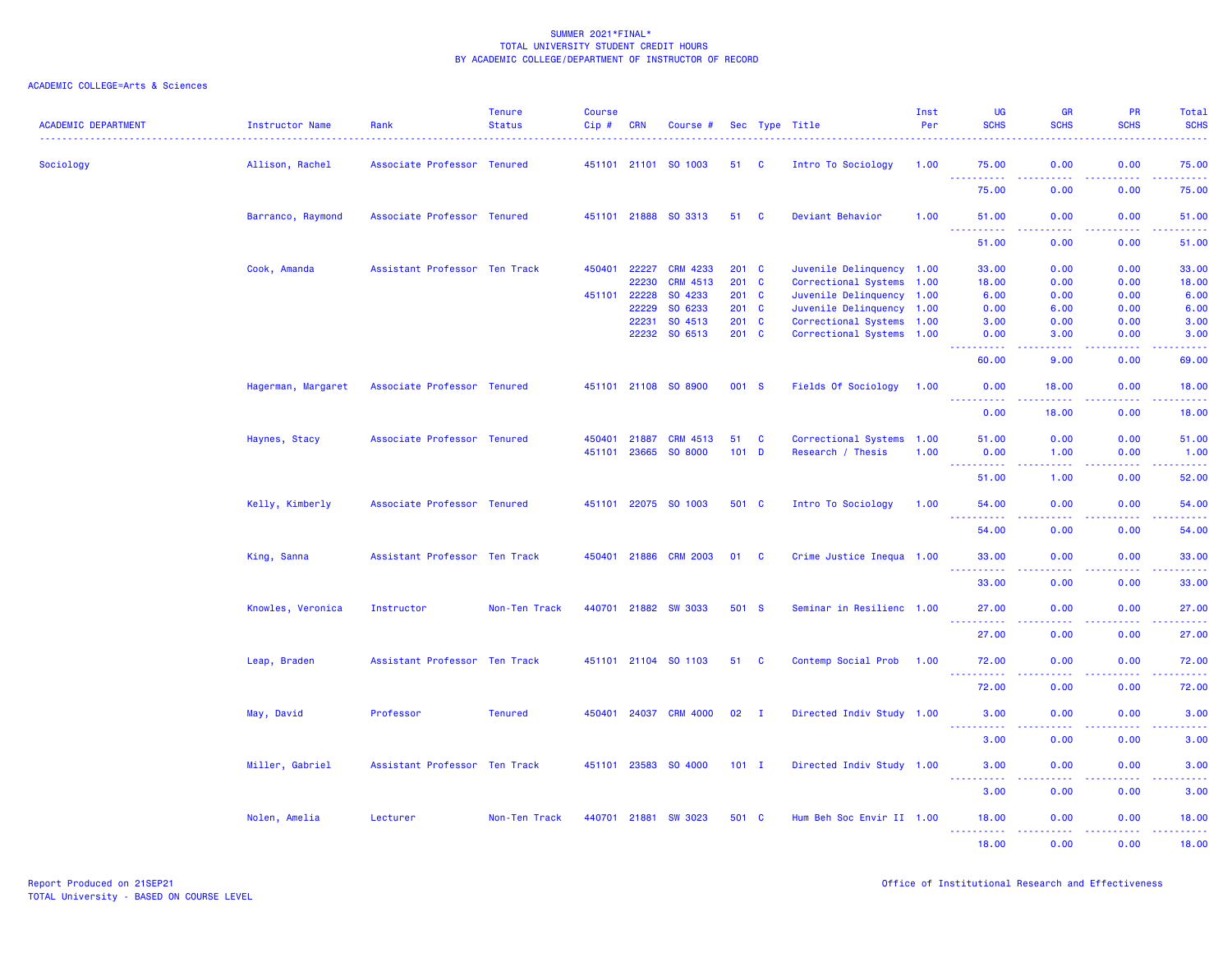| <b>ACADEMIC DEPARTMENT</b> | Instructor Name    | Rank                          | <b>Tenure</b><br><b>Status</b> | <b>Course</b><br>Cip # | <b>CRN</b>   | Course #              |         |              | Sec Type Title            | Inst<br>Per | UG<br><b>SCHS</b>                                                                                            | <b>GR</b><br><b>SCHS</b>                                                                                                                                     | <b>PR</b><br><b>SCHS</b>                                                                                                                                     | Total<br><b>SCHS</b>                                                                                                              |
|----------------------------|--------------------|-------------------------------|--------------------------------|------------------------|--------------|-----------------------|---------|--------------|---------------------------|-------------|--------------------------------------------------------------------------------------------------------------|--------------------------------------------------------------------------------------------------------------------------------------------------------------|--------------------------------------------------------------------------------------------------------------------------------------------------------------|-----------------------------------------------------------------------------------------------------------------------------------|
| Sociology                  | Allison, Rachel    | Associate Professor Tenured   |                                |                        |              | 451101 21101 SO 1003  | 51 C    |              | Intro To Sociology        | 1.00        | 75.00                                                                                                        | 0.00                                                                                                                                                         | 0.00                                                                                                                                                         | 75.00                                                                                                                             |
|                            |                    |                               |                                |                        |              |                       |         |              |                           |             | <u>.</u><br>75.00                                                                                            | 22222<br>0.00                                                                                                                                                | 22222<br>0.00                                                                                                                                                | 22222<br>75.00                                                                                                                    |
|                            | Barranco, Raymond  | Associate Professor Tenured   |                                |                        |              | 451101 21888 SO 3313  | 51 C    |              | Deviant Behavior          | 1.00        | 51.00                                                                                                        | 0.00                                                                                                                                                         | 0.00                                                                                                                                                         | 51.00                                                                                                                             |
|                            |                    |                               |                                |                        |              |                       |         |              |                           |             | 51.00                                                                                                        | 0.00                                                                                                                                                         | .<br>0.00                                                                                                                                                    | 51.00                                                                                                                             |
|                            | Cook, Amanda       | Assistant Professor Ten Track |                                | 450401                 | 22227        | <b>CRM 4233</b>       | 201 C   |              | Juvenile Delinquency 1.00 |             | 33.00                                                                                                        | 0.00                                                                                                                                                         | 0.00                                                                                                                                                         | 33.00                                                                                                                             |
|                            |                    |                               |                                |                        | 22230        | CRM 4513              | 201 C   |              | Correctional Systems 1.00 |             | 18.00                                                                                                        | 0.00                                                                                                                                                         | 0.00                                                                                                                                                         | 18.00                                                                                                                             |
|                            |                    |                               |                                |                        | 451101 22228 | SO 4233               | 201 C   |              | Juvenile Delinquency 1.00 |             | 6.00                                                                                                         | 0.00                                                                                                                                                         | 0.00                                                                                                                                                         | 6.00                                                                                                                              |
|                            |                    |                               |                                |                        | 22229        | SO 6233               | 201 C   |              | Juvenile Delinquency 1.00 |             | 0.00                                                                                                         | 6.00                                                                                                                                                         | 0.00                                                                                                                                                         | 6.00                                                                                                                              |
|                            |                    |                               |                                |                        | 22231        | SO 4513               | 201 C   |              | Correctional Systems 1.00 |             | 3.00                                                                                                         | 0.00                                                                                                                                                         | 0.00                                                                                                                                                         | 3.00                                                                                                                              |
|                            |                    |                               |                                |                        | 22232        | SO 6513               | 201 C   |              | Correctional Systems 1.00 |             | 0.00<br>المتمام مناسب                                                                                        | 3.00<br>.                                                                                                                                                    | 0.00<br>.                                                                                                                                                    | 3.00<br>.                                                                                                                         |
|                            |                    |                               |                                |                        |              |                       |         |              |                           |             | 60.00                                                                                                        | 9.00                                                                                                                                                         | 0.00                                                                                                                                                         | 69.00                                                                                                                             |
|                            | Hagerman, Margaret | Associate Professor Tenured   |                                |                        |              | 451101 21108 SO 8900  | 001 S   |              | Fields Of Sociology       | 1.00        | 0.00<br><b>.</b>                                                                                             | 18.00<br>.                                                                                                                                                   | 0.00<br>الداعات عامات                                                                                                                                        | 18.00<br>.                                                                                                                        |
|                            |                    |                               |                                |                        |              |                       |         |              |                           |             | 0.00                                                                                                         | 18.00                                                                                                                                                        | 0.00                                                                                                                                                         | 18.00                                                                                                                             |
|                            | Haynes, Stacy      | Associate Professor Tenured   |                                |                        | 450401 21887 | <b>CRM 4513</b>       | 51      | <b>C</b>     | Correctional Systems 1.00 |             | 51.00                                                                                                        | 0.00                                                                                                                                                         | 0.00                                                                                                                                                         | 51.00                                                                                                                             |
|                            |                    |                               |                                |                        |              | 451101 23665 SO 8000  | $101$ D |              | Research / Thesis         | 1.00        | 0.00<br>.                                                                                                    | 1.00<br>.                                                                                                                                                    | 0.00<br><u>.</u>                                                                                                                                             | 1.00<br>.                                                                                                                         |
|                            |                    |                               |                                |                        |              |                       |         |              |                           |             | 51.00                                                                                                        | 1.00                                                                                                                                                         | 0.00                                                                                                                                                         | 52.00                                                                                                                             |
|                            | Kelly, Kimberly    | Associate Professor Tenured   |                                |                        |              | 451101 22075 SO 1003  | 501 C   |              | Intro To Sociology        | 1.00        | 54.00<br>$\frac{1}{2} \left( \frac{1}{2} \right) \left( \frac{1}{2} \right) \left( \frac{1}{2} \right)$<br>. | 0.00<br>.                                                                                                                                                    | 0.00<br>. <b>.</b>                                                                                                                                           | 54.00<br>.                                                                                                                        |
|                            |                    |                               |                                |                        |              |                       |         |              |                           |             | 54.00                                                                                                        | 0.00                                                                                                                                                         | 0.00                                                                                                                                                         | 54.00                                                                                                                             |
|                            | King, Sanna        | Assistant Professor Ten Track |                                |                        |              | 450401 21886 CRM 2003 | 01 C    |              | Crime Justice Inequa 1.00 |             | 33.00<br><u>.</u>                                                                                            | 0.00<br>د د د د                                                                                                                                              | 0.00<br>2.2.2.2.2                                                                                                                                            | 33.00<br>.                                                                                                                        |
|                            |                    |                               |                                |                        |              |                       |         |              |                           |             | 33.00                                                                                                        | 0.00                                                                                                                                                         | 0.00                                                                                                                                                         | 33.00                                                                                                                             |
|                            | Knowles, Veronica  | Instructor                    | Non-Ten Track                  |                        | 440701 21882 | <b>SW 3033</b>        | 501 S   |              | Seminar in Resilienc 1.00 |             | 27,00<br>.                                                                                                   | 0.00<br>المالما لمالية ا                                                                                                                                     | 0.00<br>. <b>.</b>                                                                                                                                           | 27.00<br>.                                                                                                                        |
|                            |                    |                               |                                |                        |              |                       |         |              |                           |             | 27.00                                                                                                        | 0.00                                                                                                                                                         | 0.00                                                                                                                                                         | 27.00                                                                                                                             |
|                            | Leap, Braden       | Assistant Professor Ten Track |                                |                        |              | 451101 21104 SO 1103  | 51 C    |              | Contemp Social Prob       | 1.00        | 72.00<br><u>.</u>                                                                                            | 0.00                                                                                                                                                         | 0.00                                                                                                                                                         | 72.00<br>.                                                                                                                        |
|                            |                    |                               |                                |                        |              |                       |         |              |                           |             | 72.00                                                                                                        | 0.00                                                                                                                                                         | 0.00                                                                                                                                                         | 72.00                                                                                                                             |
|                            | May, David         | Professor                     | <b>Tenured</b>                 |                        | 450401 24037 | <b>CRM 4000</b>       | 02      | $\mathbf{I}$ | Directed Indiv Study 1.00 |             | 3.00<br><u>.</u>                                                                                             | 0.00<br>.                                                                                                                                                    | 0.00<br>.                                                                                                                                                    | 3.00<br>$\frac{1}{2} \left( \frac{1}{2} \right) \left( \frac{1}{2} \right) \left( \frac{1}{2} \right) \left( \frac{1}{2} \right)$ |
|                            |                    |                               |                                |                        |              |                       |         |              |                           |             | 3.00                                                                                                         | 0.00                                                                                                                                                         | 0.00                                                                                                                                                         | 3.00                                                                                                                              |
|                            | Miller, Gabriel    | Assistant Professor Ten Track |                                |                        |              | 451101 23583 SO 4000  | $101$ I |              | Directed Indiv Study 1.00 |             | 3.00<br><b>.</b>                                                                                             | 0.00<br>.                                                                                                                                                    | 0.00<br>.                                                                                                                                                    | 3.00<br>.                                                                                                                         |
|                            |                    |                               |                                |                        |              |                       |         |              |                           |             | 3.00                                                                                                         | 0.00                                                                                                                                                         | 0.00                                                                                                                                                         | 3.00                                                                                                                              |
|                            | Nolen, Amelia      | Lecturer                      | Non-Ten Track                  |                        | 440701 21881 | <b>SW 3023</b>        | 501 C   |              | Hum Beh Soc Envir II 1.00 |             | 18.00<br><u>.</u> .                                                                                          | 0.00<br>$\frac{1}{2} \left( \frac{1}{2} \right) \left( \frac{1}{2} \right) \left( \frac{1}{2} \right) \left( \frac{1}{2} \right) \left( \frac{1}{2} \right)$ | 0.00<br>$\frac{1}{2} \left( \frac{1}{2} \right) \left( \frac{1}{2} \right) \left( \frac{1}{2} \right) \left( \frac{1}{2} \right) \left( \frac{1}{2} \right)$ | 18.00<br>.                                                                                                                        |
|                            |                    |                               |                                |                        |              |                       |         |              |                           |             | 18.00                                                                                                        | 0.00                                                                                                                                                         | 0.00                                                                                                                                                         | 18.00                                                                                                                             |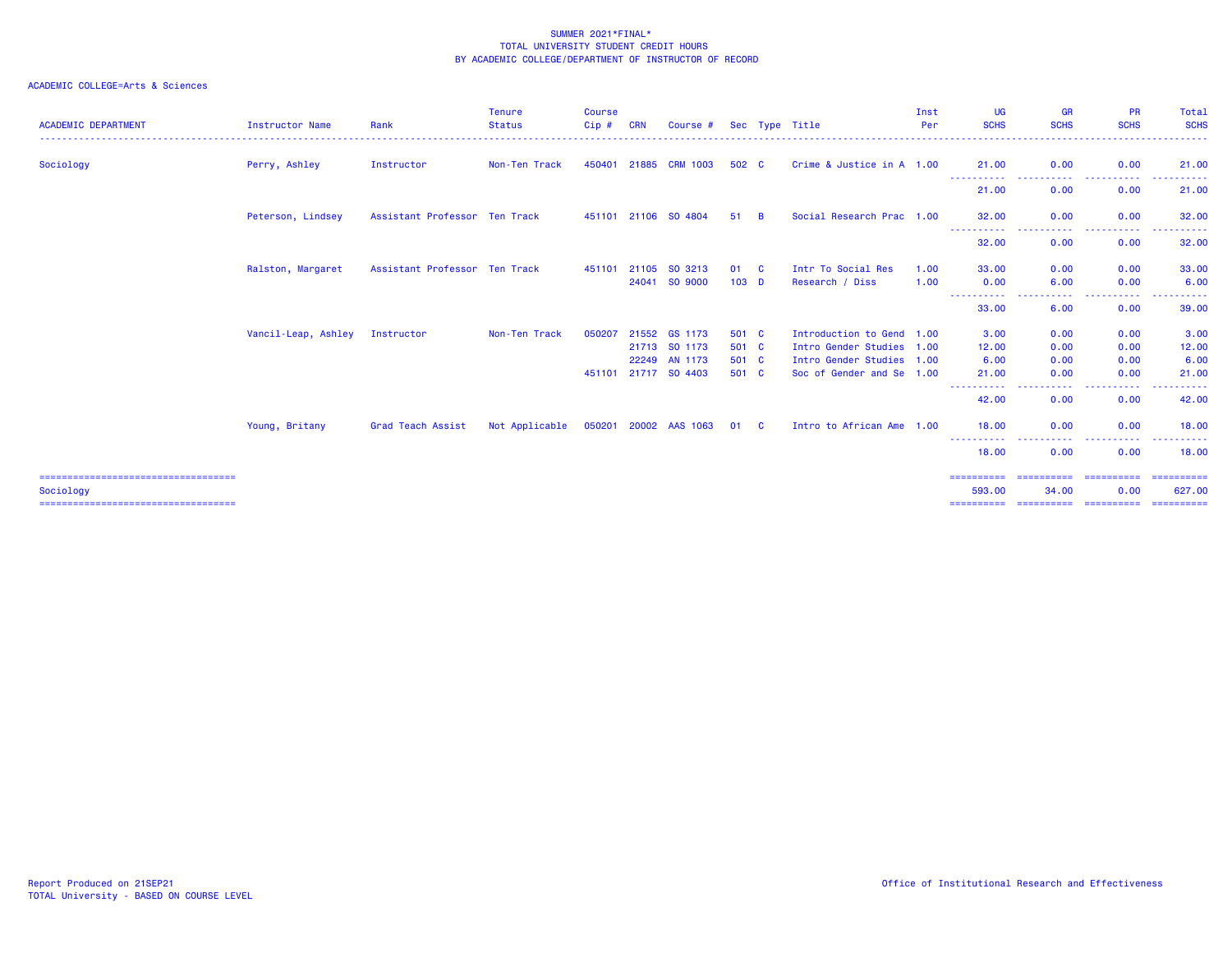| <b>ACADEMIC DEPARTMENT</b>                         | <b>Instructor Name</b> | Rank                          | <b>Tenure</b><br><b>Status</b> | <b>Course</b><br>Cip# | <b>CRN</b> | Course #              |                  |          | Sec Type Title            | Inst<br>Per | <b>UG</b><br><b>SCHS</b>     | <b>GR</b><br><b>SCHS</b> | <b>PR</b><br><b>SCHS</b>                                                                                                                                     | Total<br><b>SCHS</b> |
|----------------------------------------------------|------------------------|-------------------------------|--------------------------------|-----------------------|------------|-----------------------|------------------|----------|---------------------------|-------------|------------------------------|--------------------------|--------------------------------------------------------------------------------------------------------------------------------------------------------------|----------------------|
| Sociology                                          | Perry, Ashley          | Instructor                    | Non-Ten Track                  | 450401 21885          |            | <b>CRM 1003</b>       | 502 C            |          | Crime & Justice in A 1.00 |             | 21,00                        | 0.00<br>المتعاطين        | 0.00<br>$   -$                                                                                                                                               | 21.00<br><u>.</u>    |
|                                                    |                        |                               |                                |                       |            |                       |                  |          |                           |             | -----------<br>21.00         | 0.00                     | $\frac{1}{2} \left( \frac{1}{2} \right) \left( \frac{1}{2} \right) \left( \frac{1}{2} \right) \left( \frac{1}{2} \right) \left( \frac{1}{2} \right)$<br>0.00 | 21.00                |
|                                                    | Peterson, Lindsey      | Assistant Professor Ten Track |                                |                       |            | 451101 21106 SO 4804  | 51               | <b>B</b> | Social Research Prac 1.00 |             | 32.00                        | 0.00                     | 0.00                                                                                                                                                         | 32.00                |
|                                                    |                        |                               |                                |                       |            |                       |                  |          |                           |             | ---------- <i>-</i><br>32.00 | ----<br>0.00             | 0.00                                                                                                                                                         | 32.00                |
|                                                    | Ralston, Margaret      | Assistant Professor Ten Track |                                | 451101                | 21105      | SO 3213               | 01               | - C      | Intr To Social Res        | 1.00        | 33,00                        | 0.00                     | 0.00                                                                                                                                                         | 33.00                |
|                                                    |                        |                               |                                |                       |            | 24041 SO 9000         | 103 <sub>D</sub> |          | Research / Diss           | 1.00        | 0.00                         | 6.00<br>----             | 0.00                                                                                                                                                         | 6.00                 |
|                                                    |                        |                               |                                |                       |            |                       |                  |          |                           |             | 33,00                        | 6.00                     | 0.00                                                                                                                                                         | 39.00                |
|                                                    | Vancil-Leap, Ashley    | Instructor                    | Non-Ten Track                  | 050207                | 21552      | GS 1173               | 501 C            |          | Introduction to Gend 1.00 |             | 3.00                         | 0.00                     | 0.00                                                                                                                                                         | 3.00                 |
|                                                    |                        |                               |                                |                       |            | 21713 SO 1173         | 501 C            |          | Intro Gender Studies 1.00 |             | 12.00                        | 0.00                     | 0.00                                                                                                                                                         | 12.00                |
|                                                    |                        |                               |                                |                       |            | 22249 AN 1173         | 501 C            |          | Intro Gender Studies 1.00 |             | 6.00                         | 0.00                     | 0.00                                                                                                                                                         | 6.00                 |
|                                                    |                        |                               |                                |                       |            | 451101 21717 SO 4403  | 501 C            |          | Soc of Gender and Se 1.00 |             | 21,00<br>----------          | 0.00                     | 0.00<br>.                                                                                                                                                    | 21,00                |
|                                                    |                        |                               |                                |                       |            |                       |                  |          |                           |             | 42.00                        | 0.00                     | 0.00                                                                                                                                                         | 42.00                |
|                                                    | Young, Britany         | Grad Teach Assist             | Not Applicable                 |                       |            | 050201 20002 AAS 1063 | 01 C             |          | Intro to African Ame 1.00 |             | 18,00                        | 0.00                     | 0.00                                                                                                                                                         | 18.00                |
|                                                    |                        |                               |                                |                       |            |                       |                  |          |                           |             | 18.00                        | 0.00                     | 0.00                                                                                                                                                         | 18,00                |
| =====================================              |                        |                               |                                |                       |            |                       |                  |          |                           |             | ==========                   | ==========               | ==========                                                                                                                                                   | ==========           |
| Sociology<br>===================================== |                        |                               |                                |                       |            |                       |                  |          |                           |             | 593.00<br>==========         | 34.00<br>==========      | 0.00<br>==========                                                                                                                                           | 627,00<br>========== |
|                                                    |                        |                               |                                |                       |            |                       |                  |          |                           |             |                              |                          |                                                                                                                                                              |                      |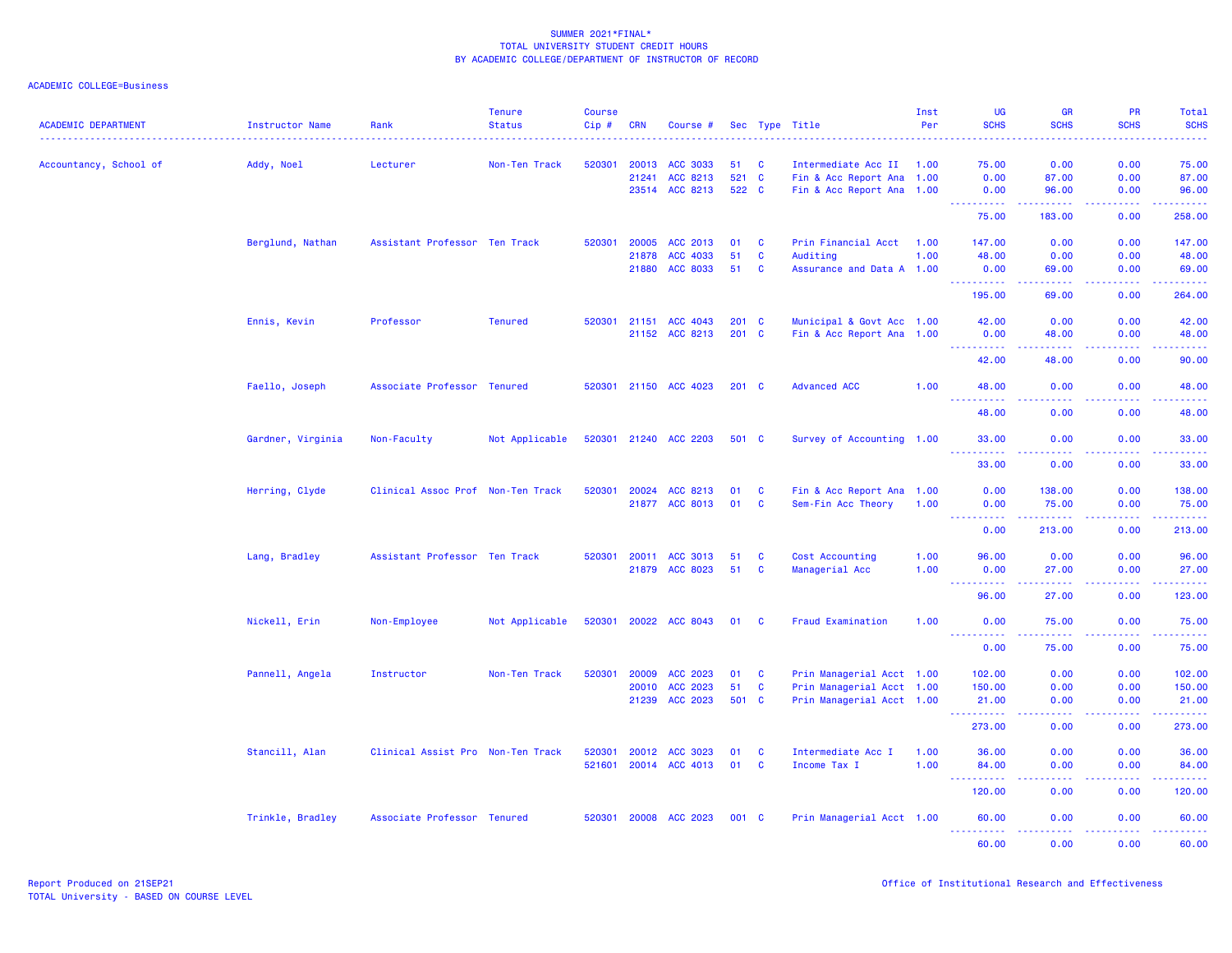| <b>ACADEMIC DEPARTMENT</b> | <b>Instructor Name</b> | Rank                              | <b>Tenure</b><br><b>Status</b> | <b>Course</b><br>$Cip$ # | <b>CRN</b>     | Course #             |                |          | Sec Type Title                                    | Inst<br>Per | <b>UG</b><br><b>SCHS</b>            | <b>GR</b><br><b>SCHS</b>                                                                                                           | <b>PR</b><br><b>SCHS</b> | Total<br><b>SCHS</b><br>$\frac{1}{2} \left( \frac{1}{2} \right) \left( \frac{1}{2} \right) \left( \frac{1}{2} \right) \left( \frac{1}{2} \right)$ |
|----------------------------|------------------------|-----------------------------------|--------------------------------|--------------------------|----------------|----------------------|----------------|----------|---------------------------------------------------|-------------|-------------------------------------|------------------------------------------------------------------------------------------------------------------------------------|--------------------------|---------------------------------------------------------------------------------------------------------------------------------------------------|
| Accountancy, School of     | Addy, Noel             | Lecturer                          | Non-Ten Track                  | 520301                   | 20013          | <b>ACC 3033</b>      | 51             | <b>C</b> | Intermediate Acc II                               | 1.00        | 75.00                               | 0.00                                                                                                                               | 0.00                     | 75.00                                                                                                                                             |
|                            |                        |                                   |                                |                          | 21241<br>23514 | ACC 8213<br>ACC 8213 | 521 C<br>522 C |          | Fin & Acc Report Ana<br>Fin & Acc Report Ana 1.00 | 1.00        | 0.00<br>0.00                        | 87.00<br>96.00                                                                                                                     | 0.00<br>0.00             | 87.00<br>96.00                                                                                                                                    |
|                            |                        |                                   |                                |                          |                |                      |                |          |                                                   |             | <u>.</u><br>75.00                   | .<br>183.00                                                                                                                        | 22222<br>0.00            | .<br>258.00                                                                                                                                       |
|                            | Berglund, Nathan       | Assistant Professor Ten Track     |                                | 520301                   | 20005          | ACC 2013             | 01             | <b>C</b> | Prin Financial Acct                               | 1.00        | 147.00                              | 0.00                                                                                                                               | 0.00                     | 147.00                                                                                                                                            |
|                            |                        |                                   |                                |                          | 21878          | ACC 4033             | 51             | C        | Auditing                                          | 1.00        | 48.00                               | 0.00                                                                                                                               | 0.00                     | 48.00                                                                                                                                             |
|                            |                        |                                   |                                |                          | 21880          | ACC 8033             | 51             | C        | Assurance and Data A 1.00                         |             | 0.00<br>.                           | 69.00<br>بالأباب                                                                                                                   | 0.00<br>-----            | 69.00<br>، د د د د د                                                                                                                              |
|                            |                        |                                   |                                |                          |                |                      |                |          |                                                   |             | 195.00                              | 69.00                                                                                                                              | 0.00                     | 264.00                                                                                                                                            |
|                            | Ennis, Kevin           | Professor                         | <b>Tenured</b>                 | 520301                   | 21151          | ACC 4043             | 201 C          |          | Municipal & Govt Acc 1.00                         |             | 42.00                               | 0.00                                                                                                                               | 0.00                     | 42.00                                                                                                                                             |
|                            |                        |                                   |                                |                          |                | 21152 ACC 8213       | 201 C          |          | Fin & Acc Report Ana 1.00                         |             | 0.00                                | 48.00                                                                                                                              | 0.00                     | 48.00<br>والمحاميات                                                                                                                               |
|                            |                        |                                   |                                |                          |                |                      |                |          |                                                   |             | 42.00                               | 48.00                                                                                                                              | 0.00                     | 90.00                                                                                                                                             |
|                            | Faello, Joseph         | Associate Professor Tenured       |                                | 520301                   |                | 21150 ACC 4023       | $201$ C        |          | <b>Advanced ACC</b>                               | 1.00        | 48.00<br>222                        | 0.00                                                                                                                               | 0.00                     | 48.00                                                                                                                                             |
|                            |                        |                                   |                                |                          |                |                      |                |          |                                                   |             | 48.00                               | 0.00                                                                                                                               | 0.00                     | 48.00                                                                                                                                             |
|                            | Gardner, Virginia      | Non-Faculty                       | Not Applicable                 | 520301                   |                | 21240 ACC 2203       | 501 C          |          | Survey of Accounting 1.00                         |             | 33.00<br>.                          | 0.00<br>د د د د                                                                                                                    | 0.00<br>.                | 33.00<br>.                                                                                                                                        |
|                            |                        |                                   |                                |                          |                |                      |                |          |                                                   |             | 33.00                               | 0.00                                                                                                                               | 0.00                     | 33.00                                                                                                                                             |
|                            | Herring, Clyde         | Clinical Assoc Prof Non-Ten Track |                                | 520301                   | 20024          | ACC 8213             | 01             | <b>C</b> | Fin & Acc Report Ana 1.00                         |             | 0.00                                | 138.00                                                                                                                             | 0.00                     | 138.00                                                                                                                                            |
|                            |                        |                                   |                                |                          | 21877          | ACC 8013             | 01             | <b>C</b> | Sem-Fin Acc Theory                                | 1.00        | 0.00                                | 75.00                                                                                                                              | 0.00                     | 75.00                                                                                                                                             |
|                            |                        |                                   |                                |                          |                |                      |                |          |                                                   |             | <u>.</u><br>0.00                    | 213.00                                                                                                                             | 0.00                     | 213.00                                                                                                                                            |
|                            | Lang, Bradley          | Assistant Professor Ten Track     |                                | 520301                   | 20011          | ACC 3013             | 51             | C        | Cost Accounting                                   | 1.00        | 96.00                               | 0.00                                                                                                                               | 0.00                     | 96.00                                                                                                                                             |
|                            |                        |                                   |                                |                          | 21879          | ACC 8023             | 51             | C        | Managerial Acc                                    | 1.00        | 0.00                                | 27.00                                                                                                                              | 0.00                     | 27.00                                                                                                                                             |
|                            |                        |                                   |                                |                          |                |                      |                |          |                                                   |             | . <b>.</b><br>96.00                 | $\frac{1}{2} \left( \frac{1}{2} \right) \left( \frac{1}{2} \right) \left( \frac{1}{2} \right) \left( \frac{1}{2} \right)$<br>27.00 | 22222<br>0.00            | ------<br>123.00                                                                                                                                  |
|                            | Nickell, Erin          | Non-Employee                      | Not Applicable                 | 520301                   | 20022          | <b>ACC 8043</b>      | 01             | <b>C</b> | Fraud Examination                                 | 1.00        | 0.00                                | 75.00                                                                                                                              | 0.00                     | 75.00                                                                                                                                             |
|                            |                        |                                   |                                |                          |                |                      |                |          |                                                   |             | <u> - - - - - - - - - -</u><br>0.00 | 22222<br>75.00                                                                                                                     | 22222<br>0.00            | <u>.</u><br>75.00                                                                                                                                 |
|                            | Pannell, Angela        | Instructor                        | Non-Ten Track                  | 520301                   | 20009          | ACC 2023             | 01             | <b>C</b> | Prin Managerial Acct 1.00                         |             | 102.00                              | 0.00                                                                                                                               | 0.00                     | 102.00                                                                                                                                            |
|                            |                        |                                   |                                |                          | 20010          | ACC 2023             | 51             | C        | Prin Managerial Acct 1.00                         |             | 150.00                              | 0.00                                                                                                                               | 0.00                     | 150.00                                                                                                                                            |
|                            |                        |                                   |                                |                          | 21239          | ACC 2023             | 501 C          |          | Prin Managerial Acct 1.00                         |             | 21.00<br><b>.</b>                   | 0.00<br>$\omega_{\rm c}$ and $\omega_{\rm c}$                                                                                      | 0.00<br>.                | 21.00<br>$\begin{array}{cccccccccc} \bullet & \bullet & \bullet & \bullet & \bullet & \bullet & \bullet & \bullet \end{array}$                    |
|                            |                        |                                   |                                |                          |                |                      |                |          |                                                   |             | 273.00                              | 0.00                                                                                                                               | 0.00                     | 273.00                                                                                                                                            |
|                            | Stancill, Alan         | Clinical Assist Pro Non-Ten Track |                                | 520301                   | 20012          | ACC 3023             | 01             | C        | Intermediate Acc I                                | 1.00        | 36.00                               | 0.00                                                                                                                               | 0.00                     | 36.00                                                                                                                                             |
|                            |                        |                                   |                                | 521601                   |                | 20014 ACC 4013       | 01             | C        | Income Tax I                                      | 1.00        | 84.00                               | 0.00                                                                                                                               | 0.00                     | 84.00<br>.                                                                                                                                        |
|                            |                        |                                   |                                |                          |                |                      |                |          |                                                   |             | 120.00                              | 0.00                                                                                                                               | 0.00                     | 120.00                                                                                                                                            |
|                            | Trinkle, Bradley       | Associate Professor Tenured       |                                | 520301                   |                | 20008 ACC 2023       | 001 C          |          | Prin Managerial Acct 1.00                         |             | 60.00<br>----------                 | 0.00<br>والمسامين                                                                                                                  | 0.00<br>.                | 60.00                                                                                                                                             |
|                            |                        |                                   |                                |                          |                |                      |                |          |                                                   |             | 60.00                               | 0.00                                                                                                                               | 0.00                     | 60.00                                                                                                                                             |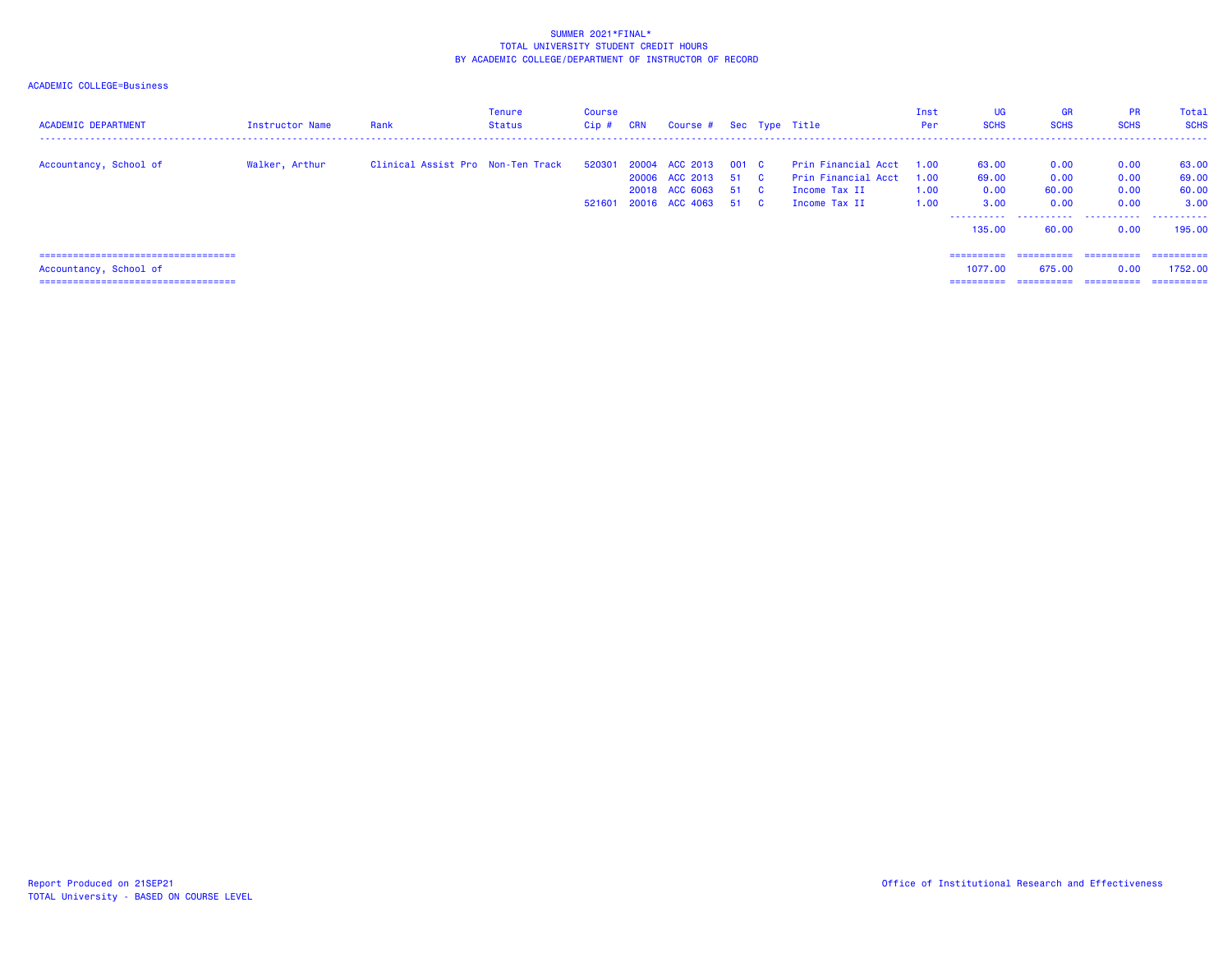| <b>ACADEMIC DEPARTMENT</b>                                      | Instructor Name | Rank                              | Tenure<br>Status | Course<br>$Cip$ # | <b>CRN</b> | Course # Sec Type Title                                                        |               |                                                                              | Inst<br>Per                  | UG<br><b>SCHS</b>                                       | <b>GR</b><br><b>SCHS</b>               | <b>PR</b><br><b>SCHS</b>             | Total<br><b>SCHS</b>                      |
|-----------------------------------------------------------------|-----------------|-----------------------------------|------------------|-------------------|------------|--------------------------------------------------------------------------------|---------------|------------------------------------------------------------------------------|------------------------------|---------------------------------------------------------|----------------------------------------|--------------------------------------|-------------------------------------------|
| Accountancy, School of                                          | Walker, Arthur  | Clinical Assist Pro Non-Ten Track |                  | 520301<br>521601  |            | 20004 ACC 2013<br>20006 ACC 2013<br>20018 ACC 6063 51 C<br>20016 ACC 4063 51 C | 001 C<br>51 C | Prin Financial Acct<br>Prin Financial Acct<br>Income Tax II<br>Income Tax II | 1.00<br>1.00<br>1.00<br>1.00 | 63.00<br>69.00<br>0.00<br>3.00<br>-----------<br>135,00 | 0.00<br>0.00<br>60.00<br>0.00<br>60.00 | 0.00<br>0.00<br>0.00<br>0.00<br>0.00 | 63.00<br>69.00<br>60.00<br>3.00<br>195.00 |
| =====================================                           |                 |                                   |                  |                   |            |                                                                                |               |                                                                              |                              | ==========                                              | -----------                            | ==========                           | -----------                               |
| Accountancy, School of<br>===================================== |                 |                                   |                  |                   |            |                                                                                |               |                                                                              |                              | 1077.00<br>==========                                   | 675.00<br>==========                   | 0.00<br>==========                   | 1752.00<br>==========                     |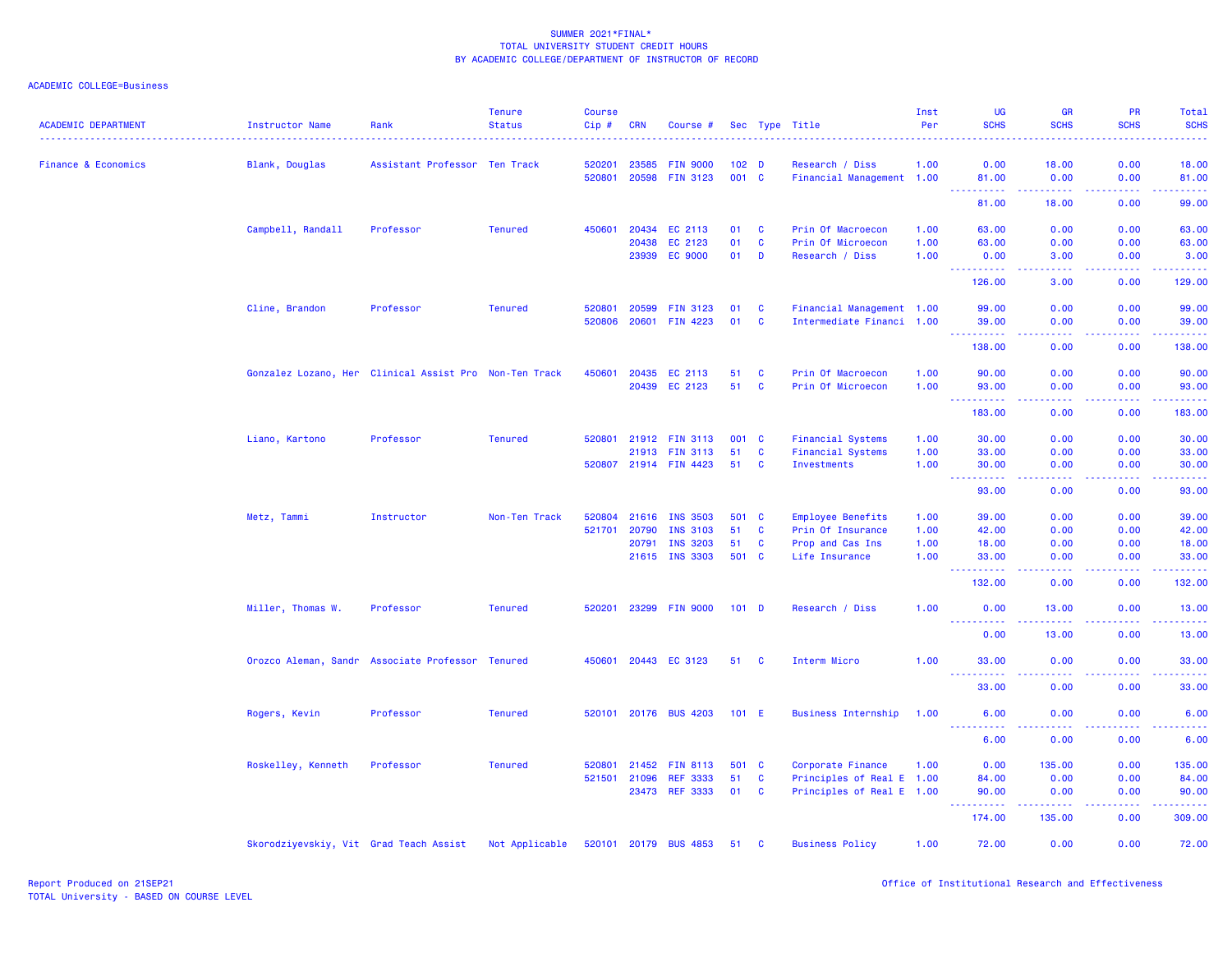| <b>ACADEMIC DEPARTMENT</b>     | <b>Instructor Name</b>                 | Rank                                                   | <b>Tenure</b><br><b>Status</b> | <b>Course</b><br>Cip# | CRN            | Course #                           |                           |              | Sec Type Title                               | Inst<br>Per | <b>UG</b><br><b>SCHS</b>            | <b>GR</b><br><b>SCHS</b>                                                                                                                                     | <b>PR</b><br><b>SCHS</b> | Total<br><b>SCHS</b>                                                                                                               |
|--------------------------------|----------------------------------------|--------------------------------------------------------|--------------------------------|-----------------------|----------------|------------------------------------|---------------------------|--------------|----------------------------------------------|-------------|-------------------------------------|--------------------------------------------------------------------------------------------------------------------------------------------------------------|--------------------------|------------------------------------------------------------------------------------------------------------------------------------|
|                                |                                        |                                                        |                                |                       |                |                                    |                           |              |                                              |             |                                     |                                                                                                                                                              |                          |                                                                                                                                    |
| <b>Finance &amp; Economics</b> | Blank, Douglas                         | Assistant Professor Ten Track                          |                                | 520201<br>520801      | 23585<br>20598 | <b>FIN 9000</b><br><b>FIN 3123</b> | 102 <sub>D</sub><br>001 C |              | Research / Diss<br>Financial Management 1.00 | 1.00        | 0.00<br>81.00                       | 18.00<br>0.00                                                                                                                                                | 0.00<br>0.00             | 18.00<br>81.00                                                                                                                     |
|                                |                                        |                                                        |                                |                       |                |                                    |                           |              |                                              |             | .<br>81.00                          | <b>.</b><br>18.00                                                                                                                                            | .<br>0.00                | .<br>99.00                                                                                                                         |
|                                |                                        |                                                        |                                |                       |                |                                    |                           |              |                                              |             |                                     |                                                                                                                                                              |                          |                                                                                                                                    |
|                                | Campbell, Randall                      | Professor                                              | <b>Tenured</b>                 | 450601                | 20434          | EC 2113                            | 01                        | $\mathbf{C}$ | Prin Of Macroecon                            | 1.00        | 63.00                               | 0.00                                                                                                                                                         | 0.00                     | 63.00                                                                                                                              |
|                                |                                        |                                                        |                                |                       | 20438          | EC 2123                            | 01                        | $\mathbf{C}$ | Prin Of Microecon                            | 1.00        | 63.00                               | 0.00                                                                                                                                                         | 0.00                     | 63.00                                                                                                                              |
|                                |                                        |                                                        |                                |                       | 23939          | <b>EC 9000</b>                     | 01                        | D            | Research / Diss                              | 1.00        | 0.00                                | 3.00                                                                                                                                                         | 0.00                     | 3.00                                                                                                                               |
|                                |                                        |                                                        |                                |                       |                |                                    |                           |              |                                              |             | 126,00                              | 3.00                                                                                                                                                         | 0.00                     | 129.00                                                                                                                             |
|                                | Cline, Brandon                         | Professor                                              | <b>Tenured</b>                 | 520801                | 20599          | <b>FIN 3123</b>                    | 01                        | C            | Financial Management 1.00                    |             | 99.00                               | 0.00                                                                                                                                                         | 0.00                     | 99.00                                                                                                                              |
|                                |                                        |                                                        |                                | 520806                | 20601          | <b>FIN 4223</b>                    | 01                        | $\mathbf{C}$ | Intermediate Financi 1.00                    |             | 39.00                               | 0.00                                                                                                                                                         | 0.00                     | 39.00                                                                                                                              |
|                                |                                        |                                                        |                                |                       |                |                                    |                           |              |                                              |             | 138.00                              | 0.00                                                                                                                                                         | 0.00                     | 138.00                                                                                                                             |
|                                |                                        | Gonzalez Lozano, Her Clinical Assist Pro Non-Ten Track |                                | 450601                | 20435          | EC 2113                            | 51                        | C            | Prin Of Macroecon                            | 1.00        | 90.00                               | 0.00                                                                                                                                                         | 0.00                     | 90.00                                                                                                                              |
|                                |                                        |                                                        |                                |                       | 20439          | EC 2123                            | 51                        | $\mathbf{C}$ | Prin Of Microecon                            | 1.00        | 93.00                               | 0.00                                                                                                                                                         | 0.00                     | 93.00                                                                                                                              |
|                                |                                        |                                                        |                                |                       |                |                                    |                           |              |                                              |             | 183.00                              | 0.00                                                                                                                                                         | 0.00                     | وعاعاها<br>183.00                                                                                                                  |
|                                | Liano, Kartono                         | Professor                                              | <b>Tenured</b>                 |                       |                | 520801 21912 FIN 3113              | 001 C                     |              | <b>Financial Systems</b>                     | 1.00        | 30.00                               | 0.00                                                                                                                                                         | 0.00                     | 30.00                                                                                                                              |
|                                |                                        |                                                        |                                |                       | 21913          | <b>FIN 3113</b>                    | 51                        | <b>C</b>     | <b>Financial Systems</b>                     | 1.00        | 33.00                               | 0.00                                                                                                                                                         | 0.00                     | 33.00                                                                                                                              |
|                                |                                        |                                                        |                                |                       |                | 520807 21914 FIN 4423              | 51                        | <b>C</b>     | Investments                                  | 1.00        | 30.00                               | 0.00                                                                                                                                                         | 0.00                     | 30.00                                                                                                                              |
|                                |                                        |                                                        |                                |                       |                |                                    |                           |              |                                              |             | $\sim 100$<br>.<br>93.00            | .<br>0.00                                                                                                                                                    | .<br>0.00                | .<br>93.00                                                                                                                         |
|                                | Metz, Tammi                            | Instructor                                             | Non-Ten Track                  | 520804                | 21616          | <b>INS 3503</b>                    | 501 C                     |              | <b>Employee Benefits</b>                     | 1.00        | 39.00                               | 0.00                                                                                                                                                         | 0.00                     | 39.00                                                                                                                              |
|                                |                                        |                                                        |                                | 521701                | 20790          | <b>INS 3103</b>                    | 51                        | C            | Prin Of Insurance                            | 1.00        | 42.00                               | 0.00                                                                                                                                                         | 0.00                     | 42.00                                                                                                                              |
|                                |                                        |                                                        |                                |                       | 20791          | <b>INS 3203</b>                    | 51                        | $\mathbf{C}$ | Prop and Cas Ins                             | 1.00        | 18.00                               | 0.00                                                                                                                                                         | 0.00                     | 18.00                                                                                                                              |
|                                |                                        |                                                        |                                |                       |                | 21615 INS 3303                     | 501 C                     |              | Life Insurance                               | 1.00        | 33.00                               | 0.00                                                                                                                                                         | 0.00                     | 33.00<br>$\frac{1}{2} \left( \frac{1}{2} \right) \left( \frac{1}{2} \right) \left( \frac{1}{2} \right) \left( \frac{1}{2} \right)$ |
|                                |                                        |                                                        |                                |                       |                |                                    |                           |              |                                              |             | 132.00                              | 0.00                                                                                                                                                         | 0.00                     | 132.00                                                                                                                             |
|                                | Miller, Thomas W.                      | Professor                                              | <b>Tenured</b>                 |                       |                | 520201 23299 FIN 9000              | $101$ D                   |              | Research / Diss                              | 1.00        | 0.00<br><u> - - - - - - - - - -</u> | 13.00<br>$-1 - 1 - 1 = 0$                                                                                                                                    | 0.00<br>.                | 13.00<br>.                                                                                                                         |
|                                |                                        |                                                        |                                |                       |                |                                    |                           |              |                                              |             | 0.00                                | 13.00                                                                                                                                                        | 0.00                     | 13.00                                                                                                                              |
|                                |                                        | Orozco Aleman, Sandr Associate Professor Tenured       |                                | 450601                |                | 20443 EC 3123                      | 51                        | C            | Interm Micro                                 | 1.00        | 33.00                               | 0.00                                                                                                                                                         | 0.00                     | 33.00                                                                                                                              |
|                                |                                        |                                                        |                                |                       |                |                                    |                           |              |                                              |             | <b></b><br>33.00                    | .<br>0.00                                                                                                                                                    | . <b>.</b><br>0.00       | .<br>33.00                                                                                                                         |
|                                | Rogers, Kevin                          | Professor                                              | <b>Tenured</b>                 |                       |                | 520101 20176 BUS 4203              | 101 E                     |              | <b>Business Internship</b>                   | 1.00        | 6.00                                | 0.00                                                                                                                                                         | 0.00                     | 6.00                                                                                                                               |
|                                |                                        |                                                        |                                |                       |                |                                    |                           |              |                                              |             | <u> - - - - - - - - - -</u><br>6.00 | $\frac{1}{2} \left( \frac{1}{2} \right) \left( \frac{1}{2} \right) \left( \frac{1}{2} \right) \left( \frac{1}{2} \right)$<br>0.00                            | .<br>0.00                | .<br>6.00                                                                                                                          |
|                                | Roskelley, Kenneth                     | Professor                                              | <b>Tenured</b>                 | 520801                | 21452          | <b>FIN 8113</b>                    | 501                       | <b>C</b>     | Corporate Finance                            | 1.00        | 0.00                                | 135.00                                                                                                                                                       | 0.00                     | 135.00                                                                                                                             |
|                                |                                        |                                                        |                                |                       | 521501 21096   | <b>REF 3333</b>                    | 51                        | $\mathbf{C}$ | Principles of Real E 1.00                    |             | 84.00                               | 0.00                                                                                                                                                         | 0.00                     | 84.00                                                                                                                              |
|                                |                                        |                                                        |                                |                       | 23473          | <b>REF 3333</b>                    | 01                        | $\mathbf{C}$ | Principles of Real E 1.00                    |             | 90.00<br>.                          | 0.00<br>$\frac{1}{2} \left( \frac{1}{2} \right) \left( \frac{1}{2} \right) \left( \frac{1}{2} \right) \left( \frac{1}{2} \right) \left( \frac{1}{2} \right)$ | 0.00<br>22222            | 90.00<br><u>.</u>                                                                                                                  |
|                                |                                        |                                                        |                                |                       |                |                                    |                           |              |                                              |             | 174.00                              | 135.00                                                                                                                                                       | 0.00                     | 309.00                                                                                                                             |
|                                | Skorodziyevskiy, Vit Grad Teach Assist |                                                        | Not Applicable                 |                       |                | 520101 20179 BUS 4853              | 51 C                      |              | <b>Business Policy</b>                       | 1.00        | 72.00                               | 0.00                                                                                                                                                         | 0.00                     | 72.00                                                                                                                              |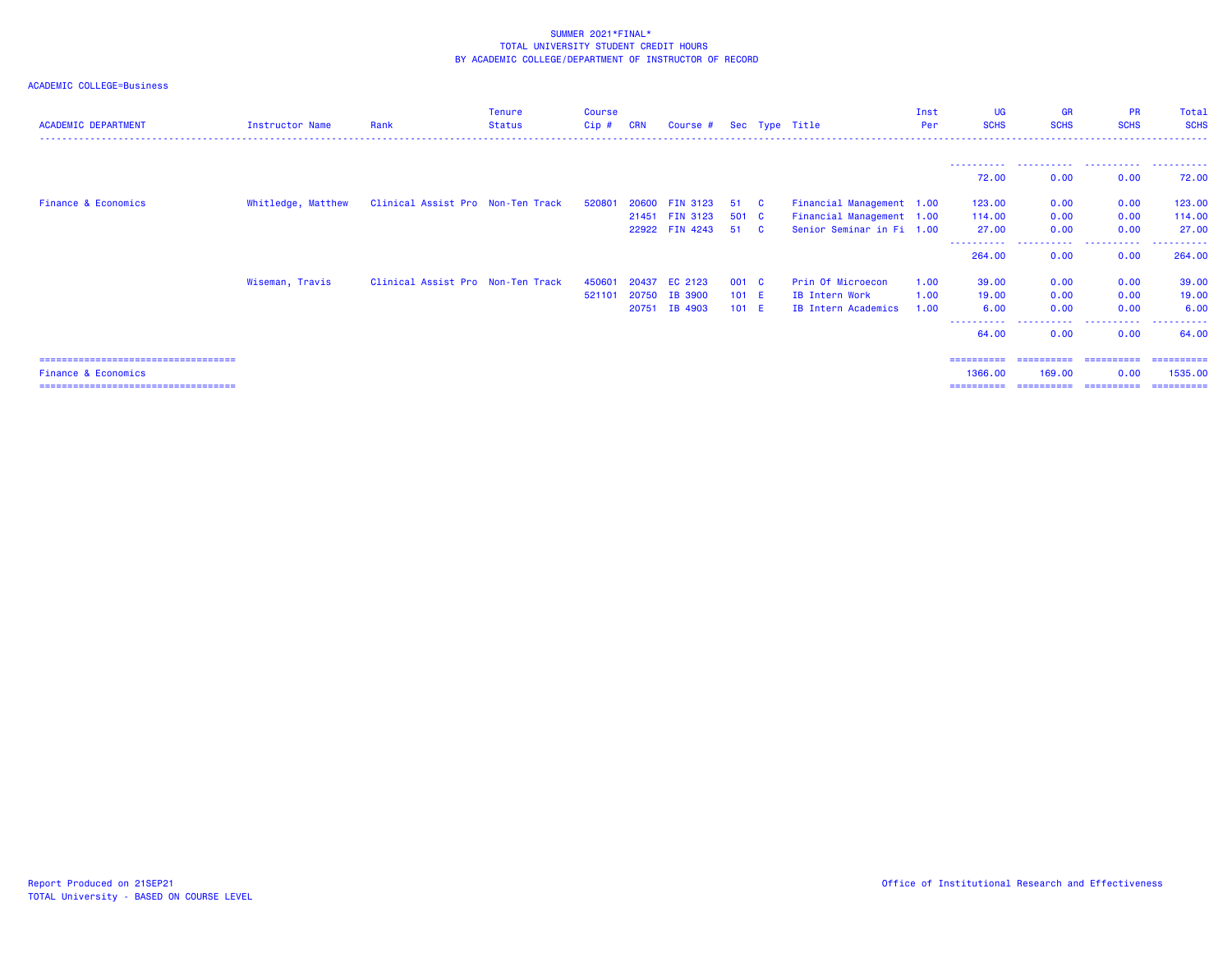| <b>ACADEMIC DEPARTMENT</b>            | Instructor Name    | Rank                              | <b>Tenure</b><br><b>Status</b> | <b>Course</b><br>$Cip$ # | <b>CRN</b> | Course $#$ Sec Type Title        |             |                |                                                        | Inst<br>Per | UG<br><b>SCHS</b>              | <b>GR</b><br><b>SCHS</b> | <b>PR</b><br><b>SCHS</b> | Total<br><b>SCHS</b>  |
|---------------------------------------|--------------------|-----------------------------------|--------------------------------|--------------------------|------------|----------------------------------|-------------|----------------|--------------------------------------------------------|-------------|--------------------------------|--------------------------|--------------------------|-----------------------|
|                                       |                    |                                   |                                |                          |            |                                  |             |                |                                                        |             | -----------<br>72.00           | 0.00                     | 0.00                     | 72.00                 |
| <b>Finance &amp; Economics</b>        | Whitledge, Matthew | Clinical Assist Pro Non-Ten Track |                                | 520801                   | 20600      | <b>FIN 3123</b>                  | 51 C        |                | Financial Management 1.00                              |             | 123.00                         | 0.00                     | 0.00                     | 123.00                |
|                                       |                    |                                   |                                |                          |            | 21451 FIN 3123<br>22922 FIN 4243 | 501 C<br>51 | $\overline{c}$ | Financial Management 1.00<br>Senior Seminar in Fi 1.00 |             | 114.00<br>27.00<br>----------- | 0.00<br>0.00<br>.        | 0.00<br>0.00<br>.        | 114.00<br>27.00<br>.  |
|                                       |                    |                                   |                                |                          |            |                                  |             |                |                                                        |             | 264,00                         | 0.00                     | 0.00                     | 264.00                |
|                                       | Wiseman, Travis    | Clinical Assist Pro Non-Ten Track |                                | 450601                   | 20437      | EC 2123                          | 001 C       |                | Prin Of Microecon                                      | 1.00        | 39.00                          | 0.00                     | 0.00                     | 39.00                 |
|                                       |                    |                                   |                                | 521101                   | 20750      | IB 3900                          | $101$ E     |                | IB Intern Work                                         | 1.00        | 19,00                          | 0.00                     | 0.00                     | 19.00                 |
|                                       |                    |                                   |                                |                          | 20751      | IB 4903                          | 101 E       |                | IB Intern Academics                                    | 1.00        | 6.00<br>-----------            | 0.00<br>-----------      | 0.00<br>.                | 6.00<br>.             |
|                                       |                    |                                   |                                |                          |            |                                  |             |                |                                                        |             | 64.00                          | 0.00                     | 0.00                     | 64.00                 |
| ===================================== |                    |                                   |                                |                          |            |                                  |             |                |                                                        |             | ==========                     |                          |                          | ==========            |
| <b>Finance &amp; Economics</b>        |                    |                                   |                                |                          |            |                                  |             |                |                                                        |             | 1366.00<br>==========          | 169,00<br>==========     | 0.00<br><b>CONSIGNER</b> | 1535.00<br>---------- |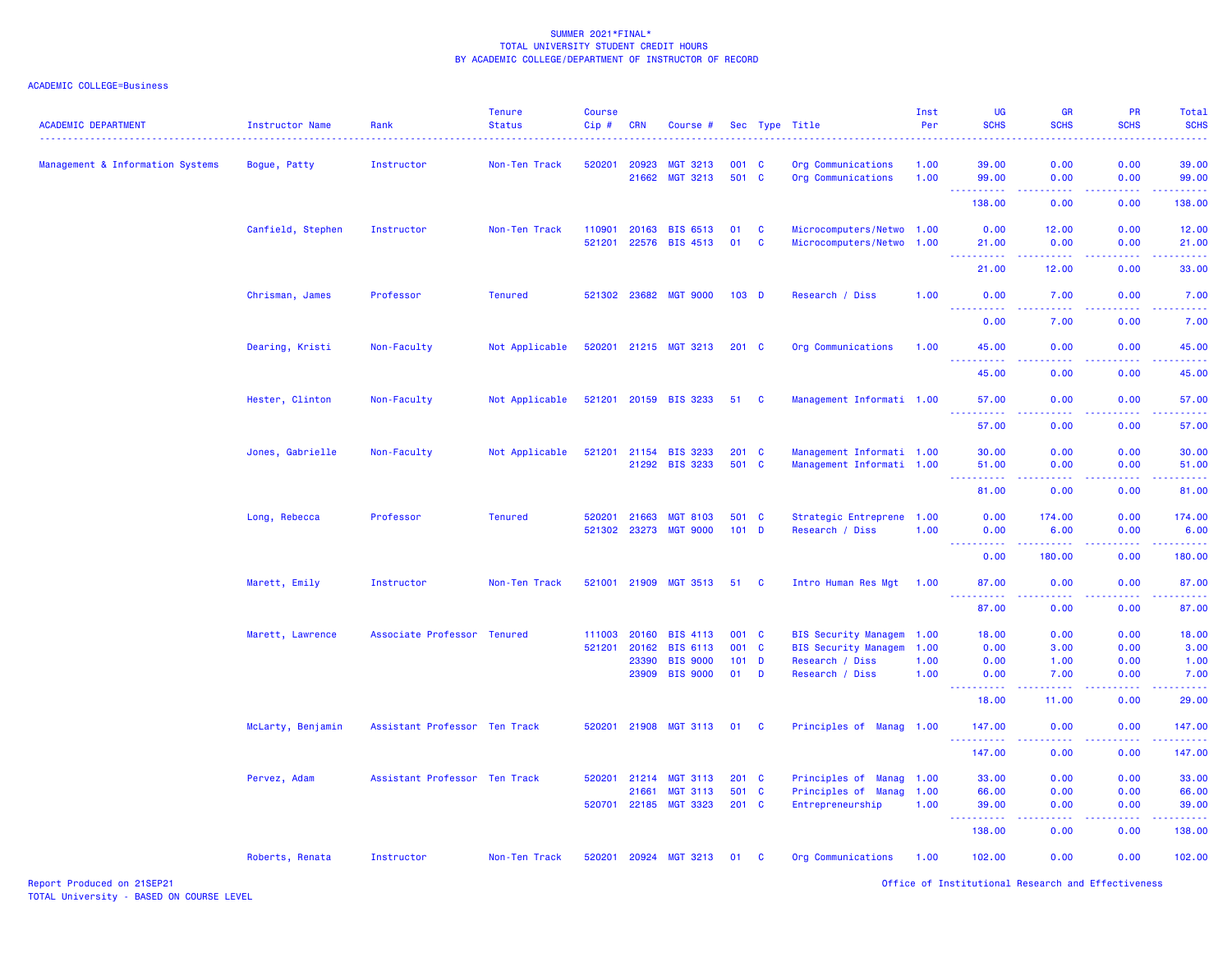| <b>ACADEMIC DEPARTMENT</b>       | <b>Instructor Name</b> | Rank<br>.                     | <b>Tenure</b><br><b>Status</b> | <b>Course</b><br>Cip# | <b>CRN</b>     | Course #                           |                  |              | Sec Type Title                                                 | Inst<br>Per  | <b>UG</b><br><b>SCHS</b>                                                                                      | <b>GR</b><br><b>SCHS</b>                                                                                                                                     | <b>PR</b><br><b>SCHS</b>                                                                                                          | Total<br><b>SCHS</b><br>$\frac{1}{2} \left( \frac{1}{2} \right) \left( \frac{1}{2} \right) \left( \frac{1}{2} \right) \left( \frac{1}{2} \right)$ |
|----------------------------------|------------------------|-------------------------------|--------------------------------|-----------------------|----------------|------------------------------------|------------------|--------------|----------------------------------------------------------------|--------------|---------------------------------------------------------------------------------------------------------------|--------------------------------------------------------------------------------------------------------------------------------------------------------------|-----------------------------------------------------------------------------------------------------------------------------------|---------------------------------------------------------------------------------------------------------------------------------------------------|
| Management & Information Systems | Bogue, Patty           | Instructor                    | Non-Ten Track                  | 520201                | 20923          | <b>MGT 3213</b>                    | 001 C            |              | Org Communications                                             | 1.00         | 39.00                                                                                                         | 0.00                                                                                                                                                         | 0.00                                                                                                                              | 39.00                                                                                                                                             |
|                                  |                        |                               |                                |                       | 21662          | <b>MGT 3213</b>                    | 501 C            |              | Org Communications                                             | 1.00         | 99.00<br>.                                                                                                    | 0.00<br>$- - - -$                                                                                                                                            | 0.00<br>$\frac{1}{2} \left( \frac{1}{2} \right) \left( \frac{1}{2} \right) \left( \frac{1}{2} \right) \left( \frac{1}{2} \right)$ | 99.00<br>.                                                                                                                                        |
|                                  |                        |                               |                                |                       |                |                                    |                  |              |                                                                |              | 138.00                                                                                                        | 0.00                                                                                                                                                         | 0.00                                                                                                                              | 138.00                                                                                                                                            |
|                                  | Canfield, Stephen      | Instructor                    | Non-Ten Track                  | 110901                | 20163          | <b>BIS 6513</b>                    | 01               | C            | Microcomputers/Netwo 1.00                                      |              | 0.00                                                                                                          | 12.00                                                                                                                                                        | 0.00                                                                                                                              | 12.00                                                                                                                                             |
|                                  |                        |                               |                                | 521201                | 22576          | <b>BIS 4513</b>                    | 01               | $\mathbf c$  | Microcomputers/Netwo 1.00                                      |              | 21.00<br>المستملة                                                                                             | 0.00<br>.                                                                                                                                                    | 0.00<br>$\sim$ $\sim$ $\sim$ $\sim$                                                                                               | 21.00<br>والمحاميات                                                                                                                               |
|                                  |                        |                               |                                |                       |                |                                    |                  |              |                                                                |              | 21.00                                                                                                         | 12.00                                                                                                                                                        | 0.00                                                                                                                              | 33.00                                                                                                                                             |
|                                  | Chrisman, James        | Professor                     | <b>Tenured</b>                 |                       |                | 521302 23682 MGT 9000              | 103 <sub>D</sub> |              | Research / Diss                                                | 1.00         | 0.00<br>.                                                                                                     | 7.00<br>$\frac{1}{2} \left( \frac{1}{2} \right) \left( \frac{1}{2} \right) \left( \frac{1}{2} \right)$                                                       | 0.00<br>المالمات                                                                                                                  | 7.00<br>$\frac{1}{2} \left( \frac{1}{2} \right) \left( \frac{1}{2} \right) \left( \frac{1}{2} \right) \left( \frac{1}{2} \right)$                 |
|                                  |                        |                               |                                |                       |                |                                    |                  |              |                                                                |              | 0.00                                                                                                          | 7.00                                                                                                                                                         | 0.00                                                                                                                              | 7.00                                                                                                                                              |
|                                  | Dearing, Kristi        | Non-Faculty                   | Not Applicable                 | 520201                |                | 21215 MGT 3213                     | $201$ C          |              | Org Communications                                             | 1.00         | 45.00<br>$\sim$ $\sim$ $\sim$ $\sim$                                                                          | 0.00<br>د د د د                                                                                                                                              | 0.00<br>.                                                                                                                         | 45.00<br>.                                                                                                                                        |
|                                  |                        |                               |                                |                       |                |                                    |                  |              |                                                                |              | 45.00                                                                                                         | 0.00                                                                                                                                                         | 0.00                                                                                                                              | 45.00                                                                                                                                             |
|                                  | Hester, Clinton        | Non-Faculty                   | Not Applicable                 |                       |                | 521201 20159 BIS 3233              | 51 C             |              | Management Informati 1.00                                      |              | 57.00                                                                                                         | 0.00                                                                                                                                                         | 0.00                                                                                                                              | 57.00                                                                                                                                             |
|                                  |                        |                               |                                |                       |                |                                    |                  |              |                                                                |              | 57.00                                                                                                         | .<br>0.00                                                                                                                                                    | $  -$<br>0.00                                                                                                                     | .<br>57.00                                                                                                                                        |
|                                  | Jones, Gabrielle       | Non-Faculty                   | Not Applicable                 | 521201                |                | 21154 BIS 3233                     | $201 \quad C$    |              | Management Informati 1.00                                      |              | 30.00                                                                                                         | 0.00                                                                                                                                                         | 0.00                                                                                                                              | 30.00                                                                                                                                             |
|                                  |                        |                               |                                |                       |                | 21292 BIS 3233                     | 501 C            |              | Management Informati 1.00                                      |              | 51.00<br>.                                                                                                    | 0.00<br>$\omega$ is $\omega$ in                                                                                                                              | 0.00                                                                                                                              | 51.00<br>.                                                                                                                                        |
|                                  |                        |                               |                                |                       |                |                                    |                  |              |                                                                |              | 81.00                                                                                                         | 0.00                                                                                                                                                         | 0.00                                                                                                                              | 81.00                                                                                                                                             |
|                                  | Long, Rebecca          | Professor                     | <b>Tenured</b>                 | 520201                | 21663          | <b>MGT 8103</b>                    | 501 C            |              | Strategic Entreprene 1.00                                      |              | 0.00                                                                                                          | 174.00                                                                                                                                                       | 0.00                                                                                                                              | 174.00                                                                                                                                            |
|                                  |                        |                               |                                | 521302 23273          |                | <b>MGT 9000</b>                    | $101$ D          |              | Research / Diss                                                | 1.00         | 0.00<br>.                                                                                                     | 6.00<br>$\frac{1}{2} \left( \frac{1}{2} \right) \left( \frac{1}{2} \right) \left( \frac{1}{2} \right) \left( \frac{1}{2} \right) \left( \frac{1}{2} \right)$ | 0.00<br>.                                                                                                                         | 6.00<br>.                                                                                                                                         |
|                                  |                        |                               |                                |                       |                |                                    |                  |              |                                                                |              | 0.00                                                                                                          | 180.00                                                                                                                                                       | 0.00                                                                                                                              | 180.00                                                                                                                                            |
|                                  | Marett, Emily          | Instructor                    | Non-Ten Track                  |                       |                | 521001 21909 MGT 3513              | 51 C             |              | Intro Human Res Mgt 1.00                                       |              | 87.00<br>.                                                                                                    | 0.00<br>د د د د                                                                                                                                              | 0.00<br>22222                                                                                                                     | 87.00<br>.                                                                                                                                        |
|                                  |                        |                               |                                |                       |                |                                    |                  |              |                                                                |              | 87.00                                                                                                         | 0.00                                                                                                                                                         | 0.00                                                                                                                              | 87.00                                                                                                                                             |
|                                  | Marett, Lawrence       | Associate Professor Tenured   |                                | 111003                | 20160          | <b>BIS 4113</b>                    | 001 C            |              | BIS Security Managem 1.00                                      |              | 18.00                                                                                                         | 0.00                                                                                                                                                         | 0.00                                                                                                                              | 18.00                                                                                                                                             |
|                                  |                        |                               |                                | 521201                | 20162          | <b>BIS 6113</b>                    | 001              | $\mathbf{C}$ | <b>BIS Security Managem</b>                                    | 1.00         | 0.00                                                                                                          | 3.00                                                                                                                                                         | 0.00                                                                                                                              | 3.00                                                                                                                                              |
|                                  |                        |                               |                                |                       | 23390<br>23909 | <b>BIS 9000</b><br><b>BIS 9000</b> | $101$ D<br>01    | D            | Research / Diss<br>Research / Diss                             | 1.00<br>1.00 | 0.00<br>0.00                                                                                                  | 1.00<br>7.00                                                                                                                                                 | 0.00<br>0.00                                                                                                                      | 1.00<br>7.00                                                                                                                                      |
|                                  |                        |                               |                                |                       |                |                                    |                  |              |                                                                |              | 18,00                                                                                                         | 11.00                                                                                                                                                        | 0.00                                                                                                                              | 29.00                                                                                                                                             |
|                                  | McLarty, Benjamin      | Assistant Professor Ten Track |                                |                       |                | 520201 21908 MGT 3113              | 01 C             |              | Principles of Manag 1.00                                       |              | 147.00                                                                                                        | 0.00                                                                                                                                                         | 0.00                                                                                                                              | 147.00                                                                                                                                            |
|                                  |                        |                               |                                |                       |                |                                    |                  |              |                                                                |              | $\sim$ $\sim$ $\sim$<br>.<br>147.00                                                                           | .<br>0.00                                                                                                                                                    | -----<br>0.00                                                                                                                     | <u>.</u><br>147.00                                                                                                                                |
|                                  |                        |                               |                                |                       |                |                                    |                  |              |                                                                |              |                                                                                                               |                                                                                                                                                              |                                                                                                                                   |                                                                                                                                                   |
|                                  | Pervez, Adam           | Assistant Professor Ten Track |                                | 520201                | 21661          | 21214 MGT 3113<br><b>MGT 3113</b>  | $201$ C<br>501   | $\mathbf{C}$ | Principles of Manag 1.00<br>Principles of<br><b>Manag</b> 1.00 |              | 33.00<br>66.00                                                                                                | 0.00<br>0.00                                                                                                                                                 | 0.00<br>0.00                                                                                                                      | 33.00<br>66.00                                                                                                                                    |
|                                  |                        |                               |                                | 520701                | 22185          | <b>MGT 3323</b>                    | 201 C            |              | Entrepreneurship                                               | 1.00         | 39.00                                                                                                         | 0.00                                                                                                                                                         | 0.00                                                                                                                              | 39.00                                                                                                                                             |
|                                  |                        |                               |                                |                       |                |                                    |                  |              |                                                                |              | .<br>$\frac{1}{2} \left( \frac{1}{2} \right) \left( \frac{1}{2} \right) \left( \frac{1}{2} \right)$<br>138.00 | $\sim$ $\sim$ $\sim$ $\sim$<br>0.00                                                                                                                          | .<br>0.00                                                                                                                         | 22222)<br>138.00                                                                                                                                  |
|                                  | Roberts, Renata        | Instructor                    | Non-Ten Track                  | 520201                | 20924          | <b>MGT 3213</b>                    | 01               | - C          | Org Communications                                             | 1.00         | 102.00                                                                                                        | 0.00                                                                                                                                                         | 0.00                                                                                                                              | 102.00                                                                                                                                            |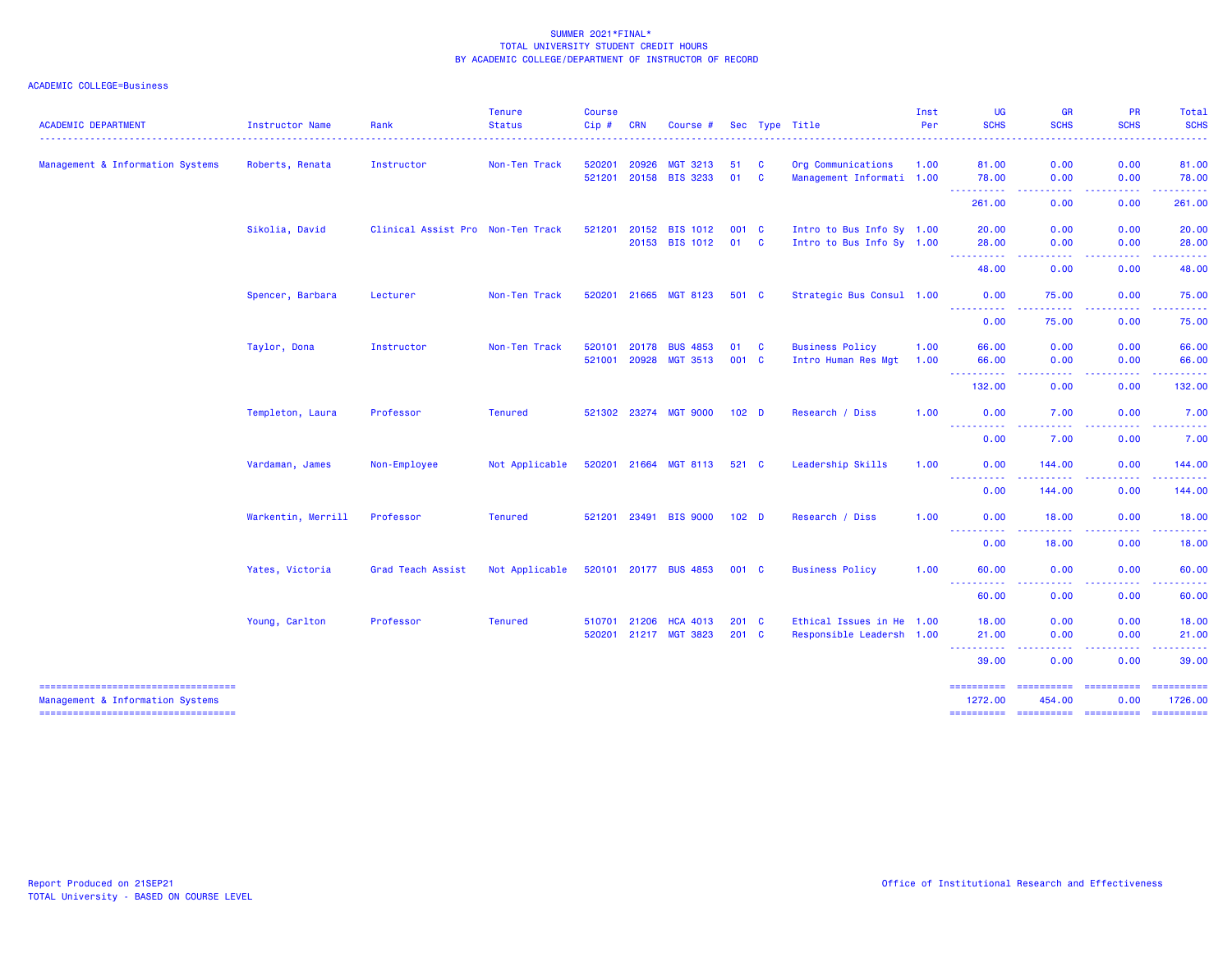| <b>ACADEMIC DEPARTMENT</b>                                                | Instructor Name    | Rank                              | <b>Tenure</b><br><b>Status</b> | <b>Course</b><br>Cip # | <b>CRN</b>   | Course #              |                  |              | Sec Type Title            | Inst<br>Per | <b>UG</b><br><b>SCHS</b>         | <b>GR</b><br><b>SCHS</b>               | PR<br><b>SCHS</b>                   | Total<br><b>SCHS</b>                                                                                                              |
|---------------------------------------------------------------------------|--------------------|-----------------------------------|--------------------------------|------------------------|--------------|-----------------------|------------------|--------------|---------------------------|-------------|----------------------------------|----------------------------------------|-------------------------------------|-----------------------------------------------------------------------------------------------------------------------------------|
|                                                                           |                    |                                   |                                |                        |              |                       |                  |              |                           |             |                                  |                                        |                                     |                                                                                                                                   |
| Management & Information Systems                                          | Roberts, Renata    | Instructor                        | Non-Ten Track                  | 520201                 | 20926        | <b>MGT 3213</b>       | 51               | <b>C</b>     | Org Communications        | 1.00        | 81.00                            | 0.00                                   | 0.00                                | 81.00                                                                                                                             |
|                                                                           |                    |                                   |                                | 521201                 |              | 20158 BIS 3233        | 01               | <b>C</b>     | Management Informati 1.00 |             | 78.00<br><b></b>                 | 0.00<br>----                           | 0.00<br>.                           | 78.00<br>.                                                                                                                        |
|                                                                           |                    |                                   |                                |                        |              |                       |                  |              |                           |             | 261.00                           | 0.00                                   | 0.00                                | 261.00                                                                                                                            |
|                                                                           | Sikolia, David     | Clinical Assist Pro Non-Ten Track |                                | 521201                 |              | 20152 BIS 1012        | 001 C            |              | Intro to Bus Info Sy 1.00 |             | 20.00                            | 0.00                                   | 0.00                                | 20.00                                                                                                                             |
|                                                                           |                    |                                   |                                |                        |              | 20153 BIS 1012        | 01               | $\mathbf{C}$ | Intro to Bus Info Sy 1.00 |             | 28.00<br>----------              | 0.00<br>.                              | 0.00<br>بالمسا                      | 28.00<br>-----                                                                                                                    |
|                                                                           |                    |                                   |                                |                        |              |                       |                  |              |                           |             | 48.00                            | 0.00                                   | 0.00                                | 48.00                                                                                                                             |
|                                                                           | Spencer, Barbara   | Lecturer                          | Non-Ten Track                  |                        | 520201 21665 | <b>MGT 8123</b>       | 501 C            |              | Strategic Bus Consul 1.00 |             | 0.00                             | 75.00                                  | 0.00                                | 75.00                                                                                                                             |
|                                                                           |                    |                                   |                                |                        |              |                       |                  |              |                           |             | ----------<br>0.00               | 75.00                                  | .<br>0.00                           | .<br>75.00                                                                                                                        |
|                                                                           | Taylor, Dona       | Instructor                        | Non-Ten Track                  | 520101                 | 20178        | <b>BUS 4853</b>       | 01               | C            | <b>Business Policy</b>    | 1.00        | 66.00                            | 0.00                                   | 0.00                                | 66.00                                                                                                                             |
|                                                                           |                    |                                   |                                | 521001                 | 20928        | <b>MGT 3513</b>       | 001 C            |              | Intro Human Res Mgt       | 1.00        | 66.00<br><b></b>                 | 0.00<br>.                              | 0.00<br>-----                       | 66.00<br>.                                                                                                                        |
|                                                                           |                    |                                   |                                |                        |              |                       |                  |              |                           |             | 132.00                           | 0.00                                   | 0.00                                | 132.00                                                                                                                            |
|                                                                           | Templeton, Laura   | Professor                         | <b>Tenured</b>                 | 521302 23274           |              | <b>MGT 9000</b>       | 102 <sub>D</sub> |              | Research / Diss           | 1.00        | 0.00<br>الماليات<br>. <u>.</u> . | 7.00                                   | 0.00                                | 7.00<br>$\frac{1}{2} \left( \frac{1}{2} \right) \left( \frac{1}{2} \right) \left( \frac{1}{2} \right) \left( \frac{1}{2} \right)$ |
|                                                                           |                    |                                   |                                |                        |              |                       |                  |              |                           |             | 0.00                             | 7.00                                   | 0.00                                | 7.00                                                                                                                              |
|                                                                           | Vardaman, James    | Non-Employee                      | Not Applicable                 | 520201 21664           |              | MGT 8113              | 521 C            |              | Leadership Skills         | 1.00        | 0.00<br>----------               | 144.00                                 | 0.00<br>$\sim$ $\sim$ $\sim$ $\sim$ | 144.00                                                                                                                            |
|                                                                           |                    |                                   |                                |                        |              |                       |                  |              |                           |             | 0.00                             | 144.00                                 | 0.00                                | 144.00                                                                                                                            |
|                                                                           | Warkentin, Merrill | Professor                         | <b>Tenured</b>                 | 521201 23491           |              | <b>BIS 9000</b>       | 102 <sub>D</sub> |              | Research / Diss           | 1.00        | 0.00                             | 18.00                                  | 0.00                                | 18.00                                                                                                                             |
|                                                                           |                    |                                   |                                |                        |              |                       |                  |              |                           |             | -----------<br>0.00              | <b><i><u><u>.</u></u></i></b><br>18.00 | .<br>0.00                           | . <u>.</u><br>18.00                                                                                                               |
|                                                                           | Yates, Victoria    | Grad Teach Assist                 | Not Applicable                 |                        |              | 520101 20177 BUS 4853 | 001 C            |              | <b>Business Policy</b>    | 1.00        | 60.00                            | 0.00                                   | 0.00                                | 60.00                                                                                                                             |
|                                                                           |                    |                                   |                                |                        |              |                       |                  |              |                           |             | 60.00                            | 0.00                                   | .<br>0.00                           | .<br>60.00                                                                                                                        |
|                                                                           | Young, Carlton     | Professor                         | <b>Tenured</b>                 | 510701                 | 21206        | <b>HCA 4013</b>       | $201 \quad C$    |              | Ethical Issues in He 1.00 |             | 18.00                            | 0.00                                   | 0.00                                | 18.00                                                                                                                             |
|                                                                           |                    |                                   |                                | 520201                 | 21217        | <b>MGT 3823</b>       | $201$ C          |              | Responsible Leadersh 1.00 |             | 21.00                            | 0.00                                   | 0.00<br>.                           | 21.00<br>.                                                                                                                        |
|                                                                           |                    |                                   |                                |                        |              |                       |                  |              |                           |             | 39.00                            | 0.00                                   | 0.00                                | 39.00                                                                                                                             |
| =====================================<br>Management & Information Systems |                    |                                   |                                |                        |              |                       |                  |              |                           |             | ==========<br>1272.00            | ==========<br>454.00                   | $=$ ==========<br>0.00              | 1726.00                                                                                                                           |
| =====================================                                     |                    |                                   |                                |                        |              |                       |                  |              |                           |             | ---------- ---------- ---------  |                                        |                                     | $\begin{array}{c} \texttt{m} = \texttt{m} = \texttt{m} = \texttt{m} = \texttt{m} \end{array}$                                     |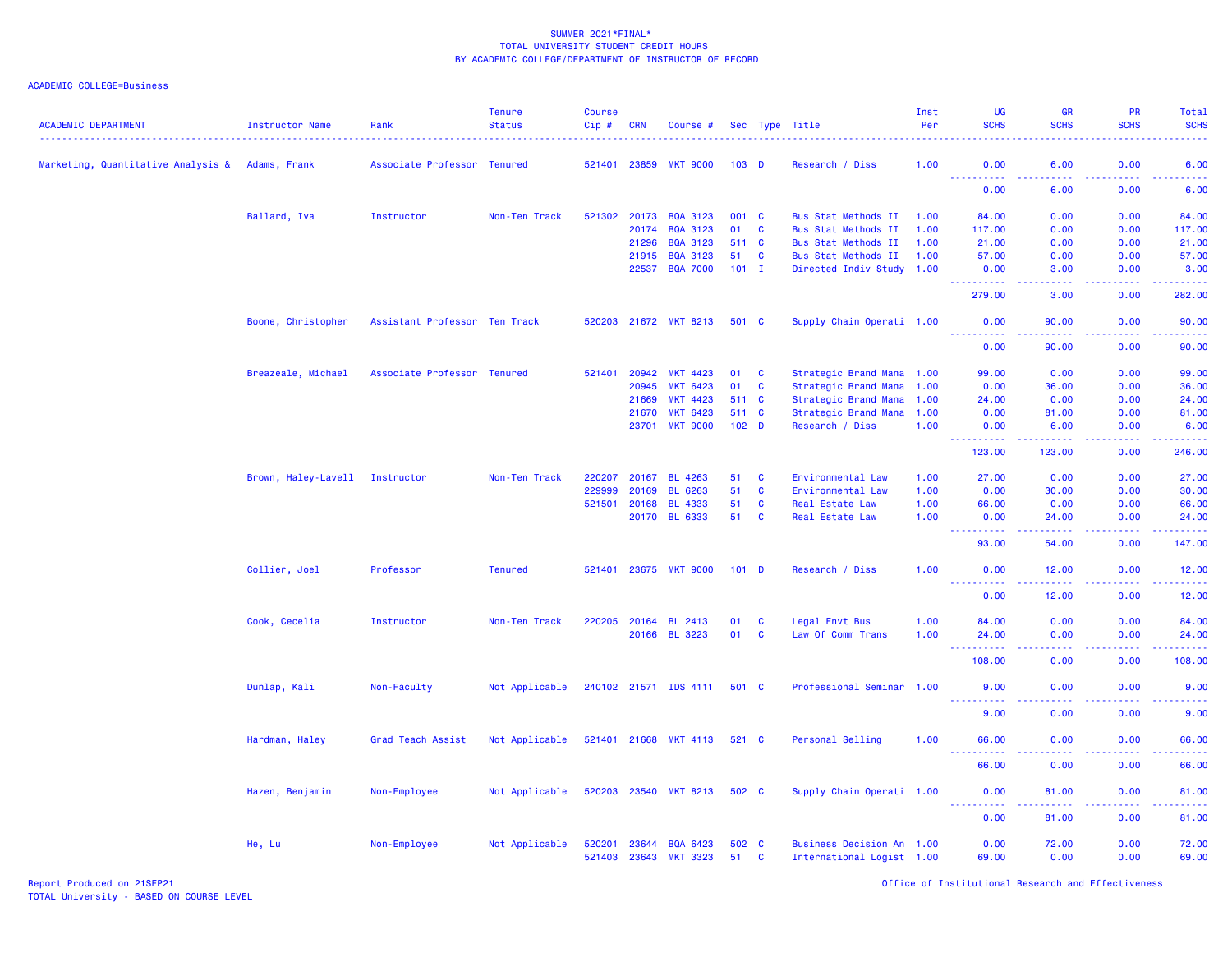| <b>ACADEMIC DEPARTMENT</b>         | Instructor Name     | Rank                          | <b>Tenure</b><br><b>Status</b> | <b>Course</b><br>$Cip \#$ | <b>CRN</b> | Course #              |                  |              | Sec Type Title             | Inst<br>Per | <b>UG</b><br><b>SCHS</b>                                                                                                                                                                                                                 | GR<br><b>SCHS</b>                   | PR<br><b>SCHS</b>            | Total<br><b>SCHS</b><br>$\omega$ is $\omega$ in .                                                                                   |
|------------------------------------|---------------------|-------------------------------|--------------------------------|---------------------------|------------|-----------------------|------------------|--------------|----------------------------|-------------|------------------------------------------------------------------------------------------------------------------------------------------------------------------------------------------------------------------------------------------|-------------------------------------|------------------------------|-------------------------------------------------------------------------------------------------------------------------------------|
| Marketing, Quantitative Analysis & | Adams, Frank        | Associate Professor Tenured   |                                | 521401 23859              |            | <b>MKT 9000</b>       | 103 <sub>D</sub> |              | Research / Diss            | 1.00        | 0.00                                                                                                                                                                                                                                     | 6.00                                | 0.00                         | 6.00                                                                                                                                |
|                                    |                     |                               |                                |                           |            |                       |                  |              |                            |             | $\frac{1}{2} \left( \frac{1}{2} \right) \left( \frac{1}{2} \right) \left( \frac{1}{2} \right) \left( \frac{1}{2} \right) \left( \frac{1}{2} \right)$<br>0.00                                                                             | 6.00                                | 0.00                         | <b>.</b> .<br>6.00                                                                                                                  |
|                                    | Ballard, Iva        | Instructor                    | Non-Ten Track                  | 521302                    | 20173      | <b>BQA 3123</b>       | 001 C            |              | <b>Bus Stat Methods II</b> | 1.00        | 84.00                                                                                                                                                                                                                                    | 0.00                                | 0.00                         | 84.00                                                                                                                               |
|                                    |                     |                               |                                |                           | 20174      | <b>BQA 3123</b>       | 01               | $\mathbf{C}$ | <b>Bus Stat Methods II</b> | 1.00        | 117.00                                                                                                                                                                                                                                   | 0.00                                | 0.00                         | 117.00                                                                                                                              |
|                                    |                     |                               |                                |                           | 21296      | <b>BQA 3123</b>       | 511 C            |              | <b>Bus Stat Methods II</b> | 1.00        | 21.00                                                                                                                                                                                                                                    | 0.00                                | 0.00                         | 21.00                                                                                                                               |
|                                    |                     |                               |                                |                           | 21915      | <b>BQA 3123</b>       | 51               | $\mathbf{C}$ | Bus Stat Methods II        | 1.00        | 57.00                                                                                                                                                                                                                                    | 0.00                                | 0.00                         | 57.00                                                                                                                               |
|                                    |                     |                               |                                |                           | 22537      | <b>BQA 7000</b>       | $101$ I          |              | Directed Indiv Study 1.00  |             | 0.00<br><u> - - - - - - - - - -</u>                                                                                                                                                                                                      | 3.00<br>.                           | 0.00<br>.                    | 3.00<br>$\begin{array}{cccccccccc} \bullet & \bullet & \bullet & \bullet & \bullet & \bullet & \bullet & \bullet \end{array}$       |
|                                    |                     |                               |                                |                           |            |                       |                  |              |                            |             | 279.00                                                                                                                                                                                                                                   | 3.00                                | 0.00                         | 282.00                                                                                                                              |
|                                    | Boone, Christopher  | Assistant Professor Ten Track |                                |                           |            | 520203 21672 MKT 8213 | 501 C            |              | Supply Chain Operati 1.00  |             | 0.00                                                                                                                                                                                                                                     | 90.00                               | 0.00                         | 90.00                                                                                                                               |
|                                    |                     |                               |                                |                           |            |                       |                  |              |                            |             | 0.00                                                                                                                                                                                                                                     | 90.00                               | 0.00                         | 90.00                                                                                                                               |
|                                    | Breazeale, Michael  | Associate Professor Tenured   |                                | 521401                    | 20942      | <b>MKT 4423</b>       | 01               | C            | Strategic Brand Mana 1.00  |             | 99.00                                                                                                                                                                                                                                    | 0.00                                | 0.00                         | 99.00                                                                                                                               |
|                                    |                     |                               |                                |                           | 20945      | <b>MKT 6423</b>       | 01               | $\mathbf{C}$ | Strategic Brand Mana 1.00  |             | 0.00                                                                                                                                                                                                                                     | 36.00                               | 0.00                         | 36.00                                                                                                                               |
|                                    |                     |                               |                                |                           | 21669      | <b>MKT 4423</b>       | 511 C            |              | Strategic Brand Mana 1.00  |             | 24.00                                                                                                                                                                                                                                    | 0.00                                | 0.00                         | 24.00                                                                                                                               |
|                                    |                     |                               |                                |                           | 21670      | <b>MKT 6423</b>       | 511 C            |              | Strategic Brand Mana       | 1.00        | 0.00                                                                                                                                                                                                                                     | 81.00                               | 0.00                         | 81.00                                                                                                                               |
|                                    |                     |                               |                                |                           | 23701      | <b>MKT 9000</b>       | 102 <sub>D</sub> |              | Research / Diss            | 1.00        | 0.00                                                                                                                                                                                                                                     | 6.00                                | 0.00                         | 6.00                                                                                                                                |
|                                    |                     |                               |                                |                           |            |                       |                  |              |                            |             | <u>.</u><br>123.00                                                                                                                                                                                                                       | .<br>123.00                         | .<br>0.00                    | .<br>246.00                                                                                                                         |
|                                    | Brown, Haley-Lavell | Instructor                    | Non-Ten Track                  | 220207                    | 20167      | <b>BL 4263</b>        | 51               | $\mathbf{C}$ | Environmental Law          | 1.00        | 27.00                                                                                                                                                                                                                                    | 0.00                                | 0.00                         | 27.00                                                                                                                               |
|                                    |                     |                               |                                | 229999                    | 20169      | <b>BL</b><br>6263     | 51               | $\mathbf{C}$ | Environmental Law          | 1.00        | 0.00                                                                                                                                                                                                                                     | 30.00                               | 0.00                         | 30.00                                                                                                                               |
|                                    |                     |                               |                                | 521501                    | 20168      | <b>BL 4333</b>        | 51               | $\mathbf{C}$ | Real Estate Law            | 1.00        | 66.00                                                                                                                                                                                                                                    | 0.00                                | 0.00                         | 66.00                                                                                                                               |
|                                    |                     |                               |                                |                           | 20170      | <b>BL 6333</b>        | 51               | $\mathbf{C}$ | Real Estate Law            | 1.00        | 0.00                                                                                                                                                                                                                                     | 24.00                               | 0.00                         | 24.00                                                                                                                               |
|                                    |                     |                               |                                |                           |            |                       |                  |              |                            |             | 93.00                                                                                                                                                                                                                                    | .<br>54.00                          | $\sim$ $\sim$ $\sim$<br>0.00 | $\frac{1}{2} \left( \frac{1}{2} \right) \left( \frac{1}{2} \right) \left( \frac{1}{2} \right) \left( \frac{1}{2} \right)$<br>147.00 |
|                                    | Collier, Joel       | Professor                     | <b>Tenured</b>                 | 521401                    |            | 23675 MKT 9000        | $101$ D          |              | Research / Diss            | 1.00        | 0.00                                                                                                                                                                                                                                     | 12.00                               | 0.00                         | 12.00                                                                                                                               |
|                                    |                     |                               |                                |                           |            |                       |                  |              |                            |             | <u> - - - - - - - - - -</u><br>0.00                                                                                                                                                                                                      | .<br>12.00                          | .<br>0.00                    | .<br>12.00                                                                                                                          |
|                                    | Cook, Cecelia       | Instructor                    | Non-Ten Track                  | 220205                    | 20164      | <b>BL 2413</b>        | 01               | C            | Legal Envt Bus             | 1.00        | 84.00                                                                                                                                                                                                                                    | 0.00                                | 0.00                         | 84.00                                                                                                                               |
|                                    |                     |                               |                                |                           |            | 20166 BL 3223         | 01               | $\mathbf c$  | Law Of Comm Trans          | 1.00        | 24.00                                                                                                                                                                                                                                    | 0.00                                | 0.00                         | 24.00                                                                                                                               |
|                                    |                     |                               |                                |                           |            |                       |                  |              |                            |             | $\omega_{\rm{eff}}$ and $\omega_{\rm{eff}}$<br>$\frac{1}{2} \left( \frac{1}{2} \right) \left( \frac{1}{2} \right) \left( \frac{1}{2} \right) \left( \frac{1}{2} \right) \left( \frac{1}{2} \right) \left( \frac{1}{2} \right)$<br>108.00 | $\sim$ $\sim$ $\sim$ $\sim$<br>0.00 | 0.00                         | .<br>108.00                                                                                                                         |
|                                    |                     |                               |                                |                           |            |                       |                  |              |                            |             |                                                                                                                                                                                                                                          |                                     |                              |                                                                                                                                     |
|                                    | Dunlap, Kali        | Non-Faculty                   | Not Applicable                 |                           |            | 240102 21571 IDS 4111 | 501 C            |              | Professional Seminar 1.00  |             | 9.00<br><u>.</u>                                                                                                                                                                                                                         | 0.00<br>.                           | 0.00                         | 9.00<br><u>.</u>                                                                                                                    |
|                                    |                     |                               |                                |                           |            |                       |                  |              |                            |             | 9.00                                                                                                                                                                                                                                     | 0.00                                | 0.00                         | 9.00                                                                                                                                |
|                                    | Hardman, Haley      | Grad Teach Assist             | Not Applicable                 |                           |            | 521401 21668 MKT 4113 | 521 C            |              | Personal Selling           | 1.00        | 66.00                                                                                                                                                                                                                                    | 0.00                                | 0.00                         | 66.00                                                                                                                               |
|                                    |                     |                               |                                |                           |            |                       |                  |              |                            |             | 66.00                                                                                                                                                                                                                                    | 0.00                                | 0.00                         | 66.00                                                                                                                               |
|                                    | Hazen, Benjamin     | Non-Employee                  | Not Applicable                 | 520203                    | 23540      | <b>MKT 8213</b>       | 502 C            |              | Supply Chain Operati 1.00  |             | 0.00<br><u>.</u>                                                                                                                                                                                                                         | 81.00<br>.                          | 0.00<br>.                    | 81.00<br>.                                                                                                                          |
|                                    |                     |                               |                                |                           |            |                       |                  |              |                            |             | 0.00                                                                                                                                                                                                                                     | 81.00                               | 0.00                         | 81.00                                                                                                                               |
|                                    | He, Lu              | Non-Employee                  | Not Applicable                 | 520201                    | 23644      | <b>BQA 6423</b>       | 502 C            |              | Business Decision An 1.00  |             | 0.00                                                                                                                                                                                                                                     | 72.00                               | 0.00                         | 72.00                                                                                                                               |
|                                    |                     |                               |                                | 521403                    | 23643      | <b>MKT 3323</b>       | 51               | <b>C</b>     | International Logist 1.00  |             | 69.00                                                                                                                                                                                                                                    | 0.00                                | 0.00                         | 69.00                                                                                                                               |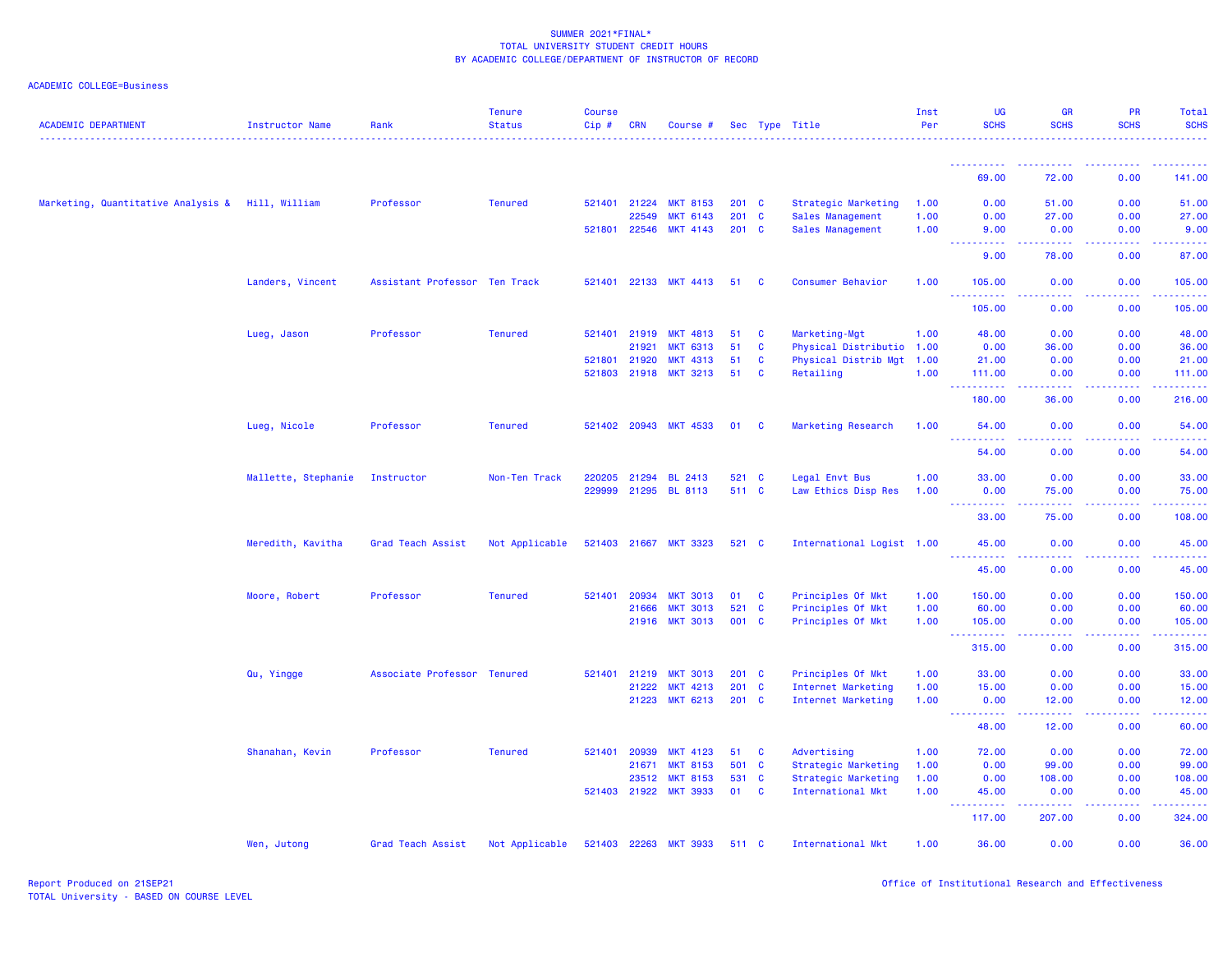| <b>ACADEMIC DEPARTMENT</b>                       | <b>Instructor Name</b> | Rank                          | <b>Tenure</b><br><b>Status</b> | <b>Course</b><br>Cip# | <b>CRN</b>   | Course #              |               |              | Sec Type Title            | Inst<br>Per | <b>UG</b><br><b>SCHS</b>                                                                                                                                     | <b>GR</b><br><b>SCHS</b>                                                                                                                                      | PR<br><b>SCHS</b> | Total<br><b>SCHS</b>                                                                                                               |
|--------------------------------------------------|------------------------|-------------------------------|--------------------------------|-----------------------|--------------|-----------------------|---------------|--------------|---------------------------|-------------|--------------------------------------------------------------------------------------------------------------------------------------------------------------|---------------------------------------------------------------------------------------------------------------------------------------------------------------|-------------------|------------------------------------------------------------------------------------------------------------------------------------|
|                                                  |                        |                               |                                |                       |              |                       |               |              |                           |             |                                                                                                                                                              |                                                                                                                                                               |                   |                                                                                                                                    |
|                                                  |                        |                               |                                |                       |              |                       |               |              |                           |             | - - - - - - - - - - -<br>69.00                                                                                                                               | 72.00                                                                                                                                                         | .<br>0.00         | 141.00                                                                                                                             |
| Marketing, Quantitative Analysis & Hill, William |                        | Professor                     | <b>Tenured</b>                 |                       | 521401 21224 | <b>MKT 8153</b>       | $201 \quad C$ |              | Strategic Marketing       | 1.00        | 0.00                                                                                                                                                         | 51.00                                                                                                                                                         | 0.00              | 51.00                                                                                                                              |
|                                                  |                        |                               |                                |                       | 22549        | <b>MKT 6143</b>       | $201$ C       |              | Sales Management          | 1.00        | 0.00                                                                                                                                                         | 27.00                                                                                                                                                         | 0.00              | 27.00                                                                                                                              |
|                                                  |                        |                               |                                |                       | 521801 22546 | <b>MKT 4143</b>       | 201 C         |              | Sales Management          | 1.00        | 9.00<br>$\sim$ $\sim$ $\sim$ $\sim$                                                                                                                          | 0.00<br>.                                                                                                                                                     | 0.00<br>المستبد   | 9.00<br>والمتمام المار                                                                                                             |
|                                                  |                        |                               |                                |                       |              |                       |               |              |                           |             | 9.00                                                                                                                                                         | 78.00                                                                                                                                                         | 0.00              | 87.00                                                                                                                              |
|                                                  | Landers, Vincent       | Assistant Professor Ten Track |                                |                       | 521401 22133 | <b>MKT 4413</b>       | 51            | $\mathbf{C}$ | Consumer Behavior         | 1.00        | 105.00<br><u>.</u>                                                                                                                                           | 0.00<br>.                                                                                                                                                     | 0.00<br>22222     | 105.00<br>2.2.2.2.2.2                                                                                                              |
|                                                  |                        |                               |                                |                       |              |                       |               |              |                           |             | 105.00                                                                                                                                                       | 0.00                                                                                                                                                          | 0.00              | 105.00                                                                                                                             |
|                                                  | Lueg, Jason            | Professor                     | <b>Tenured</b>                 |                       | 521401 21919 | <b>MKT 4813</b>       | 51            | <b>C</b>     | Marketing-Mgt             | 1.00        | 48.00                                                                                                                                                        | 0.00                                                                                                                                                          | 0.00              | 48.00                                                                                                                              |
|                                                  |                        |                               |                                |                       | 21921        | <b>MKT 6313</b>       | 51            | $\mathbf{C}$ | Physical Distributio      | 1.00        | 0.00                                                                                                                                                         | 36.00                                                                                                                                                         | 0.00              | 36.00                                                                                                                              |
|                                                  |                        |                               |                                | 521801 21920          |              | <b>MKT 4313</b>       | 51            | <b>C</b>     | Physical Distrib Mgt 1.00 |             | 21.00                                                                                                                                                        | 0.00                                                                                                                                                          | 0.00              | 21.00                                                                                                                              |
|                                                  |                        |                               |                                |                       |              | 521803 21918 MKT 3213 | 51            | <b>C</b>     | Retailing                 | 1.00        | 111.00<br>----------                                                                                                                                         | 0.00                                                                                                                                                          | 0.00<br>.         | 111.00<br>.                                                                                                                        |
|                                                  |                        |                               |                                |                       |              |                       |               |              |                           |             | 180.00                                                                                                                                                       | 36.00                                                                                                                                                         | 0.00              | 216.00                                                                                                                             |
|                                                  | Lueg, Nicole           | Professor                     | <b>Tenured</b>                 |                       |              | 521402 20943 MKT 4533 | 01            | <b>C</b>     | Marketing Research        | 1.00        | 54.00<br><u> - - - - - - - - - -</u>                                                                                                                         | 0.00                                                                                                                                                          | 0.00              | 54.00<br>$\frac{1}{2} \left( \frac{1}{2} \right) \left( \frac{1}{2} \right) \left( \frac{1}{2} \right) \left( \frac{1}{2} \right)$ |
|                                                  |                        |                               |                                |                       |              |                       |               |              |                           |             | 54.00                                                                                                                                                        | 0.00                                                                                                                                                          | 0.00              | 54.00                                                                                                                              |
|                                                  | Mallette, Stephanie    | Instructor                    | Non-Ten Track                  |                       |              | 220205 21294 BL 2413  | 521 C         |              | Legal Envt Bus            | 1.00        | 33.00                                                                                                                                                        | 0.00                                                                                                                                                          | 0.00              | 33.00                                                                                                                              |
|                                                  |                        |                               |                                |                       | 229999 21295 | <b>BL 8113</b>        | 511 C         |              | Law Ethics Disp Res       | 1.00        | 0.00                                                                                                                                                         | 75.00                                                                                                                                                         | 0.00              | 75.00                                                                                                                              |
|                                                  |                        |                               |                                |                       |              |                       |               |              |                           |             | <u> - - - - - - - - - -</u><br>33.00                                                                                                                         | $\frac{1}{2} \left( \frac{1}{2} \right) \left( \frac{1}{2} \right) \left( \frac{1}{2} \right) \left( \frac{1}{2} \right) \left( \frac{1}{2} \right)$<br>75.00 | .<br>0.00         | .<br>108.00                                                                                                                        |
|                                                  | Meredith, Kavitha      | Grad Teach Assist             | Not Applicable                 | 521403 21667          |              | <b>MKT 3323</b>       | 521 C         |              | International Logist 1.00 |             | 45.00<br><u> - - - - - - - - - -</u>                                                                                                                         | 0.00                                                                                                                                                          | 0.00              | 45.00                                                                                                                              |
|                                                  |                        |                               |                                |                       |              |                       |               |              |                           |             | 45.00                                                                                                                                                        | 0.00                                                                                                                                                          | 0.00              | 45.00                                                                                                                              |
|                                                  | Moore, Robert          | Professor                     | <b>Tenured</b>                 | 521401                | 20934        | <b>MKT 3013</b>       | 01            | <b>C</b>     | Principles Of Mkt         | 1.00        | 150.00                                                                                                                                                       | 0.00                                                                                                                                                          | 0.00              | 150.00                                                                                                                             |
|                                                  |                        |                               |                                |                       | 21666        | <b>MKT 3013</b>       | 521           | $\mathbf{C}$ | Principles Of Mkt         | 1.00        | 60.00                                                                                                                                                        | 0.00                                                                                                                                                          | 0.00              | 60.00                                                                                                                              |
|                                                  |                        |                               |                                |                       | 21916        | <b>MKT 3013</b>       | 001 C         |              | Principles Of Mkt         | 1.00        | 105.00<br>.                                                                                                                                                  | 0.00<br>د د د د                                                                                                                                               | 0.00<br>.         | 105.00<br>.                                                                                                                        |
|                                                  |                        |                               |                                |                       |              |                       |               |              |                           |             | 315.00                                                                                                                                                       | 0.00                                                                                                                                                          | 0.00              | 315.00                                                                                                                             |
|                                                  | Qu, Yingge             | Associate Professor Tenured   |                                |                       | 521401 21219 | <b>MKT 3013</b>       | $201 \quad C$ |              | Principles Of Mkt         | 1.00        | 33.00                                                                                                                                                        | 0.00                                                                                                                                                          | 0.00              | 33.00                                                                                                                              |
|                                                  |                        |                               |                                |                       | 21222        | <b>MKT 4213</b>       | 201 C         |              | Internet Marketing        | 1.00        | 15.00                                                                                                                                                        | 0.00                                                                                                                                                          | 0.00              | 15.00                                                                                                                              |
|                                                  |                        |                               |                                |                       | 21223        | <b>MKT 6213</b>       | 201 C         |              | Internet Marketing        | 1.00        | 0.00<br>$\frac{1}{2} \left( \frac{1}{2} \right) \left( \frac{1}{2} \right) \left( \frac{1}{2} \right) \left( \frac{1}{2} \right) \left( \frac{1}{2} \right)$ | 12.00<br>.                                                                                                                                                    | 0.00<br>المستبد   | 12.00<br>بالأباليات                                                                                                                |
|                                                  |                        |                               |                                |                       |              |                       |               |              |                           |             | 48.00                                                                                                                                                        | 12.00                                                                                                                                                         | 0.00              | 60.00                                                                                                                              |
|                                                  | Shanahan, Kevin        | Professor                     | <b>Tenured</b>                 | 521401                | 20939        | <b>MKT 4123</b>       | 51            | $\mathbf{C}$ | Advertising               | 1.00        | 72.00                                                                                                                                                        | 0.00                                                                                                                                                          | 0.00              | 72.00                                                                                                                              |
|                                                  |                        |                               |                                |                       | 21671        | <b>MKT 8153</b>       | 501 C         |              | Strategic Marketing       | 1.00        | 0.00                                                                                                                                                         | 99.00                                                                                                                                                         | 0.00              | 99.00                                                                                                                              |
|                                                  |                        |                               |                                |                       | 23512        | <b>MKT 8153</b>       | 531 C         |              | Strategic Marketing       | 1.00        | 0.00                                                                                                                                                         | 108.00                                                                                                                                                        | 0.00              | 108.00                                                                                                                             |
|                                                  |                        |                               |                                |                       | 521403 21922 | <b>MKT 3933</b>       | 01            | $\mathbf{C}$ | International Mkt         | 1.00        | 45.00<br>.<br>$\frac{1}{2} \left( \frac{1}{2} \right) \frac{1}{2} \left( \frac{1}{2} \right)$                                                                | 0.00<br>.                                                                                                                                                     | 0.00<br><b></b>   | 45.00<br><b><i><u><u></u></u></i></b>                                                                                              |
|                                                  |                        |                               |                                |                       |              |                       |               |              |                           |             | 117.00                                                                                                                                                       | 207.00                                                                                                                                                        | 0.00              | 324.00                                                                                                                             |
|                                                  | Wen, Jutong            | Grad Teach Assist             | Not Applicable                 |                       |              | 521403 22263 MKT 3933 | 511 C         |              | International Mkt         | 1.00        | 36.00                                                                                                                                                        | 0.00                                                                                                                                                          | 0.00              | 36.00                                                                                                                              |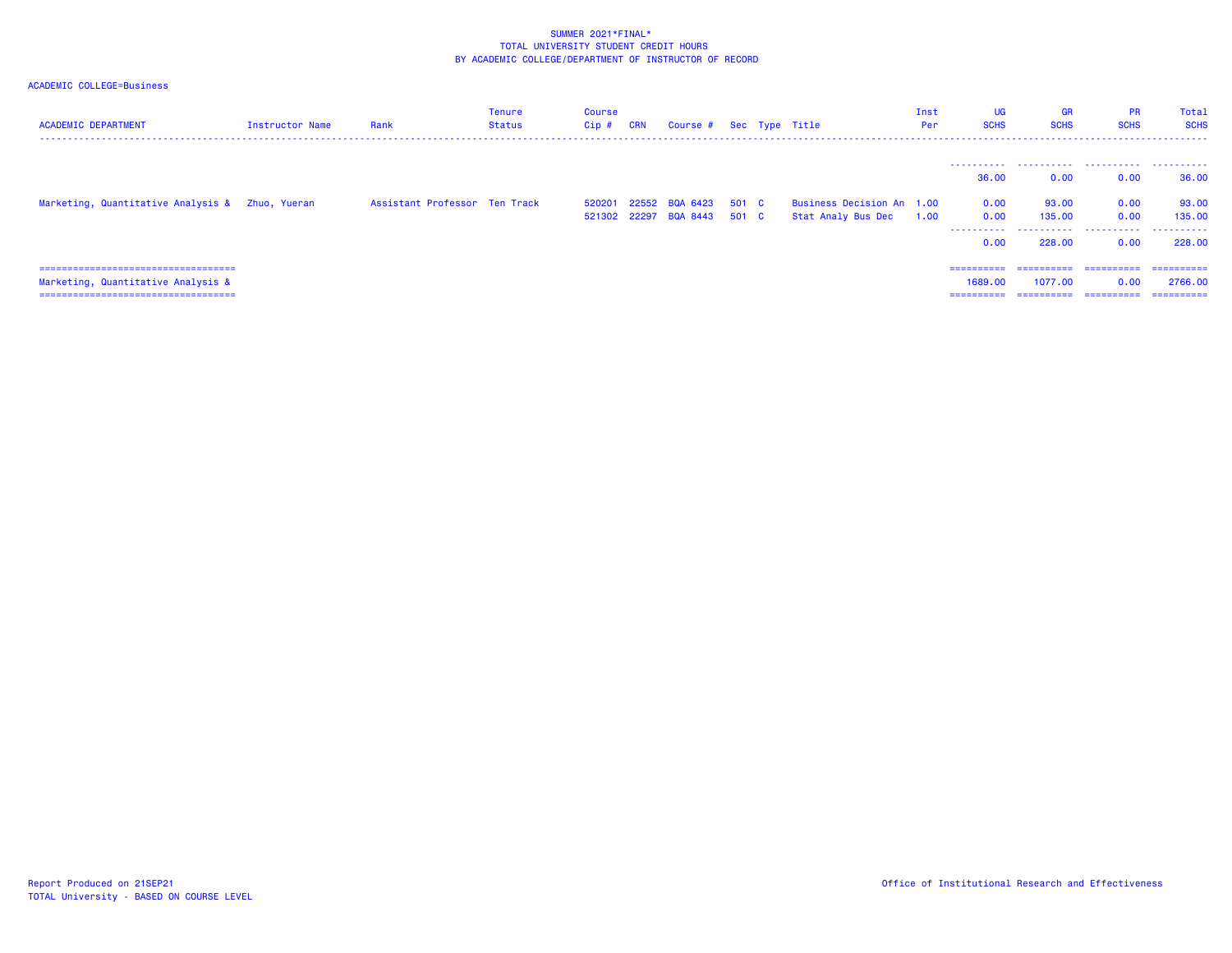| <b>ACADEMIC DEPARTMENT</b>                                                                                            | Instructor Name | Rank                          | Tenure<br>Status | Course<br>$Cip$ # | <b>CRN</b> | Course # Sec Type Title                             |  |                                                 | Inst<br>Per | <b>UG</b><br><b>SCHS</b>            | <b>GR</b><br><b>SCHS</b>            | <b>PR</b><br><b>SCHS</b><br>------------------------------------ | Total<br><b>SCHS</b>                 |
|-----------------------------------------------------------------------------------------------------------------------|-----------------|-------------------------------|------------------|-------------------|------------|-----------------------------------------------------|--|-------------------------------------------------|-------------|-------------------------------------|-------------------------------------|------------------------------------------------------------------|--------------------------------------|
|                                                                                                                       |                 |                               |                  |                   |            |                                                     |  |                                                 |             | 36,00                               | 0.00                                | 0.00                                                             | 36.00                                |
| Marketing, Quantitative Analysis & Zhuo, Yueran                                                                       |                 | Assistant Professor Ten Track |                  | 520201            |            | 22552 BQA 6423 501 C<br>521302 22297 BQA 8443 501 C |  | Business Decision An 1.00<br>Stat Analy Bus Dec | 1.00        | 0.00<br>0.00<br>.<br>0.00           | 93.00<br>135,00<br>228,00           | 0.00<br>0.00<br>0.00                                             | 93.00<br>135,00<br>228,00            |
| =====================================<br>Marketing, Quantitative Analysis &<br>====================================== |                 |                               |                  |                   |            |                                                     |  |                                                 |             | ==========<br>1689.00<br>========== | ==========<br>1077.00<br>========== | ==========<br>0.00<br>==========                                 | ==========<br>2766.00<br>----------- |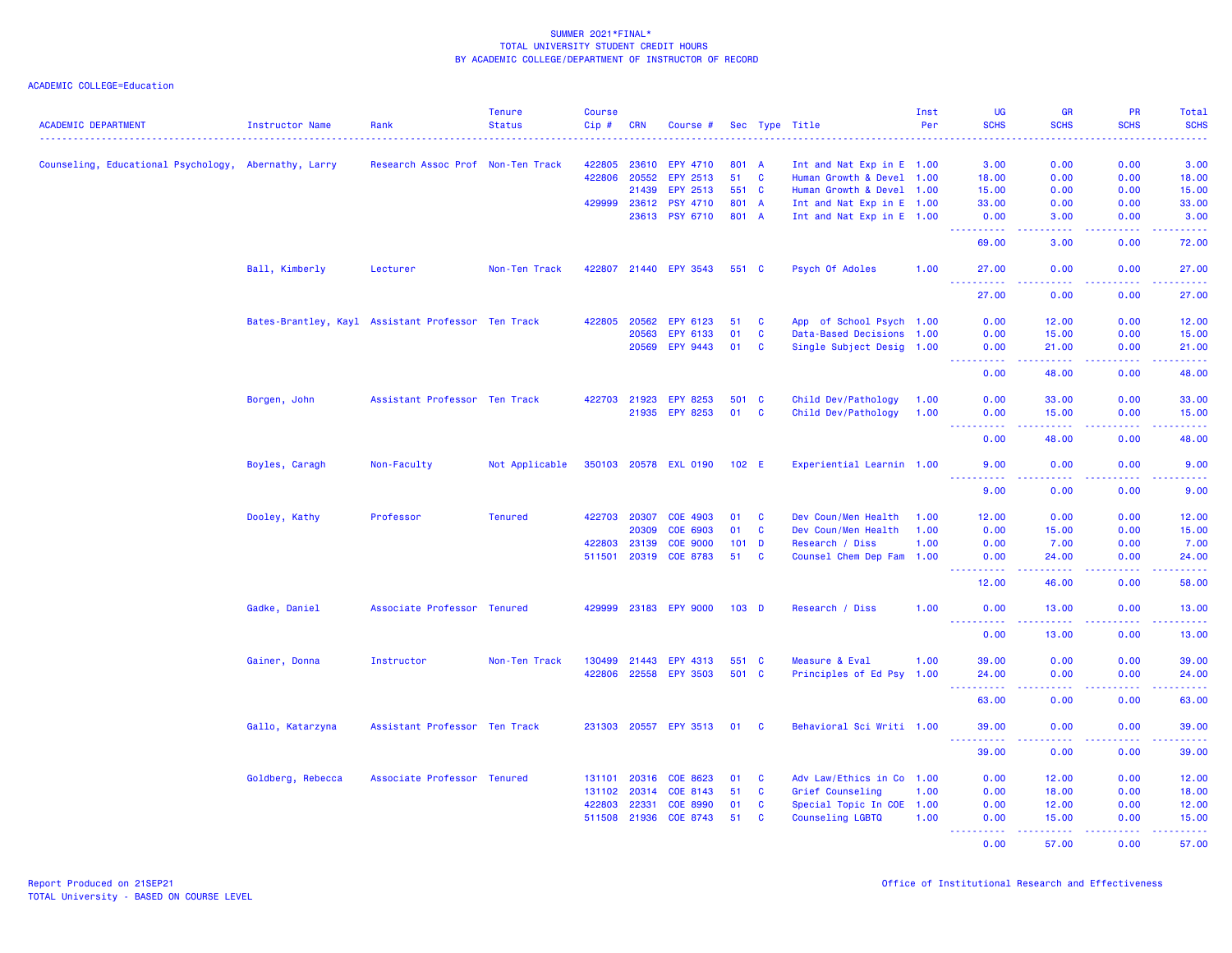|                                                      |                   |                                                    | <b>Tenure</b>  | <b>Course</b> |              |                       |                  |              |                           | Inst | <b>UG</b>                                                                                                                                                     | <b>GR</b>                                                                                              | <b>PR</b>                                                                                                                         | Total           |
|------------------------------------------------------|-------------------|----------------------------------------------------|----------------|---------------|--------------|-----------------------|------------------|--------------|---------------------------|------|---------------------------------------------------------------------------------------------------------------------------------------------------------------|--------------------------------------------------------------------------------------------------------|-----------------------------------------------------------------------------------------------------------------------------------|-----------------|
| <b>ACADEMIC DEPARTMENT</b>                           | Instructor Name   | Rank                                               | <b>Status</b>  | Cip#          | <b>CRN</b>   | Course #              |                  |              | Sec Type Title            | Per  | <b>SCHS</b>                                                                                                                                                   | <b>SCHS</b>                                                                                            | <b>SCHS</b>                                                                                                                       | <b>SCHS</b>     |
| Counseling, Educational Psychology, Abernathy, Larry |                   | Research Assoc Prof Non-Ten Track                  |                | 422805        | 23610        | EPY 4710              | 801 A            |              | Int and Nat Exp in E 1.00 |      | 3.00                                                                                                                                                          | 0.00                                                                                                   | 0.00                                                                                                                              | 3.00            |
|                                                      |                   |                                                    |                | 422806        | 20552        | EPY 2513              | 51               | $\mathbf{C}$ | Human Growth & Devel 1.00 |      | 18.00                                                                                                                                                         | 0.00                                                                                                   | 0.00                                                                                                                              | 18.00           |
|                                                      |                   |                                                    |                |               | 21439        | EPY 2513              | 551 C            |              | Human Growth & Devel 1.00 |      | 15.00                                                                                                                                                         | 0.00                                                                                                   | 0.00                                                                                                                              | 15.00           |
|                                                      |                   |                                                    |                | 429999        | 23612        | <b>PSY 4710</b>       | 801 A            |              | Int and Nat Exp in E 1.00 |      | 33,00                                                                                                                                                         | 0.00                                                                                                   | 0.00                                                                                                                              | 33.00           |
|                                                      |                   |                                                    |                |               | 23613        | <b>PSY 6710</b>       | 801 A            |              | Int and Nat Exp in E 1.00 |      | 0.00                                                                                                                                                          | 3.00                                                                                                   | 0.00                                                                                                                              | 3.00            |
|                                                      |                   |                                                    |                |               |              |                       |                  |              |                           |      | $\frac{1}{2} \left( \frac{1}{2} \right) \left( \frac{1}{2} \right) \left( \frac{1}{2} \right) \left( \frac{1}{2} \right) \left( \frac{1}{2} \right)$<br>69.00 | $\frac{1}{2} \left( \frac{1}{2} \right) \left( \frac{1}{2} \right) \left( \frac{1}{2} \right)$<br>3.00 | .<br>0.00                                                                                                                         | .<br>72.00      |
|                                                      | Ball, Kimberly    | Lecturer                                           | Non-Ten Track  |               |              | 422807 21440 EPY 3543 | 551 C            |              | Psych Of Adoles           | 1.00 | 27.00                                                                                                                                                         | 0.00                                                                                                   | 0.00                                                                                                                              | 27.00           |
|                                                      |                   |                                                    |                |               |              |                       |                  |              |                           |      | .<br>27.00                                                                                                                                                    | د د د د<br>0.00                                                                                        | 22222<br>0.00                                                                                                                     | .<br>27.00      |
|                                                      |                   | Bates-Brantley, Kayl Assistant Professor Ten Track |                | 422805        | 20562        | EPY 6123              | 51               | <b>C</b>     | App of School Psych 1.00  |      | 0.00                                                                                                                                                          | 12.00                                                                                                  | 0.00                                                                                                                              | 12.00           |
|                                                      |                   |                                                    |                |               | 20563        | EPY 6133              | 01               | $\mathbf{C}$ | Data-Based Decisions 1.00 |      | 0.00                                                                                                                                                          | 15.00                                                                                                  | 0.00                                                                                                                              | 15.00           |
|                                                      |                   |                                                    |                |               | 20569        | EPY 9443              | 01               | <b>C</b>     | Single Subject Desig 1.00 |      | 0.00                                                                                                                                                          | 21.00                                                                                                  | 0.00                                                                                                                              | 21.00           |
|                                                      |                   |                                                    |                |               |              |                       |                  |              |                           |      | $\sim 100$<br>0.00                                                                                                                                            | .<br>48.00                                                                                             | 22222<br>0.00                                                                                                                     | .<br>48.00      |
|                                                      | Borgen, John      | Assistant Professor Ten Track                      |                |               | 422703 21923 | <b>EPY 8253</b>       | 501 C            |              | Child Dev/Pathology       | 1.00 | 0.00                                                                                                                                                          | 33.00                                                                                                  | 0.00                                                                                                                              | 33.00           |
|                                                      |                   |                                                    |                |               |              | 21935 EPY 8253        | 01               | $\mathbf{C}$ | Child Dev/Pathology       | 1.00 | 0.00                                                                                                                                                          | 15.00                                                                                                  | 0.00                                                                                                                              | 15.00           |
|                                                      |                   |                                                    |                |               |              |                       |                  |              |                           |      | .<br>0.00                                                                                                                                                     | 22222<br>48.00                                                                                         | $\frac{1}{2} \left( \frac{1}{2} \right) \left( \frac{1}{2} \right) \left( \frac{1}{2} \right) \left( \frac{1}{2} \right)$<br>0.00 | .<br>48.00      |
|                                                      | Boyles, Caragh    | Non-Faculty                                        | Not Applicable |               |              | 350103 20578 EXL 0190 | 102 E            |              | Experiential Learnin 1.00 |      | 9.00                                                                                                                                                          | 0.00                                                                                                   | 0.00                                                                                                                              | 9.00            |
|                                                      |                   |                                                    |                |               |              |                       |                  |              |                           |      | $\sim 100$<br>د د د د<br>9.00                                                                                                                                 | 0.00                                                                                                   | 0.00                                                                                                                              | 9.00            |
|                                                      | Dooley, Kathy     | Professor                                          | <b>Tenured</b> |               | 422703 20307 | COE 4903              | 01               | $\mathbf{C}$ | Dev Coun/Men Health       | 1.00 | 12.00                                                                                                                                                         | 0.00                                                                                                   | 0.00                                                                                                                              | 12.00           |
|                                                      |                   |                                                    |                |               | 20309        | COE 6903              | 01               | $\mathbf{C}$ | Dev Coun/Men Health       | 1.00 | 0.00                                                                                                                                                          | 15.00                                                                                                  | 0.00                                                                                                                              | 15.00           |
|                                                      |                   |                                                    |                | 422803        | 23139        | <b>COE 9000</b>       | 101 <sub>D</sub> |              | Research / Diss           | 1.00 | 0.00                                                                                                                                                          | 7.00                                                                                                   | 0.00                                                                                                                              | 7.00            |
|                                                      |                   |                                                    |                |               |              | 511501 20319 COE 8783 | 51               | $\mathbf{C}$ | Counsel Chem Dep Fam 1.00 |      | 0.00                                                                                                                                                          | 24,00                                                                                                  | 0.00                                                                                                                              | 24.00           |
|                                                      |                   |                                                    |                |               |              |                       |                  |              |                           |      | .<br>12.00                                                                                                                                                    | .<br>46.00                                                                                             | .<br>0.00                                                                                                                         | .<br>58.00      |
|                                                      | Gadke, Daniel     | Associate Professor Tenured                        |                | 429999        |              | 23183 EPY 9000        | 103 <sub>D</sub> |              | Research / Diss           | 1.00 | 0.00                                                                                                                                                          | 13.00                                                                                                  | 0.00                                                                                                                              | 13.00           |
|                                                      |                   |                                                    |                |               |              |                       |                  |              |                           |      | $- - - - - - -$<br>0.00                                                                                                                                       | <b><i><u><u>.</u></u></i></b><br>13.00                                                                 | . <b>.</b><br>0.00                                                                                                                | .<br>13.00      |
|                                                      | Gainer, Donna     | Instructor                                         | Non-Ten Track  | 130499        | 21443        | EPY 4313              | 551 C            |              | Measure & Eval            | 1.00 | 39.00                                                                                                                                                         | 0.00                                                                                                   | 0.00                                                                                                                              | 39.00           |
|                                                      |                   |                                                    |                | 422806        | 22558        | <b>EPY 3503</b>       | 501 C            |              | Principles of Ed Psy 1.00 |      | 24.00                                                                                                                                                         | 0.00                                                                                                   | 0.00                                                                                                                              | 24.00           |
|                                                      |                   |                                                    |                |               |              |                       |                  |              |                           |      | .<br>63.00                                                                                                                                                    | .<br>0.00                                                                                              | . <b>.</b><br>0.00                                                                                                                | .<br>63.00      |
|                                                      | Gallo, Katarzyna  | Assistant Professor Ten Track                      |                |               |              | 231303 20557 EPY 3513 | 01 C             |              | Behavioral Sci Writi 1.00 |      | 39.00                                                                                                                                                         | 0.00                                                                                                   | 0.00                                                                                                                              | 39.00           |
|                                                      |                   |                                                    |                |               |              |                       |                  |              |                           |      | $\sim$ $\sim$ $\sim$ .<br>$- - - - - - -$<br>39.00                                                                                                            | .<br>0.00                                                                                              | 2.2.2.2.2<br>0.00                                                                                                                 | .<br>39.00      |
|                                                      | Goldberg, Rebecca | Associate Professor Tenured                        |                |               | 131101 20316 | COE 8623              | 01               | <b>C</b>     | Adv Law/Ethics in Co 1.00 |      | 0.00                                                                                                                                                          | 12.00                                                                                                  | 0.00                                                                                                                              | 12.00           |
|                                                      |                   |                                                    |                |               | 131102 20314 | COE 8143              | 51               | <b>C</b>     | Grief Counseling          | 1.00 | 0.00                                                                                                                                                          | 18.00                                                                                                  | 0.00                                                                                                                              | 18.00           |
|                                                      |                   |                                                    |                | 422803        | 22331        | <b>COE 8990</b>       | 01               | $\mathbf{C}$ | Special Topic In COE 1.00 |      | 0.00                                                                                                                                                          | 12.00                                                                                                  | 0.00                                                                                                                              | 12.00           |
|                                                      |                   |                                                    |                |               | 511508 21936 | COE 8743              | 51               | <b>C</b>     | Counseling LGBTQ          | 1.00 | 0.00                                                                                                                                                          | 15.00                                                                                                  | 0.00                                                                                                                              | 15.00           |
|                                                      |                   |                                                    |                |               |              |                       |                  |              |                           |      | <u>.</u><br>0.00                                                                                                                                              | .<br>57.00                                                                                             | 22222<br>0.00                                                                                                                     | ------<br>57.00 |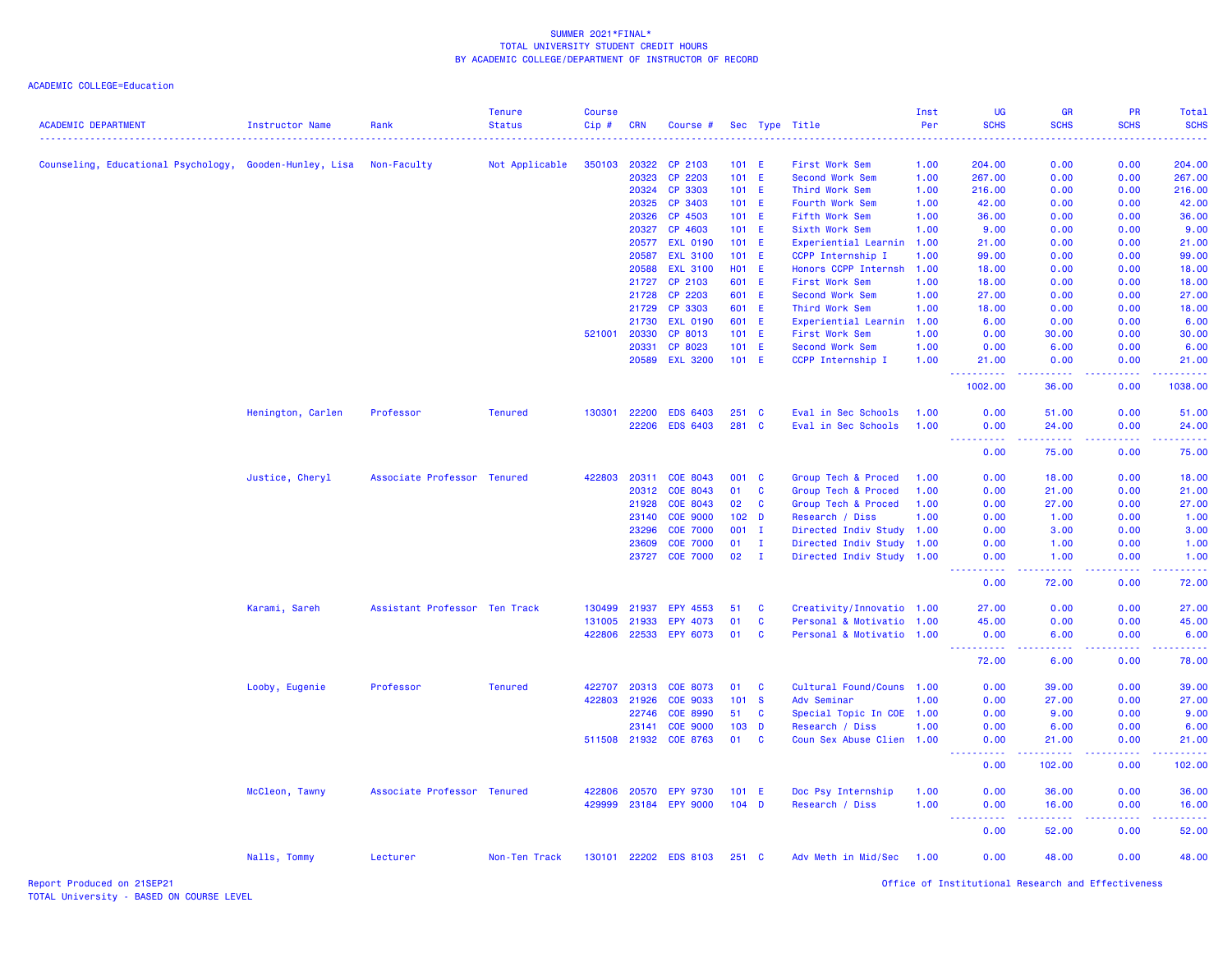| <b>ACADEMIC DEPARTMENT</b>                              | <b>Instructor Name</b> | Rank                          | <b>Tenure</b><br><b>Status</b> | <b>Course</b><br>Cip# | CRN          | Course #              |                  |              | Sec Type Title            | Inst<br>Per<br>. | UG<br><b>SCHS</b>                                                                                                   | <b>GR</b><br><b>SCHS</b> | PR<br><b>SCHS</b>                    | Total<br><b>SCHS</b><br>. |
|---------------------------------------------------------|------------------------|-------------------------------|--------------------------------|-----------------------|--------------|-----------------------|------------------|--------------|---------------------------|------------------|---------------------------------------------------------------------------------------------------------------------|--------------------------|--------------------------------------|---------------------------|
| Counseling, Educational Psychology, Gooden-Hunley, Lisa |                        | Non-Faculty                   | Not Applicable                 | 350103                | 20322        | CP 2103               | $101$ E          |              | First Work Sem            | 1.00             | 204,00                                                                                                              | 0.00                     | 0.00                                 | 204.00                    |
|                                                         |                        |                               |                                |                       | 20323        | CP 2203               | 101 E            |              | <b>Second Work Sem</b>    | 1.00             | 267.00                                                                                                              | 0.00                     | 0.00                                 | 267.00                    |
|                                                         |                        |                               |                                |                       | 20324        | CP 3303               | 101 E            |              | Third Work Sem            | 1.00             | 216.00                                                                                                              | 0.00                     | 0.00                                 | 216.00                    |
|                                                         |                        |                               |                                |                       | 20325        | CP 3403               | 101 E            |              | Fourth Work Sem           | 1.00             | 42.00                                                                                                               | 0.00                     | 0.00                                 | 42.00                     |
|                                                         |                        |                               |                                |                       | 20326        | CP 4503               | 101 E            |              | Fifth Work Sem            | 1.00             | 36.00                                                                                                               | 0.00                     | 0.00                                 | 36.00                     |
|                                                         |                        |                               |                                |                       | 20327        | CP 4603               | 101 E            |              | Sixth Work Sem            | 1.00             | 9.00                                                                                                                | 0.00                     | 0.00                                 | 9.00                      |
|                                                         |                        |                               |                                |                       | 20577        | <b>EXL 0190</b>       | 101 E            |              | Experiential Learnin      | 1.00             | 21.00                                                                                                               | 0.00                     | 0.00                                 | 21.00                     |
|                                                         |                        |                               |                                |                       | 20587        | <b>EXL 3100</b>       | 101 E            |              | CCPP Internship I         | 1.00             | 99.00                                                                                                               | 0.00                     | 0.00                                 | 99.00                     |
|                                                         |                        |                               |                                |                       | 20588        | <b>EXL 3100</b>       | H01 E            |              | Honors CCPP Internsh      | 1.00             | 18.00                                                                                                               | 0.00                     | 0.00                                 | 18.00                     |
|                                                         |                        |                               |                                |                       | 21727        | CP 2103               | 601 E            |              | First Work Sem            | 1.00             | 18.00                                                                                                               | 0.00                     | 0.00                                 | 18.00                     |
|                                                         |                        |                               |                                |                       | 21728        | CP 2203               | 601 E            |              | <b>Second Work Sem</b>    | 1.00             | 27.00                                                                                                               | 0.00                     | 0.00                                 | 27.00                     |
|                                                         |                        |                               |                                |                       | 21729        | CP 3303               | 601 E            |              | Third Work Sem            | 1.00             | 18.00                                                                                                               | 0.00                     | 0.00                                 | 18.00                     |
|                                                         |                        |                               |                                |                       | 21730        | <b>EXL 0190</b>       | 601 E            |              | Experiential Learnin      | 1.00             | 6.00                                                                                                                | 0.00                     | 0.00                                 | 6.00                      |
|                                                         |                        |                               |                                | 521001 20330          |              | CP 8013               | 101 E            |              | First Work Sem            | 1.00             | 0.00                                                                                                                | 30.00                    | 0.00                                 | 30.00                     |
|                                                         |                        |                               |                                |                       | 20331        | CP 8023               | $101$ E          |              | <b>Second Work Sem</b>    | 1.00             | 0.00                                                                                                                | 6.00                     | 0.00                                 | 6.00                      |
|                                                         |                        |                               |                                |                       | 20589        | <b>EXL 3200</b>       | 101 E            |              | CCPP Internship I         | 1.00             | 21.00                                                                                                               | 0.00                     | 0.00                                 | 21.00                     |
|                                                         |                        |                               |                                |                       |              |                       |                  |              |                           |                  | <u>.</u><br>1002.00                                                                                                 | 2222.<br>36.00           | 22222<br>0.00                        | .<br>1038.00              |
|                                                         | Henington, Carlen      | Professor                     | <b>Tenured</b>                 | 130301                | 22200        | <b>EDS 6403</b>       | 251              | <b>C</b>     | Eval in Sec Schools       | 1.00             | 0.00                                                                                                                | 51.00                    | 0.00                                 | 51.00                     |
|                                                         |                        |                               |                                |                       | 22206        | <b>EDS 6403</b>       | 281 C            |              | Eval in Sec Schools       | 1.00             | 0.00<br>$\omega$ is a $\omega$                                                                                      | 24.00<br>.               | 0.00                                 | 24.00                     |
|                                                         |                        |                               |                                |                       |              |                       |                  |              |                           |                  | 0.00                                                                                                                | 75.00                    | 0.00                                 | 75.00                     |
|                                                         | Justice, Cheryl        | Associate Professor Tenured   |                                | 422803                | 20311        | COE 8043              | 001              | $\mathbf{C}$ | Group Tech & Proced       | 1.00             | 0.00                                                                                                                | 18.00                    | 0.00                                 | 18.00                     |
|                                                         |                        |                               |                                |                       | 20312        | COE 8043              | 01               | C            | Group Tech & Proced       | 1.00             | 0.00                                                                                                                | 21.00                    | 0.00                                 | 21.00                     |
|                                                         |                        |                               |                                |                       | 21928        | COE 8043              | 02               | <b>C</b>     | Group Tech & Proced       | 1.00             | 0.00                                                                                                                | 27.00                    | 0.00                                 | 27.00                     |
|                                                         |                        |                               |                                |                       | 23140        | <b>COE 9000</b>       | 102 <sub>D</sub> |              | Research / Diss           | 1.00             | 0.00                                                                                                                | 1.00                     | 0.00                                 | 1.00                      |
|                                                         |                        |                               |                                |                       | 23296        | <b>COE 7000</b>       | $001$ I          |              | Directed Indiv Study 1.00 |                  | 0.00                                                                                                                | 3.00                     | 0.00                                 | 3.00                      |
|                                                         |                        |                               |                                |                       | 23609        | <b>COE 7000</b>       | 01               | Ι.           | Directed Indiv Study      | 1.00             | 0.00                                                                                                                | 1.00                     | 0.00                                 | 1.00                      |
|                                                         |                        |                               |                                |                       | 23727        | <b>COE 7000</b>       | 02               | $\mathbf{I}$ | Directed Indiv Study 1.00 |                  | 0.00<br><u>.</u>                                                                                                    | 1.00<br>2222.            | 0.00<br><u>.</u>                     | 1.00<br>.                 |
|                                                         |                        |                               |                                |                       |              |                       |                  |              |                           |                  | 0.00                                                                                                                | 72.00                    | 0.00                                 | 72.00                     |
|                                                         | Karami, Sareh          | Assistant Professor Ten Track |                                | 130499                | 21937        | EPY 4553              | 51               | C            | Creativity/Innovatio 1.00 |                  | 27.00                                                                                                               | 0.00                     | 0.00                                 | 27.00                     |
|                                                         |                        |                               |                                | 131005                | 21933        | EPY 4073              | 01               | C            | Personal & Motivatio      | 1.00             | 45.00                                                                                                               | 0.00                     | 0.00                                 | 45.00                     |
|                                                         |                        |                               |                                |                       | 422806 22533 | EPY 6073              | 01               | <b>C</b>     | Personal & Motivatio 1.00 |                  | 0.00<br>$\begin{array}{cccccccccc} \bullet & \bullet & \bullet & \bullet & \bullet & \bullet & \bullet \end{array}$ | 6.00<br>.                | 0.00<br>-----                        | 6.00<br>المتمامين         |
|                                                         |                        |                               |                                |                       |              |                       |                  |              |                           |                  | 72.00                                                                                                               | 6.00                     | 0.00                                 | 78.00                     |
|                                                         | Looby, Eugenie         | Professor                     | <b>Tenured</b>                 | 422707                | 20313        | COE 8073              | 01               | <b>C</b>     | Cultural Found/Couns 1.00 |                  | 0.00                                                                                                                | 39.00                    | 0.00                                 | 39.00                     |
|                                                         |                        |                               |                                | 422803                | 21926        | COE 9033              | 101              | $\mathbf{s}$ | Adv Seminar               | 1.00             | 0.00                                                                                                                | 27.00                    | 0.00                                 | 27.00                     |
|                                                         |                        |                               |                                |                       | 22746        | <b>COE 8990</b>       | 51               | <b>C</b>     | Special Topic In COE 1.00 |                  | 0.00                                                                                                                | 9.00                     | 0.00                                 | 9.00                      |
|                                                         |                        |                               |                                |                       | 23141        | <b>COE 9000</b>       | 103              | $\mathbf{D}$ | Research / Diss           | 1.00             | 0.00                                                                                                                | 6.00                     | 0.00                                 | 6.00                      |
|                                                         |                        |                               |                                |                       | 511508 21932 | COE 8763              | 01               | C            | Coun Sex Abuse Clien 1.00 |                  | 0.00                                                                                                                | 21.00                    | 0.00                                 | 21.00                     |
|                                                         |                        |                               |                                |                       |              |                       |                  |              |                           |                  | ----------                                                                                                          | .                        | <b><i><u><u> - - - -</u></u></i></b> |                           |
|                                                         |                        |                               |                                |                       |              |                       |                  |              |                           |                  | 0.00                                                                                                                | 102.00                   | 0.00                                 | 102.00                    |
|                                                         | McCleon, Tawny         | Associate Professor Tenured   |                                | 422806                | 20570        | <b>EPY 9730</b>       | 101              | - E          | Doc Psy Internship        | 1.00             | 0.00                                                                                                                | 36.00                    | 0.00                                 | 36.00                     |
|                                                         |                        |                               |                                | 429999                | 23184        | <b>EPY 9000</b>       | $104$ D          |              | Research / Diss           | 1.00             | 0.00                                                                                                                | 16.00                    | 0.00                                 | 16.00                     |
|                                                         |                        |                               |                                |                       |              |                       |                  |              |                           |                  | 0.00                                                                                                                | 52.00                    | 0.00                                 | 52.00                     |
|                                                         | Nalls, Tommy           | Lecturer                      | Non-Ten Track                  |                       |              | 130101 22202 EDS 8103 | $251\quad C$     |              | Adv Meth in Mid/Sec       | 1.00             | 0.00                                                                                                                | 48.00                    | 0.00                                 | 48.00                     |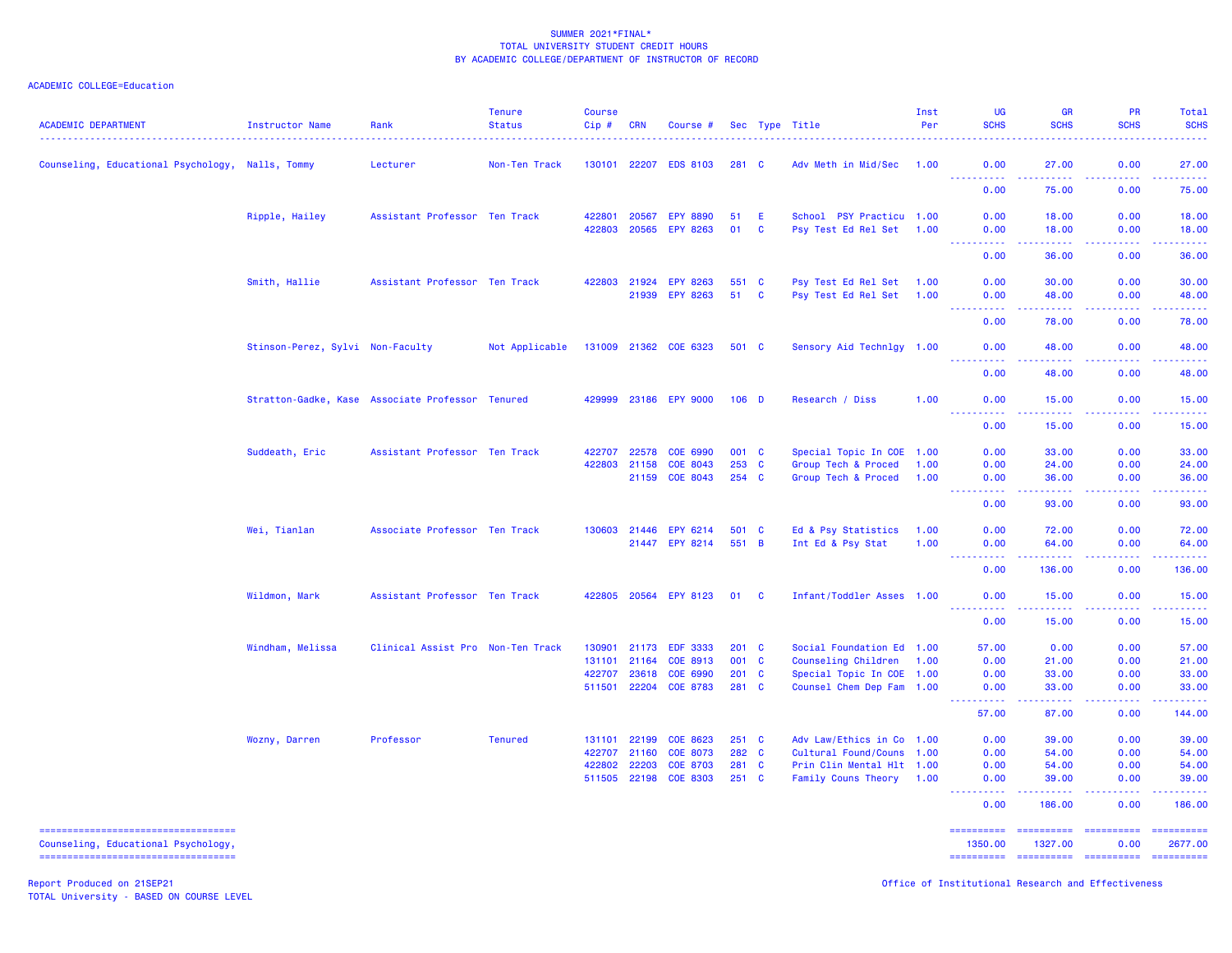# ACADEMIC COLLEGE=Education

| <b>ACADEMIC DEPARTMENT</b>                       | Instructor Name                                  | Rank                              | <b>Tenure</b><br><b>Status</b> | <b>Course</b><br>Cip# | <b>CRN</b>            | Course #                           |               |                   | Sec Type Title                                       | Inst<br>Per | UG<br><b>SCHS</b>                           | <b>GR</b><br><b>SCHS</b> | <b>PR</b><br><b>SCHS</b>                                                                                                                                     | Total<br><b>SCHS</b>                                                                                                           |
|--------------------------------------------------|--------------------------------------------------|-----------------------------------|--------------------------------|-----------------------|-----------------------|------------------------------------|---------------|-------------------|------------------------------------------------------|-------------|---------------------------------------------|--------------------------|--------------------------------------------------------------------------------------------------------------------------------------------------------------|--------------------------------------------------------------------------------------------------------------------------------|
| Counseling, Educational Psychology, Nalls, Tommy |                                                  | Lecturer                          | Non-Ten Track                  |                       |                       | 130101 22207 EDS 8103              | 281 C         |                   | Adv Meth in Mid/Sec                                  | 1.00        | 0.00                                        | 27.00                    | 0.00                                                                                                                                                         | 27.00<br>.                                                                                                                     |
|                                                  |                                                  |                                   |                                |                       |                       |                                    |               |                   |                                                      |             | <u> - - - - - - - - - -</u><br>0.00         | .<br>75.00               | 22222<br>0.00                                                                                                                                                | 75.00                                                                                                                          |
|                                                  | Ripple, Hailey                                   | Assistant Professor Ten Track     |                                | 422801<br>422803      | 20567<br>20565        | <b>EPY 8890</b><br><b>EPY 8263</b> | 51<br>01      | E<br>$\mathbf{C}$ | School PSY Practicu 1.00<br>Psy Test Ed Rel Set 1.00 |             | 0.00<br>0.00                                | 18.00<br>18.00           | 0.00<br>0.00                                                                                                                                                 | 18.00<br>18.00                                                                                                                 |
|                                                  |                                                  |                                   |                                |                       |                       |                                    |               |                   |                                                      |             | $\omega = \omega = \omega = \omega$<br>0.00 | بالأباليات<br>36.00      | .<br>0.00                                                                                                                                                    | .<br>36.00                                                                                                                     |
|                                                  | Smith, Hallie                                    | Assistant Professor Ten Track     |                                |                       | 422803 21924<br>21939 | <b>EPY 8263</b><br><b>EPY 8263</b> | 551 C<br>51   | <b>C</b>          | Psy Test Ed Rel Set 1.00<br>Psy Test Ed Rel Set 1.00 |             | 0.00<br>0.00                                | 30.00<br>48.00           | 0.00<br>0.00                                                                                                                                                 | 30.00<br>48.00                                                                                                                 |
|                                                  |                                                  |                                   |                                |                       |                       |                                    |               |                   |                                                      |             | <u> - - - - - - - - - -</u><br>0.00         | .<br>78.00               | . <b>.</b><br>0.00                                                                                                                                           | .<br>78.00                                                                                                                     |
|                                                  | Stinson-Perez, Sylvi Non-Faculty                 |                                   | Not Applicable                 |                       |                       | 131009 21362 COE 6323              | 501 C         |                   | Sensory Aid Technlgy 1.00                            |             | 0.00                                        | 48.00                    | 0.00                                                                                                                                                         | 48.00                                                                                                                          |
|                                                  |                                                  |                                   |                                |                       |                       |                                    |               |                   |                                                      |             | <u>.</u><br>0.00                            | . <u>.</u><br>48.00      | .<br>0.00                                                                                                                                                    | .<br>48.00                                                                                                                     |
|                                                  | Stratton-Gadke, Kase Associate Professor Tenured |                                   |                                | 429999                |                       | 23186 EPY 9000                     | $106$ D       |                   | Research / Diss                                      | 1.00        | 0.00<br>$\omega \equiv \omega$ .<br>.       | 15.00                    | 0.00<br>.                                                                                                                                                    | 15.00<br>.                                                                                                                     |
|                                                  |                                                  |                                   |                                |                       |                       |                                    |               |                   |                                                      |             | 0.00                                        | 15.00                    | 0.00                                                                                                                                                         | 15.00                                                                                                                          |
|                                                  | Suddeath, Eric                                   | Assistant Professor Ten Track     |                                | 422707                | 22578                 | COE 6990                           | 001 C         |                   | Special Topic In COE 1.00                            |             | 0.00                                        | 33.00                    | 0.00                                                                                                                                                         | 33,00                                                                                                                          |
|                                                  |                                                  |                                   |                                | 422803                | 21158                 | COE 8043                           | 253 C         |                   | Group Tech & Proced                                  | 1.00        | 0.00                                        | 24.00                    | 0.00                                                                                                                                                         | 24.00                                                                                                                          |
|                                                  |                                                  |                                   |                                |                       | 21159                 | <b>COE 8043</b>                    | 254 C         |                   | Group Tech & Proced                                  | 1.00        | 0.00<br>.                                   | 36.00                    | 0.00<br>ولايت                                                                                                                                                | 36.00<br>والمستناب                                                                                                             |
|                                                  |                                                  |                                   |                                |                       |                       |                                    |               |                   |                                                      |             | 0.00                                        | 93.00                    | 0.00                                                                                                                                                         | 93.00                                                                                                                          |
|                                                  | Wei, Tianlan                                     | Associate Professor Ten Track     |                                |                       |                       | 130603 21446 EPY 6214              | 501 C         |                   | Ed & Psy Statistics                                  | 1.00        | 0.00                                        | 72.00                    | 0.00                                                                                                                                                         | 72.00                                                                                                                          |
|                                                  |                                                  |                                   |                                |                       |                       | 21447 EPY 8214                     | 551 B         |                   | Int Ed & Psy Stat                                    | 1.00        | 0.00                                        | 64.00                    | 0.00                                                                                                                                                         | 64.00                                                                                                                          |
|                                                  |                                                  |                                   |                                |                       |                       |                                    |               |                   |                                                      |             | <u>.</u><br>0.00                            | .<br>136.00              | .<br>0.00                                                                                                                                                    | .<br>136.00                                                                                                                    |
|                                                  | Wildmon, Mark                                    | Assistant Professor Ten Track     |                                |                       |                       | 422805 20564 EPY 8123              | 01 C          |                   | Infant/Toddler Asses 1.00                            |             | 0.00                                        | 15.00                    | 0.00                                                                                                                                                         | 15.00                                                                                                                          |
|                                                  |                                                  |                                   |                                |                       |                       |                                    |               |                   |                                                      |             | .<br>0.00                                   | 15.00                    | .<br>0.00                                                                                                                                                    | وتوتون<br>15.00                                                                                                                |
|                                                  | Windham, Melissa                                 | Clinical Assist Pro Non-Ten Track |                                | 130901                | 21173                 | <b>EDF 3333</b>                    | $201 \quad C$ |                   | Social Foundation Ed 1.00                            |             | 57.00                                       | 0.00                     | 0.00                                                                                                                                                         | 57.00                                                                                                                          |
|                                                  |                                                  |                                   |                                | 131101 21164          |                       | COE 8913                           | 001 C         |                   | Counseling Children 1.00                             |             | 0.00                                        | 21.00                    | 0.00                                                                                                                                                         | 21.00                                                                                                                          |
|                                                  |                                                  |                                   |                                | 422707                | 23618                 | COE 6990                           | $201$ C       |                   | Special Topic In COE 1.00                            |             | 0.00                                        | 33.00                    | 0.00                                                                                                                                                         | 33.00                                                                                                                          |
|                                                  |                                                  |                                   |                                | 511501                | 22204                 | <b>COE 8783</b>                    | 281 C         |                   | Counsel Chem Dep Fam 1.00                            |             | 0.00<br>.                                   | 33.00<br>.               | 0.00<br>.                                                                                                                                                    | 33.00<br>222222                                                                                                                |
|                                                  |                                                  |                                   |                                |                       |                       |                                    |               |                   |                                                      |             | 57.00                                       | 87.00                    | 0.00                                                                                                                                                         | 144.00                                                                                                                         |
|                                                  | Wozny, Darren                                    | Professor                         | <b>Tenured</b>                 | 131101 22199          |                       | COE 8623                           | $251$ C       |                   | Adv Law/Ethics in Co 1.00                            |             | 0.00                                        | 39.00                    | 0.00                                                                                                                                                         | 39.00                                                                                                                          |
|                                                  |                                                  |                                   |                                | 422707                | 21160                 | COE 8073                           | 282 C         |                   | Cultural Found/Couns 1.00                            |             | 0.00                                        | 54.00                    | 0.00                                                                                                                                                         | 54.00                                                                                                                          |
|                                                  |                                                  |                                   |                                | 422802                | 22203                 | <b>COE 8703</b>                    | 281 C         |                   | Prin Clin Mental Hlt 1.00                            |             | 0.00                                        | 54.00                    | 0.00                                                                                                                                                         | 54.00                                                                                                                          |
|                                                  |                                                  |                                   |                                |                       |                       | 511505 22198 COE 8303              | $251$ C       |                   | Family Couns Theory 1.00                             |             | 0.00<br><u> - - - - - - - - - -</u>         | 39.00<br>.               | 0.00<br>$\frac{1}{2} \left( \frac{1}{2} \right) \left( \frac{1}{2} \right) \left( \frac{1}{2} \right) \left( \frac{1}{2} \right) \left( \frac{1}{2} \right)$ | 39.00<br>$\begin{array}{cccccccccc} \bullet & \bullet & \bullet & \bullet & \bullet & \bullet & \bullet & \bullet \end{array}$ |
|                                                  |                                                  |                                   |                                |                       |                       |                                    |               |                   |                                                      |             | 0.00                                        | 186.00                   | 0.00                                                                                                                                                         | 186.00                                                                                                                         |
| ----------------------------------               |                                                  |                                   |                                |                       |                       |                                    |               |                   |                                                      |             |                                             |                          |                                                                                                                                                              |                                                                                                                                |

Counseling, Educational Psychology, 1350.00 1327.00 0.00 2677.00

=================================== ========== ========== ========== ==========

Report Produced on 21SEP21 Office of Institutional Research and Effectiveness TOTAL University - BASED ON COURSE LEVEL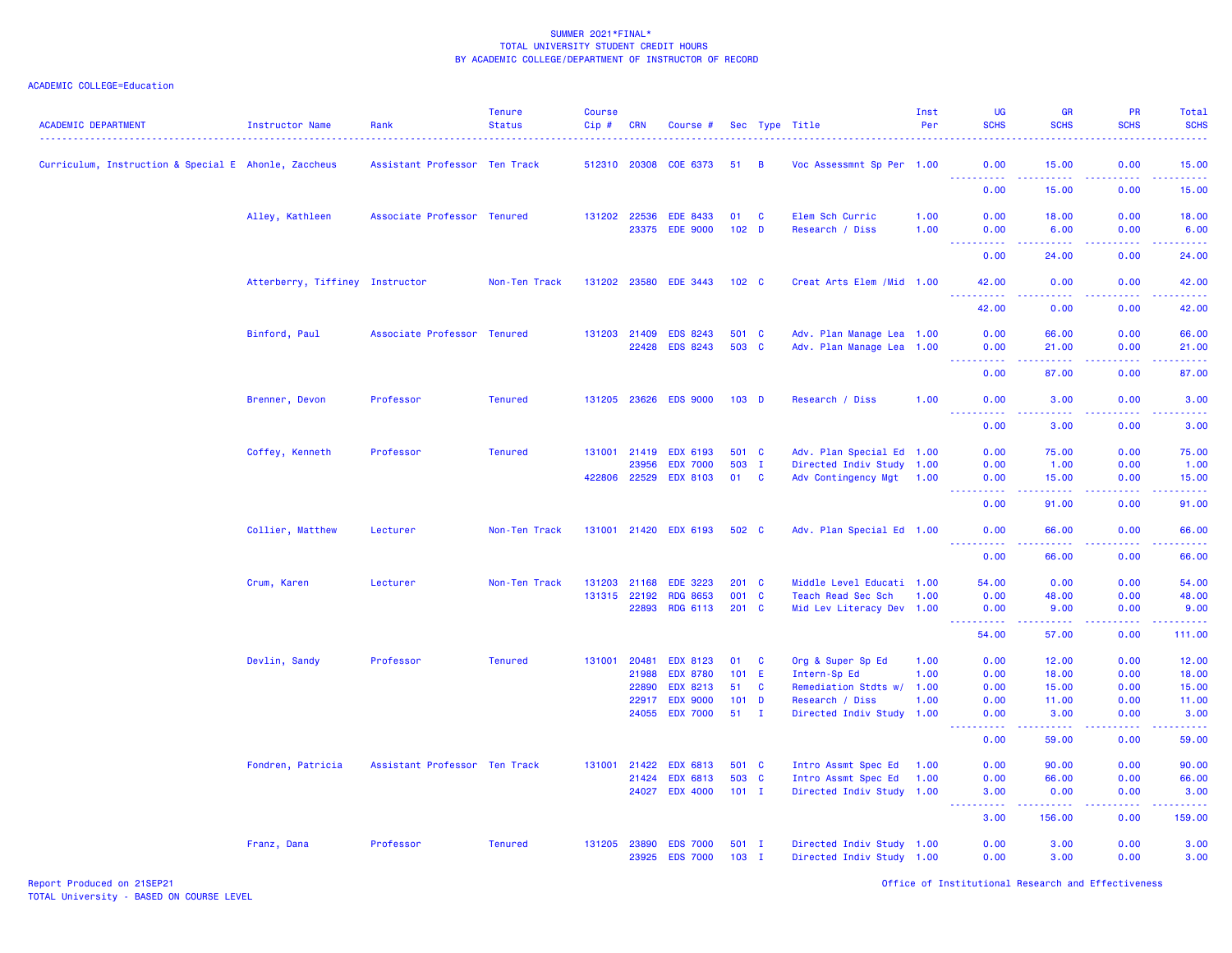| <b>ACADEMIC DEPARTMENT</b>                           | Instructor Name                 | Rank                          | <b>Tenure</b><br><b>Status</b> | <b>Course</b><br>$Cip \#$ | <b>CRN</b>            | Course #                           |                    |                | Sec Type Title                                         | Inst<br>Per  | UG<br><b>SCHS</b>                   | <b>GR</b><br><b>SCHS</b>          | <b>PR</b><br><b>SCHS</b> | Total<br><b>SCHS</b>  |
|------------------------------------------------------|---------------------------------|-------------------------------|--------------------------------|---------------------------|-----------------------|------------------------------------|--------------------|----------------|--------------------------------------------------------|--------------|-------------------------------------|-----------------------------------|--------------------------|-----------------------|
| Curriculum, Instruction & Special E Ahonle, Zaccheus |                                 | Assistant Professor Ten Track |                                | 512310 20308              |                       | COE 6373                           | 51                 | $\overline{B}$ | Voc Assessmnt Sp Per 1.00                              |              | 0.00                                | 15.00                             | 0.00<br>2.2.2.2.2        | 15.00                 |
|                                                      |                                 |                               |                                |                           |                       |                                    |                    |                |                                                        |              | <b>.</b> .<br>0.00                  | .<br>15.00                        | 0.00                     | 22222<br>15.00        |
|                                                      | Alley, Kathleen                 | Associate Professor Tenured   |                                | 131202 22536              |                       | <b>EDE 8433</b>                    | 01                 | $\mathbf{C}$   | Elem Sch Curric                                        | 1.00         | 0.00                                | 18.00                             | 0.00                     | 18.00                 |
|                                                      |                                 |                               |                                |                           | 23375                 | <b>EDE 9000</b>                    | 102 <sub>D</sub>   |                | Research / Diss                                        | 1.00         | 0.00<br><u> - - - - - - - - - -</u> | 6.00<br>$\omega$ is a $\omega$ in | 0.00<br>.                | 6.00<br>المتمامين     |
|                                                      |                                 |                               |                                |                           |                       |                                    |                    |                |                                                        |              | 0.00                                | 24.00                             | 0.00                     | 24.00                 |
|                                                      | Atterberry, Tiffiney Instructor |                               | Non-Ten Track                  | 131202 23580              |                       | <b>EDE 3443</b>                    | $102 \quad C$      |                | Creat Arts Elem / Mid 1.00                             |              | 42.00<br><b>.</b>                   | 0.00<br>22222                     | 0.00<br>. <b>.</b>       | 42.00<br>.            |
|                                                      |                                 |                               |                                |                           |                       |                                    |                    |                |                                                        |              | 42.00                               | 0.00                              | 0.00                     | 42.00                 |
|                                                      | Binford, Paul                   | Associate Professor Tenured   |                                | 131203 21409              |                       | <b>EDS 8243</b>                    | 501 C              |                | Adv. Plan Manage Lea 1.00                              |              | 0.00                                | 66.00                             | 0.00                     | 66.00                 |
|                                                      |                                 |                               |                                |                           | 22428                 | <b>EDS 8243</b>                    | 503 C              |                | Adv. Plan Manage Lea 1.00                              |              | 0.00<br>.                           | 21.00<br>.                        | 0.00<br>22222            | 21.00<br>.            |
|                                                      |                                 |                               |                                |                           |                       |                                    |                    |                |                                                        |              | 0.00                                | 87.00                             | 0.00                     | 87.00                 |
|                                                      | Brenner, Devon                  | Professor                     | <b>Tenured</b>                 | 131205 23626              |                       | <b>EDS 9000</b>                    | $103$ D            |                | Research / Diss                                        | 1.00         | 0.00<br>22222                       | 3.00<br>.                         | 0.00<br>22222            | 3.00<br>.             |
|                                                      |                                 |                               |                                |                           |                       |                                    |                    |                |                                                        |              | 0.00                                | 3.00                              | 0.00                     | 3.00                  |
|                                                      | Coffey, Kenneth                 | Professor                     | <b>Tenured</b>                 | 131001 21419              |                       | <b>EDX 6193</b>                    | 501 C              |                | Adv. Plan Special Ed 1.00                              |              | 0.00                                | 75.00                             | 0.00                     | 75.00                 |
|                                                      |                                 |                               |                                |                           | 23956<br>422806 22529 | <b>EDX 7000</b><br><b>EDX 8103</b> | 503 I<br>01 C      |                | Directed Indiv Study 1.00<br>Adv Contingency Mgt 1.00  |              | 0.00<br>0.00                        | 1.00<br>15.00                     | 0.00<br>0.00             | 1.00<br>15.00         |
|                                                      |                                 |                               |                                |                           |                       |                                    |                    |                |                                                        |              | 0.00                                | 91.00                             | 0.00                     | 91.00                 |
|                                                      | Collier, Matthew                | Lecturer                      | Non-Ten Track                  |                           |                       | 131001 21420 EDX 6193              | 502 C              |                | Adv. Plan Special Ed 1.00                              |              | 0.00                                | 66.00                             | 0.00                     | 66.00                 |
|                                                      |                                 |                               |                                |                           |                       |                                    |                    |                |                                                        |              | <u>.</u><br>0.00                    | $- - - -$<br>66.00                | 0.00                     | .<br>66.00            |
|                                                      | Crum, Karen                     | Lecturer                      | Non-Ten Track                  | 131203 21168              |                       | <b>EDE 3223</b>                    | $201 \quad C$      |                | Middle Level Educati 1.00                              |              | 54.00                               | 0.00                              | 0.00                     | 54.00                 |
|                                                      |                                 |                               |                                | 131315 22192              | 22893                 | <b>RDG 8653</b><br><b>RDG 6113</b> | 001 C<br>$201$ C   |                | Teach Read Sec Sch<br>Mid Lev Literacy Dev 1.00        | 1.00         | 0.00<br>0.00                        | 48.00<br>9.00                     | 0.00<br>0.00             | 48.00<br>9.00         |
|                                                      |                                 |                               |                                |                           |                       |                                    |                    |                |                                                        |              | <b><i><u></u></i></b><br>54.00      | المستملة<br>57.00                 | 22222<br>0.00            | د د د د د د<br>111.00 |
|                                                      |                                 |                               |                                |                           | 20481                 |                                    |                    |                |                                                        |              |                                     |                                   | 0.00                     |                       |
|                                                      | Devlin, Sandy                   | Professor                     | <b>Tenured</b>                 | 131001                    | 21988                 | <b>EDX 8123</b><br><b>EDX 8780</b> | 01<br>101 E        | <b>C</b>       | Org & Super Sp Ed<br>Intern-Sp Ed                      | 1.00<br>1.00 | 0.00<br>0.00                        | 12.00<br>18.00                    | 0.00                     | 12.00<br>18.00        |
|                                                      |                                 |                               |                                |                           | 22890                 | <b>EDX 8213</b>                    | 51                 | $\mathbf{C}$   | Remediation Stdts w/                                   | 1.00         | 0.00                                | 15.00                             | 0.00                     | 15.00                 |
|                                                      |                                 |                               |                                |                           | 22917                 | <b>EDX 9000</b>                    | $101$ D            |                | Research / Diss                                        | 1.00         | 0.00                                | 11.00                             | 0.00                     | 11.00                 |
|                                                      |                                 |                               |                                |                           | 24055                 | <b>EDX 7000</b>                    | 51                 | $\mathbf{I}$   | Directed Indiv Study 1.00                              |              | 0.00<br>$- - - - - - -$             | 3.00<br>.                         | 0.00<br>. <b>.</b>       | 3.00<br>.             |
|                                                      |                                 |                               |                                |                           |                       |                                    |                    |                |                                                        |              | 0.00                                | 59.00                             | 0.00                     | 59.00                 |
|                                                      | Fondren, Patricia               | Assistant Professor Ten Track |                                | 131001 21422              |                       | <b>EDX 6813</b>                    | 501 C              |                | Intro Assmt Spec Ed                                    | 1.00         | 0.00                                | 90.00                             | 0.00                     | 90.00                 |
|                                                      |                                 |                               |                                |                           | 21424<br>24027        | <b>EDX 6813</b><br><b>EDX 4000</b> | 503 C<br>$101$ I   |                | Intro Assmt Spec Ed<br>Directed Indiv Study 1.00       | 1.00         | 0.00<br>3.00                        | 66.00<br>0.00                     | 0.00<br>0.00             | 66.00<br>3.00         |
|                                                      |                                 |                               |                                |                           |                       |                                    |                    |                |                                                        |              | د د د د<br>3.00                     | .<br>156.00                       | المتمالي<br>0.00         | المستملة<br>159.00    |
|                                                      |                                 |                               |                                |                           |                       |                                    |                    |                |                                                        |              |                                     |                                   |                          |                       |
|                                                      | Franz, Dana                     | Professor                     | <b>Tenured</b>                 | 131205 23890              | 23925                 | <b>EDS 7000</b><br><b>EDS 7000</b> | $501$ I<br>$103$ I |                | Directed Indiv Study 1.00<br>Directed Indiv Study 1.00 |              | 0.00<br>0.00                        | 3.00<br>3.00                      | 0.00<br>0.00             | 3.00<br>3.00          |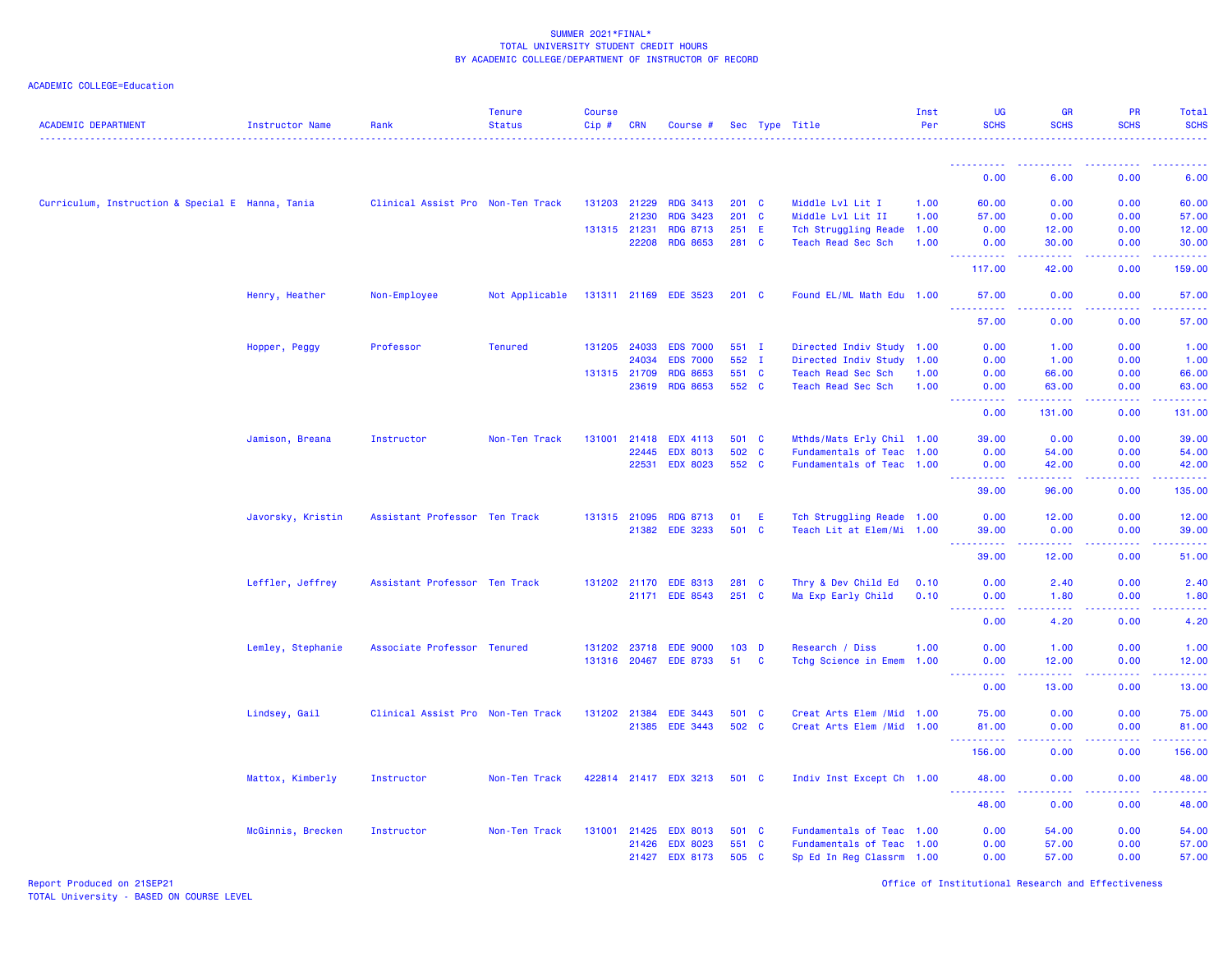# ACADEMIC COLLEGE=Education

| <b>ACADEMIC DEPARTMENT</b>                       | Instructor Name   | Rank                              | <b>Tenure</b><br><b>Status</b> | <b>Course</b><br>Cip# | <b>CRN</b>   | Course #              |                  |              | Sec Type Title             | Inst<br>Per | <b>UG</b><br><b>SCHS</b>                                                                                                      | <b>GR</b><br><b>SCHS</b>                                                                                                                                      | PR<br><b>SCHS</b>                                                                                                                                            | Total<br><b>SCHS</b>                            |
|--------------------------------------------------|-------------------|-----------------------------------|--------------------------------|-----------------------|--------------|-----------------------|------------------|--------------|----------------------------|-------------|-------------------------------------------------------------------------------------------------------------------------------|---------------------------------------------------------------------------------------------------------------------------------------------------------------|--------------------------------------------------------------------------------------------------------------------------------------------------------------|-------------------------------------------------|
|                                                  |                   |                                   |                                |                       |              |                       |                  |              |                            |             | <u>.</u>                                                                                                                      |                                                                                                                                                               |                                                                                                                                                              |                                                 |
|                                                  |                   |                                   |                                |                       |              |                       |                  |              |                            |             | 0.00                                                                                                                          | 6.00                                                                                                                                                          | 0.00                                                                                                                                                         | 6.00                                            |
| Curriculum, Instruction & Special E Hanna, Tania |                   | Clinical Assist Pro Non-Ten Track |                                | 131203 21229          |              | <b>RDG 3413</b>       | $201$ C          |              | Middle Lvl Lit I           | 1.00        | 60.00                                                                                                                         | 0.00                                                                                                                                                          | 0.00                                                                                                                                                         | 60.00                                           |
|                                                  |                   |                                   |                                |                       | 21230        | <b>RDG 3423</b>       | $201$ C          |              | Middle Lvl Lit II          | 1.00        | 57.00                                                                                                                         | 0.00                                                                                                                                                          | 0.00                                                                                                                                                         | 57.00                                           |
|                                                  |                   |                                   |                                | 131315 21231          |              | <b>RDG 8713</b>       | 251 E            |              | Tch Struggling Reade 1.00  |             | 0.00                                                                                                                          | 12.00                                                                                                                                                         | 0.00                                                                                                                                                         | 12.00                                           |
|                                                  |                   |                                   |                                |                       | 22208        | <b>RDG 8653</b>       | 281 C            |              | Teach Read Sec Sch         | 1.00        | 0.00<br><u> - - - - - - - - - -</u>                                                                                           | 30.00<br>$\frac{1}{2} \left( \frac{1}{2} \right) \left( \frac{1}{2} \right) \left( \frac{1}{2} \right) \left( \frac{1}{2} \right) \left( \frac{1}{2} \right)$ | 0.00<br>.                                                                                                                                                    | 30.00<br><u>.</u>                               |
|                                                  |                   |                                   |                                |                       |              |                       |                  |              |                            |             | 117.00                                                                                                                        | 42.00                                                                                                                                                         | 0.00                                                                                                                                                         | 159.00                                          |
|                                                  | Henry, Heather    | Non-Employee                      | Not Applicable                 |                       |              | 131311 21169 EDE 3523 | $201 \quad C$    |              | Found EL/ML Math Edu 1.00  |             | 57.00<br>22222                                                                                                                | 0.00                                                                                                                                                          | 0.00                                                                                                                                                         | 57.00                                           |
|                                                  |                   |                                   |                                |                       |              |                       |                  |              |                            |             | 57.00                                                                                                                         | 0.00                                                                                                                                                          | 0.00                                                                                                                                                         | 57.00                                           |
|                                                  | Hopper, Peggy     | Professor                         | <b>Tenured</b>                 |                       | 131205 24033 | <b>EDS 7000</b>       | 551 I            |              | Directed Indiv Study 1.00  |             | 0.00                                                                                                                          | 1.00                                                                                                                                                          | 0.00                                                                                                                                                         | 1.00                                            |
|                                                  |                   |                                   |                                |                       | 24034        | <b>EDS 7000</b>       | 552 I            |              | Directed Indiv Study       | 1.00        | 0.00                                                                                                                          | 1.00                                                                                                                                                          | 0.00                                                                                                                                                         | 1.00                                            |
|                                                  |                   |                                   |                                |                       | 131315 21709 | <b>RDG 8653</b>       | 551 C            |              | Teach Read Sec Sch         | 1.00        | 0.00                                                                                                                          | 66.00                                                                                                                                                         | 0.00                                                                                                                                                         | 66.00                                           |
|                                                  |                   |                                   |                                |                       | 23619        | <b>RDG 8653</b>       | 552 C            |              | Teach Read Sec Sch         | 1.00        | 0.00<br><u>.</u>                                                                                                              | 63.00<br>$\frac{1}{2} \left( \frac{1}{2} \right) \left( \frac{1}{2} \right) \left( \frac{1}{2} \right) \left( \frac{1}{2} \right)$                            | 0.00                                                                                                                                                         | 63.00<br>.                                      |
|                                                  |                   |                                   |                                |                       |              |                       |                  |              |                            |             | 0.00                                                                                                                          | 131.00                                                                                                                                                        | 0.00                                                                                                                                                         | 131.00                                          |
|                                                  | Jamison, Breana   | Instructor                        | Non-Ten Track                  |                       | 131001 21418 | <b>EDX 4113</b>       | 501 C            |              | Mthds/Mats Erly Chil 1.00  |             | 39.00                                                                                                                         | 0.00                                                                                                                                                          | 0.00                                                                                                                                                         | 39.00                                           |
|                                                  |                   |                                   |                                |                       | 22445        | <b>EDX 8013</b>       | 502 C            |              | Fundamentals of Teac 1.00  |             | 0.00                                                                                                                          | 54.00                                                                                                                                                         | 0.00                                                                                                                                                         | 54.00                                           |
|                                                  |                   |                                   |                                |                       | 22531        | <b>EDX 8023</b>       | 552 C            |              | Fundamentals of Teac 1.00  |             | 0.00<br>$\begin{array}{cccccccccc} \bullet & \bullet & \bullet & \bullet & \bullet & \bullet & \bullet & \bullet \end{array}$ | 42.00<br>.                                                                                                                                                    | 0.00<br>22222                                                                                                                                                | 42.00<br>.                                      |
|                                                  |                   |                                   |                                |                       |              |                       |                  |              |                            |             | 39,00                                                                                                                         | 96.00                                                                                                                                                         | 0.00                                                                                                                                                         | 135.00                                          |
|                                                  | Javorsky, Kristin | Assistant Professor Ten Track     |                                |                       | 131315 21095 | <b>RDG 8713</b>       | 01               | -E           | Tch Struggling Reade 1.00  |             | 0.00                                                                                                                          | 12.00                                                                                                                                                         | 0.00                                                                                                                                                         | 12.00                                           |
|                                                  |                   |                                   |                                |                       | 21382        | <b>EDE 3233</b>       | 501              | $\mathbf{C}$ | Teach Lit at Elem/Mi 1.00  |             | 39.00                                                                                                                         | 0.00                                                                                                                                                          | 0.00                                                                                                                                                         | 39.00                                           |
|                                                  |                   |                                   |                                |                       |              |                       |                  |              |                            |             | <u> - - - - - - - - - -</u><br>39.00                                                                                          | $\frac{1}{2} \left( \frac{1}{2} \right) \left( \frac{1}{2} \right) \left( \frac{1}{2} \right) \left( \frac{1}{2} \right)$<br>12.00                            | .<br>0.00                                                                                                                                                    | .<br>51.00                                      |
|                                                  | Leffler, Jeffrey  | Assistant Professor Ten Track     |                                |                       |              | 131202 21170 EDE 8313 | 281 C            |              | Thry & Dev Child Ed        | 0.10        | 0.00                                                                                                                          | 2.40                                                                                                                                                          | 0.00                                                                                                                                                         | 2.40                                            |
|                                                  |                   |                                   |                                |                       |              | 21171 EDE 8543        | $251$ C          |              | Ma Exp Early Child         | 0.10        | 0.00                                                                                                                          | 1.80<br>22222                                                                                                                                                 | 0.00                                                                                                                                                         | 1.80                                            |
|                                                  |                   |                                   |                                |                       |              |                       |                  |              |                            |             | ----------<br>0.00                                                                                                            | 4.20                                                                                                                                                          | <b><i><u><u> - - - -</u></u></i></b><br>0.00                                                                                                                 | .<br>4.20                                       |
|                                                  | Lemley, Stephanie | Associate Professor Tenured       |                                |                       | 131202 23718 | <b>EDE 9000</b>       | 103 <sub>D</sub> |              | Research / Diss            | 1.00        | 0.00                                                                                                                          | 1.00                                                                                                                                                          | 0.00                                                                                                                                                         | 1.00                                            |
|                                                  |                   |                                   |                                |                       |              | 131316 20467 EDE 8733 | 51               | $\mathbf{C}$ | Tchg Science in Emem 1.00  |             | 0.00<br>.                                                                                                                     | 12.00                                                                                                                                                         | 0.00                                                                                                                                                         | 12.00                                           |
|                                                  |                   |                                   |                                |                       |              |                       |                  |              |                            |             | 0.00                                                                                                                          | 13.00                                                                                                                                                         | 0.00                                                                                                                                                         | 13.00                                           |
|                                                  | Lindsey, Gail     | Clinical Assist Pro Non-Ten Track |                                |                       | 131202 21384 | EDE 3443              | 501 C            |              | Creat Arts Elem / Mid 1.00 |             | 75.00                                                                                                                         | 0.00                                                                                                                                                          | 0.00                                                                                                                                                         | 75.00                                           |
|                                                  |                   |                                   |                                |                       | 21385        | <b>EDE 3443</b>       | 502 C            |              | Creat Arts Elem / Mid 1.00 |             | 81.00                                                                                                                         | 0.00<br>ولالات                                                                                                                                                | 0.00<br>.                                                                                                                                                    | 81.00                                           |
|                                                  |                   |                                   |                                |                       |              |                       |                  |              |                            |             | 156.00                                                                                                                        | 0.00                                                                                                                                                          | 0.00                                                                                                                                                         | 156.00                                          |
|                                                  | Mattox, Kimberly  | Instructor                        | Non-Ten Track                  |                       |              | 422814 21417 EDX 3213 | 501 C            |              | Indiv Inst Except Ch 1.00  |             | 48.00                                                                                                                         | 0.00                                                                                                                                                          | 0.00                                                                                                                                                         | 48.00                                           |
|                                                  |                   |                                   |                                |                       |              |                       |                  |              |                            |             | ----------<br>48.00                                                                                                           | -----<br>0.00                                                                                                                                                 | $\frac{1}{2} \left( \frac{1}{2} \right) \left( \frac{1}{2} \right) \left( \frac{1}{2} \right) \left( \frac{1}{2} \right) \left( \frac{1}{2} \right)$<br>0.00 | <b><i><u><u> - - - - -</u></u></i></b><br>48.00 |
|                                                  | McGinnis, Brecken | Instructor                        | Non-Ten Track                  |                       | 131001 21425 | <b>EDX 8013</b>       | 501 C            |              | Fundamentals of Teac 1.00  |             | 0.00                                                                                                                          | 54.00                                                                                                                                                         | 0.00                                                                                                                                                         | 54.00                                           |
|                                                  |                   |                                   |                                |                       | 21426        | <b>EDX 8023</b>       | 551 C            |              | Fundamentals of Teac 1.00  |             | 0.00                                                                                                                          | 57.00                                                                                                                                                         | 0.00                                                                                                                                                         | 57.00                                           |
|                                                  |                   |                                   |                                |                       |              | 21427 EDX 8173        | 505 C            |              | Sp Ed In Reg Classrm 1.00  |             | 0.00                                                                                                                          | 57.00                                                                                                                                                         | 0.00                                                                                                                                                         | 57.00                                           |

Report Produced on 21SEP21 Office of Institutional Research and Effectiveness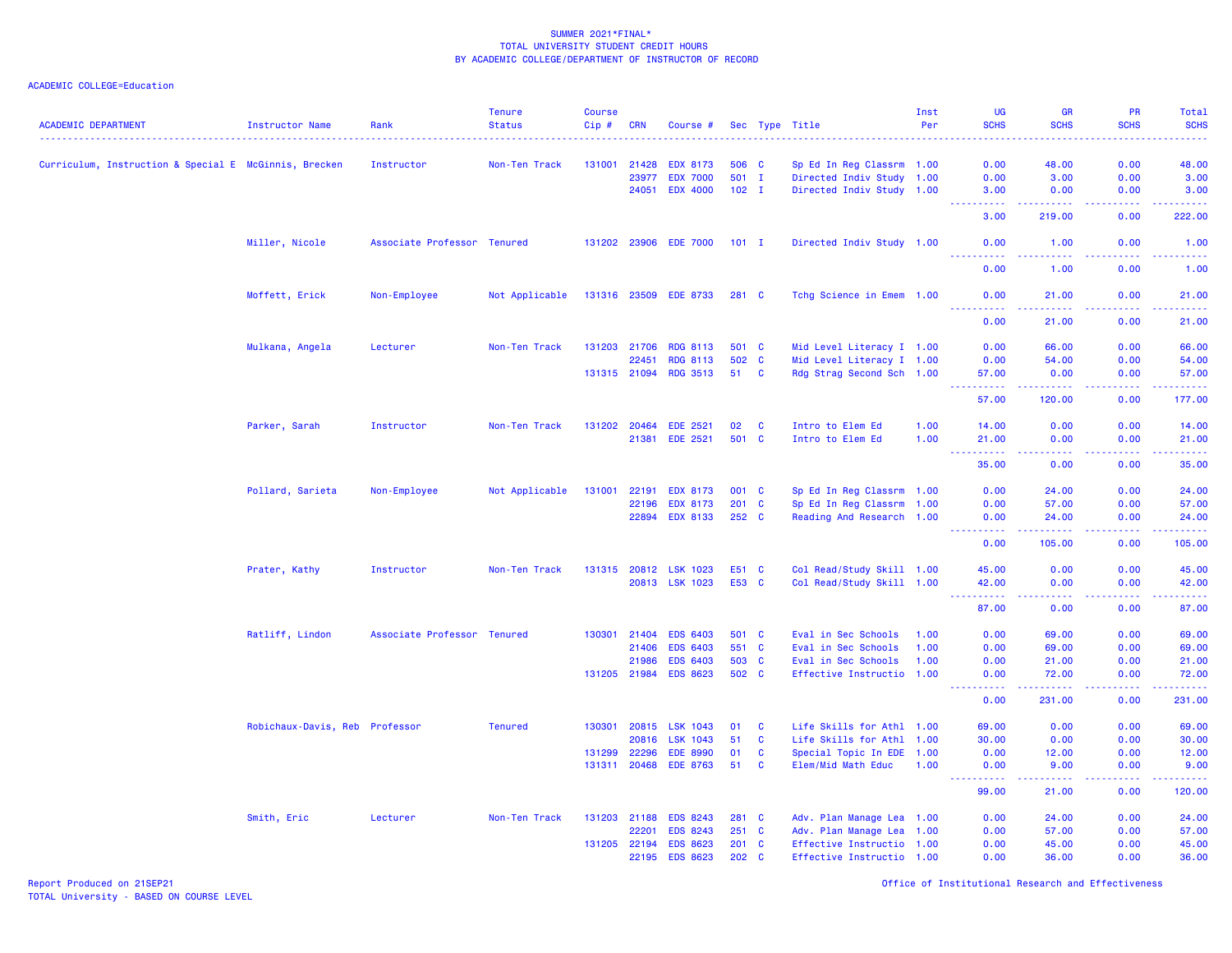| <b>ACADEMIC DEPARTMENT</b>                            | Instructor Name                | Rank                        | <b>Tenure</b><br><b>Status</b> | <b>Course</b><br>Cip# | <b>CRN</b>     | Course #                           |               |                   | Sec Type Title                                         | Inst<br>Per | <b>UG</b><br><b>SCHS</b> | <b>GR</b><br><b>SCHS</b>                                                                                                            | PR<br><b>SCHS</b>                                                                                                                 | Total<br><b>SCHS</b>                                                                                                  |
|-------------------------------------------------------|--------------------------------|-----------------------------|--------------------------------|-----------------------|----------------|------------------------------------|---------------|-------------------|--------------------------------------------------------|-------------|--------------------------|-------------------------------------------------------------------------------------------------------------------------------------|-----------------------------------------------------------------------------------------------------------------------------------|-----------------------------------------------------------------------------------------------------------------------|
| Curriculum, Instruction & Special E McGinnis, Brecken |                                | Instructor                  | Non-Ten Track                  |                       | 131001 21428   | <b>EDX 8173</b>                    |               | 506 C             | Sp Ed In Reg Classrm 1.00                              |             | 0.00                     | 48.00                                                                                                                               | 0.00                                                                                                                              | 48.00                                                                                                                 |
|                                                       |                                |                             |                                |                       | 23977          | <b>EDX 7000</b>                    |               | 501 I             | Directed Indiv Study 1.00                              |             | 0.00                     | 3.00                                                                                                                                | 0.00                                                                                                                              | 3.00                                                                                                                  |
|                                                       |                                |                             |                                |                       | 24051          | <b>EDX 4000</b>                    |               | $102$ I           | Directed Indiv Study 1.00                              |             | 3.00                     | 0.00                                                                                                                                | 0.00                                                                                                                              | 3.00                                                                                                                  |
|                                                       |                                |                             |                                |                       |                |                                    |               |                   |                                                        |             | .<br>3.00                | 222222<br>219.00                                                                                                                    | $\frac{1}{2} \left( \frac{1}{2} \right) \left( \frac{1}{2} \right) \left( \frac{1}{2} \right) \left( \frac{1}{2} \right)$<br>0.00 | د د د د د د<br>222.00                                                                                                 |
|                                                       | Miller, Nicole                 | Associate Professor Tenured |                                |                       |                | 131202 23906 EDE 7000              | $101$ I       |                   | Directed Indiv Study 1.00                              |             | 0.00<br><u>.</u>         | 1.00<br>.                                                                                                                           | 0.00<br>.                                                                                                                         | 1.00<br>.                                                                                                             |
|                                                       |                                |                             |                                |                       |                |                                    |               |                   |                                                        |             | 0.00                     | 1.00                                                                                                                                | 0.00                                                                                                                              | 1.00                                                                                                                  |
|                                                       | Moffett, Erick                 | Non-Employee                | Not Applicable                 |                       |                | 131316 23509 EDE 8733              | 281 C         |                   | Tchg Science in Emem 1.00                              |             | 0.00                     | 21.00                                                                                                                               | 0.00                                                                                                                              | 21.00                                                                                                                 |
|                                                       |                                |                             |                                |                       |                |                                    |               |                   |                                                        |             | .<br>0.00                | 21.00                                                                                                                               | -----<br>0.00                                                                                                                     | 21.00                                                                                                                 |
|                                                       | Mulkana, Angela                | Lecturer                    | Non-Ten Track                  |                       | 131203 21706   | <b>RDG 8113</b>                    | 501 C         |                   | Mid Level Literacy I 1.00                              |             | 0.00                     | 66.00                                                                                                                               | 0.00                                                                                                                              | 66.00                                                                                                                 |
|                                                       |                                |                             |                                |                       | 22451          | <b>RDG 8113</b>                    |               | 502 C             | Mid Level Literacy I 1.00                              |             | 0.00                     | 54.00                                                                                                                               | 0.00                                                                                                                              | 54.00                                                                                                                 |
|                                                       |                                |                             |                                |                       | 131315 21094   | <b>RDG 3513</b>                    | 51            | <b>C</b>          | Rdg Strag Second Sch 1.00                              |             | 57.00<br>.               | 0.00<br>$\frac{1}{2} \left( \frac{1}{2} \right) \left( \frac{1}{2} \right) \left( \frac{1}{2} \right) \left( \frac{1}{2} \right)$   | 0.00<br>المستما                                                                                                                   | 57.00<br>.                                                                                                            |
|                                                       |                                |                             |                                |                       |                |                                    |               |                   |                                                        |             | 57.00                    | 120.00                                                                                                                              | 0.00                                                                                                                              | 177.00                                                                                                                |
|                                                       |                                | Instructor                  | Non-Ten Track                  |                       | 131202 20464   | <b>EDE 2521</b>                    | 02            | <b>C</b>          |                                                        | 1.00        | 14.00                    | 0.00                                                                                                                                | 0.00                                                                                                                              |                                                                                                                       |
|                                                       | Parker, Sarah                  |                             |                                |                       | 21381          | <b>EDE 2521</b>                    | 501 C         |                   | Intro to Elem Ed<br>Intro to Elem Ed                   | 1.00        | 21.00                    | 0.00                                                                                                                                | 0.00                                                                                                                              | 14.00<br>21.00                                                                                                        |
|                                                       |                                |                             |                                |                       |                |                                    |               |                   |                                                        |             | .<br>35.00               | .<br>0.00                                                                                                                           | 0.00                                                                                                                              | .<br>35.00                                                                                                            |
|                                                       | Pollard, Sarieta               | Non-Employee                | Not Applicable                 | 131001                | 22191          | <b>EDX 8173</b>                    |               | 001 C             | Sp Ed In Reg Classrm 1.00                              |             | 0.00                     | 24.00                                                                                                                               | 0.00                                                                                                                              | 24.00                                                                                                                 |
|                                                       |                                |                             |                                |                       | 22196          | <b>EDX 8173</b>                    |               | 201 C             | Sp Ed In Reg Classrm 1.00                              |             | 0.00                     | 57.00                                                                                                                               | 0.00                                                                                                                              | 57.00                                                                                                                 |
|                                                       |                                |                             |                                |                       | 22894          | <b>EDX 8133</b>                    | 252 C         |                   | Reading And Research 1.00                              |             | 0.00                     | 24.00                                                                                                                               | 0.00                                                                                                                              | 24.00                                                                                                                 |
|                                                       |                                |                             |                                |                       |                |                                    |               |                   |                                                        |             | <u>.</u><br>0.00         | $\frac{1}{2} \left( \frac{1}{2} \right) \left( \frac{1}{2} \right) \left( \frac{1}{2} \right) \left( \frac{1}{2} \right)$<br>105.00 | 22222<br>0.00                                                                                                                     | <u>.</u><br>105.00                                                                                                    |
|                                                       | Prater, Kathy                  | Instructor                  | Non-Ten Track                  |                       |                | 131315 20812 LSK 1023              | E51 C         |                   | Col Read/Study Skill 1.00                              |             | 45.00                    | 0.00                                                                                                                                | 0.00                                                                                                                              | 45.00                                                                                                                 |
|                                                       |                                |                             |                                |                       |                | 20813 LSK 1023                     | E53 C         |                   | Col Read/Study Skill 1.00                              |             | 42.00<br>.               | 0.00<br>$\frac{1}{2} \left( \frac{1}{2} \right) \left( \frac{1}{2} \right) \left( \frac{1}{2} \right) \left( \frac{1}{2} \right)$   | 0.00                                                                                                                              | 42.00                                                                                                                 |
|                                                       |                                |                             |                                |                       |                |                                    |               |                   |                                                        |             | 87.00                    | 0.00                                                                                                                                | a a a a an<br>0.00                                                                                                                | .<br>87.00                                                                                                            |
|                                                       | Ratliff, Lindon                | Associate Professor Tenured |                                |                       | 130301 21404   | <b>EDS 6403</b>                    |               | 501 C             | Eval in Sec Schools                                    | 1.00        | 0.00                     | 69.00                                                                                                                               | 0.00                                                                                                                              | 69.00                                                                                                                 |
|                                                       |                                |                             |                                |                       | 21406          | <b>EDS 6403</b>                    | 551 C         |                   | Eval in Sec Schools                                    | 1.00        | 0.00                     | 69.00                                                                                                                               | 0.00                                                                                                                              | 69.00                                                                                                                 |
|                                                       |                                |                             |                                |                       | 21986          | <b>EDS 6403</b>                    |               | 503 C             | Eval in Sec Schools                                    | 1.00        | 0.00                     | 21.00                                                                                                                               | 0.00                                                                                                                              | 21.00                                                                                                                 |
|                                                       |                                |                             |                                |                       | 131205 21984   | <b>EDS 8623</b>                    |               | 502 C             | Effective Instructio 1.00                              |             | 0.00<br>222222           | 72.00                                                                                                                               | 0.00                                                                                                                              | 72.00<br>.                                                                                                            |
|                                                       |                                |                             |                                |                       |                |                                    |               |                   |                                                        |             | 0.00                     | 231.00                                                                                                                              | 0.00                                                                                                                              | 231.00                                                                                                                |
|                                                       | Robichaux-Davis, Reb Professor |                             | <b>Tenured</b>                 |                       | 130301 20815   | <b>LSK 1043</b>                    | 01            | C                 | Life Skills for Athl 1.00                              |             | 69.00                    | 0.00                                                                                                                                | 0.00                                                                                                                              | 69.00                                                                                                                 |
|                                                       |                                |                             |                                | 131299                | 20816<br>22296 | <b>LSK 1043</b><br><b>EDE 8990</b> | 51<br>01      | $\mathbf{C}$<br>C | Life Skills for Athl 1.00<br>Special Topic In EDE 1.00 |             | 30.00<br>0.00            | 0.00<br>12.00                                                                                                                       | 0.00<br>0.00                                                                                                                      | 30.00<br>12.00                                                                                                        |
|                                                       |                                |                             |                                |                       | 131311 20468   | <b>EDE 8763</b>                    | 51            | <b>C</b>          | Elem/Mid Math Educ                                     | 1.00        | 0.00                     | 9.00                                                                                                                                | 0.00                                                                                                                              | 9.00                                                                                                                  |
|                                                       |                                |                             |                                |                       |                |                                    |               |                   |                                                        |             | 22222<br>99.00           | .<br>21.00                                                                                                                          | .<br>0.00                                                                                                                         | $\begin{array}{cccccccccc} \bullet & \bullet & \bullet & \bullet & \bullet & \bullet & \bullet \end{array}$<br>120.00 |
|                                                       | Smith, Eric                    | Lecturer                    | Non-Ten Track                  |                       | 131203 21188   | <b>EDS 8243</b>                    |               | 281 C             | Adv. Plan Manage Lea 1.00                              |             | 0.00                     | 24.00                                                                                                                               | 0.00                                                                                                                              | 24.00                                                                                                                 |
|                                                       |                                |                             |                                |                       | 22201          | <b>EDS 8243</b>                    | $251$ C       |                   | Adv. Plan Manage Lea 1.00                              |             | 0.00                     | 57.00                                                                                                                               | 0.00                                                                                                                              | 57.00                                                                                                                 |
|                                                       |                                |                             |                                |                       | 131205 22194   | <b>EDS 8623</b>                    |               | $201$ C           | Effective Instructio 1.00                              |             | 0.00                     | 45.00                                                                                                                               | 0.00                                                                                                                              | 45.00                                                                                                                 |
|                                                       |                                |                             |                                |                       | 22195          | <b>EDS 8623</b>                    | $202 \quad C$ |                   | Effective Instructio 1.00                              |             | 0.00                     | 36.00                                                                                                                               | 0.00                                                                                                                              | 36.00                                                                                                                 |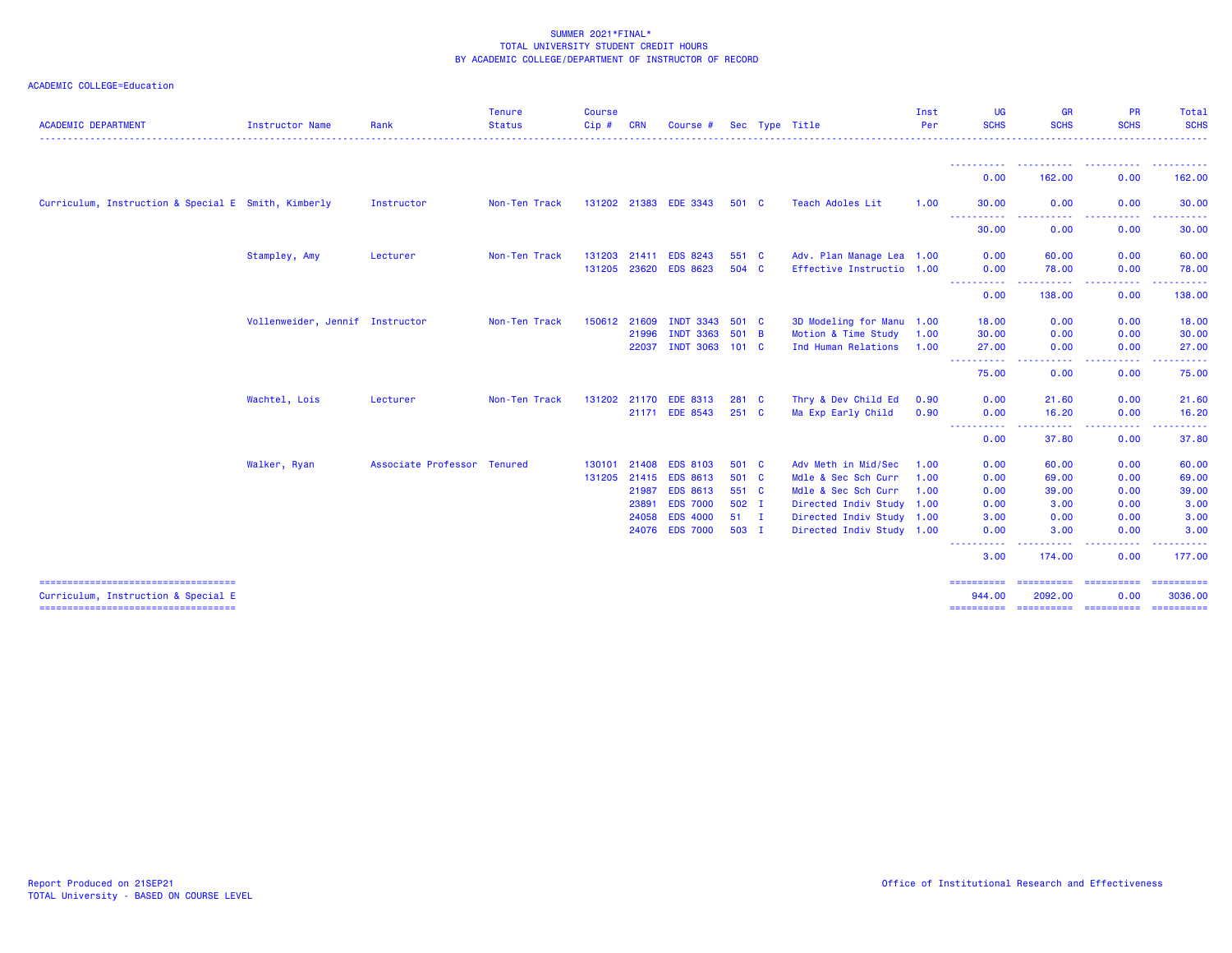| <b>ACADEMIC DEPARTMENT</b>                                                    | <b>Instructor Name</b>          | Rank                        | <b>Tenure</b><br><b>Status</b> | <b>Course</b><br>Cip# | <b>CRN</b>   | Course #              |              | Sec Type Title            | Inst<br>Per | <b>UG</b><br><b>SCHS</b>                                                                                                           | <b>GR</b><br><b>SCHS</b>          | <b>PR</b><br><b>SCHS</b>           | <b>Total</b><br><b>SCHS</b> |
|-------------------------------------------------------------------------------|---------------------------------|-----------------------------|--------------------------------|-----------------------|--------------|-----------------------|--------------|---------------------------|-------------|------------------------------------------------------------------------------------------------------------------------------------|-----------------------------------|------------------------------------|-----------------------------|
|                                                                               |                                 |                             |                                |                       |              |                       |              |                           |             |                                                                                                                                    |                                   |                                    |                             |
|                                                                               |                                 |                             |                                |                       |              |                       |              |                           |             | ----------<br>0.00                                                                                                                 | <u>.</u><br>162.00                | 0.00                               | <u>.</u><br>162.00          |
| Curriculum, Instruction & Special E Smith, Kimberly                           |                                 | Instructor                  | Non-Ten Track                  |                       |              | 131202 21383 EDE 3343 | 501 C        | <b>Teach Adoles Lit</b>   | 1.00        | 30.00                                                                                                                              | 0.00                              | 0.00                               | 30.00                       |
|                                                                               |                                 |                             |                                |                       |              |                       |              |                           |             | 30.00                                                                                                                              | 0.00                              | 0.00                               | 30.00                       |
|                                                                               | Stampley, Amy                   | Lecturer                    | Non-Ten Track                  |                       | 131203 21411 | <b>EDS 8243</b>       | 551 C        | Adv. Plan Manage Lea 1.00 |             | 0.00                                                                                                                               | 60.00                             | 0.00                               | 60.00                       |
|                                                                               |                                 |                             |                                |                       |              | 131205 23620 EDS 8623 | 504 C        | Effective Instructio 1.00 |             | 0.00<br><b>.</b> .                                                                                                                 | 78.00                             | 0.00<br>$\sim$ $\sim$ $\sim$       | 78.00                       |
|                                                                               |                                 |                             |                                |                       |              |                       |              |                           |             | 0.00                                                                                                                               | 138.00                            | <b><i><u>ALLAS</u></i></b><br>0.00 | 138.00                      |
|                                                                               | Vollenweider, Jennif Instructor |                             | Non-Ten Track                  |                       | 150612 21609 | INDT 3343 501 C       |              | 3D Modeling for Manu 1.00 |             | 18.00                                                                                                                              | 0.00                              | 0.00                               | 18.00                       |
|                                                                               |                                 |                             |                                |                       | 21996        | <b>INDT 3363</b>      | 501 B        | Motion & Time Study       | 1.00        | 30.00                                                                                                                              | 0.00                              | 0.00                               | 30.00                       |
|                                                                               |                                 |                             |                                |                       | 22037        | INDT 3063 101 C       |              | Ind Human Relations       | 1.00        | 27,00                                                                                                                              | 0.00                              | 0.00                               | 27.00                       |
|                                                                               |                                 |                             |                                |                       |              |                       |              |                           |             | $\frac{1}{2} \left( \frac{1}{2} \right) \left( \frac{1}{2} \right) \left( \frac{1}{2} \right) \left( \frac{1}{2} \right)$<br>75.00 | 0.00                              | 0.00                               | 75.00                       |
|                                                                               | Wachtel, Lois                   | Lecturer                    | Non-Ten Track                  |                       |              | 131202 21170 EDE 8313 | 281 C        | Thry & Dev Child Ed       | 0.90        | 0.00                                                                                                                               | 21.60                             | 0.00                               | 21.60                       |
|                                                                               |                                 |                             |                                |                       |              | 21171 EDE 8543        | 251 C        | Ma Exp Early Child        | 0.90        | 0.00                                                                                                                               | 16.20                             | 0.00                               | 16.20                       |
|                                                                               |                                 |                             |                                |                       |              |                       |              |                           |             | <b>.</b> .<br>0.00                                                                                                                 | 37.80                             | 0.00                               | 37.80                       |
|                                                                               | Walker, Ryan                    | Associate Professor Tenured |                                | 130101                | 21408        | <b>EDS 8103</b>       | 501 C        | Adv Meth in Mid/Sec       | 1.00        | 0.00                                                                                                                               | 60.00                             | 0.00                               | 60.00                       |
|                                                                               |                                 |                             |                                |                       | 131205 21415 | <b>EDS 8613</b>       | 501 C        | Mdle & Sec Sch Curr       | 1.00        | 0.00                                                                                                                               | 69.00                             | 0.00                               | 69.00                       |
|                                                                               |                                 |                             |                                |                       | 21987        | <b>EDS 8613</b>       | 551 C        | Mdle & Sec Sch Curr       | 1.00        | 0.00                                                                                                                               | 39.00                             | 0.00                               | 39.00                       |
|                                                                               |                                 |                             |                                |                       | 23891        | <b>EDS 7000</b>       | $502$ I      | Directed Indiv Study 1.00 |             | 0.00                                                                                                                               | 3.00                              | 0.00                               | 3.00                        |
|                                                                               |                                 |                             |                                |                       | 24058        | <b>EDS 4000</b>       | $51 \quad I$ | Directed Indiv Study 1.00 |             | 3.00                                                                                                                               | 0.00                              | 0.00                               | 3.00                        |
|                                                                               |                                 |                             |                                |                       |              | 24076 EDS 7000        | 503 I        | Directed Indiv Study 1.00 |             | 0.00                                                                                                                               | 3.00                              | 0.00                               | 3.00                        |
|                                                                               |                                 |                             |                                |                       |              |                       |              |                           |             | <u> - - - - - - - - - -</u><br>3.00                                                                                                | 174.00                            | 0.00                               | 177.00                      |
| ======================================<br>Curriculum, Instruction & Special E |                                 |                             |                                |                       |              |                       |              |                           |             | ==========<br>944.00                                                                                                               | ======================<br>2092.00 | 0.00                               | ==========<br>3036.00       |
| =====================================                                         |                                 |                             |                                |                       |              |                       |              |                           |             | ==========                                                                                                                         | ----------- ---------             |                                    | ==========                  |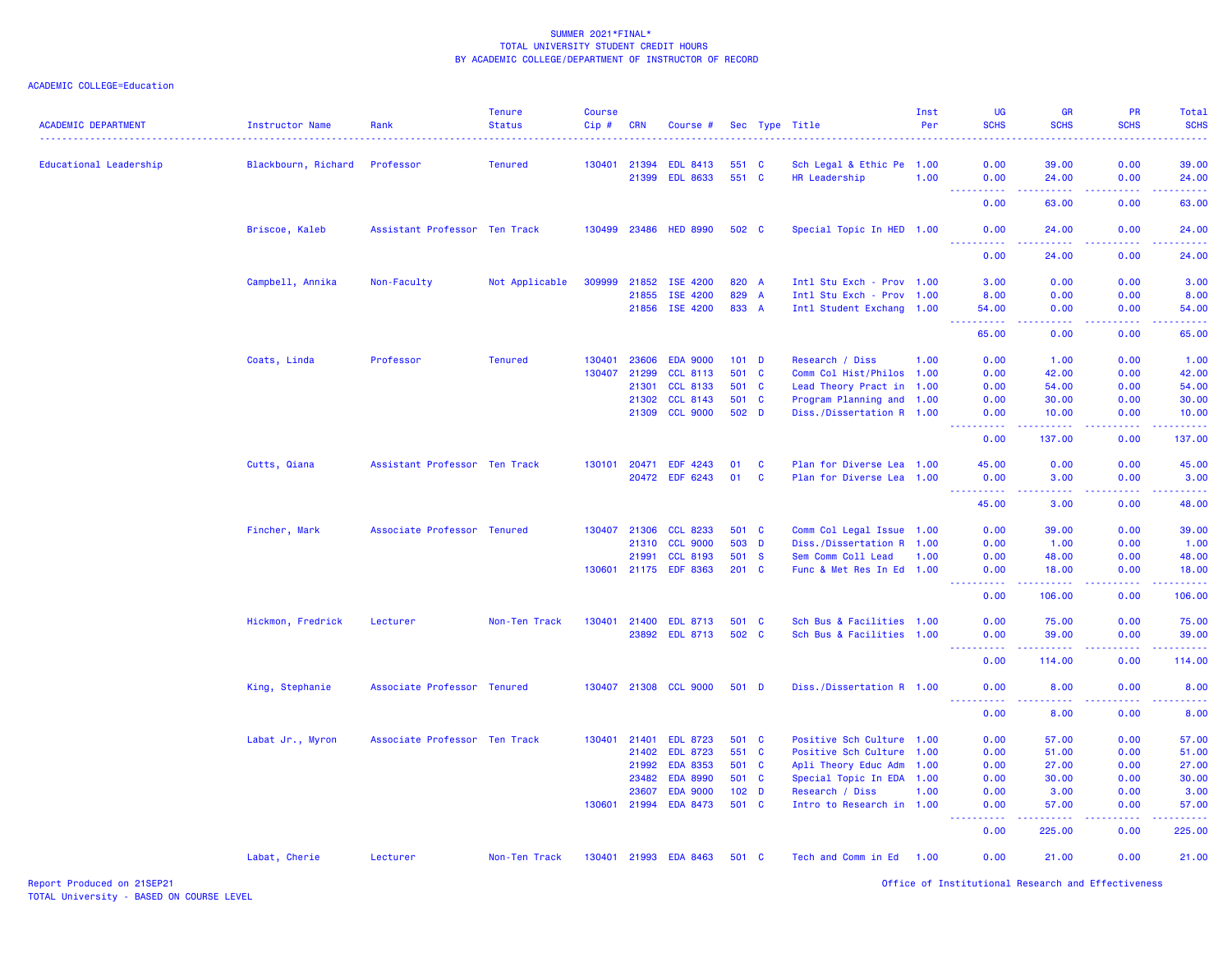### ACADEMIC COLLEGE=Education

| <b>ACADEMIC DEPARTMENT</b> | Instructor Name               | Rank                          | <b>Tenure</b><br><b>Status</b> | <b>Course</b><br>$Cip \#$ | <b>CRN</b>   | Course #              |                  |          | Sec Type Title            | Inst<br>Per | <b>UG</b><br><b>SCHS</b>                                                                                                                                     | <b>GR</b><br><b>SCHS</b>                                                                                                                                      | <b>PR</b><br><b>SCHS</b>                                                                                                                                     | Total<br><b>SCHS</b>                          |
|----------------------------|-------------------------------|-------------------------------|--------------------------------|---------------------------|--------------|-----------------------|------------------|----------|---------------------------|-------------|--------------------------------------------------------------------------------------------------------------------------------------------------------------|---------------------------------------------------------------------------------------------------------------------------------------------------------------|--------------------------------------------------------------------------------------------------------------------------------------------------------------|-----------------------------------------------|
|                            |                               |                               |                                |                           |              |                       |                  |          |                           |             |                                                                                                                                                              |                                                                                                                                                               |                                                                                                                                                              |                                               |
| Educational Leadership     | Blackbourn, Richard Professor |                               | <b>Tenured</b>                 |                           | 130401 21394 | <b>EDL 8413</b>       | 551 C            |          | Sch Legal & Ethic Pe 1.00 |             | 0.00                                                                                                                                                         | 39.00                                                                                                                                                         | 0.00                                                                                                                                                         | 39.00                                         |
|                            |                               |                               |                                |                           |              | 21399 EDL 8633        | 551 C            |          | HR Leadership             | 1.00        | 0.00                                                                                                                                                         | 24.00                                                                                                                                                         | 0.00                                                                                                                                                         | 24.00                                         |
|                            |                               |                               |                                |                           |              |                       |                  |          |                           |             | .<br>0.00                                                                                                                                                    | $\frac{1}{2} \left( \frac{1}{2} \right) \left( \frac{1}{2} \right) \left( \frac{1}{2} \right) \left( \frac{1}{2} \right) \left( \frac{1}{2} \right)$<br>63.00 | -----<br>0.00                                                                                                                                                | .<br>63.00                                    |
|                            | Briscoe, Kaleb                | Assistant Professor Ten Track |                                |                           |              | 130499 23486 HED 8990 | 502 C            |          | Special Topic In HED 1.00 |             | 0.00                                                                                                                                                         | 24,00                                                                                                                                                         | 0.00                                                                                                                                                         | 24.00                                         |
|                            |                               |                               |                                |                           |              |                       |                  |          |                           |             | <b></b><br>0.00                                                                                                                                              | .<br>24.00                                                                                                                                                    | . <u>.</u><br>0.00                                                                                                                                           | <b><i><u><u><b>A</b></u></u></i></b><br>24.00 |
|                            | Campbell, Annika              | Non-Faculty                   | Not Applicable                 | 309999                    |              | 21852 ISE 4200        | 820 A            |          | Intl Stu Exch - Prov 1.00 |             | 3.00                                                                                                                                                         | 0.00                                                                                                                                                          | 0.00                                                                                                                                                         | 3.00                                          |
|                            |                               |                               |                                |                           | 21855        | ISE 4200              | 829 A            |          | Intl Stu Exch - Prov      | 1.00        | 8.00                                                                                                                                                         | 0.00                                                                                                                                                          | 0.00                                                                                                                                                         | 8.00                                          |
|                            |                               |                               |                                |                           |              | 21856 ISE 4200        | 833 A            |          | Intl Student Exchang 1.00 |             | 54.00                                                                                                                                                        | 0.00                                                                                                                                                          | 0.00                                                                                                                                                         | 54.00                                         |
|                            |                               |                               |                                |                           |              |                       |                  |          |                           |             | 65.00                                                                                                                                                        | 0.00                                                                                                                                                          | 0.00                                                                                                                                                         | 65.00                                         |
|                            | Coats, Linda                  | Professor                     | <b>Tenured</b>                 | 130401                    | 23606        | <b>EDA 9000</b>       | $101$ D          |          | Research / Diss           | 1.00        | 0.00                                                                                                                                                         | 1.00                                                                                                                                                          | 0.00                                                                                                                                                         | 1.00                                          |
|                            |                               |                               |                                |                           | 130407 21299 | <b>CCL 8113</b>       | 501 C            |          | Comm Col Hist/Philos 1.00 |             | 0.00                                                                                                                                                         | 42.00                                                                                                                                                         | 0.00                                                                                                                                                         | 42.00                                         |
|                            |                               |                               |                                |                           | 21301        | <b>CCL 8133</b>       | 501 C            |          | Lead Theory Pract in 1.00 |             | 0.00                                                                                                                                                         | 54.00                                                                                                                                                         | 0.00                                                                                                                                                         | 54.00                                         |
|                            |                               |                               |                                |                           | 21302        | <b>CCL 8143</b>       | 501 C            |          | Program Planning and 1.00 |             | 0.00                                                                                                                                                         | 30.00                                                                                                                                                         | 0.00                                                                                                                                                         | 30.00                                         |
|                            |                               |                               |                                |                           | 21309        | <b>CCL 9000</b>       | 502 D            |          | Diss./Dissertation R 1.00 |             | 0.00<br>$\frac{1}{2} \left( \frac{1}{2} \right) \left( \frac{1}{2} \right) \left( \frac{1}{2} \right) \left( \frac{1}{2} \right) \left( \frac{1}{2} \right)$ | 10.00<br>$-1 - 1 - 1 = 1$                                                                                                                                     | 0.00<br>.                                                                                                                                                    | 10.00<br>.                                    |
|                            |                               |                               |                                |                           |              |                       |                  |          |                           |             | 0.00                                                                                                                                                         | 137.00                                                                                                                                                        | 0.00                                                                                                                                                         | 137.00                                        |
|                            | Cutts, Qiana                  | Assistant Professor Ten Track |                                | 130101                    | 20471        | <b>EDF 4243</b>       | 01               | C        | Plan for Diverse Lea 1.00 |             | 45.00                                                                                                                                                        | 0.00                                                                                                                                                          | 0.00                                                                                                                                                         | 45.00                                         |
|                            |                               |                               |                                |                           |              | 20472 EDF 6243        | 01               | <b>C</b> | Plan for Diverse Lea 1.00 |             | 0.00                                                                                                                                                         | 3.00                                                                                                                                                          | 0.00                                                                                                                                                         | 3.00                                          |
|                            |                               |                               |                                |                           |              |                       |                  |          |                           |             | <b><i><u><u> - - - - - - - - - -</u></u></i></b><br>45.00                                                                                                    | 22222<br>3.00                                                                                                                                                 | $\frac{1}{2} \left( \frac{1}{2} \right) \left( \frac{1}{2} \right) \left( \frac{1}{2} \right) \left( \frac{1}{2} \right) \left( \frac{1}{2} \right)$<br>0.00 | <b>.</b><br>48.00                             |
|                            | Fincher, Mark                 | Associate Professor Tenured   |                                |                           | 130407 21306 | <b>CCL 8233</b>       | 501 C            |          | Comm Col Legal Issue 1.00 |             | 0.00                                                                                                                                                         | 39.00                                                                                                                                                         | 0.00                                                                                                                                                         | 39.00                                         |
|                            |                               |                               |                                |                           | 21310        | <b>CCL 9000</b>       | 503 D            |          | Diss./Dissertation R      | 1.00        | 0.00                                                                                                                                                         | 1.00                                                                                                                                                          | 0.00                                                                                                                                                         | 1.00                                          |
|                            |                               |                               |                                |                           | 21991        | <b>CCL 8193</b>       | 501 S            |          | Sem Comm Coll Lead        | 1.00        | 0.00                                                                                                                                                         | 48.00                                                                                                                                                         | 0.00                                                                                                                                                         | 48.00                                         |
|                            |                               |                               |                                |                           |              | 130601 21175 EDF 8363 | $201 \quad C$    |          | Func & Met Res In Ed 1.00 |             | 0.00<br>.                                                                                                                                                    | 18.00<br>.                                                                                                                                                    | 0.00<br>.                                                                                                                                                    | 18.00<br><b>.</b>                             |
|                            |                               |                               |                                |                           |              |                       |                  |          |                           |             | 0.00                                                                                                                                                         | 106.00                                                                                                                                                        | 0.00                                                                                                                                                         | 106.00                                        |
|                            | Hickmon, Fredrick             | Lecturer                      | Non-Ten Track                  |                           | 130401 21400 | <b>EDL 8713</b>       | 501 C            |          | Sch Bus & Facilities 1.00 |             | 0.00                                                                                                                                                         | 75.00                                                                                                                                                         | 0.00                                                                                                                                                         | 75.00                                         |
|                            |                               |                               |                                |                           | 23892        | <b>EDL 8713</b>       | 502 C            |          | Sch Bus & Facilities 1.00 |             | 0.00                                                                                                                                                         | 39.00                                                                                                                                                         | 0.00                                                                                                                                                         | 39.00                                         |
|                            |                               |                               |                                |                           |              |                       |                  |          |                           |             | <b><i><u><u> - - - - - - - - - -</u></u></i></b><br>0.00                                                                                                     | <b><i><u><u> - - - - -</u></u></i></b><br>114.00                                                                                                              | <b><i><u><u> - - - - -</u></u></i></b><br>0.00                                                                                                               | 114.00                                        |
|                            | King, Stephanie               | Associate Professor Tenured   |                                | 130407                    |              | 21308 CCL 9000        | 501 D            |          | Diss./Dissertation R 1.00 |             | 0.00                                                                                                                                                         | 8.00                                                                                                                                                          | 0.00                                                                                                                                                         | 8.00                                          |
|                            |                               |                               |                                |                           |              |                       |                  |          |                           |             | 0.00                                                                                                                                                         | 8.00                                                                                                                                                          | 0.00                                                                                                                                                         | 8.00                                          |
|                            | Labat Jr., Myron              | Associate Professor Ten Track |                                | 130401                    | 21401        | <b>EDL 8723</b>       | 501 C            |          | Positive Sch Culture 1.00 |             | 0.00                                                                                                                                                         | 57.00                                                                                                                                                         | 0.00                                                                                                                                                         | 57.00                                         |
|                            |                               |                               |                                |                           | 21402        | <b>EDL 8723</b>       | 551 C            |          | Positive Sch Culture      | 1.00        | 0.00                                                                                                                                                         | 51.00                                                                                                                                                         | 0.00                                                                                                                                                         | 51.00                                         |
|                            |                               |                               |                                |                           | 21992        | <b>EDA 8353</b>       | 501 C            |          | Apli Theory Educ Adm      | 1.00        | 0.00                                                                                                                                                         | 27.00                                                                                                                                                         | 0.00                                                                                                                                                         | 27.00                                         |
|                            |                               |                               |                                |                           | 23482        | <b>EDA 8990</b>       | 501 C            |          | Special Topic In EDA 1.00 |             | 0.00                                                                                                                                                         | 30.00                                                                                                                                                         | 0.00                                                                                                                                                         | 30.00                                         |
|                            |                               |                               |                                |                           | 23607        | <b>EDA 9000</b>       | 102 <sub>D</sub> |          | Research / Diss           | 1.00        | 0.00                                                                                                                                                         | 3.00                                                                                                                                                          | 0.00                                                                                                                                                         | 3.00                                          |
|                            |                               |                               |                                |                           | 130601 21994 | <b>EDA 8473</b>       | 501 C            |          | Intro to Research in 1.00 |             | 0.00<br>.                                                                                                                                                    | 57.00                                                                                                                                                         | 0.00                                                                                                                                                         | 57.00<br>.                                    |
|                            |                               |                               |                                |                           |              |                       |                  |          |                           |             | 0.00                                                                                                                                                         | 225.00                                                                                                                                                        | 0.00                                                                                                                                                         | 225.00                                        |
|                            | Labat, Cherie                 | Lecturer                      | Non-Ten Track                  | 130401                    |              | 21993 EDA 8463        | 501 C            |          | Tech and Comm in Ed       | 1.00        | 0.00                                                                                                                                                         | 21.00                                                                                                                                                         | 0.00                                                                                                                                                         | 21.00                                         |

Report Produced on 21SEP21 Office of Institutional Research and Effectiveness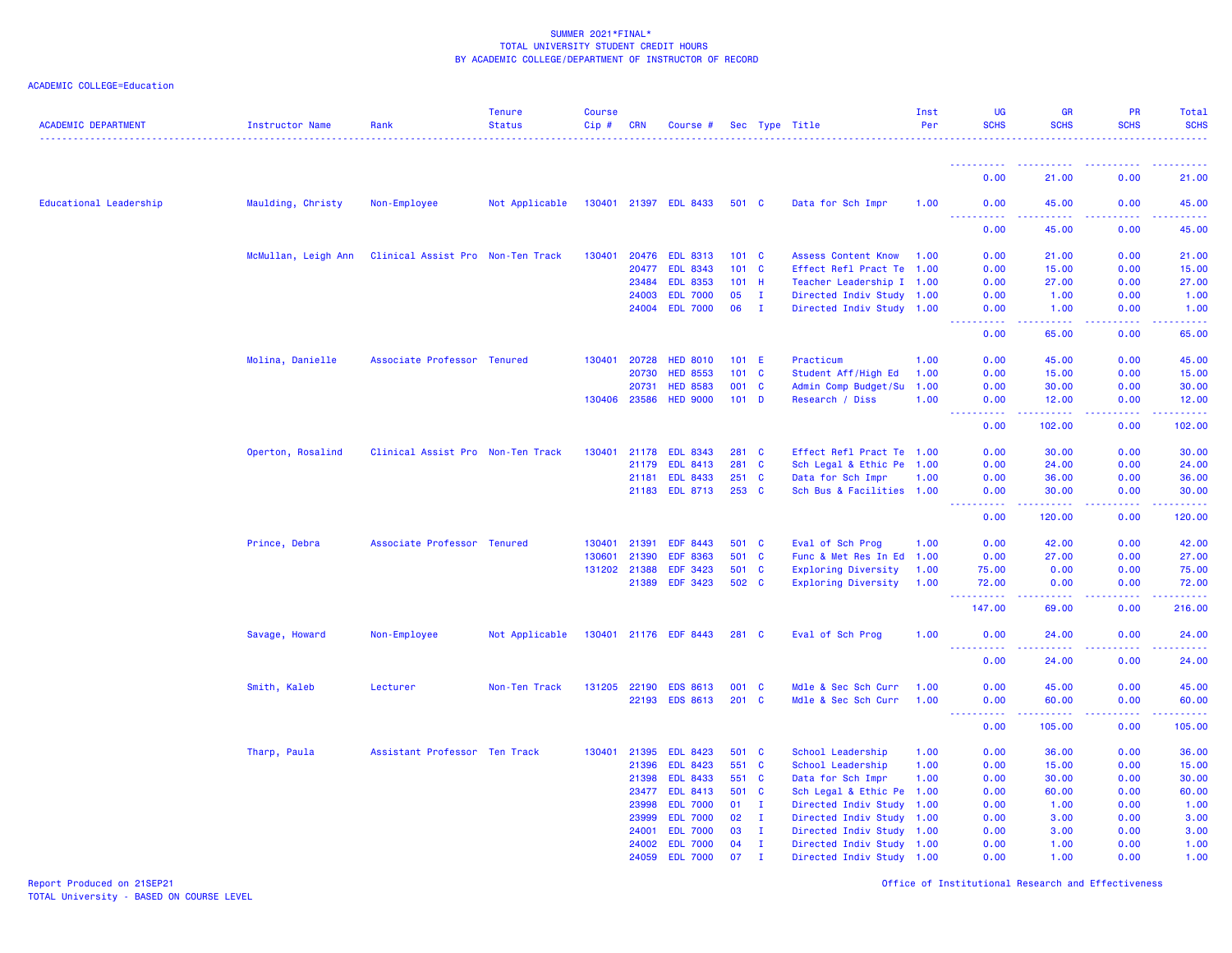# ACADEMIC COLLEGE=Education

| <b>ACADEMIC DEPARTMENT</b> | Instructor Name     | Rank                              | <b>Tenure</b><br><b>Status</b> | <b>Course</b><br>Cip# | <b>CRN</b>   | Course #              |               |              | Sec Type Title             | Inst<br>Per | UG<br><b>SCHS</b>                   | <b>GR</b><br><b>SCHS</b> | <b>PR</b><br><b>SCHS</b> | <b>Total</b><br><b>SCHS</b>                                                                                                    |
|----------------------------|---------------------|-----------------------------------|--------------------------------|-----------------------|--------------|-----------------------|---------------|--------------|----------------------------|-------------|-------------------------------------|--------------------------|--------------------------|--------------------------------------------------------------------------------------------------------------------------------|
|                            |                     |                                   |                                |                       |              |                       |               |              |                            |             |                                     |                          |                          |                                                                                                                                |
|                            |                     |                                   |                                |                       |              |                       |               |              |                            |             | 0.00                                | 21.00                    | 0.00                     | 21.00                                                                                                                          |
| Educational Leadership     | Maulding, Christy   | Non-Employee                      | Not Applicable                 |                       |              | 130401 21397 EDL 8433 | 501 C         |              | Data for Sch Impr          | 1.00        | 0.00<br><u>.</u>                    | 45.00<br>2222.           | 0.00                     | 45.00<br>.                                                                                                                     |
|                            |                     |                                   |                                |                       |              |                       |               |              |                            |             | 0.00                                | 45.00                    | 0.00                     | 45.00                                                                                                                          |
|                            | McMullan, Leigh Ann | Clinical Assist Pro Non-Ten Track |                                | 130401                | 20476        | <b>EDL 8313</b>       | 101 C         |              | <b>Assess Content Know</b> | 1.00        | 0.00                                | 21.00                    | 0.00                     | 21.00                                                                                                                          |
|                            |                     |                                   |                                |                       | 20477        | <b>EDL 8343</b>       | $101 \quad C$ |              | Effect Refl Pract Te 1.00  |             | 0.00                                | 15.00                    | 0.00                     | 15.00                                                                                                                          |
|                            |                     |                                   |                                |                       | 23484        | <b>EDL 8353</b>       | 101           | - H          | Teacher Leadership I 1.00  |             | 0.00                                | 27.00                    | 0.00                     | 27.00                                                                                                                          |
|                            |                     |                                   |                                |                       | 24003        | <b>EDL 7000</b>       | 05            | $\mathbf{I}$ | Directed Indiv Study 1.00  |             | 0.00                                | 1.00                     | 0.00                     | 1.00                                                                                                                           |
|                            |                     |                                   |                                |                       |              | 24004 EDL 7000        | 06            | $\mathbf{I}$ | Directed Indiv Study 1.00  |             | 0.00<br>$\sim$ $\sim$ $\sim$ $\sim$ | 1.00<br>وعاعات           | 0.00                     | 1.00<br>2222                                                                                                                   |
|                            |                     |                                   |                                |                       |              |                       |               |              |                            |             | 0.00                                | 65.00                    | 0.00                     | 65.00                                                                                                                          |
|                            | Molina, Danielle    | Associate Professor Tenured       |                                | 130401                | 20728        | <b>HED 8010</b>       | 101 E         |              | Practicum                  | 1.00        | 0.00                                | 45.00                    | 0.00                     | 45.00                                                                                                                          |
|                            |                     |                                   |                                |                       | 20730        | <b>HED 8553</b>       | 101           | $\mathbf{C}$ | Student Aff/High Ed        | 1.00        | 0.00                                | 15.00                    | 0.00                     | 15.00                                                                                                                          |
|                            |                     |                                   |                                |                       | 20731        | <b>HED 8583</b>       | 001 C         |              | Admin Comp Budget/Su       | 1.00        | 0.00                                | 30.00                    | 0.00                     | 30.00                                                                                                                          |
|                            |                     |                                   |                                | 130406                | 23586        | <b>HED 9000</b>       | $101$ D       |              | Research / Diss            | 1.00        | 0.00<br>.                           | 12.00<br><u>.</u>        | 0.00                     | 12.00<br>.                                                                                                                     |
|                            |                     |                                   |                                |                       |              |                       |               |              |                            |             | 0.00                                | 102.00                   | 0.00                     | 102.00                                                                                                                         |
|                            | Operton, Rosalind   | Clinical Assist Pro Non-Ten Track |                                | 130401                | 21178        | <b>EDL 8343</b>       | 281 C         |              | Effect Refl Pract Te 1.00  |             | 0.00                                | 30.00                    | 0.00                     | 30.00                                                                                                                          |
|                            |                     |                                   |                                |                       | 21179        | <b>EDL 8413</b>       | 281           | $\mathbf{C}$ | Sch Legal & Ethic Pe 1.00  |             | 0.00                                | 24.00                    | 0.00                     | 24.00                                                                                                                          |
|                            |                     |                                   |                                |                       | 21181        | <b>EDL 8433</b>       | 251 C         |              | Data for Sch Impr          | 1.00        | 0.00                                | 36.00                    | 0.00                     | 36.00                                                                                                                          |
|                            |                     |                                   |                                |                       |              | 21183 EDL 8713        | 253 C         |              | Sch Bus & Facilities 1.00  |             | 0.00<br>. <b>.</b>                  | 30.00<br>.               | 0.00                     | 30.00<br>.                                                                                                                     |
|                            |                     |                                   |                                |                       |              |                       |               |              |                            |             | 0.00                                | 120.00                   | 0.00                     | 120.00                                                                                                                         |
|                            | Prince, Debra       | Associate Professor Tenured       |                                | 130401                | 21391        | <b>EDF 8443</b>       | 501 C         |              | Eval of Sch Prog           | 1.00        | 0.00                                | 42.00                    | 0.00                     | 42.00                                                                                                                          |
|                            |                     |                                   |                                | 130601                | 21390        | <b>EDF 8363</b>       | 501           | <b>C</b>     | Func & Met Res In Ed 1.00  |             | 0.00                                | 27.00                    | 0.00                     | 27.00                                                                                                                          |
|                            |                     |                                   |                                |                       | 131202 21388 | EDF 3423              | 501 C         |              | <b>Exploring Diversity</b> | 1.00        | 75.00                               | 0.00                     | 0.00                     | 75.00                                                                                                                          |
|                            |                     |                                   |                                |                       | 21389        | <b>EDF 3423</b>       | 502 C         |              | Exploring Diversity        | 1.00        | 72.00<br>.                          | 0.00<br>د د د د د        | 0.00<br>.                | 72.00<br>$\begin{array}{cccccccccc} \bullet & \bullet & \bullet & \bullet & \bullet & \bullet & \bullet & \bullet \end{array}$ |
|                            |                     |                                   |                                |                       |              |                       |               |              |                            |             | 147.00                              | 69.00                    | 0.00                     | 216.00                                                                                                                         |
|                            | Savage, Howard      | Non-Employee                      | Not Applicable                 |                       |              | 130401 21176 EDF 8443 | 281 C         |              | Eval of Sch Prog           | 1.00        | 0.00<br><u>.</u>                    | 24.00<br>.               | 0.00                     | 24.00<br>.                                                                                                                     |
|                            |                     |                                   |                                |                       |              |                       |               |              |                            |             | 0.00                                | 24.00                    | 0.00                     | 24.00                                                                                                                          |
|                            | Smith, Kaleb        | Lecturer                          | Non-Ten Track                  |                       | 131205 22190 | <b>EDS 8613</b>       | 001 C         |              | Mdle & Sec Sch Curr        | 1.00        | 0.00                                | 45.00                    | 0.00                     | 45.00                                                                                                                          |
|                            |                     |                                   |                                |                       | 22193        | <b>EDS 8613</b>       | 201           | $\mathbf{C}$ | Mdle & Sec Sch Curr        | 1.00        | 0.00                                | 60.00                    | 0.00                     | 60.00                                                                                                                          |
|                            |                     |                                   |                                |                       |              |                       |               |              |                            |             | <u>.</u><br>0.00                    | .<br>105.00              | 22222<br>0.00            | 22222<br>105.00                                                                                                                |
|                            | Tharp, Paula        | Assistant Professor Ten Track     |                                | 130401                | 21395        | <b>EDL 8423</b>       | 501 C         |              | School Leadership          | 1.00        | 0.00                                | 36.00                    | 0.00                     | 36.00                                                                                                                          |
|                            |                     |                                   |                                |                       | 21396        | <b>EDL 8423</b>       | 551 C         |              | School Leadership          | 1.00        | 0.00                                | 15.00                    | 0.00                     | 15.00                                                                                                                          |
|                            |                     |                                   |                                |                       | 21398        | <b>EDL 8433</b>       | 551 C         |              | Data for Sch Impr          | 1.00        | 0.00                                | 30.00                    | 0.00                     | 30.00                                                                                                                          |
|                            |                     |                                   |                                |                       | 23477        | <b>EDL 8413</b>       | 501           | <b>C</b>     | Sch Legal & Ethic Pe 1.00  |             | 0.00                                | 60.00                    | 0.00                     | 60.00                                                                                                                          |
|                            |                     |                                   |                                |                       | 23998        | <b>EDL 7000</b>       | 01            | $\mathbf{I}$ | Directed Indiv Study       | 1.00        | 0.00                                | 1.00                     | 0.00                     | 1.00                                                                                                                           |
|                            |                     |                                   |                                |                       | 23999        | <b>EDL 7000</b>       | 02            | $\mathbf{I}$ | Directed Indiv Study 1.00  |             | 0.00                                | 3.00                     | 0.00                     | 3.00                                                                                                                           |
|                            |                     |                                   |                                |                       | 24001        | <b>EDL 7000</b>       | 03            | $\mathbf{I}$ | Directed Indiv Study 1.00  |             | 0.00                                | 3.00                     | 0.00                     | 3.00                                                                                                                           |
|                            |                     |                                   |                                |                       | 24002        | <b>EDL 7000</b>       | 04            | Ι.           | Directed Indiv Study 1.00  |             | 0.00                                | 1.00                     | 0.00                     | 1.00                                                                                                                           |
|                            |                     |                                   |                                |                       | 24059        | <b>EDL 7000</b>       | 07            | л.           | Directed Indiv Study 1.00  |             | 0.00                                | 1.00                     | 0.00                     | 1.00                                                                                                                           |

Report Produced on 21SEP21 Office of Institutional Research and Effectiveness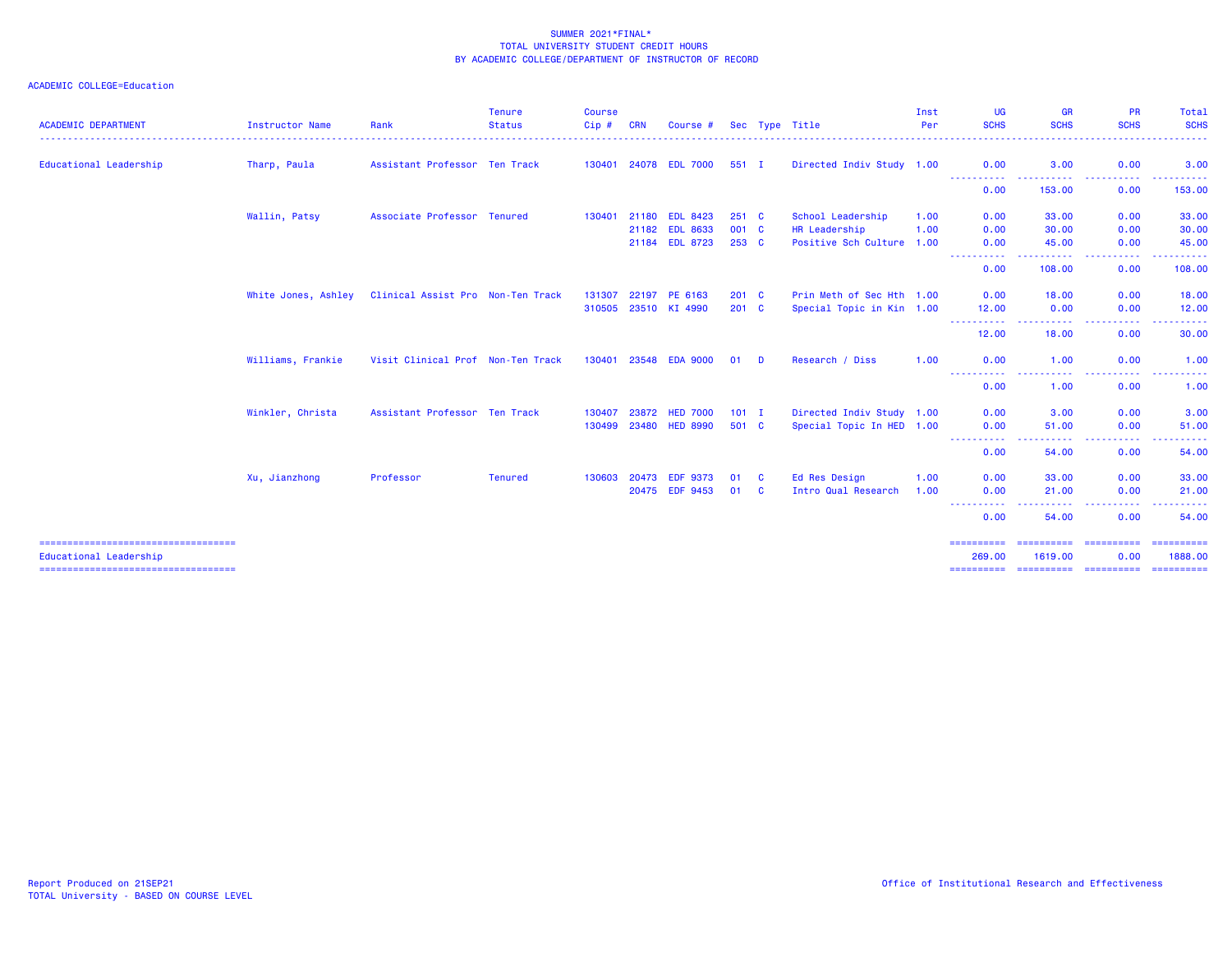| <b>ACADEMIC DEPARTMENT</b>                                       | Instructor Name     | Rank                              | <b>Tenure</b><br><b>Status</b> | <b>Course</b><br>Cip# | <b>CRN</b> | Course #              |         |   | Sec Type Title            | Inst<br>Per | <b>UG</b><br><b>SCHS</b> | <b>GR</b><br><b>SCHS</b> | <b>PR</b><br><b>SCHS</b>                                                                                                                                                                                                                                       | Total<br><b>SCHS</b>    |
|------------------------------------------------------------------|---------------------|-----------------------------------|--------------------------------|-----------------------|------------|-----------------------|---------|---|---------------------------|-------------|--------------------------|--------------------------|----------------------------------------------------------------------------------------------------------------------------------------------------------------------------------------------------------------------------------------------------------------|-------------------------|
| Educational Leadership                                           | Tharp, Paula        | Assistant Professor Ten Track     |                                |                       |            | 130401 24078 EDL 7000 | 551 I   |   | Directed Indiv Study 1.00 |             | 0.00                     | 3.00                     | 0.00                                                                                                                                                                                                                                                           | 3.00                    |
|                                                                  |                     |                                   |                                |                       |            |                       |         |   |                           |             | <b></b><br>0.00          | .<br>153.00              | $\frac{1}{2} \left( \frac{1}{2} \right) \left( \frac{1}{2} \right) \left( \frac{1}{2} \right) \left( \frac{1}{2} \right)$<br>0.00                                                                                                                              | .<br>153.00             |
|                                                                  | Wallin, Patsy       | Associate Professor Tenured       |                                | 130401                | 21180      | <b>EDL 8423</b>       | 251 C   |   | School Leadership         | 1.00        | 0.00                     | 33.00                    | 0.00                                                                                                                                                                                                                                                           | 33.00                   |
|                                                                  |                     |                                   |                                |                       | 21182      | <b>EDL 8633</b>       | 001 C   |   | HR Leadership             | 1.00        | 0.00                     | 30.00                    | 0.00                                                                                                                                                                                                                                                           | 30.00                   |
|                                                                  |                     |                                   |                                |                       |            | 21184 EDL 8723        | 253 C   |   | Positive Sch Culture 1.00 |             | 0.00<br>-----------      | 45.00<br>. <b>.</b>      | 0.00<br><b><i><u>ALASA</u></i></b><br>.                                                                                                                                                                                                                        | 45.00<br>. <u>.</u> .   |
|                                                                  |                     |                                   |                                |                       |            |                       |         |   |                           |             | 0.00                     | 108.00                   | 0.00                                                                                                                                                                                                                                                           | 108.00                  |
|                                                                  | White Jones, Ashley | Clinical Assist Pro Non-Ten Track |                                | 131307                | 22197      | PE 6163               | $201$ C |   | Prin Meth of Sec Hth 1.00 |             | 0.00                     | 18.00                    | 0.00                                                                                                                                                                                                                                                           | 18.00                   |
|                                                                  |                     |                                   |                                |                       |            | 310505 23510 KI 4990  | $201$ C |   | Special Topic in Kin 1.00 |             | 12.00                    | 0.00                     | 0.00                                                                                                                                                                                                                                                           | 12.00                   |
|                                                                  |                     |                                   |                                |                       |            |                       |         |   |                           |             | ----------<br>12.00      | .<br>18.00               | -----<br>0.00                                                                                                                                                                                                                                                  | - - - - - -<br>30.00    |
|                                                                  | Williams, Frankie   | Visit Clinical Prof Non-Ten Track |                                |                       |            | 130401 23548 EDA 9000 | 01      | D | Research / Diss           | 1.00        | 0.00                     | 1.00                     | 0.00                                                                                                                                                                                                                                                           | 1.00                    |
|                                                                  |                     |                                   |                                |                       |            |                       |         |   |                           |             | 0.00                     | ----<br>1.00             | $\frac{1}{2} \left( \frac{1}{2} \right) \left( \frac{1}{2} \right) \left( \frac{1}{2} \right) \left( \frac{1}{2} \right)$<br>0.00                                                                                                                              | 1.00                    |
|                                                                  | Winkler, Christa    | Assistant Professor Ten Track     |                                | 130407                | 23872      | <b>HED 7000</b>       | $101$ I |   | Directed Indiv Study 1.00 |             | 0.00                     | 3.00                     | 0.00                                                                                                                                                                                                                                                           | 3.00                    |
|                                                                  |                     |                                   |                                | 130499                | 23480      | <b>HED 8990</b>       | 501 C   |   | Special Topic In HED 1.00 |             | 0.00                     | 51.00                    | 0.00                                                                                                                                                                                                                                                           | 51.00                   |
|                                                                  |                     |                                   |                                |                       |            |                       |         |   |                           |             | -----------<br>0.00      | .<br>54.00               | $\frac{1}{2} \left( \frac{1}{2} \right) \left( \frac{1}{2} \right) \left( \frac{1}{2} \right) \left( \frac{1}{2} \right) \left( \frac{1}{2} \right)$<br>$\frac{1}{2} \left( \frac{1}{2} \right) \left( \frac{1}{2} \right) \left( \frac{1}{2} \right)$<br>0.00 | .<br>54.00              |
|                                                                  | Xu, Jianzhong       | Professor                         | <b>Tenured</b>                 | 130603                | 20473      | <b>EDF 9373</b>       | 01      | C | Ed Res Design             | 1.00        | 0.00                     | 33.00                    | 0.00                                                                                                                                                                                                                                                           | 33.00                   |
|                                                                  |                     |                                   |                                |                       | 20475      | <b>EDF 9453</b>       | 01      | C | Intro Qual Research       | 1.00        | 0.00                     | 21.00                    | 0.00                                                                                                                                                                                                                                                           | 21.00                   |
|                                                                  |                     |                                   |                                |                       |            |                       |         |   |                           |             | ----------<br>0.00       | .<br>54.00               | .<br>0.00                                                                                                                                                                                                                                                      | .<br>54.00              |
| -----------------------------------                              |                     |                                   |                                |                       |            |                       |         |   |                           |             | ==========               |                          | ========================                                                                                                                                                                                                                                       | ==========              |
| Educational Leadership<br>====================================== |                     |                                   |                                |                       |            |                       |         |   |                           |             | 269,00<br>==========     | 1619,00                  | 0.00<br>=======================                                                                                                                                                                                                                                | 1888.00<br>- ========== |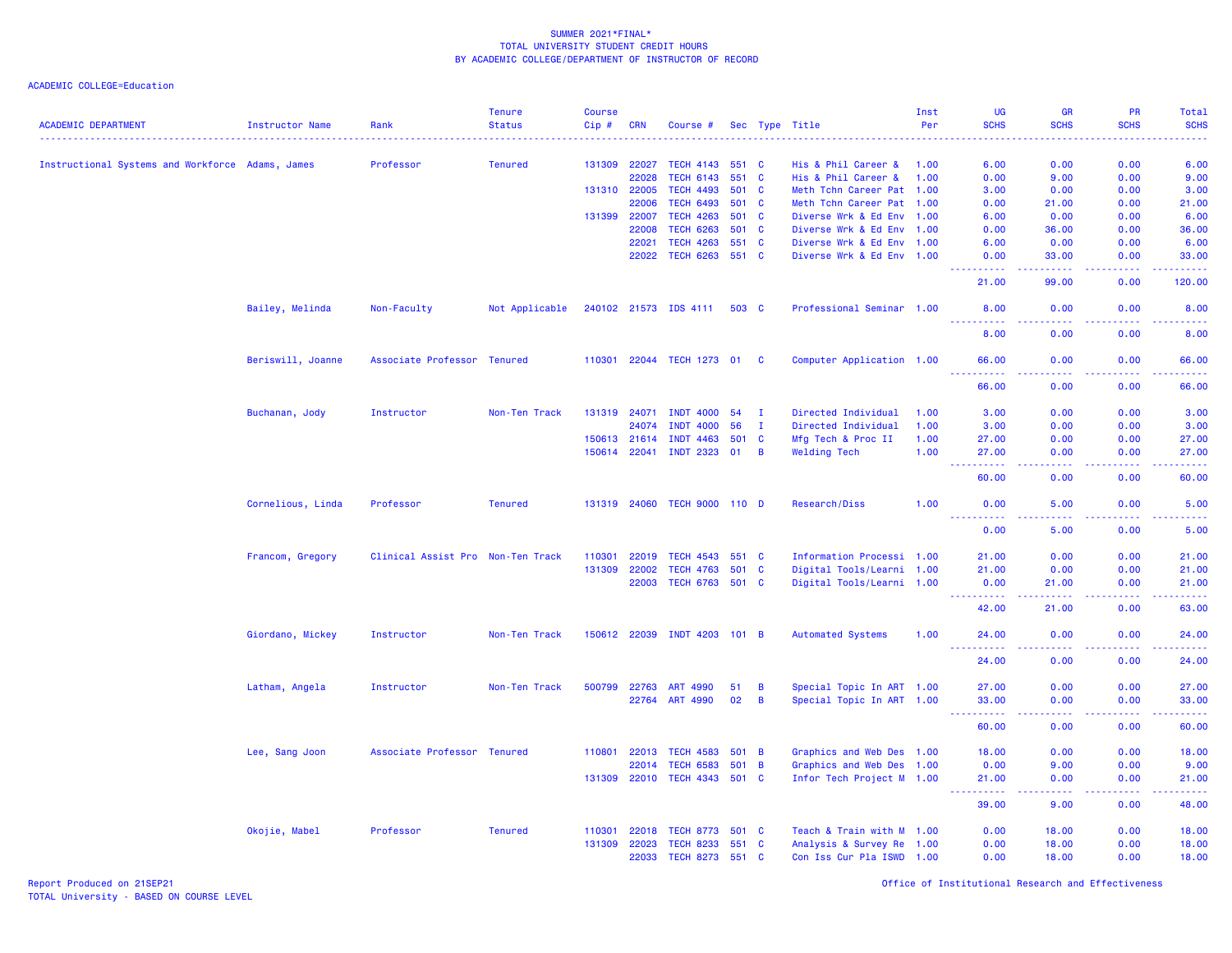| <b>ACADEMIC DEPARTMENT</b>                       | Instructor Name   | Rank                              | <b>Tenure</b><br><b>Status</b> | <b>Course</b><br>Cip# | <b>CRN</b>   | Course #                     |       |                | Sec Type Title            | Inst<br>Per | UG<br><b>SCHS</b>                      | <b>GR</b><br><b>SCHS</b>                                                                               | <b>PR</b><br><b>SCHS</b> | Total<br><b>SCHS</b> |
|--------------------------------------------------|-------------------|-----------------------------------|--------------------------------|-----------------------|--------------|------------------------------|-------|----------------|---------------------------|-------------|----------------------------------------|--------------------------------------------------------------------------------------------------------|--------------------------|----------------------|
|                                                  |                   |                                   |                                |                       |              |                              |       |                |                           |             |                                        |                                                                                                        |                          | ----                 |
| Instructional Systems and Workforce Adams, James |                   | Professor                         | <b>Tenured</b>                 | 131309                | 22027        | <b>TECH 4143</b>             | 551 C |                | His & Phil Career &       | 1.00        | 6.00                                   | 0.00                                                                                                   | 0.00                     | 6.00                 |
|                                                  |                   |                                   |                                |                       | 22028        | <b>TECH 6143</b>             |       | 551 C          | His & Phil Career &       | 1.00        | 0.00                                   | 9.00                                                                                                   | 0.00                     | 9.00                 |
|                                                  |                   |                                   |                                |                       | 131310 22005 | <b>TECH 4493</b>             |       | 501 C          | Meth Tchn Career Pat 1.00 |             | 3.00                                   | 0.00                                                                                                   | 0.00                     | 3.00                 |
|                                                  |                   |                                   |                                |                       | 22006        | <b>TECH 6493</b>             |       | 501 C          | Meth Tchn Career Pat 1.00 |             | 0.00                                   | 21.00                                                                                                  | 0.00                     | 21.00                |
|                                                  |                   |                                   |                                | 131399                | 22007        | <b>TECH 4263</b>             |       | 501 C          | Diverse Wrk & Ed Env 1.00 |             | 6.00                                   | 0.00                                                                                                   | 0.00                     | 6.00                 |
|                                                  |                   |                                   |                                |                       | 22008        | <b>TECH 6263</b>             |       | 501 C          | Diverse Wrk & Ed Env 1.00 |             | 0.00                                   | 36.00                                                                                                  | 0.00                     | 36.00                |
|                                                  |                   |                                   |                                |                       | 22021        | <b>TECH 4263</b>             |       | 551 C          | Diverse Wrk & Ed Env 1.00 |             | 6.00                                   | 0.00                                                                                                   | 0.00                     | 6.00                 |
|                                                  |                   |                                   |                                |                       | 22022        | <b>TECH 6263</b>             | 551 C |                | Diverse Wrk & Ed Env 1.00 |             | 0.00<br>.                              | 33.00<br>د د د د                                                                                       | 0.00<br>22222            | 33.00<br><u>.</u>    |
|                                                  |                   |                                   |                                |                       |              |                              |       |                |                           |             | 21.00                                  | 99.00                                                                                                  | 0.00                     | 120.00               |
|                                                  | Bailey, Melinda   | Non-Faculty                       | Not Applicable                 |                       |              | 240102 21573 IDS 4111        |       | 503 C          | Professional Seminar 1.00 |             | 8.00                                   | 0.00                                                                                                   | 0.00                     | 8.00                 |
|                                                  |                   |                                   |                                |                       |              |                              |       |                |                           |             | 8.00                                   | 0.00                                                                                                   | 0.00                     | 8.00                 |
|                                                  | Beriswill, Joanne | Associate Professor Tenured       |                                |                       |              | 110301 22044 TECH 1273 01 C  |       |                | Computer Application 1.00 |             | 66.00<br>- - - -                       | 0.00<br>.                                                                                              | 0.00                     | 66.00                |
|                                                  |                   |                                   |                                |                       |              |                              |       |                |                           |             | 66.00                                  | 0.00                                                                                                   | 0.00                     | 66.00                |
|                                                  | Buchanan, Jody    | Instructor                        | Non-Ten Track                  |                       | 131319 24071 | <b>INDT 4000</b>             | 54    | $\mathbf{I}$   | Directed Individual       | 1.00        | 3.00                                   | 0.00                                                                                                   | 0.00                     | 3.00                 |
|                                                  |                   |                                   |                                |                       | 24074        | <b>INDT 4000</b>             | 56    | $\mathbf{I}$   | Directed Individual       | 1.00        | 3.00                                   | 0.00                                                                                                   | 0.00                     | 3.00                 |
|                                                  |                   |                                   |                                |                       | 150613 21614 | <b>INDT 4463</b>             | 501 C |                | Mfg Tech & Proc II        | 1.00        | 27.00                                  | 0.00                                                                                                   | 0.00                     | 27.00                |
|                                                  |                   |                                   |                                |                       |              | 150614 22041 INDT 2323       | 01    | $\overline{B}$ | <b>Welding Tech</b>       | 1.00        | 27.00                                  | 0.00                                                                                                   | 0.00                     | 27.00                |
|                                                  |                   |                                   |                                |                       |              |                              |       |                |                           |             | 22222<br>$\sim$ $\sim$ $\sim$<br>60.00 | $\frac{1}{2} \left( \frac{1}{2} \right) \left( \frac{1}{2} \right) \left( \frac{1}{2} \right)$<br>0.00 | 0.00                     | .<br>60.00           |
|                                                  | Cornelious, Linda | Professor                         | <b>Tenured</b>                 |                       |              | 131319 24060 TECH 9000 110 D |       |                | Research/Diss             | 1.00        | 0.00                                   | 5.00                                                                                                   | 0.00                     | 5.00                 |
|                                                  |                   |                                   |                                |                       |              |                              |       |                |                           |             | 0.00                                   | 5.00                                                                                                   | ولايت<br>0.00            | 5.00                 |
|                                                  | Francom, Gregory  | Clinical Assist Pro Non-Ten Track |                                | 110301                | 22019        | <b>TECH 4543</b>             | 551 C |                | Information Processi 1.00 |             | 21.00                                  | 0.00                                                                                                   | 0.00                     | 21.00                |
|                                                  |                   |                                   |                                | 131309                | 22002        | <b>TECH 4763</b>             |       | 501 C          | Digital Tools/Learni 1.00 |             | 21.00                                  | 0.00                                                                                                   | 0.00                     | 21.00                |
|                                                  |                   |                                   |                                |                       | 22003        | TECH 6763 501 C              |       |                | Digital Tools/Learni 1.00 |             | 0.00<br>بالأباب                        | 21.00<br>$\sim$ $\sim$ $\sim$ $\sim$                                                                   | 0.00                     | 21.00<br>المتمامين   |
|                                                  |                   |                                   |                                |                       |              |                              |       |                |                           |             | 42.00                                  | 21.00                                                                                                  | 0.00                     | 63.00                |
|                                                  | Giordano, Mickey  | Instructor                        | Non-Ten Track                  |                       |              | 150612 22039 INDT 4203       | 101 B |                | <b>Automated Systems</b>  | 1.00        | 24.00                                  | 0.00                                                                                                   | 0.00                     | 24.00<br>.           |
|                                                  |                   |                                   |                                |                       |              |                              |       |                |                           |             | 24.00                                  | 0.00                                                                                                   | 0.00                     | 24.00                |
|                                                  | Latham, Angela    | Instructor                        | Non-Ten Track                  | 500799                | 22763        | ART 4990                     | 51    | B              | Special Topic In ART 1.00 |             | 27.00                                  | 0.00                                                                                                   | 0.00                     | 27.00                |
|                                                  |                   |                                   |                                |                       | 22764        | ART 4990                     | 02    | $\overline{B}$ | Special Topic In ART 1.00 |             | 33.00                                  | 0.00                                                                                                   | 0.00                     | 33.00                |
|                                                  |                   |                                   |                                |                       |              |                              |       |                |                           |             | د د د د د<br>60.00                     | $\omega$ is a $\omega$<br>0.00                                                                         | .<br>0.00                | .<br>60.00           |
|                                                  | Lee, Sang Joon    | Associate Professor Tenured       |                                | 110801                | 22013        | <b>TECH 4583</b>             | 501 B |                | Graphics and Web Des 1.00 |             | 18.00                                  | 0.00                                                                                                   | 0.00                     | 18.00                |
|                                                  |                   |                                   |                                |                       | 22014        | <b>TECH 6583</b>             | 501 B |                | Graphics and Web Des 1.00 |             | 0.00                                   | 9.00                                                                                                   | 0.00                     | 9.00                 |
|                                                  |                   |                                   |                                | 131309                | 22010        | <b>TECH 4343</b>             | 501 C |                | Infor Tech Project M 1.00 |             | 21.00                                  | 0.00<br>$\sim$ $\sim$ $\sim$                                                                           | 0.00                     | 21.00                |
|                                                  |                   |                                   |                                |                       |              |                              |       |                |                           |             | 39.00                                  | 9.00                                                                                                   | 0.00                     | 48.00                |
|                                                  | Okojie, Mabel     | Professor                         | <b>Tenured</b>                 | 110301                | 22018        | <b>TECH 8773</b>             | 501 C |                | Teach & Train with M 1.00 |             | 0.00                                   | 18.00                                                                                                  | 0.00                     | 18.00                |
|                                                  |                   |                                   |                                | 131309                | 22023        | <b>TECH 8233</b>             |       | 551 C          | Analysis & Survey Re 1.00 |             | 0.00                                   | 18.00                                                                                                  | 0.00                     | 18.00                |
|                                                  |                   |                                   |                                |                       | 22033        | <b>TECH 8273</b>             | 551 C |                | Con Iss Cur Pla ISWD 1.00 |             | 0.00                                   | 18.00                                                                                                  | 0.00                     | 18.00                |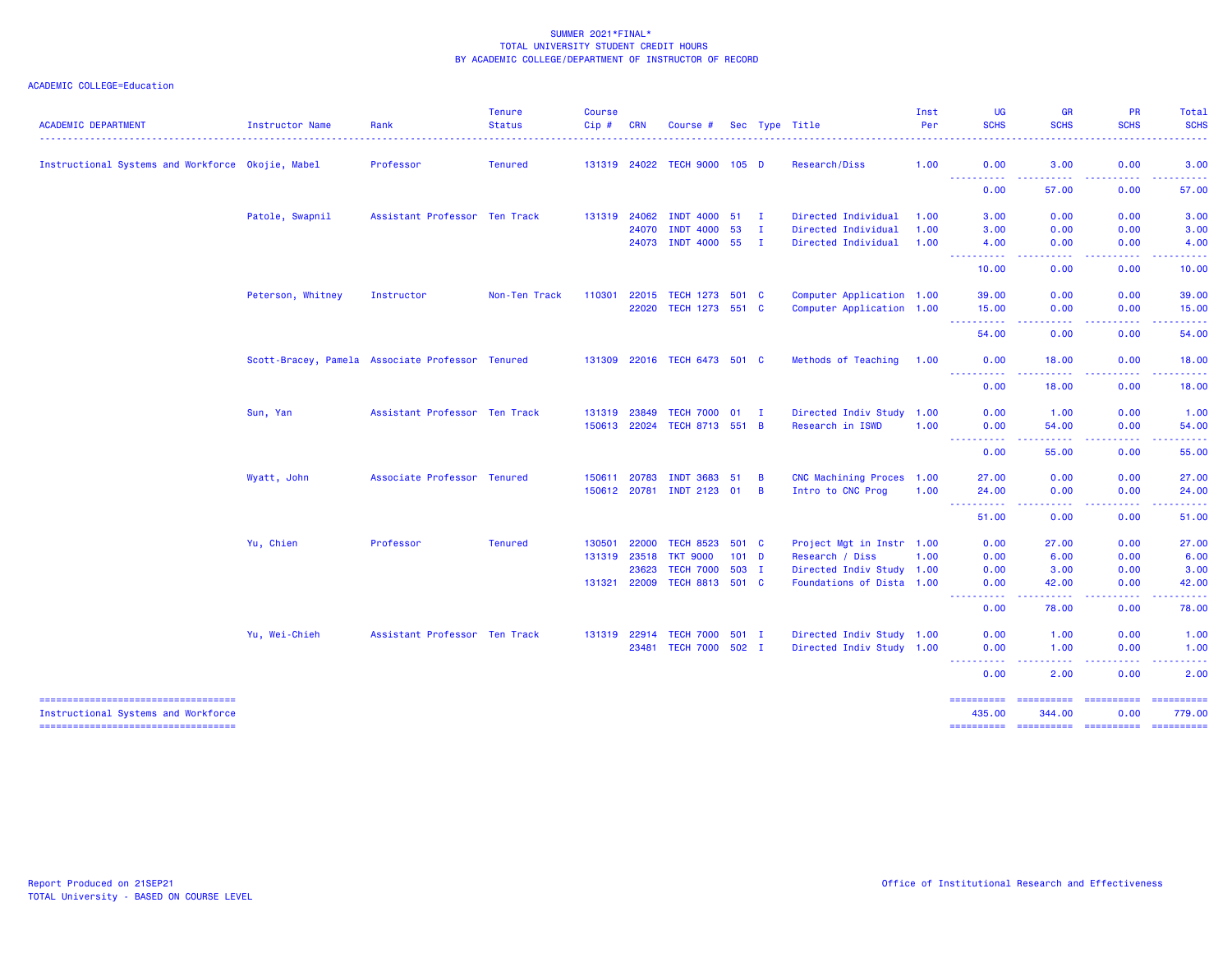| <b>ACADEMIC DEPARTMENT</b>                                                   | <b>Instructor Name</b>                           | Rank                          | <b>Tenure</b><br><b>Status</b> | Course<br>Cip# | <b>CRN</b>   | Course #                     |                  |              | Sec Type Title            | Inst<br>Per | <b>UG</b><br><b>SCHS</b>      | <b>GR</b><br><b>SCHS</b>                                                                                                                                                                                                                                                                                                                                                                                                                                                               | PR<br><b>SCHS</b>                                                                                                                                            | Total<br><b>SCHS</b>                                                                                                                                                                                                                                                                                                                                                                                                                                                                             |
|------------------------------------------------------------------------------|--------------------------------------------------|-------------------------------|--------------------------------|----------------|--------------|------------------------------|------------------|--------------|---------------------------|-------------|-------------------------------|----------------------------------------------------------------------------------------------------------------------------------------------------------------------------------------------------------------------------------------------------------------------------------------------------------------------------------------------------------------------------------------------------------------------------------------------------------------------------------------|--------------------------------------------------------------------------------------------------------------------------------------------------------------|--------------------------------------------------------------------------------------------------------------------------------------------------------------------------------------------------------------------------------------------------------------------------------------------------------------------------------------------------------------------------------------------------------------------------------------------------------------------------------------------------|
| Instructional Systems and Workforce Okojie, Mabel                            |                                                  | Professor                     | <b>Tenured</b>                 |                | 131319 24022 | TECH 9000 105 D              |                  |              | Research/Diss             | 1.00        | 0.00                          | 3.00                                                                                                                                                                                                                                                                                                                                                                                                                                                                                   | 0.00                                                                                                                                                         | 3.00                                                                                                                                                                                                                                                                                                                                                                                                                                                                                             |
|                                                                              |                                                  |                               |                                |                |              |                              |                  |              |                           |             | -----<br>.                    | .                                                                                                                                                                                                                                                                                                                                                                                                                                                                                      | $\frac{1}{2} \left( \frac{1}{2} \right) \left( \frac{1}{2} \right) \left( \frac{1}{2} \right) \left( \frac{1}{2} \right) \left( \frac{1}{2} \right)$         | ------                                                                                                                                                                                                                                                                                                                                                                                                                                                                                           |
|                                                                              |                                                  |                               |                                |                |              |                              |                  |              |                           |             | 0.00                          | 57.00                                                                                                                                                                                                                                                                                                                                                                                                                                                                                  | 0.00                                                                                                                                                         | 57.00                                                                                                                                                                                                                                                                                                                                                                                                                                                                                            |
|                                                                              | Patole, Swapnil                                  | Assistant Professor Ten Track |                                |                | 131319 24062 | <b>INDT 4000</b>             | 51 I             |              | Directed Individual       | 1.00        | 3.00                          | 0.00                                                                                                                                                                                                                                                                                                                                                                                                                                                                                   | 0.00                                                                                                                                                         | 3.00                                                                                                                                                                                                                                                                                                                                                                                                                                                                                             |
|                                                                              |                                                  |                               |                                |                | 24070        | <b>INDT 4000</b>             | 53               | $\mathbf{I}$ | Directed Individual       | 1.00        | 3.00                          | 0.00                                                                                                                                                                                                                                                                                                                                                                                                                                                                                   | 0.00                                                                                                                                                         | 3.00                                                                                                                                                                                                                                                                                                                                                                                                                                                                                             |
|                                                                              |                                                  |                               |                                |                | 24073        | <b>INDT 4000</b>             | 55               | $\mathbf{I}$ | Directed Individual       | 1.00        | 4.00<br><u>.</u>              | 0.00<br>$   -$                                                                                                                                                                                                                                                                                                                                                                                                                                                                         | 0.00<br>.                                                                                                                                                    | 4.00<br>.                                                                                                                                                                                                                                                                                                                                                                                                                                                                                        |
|                                                                              |                                                  |                               |                                |                |              |                              |                  |              |                           |             | 10.00                         | 0.00                                                                                                                                                                                                                                                                                                                                                                                                                                                                                   | 0.00                                                                                                                                                         | 10.00                                                                                                                                                                                                                                                                                                                                                                                                                                                                                            |
|                                                                              | Peterson, Whitney                                | Instructor                    | Non-Ten Track                  | 110301         | 22015        | <b>TECH 1273</b>             | 501 C            |              | Computer Application 1.00 |             | 39.00                         | 0.00                                                                                                                                                                                                                                                                                                                                                                                                                                                                                   | 0.00                                                                                                                                                         | 39.00                                                                                                                                                                                                                                                                                                                                                                                                                                                                                            |
|                                                                              |                                                  |                               |                                |                | 22020        | TECH 1273 551 C              |                  |              | Computer Application 1.00 |             | 15.00                         | 0.00                                                                                                                                                                                                                                                                                                                                                                                                                                                                                   | 0.00                                                                                                                                                         | 15.00                                                                                                                                                                                                                                                                                                                                                                                                                                                                                            |
|                                                                              |                                                  |                               |                                |                |              |                              |                  |              |                           |             | .<br>54.00                    | .<br>0.00                                                                                                                                                                                                                                                                                                                                                                                                                                                                              | .<br>0.00                                                                                                                                                    | .<br>54.00                                                                                                                                                                                                                                                                                                                                                                                                                                                                                       |
|                                                                              | Scott-Bracey, Pamela Associate Professor Tenured |                               |                                |                |              | 131309 22016 TECH 6473 501 C |                  |              | Methods of Teaching 1.00  |             | 0.00                          | 18.00                                                                                                                                                                                                                                                                                                                                                                                                                                                                                  | 0.00                                                                                                                                                         | 18.00                                                                                                                                                                                                                                                                                                                                                                                                                                                                                            |
|                                                                              |                                                  |                               |                                |                |              |                              |                  |              |                           |             | <b><i><u></u></i></b><br>0.00 | 18.00                                                                                                                                                                                                                                                                                                                                                                                                                                                                                  | 0.00                                                                                                                                                         | 18.00                                                                                                                                                                                                                                                                                                                                                                                                                                                                                            |
|                                                                              | Sun, Yan                                         | Assistant Professor Ten Track |                                | 131319         | 23849        | <b>TECH 7000</b>             | $01 \quad I$     |              | Directed Indiv Study 1.00 |             | 0.00                          | 1.00                                                                                                                                                                                                                                                                                                                                                                                                                                                                                   | 0.00                                                                                                                                                         | 1.00                                                                                                                                                                                                                                                                                                                                                                                                                                                                                             |
|                                                                              |                                                  |                               |                                |                | 150613 22024 | TECH 8713 551 B              |                  |              | Research in ISWD          | 1.00        | 0.00                          | 54.00                                                                                                                                                                                                                                                                                                                                                                                                                                                                                  | 0.00                                                                                                                                                         | 54.00                                                                                                                                                                                                                                                                                                                                                                                                                                                                                            |
|                                                                              |                                                  |                               |                                |                |              |                              |                  |              |                           |             | ----------<br>0.00            | $\frac{1}{2} \left( \frac{1}{2} \right) \left( \frac{1}{2} \right) \left( \frac{1}{2} \right) \left( \frac{1}{2} \right)$<br>55.00                                                                                                                                                                                                                                                                                                                                                     | $\frac{1}{2} \left( \frac{1}{2} \right) \left( \frac{1}{2} \right) \left( \frac{1}{2} \right) \left( \frac{1}{2} \right) \left( \frac{1}{2} \right)$<br>0.00 | .<br>55.00                                                                                                                                                                                                                                                                                                                                                                                                                                                                                       |
|                                                                              | Wyatt, John                                      | Associate Professor Tenured   |                                | 150611         | 20783        | <b>INDT 3683</b>             | 51               | B            | CNC Machining Proces 1.00 |             | 27.00                         | 0.00                                                                                                                                                                                                                                                                                                                                                                                                                                                                                   | 0.00                                                                                                                                                         | 27.00                                                                                                                                                                                                                                                                                                                                                                                                                                                                                            |
|                                                                              |                                                  |                               |                                | 150612 20781   |              | <b>INDT 2123</b>             | <b>O1</b>        | B            | Intro to CNC Prog         | 1.00        | 24.00                         | 0.00                                                                                                                                                                                                                                                                                                                                                                                                                                                                                   | 0.00                                                                                                                                                         | 24.00                                                                                                                                                                                                                                                                                                                                                                                                                                                                                            |
|                                                                              |                                                  |                               |                                |                |              |                              |                  |              |                           |             | <b>.</b> .<br>51.00           | د د د د<br>0.00                                                                                                                                                                                                                                                                                                                                                                                                                                                                        | -----<br>0.00                                                                                                                                                | .<br>51.00                                                                                                                                                                                                                                                                                                                                                                                                                                                                                       |
|                                                                              | Yu, Chien                                        | Professor                     | <b>Tenured</b>                 | 130501         | 22000        | <b>TECH 8523</b>             | 501 C            |              | Project Mgt in Instr 1.00 |             | 0.00                          | 27.00                                                                                                                                                                                                                                                                                                                                                                                                                                                                                  | 0.00                                                                                                                                                         | 27.00                                                                                                                                                                                                                                                                                                                                                                                                                                                                                            |
|                                                                              |                                                  |                               |                                | 131319         | 23518        | <b>TKT 9000</b>              | 101 <sub>D</sub> |              | Research / Diss           | 1.00        | 0.00                          | 6.00                                                                                                                                                                                                                                                                                                                                                                                                                                                                                   | 0.00                                                                                                                                                         | 6.00                                                                                                                                                                                                                                                                                                                                                                                                                                                                                             |
|                                                                              |                                                  |                               |                                |                | 23623        | <b>TECH 7000</b>             | 503 I            |              | Directed Indiv Study 1.00 |             | 0.00                          | 3.00                                                                                                                                                                                                                                                                                                                                                                                                                                                                                   | 0.00                                                                                                                                                         | 3.00                                                                                                                                                                                                                                                                                                                                                                                                                                                                                             |
|                                                                              |                                                  |                               |                                | 131321         | 22009        | <b>TECH 8813</b>             | 501 C            |              | Foundations of Dista 1.00 |             | 0.00                          | 42.00                                                                                                                                                                                                                                                                                                                                                                                                                                                                                  | 0.00                                                                                                                                                         | 42.00                                                                                                                                                                                                                                                                                                                                                                                                                                                                                            |
|                                                                              |                                                  |                               |                                |                |              |                              |                  |              |                           |             | -----<br>.<br>0.00            | .<br>78.00                                                                                                                                                                                                                                                                                                                                                                                                                                                                             | .<br>0.00                                                                                                                                                    | .<br>78.00                                                                                                                                                                                                                                                                                                                                                                                                                                                                                       |
|                                                                              | Yu, Wei-Chieh                                    | Assistant Professor Ten Track |                                |                | 131319 22914 | <b>TECH 7000</b>             | $501$ I          |              | Directed Indiv Study 1.00 |             | 0.00                          | 1.00                                                                                                                                                                                                                                                                                                                                                                                                                                                                                   | 0.00                                                                                                                                                         | 1.00                                                                                                                                                                                                                                                                                                                                                                                                                                                                                             |
|                                                                              |                                                  |                               |                                |                | 23481        | <b>TECH 7000</b>             | $502$ I          |              | Directed Indiv Study 1.00 |             | 0.00                          | 1.00                                                                                                                                                                                                                                                                                                                                                                                                                                                                                   | 0.00                                                                                                                                                         | 1.00                                                                                                                                                                                                                                                                                                                                                                                                                                                                                             |
|                                                                              |                                                  |                               |                                |                |              |                              |                  |              |                           |             | ----------<br>0.00            | .<br>2.00                                                                                                                                                                                                                                                                                                                                                                                                                                                                              | <b><i><u><u> - - - -</u></u></i></b><br>0.00                                                                                                                 | .<br>2.00                                                                                                                                                                                                                                                                                                                                                                                                                                                                                        |
| -----------------------------------                                          |                                                  |                               |                                |                |              |                              |                  |              |                           |             | ==========                    | $\begin{array}{cccccccccc} \multicolumn{2}{c}{} & \multicolumn{2}{c}{} & \multicolumn{2}{c}{} & \multicolumn{2}{c}{} & \multicolumn{2}{c}{} & \multicolumn{2}{c}{} & \multicolumn{2}{c}{} & \multicolumn{2}{c}{} & \multicolumn{2}{c}{} & \multicolumn{2}{c}{} & \multicolumn{2}{c}{} & \multicolumn{2}{c}{} & \multicolumn{2}{c}{} & \multicolumn{2}{c}{} & \multicolumn{2}{c}{} & \multicolumn{2}{c}{} & \multicolumn{2}{c}{} & \multicolumn{2}{c}{} & \multicolumn{2}{c}{} & \mult$ | <b>CONSISSION</b>                                                                                                                                            | $\begin{array}{c} \texttt{m} = \texttt{m} = \texttt{m} = \texttt{m} = \texttt{m} \end{array}$                                                                                                                                                                                                                                                                                                                                                                                                    |
| Instructional Systems and Workforce<br>===================================== |                                                  |                               |                                |                |              |                              |                  |              |                           |             | 435.00<br>==========          | 344.00<br>=======================                                                                                                                                                                                                                                                                                                                                                                                                                                                      | 0.00                                                                                                                                                         | 779.00<br>$\begin{array}{cccccccccc} \multicolumn{2}{c}{} & \multicolumn{2}{c}{} & \multicolumn{2}{c}{} & \multicolumn{2}{c}{} & \multicolumn{2}{c}{} & \multicolumn{2}{c}{} & \multicolumn{2}{c}{} & \multicolumn{2}{c}{} & \multicolumn{2}{c}{} & \multicolumn{2}{c}{} & \multicolumn{2}{c}{} & \multicolumn{2}{c}{} & \multicolumn{2}{c}{} & \multicolumn{2}{c}{} & \multicolumn{2}{c}{} & \multicolumn{2}{c}{} & \multicolumn{2}{c}{} & \multicolumn{2}{c}{} & \multicolumn{2}{c}{} & \mult$ |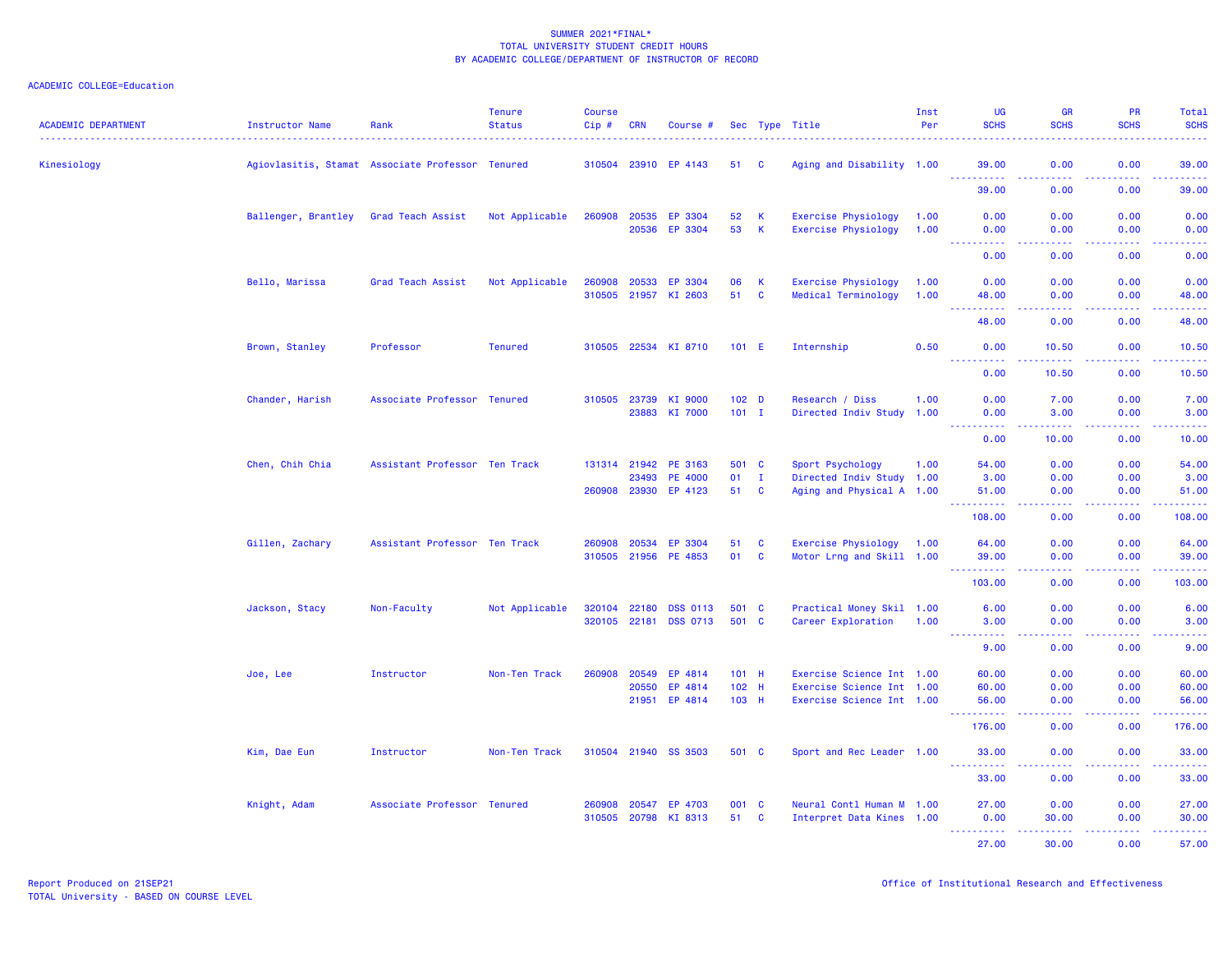| <b>ACADEMIC DEPARTMENT</b> | Instructor Name     | Rank                                             | <b>Tenure</b><br><b>Status</b> | <b>Course</b><br>Cip#  | <b>CRN</b>              | Course #                                          |                             |                          | Sec Type Title                                                                      | Inst<br>Per  | <b>UG</b><br><b>SCHS</b>                   | <b>GR</b><br><b>SCHS</b>     | <b>PR</b><br><b>SCHS</b>            | <b>Total</b><br><b>SCHS</b>                                                                                                       |
|----------------------------|---------------------|--------------------------------------------------|--------------------------------|------------------------|-------------------------|---------------------------------------------------|-----------------------------|--------------------------|-------------------------------------------------------------------------------------|--------------|--------------------------------------------|------------------------------|-------------------------------------|-----------------------------------------------------------------------------------------------------------------------------------|
| Kinesiology                |                     | Agiovlasitis, Stamat Associate Professor Tenured |                                |                        |                         | 310504 23910 EP 4143                              | 51 C                        |                          | Aging and Disability 1.00                                                           |              | 39.00                                      | 0.00                         | 0.00                                | 39.00                                                                                                                             |
|                            |                     |                                                  |                                |                        |                         |                                                   |                             |                          |                                                                                     |              | <u>.</u><br>39.00                          | .<br>0.00                    | .<br>0.00                           | .<br>39.00                                                                                                                        |
|                            | Ballenger, Brantley | Grad Teach Assist                                | Not Applicable                 | 260908                 | 20535<br>20536          | EP 3304<br>EP 3304                                | 52<br>53                    | K<br>К                   | <b>Exercise Physiology</b><br><b>Exercise Physiology</b>                            | 1.00<br>1.00 | 0.00<br>0.00                               | 0.00<br>0.00                 | 0.00<br>0.00                        | 0.00<br>0.00                                                                                                                      |
|                            |                     |                                                  |                                |                        |                         |                                                   |                             |                          |                                                                                     |              | <u>.</u><br>0.00                           | الدالد الدالد<br>0.00        | .<br>0.00                           | $\frac{1}{2} \left( \frac{1}{2} \right) \left( \frac{1}{2} \right) \left( \frac{1}{2} \right) \left( \frac{1}{2} \right)$<br>0.00 |
|                            | Bello, Marissa      | Grad Teach Assist                                | Not Applicable                 | 260908<br>310505 21957 | 20533                   | EP 3304<br>KI 2603                                | 06<br>51                    | К<br>$\mathbf{C}$        | <b>Exercise Physiology</b><br>Medical Terminology                                   | 1.00<br>1.00 | 0.00<br>48.00                              | 0.00<br>0.00                 | 0.00<br>0.00                        | 0.00<br>48.00                                                                                                                     |
|                            |                     |                                                  |                                |                        |                         |                                                   |                             |                          |                                                                                     |              | بالمستعا<br>48.00                          | $\sim$ $\sim$ $\sim$<br>0.00 | $\sim$ $\sim$ $\sim$ $\sim$<br>0.00 | المستنب<br>48.00                                                                                                                  |
|                            | Brown, Stanley      | Professor                                        | <b>Tenured</b>                 | 310505 22534           |                         | KI 8710                                           | $101$ E                     |                          | Internship                                                                          | 0.50         | 0.00                                       | 10.50                        | 0.00                                | 10.50                                                                                                                             |
|                            |                     |                                                  |                                |                        |                         |                                                   |                             |                          |                                                                                     |              | .<br>0.00                                  | .<br>10.50                   | <u>.</u><br>0.00                    | .<br>10.50                                                                                                                        |
|                            | Chander, Harish     | Associate Professor Tenured                      |                                | 310505                 | 23739<br>23883          | KI 9000<br>KI 7000                                | 102 <sub>D</sub><br>$101$ I |                          | Research / Diss<br>Directed Indiv Study 1.00                                        | 1.00         | 0.00<br>0.00<br>المستمات                   | 7.00<br>3.00<br>.            | 0.00<br>0.00<br>بالأباب             | 7.00<br>3.00<br>وساعات                                                                                                            |
|                            |                     |                                                  |                                |                        |                         |                                                   |                             |                          |                                                                                     |              | 0.00                                       | 10.00                        | 0.00                                | 10.00                                                                                                                             |
|                            | Chen, Chih Chia     | Assistant Professor Ten Track                    |                                | 131314                 | 21942<br>23493          | PE 3163<br><b>PE 4000</b><br>260908 23930 EP 4123 | 501 C<br>01<br>51           | $\mathbf{I}$<br><b>C</b> | Sport Psychology<br>Directed Indiv Study 1.00<br>Aging and Physical A 1.00          | 1.00         | 54.00<br>3.00<br>51.00                     | 0.00<br>0.00<br>0.00         | 0.00<br>0.00<br>0.00                | 54.00<br>3.00<br>51.00                                                                                                            |
|                            |                     |                                                  |                                |                        |                         |                                                   |                             |                          |                                                                                     |              | .<br>108.00                                | .<br>0.00                    | .<br>0.00                           | .<br>108.00                                                                                                                       |
|                            | Gillen, Zachary     | Assistant Professor Ten Track                    |                                | 260908                 | 20534                   | EP 3304                                           | 51                          | $\mathbf{C}$             | Exercise Physiology                                                                 | 1.00         | 64.00                                      | 0.00                         | 0.00                                | 64.00                                                                                                                             |
|                            |                     |                                                  |                                | 310505 21956           |                         | PE 4853                                           | 01                          | $\mathbf{C}$             | Motor Lrng and Skill 1.00                                                           |              | 39.00<br>.                                 | 0.00<br>بالأباد              | 0.00<br>22222                       | 39.00<br>.                                                                                                                        |
|                            |                     |                                                  |                                |                        |                         |                                                   |                             |                          |                                                                                     |              | 103.00                                     | 0.00                         | 0.00                                | 103.00                                                                                                                            |
|                            | Jackson, Stacy      | Non-Faculty                                      | Not Applicable                 | 320104<br>320105 22181 | 22180                   | <b>DSS 0113</b><br><b>DSS 0713</b>                | 501 C<br>501 C              |                          | Practical Money Skil 1.00<br>Career Exploration                                     | 1.00         | 6.00<br>3.00                               | 0.00<br>0.00                 | 0.00<br>0.00                        | 6.00<br>3.00                                                                                                                      |
|                            |                     |                                                  |                                |                        |                         |                                                   |                             |                          |                                                                                     |              | .<br>9.00                                  | بالأباب<br>0.00              | .<br>0.00                           | وساعات<br>9.00                                                                                                                    |
|                            | Joe, Lee            | Instructor                                       | Non-Ten Track                  | 260908                 | 20549<br>20550<br>21951 | EP 4814<br>EP 4814<br>EP 4814                     | 101 H<br>102 H<br>103 H     |                          | Exercise Science Int 1.00<br>Exercise Science Int 1.00<br>Exercise Science Int 1.00 |              | 60.00<br>60.00<br>56.00                    | 0.00<br>0.00<br>0.00         | 0.00<br>0.00<br>0.00                | 60.00<br>60.00<br>56.00                                                                                                           |
|                            |                     |                                                  |                                |                        |                         |                                                   |                             |                          |                                                                                     |              | .<br>$\sim$ $\sim$ $\sim$ $\sim$<br>176.00 | بالأباد<br>0.00              | .<br>0.00                           | .<br>176.00                                                                                                                       |
|                            | Kim, Dae Eun        | Instructor                                       | Non-Ten Track                  | 310504 21940           |                         | <b>SS 3503</b>                                    | 501 C                       |                          | Sport and Rec Leader 1.00                                                           |              | 33.00                                      | 0.00                         | 0.00                                | 33.00                                                                                                                             |
|                            |                     |                                                  |                                |                        |                         |                                                   |                             |                          |                                                                                     |              | .<br>33.00                                 | .<br>0.00                    | 0.00                                | .<br>33.00                                                                                                                        |
|                            | Knight, Adam        | Associate Professor Tenured                      |                                | 260908                 | 20547                   | EP 4703                                           | 001 C                       |                          | Neural Contl Human M 1.00                                                           |              | 27.00                                      | 0.00                         | 0.00                                | 27.00                                                                                                                             |
|                            |                     |                                                  |                                | 310505                 | 20798                   | KI 8313                                           | 51                          | $\mathbf{C}$             | Interpret Data Kines 1.00                                                           |              | 0.00<br><u> - - - - - - - - - -</u>        | 30.00<br>.                   | 0.00<br>22222                       | 30.00<br>.                                                                                                                        |
|                            |                     |                                                  |                                |                        |                         |                                                   |                             |                          |                                                                                     |              | 27,00                                      | 30.00                        | 0.00                                | 57.00                                                                                                                             |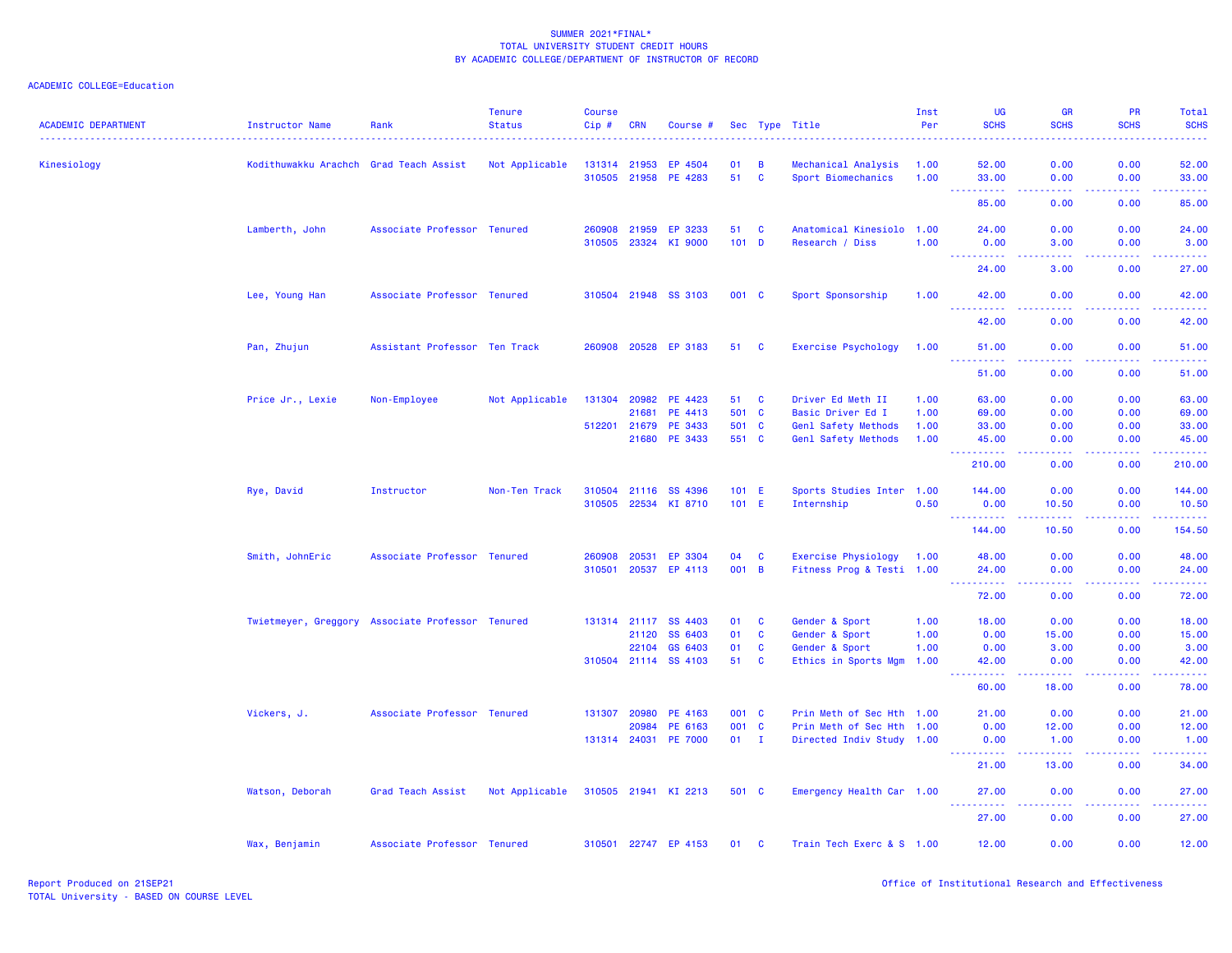| <b>ACADEMIC DEPARTMENT</b> | Instructor Name                                  | Rank                          | <b>Tenure</b><br><b>Status</b> | <b>Course</b><br>$Cip \#$ | <b>CRN</b>   | Course #             |         |                | Sec Type Title            | Inst<br>Per | <b>UG</b><br><b>SCHS</b>             | <b>GR</b><br><b>SCHS</b>                                                                                                                                     | PR<br><b>SCHS</b>                                                                                                                                            | Total<br><b>SCHS</b> |
|----------------------------|--------------------------------------------------|-------------------------------|--------------------------------|---------------------------|--------------|----------------------|---------|----------------|---------------------------|-------------|--------------------------------------|--------------------------------------------------------------------------------------------------------------------------------------------------------------|--------------------------------------------------------------------------------------------------------------------------------------------------------------|----------------------|
| Kinesiology                | Kodithuwakku Arachch                             | Grad Teach Assist             | Not Applicable                 |                           | 131314 21953 | EP 4504              | 01      | $\overline{B}$ | Mechanical Analysis       | 1.00        | 52.00                                | 0.00                                                                                                                                                         | 0.00                                                                                                                                                         | 52.00                |
|                            |                                                  |                               |                                |                           |              | 310505 21958 PE 4283 | 51 C    |                | Sport Biomechanics        | 1.00        | 33.00                                | 0.00                                                                                                                                                         | 0.00                                                                                                                                                         | 33.00                |
|                            |                                                  |                               |                                |                           |              |                      |         |                |                           |             | .<br>$ -$<br>85.00                   | .<br>0.00                                                                                                                                                    | .<br>0.00                                                                                                                                                    | .<br>85.00           |
|                            | Lamberth, John                                   | Associate Professor Tenured   |                                | 260908                    | 21959        | EP 3233              | 51      | $\mathbf{C}$   | Anatomical Kinesiolo 1.00 |             | 24.00                                | 0.00                                                                                                                                                         | 0.00                                                                                                                                                         | 24.00                |
|                            |                                                  |                               |                                |                           | 310505 23324 | KI 9000              | $101$ D |                | Research / Diss           | 1.00        | 0.00                                 | 3.00                                                                                                                                                         | 0.00                                                                                                                                                         | 3.00                 |
|                            |                                                  |                               |                                |                           |              |                      |         |                |                           |             | <u> - - - - - - - - - -</u><br>24,00 | د د د د<br>3.00                                                                                                                                              | .<br>0.00                                                                                                                                                    | .<br>27.00           |
|                            | Lee, Young Han                                   | Associate Professor Tenured   |                                |                           |              | 310504 21948 SS 3103 | 001 C   |                | Sport Sponsorship         | 1.00        | 42.00                                | 0.00                                                                                                                                                         | 0.00                                                                                                                                                         | 42.00                |
|                            |                                                  |                               |                                |                           |              |                      |         |                |                           |             | <u>.</u><br>42.00                    | $\frac{1}{2} \left( \frac{1}{2} \right) \left( \frac{1}{2} \right) \left( \frac{1}{2} \right)$<br>0.00                                                       | 22222<br>0.00                                                                                                                                                | .<br>42.00           |
|                            | Pan, Zhujun                                      | Assistant Professor Ten Track |                                |                           |              | 260908 20528 EP 3183 | 51 C    |                | Exercise Psychology       | 1.00        | 51.00<br>$  -$<br>.                  | 0.00<br>.                                                                                                                                                    | 0.00                                                                                                                                                         | 51.00                |
|                            |                                                  |                               |                                |                           |              |                      |         |                |                           |             | 51.00                                | 0.00                                                                                                                                                         | $\frac{1}{2} \left( \frac{1}{2} \right) \left( \frac{1}{2} \right) \left( \frac{1}{2} \right) \left( \frac{1}{2} \right) \left( \frac{1}{2} \right)$<br>0.00 | .<br>51.00           |
|                            | Price Jr., Lexie                                 | Non-Employee                  | Not Applicable                 | 131304                    | 20982        | PE 4423              | 51      | $\mathbf{C}$   | Driver Ed Meth II         | 1.00        | 63.00                                | 0.00                                                                                                                                                         | 0.00                                                                                                                                                         | 63.00                |
|                            |                                                  |                               |                                |                           | 21681        | PE 4413              | 501 C   |                | Basic Driver Ed I         | 1.00        | 69.00                                | 0.00                                                                                                                                                         | 0.00                                                                                                                                                         | 69.00                |
|                            |                                                  |                               |                                |                           | 512201 21679 | PE 3433              | 501 C   |                | Genl Safety Methods       | 1.00        | 33.00                                | 0.00                                                                                                                                                         | 0.00                                                                                                                                                         | 33.00                |
|                            |                                                  |                               |                                |                           | 21680        | PE 3433              | 551 C   |                | Genl Safety Methods       | 1.00        | 45.00<br><b>.</b>                    | 0.00<br>المتمامين                                                                                                                                            | 0.00<br>. <b>.</b>                                                                                                                                           | 45.00<br>.           |
|                            |                                                  |                               |                                |                           |              |                      |         |                |                           |             | 210.00                               | 0.00                                                                                                                                                         | 0.00                                                                                                                                                         | 210.00               |
|                            | Rye, David                                       | Instructor                    | Non-Ten Track                  | 310504                    | 21116        | SS 4396              | 101 E   |                | Sports Studies Inter 1.00 |             | 144.00                               | 0.00                                                                                                                                                         | 0.00                                                                                                                                                         | 144.00               |
|                            |                                                  |                               |                                |                           |              | 310505 22534 KI 8710 | $101$ E |                | Internship                | 0.50        | 0.00                                 | 10.50                                                                                                                                                        | 0.00                                                                                                                                                         | 10.50                |
|                            |                                                  |                               |                                |                           |              |                      |         |                |                           |             | .<br>144.00                          | .<br>10.50                                                                                                                                                   | 0.00                                                                                                                                                         | 22222)<br>154.50     |
|                            | Smith, JohnEric                                  | Associate Professor Tenured   |                                | 260908                    | 20531        | EP 3304              | 04      | <b>C</b>       | Exercise Physiology       | 1.00        | 48.00                                | 0.00                                                                                                                                                         | 0.00                                                                                                                                                         | 48.00                |
|                            |                                                  |                               |                                | 310501                    |              | 20537 EP 4113        | 001 B   |                | Fitness Prog & Testi 1.00 |             | 24.00                                | 0.00                                                                                                                                                         | 0.00                                                                                                                                                         | 24.00                |
|                            |                                                  |                               |                                |                           |              |                      |         |                |                           |             | .<br>72.00                           | .<br>0.00                                                                                                                                                    | 22222<br>0.00                                                                                                                                                | .<br>72.00           |
|                            | Twietmeyer, Greggory Associate Professor Tenured |                               |                                |                           | 131314 21117 | SS 4403              | 01      | <b>C</b>       | Gender & Sport            | 1.00        | 18.00                                | 0.00                                                                                                                                                         | 0.00                                                                                                                                                         | 18.00                |
|                            |                                                  |                               |                                |                           | 21120        | SS 6403              | 01      | $\mathbf{C}$   | Gender & Sport            | 1.00        | 0.00                                 | 15.00                                                                                                                                                        | 0.00                                                                                                                                                         | 15.00                |
|                            |                                                  |                               |                                |                           | 22104        | GS 6403              | 01      | $\mathbf{C}$   | Gender & Sport            | 1.00        | 0.00                                 | 3.00                                                                                                                                                         | 0.00                                                                                                                                                         | 3.00                 |
|                            |                                                  |                               |                                | 310504 21114              |              | SS 4103              | 51      | $\mathbf{C}$   | Ethics in Sports Mgm 1.00 |             | 42.00                                | 0.00<br>والمسامين                                                                                                                                            | 0.00<br>.                                                                                                                                                    | 42.00<br>.           |
|                            |                                                  |                               |                                |                           |              |                      |         |                |                           |             | 60.00                                | 18.00                                                                                                                                                        | 0.00                                                                                                                                                         | 78.00                |
|                            | Vickers, J.                                      | Associate Professor Tenured   |                                |                           | 131307 20980 | PE 4163              | 001 C   |                | Prin Meth of Sec Hth 1.00 |             | 21.00                                | 0.00                                                                                                                                                         | 0.00                                                                                                                                                         | 21.00                |
|                            |                                                  |                               |                                |                           | 20984        | PE 6163              | 001 C   |                | Prin Meth of Sec Hth 1.00 |             | 0.00                                 | 12.00                                                                                                                                                        | 0.00                                                                                                                                                         | 12.00                |
|                            |                                                  |                               |                                |                           | 131314 24031 | <b>PE 7000</b>       | $01$ I  |                | Directed Indiv Study 1.00 |             | 0.00<br>.                            | 1.00<br>$\frac{1}{2} \left( \frac{1}{2} \right) \left( \frac{1}{2} \right) \left( \frac{1}{2} \right) \left( \frac{1}{2} \right) \left( \frac{1}{2} \right)$ | 0.00<br>.                                                                                                                                                    | 1.00<br>.            |
|                            |                                                  |                               |                                |                           |              |                      |         |                |                           |             | 21.00                                | 13.00                                                                                                                                                        | 0.00                                                                                                                                                         | 34.00                |
|                            | Watson, Deborah                                  | Grad Teach Assist             | Not Applicable                 |                           |              | 310505 21941 KI 2213 | 501 C   |                | Emergency Health Car 1.00 |             | 27.00                                | 0.00                                                                                                                                                         | 0.00                                                                                                                                                         | 27.00                |
|                            |                                                  |                               |                                |                           |              |                      |         |                |                           |             | 27.00                                | 0.00                                                                                                                                                         | 0.00                                                                                                                                                         | 27.00                |
|                            | Wax, Benjamin                                    | Associate Professor Tenured   |                                |                           |              | 310501 22747 EP 4153 | 01 C    |                | Train Tech Exerc & S 1.00 |             | 12.00                                | 0.00                                                                                                                                                         | 0.00                                                                                                                                                         | 12.00                |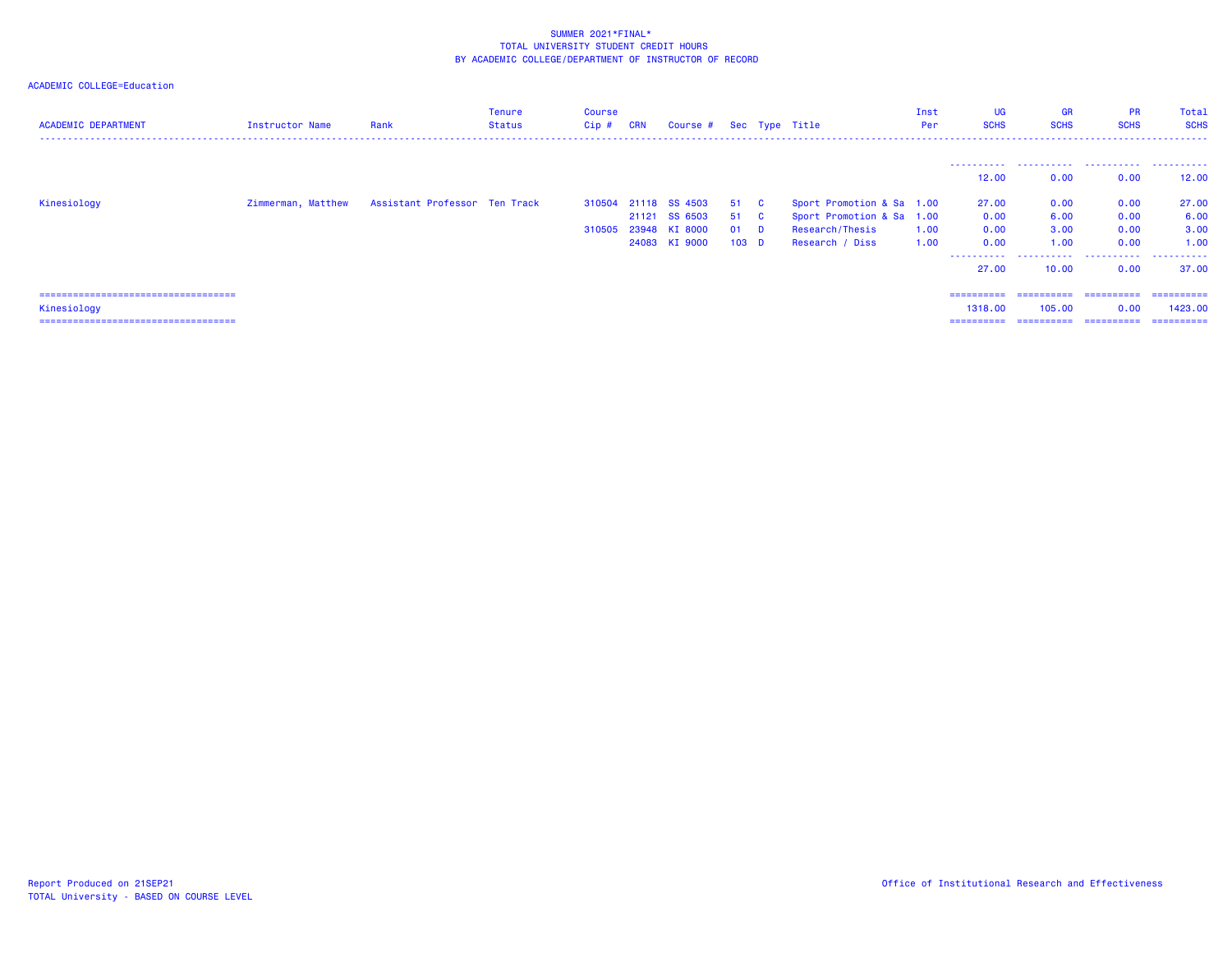| <b>ACADEMIC DEPARTMENT</b>             | Instructor Name | Rank                                             | Tenure<br>Status | Course<br>$Cip$ # | <b>CRN</b> | Course # Sec Type Title |                  |                           | Inst<br>Per | <b>UG</b><br><b>SCHS</b> | <b>GR</b><br><b>SCHS</b> | <b>PR</b><br><b>SCHS</b> | Total<br><b>SCHS</b> |
|----------------------------------------|-----------------|--------------------------------------------------|------------------|-------------------|------------|-------------------------|------------------|---------------------------|-------------|--------------------------|--------------------------|--------------------------|----------------------|
|                                        |                 |                                                  |                  |                   |            |                         |                  |                           |             |                          |                          |                          |                      |
|                                        |                 |                                                  |                  |                   |            |                         |                  |                           |             | 12,00                    | 0.00                     | 0.00                     | 12.00                |
| Kinesiology                            |                 | Zimmerman, Matthew Assistant Professor Ten Track |                  |                   |            | 310504 21118 SS 4503    | 51 C             | Sport Promotion & Sa 1.00 |             | 27.00                    | 0.00                     | 0.00                     | 27.00                |
|                                        |                 |                                                  |                  |                   |            | 21121 SS 6503           | 51 C             | Sport Promotion & Sa 1.00 |             | 0.00                     | 6.00                     | 0.00                     | 6.00                 |
|                                        |                 |                                                  |                  | 310505            |            | 23948 KI 8000           | 01 D             | Research/Thesis           | 1.00        | 0.00                     | 3.00                     | 0.00                     | 3.00                 |
|                                        |                 |                                                  |                  |                   |            | 24083 KI 9000           | 103 <sub>D</sub> | Research / Diss           | 1.00        | 0.00                     | 1.00                     | 0.00                     | 1.00                 |
|                                        |                 |                                                  |                  |                   |            |                         |                  |                           |             | .<br>27.00               | .<br>10.00               | .<br>0.00                | .<br>37.00           |
| ====================================== |                 |                                                  |                  |                   |            |                         |                  |                           |             | ==========               |                          |                          | - ==========         |
| Kinesiology                            |                 |                                                  |                  |                   |            |                         |                  |                           |             | 1318,00                  | 105,00                   | 0.00                     | 1423.00              |
| ====================================   |                 |                                                  |                  |                   |            |                         |                  |                           |             | ==========               | ==========               | ==========               | ==========           |
|                                        |                 |                                                  |                  |                   |            |                         |                  |                           |             |                          |                          |                          |                      |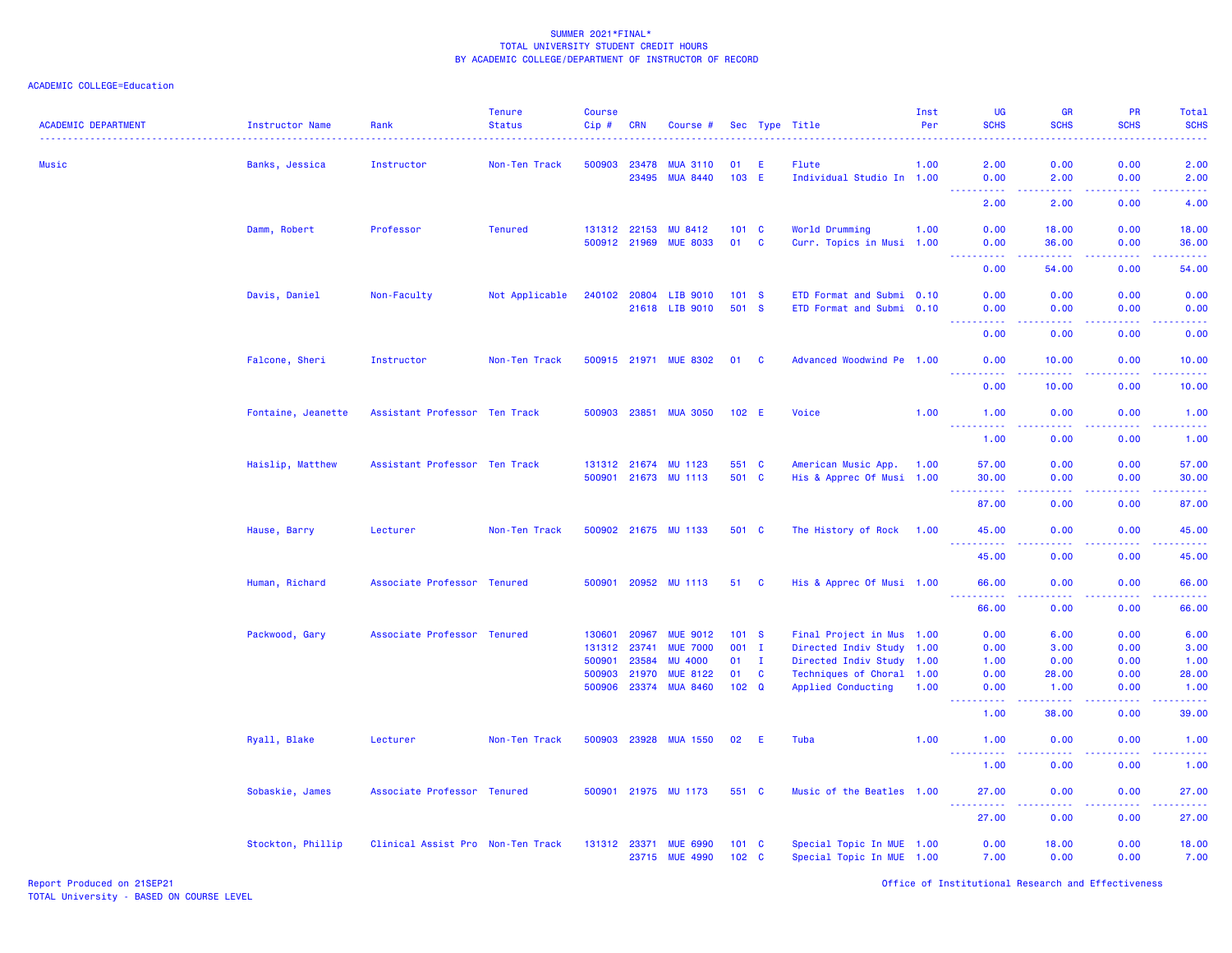| <b>ACADEMIC DEPARTMENT</b> | Instructor Name<br><u>.</u> | Rank                              | <b>Tenure</b><br><b>Status</b> | <b>Course</b><br>$Cip \#$ | <b>CRN</b>            | Course #                           |                                   |              | Sec Type Title                                         | Inst<br>Per | UG<br><b>SCHS</b>                   | <b>GR</b><br><b>SCHS</b>            | <b>PR</b><br><b>SCHS</b> | Total<br><b>SCHS</b> |
|----------------------------|-----------------------------|-----------------------------------|--------------------------------|---------------------------|-----------------------|------------------------------------|-----------------------------------|--------------|--------------------------------------------------------|-------------|-------------------------------------|-------------------------------------|--------------------------|----------------------|
| Music                      | Banks, Jessica              | Instructor                        | Non-Ten Track                  | 500903                    | 23478                 | <b>MUA 3110</b>                    | 01                                | E            | Flute                                                  | 1.00        | 2.00                                | 0.00                                | 0.00                     | 2.00                 |
|                            |                             |                                   |                                |                           | 23495                 | <b>MUA 8440</b>                    | 103 E                             |              | Individual Studio In 1.00                              |             | 0.00                                | 2.00<br>$\sim$ $\sim$ $\sim$ $\sim$ | 0.00<br>.                | 2.00                 |
|                            |                             |                                   |                                |                           |                       |                                    |                                   |              |                                                        |             | 2.00                                | 2.00                                | 0.00                     | 4.00                 |
|                            | Damm, Robert                | Professor                         | <b>Tenured</b>                 |                           | 131312 22153          | MU 8412                            | 101 C                             |              | World Drumming                                         | 1.00        | 0.00                                | 18.00                               | 0.00                     | 18.00                |
|                            |                             |                                   |                                |                           | 500912 21969          | <b>MUE 8033</b>                    | 01                                | C            | Curr. Topics in Musi 1.00                              |             | 0.00                                | 36.00                               | 0.00                     | 36.00                |
|                            |                             |                                   |                                |                           |                       |                                    |                                   |              |                                                        |             | 0.00                                | .<br>54.00                          | .<br>0.00                | .<br>54.00           |
|                            | Davis, Daniel               | Non-Faculty                       | Not Applicable                 |                           | 240102 20804          | LIB 9010                           | 101 S                             |              | ETD Format and Submi 0.10                              |             | 0.00                                | 0.00                                | 0.00                     | 0.00                 |
|                            |                             |                                   |                                |                           |                       | 21618 LIB 9010                     | 501 S                             |              | ETD Format and Submi 0.10                              |             | 0.00                                | 0.00                                | 0.00                     | 0.00                 |
|                            |                             |                                   |                                |                           |                       |                                    |                                   |              |                                                        |             | 2.2.2.2.2<br>0.00                   | .<br>0.00                           | 0.00                     | -----<br>0.00        |
|                            | Falcone, Sheri              | Instructor                        | Non-Ten Track                  |                           |                       | 500915 21971 MUE 8302              | 01 C                              |              | Advanced Woodwind Pe 1.00                              |             | 0.00                                | 10.00                               | 0.00                     | 10.00                |
|                            |                             |                                   |                                |                           |                       |                                    |                                   |              |                                                        |             | 0.00                                | 10.00                               | 0.00                     | 10.00                |
|                            | Fontaine, Jeanette          | Assistant Professor Ten Track     |                                |                           |                       | 500903 23851 MUA 3050              | 102 E                             |              | Voice                                                  | 1.00        | 1.00                                | 0.00                                | 0.00                     | 1.00                 |
|                            |                             |                                   |                                |                           |                       |                                    |                                   |              |                                                        |             | <u> - - - - - - - - - -</u><br>1.00 | .<br>0.00                           | .<br>0.00                | .<br>1.00            |
|                            | Haislip, Matthew            | Assistant Professor Ten Track     |                                |                           |                       | 131312 21674 MU 1123               | 551 C                             |              | American Music App.                                    | 1.00        | 57.00                               | 0.00                                | 0.00                     | 57.00                |
|                            |                             |                                   |                                |                           |                       | 500901 21673 MU 1113               | 501 C                             |              | His & Apprec Of Musi 1.00                              |             | 30.00                               | 0.00                                | 0.00                     | 30.00                |
|                            |                             |                                   |                                |                           |                       |                                    |                                   |              |                                                        |             | 87.00                               | 0.00                                | 0.00                     | وعاعاها<br>87.00     |
|                            | Hause, Barry                | Lecturer                          | Non-Ten Track                  |                           |                       | 500902 21675 MU 1133               | 501 C                             |              | The History of Rock 1.00                               |             | 45.00<br><u>.</u>                   | 0.00<br>.                           | 0.00                     | 45.00<br>.           |
|                            |                             |                                   |                                |                           |                       |                                    |                                   |              |                                                        |             | 45.00                               | 0.00                                | 0.00                     | 45.00                |
|                            | Human, Richard              | Associate Professor Tenured       |                                |                           |                       | 500901 20952 MU 1113               | 51 C                              |              | His & Apprec Of Musi 1.00                              |             | 66.00<br>.                          | 0.00<br>والمسامين                   | 0.00                     | 66.00<br>.           |
|                            |                             |                                   |                                |                           |                       |                                    |                                   |              |                                                        |             | 66.00                               | 0.00                                | 0.00                     | 66.00                |
|                            | Packwood, Gary              | Associate Professor Tenured       |                                | 130601                    | 20967                 | <b>MUE 9012</b>                    | 101 S                             |              | Final Project in Mus 1.00                              |             | 0.00                                | 6.00                                | 0.00                     | 6.00                 |
|                            |                             |                                   |                                |                           | 131312 23741          | <b>MUE 7000</b>                    | 001 I                             |              | Directed Indiv Study 1.00                              |             | 0.00                                | 3.00                                | 0.00                     | 3.00                 |
|                            |                             |                                   |                                | 500901                    | 23584                 | <b>MU 4000</b>                     | 01                                | $\mathbf{I}$ | Directed Indiv Study 1.00                              |             | 1.00                                | 0.00                                | 0.00                     | 1.00                 |
|                            |                             |                                   |                                | 500903                    | 21970<br>500906 23374 | <b>MUE 8122</b><br><b>MUA 8460</b> | 01<br>$102 \quad Q$               | $\mathbf{C}$ | Techniques of Choral 1.00<br><b>Applied Conducting</b> | 1.00        | 0.00<br>0.00                        | 28.00<br>1.00                       | 0.00<br>0.00             | 28.00<br>1.00        |
|                            |                             |                                   |                                |                           |                       |                                    |                                   |              |                                                        |             | 1.00                                | 38.00                               | 0.00                     | 39.00                |
|                            |                             |                                   |                                |                           |                       |                                    |                                   |              |                                                        |             |                                     |                                     |                          |                      |
|                            | Ryall, Blake                | Lecturer                          | Non-Ten Track                  |                           |                       | 500903 23928 MUA 1550              | 02                                | - E          | Tuba                                                   | 1.00        | 1.00<br>----------                  | 0.00<br>.                           | 0.00<br>22222            | 1.00<br>.            |
|                            |                             |                                   |                                |                           |                       |                                    |                                   |              |                                                        |             | 1.00                                | 0.00                                | 0.00                     | 1.00                 |
|                            | Sobaskie, James             | Associate Professor Tenured       |                                |                           |                       | 500901 21975 MU 1173               | 551 C                             |              | Music of the Beatles 1.00                              |             | 27.00<br>.                          | 0.00<br>$\sim$ $\sim$ $\sim$ $\sim$ | 0.00<br>.                | 27.00<br>المستملة    |
|                            |                             |                                   |                                |                           |                       |                                    |                                   |              |                                                        |             | 27.00                               | 0.00                                | 0.00                     | 27.00                |
|                            | Stockton, Phillip           | Clinical Assist Pro Non-Ten Track |                                |                           | 131312 23371          | <b>MUE 6990</b><br>23715 MUE 4990  | $101 \quad C$<br>102 <sub>c</sub> |              | Special Topic In MUE 1.00<br>Special Topic In MUE 1.00 |             | 0.00<br>7.00                        | 18.00<br>0.00                       | 0.00<br>0.00             | 18.00<br>7.00        |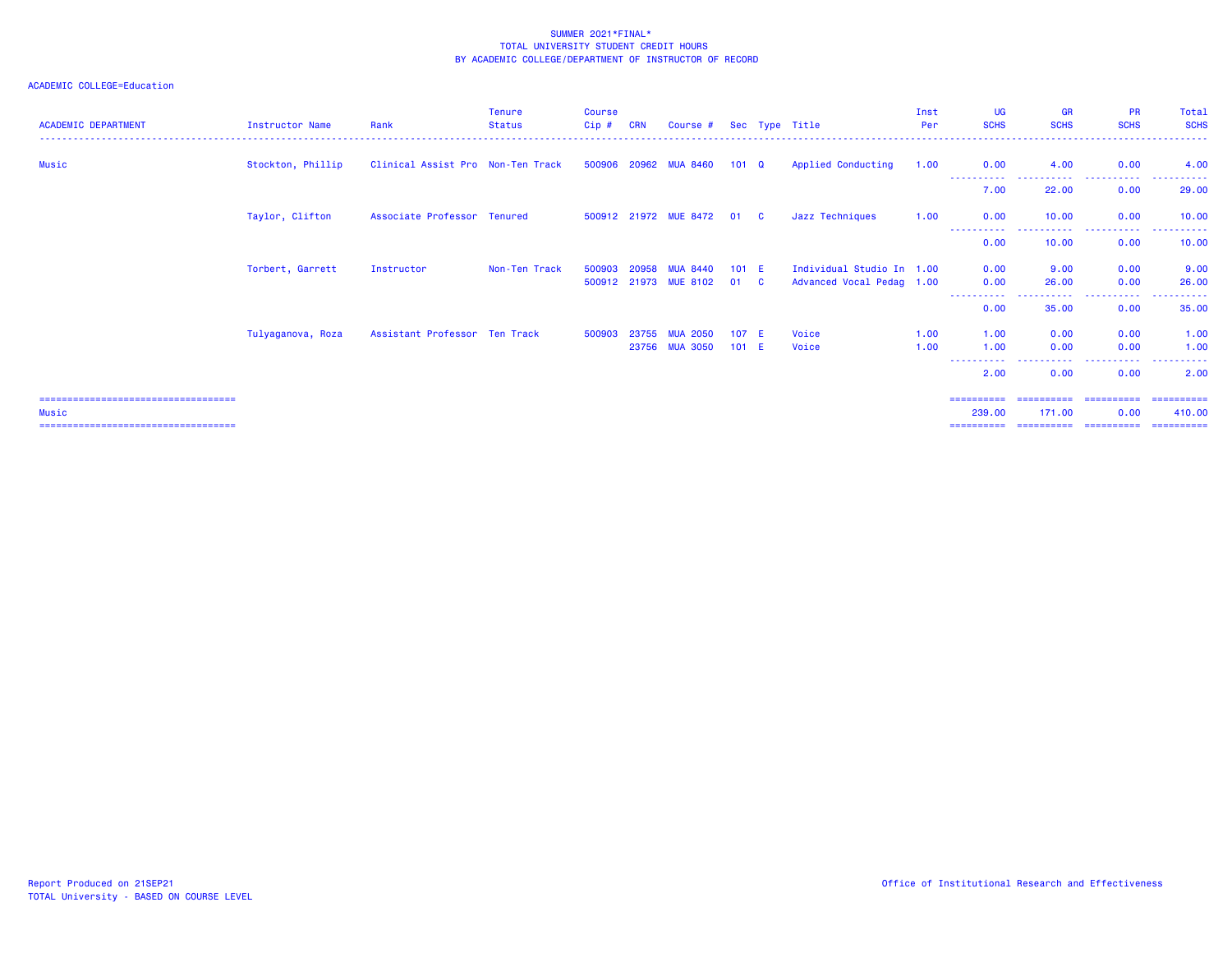| <b>ACADEMIC DEPARTMENT</b>                                                                | <b>Instructor Name</b> | Rank                              | <b>Tenure</b><br><b>Status</b> | <b>Course</b><br>Cip# | <b>CRN</b> | Course #                                 |                  |                         | Sec Type Title                                         | Inst<br>Per  | UG<br><b>SCHS</b>                  | <b>GR</b><br><b>SCHS</b> | <b>PR</b><br><b>SCHS</b>         | Total<br><b>SCHS</b>                |
|-------------------------------------------------------------------------------------------|------------------------|-----------------------------------|--------------------------------|-----------------------|------------|------------------------------------------|------------------|-------------------------|--------------------------------------------------------|--------------|------------------------------------|--------------------------|----------------------------------|-------------------------------------|
| Music                                                                                     | Stockton, Phillip      | Clinical Assist Pro Non-Ten Track |                                |                       |            | 500906 20962 MUA 8460                    | $101 \quad Q$    |                         | Applied Conducting                                     | 1.00         | 0.00<br>-----------                | 4.00<br>.                | 0.00<br>.                        | 4.00                                |
|                                                                                           |                        |                                   |                                |                       |            |                                          |                  |                         |                                                        |              | 7.00                               | 22.00                    | 0.00                             | 29.00                               |
|                                                                                           | Taylor, Clifton        | Associate Professor Tenured       |                                |                       |            | 500912 21972 MUE 8472                    | 01 C             |                         | Jazz Techniques                                        | 1.00         | 0.00                               | 10.00                    | 0.00                             | 10.00                               |
|                                                                                           |                        |                                   |                                |                       |            |                                          |                  |                         |                                                        |              | 0.00                               | 10.00                    | -----<br>0.00                    | 10.00                               |
|                                                                                           | Torbert, Garrett       | Instructor                        | Non-Ten Track                  | 500903                | 20958      | <b>MUA 8440</b><br>500912 21973 MUE 8102 | $101$ E<br>01    | $\overline{\mathbf{C}}$ | Individual Studio In 1.00<br>Advanced Vocal Pedag 1.00 |              | 0.00<br>0.00                       | 9.00<br>26.00            | 0.00<br>0.00                     | 9.00<br>26.00                       |
|                                                                                           |                        |                                   |                                |                       |            |                                          |                  |                         |                                                        |              | ----------<br>0.00                 | .<br>35.00               | .<br>0.00                        | 35.00                               |
|                                                                                           | Tulyaganova, Roza      | Assistant Professor Ten Track     |                                | 500903                | 23755      | <b>MUA 2050</b><br>23756 MUA 3050        | 107 E<br>$101$ E |                         | Voice<br>Voice                                         | 1.00<br>1.00 | 1.00<br>1.00                       | 0.00<br>0.00             | 0.00<br>0.00                     | 1.00<br>1.00                        |
|                                                                                           |                        |                                   |                                |                       |            |                                          |                  |                         |                                                        |              | -----------<br>2.00                | 0.00                     | . <b>.</b><br>0.00               | $\sim$ $\sim$ $\sim$ $\sim$<br>2.00 |
| ======================================<br>Music<br>====================================== |                        |                                   |                                |                       |            |                                          |                  |                         |                                                        |              | ==========<br>239,00<br>========== | 171.00<br>==========     | ==========<br>0.00<br>========== | ==========<br>410.00<br>==========  |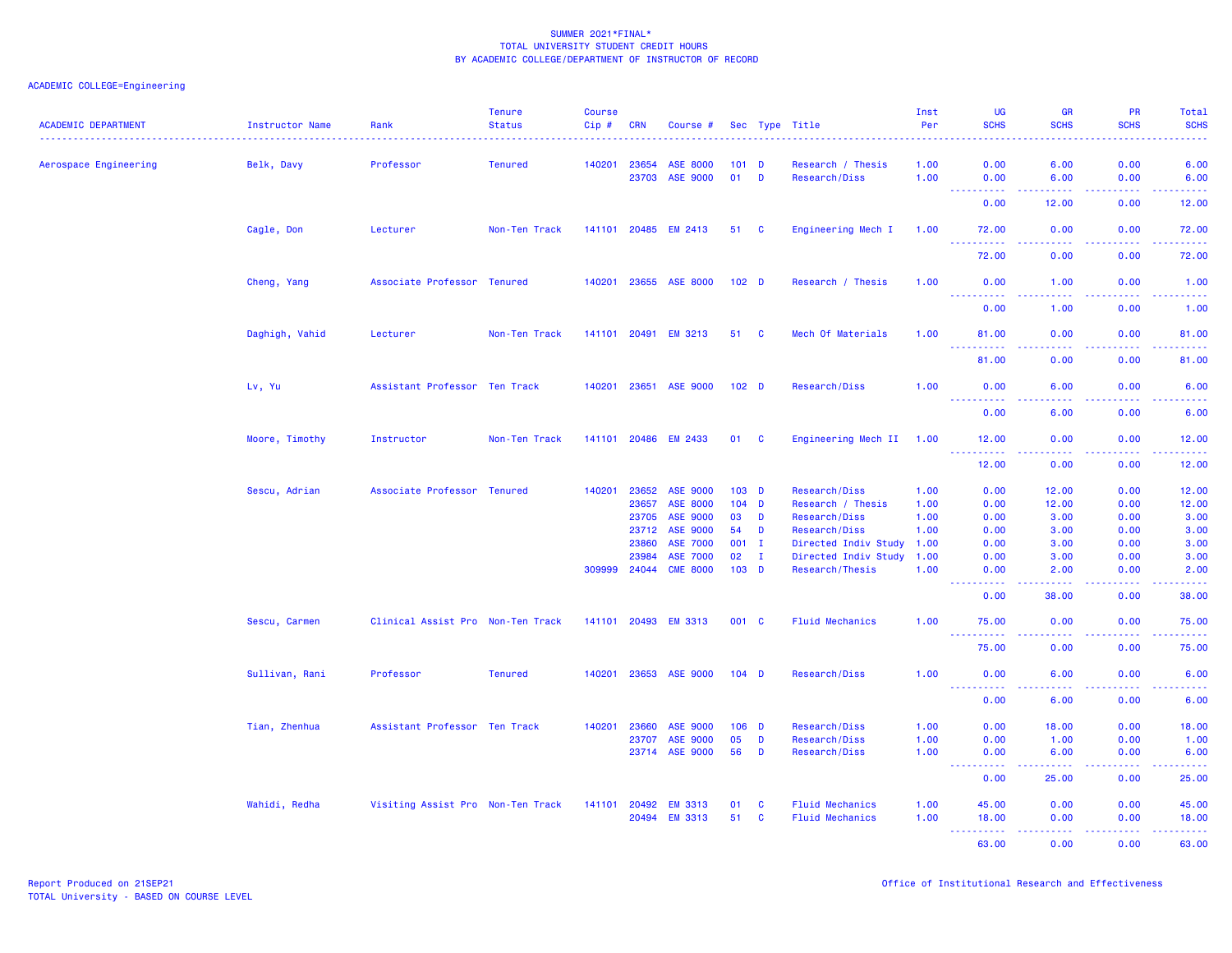| <b>ACADEMIC DEPARTMENT</b> | Instructor Name | Rank                              | <b>Tenure</b><br><b>Status</b> | <b>Course</b><br>$Cip$ # | <b>CRN</b>     | Course #                           |                  |                   | Sec Type Title                     | Inst<br>Per  | <b>UG</b><br><b>SCHS</b> | <b>GR</b><br><b>SCHS</b>             | PR<br><b>SCHS</b>                                                                                      | Total<br><b>SCHS</b> |
|----------------------------|-----------------|-----------------------------------|--------------------------------|--------------------------|----------------|------------------------------------|------------------|-------------------|------------------------------------|--------------|--------------------------|--------------------------------------|--------------------------------------------------------------------------------------------------------|----------------------|
| Aerospace Engineering      | Belk, Davy      | Professor                         | <b>Tenured</b>                 | 140201                   | 23654<br>23703 | <b>ASE 8000</b><br><b>ASE 9000</b> |                  | $101$ D<br>$01$ D | Research / Thesis<br>Research/Diss | 1.00<br>1.00 | 0.00<br>0.00             | 6.00<br>6.00                         | 0.00<br>0.00                                                                                           | 6.00<br>6.00         |
|                            |                 |                                   |                                |                          |                |                                    |                  |                   |                                    |              | ----<br>.<br>0.00        | .<br>12.00                           | .<br>0.00                                                                                              | .<br>12.00           |
|                            | Cagle, Don      | Lecturer                          | Non-Ten Track                  |                          |                | 141101 20485 EM 2413               |                  | 51 C              | Engineering Mech I                 | 1.00         | 72.00                    | 0.00                                 | 0.00                                                                                                   | 72.00                |
|                            |                 |                                   |                                |                          |                |                                    |                  |                   |                                    |              | <u>.</u><br>72.00        | .<br>0.00                            | .<br>0.00                                                                                              | 222222<br>72.00      |
|                            | Cheng, Yang     | Associate Professor Tenured       |                                |                          |                | 140201 23655 ASE 8000              | 102 <sub>D</sub> |                   | Research / Thesis                  | 1.00         | 0.00                     | 1.00                                 | 0.00                                                                                                   | 1.00                 |
|                            |                 |                                   |                                |                          |                |                                    |                  |                   |                                    |              | .<br>0.00                | 1.00                                 | .<br>0.00                                                                                              | د د د د د<br>1.00    |
|                            | Daghigh, Vahid  | Lecturer                          | Non-Ten Track                  |                          |                | 141101 20491 EM 3213               | 51               | <b>C</b>          | Mech Of Materials                  | 1.00         | 81.00                    | 0.00                                 | 0.00                                                                                                   | 81.00                |
|                            |                 |                                   |                                |                          |                |                                    |                  |                   |                                    |              | <b>.</b><br>.<br>81.00   | .<br>0.00                            | .<br>0.00                                                                                              | .<br>81.00           |
|                            | Lv, Yu          | Assistant Professor Ten Track     |                                |                          |                | 140201 23651 ASE 9000              | 102 <sub>D</sub> |                   | Research/Diss                      | 1.00         | 0.00                     | 6.00                                 | 0.00                                                                                                   | 6.00                 |
|                            |                 |                                   |                                |                          |                |                                    |                  |                   |                                    |              | <u>.</u><br>0.00         | .<br>6.00                            | .<br>0.00                                                                                              | .<br>6.00            |
|                            | Moore, Timothy  | Instructor                        | Non-Ten Track                  |                          | 141101 20486   | <b>EM 2433</b>                     | 01               | <b>C</b>          | Engineering Mech II                | 1.00         | 12.00                    | 0.00                                 | 0.00                                                                                                   | 12.00                |
|                            |                 |                                   |                                |                          |                |                                    |                  |                   |                                    |              | .<br>12.00               | .<br>0.00                            | .<br>0.00                                                                                              | .<br>12.00           |
|                            | Sescu, Adrian   | Associate Professor Tenured       |                                | 140201                   | 23652          | <b>ASE 9000</b>                    |                  | $103$ D           | Research/Diss                      | 1.00         | 0.00                     | 12.00                                | 0.00                                                                                                   | 12.00                |
|                            |                 |                                   |                                |                          | 23657          | <b>ASE 8000</b>                    |                  | $104$ D           | Research / Thesis                  | 1.00         | 0.00                     | 12.00                                | 0.00                                                                                                   | 12.00                |
|                            |                 |                                   |                                |                          | 23705          | <b>ASE 9000</b>                    | 03               | D                 | Research/Diss                      | 1.00         | 0.00                     | 3.00                                 | 0.00                                                                                                   | 3.00                 |
|                            |                 |                                   |                                |                          | 23712          | ASE 9000                           | 54               | D                 | Research/Diss                      | 1.00         | 0.00                     | 3.00                                 | 0.00                                                                                                   | 3.00                 |
|                            |                 |                                   |                                |                          | 23860          | <b>ASE 7000</b>                    |                  | 001 I             | Directed Indiv Study               | 1.00         | 0.00                     | 3.00                                 | 0.00                                                                                                   | 3.00                 |
|                            |                 |                                   |                                |                          | 23984          | <b>ASE 7000</b>                    | 02               | $\mathbf{I}$      | Directed Indiv Study               | 1.00         | 0.00                     | 3.00                                 | 0.00                                                                                                   | 3.00                 |
|                            |                 |                                   |                                | 309999                   | 24044          | <b>CME 8000</b>                    |                  | 103 D             | Research/Thesis                    | 1.00         | 0.00                     | 2.00                                 | 0.00                                                                                                   | 2.00                 |
|                            |                 |                                   |                                |                          |                |                                    |                  |                   |                                    |              | 2.2.2.2<br>0.00          | $\sim$ $\sim$ $\sim$ $\sim$<br>38.00 | $\frac{1}{2} \left( \frac{1}{2} \right) \left( \frac{1}{2} \right) \left( \frac{1}{2} \right)$<br>0.00 | $- - - - -$<br>38.00 |
|                            | Sescu, Carmen   | Clinical Assist Pro Non-Ten Track |                                |                          | 141101 20493   | <b>EM 3313</b>                     | 001 C            |                   | <b>Fluid Mechanics</b>             | 1.00         | 75.00                    | 0.00                                 | 0.00                                                                                                   | 75.00                |
|                            |                 |                                   |                                |                          |                |                                    |                  |                   |                                    |              | 2.2.2.2.2.2<br>75.00     | 0.00                                 | 0.00                                                                                                   | .<br>75.00           |
|                            | Sullivan, Rani  | Professor                         | <b>Tenured</b>                 | 140201                   | 23653          | <b>ASE 9000</b>                    | $104$ D          |                   | Research/Diss                      | 1.00         | 0.00                     | 6.00                                 | 0.00                                                                                                   | 6.00                 |
|                            |                 |                                   |                                |                          |                |                                    |                  |                   |                                    |              | <u>.</u><br>0.00         | .<br>6.00                            | د د د د .<br>0.00                                                                                      | $- - - - -$<br>6.00  |
|                            | Tian, Zhenhua   | Assistant Professor Ten Track     |                                | 140201                   | 23660          | ASE 9000                           |                  | $106$ D           | Research/Diss                      | 1.00         | 0.00                     | 18.00                                | 0.00                                                                                                   | 18.00                |
|                            |                 |                                   |                                |                          | 23707          | ASE 9000                           | 05               | D                 | Research/Diss                      | 1.00         | 0.00                     | 1.00                                 | 0.00                                                                                                   | 1.00                 |
|                            |                 |                                   |                                |                          |                | 23714 ASE 9000                     | 56               | D                 | Research/Diss                      | 1.00         | 0.00                     | 6.00                                 | 0.00                                                                                                   | 6.00                 |
|                            |                 |                                   |                                |                          |                |                                    |                  |                   |                                    |              | .<br>0.00                | .<br>25.00                           | .<br>0.00                                                                                              | بالأباليات<br>25.00  |
|                            | Wahidi, Redha   | Visiting Assist Pro Non-Ten Track |                                | 141101                   | 20492          | <b>EM 3313</b>                     | 01               | C                 | <b>Fluid Mechanics</b>             | 1.00         | 45.00                    | 0.00                                 | 0.00                                                                                                   | 45.00                |
|                            |                 |                                   |                                |                          | 20494          | <b>EM 3313</b>                     | 51               | <b>C</b>          | <b>Fluid Mechanics</b>             | 1.00         | 18.00                    | 0.00                                 | 0.00                                                                                                   | 18.00                |
|                            |                 |                                   |                                |                          |                |                                    |                  |                   |                                    |              | 222222<br>63.00          | .<br>0.00                            | .<br>0.00                                                                                              | 222222<br>63.00      |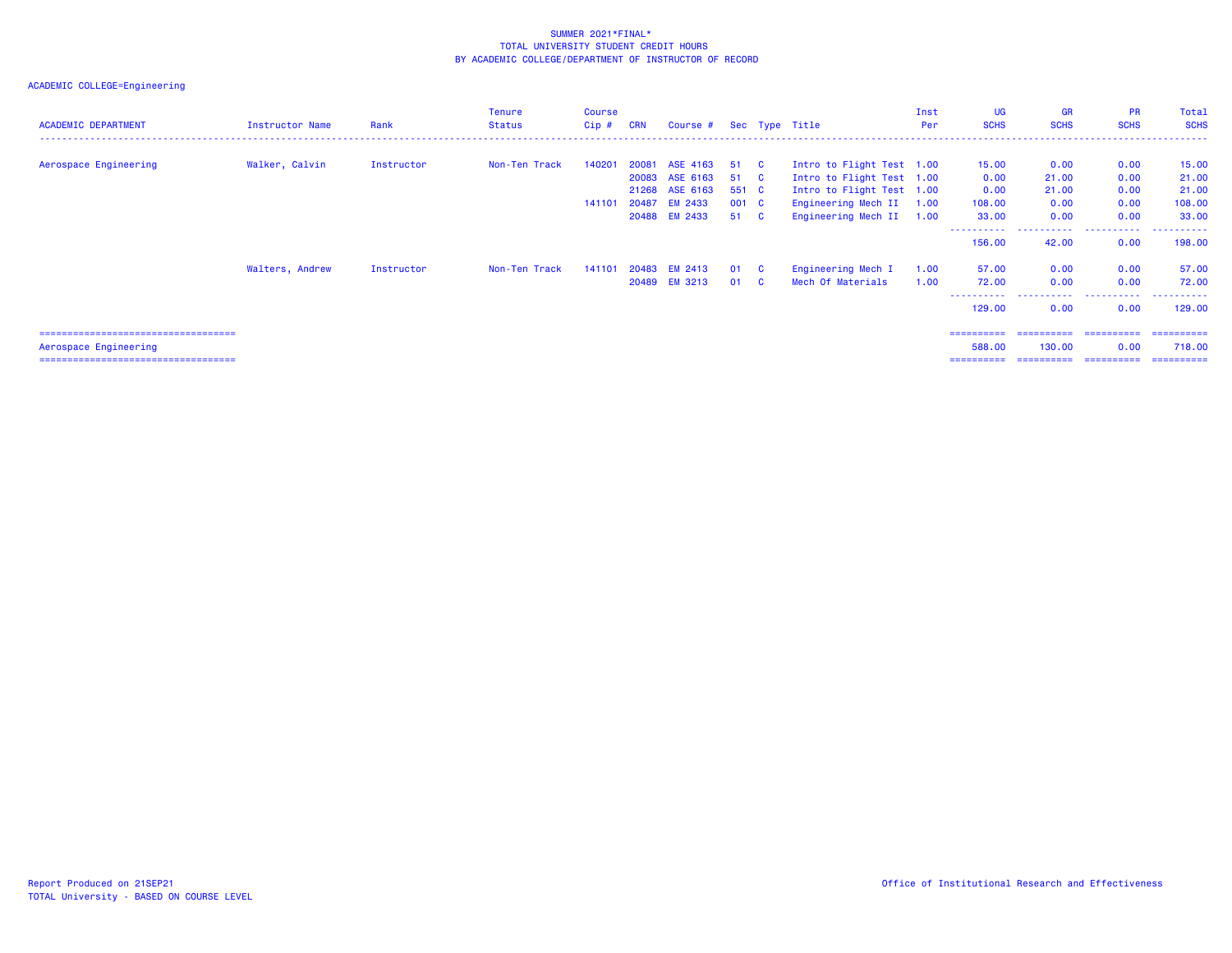| <b>ACADEMIC DEPARTMENT</b>             | Instructor Name | Rank       | <b>Tenure</b><br>Status | <b>Course</b><br>Cip# | <b>CRN</b> | Course # Sec Type Title    |              |              |                                                        | Inst<br>Per | UG<br><b>SCHS</b>     | <b>GR</b><br><b>SCHS</b> | <b>PR</b><br><b>SCHS</b> | Total<br><b>SCHS</b> |
|----------------------------------------|-----------------|------------|-------------------------|-----------------------|------------|----------------------------|--------------|--------------|--------------------------------------------------------|-------------|-----------------------|--------------------------|--------------------------|----------------------|
| Aerospace Engineering                  | Walker, Calvin  | Instructor | Non-Ten Track           | 140201                | 20081      | ASE 4163<br>20083 ASE 6163 | 51 C<br>51 C |              | Intro to Flight Test 1.00<br>Intro to Flight Test 1.00 |             | 15.00<br>0.00         | 0.00<br>21.00            | 0.00<br>0.00             | 15.00<br>21.00       |
|                                        |                 |            |                         |                       |            | 21268 ASE 6163             | 551 C        |              | Intro to Flight Test 1.00                              |             | 0.00                  | 21.00                    | 0.00                     | 21.00                |
|                                        |                 |            |                         | 141101                | 20487      | <b>EM 2433</b>             | 001 C        |              | Engineering Mech II 1.00                               |             | 108.00                | 0.00                     | 0.00                     | 108.00               |
|                                        |                 |            |                         |                       | 20488      | <b>EM 2433</b>             | 51 C         |              | Engineering Mech II 1.00                               |             | 33.00                 | 0.00                     | 0.00                     | 33.00                |
|                                        |                 |            |                         |                       |            |                            |              |              |                                                        |             | .<br>156.00           | .<br>42.00               | .<br>0.00                | . <b>.</b><br>198.00 |
|                                        | Walters, Andrew | Instructor | Non-Ten Track           | 141101                |            | 20483 EM 2413              | 01 C         |              | Engineering Mech I                                     | 1.00        | 57.00                 | 0.00                     | 0.00                     | 57.00                |
|                                        |                 |            |                         |                       | 20489      | <b>EM 3213</b>             | 01           | $\mathbf{C}$ | Mech Of Materials                                      | 1.00        | 72.00                 | 0.00                     | 0.00                     | 72.00                |
|                                        |                 |            |                         |                       |            |                            |              |              |                                                        |             | -----------<br>129,00 | .<br>0.00                | .<br>0.00                | .<br>129,00          |
| ====================================== |                 |            |                         |                       |            |                            |              |              |                                                        |             | ==========            | ==========               | ==========               | -----------          |
| Aerospace Engineering                  |                 |            |                         |                       |            |                            |              |              |                                                        |             | 588.00                | 130.00                   | 0.00                     | 718.00               |
| ====================================== |                 |            |                         |                       |            |                            |              |              |                                                        |             | ==========            |                          | ----------- ----------   | -----------          |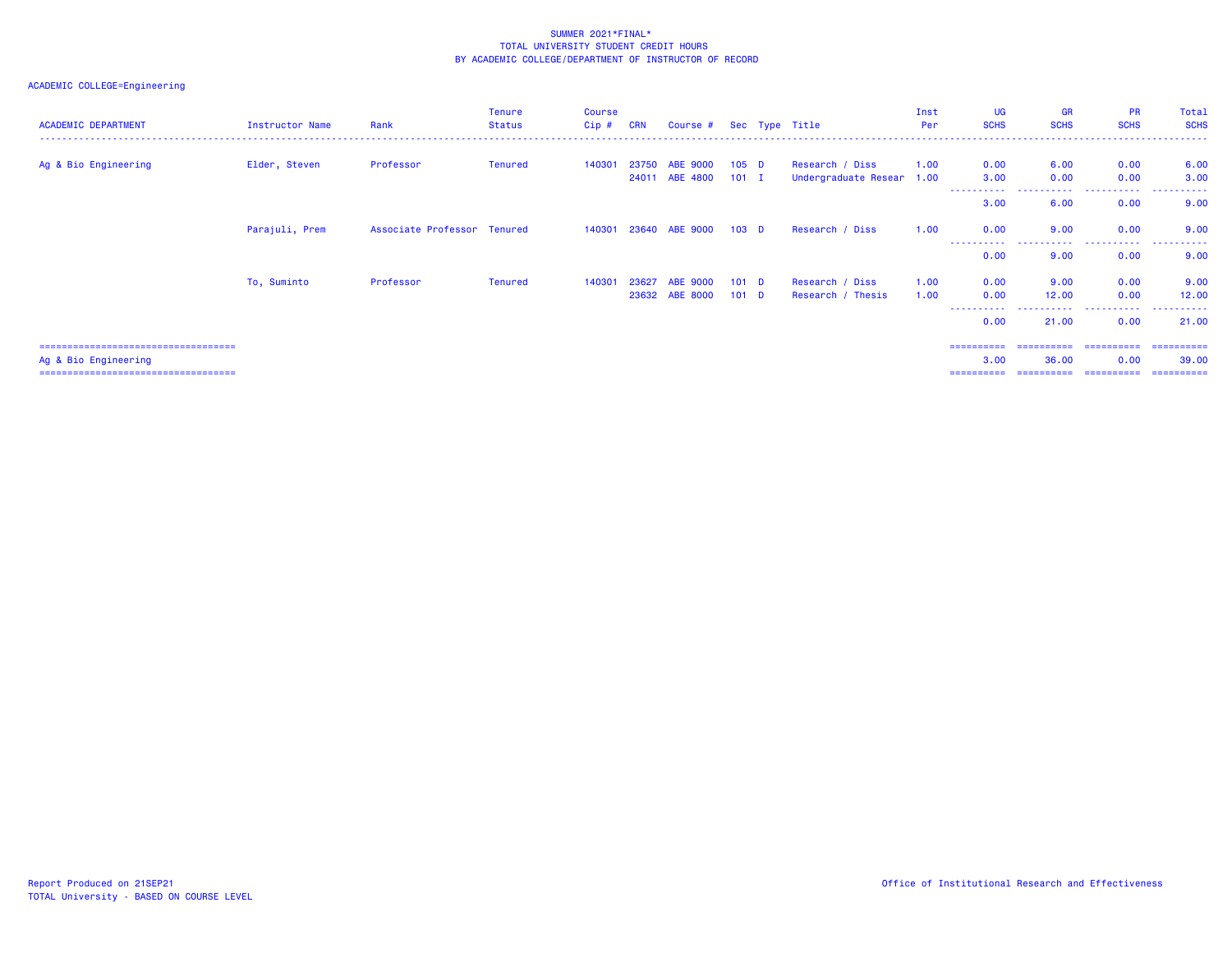# ACADEMIC COLLEGE=Engineering

| <b>ACADEMIC DEPARTMENT</b> | Instructor Name | Rank                        | Tenure<br><b>Status</b> | <b>Course</b><br>$Cip$ # | <b>CRN</b> | Course # Sec Type Title                |                                      |                                              | Inst<br>Per  | <b>UG</b><br><b>SCHS</b> | <b>GR</b><br><b>SCHS</b> | <b>PR</b><br><b>SCHS</b> | Total<br><b>SCHS</b> |
|----------------------------|-----------------|-----------------------------|-------------------------|--------------------------|------------|----------------------------------------|--------------------------------------|----------------------------------------------|--------------|--------------------------|--------------------------|--------------------------|----------------------|
| Ag & Bio Engineering       | Elder, Steven   | Professor                   | Tenured                 | 140301                   |            | 23750 ABE 9000<br>24011 ABE 4800 101 I | 105 <sub>D</sub>                     | Research / Diss<br>Undergraduate Resear 1.00 | 1.00         | 0.00<br>3.00             | 6.00<br>0.00             | 0.00<br>0.00             | 6.00<br>3.00         |
|                            |                 |                             |                         |                          |            |                                        |                                      |                                              |              | -----------<br>3.00      | .<br>6.00                | 0.00                     | 9.00                 |
|                            | Parajuli, Prem  | Associate Professor Tenured |                         |                          |            | 140301 23640 ABE 9000 103 D            |                                      | Research / Diss                              | 1.00         | 0.00                     | 9.00                     | 0.00                     | 9.00                 |
|                            |                 |                             |                         |                          |            |                                        |                                      |                                              |              | .<br>0.00                | 9.00                     | <br>0.00                 | 9.00                 |
|                            | To, Suminto     | Professor                   | Tenured                 | 140301                   | 23627      | <b>ABE 9000</b><br>23632 ABE 8000      | 101 <sub>D</sub><br>101 <sub>D</sub> | Research / Diss<br>Research / Thesis         | 1.00<br>1.00 | 0.00<br>0.00             | 9.00<br>12.00            | 0.00<br>0.00             | 9.00<br>12.00        |
|                            |                 |                             |                         |                          |            |                                        |                                      |                                              |              | .<br>0.00                | 21.00                    | .<br>0.00                | .<br>21,00           |

=================================== ========== ========== ========== ==========

 Ag & Bio Engineering 3.00 36.00 0.00 39.00 =================================== ========== ========== ========== ==========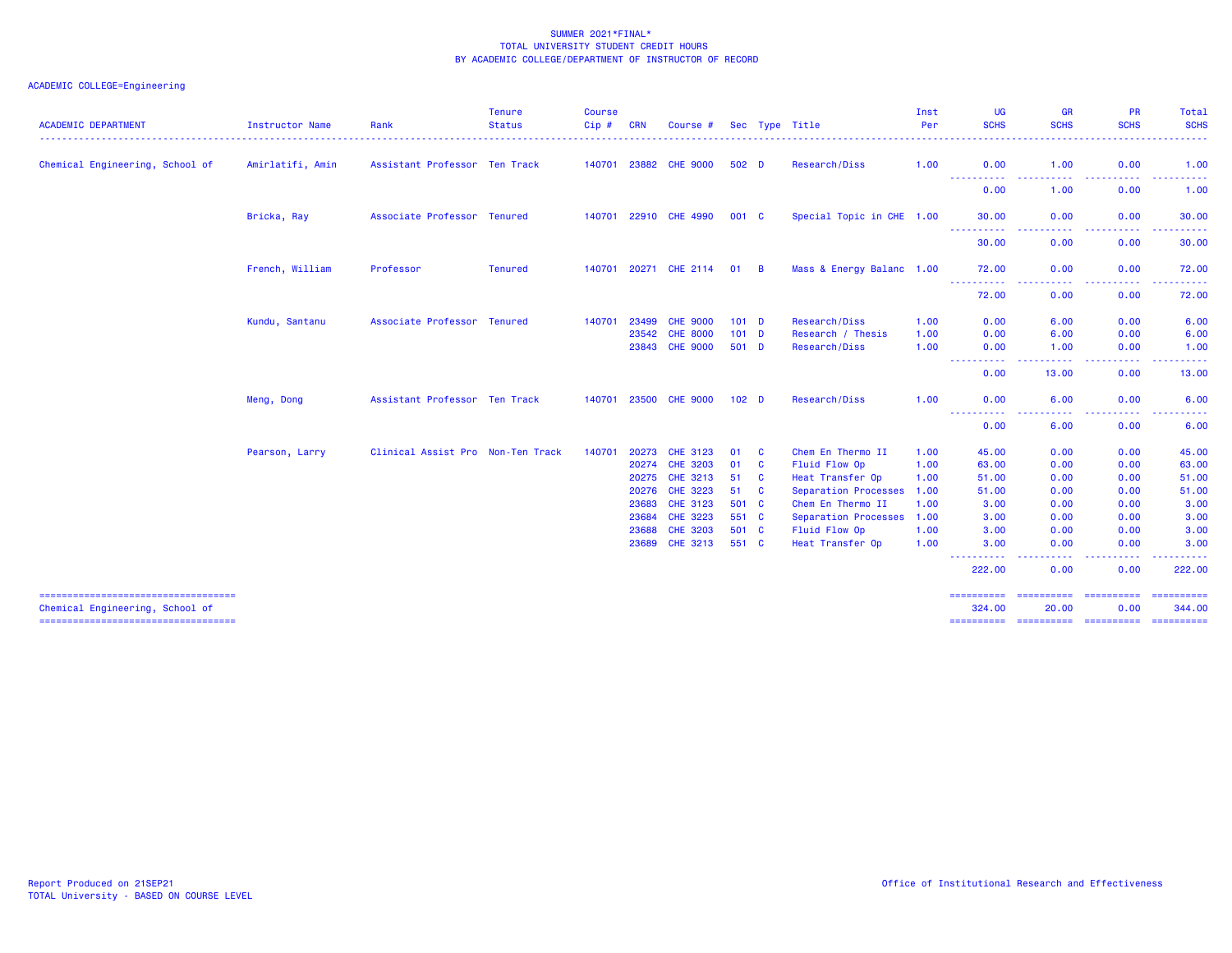| <b>ACADEMIC DEPARTMENT</b>                                               | Instructor Name  | Rank                              | <b>Tenure</b><br><b>Status</b> | <b>Course</b><br>Cip# | <b>CRN</b>   | Course #              |                  |                         | Sec Type Title            | Inst<br>Per | UG<br><b>SCHS</b>                                                                                                                                                       | <b>GR</b><br><b>SCHS</b>                                                                                                          | <b>PR</b><br><b>SCHS</b>                                                                                                          | Total<br><b>SCHS</b><br>$\frac{1}{2}$ |
|--------------------------------------------------------------------------|------------------|-----------------------------------|--------------------------------|-----------------------|--------------|-----------------------|------------------|-------------------------|---------------------------|-------------|-------------------------------------------------------------------------------------------------------------------------------------------------------------------------|-----------------------------------------------------------------------------------------------------------------------------------|-----------------------------------------------------------------------------------------------------------------------------------|---------------------------------------|
| Chemical Engineering, School of                                          | Amirlatifi, Amin | Assistant Professor Ten Track     |                                |                       | 140701 23882 | <b>CHE 9000</b>       | 502 <sub>D</sub> |                         | Research/Diss             | 1.00        | 0.00                                                                                                                                                                    | 1.00                                                                                                                              | 0.00                                                                                                                              | 1.00                                  |
|                                                                          |                  |                                   |                                |                       |              |                       |                  |                         |                           |             | ----<br>0.00                                                                                                                                                            | .<br>1.00                                                                                                                         | . <b>.</b> .<br>0.00                                                                                                              | .<br>1.00                             |
|                                                                          | Bricka, Ray      | Associate Professor Tenured       |                                |                       |              | 140701 22910 CHE 4990 | 001 C            |                         | Special Topic in CHE 1.00 |             | 30.00                                                                                                                                                                   | 0.00                                                                                                                              | 0.00                                                                                                                              | 30.00                                 |
|                                                                          |                  |                                   |                                |                       |              |                       |                  |                         |                           |             | -----------<br>30.00                                                                                                                                                    | . <b>.</b><br>0.00                                                                                                                | .<br>0.00                                                                                                                         | .<br>30.00                            |
|                                                                          | French, William  | Professor                         | <b>Tenured</b>                 |                       |              | 140701 20271 CHE 2114 | $01$ B           |                         | Mass & Energy Balanc 1.00 |             | 72.00                                                                                                                                                                   | 0.00                                                                                                                              | 0.00                                                                                                                              | 72.00                                 |
|                                                                          |                  |                                   |                                |                       |              |                       |                  |                         |                           |             | $\frac{1}{2} \left( \frac{1}{2} \right) \left( \frac{1}{2} \right) \left( \frac{1}{2} \right)$<br>72.00                                                                 | 0.00                                                                                                                              | . <u>.</u> .<br>0.00                                                                                                              | 72.00                                 |
|                                                                          | Kundu, Santanu   | Associate Professor Tenured       |                                | 140701                | 23499        | <b>CHE 9000</b>       | 101 <sub>D</sub> |                         | Research/Diss             | 1.00        | 0.00                                                                                                                                                                    | 6.00                                                                                                                              | 0.00                                                                                                                              | 6.00                                  |
|                                                                          |                  |                                   |                                |                       | 23542        | <b>CHE 8000</b>       | 101 <sub>D</sub> |                         | Research / Thesis         | 1.00        | 0.00                                                                                                                                                                    | 6.00                                                                                                                              | 0.00                                                                                                                              | 6.00                                  |
|                                                                          |                  |                                   |                                |                       | 23843        | <b>CHE 9000</b>       | $501$ D          |                         | Research/Diss             | 1.00        | 0.00<br>----                                                                                                                                                            | 1.00<br>$\frac{1}{2} \left( \frac{1}{2} \right) \left( \frac{1}{2} \right) \left( \frac{1}{2} \right) \left( \frac{1}{2} \right)$ | 0.00<br>$\frac{1}{2} \left( \frac{1}{2} \right) \left( \frac{1}{2} \right) \left( \frac{1}{2} \right) \left( \frac{1}{2} \right)$ | 1.00<br>.                             |
|                                                                          |                  |                                   |                                |                       |              |                       |                  |                         |                           |             | 0.00                                                                                                                                                                    | 13.00                                                                                                                             | 0.00                                                                                                                              | 13.00                                 |
|                                                                          | Meng, Dong       | Assistant Professor Ten Track     |                                |                       |              | 140701 23500 CHE 9000 | 102 <sub>D</sub> |                         | Research/Diss             | 1.00        | 0.00                                                                                                                                                                    | 6.00                                                                                                                              | 0.00                                                                                                                              | 6.00                                  |
|                                                                          |                  |                                   |                                |                       |              |                       |                  |                         |                           |             | $- - -$<br>$\frac{1}{2} \left( \frac{1}{2} \right) \left( \frac{1}{2} \right) \left( \frac{1}{2} \right) \left( \frac{1}{2} \right) \left( \frac{1}{2} \right)$<br>0.00 | 6.00                                                                                                                              | 0.00                                                                                                                              | 6.00                                  |
|                                                                          | Pearson, Larry   | Clinical Assist Pro Non-Ten Track |                                | 140701                | 20273        | CHE 3123              | 01               | <b>C</b>                | Chem En Thermo II         | 1.00        | 45.00                                                                                                                                                                   | 0.00                                                                                                                              | 0.00                                                                                                                              | 45.00                                 |
|                                                                          |                  |                                   |                                |                       | 20274        | <b>CHE 3203</b>       | 01               | $\mathbf{C}$            | Fluid Flow Op             | 1.00        | 63.00                                                                                                                                                                   | 0.00                                                                                                                              | 0.00                                                                                                                              | 63.00                                 |
|                                                                          |                  |                                   |                                |                       | 20275        | CHE 3213              | 51               | <b>C</b>                | Heat Transfer Op          | 1.00        | 51.00                                                                                                                                                                   | 0.00                                                                                                                              | 0.00                                                                                                                              | 51.00                                 |
|                                                                          |                  |                                   |                                |                       | 20276        | CHE 3223              | 51               | $\overline{\mathbf{C}}$ | Separation Processes      | 1.00        | 51.00                                                                                                                                                                   | 0.00                                                                                                                              | 0.00                                                                                                                              | 51.00                                 |
|                                                                          |                  |                                   |                                |                       | 23683        | CHE 3123              | 501 C            |                         | Chem En Thermo II         | 1.00        | 3.00                                                                                                                                                                    | 0.00                                                                                                                              | 0.00                                                                                                                              | 3.00                                  |
|                                                                          |                  |                                   |                                |                       | 23684        | <b>CHE 3223</b>       | 551 C            |                         | Separation Processes      | 1.00        | 3.00                                                                                                                                                                    | 0.00                                                                                                                              | 0.00                                                                                                                              | 3.00                                  |
|                                                                          |                  |                                   |                                |                       | 23688        | <b>CHE 3203</b>       | 501 C            |                         | Fluid Flow Op             | 1.00        | 3.00                                                                                                                                                                    | 0.00                                                                                                                              | 0.00                                                                                                                              | 3.00                                  |
|                                                                          |                  |                                   |                                |                       | 23689        | CHE 3213              | 551 C            |                         | Heat Transfer Op          | 1.00        | 3.00                                                                                                                                                                    | 0.00<br>----                                                                                                                      | 0.00                                                                                                                              | 3.00<br>. <b>.</b>                    |
|                                                                          |                  |                                   |                                |                       |              |                       |                  |                         |                           |             | 222.00                                                                                                                                                                  | 0.00                                                                                                                              | 0.00                                                                                                                              | 222.00                                |
| =====================================<br>Chemical Engineering, School of |                  |                                   |                                |                       |              |                       |                  |                         |                           |             | ==========<br>324.00                                                                                                                                                    | ==========<br>20.00                                                                                                               | ==========<br>0.00                                                                                                                | ==========<br>344.00                  |
| ======================================                                   |                  |                                   |                                |                       |              |                       |                  |                         |                           |             | ==========                                                                                                                                                              | -----------                                                                                                                       | ----------                                                                                                                        | ==========                            |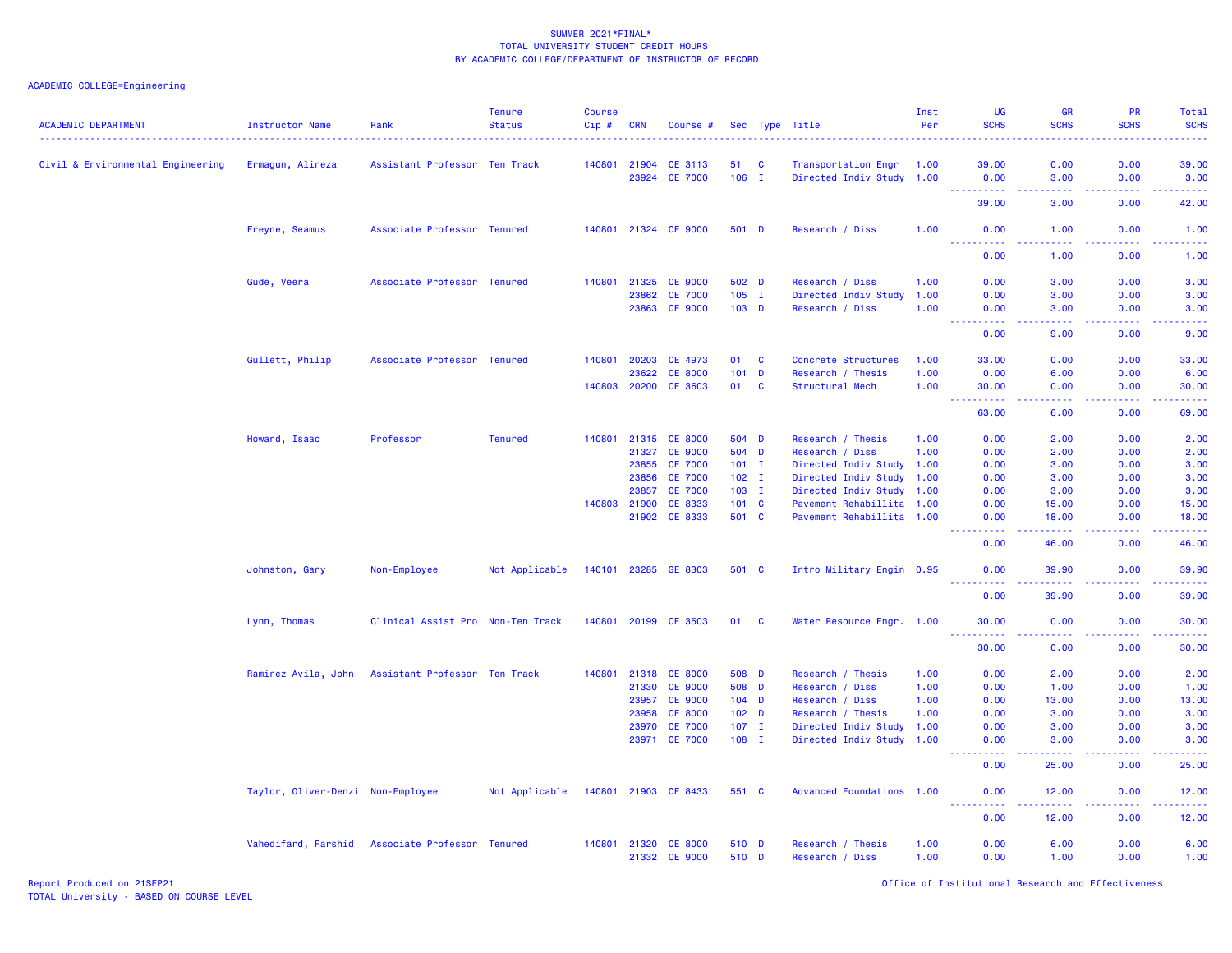| <b>ACADEMIC DEPARTMENT</b>        | Instructor Name                   | Rank                              | <b>Tenure</b><br><b>Status</b> | <b>Course</b><br>$Cip \#$ | <b>CRN</b>   | Course #             |                  |              | Sec Type Title            | Inst<br>Per | UG<br><b>SCHS</b>                                                                                     | <b>GR</b><br><b>SCHS</b>                                                                                                           | <b>PR</b><br><b>SCHS</b>                                                                                                          | Total<br><b>SCHS</b><br>$\frac{1}{2} \left( \frac{1}{2} \right) \left( \frac{1}{2} \right) \left( \frac{1}{2} \right) \left( \frac{1}{2} \right)$            |
|-----------------------------------|-----------------------------------|-----------------------------------|--------------------------------|---------------------------|--------------|----------------------|------------------|--------------|---------------------------|-------------|-------------------------------------------------------------------------------------------------------|------------------------------------------------------------------------------------------------------------------------------------|-----------------------------------------------------------------------------------------------------------------------------------|--------------------------------------------------------------------------------------------------------------------------------------------------------------|
| Civil & Environmental Engineering | Ermagun, Alireza                  | Assistant Professor Ten Track     |                                |                           | 140801 21904 | <b>CE 3113</b>       | 51 C             |              | Transportation Engr       | 1.00        | 39.00                                                                                                 | 0.00                                                                                                                               | 0.00                                                                                                                              | 39.00                                                                                                                                                        |
|                                   |                                   |                                   |                                |                           | 23924        | <b>CE 7000</b>       | $106$ I          |              | Directed Indiv Study 1.00 |             | 0.00                                                                                                  | 3.00<br>.                                                                                                                          | 0.00<br>.                                                                                                                         | 3.00                                                                                                                                                         |
|                                   |                                   |                                   |                                |                           |              |                      |                  |              |                           |             | 39.00                                                                                                 | 3.00                                                                                                                               | 0.00                                                                                                                              | .<br>42.00                                                                                                                                                   |
|                                   | Freyne, Seamus                    | Associate Professor Tenured       |                                |                           |              | 140801 21324 CE 9000 | 501 D            |              | Research / Diss           | 1.00        | 0.00                                                                                                  | 1.00                                                                                                                               | 0.00                                                                                                                              | 1.00                                                                                                                                                         |
|                                   |                                   |                                   |                                |                           |              |                      |                  |              |                           |             | <b></b><br>0.00                                                                                       | .<br>1.00                                                                                                                          | $\frac{1}{2} \left( \frac{1}{2} \right) \left( \frac{1}{2} \right) \left( \frac{1}{2} \right) \left( \frac{1}{2} \right)$<br>0.00 | .<br>1.00                                                                                                                                                    |
|                                   | Gude, Veera                       | Associate Professor Tenured       |                                | 140801                    | 21325        | <b>CE 9000</b>       | 502 D            |              | Research / Diss           | 1.00        | 0.00                                                                                                  | 3.00                                                                                                                               | 0.00                                                                                                                              | 3.00                                                                                                                                                         |
|                                   |                                   |                                   |                                |                           | 23862        | <b>CE 7000</b>       | $105$ I          |              | Directed Indiv Study      | 1.00        | 0.00                                                                                                  | 3.00                                                                                                                               | 0.00                                                                                                                              | 3.00                                                                                                                                                         |
|                                   |                                   |                                   |                                |                           | 23863        | <b>CE 9000</b>       | $103$ D          |              | Research / Diss           | 1.00        | 0.00<br>$\sim 10$<br>$\mathbf{1} \cdot \mathbf{1} \cdot \mathbf{1} \cdot \mathbf{1} \cdot \mathbf{1}$ | 3.00<br>.                                                                                                                          | 0.00<br>.                                                                                                                         | 3.00<br>$\frac{1}{2} \left( \frac{1}{2} \right) \left( \frac{1}{2} \right) \left( \frac{1}{2} \right) \left( \frac{1}{2} \right) \left( \frac{1}{2} \right)$ |
|                                   |                                   |                                   |                                |                           |              |                      |                  |              |                           |             | 0.00                                                                                                  | 9.00                                                                                                                               | 0.00                                                                                                                              | 9.00                                                                                                                                                         |
|                                   | Gullett, Philip                   | Associate Professor Tenured       |                                | 140801                    | 20203        | CE 4973              | 01               | $\mathbf{C}$ | Concrete Structures       | 1.00        | 33.00                                                                                                 | 0.00                                                                                                                               | 0.00                                                                                                                              | 33.00                                                                                                                                                        |
|                                   |                                   |                                   |                                |                           | 23622        | <b>CE 8000</b>       | 101              | $\mathbf D$  | Research / Thesis         | 1.00        | 0.00                                                                                                  | 6.00                                                                                                                               | 0.00                                                                                                                              | 6.00                                                                                                                                                         |
|                                   |                                   |                                   |                                | 140803                    | 20200        | CE 3603              | 01               | $\mathbf{C}$ | Structural Mech           | 1.00        | 30.00                                                                                                 | 0.00<br>$  -$                                                                                                                      | 0.00<br>ولاوياء                                                                                                                   | 30.00<br>وساعات                                                                                                                                              |
|                                   |                                   |                                   |                                |                           |              |                      |                  |              |                           |             | 63.00                                                                                                 | 6.00                                                                                                                               | 0.00                                                                                                                              | 69.00                                                                                                                                                        |
|                                   | Howard, Isaac                     | Professor                         | <b>Tenured</b>                 | 140801                    |              | 21315 CE 8000        | 504 D            |              | Research / Thesis         | 1.00        | 0.00                                                                                                  | 2.00                                                                                                                               | 0.00                                                                                                                              | 2.00                                                                                                                                                         |
|                                   |                                   |                                   |                                |                           | 21327        | <b>CE 9000</b>       | 504 D            |              | Research / Diss           | 1.00        | 0.00                                                                                                  | 2.00                                                                                                                               | 0.00                                                                                                                              | 2.00                                                                                                                                                         |
|                                   |                                   |                                   |                                |                           | 23855        | <b>CE 7000</b>       | $101$ I          |              | Directed Indiv Study 1.00 |             | 0.00                                                                                                  | 3.00                                                                                                                               | 0.00                                                                                                                              | 3.00                                                                                                                                                         |
|                                   |                                   |                                   |                                |                           | 23856        | <b>CE 7000</b>       | $102 \quad I$    |              | Directed Indiv Study 1.00 |             | 0.00                                                                                                  | 3.00                                                                                                                               | 0.00                                                                                                                              | 3.00                                                                                                                                                         |
|                                   |                                   |                                   |                                |                           | 23857        | <b>CE 7000</b>       | $103$ I          |              | Directed Indiv Study 1.00 |             | 0.00                                                                                                  | 3.00                                                                                                                               | 0.00                                                                                                                              | 3.00                                                                                                                                                         |
|                                   |                                   |                                   |                                | 140803                    | 21900        | CE 8333              | 101 C            |              | Pavement Rehabillita 1.00 |             | 0.00                                                                                                  | 15.00                                                                                                                              | 0.00                                                                                                                              | 15.00                                                                                                                                                        |
|                                   |                                   |                                   |                                |                           | 21902        | CE 8333              | 501 C            |              | Pavement Rehabillita 1.00 |             | 0.00<br><u>.</u>                                                                                      | 18.00<br>المستمالين                                                                                                                | 0.00<br>المتمامي                                                                                                                  | 18.00<br>.                                                                                                                                                   |
|                                   |                                   |                                   |                                |                           |              |                      |                  |              |                           |             | 0.00                                                                                                  | 46.00                                                                                                                              | 0.00                                                                                                                              | 46.00                                                                                                                                                        |
|                                   | Johnston, Gary                    | Non-Employee                      | Not Applicable                 | 140101                    | 23285        | GE 8303              | 501 C            |              | Intro Military Engin 0.95 |             | 0.00<br>2.2.2.2.2.2                                                                                   | 39.90<br>2.2.2.2.2                                                                                                                 | 0.00<br>.                                                                                                                         | 39.90<br>.                                                                                                                                                   |
|                                   |                                   |                                   |                                |                           |              |                      |                  |              |                           |             | 0.00                                                                                                  | 39.90                                                                                                                              | 0.00                                                                                                                              | 39.90                                                                                                                                                        |
|                                   | Lynn, Thomas                      | Clinical Assist Pro Non-Ten Track |                                |                           |              | 140801 20199 CE 3503 | 01               | <b>C</b>     | Water Resource Engr. 1.00 |             | 30.00                                                                                                 | 0.00                                                                                                                               | 0.00                                                                                                                              | 30.00                                                                                                                                                        |
|                                   |                                   |                                   |                                |                           |              |                      |                  |              |                           |             | 30.00                                                                                                 | 0.00                                                                                                                               | 0.00                                                                                                                              | والمالم مال<br>30.00                                                                                                                                         |
|                                   | Ramirez Avila, John               | Assistant Professor Ten Track     |                                | 140801                    |              | 21318 CE 8000        | 508 D            |              | Research / Thesis         | 1.00        | 0.00                                                                                                  | 2.00                                                                                                                               | 0.00                                                                                                                              | 2.00                                                                                                                                                         |
|                                   |                                   |                                   |                                |                           | 21330        | <b>CE 9000</b>       | 508 D            |              | Research / Diss           | 1.00        | 0.00                                                                                                  | 1.00                                                                                                                               | 0.00                                                                                                                              | 1.00                                                                                                                                                         |
|                                   |                                   |                                   |                                |                           | 23957        | <b>CE 9000</b>       | $104$ D          |              | Research / Diss           | 1.00        | 0.00                                                                                                  | 13.00                                                                                                                              | 0.00                                                                                                                              | 13.00                                                                                                                                                        |
|                                   |                                   |                                   |                                |                           | 23958        | <b>CE 8000</b>       | 102 <sub>D</sub> |              | Research / Thesis         | 1.00        | 0.00                                                                                                  | 3.00                                                                                                                               | 0.00                                                                                                                              | 3.00                                                                                                                                                         |
|                                   |                                   |                                   |                                |                           | 23970        | <b>CE 7000</b>       | $107$ I          |              | Directed Indiv Study 1.00 |             | 0.00                                                                                                  | 3.00                                                                                                                               | 0.00                                                                                                                              | 3.00                                                                                                                                                         |
|                                   |                                   |                                   |                                |                           |              | 23971 CE 7000        | $108$ I          |              | Directed Indiv Study 1.00 |             | 0.00<br><b>.</b>                                                                                      | 3.00<br>.                                                                                                                          | 0.00<br>.                                                                                                                         | 3.00<br>.                                                                                                                                                    |
|                                   |                                   |                                   |                                |                           |              |                      |                  |              |                           |             | 0.00                                                                                                  | 25.00                                                                                                                              | 0.00                                                                                                                              | 25.00                                                                                                                                                        |
|                                   | Taylor, Oliver-Denzi Non-Employee |                                   | Not Applicable                 |                           |              | 140801 21903 CE 8433 | 551 C            |              | Advanced Foundations 1.00 |             | 0.00                                                                                                  | 12.00                                                                                                                              | 0.00                                                                                                                              | 12.00                                                                                                                                                        |
|                                   |                                   |                                   |                                |                           |              |                      |                  |              |                           |             | 0.00                                                                                                  | $\frac{1}{2} \left( \frac{1}{2} \right) \left( \frac{1}{2} \right) \left( \frac{1}{2} \right) \left( \frac{1}{2} \right)$<br>12.00 | .<br>0.00                                                                                                                         | .<br>12.00                                                                                                                                                   |
|                                   | Vahedifard, Farshid               | Associate Professor Tenured       |                                | 140801                    | 21320        | <b>CE 8000</b>       | 510 D            |              | Research / Thesis         | 1.00        | 0.00                                                                                                  | 6.00                                                                                                                               | 0.00                                                                                                                              | 6.00                                                                                                                                                         |
|                                   |                                   |                                   |                                |                           |              | 21332 CE 9000        | 510 D            |              | Research / Diss           | 1.00        | 0.00                                                                                                  | 1.00                                                                                                                               | 0.00                                                                                                                              | 1.00                                                                                                                                                         |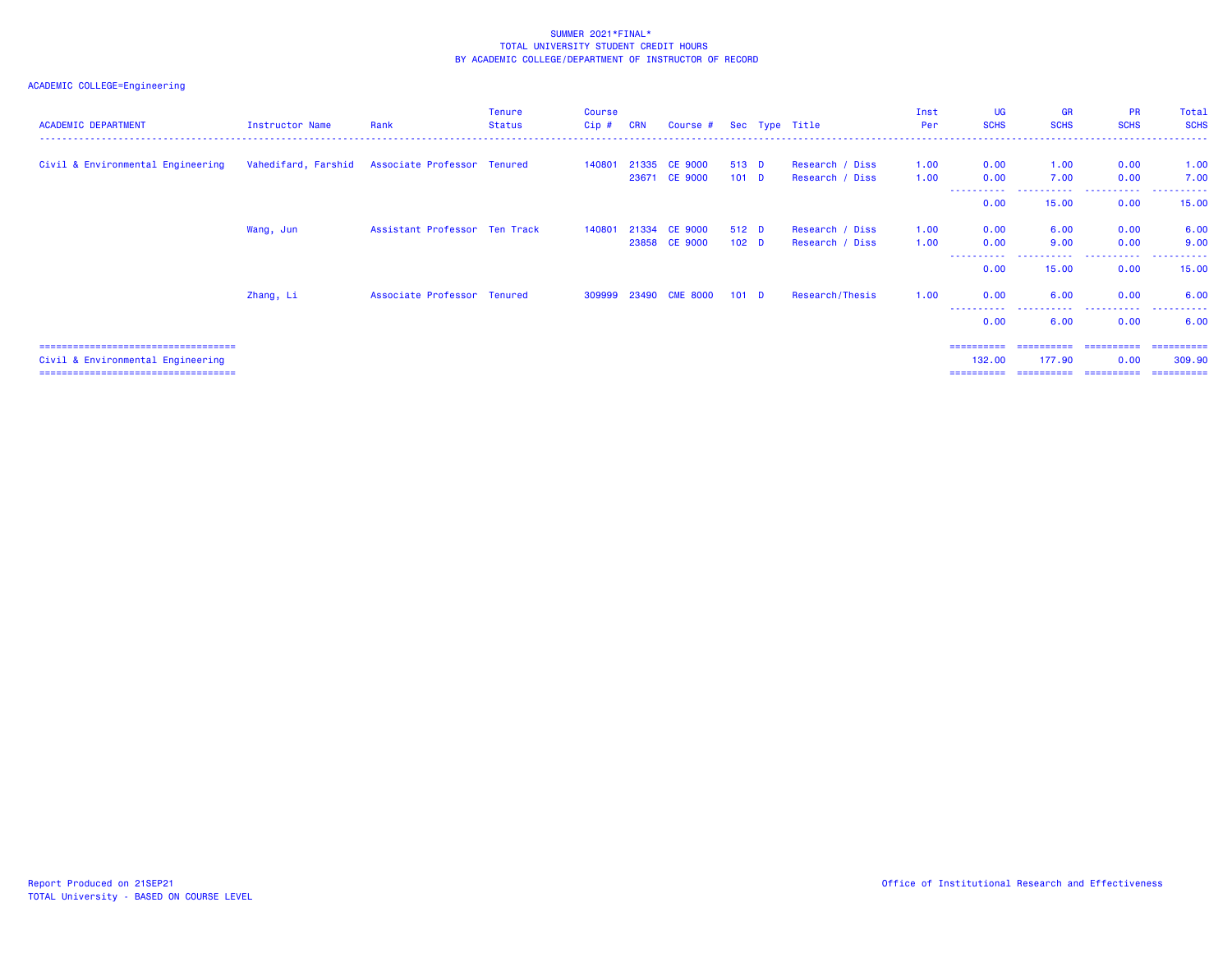# ACADEMIC COLLEGE=Engineering

| <b>ACADEMIC DEPARTMENT</b>           | Instructor Name | Rank                                            | Tenure<br><b>Status</b> | <b>Course</b><br>Cip # CRN | Course # Sec Type Title     |                  |                 | Inst<br>Per | <b>UG</b><br><b>SCHS</b> | <b>GR</b><br><b>SCHS</b>     | <b>PR</b><br><b>SCHS</b> | Total<br><b>SCHS</b> |
|--------------------------------------|-----------------|-------------------------------------------------|-------------------------|----------------------------|-----------------------------|------------------|-----------------|-------------|--------------------------|------------------------------|--------------------------|----------------------|
| Civil & Environmental Engineering    |                 | Vahedifard, Farshid Associate Professor Tenured |                         | 140801                     | 21335 CE 9000               | 513 D            | Research / Diss | 1.00        | 0.00                     | 1.00                         | 0.00                     | 1.00                 |
|                                      |                 |                                                 |                         |                            | 23671 CE 9000               | 101 <sub>D</sub> | Research / Diss | 1.00        | 0.00<br>.<br>0.00        | 7.00<br>-----------<br>15.00 | 0.00<br>.<br>0.00        | 7.00<br>.<br>15.00   |
|                                      | Wang, Jun       | Assistant Professor Ten Track                   |                         | 140801                     | 21334 CE 9000               | 512 D            | Research / Diss | 1.00        | 0.00                     | 6.00                         | 0.00                     | 6.00                 |
|                                      |                 |                                                 |                         |                            | 23858 CE 9000               | 102 <sub>D</sub> | Research / Diss | 1.00        | 0.00<br>.<br>0.00        | 9.00<br>.<br>15.00           | 0.00<br>.<br>0.00        | 9.00<br>.<br>15.00   |
|                                      | Zhang, Li       | Associate Professor Tenured                     |                         |                            | 309999 23490 CME 8000 101 D |                  | Research/Thesis | 1.00        | 0.00                     | 6.00                         | 0.00                     | 6.00                 |
|                                      |                 |                                                 |                         |                            |                             |                  |                 |             | ----------<br>0.00       | .<br>6.00                    | .<br>0.00                | .<br>6.00            |
| ==================================== |                 |                                                 |                         |                            |                             |                  |                 |             | ==========               | ==========                   | -----------              | -----------          |

Civil & Environmental Engineering 132.00 177.90 0.00 309.90

=================================== ========== ========== ========== ==========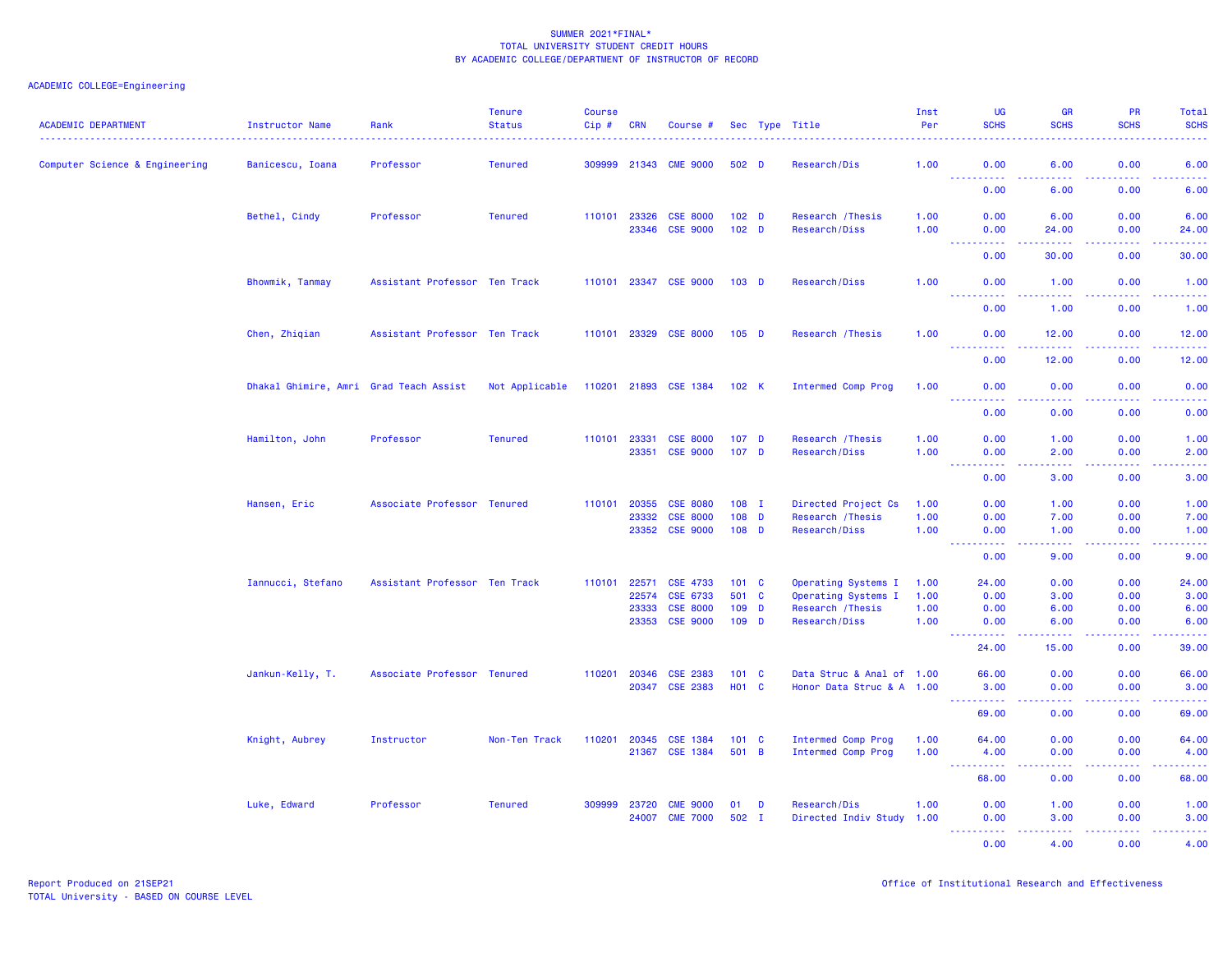| <b>ACADEMIC DEPARTMENT</b>     | Instructor Name                        | Rank                          | <b>Tenure</b><br><b>Status</b> | <b>Course</b><br>Cip # | <b>CRN</b>     | Course #                           |                                      |          | Sec Type Title                     | Inst<br>Per  | <b>UG</b><br><b>SCHS</b>                                                                                                                                                                                                                                                                                                                                                                                                                                                                       | <b>GR</b><br><b>SCHS</b>                                                                                                                                      | PR<br><b>SCHS</b> | Total<br><b>SCHS</b>                                                                                                              |
|--------------------------------|----------------------------------------|-------------------------------|--------------------------------|------------------------|----------------|------------------------------------|--------------------------------------|----------|------------------------------------|--------------|------------------------------------------------------------------------------------------------------------------------------------------------------------------------------------------------------------------------------------------------------------------------------------------------------------------------------------------------------------------------------------------------------------------------------------------------------------------------------------------------|---------------------------------------------------------------------------------------------------------------------------------------------------------------|-------------------|-----------------------------------------------------------------------------------------------------------------------------------|
| Computer Science & Engineering | Banicescu, Ioana                       | Professor                     | <b>Tenured</b>                 |                        | 309999 21343   | <b>CME 9000</b>                    | 502 D                                |          | Research/Dis                       | 1.00         | 0.00<br>$\begin{array}{cccccccccccccc} \multicolumn{2}{c}{} & \multicolumn{2}{c}{} & \multicolumn{2}{c}{} & \multicolumn{2}{c}{} & \multicolumn{2}{c}{} & \multicolumn{2}{c}{} & \multicolumn{2}{c}{} & \multicolumn{2}{c}{} & \multicolumn{2}{c}{} & \multicolumn{2}{c}{} & \multicolumn{2}{c}{} & \multicolumn{2}{c}{} & \multicolumn{2}{c}{} & \multicolumn{2}{c}{} & \multicolumn{2}{c}{} & \multicolumn{2}{c}{} & \multicolumn{2}{c}{} & \multicolumn{2}{c}{} & \multicolumn{2}{c}{} & \$ | 6.00<br>.                                                                                                                                                     | 0.00<br>22222     | 6.00<br>$\begin{array}{cccccccccc} \bullet & \bullet & \bullet & \bullet & \bullet & \bullet \end{array}$                         |
|                                |                                        |                               |                                |                        |                |                                    |                                      |          |                                    |              | 0.00                                                                                                                                                                                                                                                                                                                                                                                                                                                                                           | 6.00                                                                                                                                                          | 0.00              | 6.00                                                                                                                              |
|                                | Bethel, Cindy                          | Professor                     | <b>Tenured</b>                 | 110101 23326           | 23346          | <b>CSE 8000</b><br><b>CSE 9000</b> | 102 <sub>D</sub><br>102 <sub>D</sub> |          | Research / Thesis<br>Research/Diss | 1.00<br>1.00 | 0.00<br>0.00                                                                                                                                                                                                                                                                                                                                                                                                                                                                                   | 6.00<br>24.00                                                                                                                                                 | 0.00<br>0.00      | 6.00<br>24.00                                                                                                                     |
|                                |                                        |                               |                                |                        |                |                                    |                                      |          |                                    |              | <b><i><u><u> Listen Listen</u></u></i></b><br>0.00                                                                                                                                                                                                                                                                                                                                                                                                                                             | .<br>30.00                                                                                                                                                    | 22222<br>0.00     | .<br>30.00                                                                                                                        |
|                                | Bhowmik, Tanmay                        | Assistant Professor Ten Track |                                |                        |                | 110101 23347 CSE 9000              | $103$ D                              |          | Research/Diss                      | 1.00         | 0.00                                                                                                                                                                                                                                                                                                                                                                                                                                                                                           | 1.00                                                                                                                                                          | 0.00              | 1.00                                                                                                                              |
|                                |                                        |                               |                                |                        |                |                                    |                                      |          |                                    |              | <u>.</u><br>0.00                                                                                                                                                                                                                                                                                                                                                                                                                                                                               | .<br>1.00                                                                                                                                                     | .<br>0.00         | .<br>1.00                                                                                                                         |
|                                | Chen, Zhiqian                          | Assistant Professor Ten Track |                                |                        |                | 110101 23329 CSE 8000              | $105$ D                              |          | Research / Thesis                  | 1.00         | 0.00<br>$\frac{1}{2} \left( \frac{1}{2} \right) \left( \frac{1}{2} \right) \left( \frac{1}{2} \right)$<br>.                                                                                                                                                                                                                                                                                                                                                                                    | 12.00<br>$\frac{1}{2} \left( \frac{1}{2} \right) \left( \frac{1}{2} \right) \left( \frac{1}{2} \right) \left( \frac{1}{2} \right) \left( \frac{1}{2} \right)$ | 0.00<br>.         | 12.00<br>.                                                                                                                        |
|                                |                                        |                               |                                |                        |                |                                    |                                      |          |                                    |              | 0.00                                                                                                                                                                                                                                                                                                                                                                                                                                                                                           | 12.00                                                                                                                                                         | 0.00              | 12.00                                                                                                                             |
|                                | Dhakal Ghimire, Amri Grad Teach Assist |                               | Not Applicable                 |                        |                | 110201 21893 CSE 1384 102 K        |                                      |          | Intermed Comp Prog                 | 1.00         | 0.00<br><b>.</b>                                                                                                                                                                                                                                                                                                                                                                                                                                                                               | 0.00<br>.                                                                                                                                                     | 0.00<br>22222     | 0.00<br>.                                                                                                                         |
|                                |                                        |                               |                                |                        |                |                                    |                                      |          |                                    |              | 0.00                                                                                                                                                                                                                                                                                                                                                                                                                                                                                           | 0.00                                                                                                                                                          | 0.00              | 0.00                                                                                                                              |
|                                | Hamilton, John                         | Professor                     | <b>Tenured</b>                 | 110101                 | 23331          | <b>CSE 8000</b><br>23351 CSE 9000  | 107 <sub>D</sub><br>107 <sub>D</sub> |          | Research / Thesis<br>Research/Diss | 1.00<br>1.00 | 0.00<br>0.00                                                                                                                                                                                                                                                                                                                                                                                                                                                                                   | 1.00<br>2.00                                                                                                                                                  | 0.00<br>0.00      | 1.00<br>2.00                                                                                                                      |
|                                |                                        |                               |                                |                        |                |                                    |                                      |          |                                    |              | المتمامين<br>$\sim 100$<br>0.00                                                                                                                                                                                                                                                                                                                                                                                                                                                                | .<br>3.00                                                                                                                                                     | .<br>0.00         | د د د د د<br>3.00                                                                                                                 |
|                                | Hansen, Eric                           | Associate Professor Tenured   |                                | 110101                 | 20355          | <b>CSE 8080</b>                    | $108$ I                              |          | Directed Project Cs                | 1.00         | 0.00                                                                                                                                                                                                                                                                                                                                                                                                                                                                                           | 1.00                                                                                                                                                          | 0.00              | 1.00                                                                                                                              |
|                                |                                        |                               |                                |                        | 23332          | <b>CSE 8000</b>                    | $108$ D                              |          | Research / Thesis                  | 1.00         | 0.00                                                                                                                                                                                                                                                                                                                                                                                                                                                                                           | 7.00                                                                                                                                                          | 0.00              | 7.00                                                                                                                              |
|                                |                                        |                               |                                |                        |                | 23352 CSE 9000                     | $108$ D                              |          | Research/Diss                      | 1.00         | 0.00<br>$\sim 100$<br>$\frac{1}{2} \left( \frac{1}{2} \right) \left( \frac{1}{2} \right) \left( \frac{1}{2} \right) \left( \frac{1}{2} \right)$                                                                                                                                                                                                                                                                                                                                                | 1.00<br>$\omega_{\rm{eff}}$ and $\omega_{\rm{eff}}$                                                                                                           | 0.00<br>.         | 1.00<br>$\frac{1}{2} \left( \frac{1}{2} \right) \left( \frac{1}{2} \right) \left( \frac{1}{2} \right) \left( \frac{1}{2} \right)$ |
|                                |                                        |                               |                                |                        |                |                                    |                                      |          |                                    |              | 0.00                                                                                                                                                                                                                                                                                                                                                                                                                                                                                           | 9.00                                                                                                                                                          | 0.00              | 9.00                                                                                                                              |
|                                | Iannucci, Stefano                      | Assistant Professor Ten Track |                                | 110101                 | 22571          | <b>CSE 4733</b>                    | 101 C                                |          | Operating Systems I                | 1.00         | 24.00                                                                                                                                                                                                                                                                                                                                                                                                                                                                                          | 0.00                                                                                                                                                          | 0.00              | 24.00                                                                                                                             |
|                                |                                        |                               |                                |                        | 22574          | CSE 6733                           | 501 C                                |          | Operating Systems I                | 1.00         | 0.00                                                                                                                                                                                                                                                                                                                                                                                                                                                                                           | 3.00                                                                                                                                                          | 0.00              | 3.00                                                                                                                              |
|                                |                                        |                               |                                |                        | 23333<br>23353 | <b>CSE 8000</b><br><b>CSE 9000</b> | 109<br>109 D                         | <b>D</b> | Research / Thesis<br>Research/Diss | 1.00<br>1.00 | 0.00<br>0.00                                                                                                                                                                                                                                                                                                                                                                                                                                                                                   | 6.00<br>6.00                                                                                                                                                  | 0.00<br>0.00      | 6.00<br>6.00                                                                                                                      |
|                                |                                        |                               |                                |                        |                |                                    |                                      |          |                                    |              | <u>.</u>                                                                                                                                                                                                                                                                                                                                                                                                                                                                                       |                                                                                                                                                               | .                 | د د د د د                                                                                                                         |
|                                |                                        |                               |                                |                        |                |                                    |                                      |          |                                    |              | 24.00                                                                                                                                                                                                                                                                                                                                                                                                                                                                                          | 15.00                                                                                                                                                         | 0.00              | 39.00                                                                                                                             |
|                                | Jankun-Kelly, T.                       | Associate Professor Tenured   |                                | 110201                 | 20346          | <b>CSE 2383</b>                    | 101 <sub>C</sub>                     |          | Data Struc & Anal of 1.00          |              | 66.00                                                                                                                                                                                                                                                                                                                                                                                                                                                                                          | 0.00                                                                                                                                                          | 0.00              | 66.00                                                                                                                             |
|                                |                                        |                               |                                |                        | 20347          | <b>CSE 2383</b>                    | H01 C                                |          | Honor Data Struc & A 1.00          |              | 3.00<br>$\sim 100$<br>.                                                                                                                                                                                                                                                                                                                                                                                                                                                                        | 0.00<br>$\omega$ is $\omega$ in                                                                                                                               | 0.00<br>المتمالين | 3.00<br>د د د د د                                                                                                                 |
|                                |                                        |                               |                                |                        |                |                                    |                                      |          |                                    |              | 69.00                                                                                                                                                                                                                                                                                                                                                                                                                                                                                          | 0.00                                                                                                                                                          | 0.00              | 69.00                                                                                                                             |
|                                | Knight, Aubrey                         | Instructor                    | Non-Ten Track                  | 110201                 | 20345          | <b>CSE 1384</b>                    | 101 <sub>C</sub>                     |          | Intermed Comp Prog                 | 1.00         | 64.00                                                                                                                                                                                                                                                                                                                                                                                                                                                                                          | 0.00                                                                                                                                                          | 0.00              | 64.00                                                                                                                             |
|                                |                                        |                               |                                |                        | 21367          | <b>CSE 1384</b>                    | 501 B                                |          | Intermed Comp Prog                 | 1.00         | 4.00                                                                                                                                                                                                                                                                                                                                                                                                                                                                                           | 0.00                                                                                                                                                          | 0.00              | 4.00                                                                                                                              |
|                                |                                        |                               |                                |                        |                |                                    |                                      |          |                                    |              | $\sim 100$<br>.<br>68.00                                                                                                                                                                                                                                                                                                                                                                                                                                                                       | .<br>0.00                                                                                                                                                     | .<br>0.00         | المتمالين<br>68.00                                                                                                                |
|                                | Luke, Edward                           | Professor                     | <b>Tenured</b>                 | 309999                 | 23720          | <b>CME 9000</b>                    | 01                                   | D        | Research/Dis                       | 1.00         | 0.00                                                                                                                                                                                                                                                                                                                                                                                                                                                                                           | 1.00                                                                                                                                                          | 0.00              | 1.00                                                                                                                              |
|                                |                                        |                               |                                |                        | 24007          | <b>CME 7000</b>                    | $502$ I                              |          | Directed Indiv Study 1.00          |              | 0.00                                                                                                                                                                                                                                                                                                                                                                                                                                                                                           | 3.00                                                                                                                                                          | 0.00              | 3.00                                                                                                                              |
|                                |                                        |                               |                                |                        |                |                                    |                                      |          |                                    |              | <u> - - - - - - - - - -</u><br>0.00                                                                                                                                                                                                                                                                                                                                                                                                                                                            | 22222<br>4.00                                                                                                                                                 | .<br>0.00         | .<br>4.00                                                                                                                         |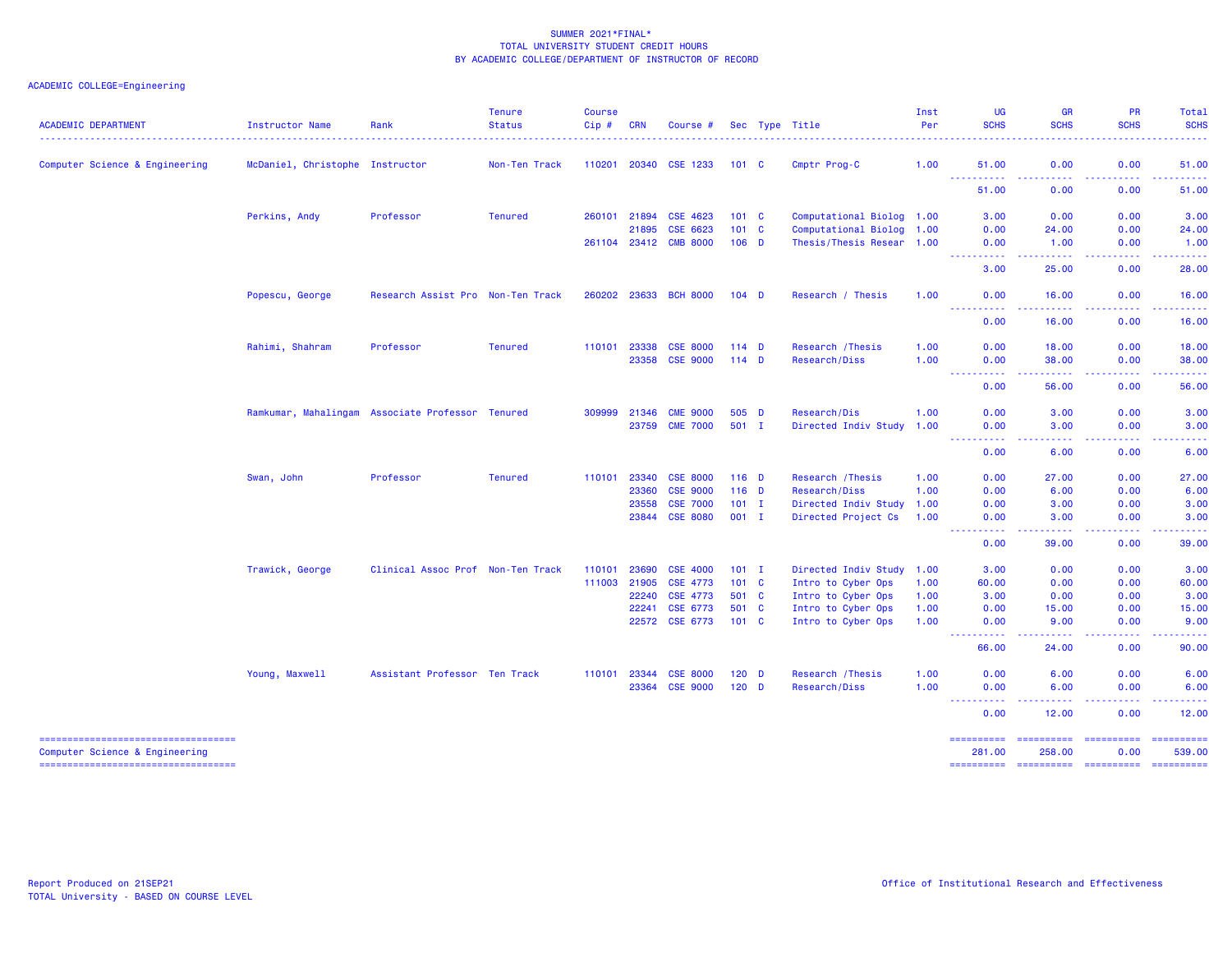| <b>ACADEMIC DEPARTMENT</b>                                           | <b>Instructor Name</b>          | Rank                                             | <b>Tenure</b><br><b>Status</b> | <b>Course</b><br>Cip# | <b>CRN</b>     | Course #              |                | Sec Type Title                           | Inst<br>Per  | <b>UG</b><br><b>SCHS</b>                                                                                                                       | <b>GR</b><br><b>SCHS</b>                                                                                                           | <b>PR</b><br><b>SCHS</b>                                                                                                                                     | Total<br><b>SCHS</b>                                                                                                                                                                                                                                                                                                                                                                                                                                                                             |
|----------------------------------------------------------------------|---------------------------------|--------------------------------------------------|--------------------------------|-----------------------|----------------|-----------------------|----------------|------------------------------------------|--------------|------------------------------------------------------------------------------------------------------------------------------------------------|------------------------------------------------------------------------------------------------------------------------------------|--------------------------------------------------------------------------------------------------------------------------------------------------------------|--------------------------------------------------------------------------------------------------------------------------------------------------------------------------------------------------------------------------------------------------------------------------------------------------------------------------------------------------------------------------------------------------------------------------------------------------------------------------------------------------|
| Computer Science & Engineering                                       | McDaniel, Christophe Instructor |                                                  | Non-Ten Track                  | 110201                |                | 20340 CSE 1233        | $101 \quad C$  | Cmptr Prog-C                             | 1.00         | 51.00                                                                                                                                          | 0.00                                                                                                                               | 0.00                                                                                                                                                         | 51.00                                                                                                                                                                                                                                                                                                                                                                                                                                                                                            |
|                                                                      |                                 |                                                  |                                |                       |                |                       |                |                                          |              | 51.00                                                                                                                                          | .<br>0.00                                                                                                                          | $\frac{1}{2} \left( \frac{1}{2} \right) \left( \frac{1}{2} \right) \left( \frac{1}{2} \right) \left( \frac{1}{2} \right) \left( \frac{1}{2} \right)$<br>0.00 | <b>.</b><br>51.00                                                                                                                                                                                                                                                                                                                                                                                                                                                                                |
|                                                                      | Perkins, Andy                   | Professor                                        | <b>Tenured</b>                 | 260101                | 21894          | CSE 4623              | $101 \quad C$  | Computational Biolog 1.00                |              | 3.00                                                                                                                                           | 0.00                                                                                                                               | 0.00                                                                                                                                                         | 3.00                                                                                                                                                                                                                                                                                                                                                                                                                                                                                             |
|                                                                      |                                 |                                                  |                                |                       | 21895          | CSE 6623              | $101 \quad C$  | Computational Biolog 1.00                |              | 0.00                                                                                                                                           | 24.00                                                                                                                              | 0.00                                                                                                                                                         | 24.00                                                                                                                                                                                                                                                                                                                                                                                                                                                                                            |
|                                                                      |                                 |                                                  |                                |                       | 261104 23412   | <b>CMB 8000</b>       | $106$ D        | Thesis/Thesis Resear 1.00                |              | 0.00                                                                                                                                           | 1.00                                                                                                                               | 0.00                                                                                                                                                         | 1.00                                                                                                                                                                                                                                                                                                                                                                                                                                                                                             |
|                                                                      |                                 |                                                  |                                |                       |                |                       |                |                                          |              | والمرامين<br>$\frac{1}{2} \left( \frac{1}{2} \right) \left( \frac{1}{2} \right) \left( \frac{1}{2} \right) \left( \frac{1}{2} \right)$<br>3.00 | $\frac{1}{2} \left( \frac{1}{2} \right) \left( \frac{1}{2} \right) \left( \frac{1}{2} \right)$<br>25.00                            | 0.00                                                                                                                                                         | 28.00                                                                                                                                                                                                                                                                                                                                                                                                                                                                                            |
|                                                                      | Popescu, George                 | Research Assist Pro Non-Ten Track                |                                |                       |                | 260202 23633 BCH 8000 | $104$ D        | Research / Thesis                        | 1.00         | 0.00                                                                                                                                           | 16.00                                                                                                                              | 0.00                                                                                                                                                         | 16.00                                                                                                                                                                                                                                                                                                                                                                                                                                                                                            |
|                                                                      |                                 |                                                  |                                |                       |                |                       |                |                                          |              | $-22222$<br><u>.</u><br>0.00                                                                                                                   | $\frac{1}{2} \left( \frac{1}{2} \right) \left( \frac{1}{2} \right) \left( \frac{1}{2} \right) \left( \frac{1}{2} \right)$<br>16.00 | .<br>0.00                                                                                                                                                    | .<br>16.00                                                                                                                                                                                                                                                                                                                                                                                                                                                                                       |
|                                                                      | Rahimi, Shahram                 | Professor                                        | <b>Tenured</b>                 | 110101                | 23338          | <b>CSE 8000</b>       | $114$ D        | Research / Thesis                        | 1.00         | 0.00                                                                                                                                           | 18.00                                                                                                                              | 0.00                                                                                                                                                         | 18.00                                                                                                                                                                                                                                                                                                                                                                                                                                                                                            |
|                                                                      |                                 |                                                  |                                |                       | 23358          | <b>CSE 9000</b>       | $114$ D        | Research/Diss                            | 1.00         | 0.00<br>$   -$<br>$\sim$ $\sim$ $\sim$                                                                                                         | 38.00<br>.                                                                                                                         | 0.00<br>$- - - - -$                                                                                                                                          | 38.00                                                                                                                                                                                                                                                                                                                                                                                                                                                                                            |
|                                                                      |                                 |                                                  |                                |                       |                |                       |                |                                          |              | 0.00                                                                                                                                           | 56.00                                                                                                                              | 0.00                                                                                                                                                         | 56.00                                                                                                                                                                                                                                                                                                                                                                                                                                                                                            |
|                                                                      |                                 | Ramkumar, Mahalingam Associate Professor Tenured |                                | 309999                | 21346          | <b>CME 9000</b>       | 505 D          | Research/Dis                             | 1.00         | 0.00                                                                                                                                           | 3.00                                                                                                                               | 0.00                                                                                                                                                         | 3.00                                                                                                                                                                                                                                                                                                                                                                                                                                                                                             |
|                                                                      |                                 |                                                  |                                |                       | 23759          | <b>CME 7000</b>       | $501$ I        | Directed Indiv Study 1.00                |              | 0.00<br>$\sim 100$<br>----                                                                                                                     | 3.00<br>$\sim$ $\sim$ $\sim$ $\sim$                                                                                                | 0.00                                                                                                                                                         | 3.00                                                                                                                                                                                                                                                                                                                                                                                                                                                                                             |
|                                                                      |                                 |                                                  |                                |                       |                |                       |                |                                          |              | 0.00                                                                                                                                           | 6.00                                                                                                                               | 0.00                                                                                                                                                         | 6.00                                                                                                                                                                                                                                                                                                                                                                                                                                                                                             |
|                                                                      | Swan, John                      | Professor                                        | <b>Tenured</b>                 |                       | 110101 23340   | <b>CSE 8000</b>       | $116$ D        | Research / Thesis                        | 1.00         | 0.00                                                                                                                                           | 27.00                                                                                                                              | 0.00                                                                                                                                                         | 27.00                                                                                                                                                                                                                                                                                                                                                                                                                                                                                            |
|                                                                      |                                 |                                                  |                                |                       | 23360          | <b>CSE 9000</b>       | $116$ D        | Research/Diss                            | 1.00         | 0.00                                                                                                                                           | 6.00                                                                                                                               | 0.00                                                                                                                                                         | 6.00                                                                                                                                                                                                                                                                                                                                                                                                                                                                                             |
|                                                                      |                                 |                                                  |                                |                       | 23558          | <b>CSE 7000</b>       | $101$ I        | Directed Indiv Study 1.00                |              | 0.00                                                                                                                                           | 3.00                                                                                                                               | 0.00                                                                                                                                                         | 3.00                                                                                                                                                                                                                                                                                                                                                                                                                                                                                             |
|                                                                      |                                 |                                                  |                                |                       |                | 23844 CSE 8080        | $001$ I        | Directed Project Cs                      | 1.00         | 0.00<br>$\omega$ is $\omega$ in                                                                                                                | 3.00<br>د د د د                                                                                                                    | 0.00<br>.                                                                                                                                                    | 3.00<br>$\omega$ is $\omega$ in                                                                                                                                                                                                                                                                                                                                                                                                                                                                  |
|                                                                      |                                 |                                                  |                                |                       |                |                       |                |                                          |              | 0.00                                                                                                                                           | 39.00                                                                                                                              | 0.00                                                                                                                                                         | 39.00                                                                                                                                                                                                                                                                                                                                                                                                                                                                                            |
|                                                                      | Trawick, George                 | Clinical Assoc Prof Non-Ten Track                |                                | 110101                | 23690          | <b>CSE 4000</b>       | $101$ I        | Directed Indiv Study 1.00                |              | 3.00                                                                                                                                           | 0.00                                                                                                                               | 0.00                                                                                                                                                         | 3.00                                                                                                                                                                                                                                                                                                                                                                                                                                                                                             |
|                                                                      |                                 |                                                  |                                | 111003                | 21905          | CSE 4773              | 101 C          | Intro to Cyber Ops                       | 1.00         | 60.00                                                                                                                                          | 0.00                                                                                                                               | 0.00                                                                                                                                                         | 60.00                                                                                                                                                                                                                                                                                                                                                                                                                                                                                            |
|                                                                      |                                 |                                                  |                                |                       | 22240          | CSE 4773              | 501 C          | Intro to Cyber Ops                       | 1.00         | 3.00                                                                                                                                           | 0.00                                                                                                                               | 0.00                                                                                                                                                         | 3.00                                                                                                                                                                                                                                                                                                                                                                                                                                                                                             |
|                                                                      |                                 |                                                  |                                |                       | 22241<br>22572 | CSE 6773<br>CSE 6773  | 501 C<br>101 C | Intro to Cyber Ops<br>Intro to Cyber Ops | 1.00<br>1.00 | 0.00<br>0.00                                                                                                                                   | 15.00<br>9.00                                                                                                                      | 0.00<br>0.00                                                                                                                                                 | 15.00<br>9.00                                                                                                                                                                                                                                                                                                                                                                                                                                                                                    |
|                                                                      |                                 |                                                  |                                |                       |                |                       |                |                                          |              | $\sim$ $\sim$ $\sim$ $\sim$<br>$\frac{1}{2} \left( \frac{1}{2} \right) \left( \frac{1}{2} \right) \left( \frac{1}{2} \right)$<br>66.00         | .<br>24.00                                                                                                                         | .<br>0.00                                                                                                                                                    | 90.00                                                                                                                                                                                                                                                                                                                                                                                                                                                                                            |
|                                                                      | Young, Maxwell                  | Assistant Professor Ten Track                    |                                |                       | 110101 23344   | <b>CSE 8000</b>       | $120$ D        | Research / Thesis                        | 1.00         | 0.00                                                                                                                                           | 6.00                                                                                                                               | 0.00                                                                                                                                                         | 6.00                                                                                                                                                                                                                                                                                                                                                                                                                                                                                             |
|                                                                      |                                 |                                                  |                                |                       | 23364          | <b>CSE 9000</b>       | $120$ D        | <b>Research/Diss</b>                     | 1.00         | 0.00                                                                                                                                           | 6.00                                                                                                                               | 0.00                                                                                                                                                         | 6.00                                                                                                                                                                                                                                                                                                                                                                                                                                                                                             |
|                                                                      |                                 |                                                  |                                |                       |                |                       |                |                                          |              | .<br>-----<br>0.00                                                                                                                             | .<br>12.00                                                                                                                         | .<br>0.00                                                                                                                                                    | .<br>12.00                                                                                                                                                                                                                                                                                                                                                                                                                                                                                       |
| ----------------------------------<br>Computer Science & Engineering |                                 |                                                  |                                |                       |                |                       |                |                                          |              | ==========<br>281.00                                                                                                                           | ======================<br>258.00                                                                                                   | 0.00                                                                                                                                                         | $\begin{array}{cccccccccc} \multicolumn{2}{c}{} & \multicolumn{2}{c}{} & \multicolumn{2}{c}{} & \multicolumn{2}{c}{} & \multicolumn{2}{c}{} & \multicolumn{2}{c}{} & \multicolumn{2}{c}{} & \multicolumn{2}{c}{} & \multicolumn{2}{c}{} & \multicolumn{2}{c}{} & \multicolumn{2}{c}{} & \multicolumn{2}{c}{} & \multicolumn{2}{c}{} & \multicolumn{2}{c}{} & \multicolumn{2}{c}{} & \multicolumn{2}{c}{} & \multicolumn{2}{c}{} & \multicolumn{2}{c}{} & \multicolumn{2}{c}{} & \mult$<br>539.00 |
| ----------------------------------                                   |                                 |                                                  |                                |                       |                |                       |                |                                          |              | ==========                                                                                                                                     | =======================                                                                                                            |                                                                                                                                                              | -----------                                                                                                                                                                                                                                                                                                                                                                                                                                                                                      |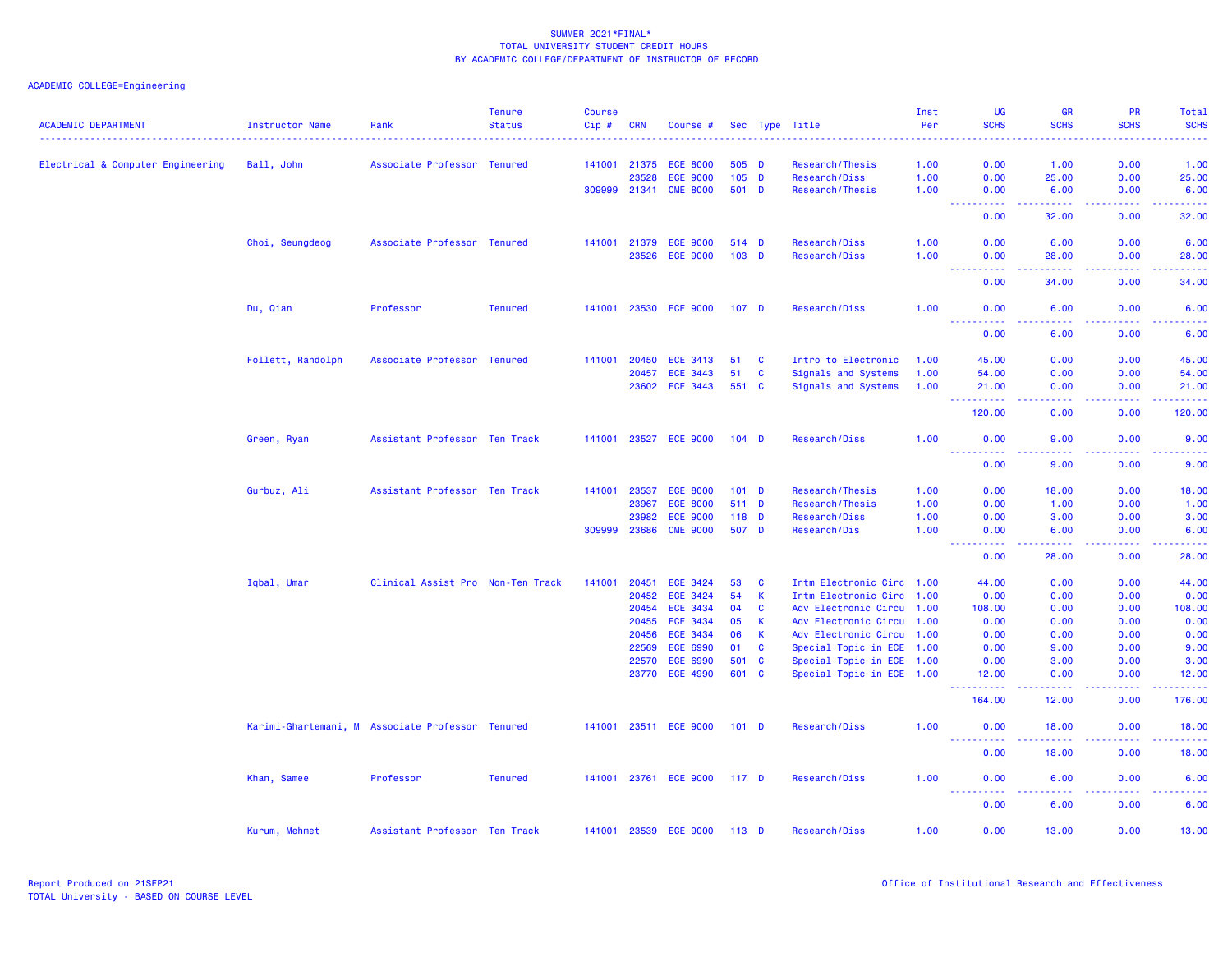| <b>ACADEMIC DEPARTMENT</b>        | Instructor Name   | Rank                                             | <b>Tenure</b><br><b>Status</b> | <b>Course</b><br>Cip# | <b>CRN</b>     | Course #                    |                  |                              | Sec Type Title                                         | Inst<br>Per | UG<br><b>SCHS</b>                                                                                                                 | <b>GR</b><br><b>SCHS</b>                                                                                                                                     | PR<br><b>SCHS</b>  | Total<br><b>SCHS</b><br>.                                                                                                          |
|-----------------------------------|-------------------|--------------------------------------------------|--------------------------------|-----------------------|----------------|-----------------------------|------------------|------------------------------|--------------------------------------------------------|-------------|-----------------------------------------------------------------------------------------------------------------------------------|--------------------------------------------------------------------------------------------------------------------------------------------------------------|--------------------|------------------------------------------------------------------------------------------------------------------------------------|
| Electrical & Computer Engineering | Ball, John        | Associate Professor Tenured                      |                                |                       | 141001 21375   | <b>ECE 8000</b>             | 505 D            |                              | Research/Thesis                                        | 1.00        | 0.00                                                                                                                              | 1.00                                                                                                                                                         | 0.00               | 1.00                                                                                                                               |
|                                   |                   |                                                  |                                |                       | 23528          | <b>ECE 9000</b>             |                  | $105$ D                      | Research/Diss                                          | 1.00        | 0.00                                                                                                                              | 25.00                                                                                                                                                        | 0.00               | 25.00                                                                                                                              |
|                                   |                   |                                                  |                                | 309999 21341          |                | <b>CME 8000</b>             | 501 D            |                              | Research/Thesis                                        | 1.00        | 0.00                                                                                                                              | 6.00                                                                                                                                                         | 0.00               | 6.00                                                                                                                               |
|                                   |                   |                                                  |                                |                       |                |                             |                  |                              |                                                        |             | 0.00                                                                                                                              | .<br>32.00                                                                                                                                                   | $  -$<br>0.00      | $\frac{1}{2} \left( \frac{1}{2} \right) \left( \frac{1}{2} \right) \left( \frac{1}{2} \right) \left( \frac{1}{2} \right)$<br>32,00 |
|                                   | Choi, Seungdeog   | Associate Professor Tenured                      |                                |                       | 141001 21379   | <b>ECE 9000</b>             | 514 D            |                              | Research/Diss                                          | 1.00        | 0.00                                                                                                                              | 6.00                                                                                                                                                         | 0.00               | 6.00                                                                                                                               |
|                                   |                   |                                                  |                                |                       | 23526          | <b>ECE 9000</b>             | $103$ D          |                              | Research/Diss                                          | 1.00        | 0.00                                                                                                                              | 28.00                                                                                                                                                        | 0.00               | 28.00                                                                                                                              |
|                                   |                   |                                                  |                                |                       |                |                             |                  |                              |                                                        |             | $\frac{1}{2} \left( \frac{1}{2} \right) \left( \frac{1}{2} \right) \left( \frac{1}{2} \right) \left( \frac{1}{2} \right)$<br>0.00 | 34.00                                                                                                                                                        | .<br>0.00          | .<br>34.00                                                                                                                         |
|                                   | Du, Qian          | Professor                                        | <b>Tenured</b>                 | 141001                | 23530          | <b>ECE 9000</b>             | 107 <sub>D</sub> |                              | Research/Diss                                          | 1.00        | 0.00                                                                                                                              | 6.00                                                                                                                                                         | 0.00               | 6.00                                                                                                                               |
|                                   |                   |                                                  |                                |                       |                |                             |                  |                              |                                                        |             | <u> - - - - - - - - - -</u><br>0.00                                                                                               | .<br>6.00                                                                                                                                                    | . <b>.</b><br>0.00 | .<br>6.00                                                                                                                          |
|                                   | Follett, Randolph | Associate Professor Tenured                      |                                | 141001                | 20450          | <b>ECE 3413</b>             | 51               | C                            | Intro to Electronic                                    | 1.00        | 45.00                                                                                                                             | 0.00                                                                                                                                                         | 0.00               | 45.00                                                                                                                              |
|                                   |                   |                                                  |                                |                       | 20457          | <b>ECE 3443</b>             | 51               | $\mathbf{C}$                 | Signals and Systems                                    | 1.00        | 54.00                                                                                                                             | 0.00                                                                                                                                                         | 0.00               | 54.00                                                                                                                              |
|                                   |                   |                                                  |                                |                       | 23602          | <b>ECE 3443</b>             | 551 C            |                              | Signals and Systems                                    | 1.00        | 21.00<br>.<br>$\frac{1}{2} \left( \frac{1}{2} \right) \left( \frac{1}{2} \right) \left( \frac{1}{2} \right)$                      | 0.00<br>المتمامين                                                                                                                                            | 0.00<br>. <b>.</b> | 21.00<br>.                                                                                                                         |
|                                   |                   |                                                  |                                |                       |                |                             |                  |                              |                                                        |             | 120.00                                                                                                                            | 0.00                                                                                                                                                         | 0.00               | 120.00                                                                                                                             |
|                                   | Green, Ryan       | Assistant Professor Ten Track                    |                                | 141001                |                | 23527 ECE 9000              | $104$ D          |                              | Research/Diss                                          | 1.00        | 0.00                                                                                                                              | 9.00                                                                                                                                                         | 0.00               | 9.00                                                                                                                               |
|                                   |                   |                                                  |                                |                       |                |                             |                  |                              |                                                        |             | 0.00                                                                                                                              | 9.00                                                                                                                                                         | 0.00               | 9.00                                                                                                                               |
|                                   | Gurbuz, Ali       | Assistant Professor Ten Track                    |                                | 141001                | 23537          | <b>ECE 8000</b>             | $101$ D          |                              | Research/Thesis                                        | 1.00        | 0.00                                                                                                                              | 18.00                                                                                                                                                        | 0.00               | 18.00                                                                                                                              |
|                                   |                   |                                                  |                                |                       | 23967          | <b>ECE 8000</b>             | 511 D            |                              | Research/Thesis                                        | 1.00        | 0.00                                                                                                                              | 1.00                                                                                                                                                         | 0.00               | 1.00                                                                                                                               |
|                                   |                   |                                                  |                                |                       | 23982          | <b>ECE 9000</b>             | $118$ D          |                              | Research/Diss                                          | 1.00        | 0.00                                                                                                                              | 3.00                                                                                                                                                         | 0.00               | 3.00                                                                                                                               |
|                                   |                   |                                                  |                                | 309999                | 23686          | <b>CME 9000</b>             | 507 D            |                              | Research/Dis                                           | 1.00        | 0.00<br>.                                                                                                                         | 6.00<br>$\frac{1}{2} \left( \frac{1}{2} \right) \left( \frac{1}{2} \right) \left( \frac{1}{2} \right) \left( \frac{1}{2} \right) \left( \frac{1}{2} \right)$ | 0.00<br>.          | 6.00<br>.                                                                                                                          |
|                                   |                   |                                                  |                                |                       |                |                             |                  |                              |                                                        |             | 0.00                                                                                                                              | 28.00                                                                                                                                                        | 0.00               | 28.00                                                                                                                              |
|                                   | Iqbal, Umar       | Clinical Assist Pro Non-Ten Track                |                                | 141001                | 20451          | <b>ECE 3424</b>             | 53               | C                            | Intm Electronic Circ 1.00                              |             | 44.00                                                                                                                             | 0.00                                                                                                                                                         | 0.00               | 44.00                                                                                                                              |
|                                   |                   |                                                  |                                |                       | 20452          | ECE 3424                    | 54               | $\mathsf K$                  | Intm Electronic Circ 1.00                              |             | 0.00                                                                                                                              | 0.00                                                                                                                                                         | 0.00               | 0.00                                                                                                                               |
|                                   |                   |                                                  |                                |                       | 20454          | <b>ECE 3434</b>             | 04               | $\mathbf{C}$                 | Adv Electronic Circu 1.00                              |             | 108.00                                                                                                                            | 0.00                                                                                                                                                         | 0.00               | 108.00                                                                                                                             |
|                                   |                   |                                                  |                                |                       | 20455          | <b>ECE 3434</b>             | 05               | <b>K</b>                     | Adv Electronic Circu 1.00                              |             | 0.00                                                                                                                              | 0.00                                                                                                                                                         | 0.00               | 0.00                                                                                                                               |
|                                   |                   |                                                  |                                |                       | 20456<br>22569 | ECE 3434<br><b>ECE 6990</b> | 06<br>01         | $\mathsf{K}$<br>$\mathbf{C}$ | Adv Electronic Circu 1.00<br>Special Topic in ECE 1.00 |             | 0.00                                                                                                                              | 0.00                                                                                                                                                         | 0.00               | 0.00<br>9.00                                                                                                                       |
|                                   |                   |                                                  |                                |                       | 22570          | <b>ECE 6990</b>             | 501              | $\mathbf{C}$                 | Special Topic in ECE 1.00                              |             | 0.00<br>0.00                                                                                                                      | 9.00<br>3.00                                                                                                                                                 | 0.00<br>0.00       | 3.00                                                                                                                               |
|                                   |                   |                                                  |                                |                       | 23770          | <b>ECE 4990</b>             | 601              | $\mathbf{C}$                 | Special Topic in ECE 1.00                              |             | 12.00                                                                                                                             | 0.00                                                                                                                                                         | 0.00               | 12.00                                                                                                                              |
|                                   |                   |                                                  |                                |                       |                |                             |                  |                              |                                                        |             | <u>.</u><br>164.00                                                                                                                | -----<br>12.00                                                                                                                                               | .<br>0.00          | <u>.</u><br>176.00                                                                                                                 |
|                                   |                   | Karimi-Ghartemani, M Associate Professor Tenured |                                |                       |                | 141001 23511 ECE 9000       | $101$ D          |                              | Research/Diss                                          | 1.00        | 0.00                                                                                                                              | 18.00                                                                                                                                                        | 0.00               | 18.00                                                                                                                              |
|                                   |                   |                                                  |                                |                       |                |                             |                  |                              |                                                        |             | 0.00                                                                                                                              | 18.00                                                                                                                                                        | 0.00               | 18.00                                                                                                                              |
|                                   | Khan, Samee       | Professor                                        | <b>Tenured</b>                 |                       |                | 141001 23761 ECE 9000       | 117 <sub>D</sub> |                              | Research/Diss                                          | 1.00        | 0.00                                                                                                                              | 6.00                                                                                                                                                         | 0.00               | 6.00                                                                                                                               |
|                                   |                   |                                                  |                                |                       |                |                             |                  |                              |                                                        |             | 0.00                                                                                                                              | 6.00                                                                                                                                                         | 0.00               | 6.00                                                                                                                               |
|                                   | Kurum, Mehmet     | Assistant Professor Ten Track                    |                                |                       | 141001 23539   | <b>ECE 9000</b>             | $113$ D          |                              | Research/Diss                                          | 1.00        | 0.00                                                                                                                              | 13.00                                                                                                                                                        | 0.00               | 13.00                                                                                                                              |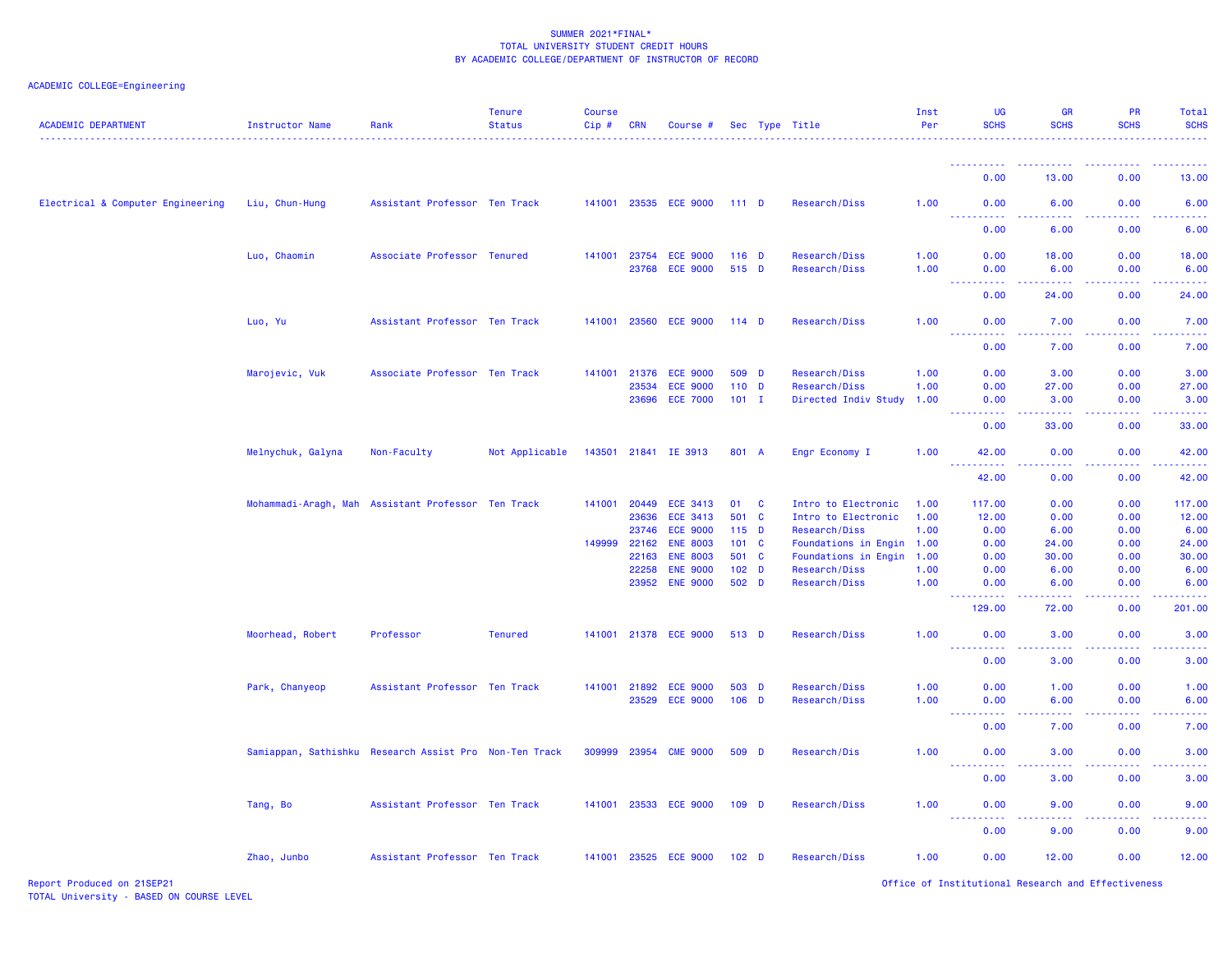| <b>ACADEMIC DEPARTMENT</b>        | Instructor Name                                        | Rank                          | <b>Tenure</b><br><b>Status</b> | <b>Course</b><br>Cip# | <b>CRN</b>   | Course #              |                  | Sec Type Title            | Inst<br>Per | UG<br><b>SCHS</b>                                                                                      | <b>GR</b><br><b>SCHS</b>      | PR<br><b>SCHS</b> | Total<br><b>SCHS</b>  |
|-----------------------------------|--------------------------------------------------------|-------------------------------|--------------------------------|-----------------------|--------------|-----------------------|------------------|---------------------------|-------------|--------------------------------------------------------------------------------------------------------|-------------------------------|-------------------|-----------------------|
|                                   |                                                        |                               |                                |                       |              |                       |                  |                           |             | <u>.</u>                                                                                               | ----------                    | .                 | .                     |
|                                   |                                                        |                               |                                |                       |              |                       |                  |                           |             | 0.00                                                                                                   | 13.00                         | 0.00              | 13.00                 |
| Electrical & Computer Engineering | Liu, Chun-Hung                                         | Assistant Professor Ten Track |                                |                       |              | 141001 23535 ECE 9000 | 111D             | Research/Diss             | 1.00        | 0.00                                                                                                   | 6.00                          | 0.00              | 6.00                  |
|                                   |                                                        |                               |                                |                       |              |                       |                  |                           |             | .<br>0.00                                                                                              | 6.00                          | 0.00              | 6.00                  |
|                                   | Luo, Chaomin                                           | Associate Professor Tenured   |                                | 141001                | 23754        | <b>ECE 9000</b>       | $116$ D          | Research/Diss             | 1.00        | 0.00                                                                                                   | 18.00                         | 0.00              | 18.00                 |
|                                   |                                                        |                               |                                |                       |              | 23768 ECE 9000        | 515 D            | Research/Diss             | 1.00        | 0.00<br>22222                                                                                          | 6.00                          | 0.00              | 6.00                  |
|                                   |                                                        |                               |                                |                       |              |                       |                  |                           |             | 0.00                                                                                                   | 24.00                         | 0.00              | 24.00                 |
|                                   | Luo, Yu                                                | Assistant Professor Ten Track |                                |                       |              | 141001 23560 ECE 9000 | $114$ D          | Research/Diss             | 1.00        | 0.00                                                                                                   | 7.00                          | 0.00              | 7.00                  |
|                                   |                                                        |                               |                                |                       |              |                       |                  |                           |             | $\sim$ $\sim$ $\sim$ $\sim$<br>.<br>0.00                                                               | 22222<br>7.00                 | 22222<br>0.00     | .<br>7.00             |
|                                   | Marojevic, Vuk                                         | Associate Professor Ten Track |                                |                       | 141001 21376 | <b>ECE 9000</b>       | 509 D            | Research/Diss             | 1.00        | 0.00                                                                                                   | 3.00                          | 0.00              | 3.00                  |
|                                   |                                                        |                               |                                |                       | 23534        | <b>ECE 9000</b>       | $110$ D          | Research/Diss             | 1.00        | 0.00                                                                                                   | 27.00                         | 0.00              | 27.00                 |
|                                   |                                                        |                               |                                |                       |              | 23696 ECE 7000        | $101$ I          | Directed Indiv Study      | 1.00        | 0.00                                                                                                   | 3.00                          | 0.00              | 3.00                  |
|                                   |                                                        |                               |                                |                       |              |                       |                  |                           |             | $\frac{1}{2} \left( \frac{1}{2} \right) \left( \frac{1}{2} \right) \left( \frac{1}{2} \right)$<br>0.00 | $\sim$ $\sim$ $\sim$<br>33.00 | 0.00              | 33.00                 |
|                                   | Melnychuk, Galyna                                      | Non-Faculty                   | Not Applicable                 |                       |              | 143501 21841 IE 3913  | 801 A            | Engr Economy I            | 1.00        | 42.00                                                                                                  | 0.00                          | 0.00              | 42.00                 |
|                                   |                                                        |                               |                                |                       |              |                       |                  |                           |             | 42.00                                                                                                  | 0.00                          | 0.00              | 42.00                 |
|                                   | Mohammadi-Aragh, Mah Assistant Professor Ten Track     |                               |                                |                       | 141001 20449 | ECE 3413              | 01 C             | Intro to Electronic       | 1.00        | 117.00                                                                                                 | 0.00                          | 0.00              | 117.00                |
|                                   |                                                        |                               |                                |                       | 23636        | <b>ECE 3413</b>       | 501 C            | Intro to Electronic       | 1.00        | 12.00                                                                                                  | 0.00                          | 0.00              | 12.00                 |
|                                   |                                                        |                               |                                |                       | 23746        | <b>ECE 9000</b>       | $115$ D          | Research/Diss             | 1.00        | 0.00                                                                                                   | 6.00                          | 0.00              | 6.00                  |
|                                   |                                                        |                               |                                |                       | 149999 22162 | <b>ENE 8003</b>       | 101 C            | Foundations in Engin 1.00 |             | 0.00                                                                                                   | 24.00                         | 0.00              | 24.00                 |
|                                   |                                                        |                               |                                |                       | 22163        | <b>ENE 8003</b>       | 501 C            | Foundations in Engin      | 1.00        | 0.00                                                                                                   | 30.00                         | 0.00              | 30.00                 |
|                                   |                                                        |                               |                                |                       | 22258        | <b>ENE 9000</b>       | 102 <sub>D</sub> | Research/Diss             | 1.00        | 0.00                                                                                                   | 6.00                          | 0.00              | 6.00                  |
|                                   |                                                        |                               |                                |                       | 23952        | <b>ENE 9000</b>       | 502 D            | Research/Diss             | 1.00        | 0.00<br>.                                                                                              | 6.00<br>د د د د               | 0.00<br>.         | 6.00<br><u> 22222</u> |
|                                   |                                                        |                               |                                |                       |              |                       |                  |                           |             | 129.00                                                                                                 | 72.00                         | 0.00              | 201.00                |
|                                   | Moorhead, Robert                                       | Professor                     | <b>Tenured</b>                 |                       |              | 141001 21378 ECE 9000 | 513 D            | Research/Diss             | 1.00        | 0.00<br>. <b>.</b>                                                                                     | 3.00<br>وبالاناء              | 0.00<br>بالابات   | 3.00<br>بالأبالي      |
|                                   |                                                        |                               |                                |                       |              |                       |                  |                           |             | 0.00                                                                                                   | 3.00                          | 0.00              | 3.00                  |
|                                   | Park, Chanyeop                                         | Assistant Professor Ten Track |                                |                       | 141001 21892 | <b>ECE 9000</b>       | 503 D            | Research/Diss             | 1.00        | 0.00                                                                                                   | 1.00                          | 0.00              | 1.00                  |
|                                   |                                                        |                               |                                |                       | 23529        | <b>ECE 9000</b>       | $106$ D          | Research/Diss             | 1.00        | 0.00                                                                                                   | 6.00                          | 0.00              | 6.00                  |
|                                   |                                                        |                               |                                |                       |              |                       |                  |                           |             | 0.00                                                                                                   | 7.00                          | 0.00              | 7.00                  |
|                                   | Samiappan, Sathishku Research Assist Pro Non-Ten Track |                               |                                |                       | 309999 23954 | <b>CME 9000</b>       | 509 D            | Research/Dis              | 1.00        | 0.00                                                                                                   | 3.00                          | 0.00              | 3.00                  |
|                                   |                                                        |                               |                                |                       |              |                       |                  |                           |             | 0.00                                                                                                   | 3.00                          | 0.00              | 3.00                  |
|                                   | Tang, Bo                                               | Assistant Professor Ten Track |                                |                       |              | 141001 23533 ECE 9000 | $109$ D          | Research/Diss             | 1.00        | 0.00                                                                                                   | 9.00                          | 0.00              | 9.00                  |
|                                   |                                                        |                               |                                |                       |              |                       |                  |                           |             | 0.00                                                                                                   | 9.00                          | 0.00              | 9.00                  |
|                                   | Zhao, Junbo                                            | Assistant Professor Ten Track |                                |                       |              | 141001 23525 ECE 9000 | 102 <sub>D</sub> | Research/Diss             | 1.00        | 0.00                                                                                                   | 12.00                         | 0.00              | 12.00                 |
|                                   |                                                        |                               |                                |                       |              |                       |                  |                           |             |                                                                                                        |                               |                   |                       |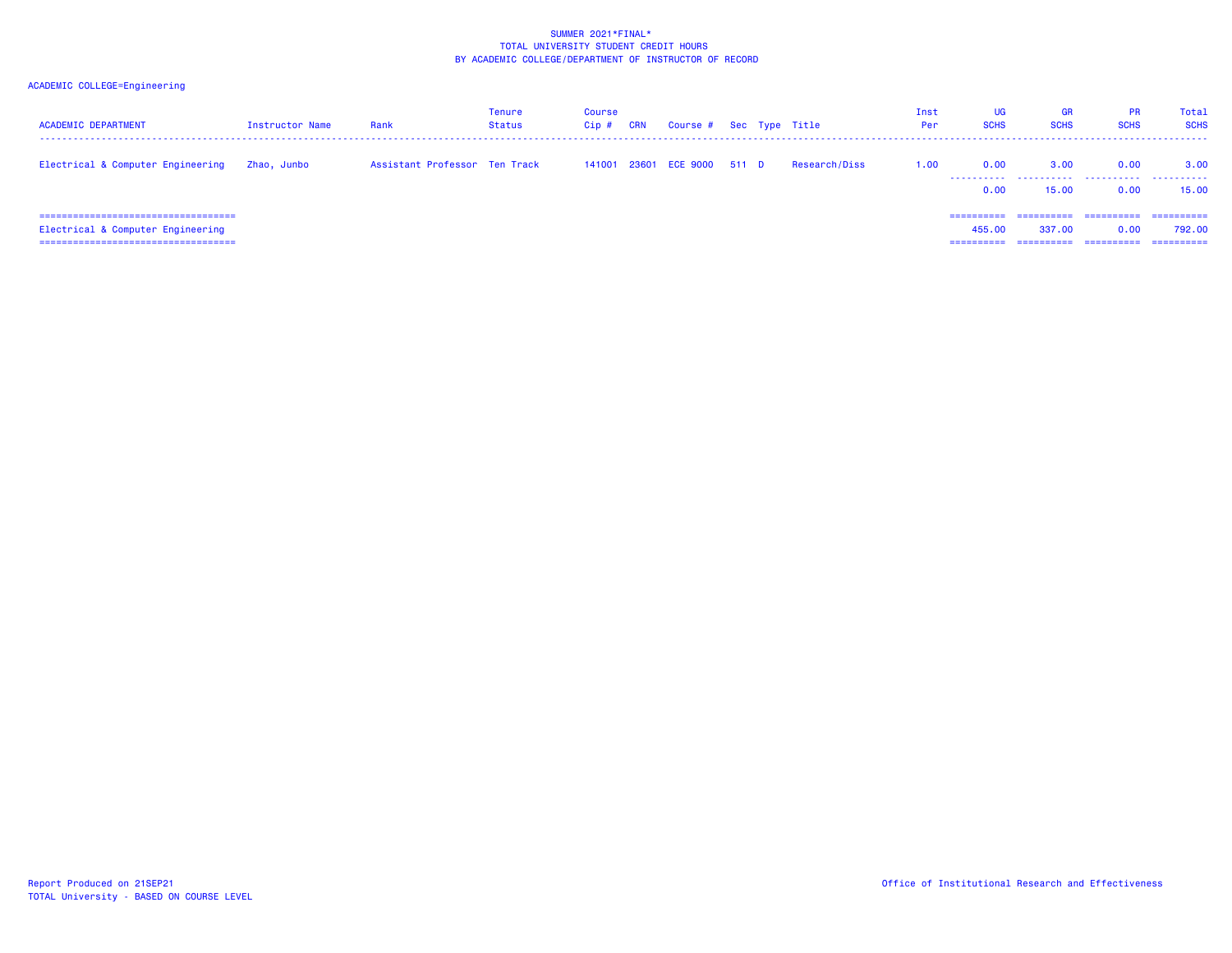| <b>ACADEMIC DEPARTMENT</b>                                                                                           | Instructor Name | Rank                          | <b>Tenure</b><br>Status | Course<br>$C$ ip $#$ | CRN | Course # Sec Type Title     |  |               | Inst<br>Per | UG<br><b>SCHS</b>                  | <b>GR</b><br><b>SCHS</b> | <b>PR</b><br><b>SCHS</b> | Total<br><b>SCHS</b>                |
|----------------------------------------------------------------------------------------------------------------------|-----------------|-------------------------------|-------------------------|----------------------|-----|-----------------------------|--|---------------|-------------|------------------------------------|--------------------------|--------------------------|-------------------------------------|
| Electrical & Computer Engineering                                                                                    | Zhao, Junbo     | Assistant Professor Ten Track |                         |                      |     | 141001 23601 ECE 9000 511 D |  | Research/Diss | 1.00        | 0.00<br>.<br>0.00                  | 3.00<br>.<br>15.00       | 0.00<br>.<br>0.00        | 3.00<br>.<br>15.00                  |
| =====================================<br>Electrical & Computer Engineering<br>====================================== |                 |                               |                         |                      |     |                             |  |               |             | -----------<br>455,00<br>========= | ==========<br>337,00     | -----------<br>0.00      | -----------<br>792.00<br>========== |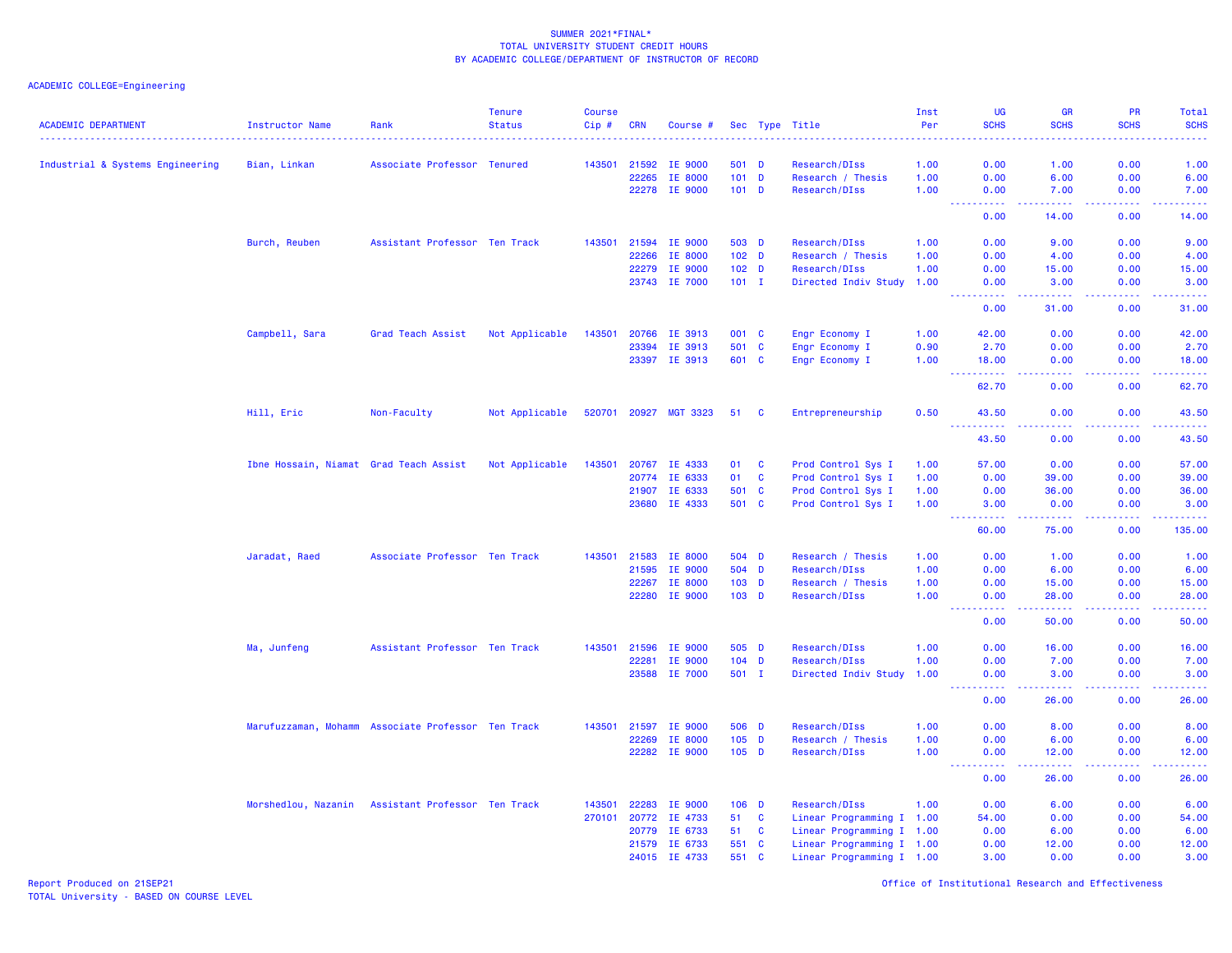ACADEMIC COLLEGE=Engineering

| <b>ACADEMIC DEPARTMENT</b>       | Instructor Name                        | Rank                                               | <b>Tenure</b><br><b>Status</b> | <b>Course</b><br>Cip# | <b>CRN</b> | Course #              |         |                  | Sec Type Title            | Inst<br>Per | <b>UG</b><br><b>SCHS</b>           | <b>GR</b><br><b>SCHS</b>                                                                                                                                      | <b>PR</b><br><b>SCHS</b>            | <b>Total</b><br><b>SCHS</b> |
|----------------------------------|----------------------------------------|----------------------------------------------------|--------------------------------|-----------------------|------------|-----------------------|---------|------------------|---------------------------|-------------|------------------------------------|---------------------------------------------------------------------------------------------------------------------------------------------------------------|-------------------------------------|-----------------------------|
| Industrial & Systems Engineering | Bian, Linkan                           | Associate Professor Tenured                        |                                | 143501                | 21592      | <b>IE 9000</b>        |         | 501 D            | Research/DIss             | 1.00        | 0.00                               | 1.00                                                                                                                                                          | 0.00                                | 1.00                        |
|                                  |                                        |                                                    |                                |                       | 22265      | IE 8000               |         | $101$ D          | Research / Thesis         | 1.00        | 0.00                               | 6.00                                                                                                                                                          | 0.00                                | 6.00                        |
|                                  |                                        |                                                    |                                |                       |            | 22278 IE 9000         |         | $101$ D          | Research/DIss             | 1.00        | 0.00                               | 7.00                                                                                                                                                          | 0.00                                | 7.00                        |
|                                  |                                        |                                                    |                                |                       |            |                       |         |                  |                           |             | المتمالين                          | 22222                                                                                                                                                         | .                                   | والمالمات بما               |
|                                  |                                        |                                                    |                                |                       |            |                       |         |                  |                           |             | 0.00                               | 14.00                                                                                                                                                         | 0.00                                | 14.00                       |
|                                  | Burch, Reuben                          | Assistant Professor Ten Track                      |                                | 143501                | 21594      | IE 9000               | 503 D   |                  | Research/DIss             | 1.00        | 0.00                               | 9.00                                                                                                                                                          | 0.00                                | 9.00                        |
|                                  |                                        |                                                    |                                |                       | 22266      | <b>IE 8000</b>        |         | 102 <sub>D</sub> | Research / Thesis         | 1.00        | 0.00                               | 4.00                                                                                                                                                          | 0.00                                | 4.00                        |
|                                  |                                        |                                                    |                                |                       | 22279      | IE 9000               |         | 102 <sub>D</sub> | Research/DIss             | 1.00        | 0.00                               | 15.00                                                                                                                                                         | 0.00                                | 15.00                       |
|                                  |                                        |                                                    |                                |                       | 23743      | IE 7000               | $101$ I |                  | Directed Indiv Study 1.00 |             | 0.00<br>المتمامين                  | 3.00<br>.                                                                                                                                                     | 0.00<br>.                           | 3.00<br>وعاماما             |
|                                  |                                        |                                                    |                                |                       |            |                       |         |                  |                           |             | 0.00                               | 31.00                                                                                                                                                         | 0.00                                | 31.00                       |
|                                  | Campbell, Sara                         | Grad Teach Assist                                  | Not Applicable                 | 143501                | 20766      | IE 3913               | 001 C   |                  | Engr Economy I            | 1.00        | 42.00                              | 0.00                                                                                                                                                          | 0.00                                | 42.00                       |
|                                  |                                        |                                                    |                                |                       | 23394      | IE 3913               | 501 C   |                  | Engr Economy I            | 0.90        | 2.70                               | 0.00                                                                                                                                                          | 0.00                                | 2.70                        |
|                                  |                                        |                                                    |                                |                       |            | 23397 IE 3913         | 601 C   |                  | Engr Economy I            | 1.00        | 18.00                              | 0.00<br>----                                                                                                                                                  | 0.00                                | 18.00<br>.                  |
|                                  |                                        |                                                    |                                |                       |            |                       |         |                  |                           |             | 62.70                              | 0.00                                                                                                                                                          | 0.00                                | 62.70                       |
|                                  | Hill, Eric                             | Non-Faculty                                        | Not Applicable                 |                       |            | 520701 20927 MGT 3323 | 51 C    |                  | Entrepreneurship          | 0.50        | 43.50                              | 0.00                                                                                                                                                          | 0.00                                | 43.50                       |
|                                  |                                        |                                                    |                                |                       |            |                       |         |                  |                           |             | $\sim$ $\sim$ $\sim$<br>.<br>43.50 | .<br>0.00                                                                                                                                                     | -----<br>0.00                       | .<br>43.50                  |
|                                  | Ibne Hossain, Niamat Grad Teach Assist |                                                    | Not Applicable                 | 143501                |            | 20767 IE 4333         | 01      | <b>C</b>         | Prod Control Sys I        | 1.00        | 57.00                              | 0.00                                                                                                                                                          | 0.00                                | 57.00                       |
|                                  |                                        |                                                    |                                |                       | 20774      | IE 6333               | 01      | $\mathbf{C}$     | Prod Control Sys I        | 1.00        | 0.00                               | 39.00                                                                                                                                                         | 0.00                                | 39.00                       |
|                                  |                                        |                                                    |                                |                       | 21907      | IE 6333               | 501 C   |                  | Prod Control Sys I        | 1.00        | 0.00                               | 36.00                                                                                                                                                         | 0.00                                | 36.00                       |
|                                  |                                        |                                                    |                                |                       |            | 23680 IE 4333         | 501 C   |                  | Prod Control Sys I        | 1.00        | 3.00<br>-----                      | 0.00<br>-----                                                                                                                                                 | 0.00<br>.                           | 3.00<br>.                   |
|                                  |                                        |                                                    |                                |                       |            |                       |         |                  |                           |             | 60.00                              | 75.00                                                                                                                                                         | 0.00                                | 135.00                      |
|                                  | Jaradat, Raed                          | Associate Professor Ten Track                      |                                | 143501                | 21583      | <b>IE 8000</b>        |         | 504 D            | Research / Thesis         | 1.00        | 0.00                               | 1.00                                                                                                                                                          | 0.00                                | 1.00                        |
|                                  |                                        |                                                    |                                |                       | 21595      | IE 9000               |         | 504 D            | Research/DIss             | 1.00        | 0.00                               | 6.00                                                                                                                                                          | 0.00                                | 6.00                        |
|                                  |                                        |                                                    |                                |                       | 22267      | <b>IE 8000</b>        |         | $103$ D          | Research / Thesis         | 1.00        | 0.00                               | 15.00                                                                                                                                                         | 0.00                                | 15.00                       |
|                                  |                                        |                                                    |                                |                       |            | 22280 IE 9000         | $103$ D |                  | Research/DIss             | 1.00        | 0.00<br>.                          | 28.00<br>$\frac{1}{2} \left( \frac{1}{2} \right) \left( \frac{1}{2} \right) \left( \frac{1}{2} \right) \left( \frac{1}{2} \right) \left( \frac{1}{2} \right)$ | 0.00<br>.                           | 28.00<br>المتمامين          |
|                                  |                                        |                                                    |                                |                       |            |                       |         |                  |                           |             | 0.00                               | 50.00                                                                                                                                                         | 0.00                                | 50.00                       |
|                                  | Ma, Junfeng                            | Assistant Professor Ten Track                      |                                | 143501                | 21596      | <b>IE 9000</b>        |         | 505 D            | Research/DIss             | 1.00        | 0.00                               | 16.00                                                                                                                                                         | 0.00                                | 16.00                       |
|                                  |                                        |                                                    |                                |                       | 22281      | IE 9000               |         | $104$ D          | Research/DIss             | 1.00        | 0.00                               | 7.00                                                                                                                                                          | 0.00                                | 7.00                        |
|                                  |                                        |                                                    |                                |                       |            | 23588 IE 7000         | 501 I   |                  | Directed Indiv Study      | 1.00        | 0.00                               | 3.00                                                                                                                                                          | 0.00                                | 3.00                        |
|                                  |                                        |                                                    |                                |                       |            |                       |         |                  |                           |             | 0.00                               | 26.00                                                                                                                                                         | 0.00                                | 26.00                       |
|                                  |                                        | Marufuzzaman, Mohamm Associate Professor Ten Track |                                | 143501                | 21597      | <b>IE 9000</b>        | 506 D   |                  | Research/DIss             | 1.00        | 0.00                               | 8.00                                                                                                                                                          | 0.00                                | 8.00                        |
|                                  |                                        |                                                    |                                |                       | 22269      | IE 8000               |         | 105 D            | Research / Thesis         | 1.00        | 0.00                               | 6.00                                                                                                                                                          | 0.00                                | 6.00                        |
|                                  |                                        |                                                    |                                |                       | 22282      | <b>IE 9000</b>        | $105$ D |                  | Research/DIss             | 1.00        | 0.00<br>----                       | 12.00<br>وبالمحام                                                                                                                                             | 0.00<br>$\sim$ $\sim$ $\sim$ $\sim$ | 12.00<br>المستما            |
|                                  |                                        |                                                    |                                |                       |            |                       |         |                  |                           |             | 0.00                               | 26.00                                                                                                                                                         | 0.00                                | 26.00                       |
|                                  | Morshedlou, Nazanin                    | Assistant Professor Ten Track                      |                                | 143501                | 22283      | IE 9000               |         | $106$ D          | Research/DIss             | 1.00        | 0.00                               | 6.00                                                                                                                                                          | 0.00                                | 6.00                        |
|                                  |                                        |                                                    |                                | 270101                | 20772      | IE 4733               | 51      | $\mathbf{C}$     | Linear Programming I 1.00 |             | 54.00                              | 0.00                                                                                                                                                          | 0.00                                | 54.00                       |
|                                  |                                        |                                                    |                                |                       | 20779      | IE 6733               | 51      | $\mathbf{C}$     | Linear Programming I 1.00 |             | 0.00                               | 6.00                                                                                                                                                          | 0.00                                | 6.00                        |
|                                  |                                        |                                                    |                                |                       | 21579      | IE 6733               | 551     | <b>C</b>         | Linear Programming I 1.00 |             | 0.00                               | 12.00                                                                                                                                                         | 0.00                                | 12.00                       |
|                                  |                                        |                                                    |                                |                       |            | 24015 IE 4733         | 551 C   |                  | Linear Programming I 1.00 |             | 3.00                               | 0.00                                                                                                                                                          | 0.00                                | 3.00                        |

Report Produced on 21SEP21 Office of Institutional Research and Effectiveness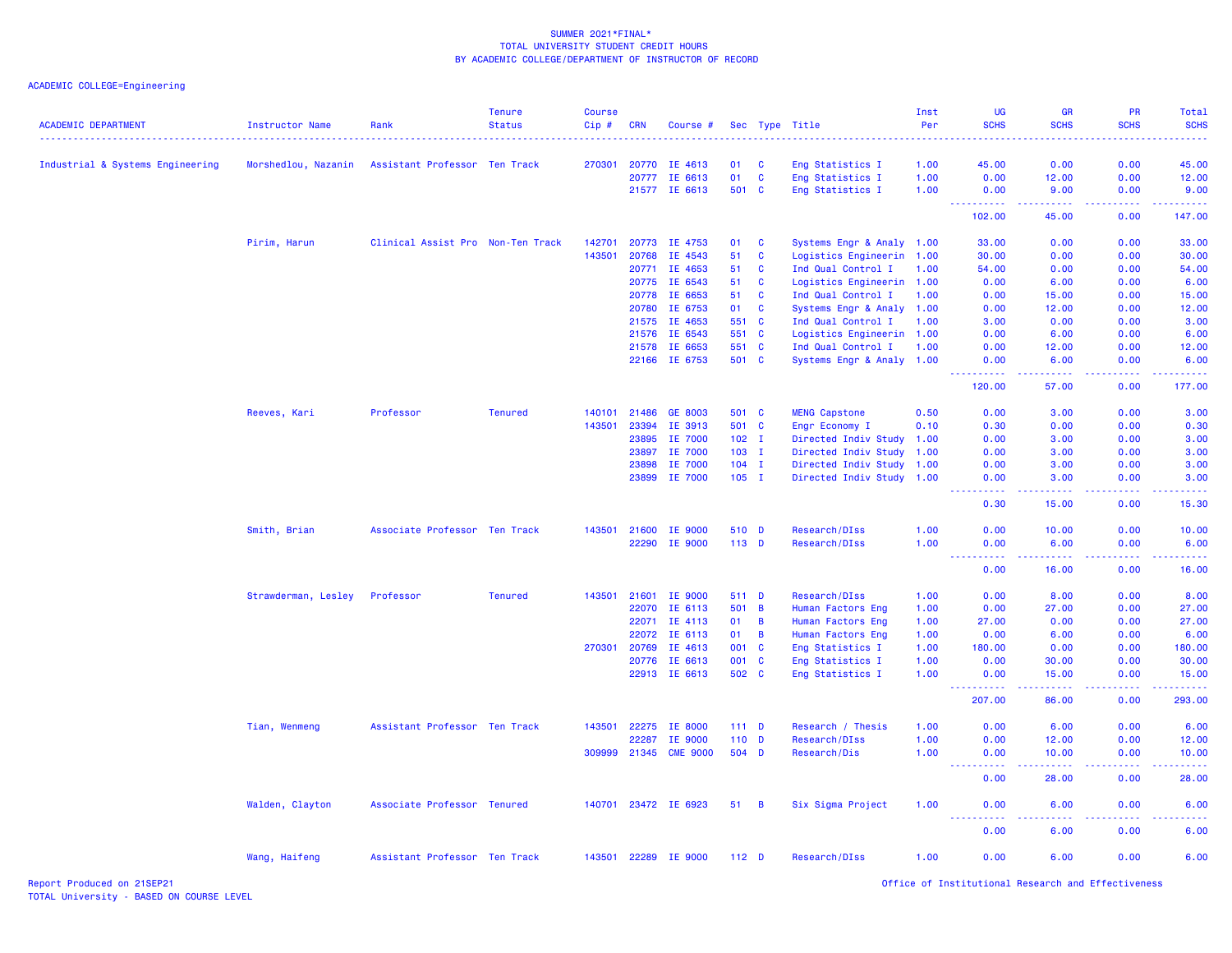| <b>ACADEMIC DEPARTMENT</b>       | <b>Instructor Name</b> | Rank                              | <b>Tenure</b><br><b>Status</b> | <b>Course</b><br>Cip# | <b>CRN</b> | Course #             |                  |                | Sec Type Title            | Inst<br>Per<br>. | UG<br><b>SCHS</b>                                                                                                                                                      | <b>GR</b><br><b>SCHS</b>                                                                                                                                                                                                                                                                                                                                                                                                                                                                        | <b>PR</b><br><b>SCHS</b>                                                                                                                                     | Total<br><b>SCHS</b><br>.                                                                                                                                     |
|----------------------------------|------------------------|-----------------------------------|--------------------------------|-----------------------|------------|----------------------|------------------|----------------|---------------------------|------------------|------------------------------------------------------------------------------------------------------------------------------------------------------------------------|-------------------------------------------------------------------------------------------------------------------------------------------------------------------------------------------------------------------------------------------------------------------------------------------------------------------------------------------------------------------------------------------------------------------------------------------------------------------------------------------------|--------------------------------------------------------------------------------------------------------------------------------------------------------------|---------------------------------------------------------------------------------------------------------------------------------------------------------------|
| Industrial & Systems Engineering | Morshedlou, Nazanin    | Assistant Professor Ten Track     |                                | 270301                | 20770      | IE 4613              | 01               | <b>C</b>       | Eng Statistics I          | 1.00             | 45.00                                                                                                                                                                  | 0.00                                                                                                                                                                                                                                                                                                                                                                                                                                                                                            | 0.00                                                                                                                                                         | 45.00                                                                                                                                                         |
|                                  |                        |                                   |                                |                       | 20777      | IE 6613              | 01               | C              | Eng Statistics I          | 1.00             | 0.00                                                                                                                                                                   | 12.00                                                                                                                                                                                                                                                                                                                                                                                                                                                                                           | 0.00                                                                                                                                                         | 12.00                                                                                                                                                         |
|                                  |                        |                                   |                                |                       |            | 21577 IE 6613        | 501              | $\mathbf{C}$   | Eng Statistics I          | 1.00             | 0.00                                                                                                                                                                   | 9.00                                                                                                                                                                                                                                                                                                                                                                                                                                                                                            | 0.00                                                                                                                                                         | 9.00                                                                                                                                                          |
|                                  |                        |                                   |                                |                       |            |                      |                  |                |                           |                  | .<br>102.00                                                                                                                                                            | 22222<br>45.00                                                                                                                                                                                                                                                                                                                                                                                                                                                                                  | 22222<br>0.00                                                                                                                                                | 22222<br>147.00                                                                                                                                               |
|                                  | Pirim, Harun           | Clinical Assist Pro Non-Ten Track |                                | 142701                |            | 20773 IE 4753        | 01               | C              | Systems Engr & Analy 1.00 |                  | 33.00                                                                                                                                                                  | 0.00                                                                                                                                                                                                                                                                                                                                                                                                                                                                                            | 0.00                                                                                                                                                         | 33.00                                                                                                                                                         |
|                                  |                        |                                   |                                | 143501                | 20768      | IE 4543              | 51               | C              | Logistics Engineerin 1.00 |                  | 30.00                                                                                                                                                                  | 0.00                                                                                                                                                                                                                                                                                                                                                                                                                                                                                            | 0.00                                                                                                                                                         | 30.00                                                                                                                                                         |
|                                  |                        |                                   |                                |                       | 20771      | IE 4653              | 51               | $\mathbf c$    | Ind Qual Control I        | 1.00             | 54.00                                                                                                                                                                  | 0.00                                                                                                                                                                                                                                                                                                                                                                                                                                                                                            | 0.00                                                                                                                                                         | 54.00                                                                                                                                                         |
|                                  |                        |                                   |                                |                       | 20775      | IE 6543              | 51               | C              | Logistics Engineerin 1.00 |                  | 0.00                                                                                                                                                                   | 6.00                                                                                                                                                                                                                                                                                                                                                                                                                                                                                            | 0.00                                                                                                                                                         | 6.00                                                                                                                                                          |
|                                  |                        |                                   |                                |                       | 20778      | IE 6653              | 51               | C              | Ind Qual Control I        | 1.00             | 0.00                                                                                                                                                                   | 15.00                                                                                                                                                                                                                                                                                                                                                                                                                                                                                           | 0.00                                                                                                                                                         | 15.00                                                                                                                                                         |
|                                  |                        |                                   |                                |                       | 20780      | IE 6753              | 01               | C              | Systems Engr & Analy 1.00 |                  | 0.00                                                                                                                                                                   | 12.00                                                                                                                                                                                                                                                                                                                                                                                                                                                                                           | 0.00                                                                                                                                                         | 12.00                                                                                                                                                         |
|                                  |                        |                                   |                                |                       | 21575      | IE 4653              | 551              | <b>C</b>       | Ind Qual Control I        | 1.00             | 3.00                                                                                                                                                                   | 0.00                                                                                                                                                                                                                                                                                                                                                                                                                                                                                            | 0.00                                                                                                                                                         | 3.00                                                                                                                                                          |
|                                  |                        |                                   |                                |                       | 21576      | IE 6543              | 551 C            |                | Logistics Engineerin 1.00 |                  | 0.00                                                                                                                                                                   | 6.00                                                                                                                                                                                                                                                                                                                                                                                                                                                                                            | 0.00                                                                                                                                                         | 6.00                                                                                                                                                          |
|                                  |                        |                                   |                                |                       | 21578      | IE 6653              | 551              | <b>C</b>       | Ind Qual Control I        | 1.00             | 0.00                                                                                                                                                                   | 12.00                                                                                                                                                                                                                                                                                                                                                                                                                                                                                           | 0.00                                                                                                                                                         | 12.00                                                                                                                                                         |
|                                  |                        |                                   |                                |                       |            | 22166 IE 6753        | 501 C            |                | Systems Engr & Analy 1.00 |                  | 0.00                                                                                                                                                                   | 6.00                                                                                                                                                                                                                                                                                                                                                                                                                                                                                            | 0.00                                                                                                                                                         | 6.00                                                                                                                                                          |
|                                  |                        |                                   |                                |                       |            |                      |                  |                |                           |                  | $\frac{1}{2} \left( \frac{1}{2} \right) \left( \frac{1}{2} \right) \left( \frac{1}{2} \right) \left( \frac{1}{2} \right) \left( \frac{1}{2} \right)$<br>120.00         | $\begin{array}{cccccccccccccc} \multicolumn{2}{c}{} & \multicolumn{2}{c}{} & \multicolumn{2}{c}{} & \multicolumn{2}{c}{} & \multicolumn{2}{c}{} & \multicolumn{2}{c}{} & \multicolumn{2}{c}{} & \multicolumn{2}{c}{} & \multicolumn{2}{c}{} & \multicolumn{2}{c}{} & \multicolumn{2}{c}{} & \multicolumn{2}{c}{} & \multicolumn{2}{c}{} & \multicolumn{2}{c}{} & \multicolumn{2}{c}{} & \multicolumn{2}{c}{} & \multicolumn{2}{c}{} & \multicolumn{2}{c}{} & \multicolumn{2}{c}{} & \$<br>57.00 | <b></b><br>0.00                                                                                                                                              | .<br>177.00                                                                                                                                                   |
|                                  | Reeves, Kari           | Professor                         | <b>Tenured</b>                 | 140101                | 21486      | GE 8003              | 501 C            |                | <b>MENG Capstone</b>      | 0.50             | 0.00                                                                                                                                                                   | 3.00                                                                                                                                                                                                                                                                                                                                                                                                                                                                                            | 0.00                                                                                                                                                         | 3.00                                                                                                                                                          |
|                                  |                        |                                   |                                | 143501                | 23394      | IE 3913              | 501 C            |                | Engr Economy I            | 0.10             | 0.30                                                                                                                                                                   | 0.00                                                                                                                                                                                                                                                                                                                                                                                                                                                                                            | 0.00                                                                                                                                                         | 0.30                                                                                                                                                          |
|                                  |                        |                                   |                                |                       | 23895      | IE 7000              | $102$ I          |                | Directed Indiv Study      | 1.00             | 0.00                                                                                                                                                                   | 3.00                                                                                                                                                                                                                                                                                                                                                                                                                                                                                            | 0.00                                                                                                                                                         | 3.00                                                                                                                                                          |
|                                  |                        |                                   |                                |                       | 23897      | IE 7000              | $103$ I          |                | Directed Indiv Study      | 1.00             | 0.00                                                                                                                                                                   | 3.00                                                                                                                                                                                                                                                                                                                                                                                                                                                                                            | 0.00                                                                                                                                                         | 3.00                                                                                                                                                          |
|                                  |                        |                                   |                                |                       | 23898      | IE 7000              | $104$ I          |                | Directed Indiv Study      | 1.00             | 0.00                                                                                                                                                                   | 3.00                                                                                                                                                                                                                                                                                                                                                                                                                                                                                            | 0.00                                                                                                                                                         | 3.00                                                                                                                                                          |
|                                  |                        |                                   |                                |                       |            | 23899 IE 7000        | $105$ I          |                | Directed Indiv Study 1.00 |                  | 0.00                                                                                                                                                                   | 3.00                                                                                                                                                                                                                                                                                                                                                                                                                                                                                            | 0.00                                                                                                                                                         | 3.00                                                                                                                                                          |
|                                  |                        |                                   |                                |                       |            |                      |                  |                |                           |                  | 0.30                                                                                                                                                                   | 15.00                                                                                                                                                                                                                                                                                                                                                                                                                                                                                           | 0.00                                                                                                                                                         | 15.30                                                                                                                                                         |
|                                  | Smith, Brian           | Associate Professor Ten Track     |                                | 143501                |            | 21600 IE 9000        | 510 D            |                | Research/DIss             | 1.00             | 0.00                                                                                                                                                                   | 10.00                                                                                                                                                                                                                                                                                                                                                                                                                                                                                           | 0.00                                                                                                                                                         | 10.00                                                                                                                                                         |
|                                  |                        |                                   |                                |                       | 22290      | IE 9000              | 113 D            |                | Research/DIss             | 1.00             | 0.00                                                                                                                                                                   | 6.00                                                                                                                                                                                                                                                                                                                                                                                                                                                                                            | 0.00                                                                                                                                                         | 6.00                                                                                                                                                          |
|                                  |                        |                                   |                                |                       |            |                      |                  |                |                           |                  | $\frac{1}{2} \left( \frac{1}{2} \right) \left( \frac{1}{2} \right) \left( \frac{1}{2} \right) \left( \frac{1}{2} \right) \left( \frac{1}{2} \right)$<br>$   -$<br>0.00 | $\frac{1}{2} \left( \frac{1}{2} \right) \left( \frac{1}{2} \right) \left( \frac{1}{2} \right) \left( \frac{1}{2} \right) \left( \frac{1}{2} \right)$<br>16.00                                                                                                                                                                                                                                                                                                                                   | 22222<br>0.00                                                                                                                                                | .<br>16.00                                                                                                                                                    |
|                                  | Strawderman, Lesley    | Professor                         | <b>Tenured</b>                 | 143501                | 21601      | IE 9000              | 511 D            |                | Research/DIss             | 1.00             | 0.00                                                                                                                                                                   | 8.00                                                                                                                                                                                                                                                                                                                                                                                                                                                                                            | 0.00                                                                                                                                                         | 8.00                                                                                                                                                          |
|                                  |                        |                                   |                                |                       | 22070      | IE 6113              | 501              | $\overline{B}$ | Human Factors Eng         | 1.00             | 0.00                                                                                                                                                                   | 27.00                                                                                                                                                                                                                                                                                                                                                                                                                                                                                           | 0.00                                                                                                                                                         | 27.00                                                                                                                                                         |
|                                  |                        |                                   |                                |                       | 22071      | IE 4113              | 01               | B              | Human Factors Eng         | 1.00             | 27.00                                                                                                                                                                  | 0.00                                                                                                                                                                                                                                                                                                                                                                                                                                                                                            | 0.00                                                                                                                                                         | 27.00                                                                                                                                                         |
|                                  |                        |                                   |                                |                       | 22072      | IE 6113              | 01               | B              | Human Factors Eng         | 1.00             | 0.00                                                                                                                                                                   | 6.00                                                                                                                                                                                                                                                                                                                                                                                                                                                                                            | 0.00                                                                                                                                                         | 6.00                                                                                                                                                          |
|                                  |                        |                                   |                                | 270301                | 20769      | IE 4613              | 001              | <b>C</b>       | Eng Statistics I          | 1.00             | 180.00                                                                                                                                                                 | 0.00                                                                                                                                                                                                                                                                                                                                                                                                                                                                                            | 0.00                                                                                                                                                         | 180.00                                                                                                                                                        |
|                                  |                        |                                   |                                |                       | 20776      | IE 6613              | 001 C            |                | Eng Statistics I          | 1.00             | 0.00                                                                                                                                                                   | 30.00                                                                                                                                                                                                                                                                                                                                                                                                                                                                                           | 0.00                                                                                                                                                         | 30.00                                                                                                                                                         |
|                                  |                        |                                   |                                |                       |            | 22913 IE 6613        | 502 C            |                | Eng Statistics I          | 1.00             | 0.00                                                                                                                                                                   | 15.00                                                                                                                                                                                                                                                                                                                                                                                                                                                                                           | 0.00                                                                                                                                                         | 15.00                                                                                                                                                         |
|                                  |                        |                                   |                                |                       |            |                      |                  |                |                           |                  | 207.00                                                                                                                                                                 | 86.00                                                                                                                                                                                                                                                                                                                                                                                                                                                                                           | 0.00                                                                                                                                                         | 293.00                                                                                                                                                        |
|                                  | Tian, Wenmeng          | Assistant Professor Ten Track     |                                | 143501                | 22275      | IE 8000              | $111$ D          |                | Research / Thesis         | 1.00             | 0.00                                                                                                                                                                   | 6.00                                                                                                                                                                                                                                                                                                                                                                                                                                                                                            | 0.00                                                                                                                                                         | 6.00                                                                                                                                                          |
|                                  |                        |                                   |                                |                       | 22287      | IE 9000              | $110$ D          |                | Research/DIss             | 1.00             | 0.00                                                                                                                                                                   | 12.00                                                                                                                                                                                                                                                                                                                                                                                                                                                                                           | 0.00                                                                                                                                                         | 12.00                                                                                                                                                         |
|                                  |                        |                                   |                                | 309999                | 21345      | <b>CME 9000</b>      | 504 D            |                | Research/Dis              | 1.00             | 0.00                                                                                                                                                                   | 10.00                                                                                                                                                                                                                                                                                                                                                                                                                                                                                           | 0.00                                                                                                                                                         | 10.00                                                                                                                                                         |
|                                  |                        |                                   |                                |                       |            |                      |                  |                |                           |                  | <u>.</u><br>.<br>0.00                                                                                                                                                  | $\frac{1}{2} \left( \frac{1}{2} \right) \left( \frac{1}{2} \right) \left( \frac{1}{2} \right) \left( \frac{1}{2} \right) \left( \frac{1}{2} \right)$<br>28.00                                                                                                                                                                                                                                                                                                                                   | $\frac{1}{2} \left( \frac{1}{2} \right) \left( \frac{1}{2} \right) \left( \frac{1}{2} \right) \left( \frac{1}{2} \right) \left( \frac{1}{2} \right)$<br>0.00 | $\frac{1}{2} \left( \frac{1}{2} \right) \left( \frac{1}{2} \right) \left( \frac{1}{2} \right) \left( \frac{1}{2} \right) \left( \frac{1}{2} \right)$<br>28.00 |
|                                  | Walden, Clayton        | Associate Professor Tenured       |                                |                       |            | 140701 23472 IE 6923 | 51               | $\overline{B}$ | Six Sigma Project         | 1.00             | 0.00                                                                                                                                                                   | 6.00                                                                                                                                                                                                                                                                                                                                                                                                                                                                                            | 0.00                                                                                                                                                         | 6.00                                                                                                                                                          |
|                                  |                        |                                   |                                |                       |            |                      |                  |                |                           |                  | .<br>0.00                                                                                                                                                              | 6.00                                                                                                                                                                                                                                                                                                                                                                                                                                                                                            | 0.00                                                                                                                                                         | 6.00                                                                                                                                                          |
|                                  |                        | Assistant Professor Ten Track     |                                | 143501                | 22289      | <b>IE 9000</b>       | 112 <sub>D</sub> |                | Research/DIss             | 1.00             | 0.00                                                                                                                                                                   | 6.00                                                                                                                                                                                                                                                                                                                                                                                                                                                                                            | 0.00                                                                                                                                                         | 6.00                                                                                                                                                          |
|                                  | Wang, Haifeng          |                                   |                                |                       |            |                      |                  |                |                           |                  |                                                                                                                                                                        |                                                                                                                                                                                                                                                                                                                                                                                                                                                                                                 |                                                                                                                                                              |                                                                                                                                                               |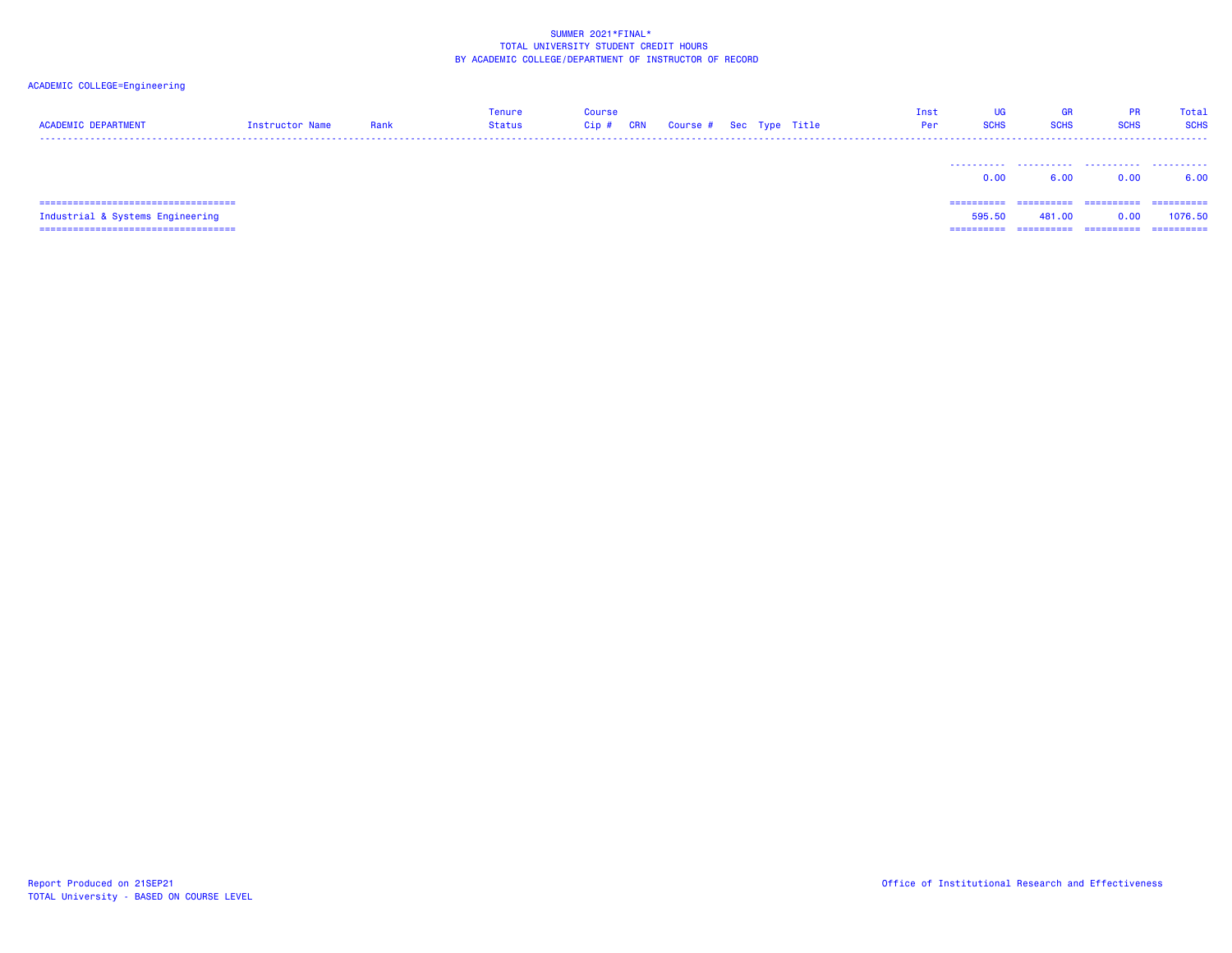| <b>ACADEMIC DEPARTMENT</b>             | Instructor Name | Rank | <b>Tenure</b><br>Status | <b>Course</b><br>Cip# | <b>CRN</b> | Course # Sec Type Title |  | Inst<br>Per | UG<br><b>SCHS</b> | <b>GR</b><br><b>SCHS</b> | <b>PR</b><br><b>SCHS</b> | Total<br><b>SCHS</b> |
|----------------------------------------|-----------------|------|-------------------------|-----------------------|------------|-------------------------|--|-------------|-------------------|--------------------------|--------------------------|----------------------|
|                                        |                 |      |                         |                       |            |                         |  |             | 0.00              | 6.00                     | 0.00                     | 6.00                 |
| =====================================  |                 |      |                         |                       |            |                         |  |             | ==========        | ==========               | -----------              | ==========           |
| Industrial & Systems Engineering       |                 |      |                         |                       |            |                         |  |             | 595.50            | 481.00                   | 0.00                     | 1076.50              |
| ====================================== |                 |      |                         |                       |            |                         |  |             | ==========        | ==========               | ==========               | ==========           |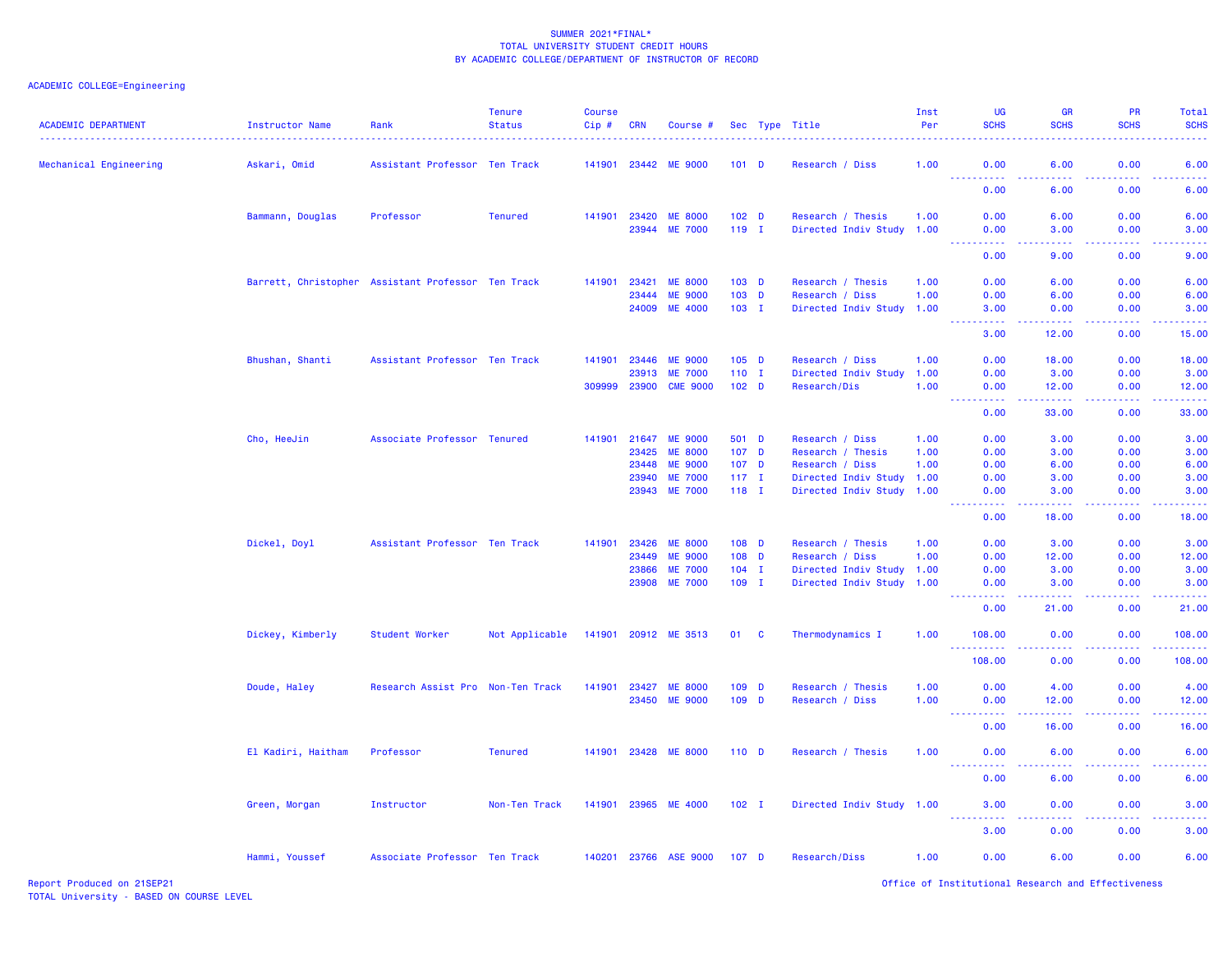# ACADEMIC COLLEGE=Engineering

| <b>ACADEMIC DEPARTMENT</b> | <b>Instructor Name</b> | Rank                                               | <b>Tenure</b><br><b>Status</b> | <b>Course</b><br>Cip# | <b>CRN</b>     | Course #                          |                             |          | Sec Type Title                          | Inst<br>Per<br>. | <b>UG</b><br><b>SCHS</b> | <b>GR</b><br><b>SCHS</b>                                                                                                                                      | <b>PR</b><br><b>SCHS</b> | Total<br><b>SCHS</b><br>.                                                                                                       |
|----------------------------|------------------------|----------------------------------------------------|--------------------------------|-----------------------|----------------|-----------------------------------|-----------------------------|----------|-----------------------------------------|------------------|--------------------------|---------------------------------------------------------------------------------------------------------------------------------------------------------------|--------------------------|---------------------------------------------------------------------------------------------------------------------------------|
| Mechanical Engineering     | Askari, Omid           | Assistant Professor Ten Track                      |                                |                       |                | 141901 23442 ME 9000              | $101$ D                     |          | Research / Diss                         | 1.00             | 0.00<br><u>.</u>         | 6.00<br>.                                                                                                                                                     | 0.00<br>.                | 6.00<br>$\sim$ $\sim$ $\sim$ $\sim$                                                                                             |
|                            |                        |                                                    |                                |                       |                |                                   |                             |          |                                         |                  | 0.00                     | 6.00                                                                                                                                                          | 0.00                     | 6.00                                                                                                                            |
|                            | Bammann, Douglas       | Professor                                          | <b>Tenured</b>                 | 141901                | 23420          | <b>ME 8000</b>                    | 102 <sub>D</sub>            |          | Research / Thesis                       | 1.00             | 0.00                     | 6.00                                                                                                                                                          | 0.00                     | 6.00                                                                                                                            |
|                            |                        |                                                    |                                |                       |                | 23944 ME 7000                     | $119$ I                     |          | Directed Indiv Study 1.00               |                  | 0.00<br>د د د د          | 3.00<br>$\sim$ $\sim$ $\sim$ $\sim$                                                                                                                           | 0.00<br>.                | 3.00<br>.                                                                                                                       |
|                            |                        |                                                    |                                |                       |                |                                   |                             |          |                                         |                  | 0.00                     | 9.00                                                                                                                                                          | 0.00                     | 9.00                                                                                                                            |
|                            |                        | Barrett, Christopher Assistant Professor Ten Track |                                | 141901                | 23421          | <b>ME 8000</b>                    | $103$ D                     |          | Research / Thesis                       | 1.00             | 0.00                     | 6.00                                                                                                                                                          | 0.00                     | 6.00                                                                                                                            |
|                            |                        |                                                    |                                |                       | 23444<br>24009 | <b>ME 9000</b><br><b>ME 4000</b>  | $103$ D<br>$103$ I          |          | Research / Diss<br>Directed Indiv Study | 1.00<br>1.00     | 0.00<br>3.00             | 6.00<br>0.00                                                                                                                                                  | 0.00<br>0.00             | 6.00<br>3.00                                                                                                                    |
|                            |                        |                                                    |                                |                       |                |                                   |                             |          |                                         |                  | <b></b>                  | $\frac{1}{2} \left( \frac{1}{2} \right) \left( \frac{1}{2} \right) \left( \frac{1}{2} \right) \left( \frac{1}{2} \right) \left( \frac{1}{2} \right)$          | -----                    | .                                                                                                                               |
|                            |                        |                                                    |                                |                       |                |                                   |                             |          |                                         |                  | 3.00                     | 12.00                                                                                                                                                         | 0.00                     | 15.00                                                                                                                           |
|                            | Bhushan, Shanti        | Assistant Professor Ten Track                      |                                | 141901                | 23446          | <b>ME 9000</b>                    | $105$ D                     |          | Research / Diss                         | 1.00             | 0.00                     | 18.00                                                                                                                                                         | 0.00                     | 18.00                                                                                                                           |
|                            |                        |                                                    |                                | 309999                | 23913<br>23900 | <b>ME 7000</b><br><b>CME 9000</b> | $110$ I<br>102 <sub>D</sub> |          | Directed Indiv Study<br>Research/Dis    | 1.00<br>1.00     | 0.00<br>0.00             | 3.00<br>12.00                                                                                                                                                 | 0.00<br>0.00             | 3.00<br>12.00                                                                                                                   |
|                            |                        |                                                    |                                |                       |                |                                   |                             |          |                                         |                  | المتمامين<br>0.00        | $\frac{1}{2} \left( \frac{1}{2} \right) \left( \frac{1}{2} \right) \left( \frac{1}{2} \right) \left( \frac{1}{2} \right) \left( \frac{1}{2} \right)$<br>33.00 | المتمامين<br>0.00        | والمستحيل<br>33.00                                                                                                              |
|                            | Cho, HeeJin            | Associate Professor Tenured                        |                                | 141901                | 21647          | <b>ME 9000</b>                    | 501 D                       |          | Research / Diss                         | 1.00             | 0.00                     | 3.00                                                                                                                                                          | 0.00                     | 3.00                                                                                                                            |
|                            |                        |                                                    |                                |                       | 23425          | <b>ME 8000</b>                    | 107 D                       |          | Research / Thesis                       | 1.00             | 0.00                     | 3.00                                                                                                                                                          | 0.00                     | 3.00                                                                                                                            |
|                            |                        |                                                    |                                |                       | 23448          | <b>ME 9000</b>                    | $107$ D                     |          | Research / Diss                         | 1.00             | 0.00                     | 6.00                                                                                                                                                          | 0.00                     | 6.00                                                                                                                            |
|                            |                        |                                                    |                                |                       | 23940          | <b>ME 7000</b>                    | $117$ I                     |          | Directed Indiv Study 1.00               |                  | 0.00                     | 3.00                                                                                                                                                          | 0.00                     | 3.00                                                                                                                            |
|                            |                        |                                                    |                                |                       | 23943          | <b>ME 7000</b>                    | 118 I                       |          | Directed Indiv Study 1.00               |                  | 0.00<br>22222            | 3.00<br>.                                                                                                                                                     | 0.00<br>22222            | 3.00<br>.                                                                                                                       |
|                            |                        |                                                    |                                |                       |                |                                   |                             |          |                                         |                  | 0.00                     | 18.00                                                                                                                                                         | 0.00                     | 18.00                                                                                                                           |
|                            | Dickel, Doyl           | Assistant Professor Ten Track                      |                                | 141901                | 23426          | <b>ME 8000</b>                    | $108$ D                     |          | Research / Thesis                       | 1.00             | 0.00                     | 3.00                                                                                                                                                          | 0.00                     | 3.00                                                                                                                            |
|                            |                        |                                                    |                                |                       | 23449          | <b>ME 9000</b>                    | 108 D                       |          | Research / Diss                         | 1.00             | 0.00                     | 12.00                                                                                                                                                         | 0.00                     | 12.00                                                                                                                           |
|                            |                        |                                                    |                                |                       | 23866          | <b>ME 7000</b>                    | $104$ I                     |          | Directed Indiv Study                    | 1.00             | 0.00                     | 3.00                                                                                                                                                          | 0.00                     | 3.00                                                                                                                            |
|                            |                        |                                                    |                                |                       | 23908          | <b>ME 7000</b>                    | $109$ I                     |          | Directed Indiv Study 1.00               |                  | 0.00<br><b>_________</b> | 3.00<br>المتمام لمالم                                                                                                                                         | 0.00<br>المتمالي         | 3.00<br>.                                                                                                                       |
|                            |                        |                                                    |                                |                       |                |                                   |                             |          |                                         |                  | 0.00                     | 21.00                                                                                                                                                         | 0.00                     | 21.00                                                                                                                           |
|                            | Dickey, Kimberly       | Student Worker                                     | Not Applicable                 | 141901                |                | 20912 ME 3513                     | 01                          | <b>C</b> | Thermodynamics I                        | 1.00             | 108.00<br>.              | 0.00<br>.                                                                                                                                                     | 0.00<br>. <b>.</b>       | 108.00<br>$\begin{array}{cccccccccc} \bullet & \bullet & \bullet & \bullet & \bullet & \bullet & \bullet & \bullet \end{array}$ |
|                            |                        |                                                    |                                |                       |                |                                   |                             |          |                                         |                  | 108.00                   | 0.00                                                                                                                                                          | 0.00                     | 108.00                                                                                                                          |
|                            | Doude, Haley           | Research Assist Pro Non-Ten Track                  |                                | 141901                | 23427          | <b>ME 8000</b>                    | $109$ D                     |          | Research / Thesis                       | 1.00             | 0.00                     | 4.00                                                                                                                                                          | 0.00                     | 4.00                                                                                                                            |
|                            |                        |                                                    |                                |                       | 23450          | <b>ME 9000</b>                    | 109 D                       |          | Research / Diss                         | 1.00             | 0.00                     | 12.00                                                                                                                                                         | 0.00                     | 12.00<br>.                                                                                                                      |
|                            |                        |                                                    |                                |                       |                |                                   |                             |          |                                         |                  | 0.00                     | 16.00                                                                                                                                                         | 0.00                     | 16.00                                                                                                                           |
|                            | El Kadiri, Haitham     | Professor                                          | <b>Tenured</b>                 |                       | 141901 23428   | <b>ME 8000</b>                    | $110$ D                     |          | Research / Thesis                       | 1.00             | 0.00                     | 6.00                                                                                                                                                          | 0.00                     | 6.00                                                                                                                            |
|                            |                        |                                                    |                                |                       |                |                                   |                             |          |                                         |                  | .<br>0.00                | 6.00                                                                                                                                                          | 0.00                     | .<br>6.00                                                                                                                       |
|                            | Green, Morgan          | Instructor                                         | Non-Ten Track                  | 141901 23965          |                | <b>ME 4000</b>                    | $102$ I                     |          | Directed Indiv Study 1.00               |                  | 3.00                     | 0.00                                                                                                                                                          | 0.00                     | 3.00                                                                                                                            |
|                            |                        |                                                    |                                |                       |                |                                   |                             |          |                                         |                  | .<br>3.00                | .<br>0.00                                                                                                                                                     | .<br>0.00                | <u>.</u><br>3.00                                                                                                                |
|                            | Hammi, Youssef         | Associate Professor Ten Track                      |                                |                       |                | 140201 23766 ASE 9000             | 107 <sub>D</sub>            |          | Research/Diss                           | 1.00             | 0.00                     | 6.00                                                                                                                                                          | 0.00                     | 6.00                                                                                                                            |
|                            |                        |                                                    |                                |                       |                |                                   |                             |          |                                         |                  |                          |                                                                                                                                                               |                          |                                                                                                                                 |

Report Produced on 21SEP21 Office of Institutional Research and Effectiveness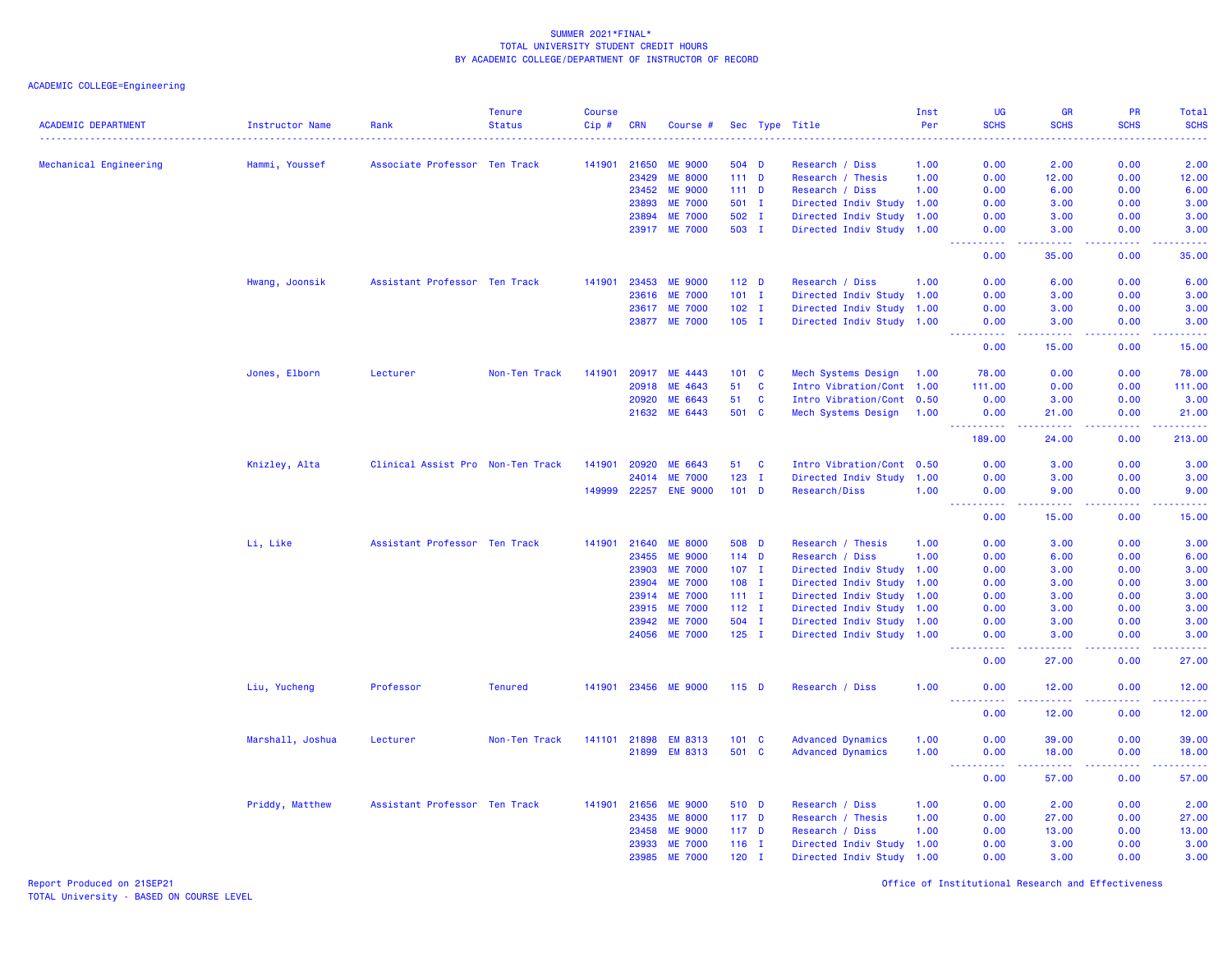ACADEMIC COLLEGE=Engineering

| <b>ACADEMIC DEPARTMENT</b> | <b>Instructor Name</b> | Rank                              | <b>Tenure</b><br><b>Status</b> | <b>Course</b><br>Cip# | <b>CRN</b>     | Course #                         |                |              | Sec Type Title                                         | Inst<br>Per | <b>UG</b><br><b>SCHS</b> | <b>GR</b><br><b>SCHS</b> | PR<br><b>SCHS</b> | Total<br><b>SCHS</b>                                                                                                      |
|----------------------------|------------------------|-----------------------------------|--------------------------------|-----------------------|----------------|----------------------------------|----------------|--------------|--------------------------------------------------------|-------------|--------------------------|--------------------------|-------------------|---------------------------------------------------------------------------------------------------------------------------|
|                            |                        |                                   |                                | .                     |                |                                  |                |              |                                                        | .           |                          | .                        | .                 | $\frac{1}{2} \left( \frac{1}{2} \right) \left( \frac{1}{2} \right) \left( \frac{1}{2} \right) \left( \frac{1}{2} \right)$ |
| Mechanical Engineering     | Hammi, Youssef         | Associate Professor Ten Track     |                                | 141901                | 21650          | <b>ME 9000</b>                   | 504 D          |              | Research / Diss                                        | 1.00        | 0.00                     | 2.00                     | 0.00              | 2.00                                                                                                                      |
|                            |                        |                                   |                                |                       | 23429          | <b>ME 8000</b>                   | 111D           |              | Research / Thesis                                      | 1.00        | 0.00                     | 12.00                    | 0.00              | 12.00                                                                                                                     |
|                            |                        |                                   |                                |                       | 23452          | <b>ME 9000</b><br><b>ME 7000</b> | $111$ D        |              | Research / Diss                                        | 1.00        | 0.00                     | 6.00                     | 0.00              | 6.00                                                                                                                      |
|                            |                        |                                   |                                |                       | 23893<br>23894 | <b>ME 7000</b>                   | 501 I<br>502 I |              | Directed Indiv Study 1.00                              |             | 0.00<br>0.00             | 3.00<br>3.00             | 0.00<br>0.00      | 3.00<br>3.00                                                                                                              |
|                            |                        |                                   |                                |                       |                | 23917 ME 7000                    | 503 I          |              | Directed Indiv Study 1.00<br>Directed Indiv Study 1.00 |             | 0.00                     | 3.00                     | 0.00              | 3.00                                                                                                                      |
|                            |                        |                                   |                                |                       |                |                                  |                |              |                                                        |             | 22222<br>0.00            | 22222<br>35.00           | 22222<br>0.00     | .<br>35.00                                                                                                                |
|                            | Hwang, Joonsik         | Assistant Professor Ten Track     |                                | 141901                | 23453          | <b>ME 9000</b>                   | $112$ D        |              | Research / Diss                                        | 1.00        | 0.00                     | 6.00                     | 0.00              | 6.00                                                                                                                      |
|                            |                        |                                   |                                |                       | 23616          | <b>ME 7000</b>                   | $101$ I        |              | Directed Indiv Study 1.00                              |             | 0.00                     | 3.00                     | 0.00              | 3.00                                                                                                                      |
|                            |                        |                                   |                                |                       | 23617          | <b>ME 7000</b>                   | $102$ I        |              | Directed Indiv Study 1.00                              |             | 0.00                     | 3.00                     | 0.00              | 3.00                                                                                                                      |
|                            |                        |                                   |                                |                       |                | 23877 ME 7000                    | $105$ I        |              | Directed Indiv Study 1.00                              |             | 0.00<br>.                | 3.00<br>.                | 0.00<br>.         | 3.00<br>.                                                                                                                 |
|                            |                        |                                   |                                |                       |                |                                  |                |              |                                                        |             | 0.00                     | 15.00                    | 0.00              | 15.00                                                                                                                     |
|                            | Jones, Elborn          | Lecturer                          | Non-Ten Track                  | 141901                | 20917          | ME 4443                          | 101 C          |              | Mech Systems Design                                    | 1.00        | 78.00                    | 0.00                     | 0.00              | 78.00                                                                                                                     |
|                            |                        |                                   |                                |                       | 20918          | ME 4643                          | 51             | $\mathbf{C}$ | Intro Vibration/Cont 1.00                              |             | 111.00                   | 0.00                     | 0.00              | 111.00                                                                                                                    |
|                            |                        |                                   |                                |                       | 20920          | ME 6643                          | 51             | $\mathbf{C}$ | Intro Vibration/Cont 0.50                              |             | 0.00                     | 3.00                     | 0.00              | 3.00                                                                                                                      |
|                            |                        |                                   |                                |                       |                | 21632 ME 6443                    | 501 C          |              | Mech Systems Design 1.00                               |             | 0.00                     | 21.00                    | 0.00              | 21.00                                                                                                                     |
|                            |                        |                                   |                                |                       |                |                                  |                |              |                                                        |             | .<br>189.00              | <u>.</u><br>24.00        | .<br>0.00         | .<br>213.00                                                                                                               |
|                            | Knizley, Alta          | Clinical Assist Pro Non-Ten Track |                                | 141901                | 20920          | ME 6643                          | 51             | C            | Intro Vibration/Cont 0.50                              |             | 0.00                     | 3.00                     | 0.00              | 3.00                                                                                                                      |
|                            |                        |                                   |                                |                       | 24014          | <b>ME 7000</b>                   | 123            | $\mathbf I$  | Directed Indiv Study                                   | 1.00        | 0.00                     | 3.00                     | 0.00              | 3.00                                                                                                                      |
|                            |                        |                                   |                                | 149999                | 22257          | <b>ENE 9000</b>                  | $101$ D        |              | Research/Diss                                          | 1.00        | 0.00<br>22222            | 9.00<br>22222            | 0.00<br>22222     | 9.00<br>والانتاب                                                                                                          |
|                            |                        |                                   |                                |                       |                |                                  |                |              |                                                        |             | 0.00                     | 15.00                    | 0.00              | 15.00                                                                                                                     |
|                            | Li, Like               | Assistant Professor Ten Track     |                                | 141901                | 21640          | <b>ME 8000</b>                   | 508 D          |              | Research / Thesis                                      | 1.00        | 0.00                     | 3.00                     | 0.00              | 3.00                                                                                                                      |
|                            |                        |                                   |                                |                       | 23455          | <b>ME 9000</b>                   | $114$ D        |              | Research / Diss                                        | 1.00        | 0.00                     | 6.00                     | 0.00              | 6.00                                                                                                                      |
|                            |                        |                                   |                                |                       | 23903          | <b>ME 7000</b>                   | $107$ I        |              | Directed Indiv Study                                   | 1.00        | 0.00                     | 3.00                     | 0.00              | 3.00                                                                                                                      |
|                            |                        |                                   |                                |                       | 23904          | <b>ME 7000</b>                   | $108$ I        |              | Directed Indiv Study 1.00                              |             | 0.00                     | 3.00                     | 0.00              | 3.00                                                                                                                      |
|                            |                        |                                   |                                |                       | 23914          | <b>ME 7000</b>                   | $111 \quad I$  |              | Directed Indiv Study 1.00                              |             | 0.00                     | 3.00                     | 0.00              | 3.00                                                                                                                      |
|                            |                        |                                   |                                |                       | 23915          | <b>ME 7000</b>                   | $112$ I        |              | Directed Indiv Study 1.00                              |             | 0.00                     | 3.00                     | 0.00              | 3.00                                                                                                                      |
|                            |                        |                                   |                                |                       | 23942          | <b>ME 7000</b>                   | 504 I          |              | Directed Indiv Study 1.00                              |             | 0.00                     | 3.00                     | 0.00              | 3.00                                                                                                                      |
|                            |                        |                                   |                                |                       | 24056          | <b>ME 7000</b>                   | $125$ I        |              | Directed Indiv Study 1.00                              |             | 0.00<br>.                | 3.00<br>.                | 0.00<br>.         | 3.00<br>.                                                                                                                 |
|                            |                        |                                   |                                |                       |                |                                  |                |              |                                                        |             | 0.00                     | 27.00                    | 0.00              | 27.00                                                                                                                     |
|                            | Liu, Yucheng           | Professor                         | <b>Tenured</b>                 |                       |                | 141901 23456 ME 9000             | $115$ D        |              | Research / Diss                                        | 1.00        | 0.00                     | 12.00                    | 0.00              | 12.00<br>والمتمام المار                                                                                                   |
|                            |                        |                                   |                                |                       |                |                                  |                |              |                                                        |             | 0.00                     | 12.00                    | 0.00              | 12.00                                                                                                                     |
|                            | Marshall, Joshua       | Lecturer                          | Non-Ten Track                  | 141101 21898          |                | <b>EM 8313</b>                   | 101 C          |              | <b>Advanced Dynamics</b>                               | 1.00        | 0.00                     | 39.00                    | 0.00              | 39.00                                                                                                                     |
|                            |                        |                                   |                                |                       | 21899          | <b>EM 8313</b>                   | 501 C          |              | <b>Advanced Dynamics</b>                               | 1.00        | 0.00                     | 18.00                    | 0.00              | 18.00<br>$\frac{1}{2}$                                                                                                    |
|                            |                        |                                   |                                |                       |                |                                  |                |              |                                                        |             | 0.00                     | 57.00                    | 0.00              | 57.00                                                                                                                     |
|                            | Priddy, Matthew        | Assistant Professor Ten Track     |                                | 141901                | 21656          | <b>ME 9000</b>                   | 510 D          |              | Research / Diss                                        | 1.00        | 0.00                     | 2.00                     | 0.00              | 2.00                                                                                                                      |
|                            |                        |                                   |                                |                       | 23435          | <b>ME 8000</b>                   | $117$ D        |              | Research / Thesis                                      | 1.00        | 0.00                     | 27.00                    | 0.00              | 27.00                                                                                                                     |
|                            |                        |                                   |                                |                       | 23458          | <b>ME 9000</b>                   | $117$ D        |              | Research / Diss                                        | 1.00        | 0.00                     | 13.00                    | 0.00              | 13.00                                                                                                                     |
|                            |                        |                                   |                                |                       | 23933          | <b>ME 7000</b>                   | $116$ I        |              | Directed Indiv Study 1.00                              |             | 0.00                     | 3.00                     | 0.00              | 3.00                                                                                                                      |
|                            |                        |                                   |                                |                       | 23985          | <b>ME 7000</b>                   | $120$ I        |              | Directed Indiv Study 1.00                              |             | 0.00                     | 3.00                     | 0.00              | 3.00                                                                                                                      |

Report Produced on 21SEP21 Office of Institutional Research and Effectiveness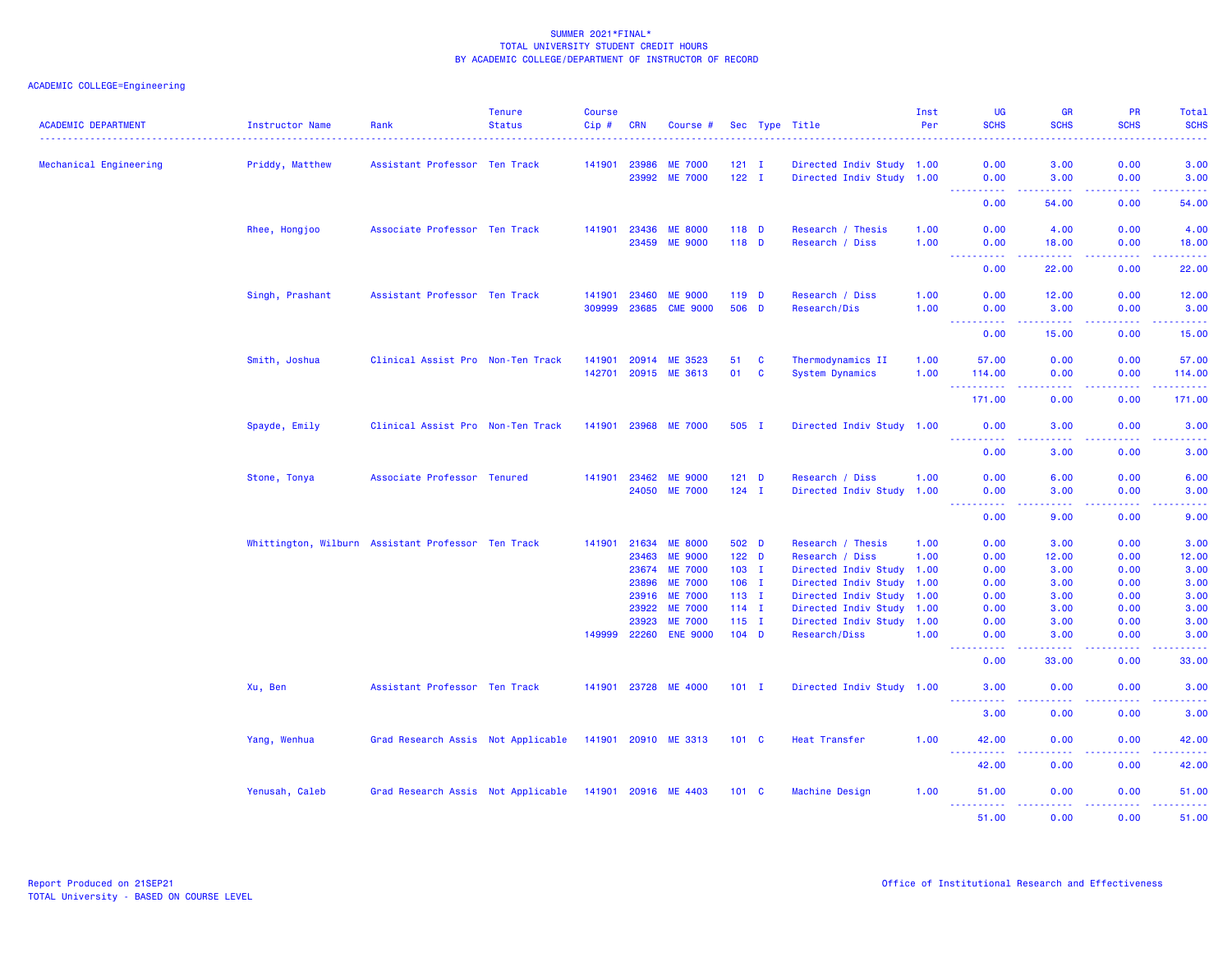# ACADEMIC COLLEGE=Engineering

| <b>ACADEMIC DEPARTMENT</b> | Instructor Name                                    | Rank                               | <b>Tenure</b><br><b>Status</b> | <b>Course</b><br>Cip# | <b>CRN</b>     | Course #                          |                    |          | Sec Type Title                             | Inst<br>Per | <b>UG</b><br><b>SCHS</b>                                                                                                                                                             | <b>GR</b><br><b>SCHS</b> | <b>PR</b><br><b>SCHS</b>                                                                                                                                     | Total<br><b>SCHS</b>                                                                                                                                         |
|----------------------------|----------------------------------------------------|------------------------------------|--------------------------------|-----------------------|----------------|-----------------------------------|--------------------|----------|--------------------------------------------|-------------|--------------------------------------------------------------------------------------------------------------------------------------------------------------------------------------|--------------------------|--------------------------------------------------------------------------------------------------------------------------------------------------------------|--------------------------------------------------------------------------------------------------------------------------------------------------------------|
| Mechanical Engineering     | Priddy, Matthew                                    | Assistant Professor Ten Track      |                                | 141901                | 23986          | <b>ME 7000</b>                    | $121$ I            |          | Directed Indiv Study 1.00                  |             | 0.00                                                                                                                                                                                 | 3.00                     | 0.00                                                                                                                                                         | 3.00                                                                                                                                                         |
|                            |                                                    |                                    |                                |                       | 23992          | <b>ME 7000</b>                    | $122$ I            |          | Directed Indiv Study 1.00                  |             | 0.00                                                                                                                                                                                 | 3.00                     | 0.00                                                                                                                                                         | 3.00                                                                                                                                                         |
|                            |                                                    |                                    |                                |                       |                |                                   |                    |          |                                            |             | <u> - - - - - - - - - -</u><br>0.00                                                                                                                                                  | .<br>54.00               | . <b>.</b><br>0.00                                                                                                                                           | .<br>54.00                                                                                                                                                   |
|                            | Rhee, Hongjoo                                      | Associate Professor Ten Track      |                                | 141901                | 23436          | <b>ME 8000</b>                    | 118 D              |          | Research / Thesis                          | 1.00        | 0.00                                                                                                                                                                                 | 4.00                     | 0.00                                                                                                                                                         | 4.00                                                                                                                                                         |
|                            |                                                    |                                    |                                |                       | 23459          | <b>ME 9000</b>                    | $118$ D            |          | Research / Diss                            | 1.00        | 0.00<br>$\omega$ is a $\omega$<br>.                                                                                                                                                  | 18.00<br>.               | 0.00<br>22222                                                                                                                                                | 18.00<br>.                                                                                                                                                   |
|                            |                                                    |                                    |                                |                       |                |                                   |                    |          |                                            |             | 0.00                                                                                                                                                                                 | 22.00                    | 0.00                                                                                                                                                         | 22.00                                                                                                                                                        |
|                            | Singh, Prashant                                    | Assistant Professor Ten Track      |                                | 141901                | 23460          | <b>ME 9000</b>                    | $119$ D            |          | Research / Diss                            | 1.00        | 0.00                                                                                                                                                                                 | 12.00                    | 0.00                                                                                                                                                         | 12.00                                                                                                                                                        |
|                            |                                                    |                                    |                                | 309999                | 23685          | <b>CME 9000</b>                   | 506 D              |          | Research/Dis                               | 1.00        | 0.00<br>الفاعد عدادة                                                                                                                                                                 | 3.00<br>$- - - - -$      | 0.00<br>22222                                                                                                                                                | 3.00<br>.                                                                                                                                                    |
|                            |                                                    |                                    |                                |                       |                |                                   |                    |          |                                            |             | $\sim$ $\sim$ $\sim$<br>0.00                                                                                                                                                         | 15.00                    | 0.00                                                                                                                                                         | 15.00                                                                                                                                                        |
|                            | Smith, Joshua                                      | Clinical Assist Pro Non-Ten Track  |                                | 141901                | 20914          | ME 3523                           | 51                 | <b>C</b> | Thermodynamics II                          | 1.00        | 57.00                                                                                                                                                                                | 0.00                     | 0.00                                                                                                                                                         | 57.00                                                                                                                                                        |
|                            |                                                    |                                    |                                |                       | 142701 20915   | ME 3613                           | 01                 | <b>C</b> | <b>System Dynamics</b>                     | 1.00        | 114.00                                                                                                                                                                               | 0.00                     | 0.00                                                                                                                                                         | 114.00                                                                                                                                                       |
|                            |                                                    |                                    |                                |                       |                |                                   |                    |          |                                            |             | <u>.</u><br>171.00                                                                                                                                                                   | .<br>0.00                | <u>.</u><br>0.00                                                                                                                                             | 2.2.2.2.2<br>171.00                                                                                                                                          |
|                            | Spayde, Emily                                      | Clinical Assist Pro Non-Ten Track  |                                |                       |                | 141901 23968 ME 7000              | 505 I              |          | Directed Indiv Study 1.00                  |             | 0.00                                                                                                                                                                                 | 3.00                     | 0.00                                                                                                                                                         | 3.00                                                                                                                                                         |
|                            |                                                    |                                    |                                |                       |                |                                   |                    |          |                                            |             | <u> - - - - - - - - - -</u><br>0.00                                                                                                                                                  | .<br>3.00                | 22222<br>0.00                                                                                                                                                | .<br>3.00                                                                                                                                                    |
|                            | Stone, Tonya                                       | Associate Professor Tenured        |                                | 141901                | 23462          | <b>ME 9000</b>                    | $121$ D            |          | Research / Diss                            | 1.00        | 0.00                                                                                                                                                                                 | 6.00                     | 0.00                                                                                                                                                         | 6.00                                                                                                                                                         |
|                            |                                                    |                                    |                                |                       | 24050          | <b>ME 7000</b>                    | $124$ I            |          | Directed Indiv Study 1.00                  |             | 0.00                                                                                                                                                                                 | 3.00                     | 0.00                                                                                                                                                         | 3.00                                                                                                                                                         |
|                            |                                                    |                                    |                                |                       |                |                                   |                    |          |                                            |             | $\frac{1}{2} \left( \frac{1}{2} \right) \left( \frac{1}{2} \right) \left( \frac{1}{2} \right) \left( \frac{1}{2} \right) \left( \frac{1}{2} \right)$<br>$\sim$ $\sim$ $\sim$<br>0.00 | 22222<br>9.00            | 22222<br>0.00                                                                                                                                                | $\frac{1}{2} \left( \frac{1}{2} \right) \left( \frac{1}{2} \right) \left( \frac{1}{2} \right) \left( \frac{1}{2} \right) \left( \frac{1}{2} \right)$<br>9.00 |
|                            | Whittington, Wilburn Assistant Professor Ten Track |                                    |                                |                       | 141901 21634   | <b>ME 8000</b>                    | 502 D              |          | Research / Thesis                          | 1.00        | 0.00                                                                                                                                                                                 | 3.00                     | 0.00                                                                                                                                                         | 3.00                                                                                                                                                         |
|                            |                                                    |                                    |                                |                       | 23463          | <b>ME 9000</b>                    | $122$ D            |          | Research / Diss                            | 1.00        | 0.00                                                                                                                                                                                 | 12.00                    | 0.00                                                                                                                                                         | 12.00                                                                                                                                                        |
|                            |                                                    |                                    |                                |                       | 23674          | <b>ME 7000</b>                    | $103$ I            |          | Directed Indiv Study 1.00                  |             | 0.00                                                                                                                                                                                 | 3.00                     | 0.00                                                                                                                                                         | 3.00                                                                                                                                                         |
|                            |                                                    |                                    |                                |                       | 23896          | <b>ME 7000</b>                    | $106$ I            |          | Directed Indiv Study 1.00                  |             | 0.00                                                                                                                                                                                 | 3.00                     | 0.00                                                                                                                                                         | 3.00                                                                                                                                                         |
|                            |                                                    |                                    |                                |                       | 23916          | <b>ME 7000</b>                    | $113$ I            |          | Directed Indiv Study 1.00                  |             | 0.00                                                                                                                                                                                 | 3.00                     | 0.00                                                                                                                                                         | 3.00                                                                                                                                                         |
|                            |                                                    |                                    |                                |                       | 23922          | <b>ME 7000</b>                    | $114$ I            |          | Directed Indiv Study                       | 1.00        | 0.00                                                                                                                                                                                 | 3.00<br>3.00             | 0.00                                                                                                                                                         | 3.00                                                                                                                                                         |
|                            |                                                    |                                    |                                | 149999                | 23923<br>22260 | <b>ME 7000</b><br><b>ENE 9000</b> | $115$ I<br>$104$ D |          | Directed Indiv Study 1.00<br>Research/Diss | 1.00        | 0.00<br>0.00                                                                                                                                                                         | 3.00                     | 0.00<br>0.00                                                                                                                                                 | 3.00<br>3.00                                                                                                                                                 |
|                            |                                                    |                                    |                                |                       |                |                                   |                    |          |                                            |             | <b><i><u></u></i></b><br>0.00                                                                                                                                                        | .<br>33.00               | $\frac{1}{2} \left( \frac{1}{2} \right) \left( \frac{1}{2} \right) \left( \frac{1}{2} \right) \left( \frac{1}{2} \right) \left( \frac{1}{2} \right)$<br>0.00 | .<br>33.00                                                                                                                                                   |
|                            | Xu, Ben                                            | Assistant Professor Ten Track      |                                |                       |                | 141901 23728 ME 4000              | $101$ I            |          | Directed Indiv Study 1.00                  |             | 3.00                                                                                                                                                                                 | 0.00                     | 0.00                                                                                                                                                         | 3.00                                                                                                                                                         |
|                            |                                                    |                                    |                                |                       |                |                                   |                    |          |                                            |             | <b>.</b><br>3.00                                                                                                                                                                     | .<br>0.00                | 2.2.2.2.2<br>0.00                                                                                                                                            | .<br>3.00                                                                                                                                                    |
|                            | Yang, Wenhua                                       | Grad Research Assis Not Applicable |                                | 141901 20910          |                | ME 3313                           | $101 \quad C$      |          | Heat Transfer                              | 1.00        | 42.00                                                                                                                                                                                | 0.00                     | 0.00                                                                                                                                                         | 42.00                                                                                                                                                        |
|                            |                                                    |                                    |                                |                       |                |                                   |                    |          |                                            |             | $\omega_{\rm{max}}$<br>42.00                                                                                                                                                         | 0.00                     | 0.00                                                                                                                                                         | 42.00                                                                                                                                                        |
|                            | Yenusah, Caleb                                     | Grad Research Assis Not Applicable |                                |                       |                | 141901 20916 ME 4403              | $101 \quad C$      |          | Machine Design                             | 1.00        | 51.00                                                                                                                                                                                | 0.00                     | 0.00                                                                                                                                                         | 51.00                                                                                                                                                        |
|                            |                                                    |                                    |                                |                       |                |                                   |                    |          |                                            |             | <u>.</u><br>51.00                                                                                                                                                                    | .<br>0.00                | 22222<br>0.00                                                                                                                                                | .<br>51.00                                                                                                                                                   |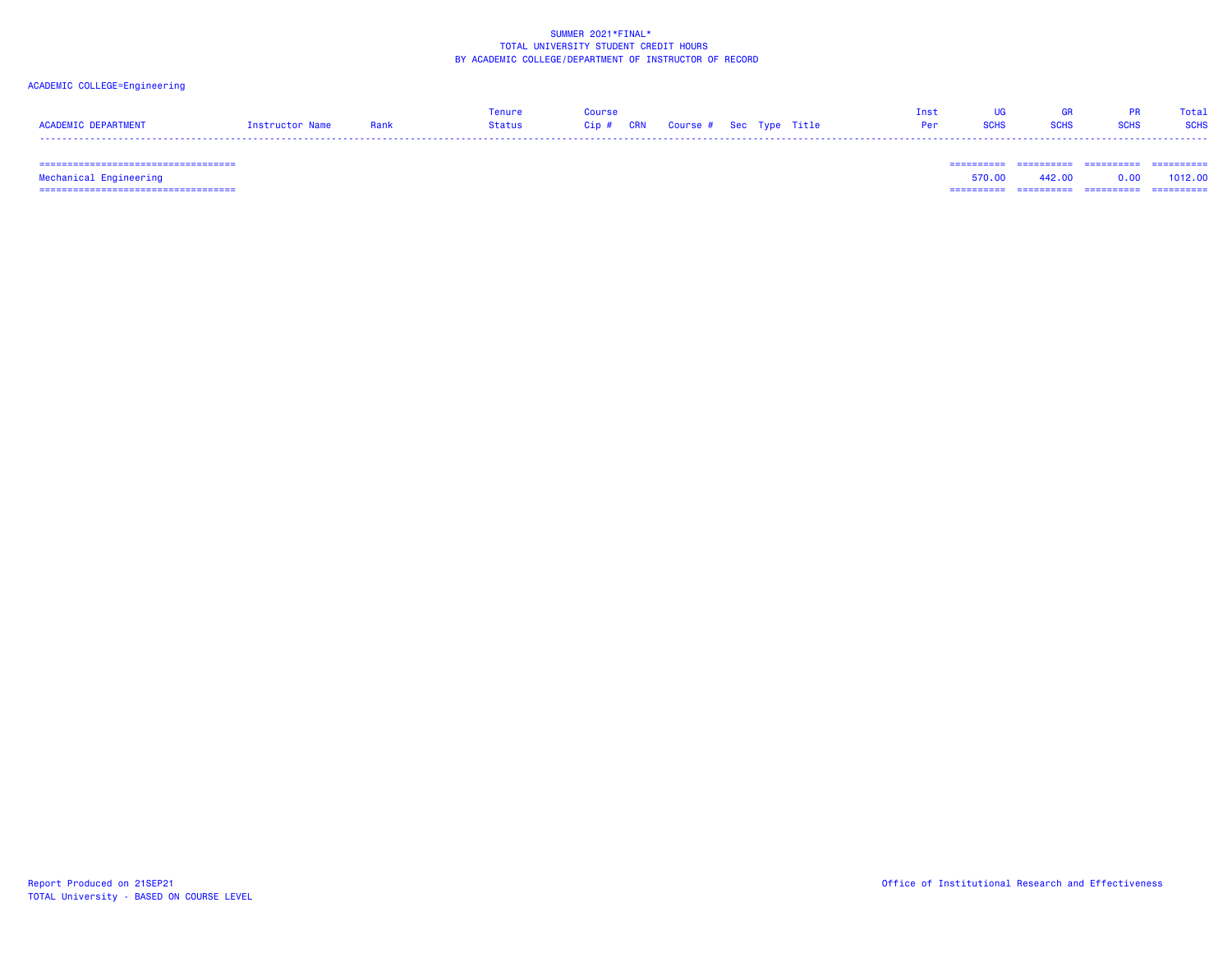# ACADEMIC COLLEGE=Engineering

|                     |                        |      | enure  | <b>Course</b>                     |  | Tnst |  | Total       |
|---------------------|------------------------|------|--------|-----------------------------------|--|------|--|-------------|
| ACADEMIC DEPARTMENT | <b>Instructor Name</b> | Rank | Status | Cip # CRN Course # Sec Type Title |  | Per  |  | <b>SCHS</b> |
|                     |                        |      |        |                                   |  |      |  |             |

=================================== ========== ========== ========== ==========

 =================================== ========== ========== ========== ========== Mechanical Engineering 570.00 442.00 0.00 1012.00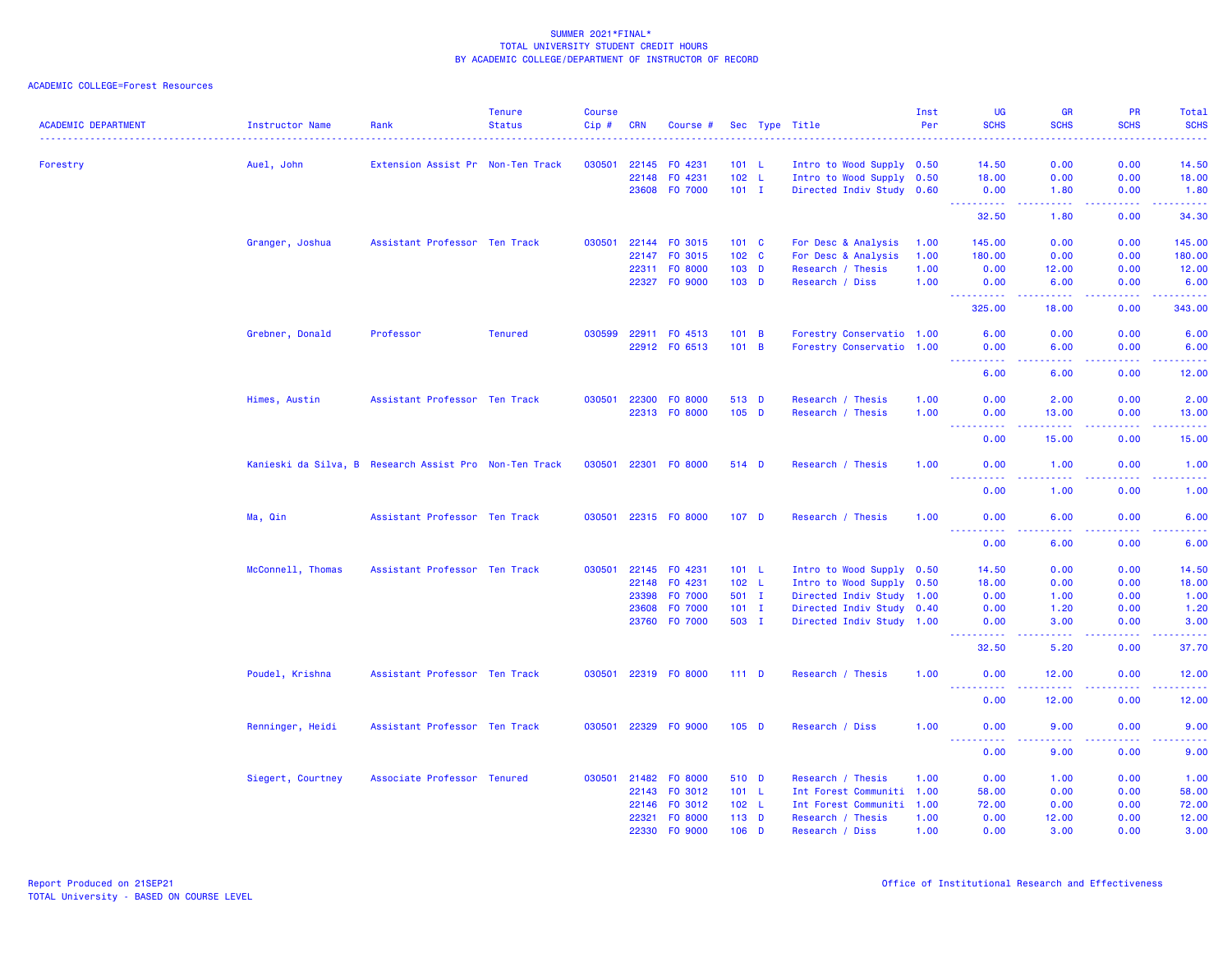| <b>ACADEMIC DEPARTMENT</b> | <b>Instructor Name</b>                                 | Rank                              | <b>Tenure</b><br><b>Status</b> | <b>Course</b><br>Cip# | <b>CRN</b> | Course #             |                  | Sec Type Title            | Inst<br>Per | UG<br><b>SCHS</b>              | <b>GR</b><br><b>SCHS</b>                                                                                                                                      | <b>PR</b><br><b>SCHS</b> | Total<br><b>SCHS</b>                                                                                                           |
|----------------------------|--------------------------------------------------------|-----------------------------------|--------------------------------|-----------------------|------------|----------------------|------------------|---------------------------|-------------|--------------------------------|---------------------------------------------------------------------------------------------------------------------------------------------------------------|--------------------------|--------------------------------------------------------------------------------------------------------------------------------|
| Forestry                   | Auel, John                                             | Extension Assist Pr Non-Ten Track |                                | 030501                |            | 22145 FO 4231        | 101 L            | Intro to Wood Supply 0.50 |             | 14.50                          | 0.00                                                                                                                                                          | 0.00                     | 14.50                                                                                                                          |
|                            |                                                        |                                   |                                |                       |            | 22148 FO 4231        | 102 L            | Intro to Wood Supply 0.50 |             | 18.00                          | 0.00                                                                                                                                                          | 0.00                     | 18.00                                                                                                                          |
|                            |                                                        |                                   |                                |                       |            | 23608 F0 7000        | $101$ I          | Directed Indiv Study 0.60 |             | 0.00                           | 1.80                                                                                                                                                          | 0.00                     | 1.80                                                                                                                           |
|                            |                                                        |                                   |                                |                       |            |                      |                  |                           |             | 222222<br>32.50                | 22222<br>1.80                                                                                                                                                 | 2.2.2.2.2<br>0.00        | $\begin{array}{cccccccccc} \bullet & \bullet & \bullet & \bullet & \bullet & \bullet & \bullet & \bullet \end{array}$<br>34.30 |
|                            | Granger, Joshua                                        | Assistant Professor Ten Track     |                                | 030501                |            | 22144 FO 3015        | $101 \quad C$    | For Desc & Analysis       | 1.00        | 145.00                         | 0.00                                                                                                                                                          | 0.00                     | 145.00                                                                                                                         |
|                            |                                                        |                                   |                                |                       |            | 22147 FO 3015        | $102 \quad C$    | For Desc & Analysis       | 1.00        | 180.00                         | 0.00                                                                                                                                                          | 0.00                     | 180.00                                                                                                                         |
|                            |                                                        |                                   |                                |                       |            | 22311 FO 8000        | $103$ D          | Research / Thesis         | 1.00        | 0.00                           | 12.00                                                                                                                                                         | 0.00                     | 12.00                                                                                                                          |
|                            |                                                        |                                   |                                |                       |            | 22327 F0 9000        | 103 D            | Research / Diss           | 1.00        | 0.00<br><u>.</u>               | 6.00<br>$- - - - -$                                                                                                                                           | 0.00<br>22222            | 6.00<br><u>.</u>                                                                                                               |
|                            |                                                        |                                   |                                |                       |            |                      |                  |                           |             | 325.00                         | 18.00                                                                                                                                                         | 0.00                     | 343.00                                                                                                                         |
|                            | Grebner, Donald                                        | Professor                         | <b>Tenured</b>                 | 030599                |            | 22911 FO 4513        | 101 B            | Forestry Conservatio 1.00 |             | 6.00                           | 0.00                                                                                                                                                          | 0.00                     | 6.00                                                                                                                           |
|                            |                                                        |                                   |                                |                       |            | 22912 FO 6513        | 101 B            | Forestry Conservatio 1.00 |             | 0.00<br><b>.</b>               | 6.00<br>.                                                                                                                                                     | 0.00<br>22222            | 6.00<br>.                                                                                                                      |
|                            |                                                        |                                   |                                |                       |            |                      |                  |                           |             | 6.00                           | 6.00                                                                                                                                                          | 0.00                     | 12.00                                                                                                                          |
|                            | Himes, Austin                                          | Assistant Professor Ten Track     |                                | 030501                | 22300      | FO 8000              | 513 D            | Research / Thesis         | 1.00        | 0.00                           | 2.00                                                                                                                                                          | 0.00                     | 2.00                                                                                                                           |
|                            |                                                        |                                   |                                |                       |            | 22313 FO 8000        | $105$ D          | Research / Thesis         | 1.00        | 0.00<br>444<br>.               | 13.00<br>$\frac{1}{2} \left( \frac{1}{2} \right) \left( \frac{1}{2} \right) \left( \frac{1}{2} \right) \left( \frac{1}{2} \right) \left( \frac{1}{2} \right)$ | 0.00<br>22222            | 13.00<br>.                                                                                                                     |
|                            |                                                        |                                   |                                |                       |            |                      |                  |                           |             | 0.00                           | 15.00                                                                                                                                                         | 0.00                     | 15.00                                                                                                                          |
|                            | Kanieski da Silva, B Research Assist Pro Non-Ten Track |                                   |                                |                       |            | 030501 22301 F0 8000 | 514 D            | Research / Thesis         | 1.00        | 0.00<br>$\omega$ is a set<br>. | 1.00                                                                                                                                                          | 0.00<br>.                | 1.00<br>.                                                                                                                      |
|                            |                                                        |                                   |                                |                       |            |                      |                  |                           |             | 0.00                           | 1.00                                                                                                                                                          | 0.00                     | 1.00                                                                                                                           |
|                            | Ma, Qin                                                | Assistant Professor Ten Track     |                                |                       |            | 030501 22315 FO 8000 | 107 <sub>D</sub> | Research / Thesis         | 1.00        | 0.00<br><b>.</b> .             | 6.00<br>.                                                                                                                                                     | 0.00<br>.                | 6.00<br>.                                                                                                                      |
|                            |                                                        |                                   |                                |                       |            |                      |                  |                           |             | 0.00                           | 6.00                                                                                                                                                          | 0.00                     | 6.00                                                                                                                           |
|                            | McConnell, Thomas                                      | Assistant Professor Ten Track     |                                |                       |            | 030501 22145 F0 4231 | 101 L            | Intro to Wood Supply 0.50 |             | 14.50                          | 0.00                                                                                                                                                          | 0.00                     | 14.50                                                                                                                          |
|                            |                                                        |                                   |                                |                       | 22148      | FO 4231              | 102 L            | Intro to Wood Supply 0.50 |             | 18.00                          | 0.00                                                                                                                                                          | 0.00                     | 18.00                                                                                                                          |
|                            |                                                        |                                   |                                |                       | 23398      | F0 7000              | $501$ I          | Directed Indiv Study 1.00 |             | 0.00                           | 1.00                                                                                                                                                          | 0.00                     | 1.00                                                                                                                           |
|                            |                                                        |                                   |                                |                       | 23608      | F0 7000              | $101$ I          | Directed Indiv Study 0.40 |             | 0.00                           | 1.20                                                                                                                                                          | 0.00                     | 1.20                                                                                                                           |
|                            |                                                        |                                   |                                |                       | 23760      | F0 7000              | 503 I            | Directed Indiv Study 1.00 |             | 0.00                           | 3.00<br>والمالمات                                                                                                                                             | 0.00<br>.                | 3.00<br>المتمامين                                                                                                              |
|                            |                                                        |                                   |                                |                       |            |                      |                  |                           |             | 32.50                          | 5.20                                                                                                                                                          | 0.00                     | 37.70                                                                                                                          |
|                            | Poudel, Krishna                                        | Assistant Professor Ten Track     |                                |                       |            | 030501 22319 F0 8000 | 111 <sub>D</sub> | Research / Thesis         | 1.00        | 0.00<br><u>.</u>               | 12.00                                                                                                                                                         | 0.00                     | 12.00<br>.                                                                                                                     |
|                            |                                                        |                                   |                                |                       |            |                      |                  |                           |             | 0.00                           | 12.00                                                                                                                                                         | 0.00                     | 12.00                                                                                                                          |
|                            | Renninger, Heidi                                       | Assistant Professor Ten Track     |                                |                       |            | 030501 22329 F0 9000 | $105$ D          | Research / Diss           | 1.00        | 0.00<br>.                      | 9.00<br>.                                                                                                                                                     | 0.00<br>22222            | 9.00<br>.                                                                                                                      |
|                            |                                                        |                                   |                                |                       |            |                      |                  |                           |             | 0.00                           | 9.00                                                                                                                                                          | 0.00                     | 9.00                                                                                                                           |
|                            | Siegert, Courtney                                      | Associate Professor Tenured       |                                | 030501                |            | 21482 FO 8000        | 510 D            | Research / Thesis         | 1.00        | 0.00                           | 1.00                                                                                                                                                          | 0.00                     | 1.00                                                                                                                           |
|                            |                                                        |                                   |                                |                       | 22143      | FO 3012              | 101 L            | Int Forest Communiti 1.00 |             | 58.00                          | 0.00                                                                                                                                                          | 0.00                     | 58.00                                                                                                                          |
|                            |                                                        |                                   |                                |                       | 22146      | F0 3012              | 102 L            | Int Forest Communiti 1.00 |             | 72.00                          | 0.00                                                                                                                                                          | 0.00                     | 72.00                                                                                                                          |
|                            |                                                        |                                   |                                |                       | 22321      | FO 8000              | $113$ D          | Research / Thesis         | 1.00        | 0.00                           | 12.00                                                                                                                                                         | 0.00                     | 12.00                                                                                                                          |
|                            |                                                        |                                   |                                |                       |            | 22330 F0 9000        | $106$ D          | Research / Diss           | 1.00        | 0.00                           | 3.00                                                                                                                                                          | 0.00                     | 3.00                                                                                                                           |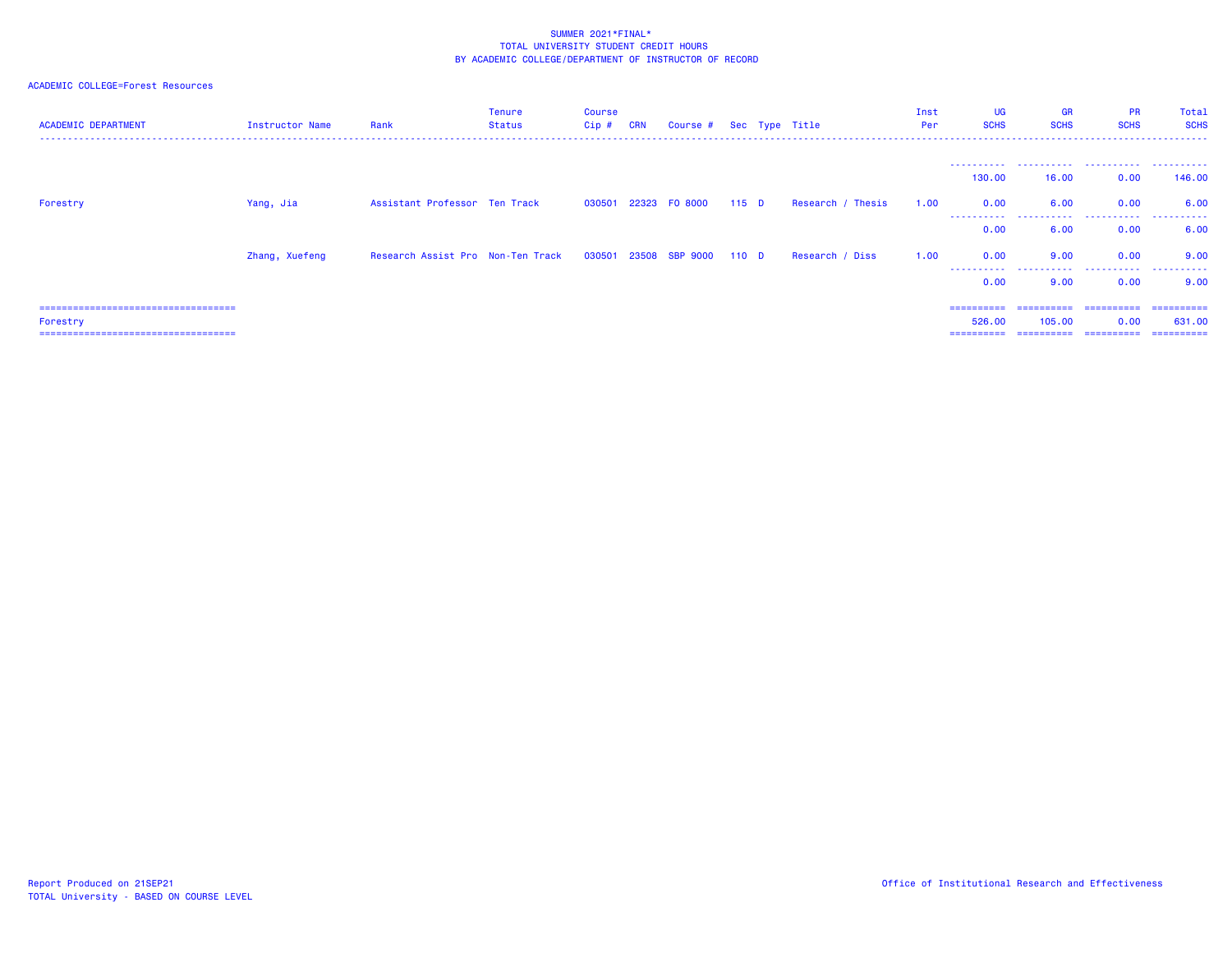| <b>ACADEMIC DEPARTMENT</b>             | Instructor Name | Rank                                                          | <b>Tenure</b><br>Status | <b>Course</b><br>$Cip$ # | <b>CRN</b> | Course # Sec Type Title |         |                   | Inst<br>Per | <b>UG</b><br><b>SCHS</b> | <b>GR</b><br><b>SCHS</b>    | <b>PR</b><br><b>SCHS</b> | Total<br><b>SCHS</b> |
|----------------------------------------|-----------------|---------------------------------------------------------------|-------------------------|--------------------------|------------|-------------------------|---------|-------------------|-------------|--------------------------|-----------------------------|--------------------------|----------------------|
|                                        |                 |                                                               |                         |                          |            |                         |         |                   |             | -----------              | ___________________________ |                          | .                    |
| Forestry                               | Yang, Jia       | Assistant Professor Ten Track                                 |                         |                          |            | 030501 22323 F0 8000    | $115$ D | Research / Thesis | 1.00        | 130.00<br>0.00           | 16.00<br>6.00               | 0.00<br>0.00             | 146.00<br>6.00       |
|                                        |                 |                                                               |                         |                          |            |                         |         |                   |             | ----------<br>0.00       | ------<br>6.00              | .<br>0.00                | .<br>6.00            |
|                                        | Zhang, Xuefeng  | Research Assist Pro Non-Ten Track 030501 23508 SBP 9000 110 D |                         |                          |            |                         |         | Research / Diss   | 1.00        | 0.00                     | 9.00                        | 0.00                     | 9.00                 |
|                                        |                 |                                                               |                         |                          |            |                         |         |                   |             | -----------<br>0.00      | 9.00                        | 0.00                     | 9.00                 |
| ====================================   |                 |                                                               |                         |                          |            |                         |         |                   |             | ==========               | ==========                  | -----------              | ==========           |
| Forestry                               |                 |                                                               |                         |                          |            |                         |         |                   |             | 526,00                   | 105,00                      | 0.00                     | 631,00               |
| ====================================== |                 |                                                               |                         |                          |            |                         |         |                   |             | ==========               | ==========                  | -----------              | -----------          |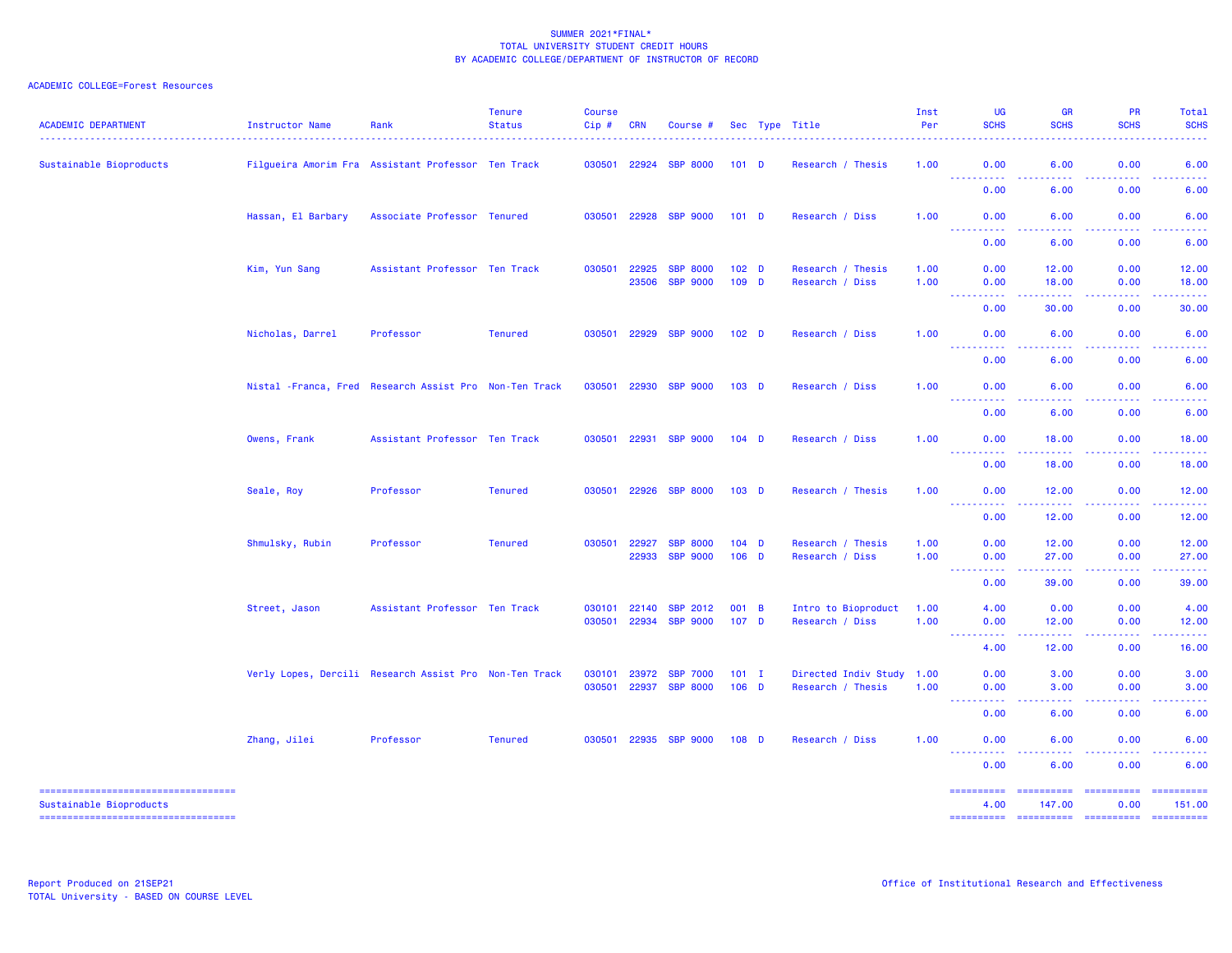| <b>ACADEMIC DEPARTMENT</b>                                                                              | Instructor Name                                         | Rank                          | <b>Tenure</b><br><b>Status</b> | <b>Course</b><br>Cip# | <b>CRN</b> | Course #              |                  | Sec Type Title            | Inst<br>Per | UG<br><b>SCHS</b>                                                                                                                                                         | <b>GR</b><br><b>SCHS</b>                                                                                                                                      | <b>PR</b><br><b>SCHS</b>                                                                                                                                     | Total<br><b>SCHS</b>                                                                                                                                                                                                                                                                                                                                                                                                                                                                             |
|---------------------------------------------------------------------------------------------------------|---------------------------------------------------------|-------------------------------|--------------------------------|-----------------------|------------|-----------------------|------------------|---------------------------|-------------|---------------------------------------------------------------------------------------------------------------------------------------------------------------------------|---------------------------------------------------------------------------------------------------------------------------------------------------------------|--------------------------------------------------------------------------------------------------------------------------------------------------------------|--------------------------------------------------------------------------------------------------------------------------------------------------------------------------------------------------------------------------------------------------------------------------------------------------------------------------------------------------------------------------------------------------------------------------------------------------------------------------------------------------|
| Sustainable Bioproducts                                                                                 | Filgueira Amorim Fra Assistant Professor Ten Track      |                               |                                |                       |            | 030501 22924 SBP 8000 | $101$ D          | Research / Thesis         | 1.00        | 0.00<br><u> - - - - - - - - - -</u>                                                                                                                                       | 6.00<br>ولالات                                                                                                                                                | 0.00<br>$\frac{1}{2} \left( \frac{1}{2} \right) \left( \frac{1}{2} \right) \left( \frac{1}{2} \right) \left( \frac{1}{2} \right) \left( \frac{1}{2} \right)$ | 6.00<br>الداعات عاد                                                                                                                                                                                                                                                                                                                                                                                                                                                                              |
|                                                                                                         |                                                         |                               |                                |                       |            |                       |                  |                           |             | 0.00                                                                                                                                                                      | 6.00                                                                                                                                                          | 0.00                                                                                                                                                         | 6.00                                                                                                                                                                                                                                                                                                                                                                                                                                                                                             |
|                                                                                                         | Hassan, El Barbary                                      | Associate Professor Tenured   |                                | 030501                | 22928      | <b>SBP 9000</b>       | 101 <sub>D</sub> | Research / Diss           | 1.00        | 0.00                                                                                                                                                                      | 6.00                                                                                                                                                          | 0.00                                                                                                                                                         | 6.00                                                                                                                                                                                                                                                                                                                                                                                                                                                                                             |
|                                                                                                         |                                                         |                               |                                |                       |            |                       |                  |                           |             | 0.00                                                                                                                                                                      | 6.00                                                                                                                                                          | 0.00                                                                                                                                                         | 6.00                                                                                                                                                                                                                                                                                                                                                                                                                                                                                             |
|                                                                                                         | Kim, Yun Sang                                           | Assistant Professor Ten Track |                                | 030501                | 22925      | <b>SBP 8000</b>       | $102$ D          | Research / Thesis         | 1.00        | 0.00                                                                                                                                                                      | 12.00                                                                                                                                                         | 0.00                                                                                                                                                         | 12.00                                                                                                                                                                                                                                                                                                                                                                                                                                                                                            |
|                                                                                                         |                                                         |                               |                                |                       | 23506      | <b>SBP 9000</b>       | 109 D            | Research / Diss           | 1.00        | 0.00<br>$\sim$ $\sim$ $\sim$<br>د د د د                                                                                                                                   | 18.00<br>$\frac{1}{2} \left( \frac{1}{2} \right) \left( \frac{1}{2} \right) \left( \frac{1}{2} \right) \left( \frac{1}{2} \right)$                            | 0.00<br>.                                                                                                                                                    | 18.00<br>المتمامين                                                                                                                                                                                                                                                                                                                                                                                                                                                                               |
|                                                                                                         |                                                         |                               |                                |                       |            |                       |                  |                           |             | 0.00                                                                                                                                                                      | 30.00                                                                                                                                                         | 0.00                                                                                                                                                         | 30.00                                                                                                                                                                                                                                                                                                                                                                                                                                                                                            |
|                                                                                                         | Nicholas, Darrel                                        | Professor                     | <b>Tenured</b>                 | 030501                | 22929      | <b>SBP 9000</b>       | 102 <sub>D</sub> | Research / Diss           | 1.00        | 0.00<br>$- - - - -$                                                                                                                                                       | 6.00                                                                                                                                                          | 0.00                                                                                                                                                         | 6.00                                                                                                                                                                                                                                                                                                                                                                                                                                                                                             |
|                                                                                                         |                                                         |                               |                                |                       |            |                       |                  |                           |             | 0.00                                                                                                                                                                      | 6.00                                                                                                                                                          | 0.00                                                                                                                                                         | 6.00                                                                                                                                                                                                                                                                                                                                                                                                                                                                                             |
|                                                                                                         | Nistal - Franca, Fred Research Assist Pro Non-Ten Track |                               |                                | 030501                | 22930      | <b>SBP 9000</b>       | 103 D            | Research / Diss           | 1.00        | 0.00                                                                                                                                                                      | 6.00                                                                                                                                                          | 0.00                                                                                                                                                         | 6.00                                                                                                                                                                                                                                                                                                                                                                                                                                                                                             |
|                                                                                                         |                                                         |                               |                                |                       |            |                       |                  |                           |             | $\sim$ $\sim$ .<br>0.00                                                                                                                                                   | 6.00                                                                                                                                                          | 0.00                                                                                                                                                         | 6.00                                                                                                                                                                                                                                                                                                                                                                                                                                                                                             |
|                                                                                                         | Owens, Frank                                            | Assistant Professor Ten Track |                                | 030501                | 22931      | <b>SBP 9000</b>       | $104$ D          | Research / Diss           | 1.00        | 0.00                                                                                                                                                                      | 18.00                                                                                                                                                         | 0.00                                                                                                                                                         | 18.00                                                                                                                                                                                                                                                                                                                                                                                                                                                                                            |
|                                                                                                         |                                                         |                               |                                |                       |            |                       |                  |                           |             | .<br>$\frac{1}{2} \left( \frac{1}{2} \right) \frac{1}{2} \left( \frac{1}{2} \right)$<br>0.00                                                                              | -----<br>18.00                                                                                                                                                | .<br>0.00                                                                                                                                                    | .<br>18.00                                                                                                                                                                                                                                                                                                                                                                                                                                                                                       |
|                                                                                                         | Seale, Roy                                              | Professor                     | <b>Tenured</b>                 | 030501                | 22926      | <b>SBP 8000</b>       | $103$ D          | Research / Thesis         | 1.00        | 0.00                                                                                                                                                                      | 12.00                                                                                                                                                         | 0.00                                                                                                                                                         | 12.00                                                                                                                                                                                                                                                                                                                                                                                                                                                                                            |
|                                                                                                         |                                                         |                               |                                |                       |            |                       |                  |                           |             | والمراجات<br>.<br>0.00                                                                                                                                                    | 12.00                                                                                                                                                         | 0.00                                                                                                                                                         | 12.00                                                                                                                                                                                                                                                                                                                                                                                                                                                                                            |
|                                                                                                         | Shmulsky, Rubin                                         | Professor                     | <b>Tenured</b>                 | 030501                | 22927      | <b>SBP 8000</b>       | $104$ D          | Research / Thesis         | 1.00        | 0.00                                                                                                                                                                      | 12.00                                                                                                                                                         | 0.00                                                                                                                                                         | 12.00                                                                                                                                                                                                                                                                                                                                                                                                                                                                                            |
|                                                                                                         |                                                         |                               |                                |                       | 22933      | <b>SBP 9000</b>       | $106$ D          | Research / Diss           | 1.00        | 0.00<br>$\frac{1}{2} \left( \frac{1}{2} \right) \left( \frac{1}{2} \right) \left( \frac{1}{2} \right) \left( \frac{1}{2} \right) \left( \frac{1}{2} \right)$<br>2.2.2.2.1 | 27.00<br>.                                                                                                                                                    | 0.00<br>2.2.2.2.2                                                                                                                                            | 27.00<br>.                                                                                                                                                                                                                                                                                                                                                                                                                                                                                       |
|                                                                                                         |                                                         |                               |                                |                       |            |                       |                  |                           |             | 0.00                                                                                                                                                                      | 39.00                                                                                                                                                         | 0.00                                                                                                                                                         | 39.00                                                                                                                                                                                                                                                                                                                                                                                                                                                                                            |
|                                                                                                         | Street, Jason                                           | Assistant Professor Ten Track |                                | 030101                | 22140      | <b>SBP 2012</b>       | 001 B            | Intro to Bioproduct       | 1.00        | 4.00                                                                                                                                                                      | 0.00                                                                                                                                                          | 0.00                                                                                                                                                         | 4.00                                                                                                                                                                                                                                                                                                                                                                                                                                                                                             |
|                                                                                                         |                                                         |                               |                                | 030501                | 22934      | <b>SBP 9000</b>       | 107 <sub>D</sub> | Research / Diss           | 1.00        | 0.00<br><b>.</b> .                                                                                                                                                        | 12.00<br>$\frac{1}{2} \left( \frac{1}{2} \right) \left( \frac{1}{2} \right) \left( \frac{1}{2} \right) \left( \frac{1}{2} \right) \left( \frac{1}{2} \right)$ | 0.00<br>22222                                                                                                                                                | 12.00<br>.                                                                                                                                                                                                                                                                                                                                                                                                                                                                                       |
|                                                                                                         |                                                         |                               |                                |                       |            |                       |                  |                           |             | 4.00                                                                                                                                                                      | 12.00                                                                                                                                                         | 0.00                                                                                                                                                         | 16.00                                                                                                                                                                                                                                                                                                                                                                                                                                                                                            |
|                                                                                                         | Verly Lopes, Dercili Research Assist Pro Non-Ten Track  |                               |                                | 030101                | 23972      | <b>SBP 7000</b>       | $101$ I          | Directed Indiv Study 1.00 |             | 0.00                                                                                                                                                                      | 3.00                                                                                                                                                          | 0.00                                                                                                                                                         | 3.00                                                                                                                                                                                                                                                                                                                                                                                                                                                                                             |
|                                                                                                         |                                                         |                               |                                | 030501                | 22937      | <b>SBP 8000</b>       | $106$ D          | Research / Thesis         | 1.00        | 0.00<br><b><i><u><u> - - - - - - - - - -</u></u></i></b>                                                                                                                  | 3.00<br>.                                                                                                                                                     | 0.00<br>.                                                                                                                                                    | 3.00<br>-----                                                                                                                                                                                                                                                                                                                                                                                                                                                                                    |
|                                                                                                         |                                                         |                               |                                |                       |            |                       |                  |                           |             | 0.00                                                                                                                                                                      | 6.00                                                                                                                                                          | 0.00                                                                                                                                                         | 6.00                                                                                                                                                                                                                                                                                                                                                                                                                                                                                             |
|                                                                                                         | Zhang, Jilei                                            | Professor                     | <b>Tenured</b>                 |                       |            | 030501 22935 SBP 9000 | $108$ D          | Research / Diss           | 1.00        | 0.00<br>$- - -$<br>.                                                                                                                                                      | 6.00<br>$\sim$ $\sim$ $\sim$ $\sim$                                                                                                                           | 0.00<br>.                                                                                                                                                    | 6.00<br>المالم عامان                                                                                                                                                                                                                                                                                                                                                                                                                                                                             |
|                                                                                                         |                                                         |                               |                                |                       |            |                       |                  |                           |             | 0.00                                                                                                                                                                      | 6.00                                                                                                                                                          | 0.00                                                                                                                                                         | 6.00                                                                                                                                                                                                                                                                                                                                                                                                                                                                                             |
| =====================================<br>Sustainable Bioproducts<br>----------------------------------- |                                                         |                               |                                |                       |            |                       |                  |                           |             | ==========<br>4.00                                                                                                                                                        | ==========<br>147,00                                                                                                                                          | <b>BEREEREER</b><br>0.00                                                                                                                                     | $\begin{array}{cccccccccc} \multicolumn{2}{c}{} & \multicolumn{2}{c}{} & \multicolumn{2}{c}{} & \multicolumn{2}{c}{} & \multicolumn{2}{c}{} & \multicolumn{2}{c}{} & \multicolumn{2}{c}{} & \multicolumn{2}{c}{} & \multicolumn{2}{c}{} & \multicolumn{2}{c}{} & \multicolumn{2}{c}{} & \multicolumn{2}{c}{} & \multicolumn{2}{c}{} & \multicolumn{2}{c}{} & \multicolumn{2}{c}{} & \multicolumn{2}{c}{} & \multicolumn{2}{c}{} & \multicolumn{2}{c}{} & \multicolumn{2}{c}{} & \mult$<br>151.00 |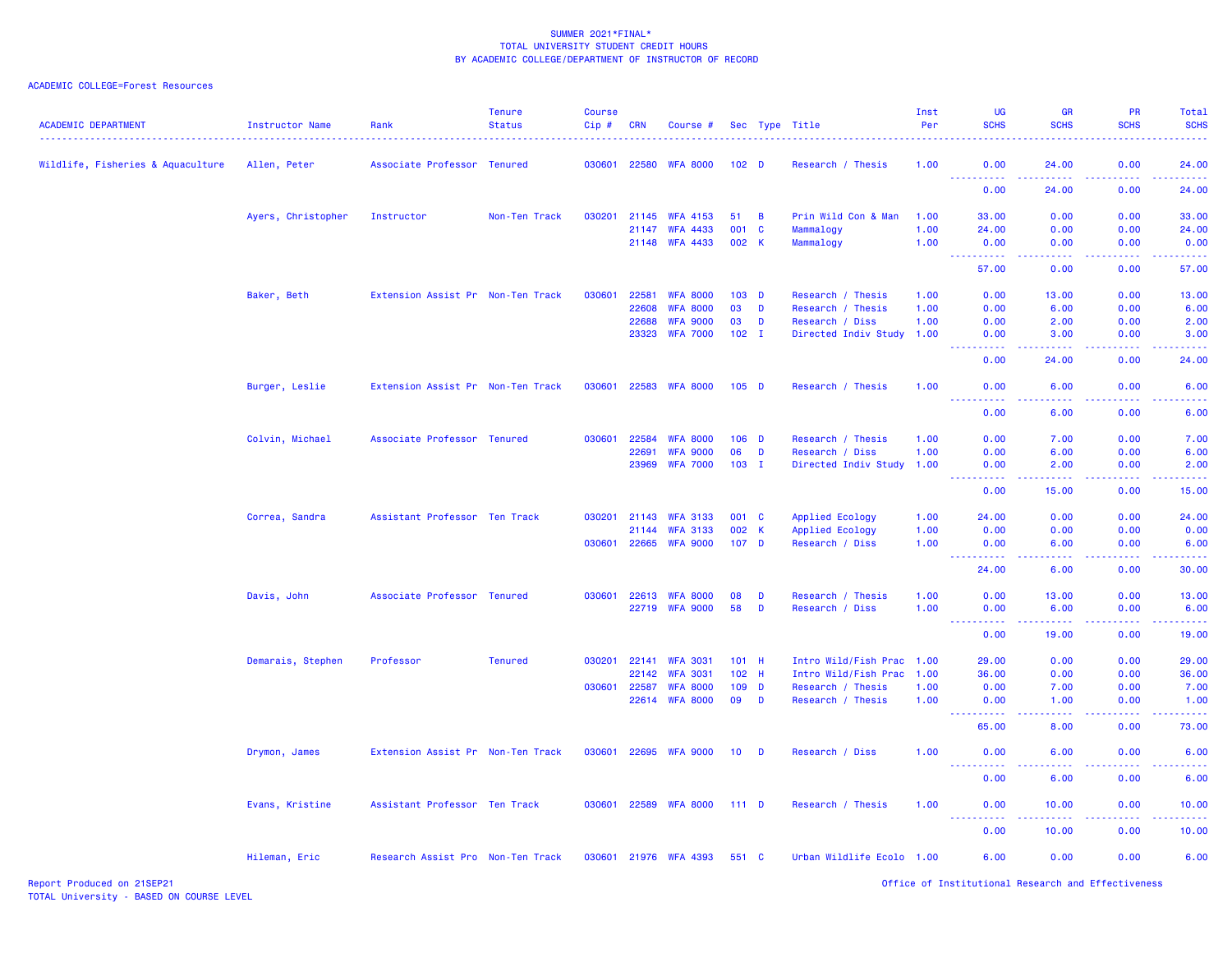| <b>ACADEMIC DEPARTMENT</b>        | <b>Instructor Name</b> | Rank                              | <b>Tenure</b><br><b>Status</b> | <b>Course</b><br>Cip# | <b>CRN</b>   | Course #              |                  |                | Sec Type Title            | Inst<br>Per | UG<br><b>SCHS</b>                                                                                                                 | <b>GR</b><br><b>SCHS</b>                                                                                                                                     | <b>PR</b><br><b>SCHS</b> | Total<br><b>SCHS</b><br>. |
|-----------------------------------|------------------------|-----------------------------------|--------------------------------|-----------------------|--------------|-----------------------|------------------|----------------|---------------------------|-------------|-----------------------------------------------------------------------------------------------------------------------------------|--------------------------------------------------------------------------------------------------------------------------------------------------------------|--------------------------|---------------------------|
| Wildlife, Fisheries & Aquaculture | Allen, Peter           | Associate Professor Tenured       |                                |                       | 030601 22580 | <b>WFA 8000</b>       | 102 <sub>D</sub> |                | Research / Thesis         | 1.00        | 0.00                                                                                                                              | 24.00                                                                                                                                                        | 0.00                     | 24.00                     |
|                                   |                        |                                   |                                |                       |              |                       |                  |                |                           |             | <u>.</u><br>0.00                                                                                                                  | الداعات عامان<br>24.00                                                                                                                                       | 22222<br>0.00            | .<br>24.00                |
|                                   | Ayers, Christopher     | Instructor                        | Non-Ten Track                  | 030201                | 21145        | <b>WFA 4153</b>       | 51               | $\overline{B}$ | Prin Wild Con & Man       | 1.00        | 33.00                                                                                                                             | 0.00                                                                                                                                                         | 0.00                     | 33.00                     |
|                                   |                        |                                   |                                |                       | 21147        | <b>WFA 4433</b>       | 001              | $\mathbf{C}$   | Mammalogy                 | 1.00        | 24.00                                                                                                                             | 0.00                                                                                                                                                         | 0.00                     | 24.00                     |
|                                   |                        |                                   |                                |                       | 21148        | <b>WFA 4433</b>       | 002 K            |                | Mammalogy                 | 1.00        | 0.00<br>بالمستمال                                                                                                                 | 0.00<br>بالأباء                                                                                                                                              | 0.00<br>المستما          | 0.00<br>.                 |
|                                   |                        |                                   |                                |                       |              |                       |                  |                |                           |             | 57.00                                                                                                                             | 0.00                                                                                                                                                         | 0.00                     | 57.00                     |
|                                   | Baker, Beth            | Extension Assist Pr Non-Ten Track |                                | 030601                | 22581        | <b>WFA 8000</b>       | 103 D            |                | Research / Thesis         | 1.00        | 0.00                                                                                                                              | 13.00                                                                                                                                                        | 0.00                     | 13.00                     |
|                                   |                        |                                   |                                |                       | 22608        | <b>WFA 8000</b>       | 03               | D              | Research / Thesis         | 1.00        | 0.00                                                                                                                              | 6.00                                                                                                                                                         | 0.00                     | 6.00                      |
|                                   |                        |                                   |                                |                       | 22688        | <b>WFA 9000</b>       | 03               | D              | Research / Diss           | 1.00        | 0.00                                                                                                                              | 2.00                                                                                                                                                         | 0.00                     | 2.00                      |
|                                   |                        |                                   |                                |                       |              | 23323 WFA 7000        | $102 \quad I$    |                | Directed Indiv Study 1.00 |             | 0.00<br><b>.</b>                                                                                                                  | 3.00<br>$\frac{1}{2} \left( \frac{1}{2} \right) \left( \frac{1}{2} \right) \left( \frac{1}{2} \right) \left( \frac{1}{2} \right) \left( \frac{1}{2} \right)$ | 0.00<br>22222            | 3.00<br>.                 |
|                                   |                        |                                   |                                |                       |              |                       |                  |                |                           |             | 0.00                                                                                                                              | 24.00                                                                                                                                                        | 0.00                     | 24.00                     |
|                                   | Burger, Leslie         | Extension Assist Pr Non-Ten Track |                                | 030601                |              | 22583 WFA 8000        | $105$ D          |                | Research / Thesis         | 1.00        | 0.00<br><u>.</u>                                                                                                                  | 6.00<br>.                                                                                                                                                    | 0.00<br>22222            | 6.00<br>.                 |
|                                   |                        |                                   |                                |                       |              |                       |                  |                |                           |             | 0.00                                                                                                                              | 6.00                                                                                                                                                         | 0.00                     | 6.00                      |
|                                   | Colvin, Michael        | Associate Professor Tenured       |                                | 030601                | 22584        | <b>WFA 8000</b>       | $106$ D          |                | Research / Thesis         | 1.00        | 0.00                                                                                                                              | 7.00                                                                                                                                                         | 0.00                     | 7.00                      |
|                                   |                        |                                   |                                |                       | 22691        | <b>WFA 9000</b>       | 06               | D              | Research / Diss           | 1.00        | 0.00                                                                                                                              | 6.00                                                                                                                                                         | 0.00                     | 6.00                      |
|                                   |                        |                                   |                                |                       | 23969        | <b>WFA 7000</b>       | $103$ I          |                | Directed Indiv Study 1.00 |             | 0.00                                                                                                                              | 2.00                                                                                                                                                         | 0.00                     | 2.00                      |
|                                   |                        |                                   |                                |                       |              |                       |                  |                |                           |             | $\omega_{\rm{eff}}$ and $\omega_{\rm{eff}}$<br>0.00                                                                               | .<br>15.00                                                                                                                                                   | .<br>0.00                | .<br>15.00                |
|                                   |                        |                                   |                                |                       |              |                       |                  |                |                           |             |                                                                                                                                   |                                                                                                                                                              |                          |                           |
|                                   | Correa, Sandra         | Assistant Professor Ten Track     |                                | 030201                | 21143        | <b>WFA 3133</b>       | 001 C            |                | Applied Ecology           | 1.00        | 24.00                                                                                                                             | 0.00                                                                                                                                                         | 0.00                     | 24.00                     |
|                                   |                        |                                   |                                |                       | 21144        | <b>WFA 3133</b>       | 002 K            |                | Applied Ecology           | 1.00        | 0.00                                                                                                                              | 0.00                                                                                                                                                         | 0.00                     | 0.00                      |
|                                   |                        |                                   |                                |                       | 030601 22665 | <b>WFA 9000</b>       | 107 <sub>D</sub> |                | Research / Diss           | 1.00        | 0.00<br>$\frac{1}{2} \left( \frac{1}{2} \right) \left( \frac{1}{2} \right) \left( \frac{1}{2} \right) \left( \frac{1}{2} \right)$ | 6.00<br>د د د د                                                                                                                                              | 0.00<br>.                | 6.00<br>وعاعاها           |
|                                   |                        |                                   |                                |                       |              |                       |                  |                |                           |             | 24.00                                                                                                                             | 6.00                                                                                                                                                         | 0.00                     | 30.00                     |
|                                   | Davis, John            | Associate Professor Tenured       |                                | 030601                |              | 22613 WFA 8000        | 08               | D              | Research / Thesis         | 1.00        | 0.00                                                                                                                              | 13.00                                                                                                                                                        | 0.00                     | 13.00                     |
|                                   |                        |                                   |                                |                       |              | 22719 WFA 9000        | 58               | D              | Research / Diss           | 1.00        | 0.00<br><b>.</b>                                                                                                                  | 6.00<br>.                                                                                                                                                    | 0.00<br>.                | 6.00<br>.                 |
|                                   |                        |                                   |                                |                       |              |                       |                  |                |                           |             | 0.00                                                                                                                              | 19.00                                                                                                                                                        | 0.00                     | 19.00                     |
|                                   | Demarais, Stephen      | Professor                         | <b>Tenured</b>                 | 030201                | 22141        | <b>WFA 3031</b>       | $101$ H          |                | Intro Wild/Fish Prac 1.00 |             | 29.00                                                                                                                             | 0.00                                                                                                                                                         | 0.00                     | 29.00                     |
|                                   |                        |                                   |                                |                       | 22142        | <b>WFA 3031</b>       | 102 H            |                | Intro Wild/Fish Prac 1.00 |             | 36.00                                                                                                                             | 0.00                                                                                                                                                         | 0.00                     | 36.00                     |
|                                   |                        |                                   |                                | 030601                | 22587        | <b>WFA 8000</b>       | $109$ D          |                | Research / Thesis         | 1.00        | 0.00                                                                                                                              | 7.00                                                                                                                                                         | 0.00                     | 7.00                      |
|                                   |                        |                                   |                                |                       | 22614        | <b>WFA 8000</b>       | 09               | D              | Research / Thesis         | 1.00        | 0.00<br><u>.</u>                                                                                                                  | 1.00<br>الدالد الدالد                                                                                                                                        | 0.00<br>.                | 1.00<br>.                 |
|                                   |                        |                                   |                                |                       |              |                       |                  |                |                           |             | 65.00                                                                                                                             | 8.00                                                                                                                                                         | 0.00                     | 73.00                     |
|                                   | Drymon, James          | Extension Assist Pr Non-Ten Track |                                | 030601                |              | 22695 WFA 9000        | 10 <sub>1</sub>  | D              | Research / Diss           | 1.00        | 0.00                                                                                                                              | 6.00                                                                                                                                                         | 0.00                     | 6.00                      |
|                                   |                        |                                   |                                |                       |              |                       |                  |                |                           |             | 0.00                                                                                                                              | 6.00                                                                                                                                                         | 0.00                     | 6.00                      |
|                                   | Evans, Kristine        | Assistant Professor Ten Track     |                                |                       |              | 030601 22589 WFA 8000 | $111$ D          |                | Research / Thesis         | 1.00        | 0.00                                                                                                                              | 10.00                                                                                                                                                        | 0.00                     | 10.00                     |
|                                   |                        |                                   |                                |                       |              |                       |                  |                |                           |             | 0.00                                                                                                                              | 10.00                                                                                                                                                        | 0.00                     | 10.00                     |
|                                   | Hileman, Eric          | Research Assist Pro Non-Ten Track |                                |                       |              | 030601 21976 WFA 4393 | 551 C            |                | Urban Wildlife Ecolo 1.00 |             | 6.00                                                                                                                              | 0.00                                                                                                                                                         | 0.00                     | 6.00                      |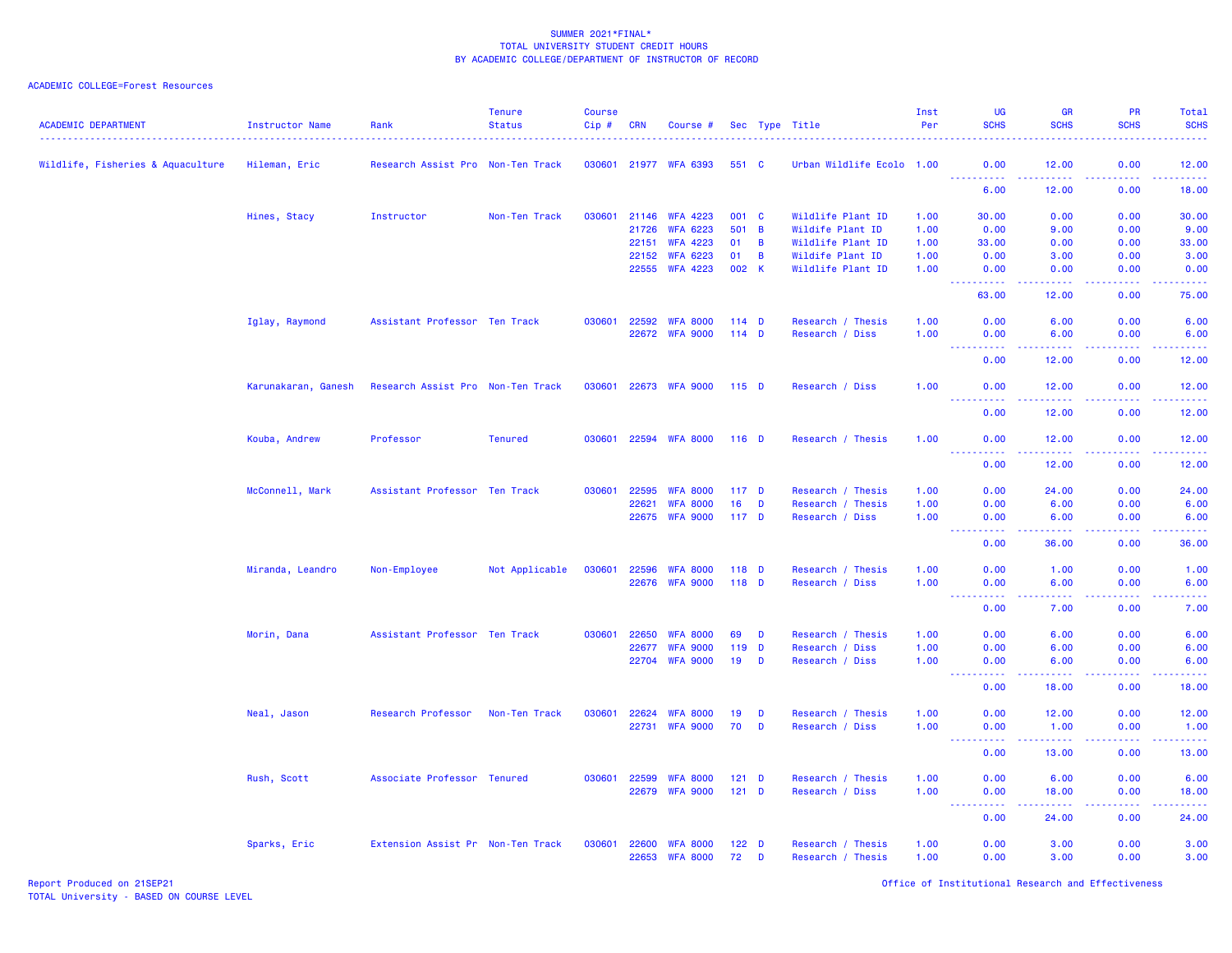| <b>ACADEMIC DEPARTMENT</b>        | Instructor Name     | Rank                              | <b>Tenure</b><br><b>Status</b> | <b>Course</b><br>Cip # | <b>CRN</b> | Course #              |                  |                | Sec Type Title            | Inst<br>Per | <b>UG</b><br><b>SCHS</b>                      | <b>GR</b><br><b>SCHS</b>                                                                                                                                     | PR<br><b>SCHS</b>                                                                                                                 | Total<br><b>SCHS</b>               |
|-----------------------------------|---------------------|-----------------------------------|--------------------------------|------------------------|------------|-----------------------|------------------|----------------|---------------------------|-------------|-----------------------------------------------|--------------------------------------------------------------------------------------------------------------------------------------------------------------|-----------------------------------------------------------------------------------------------------------------------------------|------------------------------------|
| Wildlife, Fisheries & Aquaculture | Hileman, Eric       | Research Assist Pro Non-Ten Track |                                |                        |            | 030601 21977 WFA 6393 | 551 C            |                | Urban Wildlife Ecolo 1.00 |             | 0.00<br><u>.</u>                              | 12.00<br>$\frac{1}{2} \left( \frac{1}{2} \right) \left( \frac{1}{2} \right) \left( \frac{1}{2} \right) \left( \frac{1}{2} \right)$                           | 0.00<br>.                                                                                                                         | 12.00<br>222222                    |
|                                   |                     |                                   |                                |                        |            |                       |                  |                |                           |             | 6.00                                          | 12.00                                                                                                                                                        | 0.00                                                                                                                              | 18.00                              |
|                                   | Hines, Stacy        | Instructor                        | Non-Ten Track                  | 030601                 |            | 21146 WFA 4223        | 001 C            |                | Wildlife Plant ID         | 1.00        | 30.00                                         | 0.00                                                                                                                                                         | 0.00                                                                                                                              | 30.00                              |
|                                   |                     |                                   |                                |                        | 21726      | <b>WFA 6223</b>       | 501 B            |                | Wildife Plant ID          | 1.00        | 0.00                                          | 9.00                                                                                                                                                         | 0.00                                                                                                                              | 9.00                               |
|                                   |                     |                                   |                                |                        | 22151      | <b>WFA 4223</b>       | 01               | B              | Wildlife Plant ID         | 1.00        | 33.00                                         | 0.00                                                                                                                                                         | 0.00                                                                                                                              | 33.00                              |
|                                   |                     |                                   |                                |                        | 22152      | <b>WFA 6223</b>       | 01               | $\overline{B}$ | Wildife Plant ID          | 1.00        | 0.00                                          | 3.00                                                                                                                                                         | 0.00                                                                                                                              | 3.00                               |
|                                   |                     |                                   |                                |                        |            | 22555 WFA 4223        | 002 K            |                | Wildlife Plant ID         | 1.00        | 0.00                                          | 0.00                                                                                                                                                         | 0.00<br>$\sim$ $\sim$ $\sim$ $\sim$                                                                                               | 0.00<br>والمسامات                  |
|                                   |                     |                                   |                                |                        |            |                       |                  |                |                           |             | 63.00                                         | 12.00                                                                                                                                                        | 0.00                                                                                                                              | 75.00                              |
|                                   | Iglay, Raymond      | Assistant Professor Ten Track     |                                | 030601                 |            | 22592 WFA 8000        | $114$ D          |                | Research / Thesis         | 1.00        | 0.00                                          | 6.00                                                                                                                                                         | 0.00                                                                                                                              | 6.00                               |
|                                   |                     |                                   |                                |                        | 22672      | <b>WFA 9000</b>       | $114$ D          |                | Research / Diss           | 1.00        | 0.00<br><b>.</b> .                            | 6.00<br>$\frac{1}{2} \left( \frac{1}{2} \right) \left( \frac{1}{2} \right) \left( \frac{1}{2} \right) \left( \frac{1}{2} \right) \left( \frac{1}{2} \right)$ | 0.00<br>.                                                                                                                         | 6.00<br>الداليات للدالية ال        |
|                                   |                     |                                   |                                |                        |            |                       |                  |                |                           |             | 0.00                                          | 12.00                                                                                                                                                        | 0.00                                                                                                                              | 12.00                              |
|                                   | Karunakaran, Ganesh | Research Assist Pro Non-Ten Track |                                | 030601                 |            | 22673 WFA 9000        | $115$ D          |                | Research / Diss           | 1.00        | 0.00                                          | 12.00                                                                                                                                                        | 0.00<br>بالأباد                                                                                                                   | 12.00<br>.                         |
|                                   |                     |                                   |                                |                        |            |                       |                  |                |                           |             | .<br>0.00                                     | 12.00                                                                                                                                                        | 0.00                                                                                                                              | 12.00                              |
|                                   | Kouba, Andrew       | Professor                         | <b>Tenured</b>                 | 030601                 |            | 22594 WFA 8000        | $116$ D          |                | Research / Thesis         | 1.00        | 0.00                                          | 12.00                                                                                                                                                        | 0.00                                                                                                                              | 12.00                              |
|                                   |                     |                                   |                                |                        |            |                       |                  |                |                           |             | ----------<br>0.00                            | .<br>12.00                                                                                                                                                   | .<br>0.00                                                                                                                         | .<br>12.00                         |
|                                   | McConnell, Mark     | Assistant Professor Ten Track     |                                | 030601                 | 22595      | <b>WFA 8000</b>       | 117 <sub>D</sub> |                | Research / Thesis         | 1.00        | 0.00                                          | 24.00                                                                                                                                                        | 0.00                                                                                                                              | 24.00                              |
|                                   |                     |                                   |                                |                        | 22621      | <b>WFA 8000</b>       | 16 <sup>1</sup>  | $\mathbf{D}$   | Research / Thesis         | 1.00        | 0.00                                          | 6.00                                                                                                                                                         | 0.00                                                                                                                              | 6.00                               |
|                                   |                     |                                   |                                |                        |            | 22675 WFA 9000        | 117 <sub>D</sub> |                | Research / Diss           | 1.00        | 0.00<br><b><i><u>AAAAAAAAA</u></i></b>        | 6.00<br>المتمامين                                                                                                                                            | 0.00<br>22222                                                                                                                     | 6.00<br>.                          |
|                                   |                     |                                   |                                |                        |            |                       |                  |                |                           |             | 0.00                                          | 36.00                                                                                                                                                        | 0.00                                                                                                                              | 36.00                              |
|                                   | Miranda, Leandro    | Non-Employee                      | Not Applicable                 | 030601                 | 22596      | <b>WFA 8000</b>       | 118 D            |                | Research / Thesis         | 1.00        | 0.00                                          | 1.00                                                                                                                                                         | 0.00                                                                                                                              | 1.00                               |
|                                   |                     |                                   |                                |                        | 22676      | <b>WFA 9000</b>       | $118$ D          |                | Research / Diss           | 1.00        | 0.00<br>$\omega_{\rm{eff}}$<br>المستمات       | 6.00<br>المتمامين                                                                                                                                            | 0.00<br>الأنابات                                                                                                                  | 6.00<br>$\omega = \omega/\omega$ . |
|                                   |                     |                                   |                                |                        |            |                       |                  |                |                           |             | 0.00                                          | 7.00                                                                                                                                                         | 0.00                                                                                                                              | 7.00                               |
|                                   | Morin, Dana         | Assistant Professor Ten Track     |                                | 030601                 | 22650      | <b>WFA 8000</b>       | 69               | D              | Research / Thesis         | 1.00        | 0.00                                          | 6.00                                                                                                                                                         | 0.00                                                                                                                              | 6.00                               |
|                                   |                     |                                   |                                |                        | 22677      | <b>WFA 9000</b>       | $119$ D          |                | Research / Diss           | 1.00        | 0.00                                          | 6.00                                                                                                                                                         | 0.00                                                                                                                              | 6.00                               |
|                                   |                     |                                   |                                |                        | 22704      | <b>WFA 9000</b>       | 19               | D              | Research / Diss           | 1.00        | 0.00<br><b>.</b>                              | 6.00<br>$\frac{1}{2} \left( \frac{1}{2} \right) \left( \frac{1}{2} \right) \left( \frac{1}{2} \right) \left( \frac{1}{2} \right) \left( \frac{1}{2} \right)$ | 0.00<br>.                                                                                                                         | 6.00<br>.                          |
|                                   |                     |                                   |                                |                        |            |                       |                  |                |                           |             | 0.00                                          | 18.00                                                                                                                                                        | 0.00                                                                                                                              | 18.00                              |
|                                   | Neal, Jason         | Research Professor                | Non-Ten Track                  | 030601                 | 22624      | <b>WFA 8000</b>       | 19               | D              | Research / Thesis         | 1.00        | 0.00                                          | 12.00                                                                                                                                                        | 0.00                                                                                                                              | 12.00                              |
|                                   |                     |                                   |                                |                        | 22731      | <b>WFA 9000</b>       | 70 D             |                | Research / Diss           | 1.00        | 0.00<br>222222<br>$\sim$ $\sim$ $\sim$ $\sim$ | 1.00<br>.                                                                                                                                                    | 0.00<br>$\frac{1}{2} \left( \frac{1}{2} \right) \left( \frac{1}{2} \right) \left( \frac{1}{2} \right) \left( \frac{1}{2} \right)$ | 1.00<br>.                          |
|                                   |                     |                                   |                                |                        |            |                       |                  |                |                           |             | 0.00                                          | 13.00                                                                                                                                                        | 0.00                                                                                                                              | 13.00                              |
|                                   | Rush, Scott         | Associate Professor Tenured       |                                | 030601                 | 22599      | <b>WFA 8000</b>       | $121$ D          |                | Research / Thesis         | 1.00        | 0.00                                          | 6.00                                                                                                                                                         | 0.00                                                                                                                              | 6.00                               |
|                                   |                     |                                   |                                |                        | 22679      | <b>WFA 9000</b>       | $121$ D          |                | Research / Diss           | 1.00        | 0.00<br>المستملك<br>$\omega_{\rm{eff}}$       | 18.00<br>المستمر المسار                                                                                                                                      | 0.00<br>بالأبابات                                                                                                                 | 18.00<br>.                         |
|                                   |                     |                                   |                                |                        |            |                       |                  |                |                           |             | 0.00                                          | 24.00                                                                                                                                                        | 0.00                                                                                                                              | 24.00                              |
|                                   | Sparks, Eric        | Extension Assist Pr Non-Ten Track |                                | 030601                 | 22600      | <b>WFA 8000</b>       | 122 <sub>D</sub> |                | Research / Thesis         | 1.00        | 0.00                                          | 3.00                                                                                                                                                         | 0.00                                                                                                                              | 3.00                               |
|                                   |                     |                                   |                                |                        | 22653      | <b>WFA 8000</b>       | 72 D             |                | Research / Thesis         | 1.00        | 0.00                                          | 3.00                                                                                                                                                         | 0.00                                                                                                                              | 3.00                               |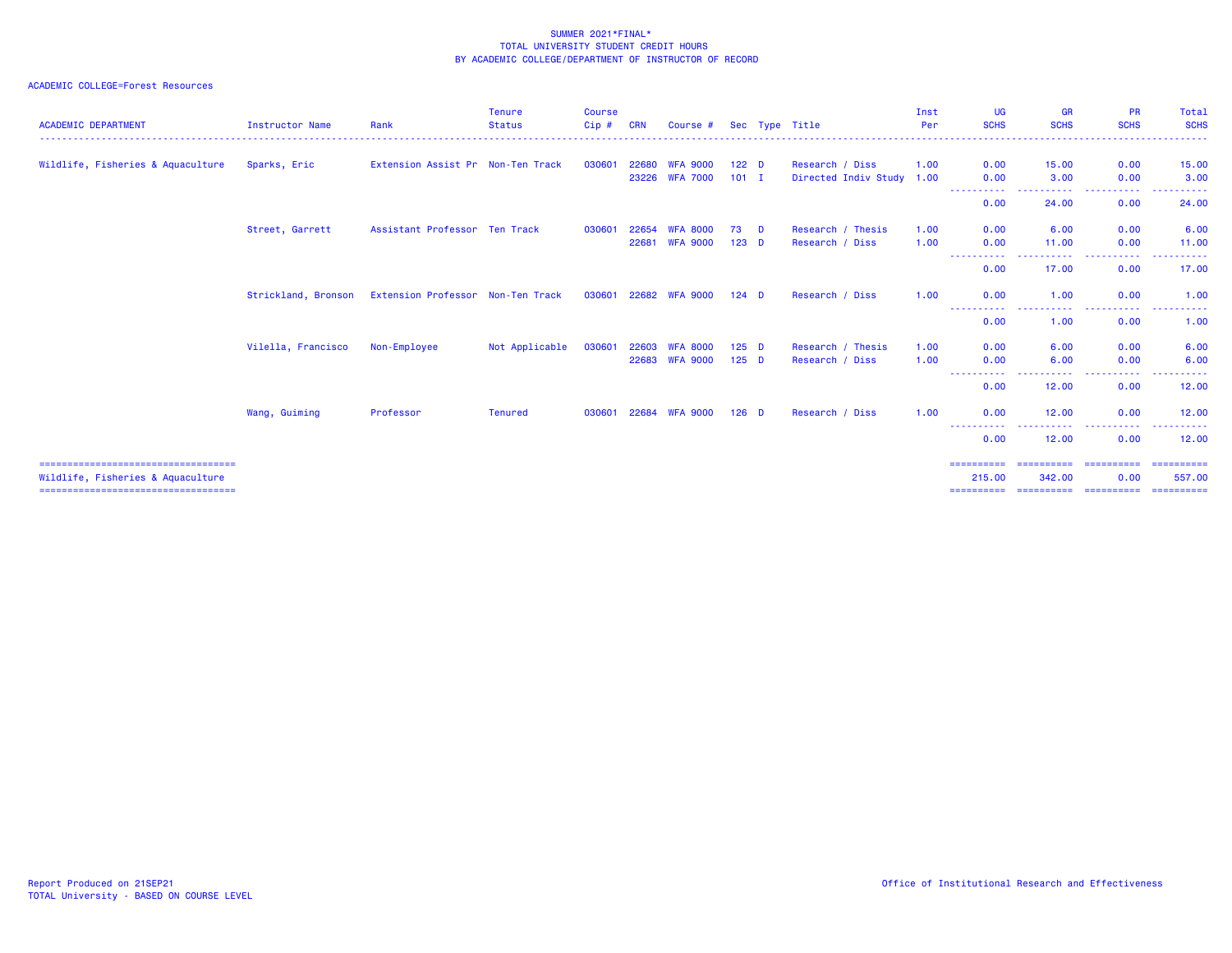| <b>ACADEMIC DEPARTMENT</b>                                                 | <b>Instructor Name</b> | Rank                              | <b>Tenure</b><br><b>Status</b> | <b>Course</b><br>Cip# | <b>CRN</b>     | Course #                           |                             | Sec Type Title                               | Inst<br>Per  | <b>UG</b><br><b>SCHS</b>                                                                                                                                     | GR<br><b>SCHS</b>                  | <b>PR</b><br><b>SCHS</b><br>----------- | Total<br><b>SCHS</b><br>.           |
|----------------------------------------------------------------------------|------------------------|-----------------------------------|--------------------------------|-----------------------|----------------|------------------------------------|-----------------------------|----------------------------------------------|--------------|--------------------------------------------------------------------------------------------------------------------------------------------------------------|------------------------------------|-----------------------------------------|-------------------------------------|
| Wildlife, Fisheries & Aquaculture                                          | Sparks, Eric           | Extension Assist Pr Non-Ten Track |                                | 030601                | 22680<br>23226 | <b>WFA 9000</b><br><b>WFA 7000</b> | 122 <sub>D</sub><br>$101$ I | Research / Diss<br>Directed Indiv Study 1.00 | 1.00         | 0.00<br>0.00                                                                                                                                                 | 15.00<br>3.00                      | 0.00<br>0.00                            | 15.00<br>3.00                       |
|                                                                            |                        |                                   |                                |                       |                |                                    |                             |                                              |              | -----<br>0.00                                                                                                                                                | . <u>.</u><br>24.00                | . <b>.</b> .<br>0.00                    | 24.00                               |
|                                                                            | Street, Garrett        | Assistant Professor Ten Track     |                                | 030601                | 22654<br>22681 | <b>WFA 8000</b><br><b>WFA 9000</b> | 73 D<br>$123$ D             | Research / Thesis<br>Research / Diss         | 1.00<br>1.00 | 0.00<br>0.00                                                                                                                                                 | 6.00<br>11.00                      | 0.00<br>0.00                            | 6.00<br>11.00                       |
|                                                                            |                        |                                   |                                |                       |                |                                    |                             |                                              |              | -----------<br>0.00                                                                                                                                          | -------<br>17.00                   | -----<br>0.00                           | ------<br>17.00                     |
|                                                                            | Strickland, Bronson    | Extension Professor Non-Ten Track |                                | 030601                |                | 22682 WFA 9000                     | $124$ D                     | Research / Diss                              | 1.00         | 0.00<br>$\frac{1}{2} \left( \frac{1}{2} \right) \left( \frac{1}{2} \right) \left( \frac{1}{2} \right) \left( \frac{1}{2} \right) \left( \frac{1}{2} \right)$ | 1.00<br>. <sub>.</sub>             | 0.00<br>.                               | 1.00<br>-----                       |
|                                                                            | Vilella, Francisco     | Non-Employee                      | Not Applicable                 | 030601                | 22603          | <b>WFA 8000</b>                    | $125$ D                     | Research / Thesis                            | 1.00         | 0.00<br>0.00                                                                                                                                                 | 1.00<br>6.00                       | 0.00<br>0.00                            | 1.00<br>6.00                        |
|                                                                            |                        |                                   |                                |                       |                | 22683 WFA 9000                     | $125$ D                     | Research / Diss                              | 1.00         | 0.00<br>.<br>$\cdots$                                                                                                                                        | 6.00<br>. <sub>.</sub>             | 0.00<br>.                               | 6.00<br>-----                       |
|                                                                            | Wang, Guiming          | Professor                         | <b>Tenured</b>                 | 030601                | 22684          | <b>WFA 9000</b>                    | $126$ D                     | Research / Diss                              | 1.00         | 0.00<br>0.00                                                                                                                                                 | 12.00<br>12.00                     | 0.00<br>0.00                            | 12.00<br>12.00                      |
|                                                                            |                        |                                   |                                |                       |                |                                    |                             |                                              |              | $\frac{1}{2} \left( \frac{1}{2} \right) \left( \frac{1}{2} \right) \left( \frac{1}{2} \right) \left( \frac{1}{2} \right) \left( \frac{1}{2} \right)$<br>0.00 | . <b>.</b><br>12.00                | . <b>.</b> .<br>0.00                    | ------<br>12.00                     |
| =====================================<br>Wildlife, Fisheries & Aquaculture |                        |                                   |                                |                       |                |                                    |                             |                                              |              | ==========<br>215.00<br>==========                                                                                                                           | ==========<br>342.00<br>========== | ==========<br>0.00<br>==========        | -----------<br>557.00<br>========== |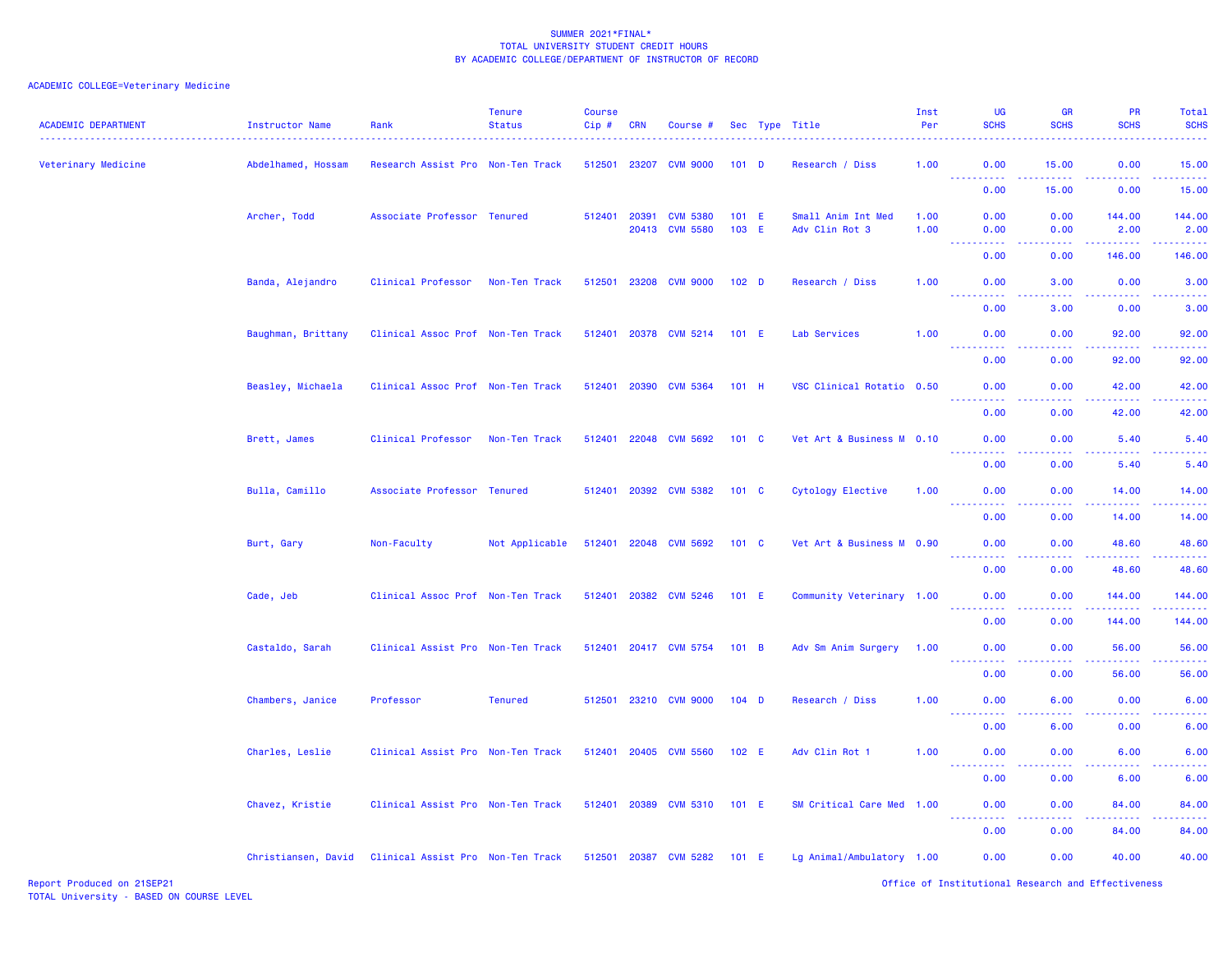| <b>ACADEMIC DEPARTMENT</b> | Instructor Name     | Rank                              | <b>Tenure</b><br><b>Status</b> | <b>Course</b><br>$Cip$ # | <b>CRN</b>   | Course #                          |                  | Sec Type Title                       | Inst<br>Per  | <b>UG</b><br><b>SCHS</b>                                                                                                                                     | <b>GR</b><br><b>SCHS</b> | PR<br><b>SCHS</b>                                                                                                                                             | Total<br><b>SCHS</b>                                                                                                            |
|----------------------------|---------------------|-----------------------------------|--------------------------------|--------------------------|--------------|-----------------------------------|------------------|--------------------------------------|--------------|--------------------------------------------------------------------------------------------------------------------------------------------------------------|--------------------------|---------------------------------------------------------------------------------------------------------------------------------------------------------------|---------------------------------------------------------------------------------------------------------------------------------|
| Veterinary Medicine        | Abdelhamed, Hossam  | Research Assist Pro Non-Ten Track |                                | 512501                   | 23207        | <b>CVM 9000</b>                   | $101$ D          | Research / Diss                      | 1.00         | 0.00<br>----------                                                                                                                                           | 15.00<br>بالأبابات       | 0.00<br>.                                                                                                                                                     | 15.00<br>.                                                                                                                      |
|                            |                     |                                   |                                |                          |              |                                   |                  |                                      |              | 0.00                                                                                                                                                         | 15.00                    | 0.00                                                                                                                                                          | 15.00                                                                                                                           |
|                            | Archer, Todd        | Associate Professor Tenured       |                                | 512401                   | 20391        | <b>CVM 5380</b><br>20413 CVM 5580 | $101$ E<br>103 E | Small Anim Int Med<br>Adv Clin Rot 3 | 1.00<br>1.00 | 0.00<br>0.00                                                                                                                                                 | 0.00<br>0.00             | 144.00<br>2.00                                                                                                                                                | 144.00<br>2.00                                                                                                                  |
|                            |                     |                                   |                                |                          |              |                                   |                  |                                      |              | <b>.</b><br>$\frac{1}{2} \left( \frac{1}{2} \right) \left( \frac{1}{2} \right) \left( \frac{1}{2} \right) \left( \frac{1}{2} \right)$<br>0.00                | .<br>0.00                | <b></b><br>146.00                                                                                                                                             | $\begin{array}{cccccccccc} \bullet & \bullet & \bullet & \bullet & \bullet & \bullet & \bullet & \bullet \end{array}$<br>146.00 |
|                            | Banda, Alejandro    | Clinical Professor                | Non-Ten Track                  | 512501                   |              | 23208 CVM 9000                    | 102 <sub>D</sub> | Research / Diss                      | 1.00         | 0.00<br>$- - - - -$                                                                                                                                          | 3.00<br>. <u>.</u>       | 0.00<br>-----                                                                                                                                                 | 3.00<br>.                                                                                                                       |
|                            |                     |                                   |                                |                          |              |                                   |                  |                                      |              | 0.00                                                                                                                                                         | 3.00                     | 0.00                                                                                                                                                          | 3.00                                                                                                                            |
|                            | Baughman, Brittany  | Clinical Assoc Prof Non-Ten Track |                                | 512401                   | 20378        | <b>CVM 5214</b>                   | 101 E            | Lab Services                         | 1.00         | 0.00<br>$\frac{1}{2} \left( \frac{1}{2} \right) \left( \frac{1}{2} \right) \left( \frac{1}{2} \right) \left( \frac{1}{2} \right)$                            | 0.00<br>.                | 92.00<br>$\frac{1}{2} \left( \frac{1}{2} \right) \left( \frac{1}{2} \right) \left( \frac{1}{2} \right) \left( \frac{1}{2} \right) \left( \frac{1}{2} \right)$ | 92.00<br>د د د د د                                                                                                              |
|                            |                     |                                   |                                |                          |              |                                   |                  |                                      |              | 0.00                                                                                                                                                         | 0.00                     | 92.00                                                                                                                                                         | 92.00                                                                                                                           |
|                            | Beasley, Michaela   | Clinical Assoc Prof Non-Ten Track |                                | 512401                   | 20390        | <b>CVM 5364</b>                   | 101 H            | VSC Clinical Rotatio 0.50            |              | 0.00<br>$\frac{1}{2} \left( \frac{1}{2} \right) \left( \frac{1}{2} \right) \left( \frac{1}{2} \right) \left( \frac{1}{2} \right) \left( \frac{1}{2} \right)$ | 0.00<br>المتمالين        | 42.00<br>$\frac{1}{2} \left( \frac{1}{2} \right) \left( \frac{1}{2} \right) \left( \frac{1}{2} \right) \left( \frac{1}{2} \right) \left( \frac{1}{2} \right)$ | 42.00<br>بالأناب                                                                                                                |
|                            |                     |                                   |                                |                          |              |                                   |                  |                                      |              | 0.00                                                                                                                                                         | 0.00                     | 42.00                                                                                                                                                         | 42.00                                                                                                                           |
|                            | Brett, James        | Clinical Professor                | Non-Ten Track                  | 512401                   | 22048        | <b>CVM 5692</b>                   | 101 C            | Vet Art & Business M 0.10            |              | 0.00<br><u> - - - - - - - - - -</u>                                                                                                                          | 0.00<br>22222            | 5.40<br>$\frac{1}{2} \left( \frac{1}{2} \right) \left( \frac{1}{2} \right) \left( \frac{1}{2} \right) \left( \frac{1}{2} \right) \left( \frac{1}{2} \right)$  | 5.40<br>.                                                                                                                       |
|                            |                     |                                   |                                |                          |              |                                   |                  |                                      |              | 0.00                                                                                                                                                         | 0.00                     | 5.40                                                                                                                                                          | 5.40                                                                                                                            |
|                            | Bulla, Camillo      | Associate Professor Tenured       |                                | 512401                   | 20392        | <b>CVM 5382</b>                   | 101 C            | Cytology Elective                    | 1.00         | 0.00<br><u>.</u>                                                                                                                                             | 0.00<br>.                | 14.00<br>الدامات مالدان                                                                                                                                       | 14.00<br>.                                                                                                                      |
|                            |                     |                                   |                                |                          |              |                                   |                  |                                      |              | 0.00                                                                                                                                                         | 0.00                     | 14.00                                                                                                                                                         | 14.00                                                                                                                           |
|                            | Burt, Gary          | Non-Faculty                       | Not Applicable                 | 512401                   |              | 22048 CVM 5692                    | $101 \quad C$    | Vet Art & Business M 0.90            |              | 0.00                                                                                                                                                         | 0.00                     | 48.60<br><u>.</u>                                                                                                                                             | 48.60<br>.                                                                                                                      |
|                            |                     |                                   |                                |                          |              |                                   |                  |                                      |              | 0.00                                                                                                                                                         | 0.00                     | 48.60                                                                                                                                                         | 48.60                                                                                                                           |
|                            | Cade, Jeb           | Clinical Assoc Prof Non-Ten Track |                                |                          |              | 512401 20382 CVM 5246             | 101 E            | Community Veterinary 1.00            |              | 0.00                                                                                                                                                         | 0.00                     | 144,00                                                                                                                                                        | 144.00<br>.                                                                                                                     |
|                            |                     |                                   |                                |                          |              |                                   |                  |                                      |              | 0.00                                                                                                                                                         | 0.00                     | 144.00                                                                                                                                                        | 144.00                                                                                                                          |
|                            | Castaldo, Sarah     | Clinical Assist Pro Non-Ten Track |                                |                          |              | 512401 20417 CVM 5754             | 101 B            | Adv Sm Anim Surgery                  | 1.00         | 0.00<br>.                                                                                                                                                    | 0.00                     | 56.00<br>.                                                                                                                                                    | 56.00<br>.                                                                                                                      |
|                            |                     |                                   |                                |                          |              |                                   |                  |                                      |              | 0.00                                                                                                                                                         | 0.00                     | 56.00                                                                                                                                                         | 56.00                                                                                                                           |
|                            | Chambers, Janice    | Professor                         | <b>Tenured</b>                 | 512501                   | 23210        | <b>CVM 9000</b>                   | $104$ D          | Research / Diss                      | 1.00         | 0.00<br><u>.</u>                                                                                                                                             | 6.00<br>.                | 0.00<br>22222                                                                                                                                                 | 6.00<br>د د د د د                                                                                                               |
|                            |                     |                                   |                                |                          |              |                                   |                  |                                      |              | 0.00                                                                                                                                                         | 6.00                     | 0.00                                                                                                                                                          | 6.00                                                                                                                            |
|                            | Charles, Leslie     | Clinical Assist Pro Non-Ten Track |                                | 512401                   | 20405        | <b>CVM 5560</b>                   | 102 E            | Adv Clin Rot 1                       | 1.00         | 0.00<br>.                                                                                                                                                    | 0.00                     | 6.00                                                                                                                                                          | 6.00<br>.                                                                                                                       |
|                            |                     |                                   |                                |                          |              |                                   |                  |                                      |              | 0.00                                                                                                                                                         | 0.00                     | 6.00                                                                                                                                                          | 6.00                                                                                                                            |
|                            | Chavez, Kristie     | Clinical Assist Pro Non-Ten Track |                                |                          | 512401 20389 | <b>CVM 5310</b>                   | $101$ E          | SM Critical Care Med 1.00            |              | 0.00<br>.                                                                                                                                                    | 0.00                     | 84.00<br>$\frac{1}{2} \left( \frac{1}{2} \right) \left( \frac{1}{2} \right) \left( \frac{1}{2} \right) \left( \frac{1}{2} \right) \left( \frac{1}{2} \right)$ | 84.00<br>.                                                                                                                      |
|                            |                     |                                   |                                |                          |              |                                   |                  |                                      |              | 0.00                                                                                                                                                         | 0.00                     | 84.00                                                                                                                                                         | 84.00                                                                                                                           |
|                            | Christiansen, David | Clinical Assist Pro Non-Ten Track |                                |                          |              | 512501 20387 CVM 5282             | $101$ E          | Lg Animal/Ambulatory 1.00            |              | 0.00                                                                                                                                                         | 0.00                     | 40.00                                                                                                                                                         | 40.00                                                                                                                           |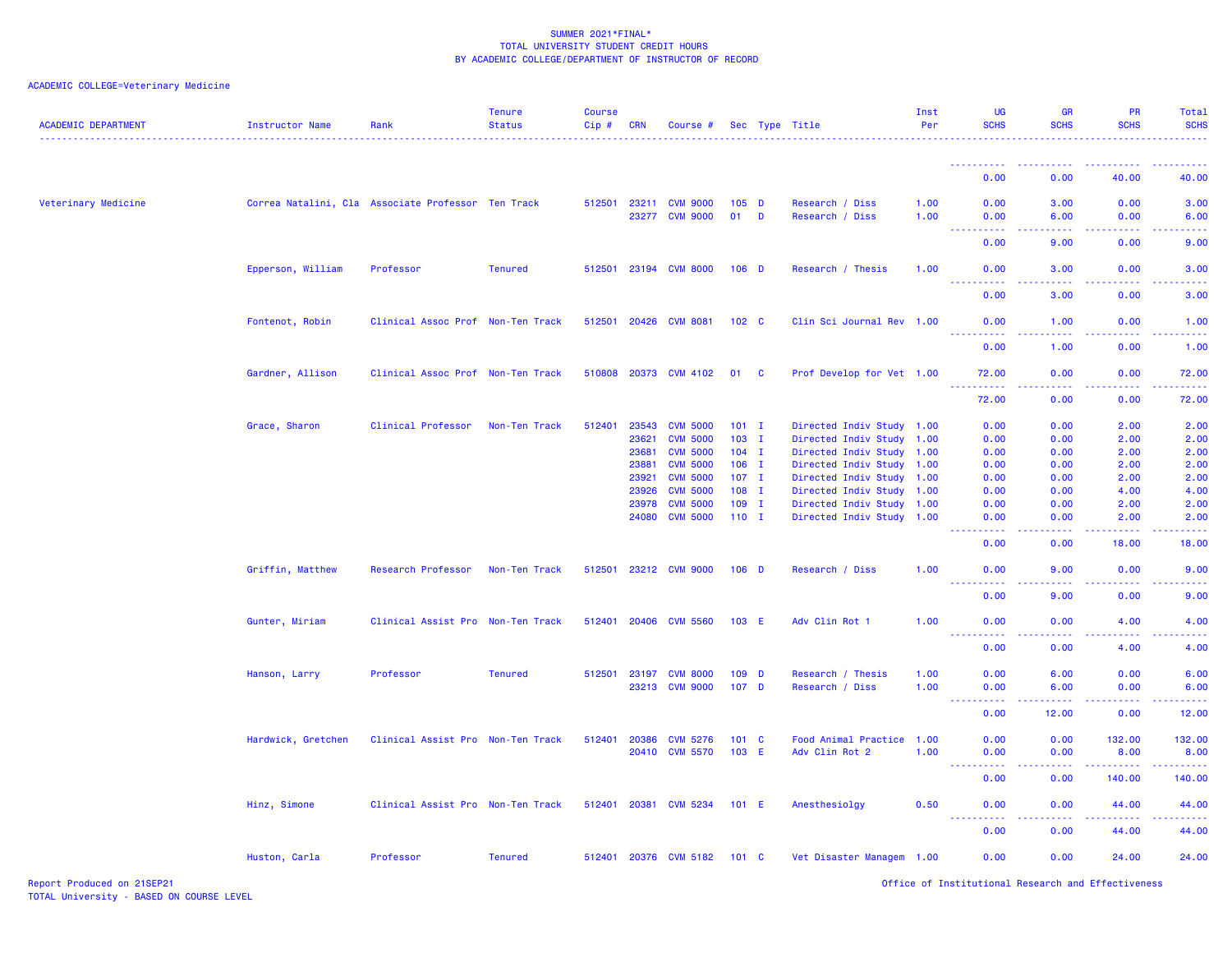| <b>ACADEMIC DEPARTMENT</b> | <b>Instructor Name</b>                             | Rank                              | <b>Tenure</b><br><b>Status</b> | <b>Course</b><br>Cip# | <b>CRN</b> | Course #                                |                             |   | Sec Type Title                       | Inst<br>Per  | UG<br><b>SCHS</b>                                                                                      | <b>GR</b><br><b>SCHS</b> | <b>PR</b><br><b>SCHS</b>                                                                                                                                                                                                                                                                                                                                                                                                                                                                         | Total<br><b>SCHS</b>                                                                                                                                         |
|----------------------------|----------------------------------------------------|-----------------------------------|--------------------------------|-----------------------|------------|-----------------------------------------|-----------------------------|---|--------------------------------------|--------------|--------------------------------------------------------------------------------------------------------|--------------------------|--------------------------------------------------------------------------------------------------------------------------------------------------------------------------------------------------------------------------------------------------------------------------------------------------------------------------------------------------------------------------------------------------------------------------------------------------------------------------------------------------|--------------------------------------------------------------------------------------------------------------------------------------------------------------|
|                            |                                                    |                                   |                                |                       |            |                                         |                             |   |                                      |              | <u>.</u>                                                                                               | .                        | $\frac{1}{2} \left( \frac{1}{2} \right) \left( \frac{1}{2} \right) \left( \frac{1}{2} \right) \left( \frac{1}{2} \right) \left( \frac{1}{2} \right)$                                                                                                                                                                                                                                                                                                                                             | $- - - - -$                                                                                                                                                  |
|                            |                                                    |                                   |                                |                       |            |                                         |                             |   |                                      |              | 0.00                                                                                                   | 0.00                     | 40.00                                                                                                                                                                                                                                                                                                                                                                                                                                                                                            | 40.00                                                                                                                                                        |
| Veterinary Medicine        | Correa Natalini, Cla Associate Professor Ten Track |                                   |                                |                       |            | 512501 23211 CVM 9000<br>23277 CVM 9000 | $105$ D<br>01               | D | Research / Diss<br>Research / Diss   | 1.00<br>1.00 | 0.00<br>0.00<br>والمحاميات<br>بالمستنا                                                                 | 3.00<br>6.00<br>بالأباء  | 0.00<br>0.00                                                                                                                                                                                                                                                                                                                                                                                                                                                                                     | 3.00<br>6.00<br>وساعات                                                                                                                                       |
|                            |                                                    |                                   |                                |                       |            |                                         |                             |   |                                      |              | 0.00                                                                                                   | 9.00                     | 0.00                                                                                                                                                                                                                                                                                                                                                                                                                                                                                             | 9.00                                                                                                                                                         |
|                            | Epperson, William                                  | Professor                         | <b>Tenured</b>                 |                       |            | 512501 23194 CVM 8000                   | $106$ D                     |   | Research / Thesis                    | 1.00         | 0.00<br><u>.</u>                                                                                       | 3.00<br>.                | 0.00<br>.                                                                                                                                                                                                                                                                                                                                                                                                                                                                                        | 3.00<br>$\frac{1}{2} \left( \frac{1}{2} \right) \left( \frac{1}{2} \right) \left( \frac{1}{2} \right) \left( \frac{1}{2} \right) \left( \frac{1}{2} \right)$ |
|                            |                                                    |                                   |                                |                       |            |                                         |                             |   |                                      |              | 0.00                                                                                                   | 3.00                     | 0.00                                                                                                                                                                                                                                                                                                                                                                                                                                                                                             | 3.00                                                                                                                                                         |
|                            | Fontenot, Robin                                    | Clinical Assoc Prof Non-Ten Track |                                | 512501 20426          |            | <b>CVM 8081</b>                         | 102 <sub>c</sub>            |   | Clin Sci Journal Rev 1.00            |              | 0.00                                                                                                   | 1.00                     | 0.00                                                                                                                                                                                                                                                                                                                                                                                                                                                                                             | 1.00                                                                                                                                                         |
|                            |                                                    |                                   |                                |                       |            |                                         |                             |   |                                      |              | 0.00                                                                                                   | 1.00                     | 0.00                                                                                                                                                                                                                                                                                                                                                                                                                                                                                             | 1.00                                                                                                                                                         |
|                            | Gardner, Allison                                   | Clinical Assoc Prof Non-Ten Track |                                |                       |            | 510808 20373 CVM 4102                   | 01 C                        |   | Prof Develop for Vet 1.00            |              | 72.00<br>.                                                                                             | 0.00<br>.                | 0.00                                                                                                                                                                                                                                                                                                                                                                                                                                                                                             | 72.00                                                                                                                                                        |
|                            |                                                    |                                   |                                |                       |            |                                         |                             |   |                                      |              | 72.00                                                                                                  | 0.00                     | 0.00                                                                                                                                                                                                                                                                                                                                                                                                                                                                                             | 72.00                                                                                                                                                        |
|                            | Grace, Sharon                                      | Clinical Professor                | Non-Ten Track                  | 512401                | 23543      | <b>CVM 5000</b>                         | $101$ I                     |   | Directed Indiv Study 1.00            |              | 0.00                                                                                                   | 0.00                     | 2.00                                                                                                                                                                                                                                                                                                                                                                                                                                                                                             | 2.00                                                                                                                                                         |
|                            |                                                    |                                   |                                |                       | 23621      | <b>CVM 5000</b>                         | $103$ I                     |   | Directed Indiv Study 1.00            |              | 0.00                                                                                                   | 0.00                     | 2.00                                                                                                                                                                                                                                                                                                                                                                                                                                                                                             | 2.00                                                                                                                                                         |
|                            |                                                    |                                   |                                |                       | 23681      | <b>CVM 5000</b>                         | $104$ I                     |   | Directed Indiv Study 1.00            |              | 0.00                                                                                                   | 0.00                     | 2.00                                                                                                                                                                                                                                                                                                                                                                                                                                                                                             | 2.00                                                                                                                                                         |
|                            |                                                    |                                   |                                |                       | 23881      | <b>CVM 5000</b>                         | $106$ I                     |   | Directed Indiv Study 1.00            |              | 0.00                                                                                                   | 0.00                     | 2.00                                                                                                                                                                                                                                                                                                                                                                                                                                                                                             | 2.00                                                                                                                                                         |
|                            |                                                    |                                   |                                |                       | 23921      | <b>CVM 5000</b>                         | $107$ I                     |   | Directed Indiv Study 1.00            |              | 0.00                                                                                                   | 0.00                     | 2.00                                                                                                                                                                                                                                                                                                                                                                                                                                                                                             | 2.00                                                                                                                                                         |
|                            |                                                    |                                   |                                |                       | 23926      | <b>CVM 5000</b>                         | $108$ I                     |   | Directed Indiv Study 1.00            |              | 0.00                                                                                                   | 0.00                     | 4.00                                                                                                                                                                                                                                                                                                                                                                                                                                                                                             | 4.00                                                                                                                                                         |
|                            |                                                    |                                   |                                |                       | 23978      | <b>CVM 5000</b>                         | $109$ I                     |   | Directed Indiv Study 1.00            |              | 0.00                                                                                                   | 0.00                     | 2.00                                                                                                                                                                                                                                                                                                                                                                                                                                                                                             | 2.00                                                                                                                                                         |
|                            |                                                    |                                   |                                |                       | 24080      | <b>CVM 5000</b>                         | $110$ I                     |   | Directed Indiv Study 1.00            |              | 0.00<br>بالمحامي                                                                                       | 0.00<br>222              | 2.00                                                                                                                                                                                                                                                                                                                                                                                                                                                                                             | 2.00                                                                                                                                                         |
|                            |                                                    |                                   |                                |                       |            |                                         |                             |   |                                      |              | 0.00                                                                                                   | 0.00                     | 18.00                                                                                                                                                                                                                                                                                                                                                                                                                                                                                            | 18.00                                                                                                                                                        |
|                            | Griffin, Matthew                                   | Research Professor                | Non-Ten Track                  |                       |            | 512501 23212 CVM 9000                   | $106$ D                     |   | Research / Diss                      | 1.00         | 0.00<br>بالمحامي                                                                                       | 9.00<br>وعاعاها          | 0.00<br>.                                                                                                                                                                                                                                                                                                                                                                                                                                                                                        | 9.00                                                                                                                                                         |
|                            |                                                    |                                   |                                |                       |            |                                         |                             |   |                                      |              | 0.00                                                                                                   | 9.00                     | 0.00                                                                                                                                                                                                                                                                                                                                                                                                                                                                                             | 9.00                                                                                                                                                         |
|                            | Gunter, Miriam                                     | Clinical Assist Pro Non-Ten Track |                                |                       |            | 512401 20406 CVM 5560                   | 103 E                       |   | Adv Clin Rot 1                       | 1.00         | 0.00<br><b>.</b>                                                                                       | 0.00<br>-----            | 4.00<br>$\frac{1}{2} \left( \frac{1}{2} \right) \left( \frac{1}{2} \right) \left( \frac{1}{2} \right) \left( \frac{1}{2} \right) \left( \frac{1}{2} \right)$                                                                                                                                                                                                                                                                                                                                     | 4.00<br>.                                                                                                                                                    |
|                            |                                                    |                                   |                                |                       |            |                                         |                             |   |                                      |              | 0.00                                                                                                   | 0.00                     | 4.00                                                                                                                                                                                                                                                                                                                                                                                                                                                                                             | 4.00                                                                                                                                                         |
|                            | Hanson, Larry                                      | Professor                         | <b>Tenured</b>                 | 512501 23197          | 23213      | <b>CVM 8000</b><br><b>CVM 9000</b>      | $109$ D<br>107 <sub>D</sub> |   | Research / Thesis<br>Research / Diss | 1.00<br>1.00 | 0.00<br>0.00                                                                                           | 6.00<br>6.00             | 0.00<br>0.00                                                                                                                                                                                                                                                                                                                                                                                                                                                                                     | 6.00<br>6.00                                                                                                                                                 |
|                            |                                                    |                                   |                                |                       |            |                                         |                             |   |                                      |              | $\frac{1}{2} \left( \frac{1}{2} \right) \left( \frac{1}{2} \right) \left( \frac{1}{2} \right)$<br>0.00 | .<br>12.00               | 0.00                                                                                                                                                                                                                                                                                                                                                                                                                                                                                             | 12.00                                                                                                                                                        |
|                            | Hardwick, Gretchen                                 | Clinical Assist Pro Non-Ten Track |                                | 512401                | 20386      | <b>CVM 5276</b>                         | 101 C                       |   | Food Animal Practice                 | 1.00         | 0.00                                                                                                   | 0.00                     | 132.00                                                                                                                                                                                                                                                                                                                                                                                                                                                                                           | 132.00                                                                                                                                                       |
|                            |                                                    |                                   |                                |                       |            | 20410 CVM 5570                          | 103 E                       |   | Adv Clin Rot 2                       | 1.00         | 0.00                                                                                                   | 0.00                     | 8.00                                                                                                                                                                                                                                                                                                                                                                                                                                                                                             | 8.00                                                                                                                                                         |
|                            |                                                    |                                   |                                |                       |            |                                         |                             |   |                                      |              | .<br>0.00                                                                                              | .<br>0.00                | $\begin{array}{cccccccccccccc} \multicolumn{2}{c}{} & \multicolumn{2}{c}{} & \multicolumn{2}{c}{} & \multicolumn{2}{c}{} & \multicolumn{2}{c}{} & \multicolumn{2}{c}{} & \multicolumn{2}{c}{} & \multicolumn{2}{c}{} & \multicolumn{2}{c}{} & \multicolumn{2}{c}{} & \multicolumn{2}{c}{} & \multicolumn{2}{c}{} & \multicolumn{2}{c}{} & \multicolumn{2}{c}{} & \multicolumn{2}{c}{} & \multicolumn{2}{c}{} & \multicolumn{2}{c}{} & \multicolumn{2}{c}{} & \multicolumn{2}{c}{} & \$<br>140.00 | <u>.</u><br>140.00                                                                                                                                           |
|                            | Hinz, Simone                                       | Clinical Assist Pro Non-Ten Track |                                | 512401 20381          |            | <b>CVM 5234</b>                         | 101 E                       |   | Anesthesiolgy                        | 0.50         | 0.00<br><u> - - - - - - - - - -</u>                                                                    | 0.00<br>.                | 44.00<br><u>.</u>                                                                                                                                                                                                                                                                                                                                                                                                                                                                                | 44.00<br>.                                                                                                                                                   |
|                            |                                                    |                                   |                                |                       |            |                                         |                             |   |                                      |              | 0.00                                                                                                   | 0.00                     | 44.00                                                                                                                                                                                                                                                                                                                                                                                                                                                                                            | 44.00                                                                                                                                                        |
|                            | Huston, Carla                                      | Professor                         | <b>Tenured</b>                 |                       |            | 512401 20376 CVM 5182                   | $101 \quad C$               |   | Vet Disaster Managem 1.00            |              | 0.00                                                                                                   | 0.00                     | 24.00                                                                                                                                                                                                                                                                                                                                                                                                                                                                                            | 24.00                                                                                                                                                        |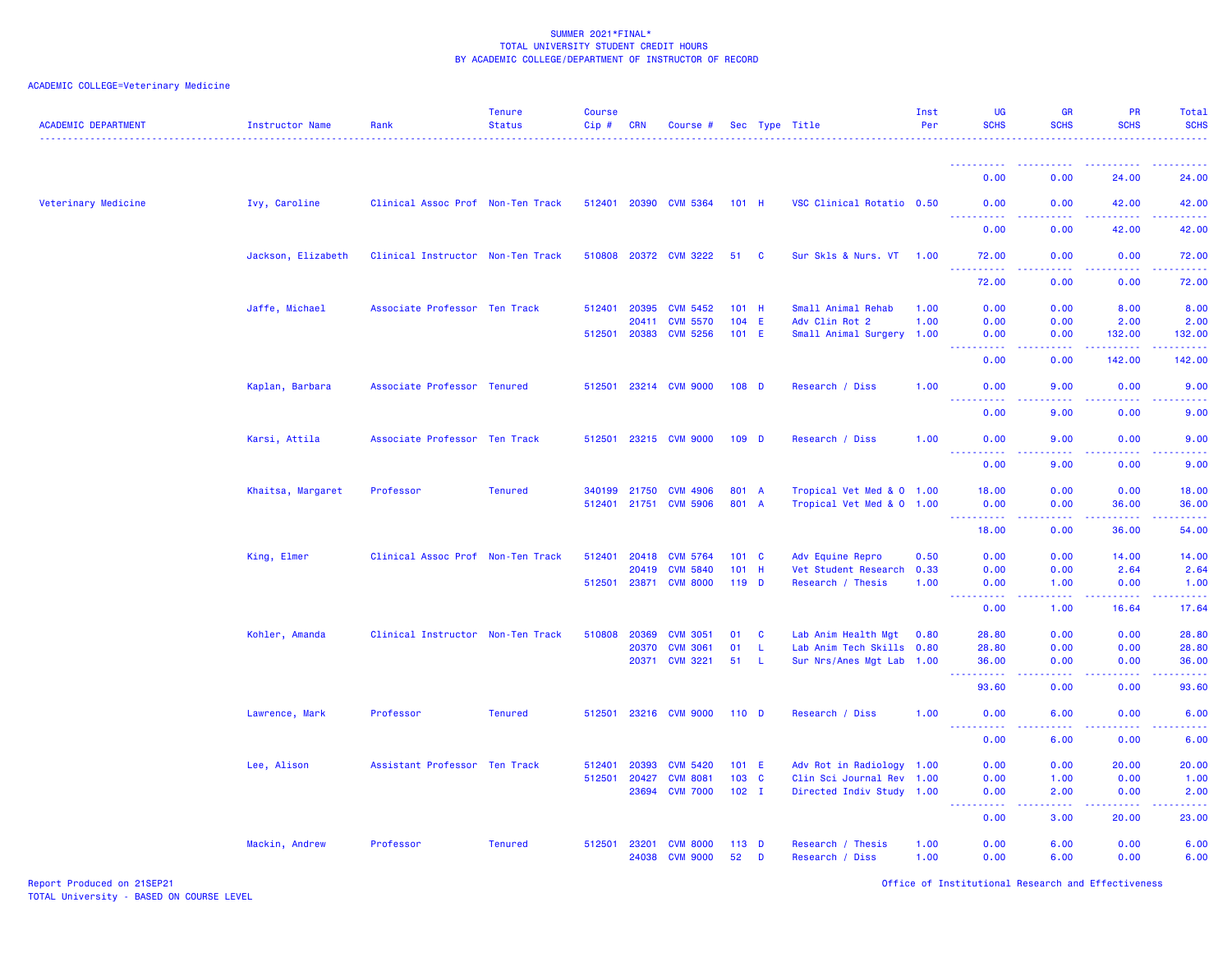| <b>ACADEMIC DEPARTMENT</b> | Instructor Name    | Rank                              | <b>Tenure</b><br><b>Status</b> | <b>Course</b><br>Cip# | <b>CRN</b>   | Course #              |               |          | Sec Type Title            | Inst<br>Per | UG<br><b>SCHS</b>                                                                                           | <b>GR</b><br><b>SCHS</b>            | PR<br><b>SCHS</b>     | Total<br><b>SCHS</b> |
|----------------------------|--------------------|-----------------------------------|--------------------------------|-----------------------|--------------|-----------------------|---------------|----------|---------------------------|-------------|-------------------------------------------------------------------------------------------------------------|-------------------------------------|-----------------------|----------------------|
|                            |                    |                                   |                                |                       |              |                       |               |          |                           |             | <u>.</u>                                                                                                    | ----                                |                       |                      |
|                            |                    |                                   |                                |                       |              |                       |               |          |                           |             | 0.00                                                                                                        | 0.00                                | 24.00                 | 24.00                |
| Veterinary Medicine        | Ivy, Caroline      | Clinical Assoc Prof Non-Ten Track |                                |                       |              | 512401 20390 CVM 5364 | 101 H         |          | VSC Clinical Rotatio 0.50 |             | 0.00<br><u>.</u>                                                                                            | 0.00<br>.                           | 42.00<br><u>.</u>     | 42.00<br>.           |
|                            |                    |                                   |                                |                       |              |                       |               |          |                           |             | 0.00                                                                                                        | 0.00                                | 42.00                 | 42.00                |
|                            | Jackson, Elizabeth | Clinical Instructor Non-Ten Track |                                |                       |              | 510808 20372 CVM 3222 | 51            | <b>C</b> | Sur Skls & Nurs. VT       | 1.00        | 72.00<br>.                                                                                                  | 0.00                                | 0.00                  | 72.00                |
|                            |                    |                                   |                                |                       |              |                       |               |          |                           |             | 72.00                                                                                                       | 0.00                                | 0.00                  | 72.00                |
|                            | Jaffe, Michael     | Associate Professor Ten Track     |                                | 512401                | 20395        | <b>CVM 5452</b>       | 101 H         |          | Small Animal Rehab        | 1.00        | 0.00                                                                                                        | 0.00                                | 8.00                  | 8.00                 |
|                            |                    |                                   |                                |                       | 20411        | <b>CVM 5570</b>       | $104$ E       |          | Adv Clin Rot 2            | 1.00        | 0.00                                                                                                        | 0.00                                | 2.00                  | 2.00                 |
|                            |                    |                                   |                                |                       | 512501 20383 | <b>CVM 5256</b>       | $101$ E       |          | Small Animal Surgery 1.00 |             | 0.00<br><u>.</u>                                                                                            | 0.00<br>.                           | 132.00                | 132.00<br>.          |
|                            |                    |                                   |                                |                       |              |                       |               |          |                           |             | 0.00                                                                                                        | 0.00                                | 142.00                | 142.00               |
|                            | Kaplan, Barbara    | Associate Professor Tenured       |                                | 512501                | 23214        | <b>CVM 9000</b>       | $108$ D       |          | Research / Diss           | 1.00        | 0.00<br>بالأباب                                                                                             | 9.00<br>$\sim$ $\sim$ $\sim$ $\sim$ | 0.00                  | 9.00                 |
|                            |                    |                                   |                                |                       |              |                       |               |          |                           |             | 0.00                                                                                                        | 9.00                                | 0.00                  | 9.00                 |
|                            | Karsi, Attila      | Associate Professor Ten Track     |                                | 512501                |              | 23215 CVM 9000        | $109$ D       |          | Research / Diss           | 1.00        | 0.00                                                                                                        | 9.00                                | 0.00                  | 9.00                 |
|                            |                    |                                   |                                |                       |              |                       |               |          |                           |             | 0.00                                                                                                        | 9.00                                | 0.00                  | 9.00                 |
|                            | Khaitsa, Margaret  | Professor                         | <b>Tenured</b>                 |                       | 340199 21750 | <b>CVM 4906</b>       | 801 A         |          | Tropical Vet Med & 0 1.00 |             | 18.00                                                                                                       | 0.00                                | 0.00                  | 18.00                |
|                            |                    |                                   |                                |                       | 512401 21751 | <b>CVM 5906</b>       | 801 A         |          | Tropical Vet Med & 0 1.00 |             | 0.00<br>$\frac{1}{2} \left( \frac{1}{2} \right) \left( \frac{1}{2} \right) \left( \frac{1}{2} \right)$<br>. | 0.00<br>.                           | 36.00<br>المتمامين    | 36.00<br>.           |
|                            |                    |                                   |                                |                       |              |                       |               |          |                           |             | 18.00                                                                                                       | 0.00                                | 36.00                 | 54,00                |
|                            | King, Elmer        | Clinical Assoc Prof Non-Ten Track |                                | 512401                | 20418        | <b>CVM 5764</b>       | $101 \quad C$ |          | Adv Equine Repro          | 0.50        | 0.00                                                                                                        | 0.00                                | 14.00                 | 14.00                |
|                            |                    |                                   |                                |                       | 20419        | <b>CVM 5840</b>       | 101           | H        | Vet Student Research      | 0.33        | 0.00                                                                                                        | 0.00                                | 2.64                  | 2.64                 |
|                            |                    |                                   |                                | 512501                |              | 23871 CVM 8000        | $119$ D       |          | Research / Thesis         | 1.00        | 0.00<br>$\frac{1}{2} \left( \frac{1}{2} \right) \left( \frac{1}{2} \right) \left( \frac{1}{2} \right)$      | 1.00<br>د د د د                     | 0.00<br>الداعات عامات | 1.00<br>2.2.2.2.2.4  |
|                            |                    |                                   |                                |                       |              |                       |               |          |                           |             | 0.00                                                                                                        | 1.00                                | 16.64                 | 17.64                |
|                            | Kohler, Amanda     | Clinical Instructor Non-Ten Track |                                | 510808                | 20369        | <b>CVM 3051</b>       | 01            | <b>C</b> | Lab Anim Health Mgt       | 0.80        | 28.80                                                                                                       | 0.00                                | 0.00                  | 28.80                |
|                            |                    |                                   |                                |                       | 20370        | <b>CVM 3061</b>       | 01            | L.       | Lab Anim Tech Skills 0.80 |             | 28.80                                                                                                       | 0.00                                | 0.00                  | 28.80                |
|                            |                    |                                   |                                |                       | 20371        | <b>CVM 3221</b>       | 51            | -L.      | Sur Nrs/Anes Mgt Lab 1.00 |             | 36.00<br>.<br>444                                                                                           | 0.00<br>الأنابات                    | 0.00<br>22222         | 36.00<br>.           |
|                            |                    |                                   |                                |                       |              |                       |               |          |                           |             | 93.60                                                                                                       | 0.00                                | 0.00                  | 93.60                |
|                            | Lawrence, Mark     | Professor                         | <b>Tenured</b>                 | 512501                | 23216        | <b>CVM 9000</b>       | $110$ D       |          | Research / Diss           | 1.00        | 0.00<br><u>.</u>                                                                                            | 6.00<br>د د د د                     | 0.00<br>22222         | 6.00<br>الداعات عاد  |
|                            |                    |                                   |                                |                       |              |                       |               |          |                           |             | 0.00                                                                                                        | 6.00                                | 0.00                  | 6.00                 |
|                            | Lee, Alison        | Assistant Professor Ten Track     |                                | 512401                | 20393        | <b>CVM 5420</b>       | 101 E         |          | Adv Rot in Radiology 1.00 |             | 0.00                                                                                                        | 0.00                                | 20.00                 | 20.00                |
|                            |                    |                                   |                                | 512501                | 20427        | <b>CVM 8081</b>       | 103 C         |          | Clin Sci Journal Rev 1.00 |             | 0.00                                                                                                        | 1.00                                | 0.00                  | 1.00                 |
|                            |                    |                                   |                                |                       | 23694        | <b>CVM 7000</b>       | $102$ I       |          | Directed Indiv Study 1.00 |             | 0.00<br>.                                                                                                   | 2.00<br>.                           | 0.00<br>2.2.2.2.2     | 2.00<br>.            |
|                            |                    |                                   |                                |                       |              |                       |               |          |                           |             | 0.00                                                                                                        | 3.00                                | 20.00                 | 23.00                |
|                            | Mackin, Andrew     | Professor                         | <b>Tenured</b>                 | 512501                | 23201        | <b>CVM 8000</b>       | $113$ D       |          | Research / Thesis         | 1.00        | 0.00                                                                                                        | 6.00                                | 0.00                  | 6.00                 |
|                            |                    |                                   |                                |                       | 24038        | <b>CVM 9000</b>       | 52            | D        | Research / Diss           | 1.00        | 0.00                                                                                                        | 6.00                                | 0.00                  | 6.00                 |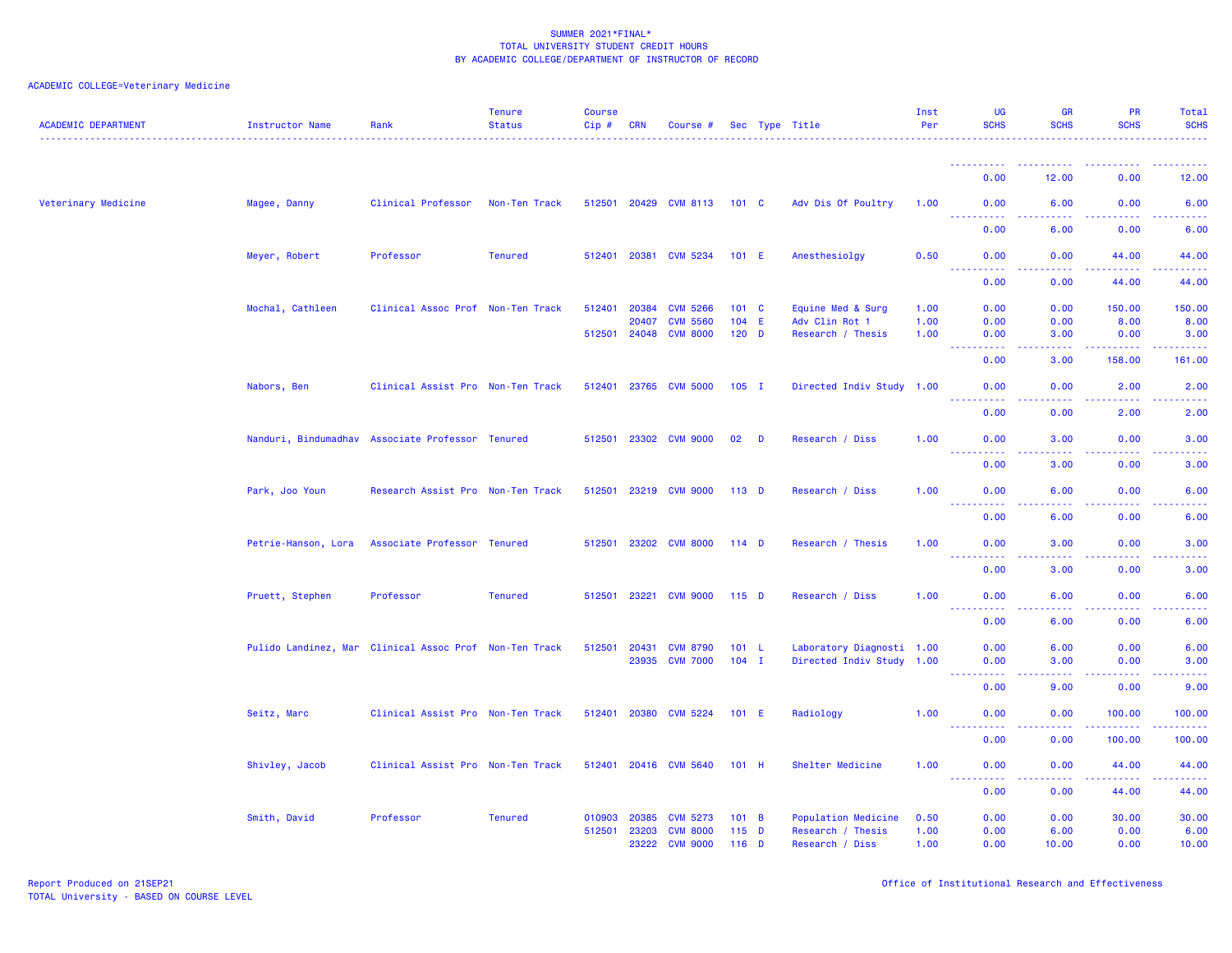| <b>ACADEMIC DEPARTMENT</b> | Instructor Name     | Rank                                                   | <b>Tenure</b><br><b>Status</b> | <b>Course</b><br>Cip# | <b>CRN</b>   | Course #              |                  |   | Sec Type Title            | Inst<br>Per | <b>UG</b><br><b>SCHS</b>                                        | <b>GR</b><br><b>SCHS</b>                                                                                                                                     | <b>PR</b><br><b>SCHS</b>                                                                                                                                     | Total<br><b>SCHS</b> |
|----------------------------|---------------------|--------------------------------------------------------|--------------------------------|-----------------------|--------------|-----------------------|------------------|---|---------------------------|-------------|-----------------------------------------------------------------|--------------------------------------------------------------------------------------------------------------------------------------------------------------|--------------------------------------------------------------------------------------------------------------------------------------------------------------|----------------------|
|                            |                     |                                                        |                                |                       |              |                       |                  |   |                           |             | <u>.</u>                                                        |                                                                                                                                                              |                                                                                                                                                              |                      |
|                            |                     |                                                        |                                |                       |              |                       |                  |   |                           |             | 0.00                                                            | 12.00                                                                                                                                                        | 0.00                                                                                                                                                         | 12.00                |
| Veterinary Medicine        | Magee, Danny        | Clinical Professor                                     | Non-Ten Track                  |                       |              | 512501 20429 CVM 8113 | $101 \quad C$    |   | Adv Dis Of Poultry        | 1.00        | 0.00<br><b><i><u><u><b>Little Little Little</b></u></u></i></b> | 6.00<br>.                                                                                                                                                    | 0.00<br>$\frac{1}{2} \left( \frac{1}{2} \right) \left( \frac{1}{2} \right) \left( \frac{1}{2} \right) \left( \frac{1}{2} \right) \left( \frac{1}{2} \right)$ | 6.00<br>.            |
|                            |                     |                                                        |                                |                       |              |                       |                  |   |                           |             | 0.00                                                            | 6.00                                                                                                                                                         | 0.00                                                                                                                                                         | 6.00                 |
|                            | Meyer, Robert       | Professor                                              | <b>Tenured</b>                 |                       |              | 512401 20381 CVM 5234 | 101 E            |   | Anesthesiolav             | 0.50        | 0.00<br>$\sim 100$<br>.                                         | 0.00<br>.                                                                                                                                                    | 44,00<br>.                                                                                                                                                   | 44.00<br><b>.</b>    |
|                            |                     |                                                        |                                |                       |              |                       |                  |   |                           |             | 0.00                                                            | 0.00                                                                                                                                                         | 44.00                                                                                                                                                        | 44.00                |
|                            | Mochal, Cathleen    | Clinical Assoc Prof Non-Ten Track                      |                                | 512401                | 20384        | <b>CVM 5266</b>       | $101 \quad C$    |   | Equine Med & Surg         | 1.00        | 0.00                                                            | 0.00                                                                                                                                                         | 150.00                                                                                                                                                       | 150.00               |
|                            |                     |                                                        |                                |                       | 20407        | <b>CVM 5560</b>       | $104$ E          |   | Adv Clin Rot 1            | 1.00        | 0.00                                                            | 0.00                                                                                                                                                         | 8.00                                                                                                                                                         | 8.00                 |
|                            |                     |                                                        |                                |                       | 512501 24048 | <b>CVM 8000</b>       | $120$ D          |   | Research / Thesis         | 1.00        | 0.00                                                            | 3.00                                                                                                                                                         | 0.00                                                                                                                                                         | 3.00                 |
|                            |                     |                                                        |                                |                       |              |                       |                  |   |                           |             | 0.00                                                            | 3.00                                                                                                                                                         | 158.00                                                                                                                                                       | 161.00               |
|                            | Nabors, Ben         | Clinical Assist Pro Non-Ten Track                      |                                |                       |              | 512401 23765 CVM 5000 | $105$ I          |   | Directed Indiv Study 1.00 |             | 0.00<br><u> - - - - - - - - - -</u>                             | 0.00<br>.                                                                                                                                                    | 2.00<br>2.2.2.2                                                                                                                                              | 2.00<br>. <u>.</u> . |
|                            |                     |                                                        |                                |                       |              |                       |                  |   |                           |             | 0.00                                                            | 0.00                                                                                                                                                         | 2.00                                                                                                                                                         | 2.00                 |
|                            |                     | Nanduri, Bindumadhav Associate Professor Tenured       |                                |                       |              | 512501 23302 CVM 9000 | 02               | D | Research / Diss           | 1.00        | 0.00<br><u>.</u>                                                | 3.00<br>.                                                                                                                                                    | 0.00<br>. <b>.</b>                                                                                                                                           | 3.00<br>.            |
|                            |                     |                                                        |                                |                       |              |                       |                  |   |                           |             | 0.00                                                            | 3.00                                                                                                                                                         | 0.00                                                                                                                                                         | 3.00                 |
|                            | Park, Joo Youn      | Research Assist Pro Non-Ten Track                      |                                |                       |              | 512501 23219 CVM 9000 | 113 <sub>D</sub> |   | Research / Diss           | 1.00        | 0.00<br>.<br>$- - -$                                            | 6.00                                                                                                                                                         | 0.00                                                                                                                                                         | 6.00                 |
|                            |                     |                                                        |                                |                       |              |                       |                  |   |                           |             | 0.00                                                            | 6.00                                                                                                                                                         | 0.00                                                                                                                                                         | 6.00                 |
|                            | Petrie-Hanson, Lora | Associate Professor Tenured                            |                                |                       |              | 512501 23202 CVM 8000 | $114$ D          |   | Research / Thesis         | 1.00        | 0.00<br><b><i><u><u> - - - - - - - - - -</u></u></i></b>        | 3.00<br>$\frac{1}{2} \left( \frac{1}{2} \right) \left( \frac{1}{2} \right) \left( \frac{1}{2} \right) \left( \frac{1}{2} \right) \left( \frac{1}{2} \right)$ | 0.00<br>$\frac{1}{2} \left( \frac{1}{2} \right) \left( \frac{1}{2} \right) \left( \frac{1}{2} \right) \left( \frac{1}{2} \right) \left( \frac{1}{2} \right)$ | 3.00<br>.            |
|                            |                     |                                                        |                                |                       |              |                       |                  |   |                           |             | 0.00                                                            | 3.00                                                                                                                                                         | 0.00                                                                                                                                                         | 3.00                 |
|                            | Pruett, Stephen     | Professor                                              | <b>Tenured</b>                 |                       |              | 512501 23221 CVM 9000 | $115$ D          |   | Research / Diss           | 1.00        | 0.00<br>$\omega_{\rm{eff}}$ and $\omega_{\rm{eff}}$<br><b></b>  | 6.00<br>.                                                                                                                                                    | 0.00<br>.                                                                                                                                                    | 6.00<br>المالم عامان |
|                            |                     |                                                        |                                |                       |              |                       |                  |   |                           |             | 0.00                                                            | 6.00                                                                                                                                                         | 0.00                                                                                                                                                         | 6.00                 |
|                            |                     | Pulido Landinez, Mar Clinical Assoc Prof Non-Ten Track |                                | 512501                | 20431        | <b>CVM 8790</b>       | 101 L            |   | Laboratory Diagnosti 1.00 |             | 0.00                                                            | 6.00                                                                                                                                                         | 0.00                                                                                                                                                         | 6.00                 |
|                            |                     |                                                        |                                |                       | 23935        | <b>CVM 7000</b>       | $104$ I          |   | Directed Indiv Study 1.00 |             | 0.00                                                            | 3.00                                                                                                                                                         | 0.00                                                                                                                                                         | 3.00                 |
|                            |                     |                                                        |                                |                       |              |                       |                  |   |                           |             | 0.00                                                            | 9.00                                                                                                                                                         | 0.00                                                                                                                                                         | 9.00                 |
|                            | Seitz, Marc         | Clinical Assist Pro Non-Ten Track                      |                                |                       | 512401 20380 | <b>CVM 5224</b>       | $101$ E          |   | Radiology                 | 1.00        | 0.00<br>الداعات عاد<br>$- - -$                                  | 0.00<br>$\frac{1}{2} \left( \frac{1}{2} \right) \left( \frac{1}{2} \right) \left( \frac{1}{2} \right)$                                                       | 100.00<br>.                                                                                                                                                  | 100.00<br><u>.</u>   |
|                            |                     |                                                        |                                |                       |              |                       |                  |   |                           |             | 0.00                                                            | 0.00                                                                                                                                                         | 100.00                                                                                                                                                       | 100.00               |
|                            | Shivley, Jacob      | Clinical Assist Pro Non-Ten Track                      |                                |                       |              | 512401 20416 CVM 5640 | $101$ H          |   | Shelter Medicine          | 1.00        | 0.00                                                            | 0.00                                                                                                                                                         | 44.00                                                                                                                                                        | 44.00<br>.           |
|                            |                     |                                                        |                                |                       |              |                       |                  |   |                           |             | <b>.</b> .<br>0.00                                              | -----<br>0.00                                                                                                                                                | .<br>44.00                                                                                                                                                   | 44.00                |
|                            | Smith, David        | Professor                                              | <b>Tenured</b>                 | 010903                | 20385        | <b>CVM 5273</b>       | 101 B            |   | Population Medicine       | 0.50        | 0.00                                                            | 0.00                                                                                                                                                         | 30.00                                                                                                                                                        | 30.00                |
|                            |                     |                                                        |                                |                       | 512501 23203 | <b>CVM 8000</b>       | $115$ D          |   | Research / Thesis         | 1.00        | 0.00                                                            | 6.00                                                                                                                                                         | 0.00                                                                                                                                                         | 6.00                 |
|                            |                     |                                                        |                                |                       | 23222        | <b>CVM 9000</b>       | $116$ D          |   | Research / Diss           | 1.00        | 0.00                                                            | 10.00                                                                                                                                                        | 0.00                                                                                                                                                         | 10.00                |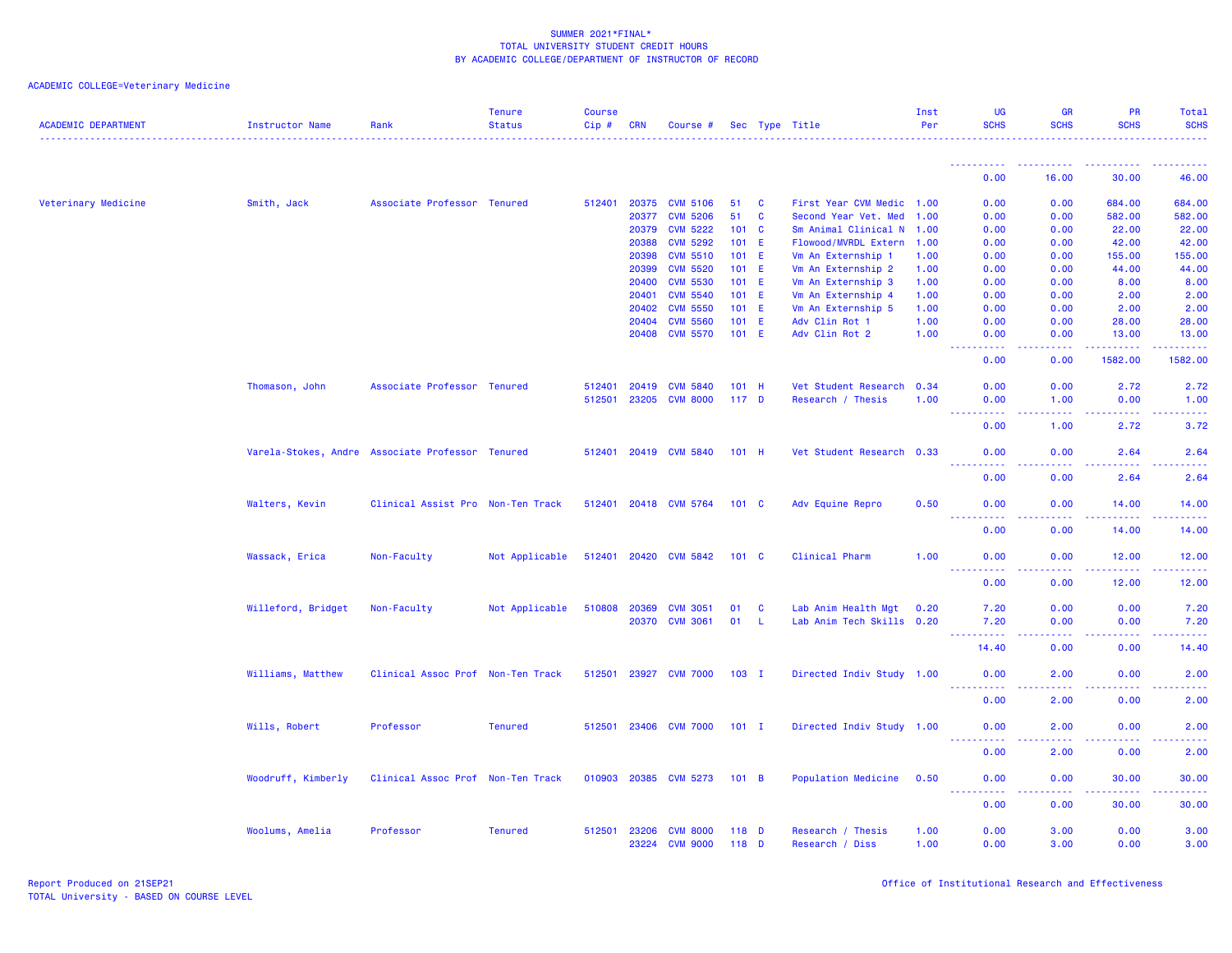| <b>ACADEMIC DEPARTMENT</b> | <b>Instructor Name</b> | Rank                                             | <b>Tenure</b><br><b>Status</b> | <b>Course</b><br>Cip# | <b>CRN</b>     | Course #                           |                  |              | Sec Type Title                       | Inst<br>Per  | <b>UG</b><br><b>SCHS</b>     | <b>GR</b><br><b>SCHS</b> | <b>PR</b><br><b>SCHS</b>                                                                                                                                      | Total<br><b>SCHS</b>    |
|----------------------------|------------------------|--------------------------------------------------|--------------------------------|-----------------------|----------------|------------------------------------|------------------|--------------|--------------------------------------|--------------|------------------------------|--------------------------|---------------------------------------------------------------------------------------------------------------------------------------------------------------|-------------------------|
|                            |                        |                                                  |                                |                       |                |                                    |                  |              |                                      |              |                              |                          |                                                                                                                                                               |                         |
|                            |                        |                                                  |                                |                       |                |                                    |                  |              |                                      |              | 0.00                         | 16.00                    | 30.00                                                                                                                                                         | 46.00                   |
| Veterinary Medicine        | Smith, Jack            | Associate Professor Tenured                      |                                | 512401                | 20375          | <b>CVM 5106</b>                    | 51               | C            | First Year CVM Medic 1.00            |              | 0.00                         | 0.00                     | 684.00                                                                                                                                                        | 684.00                  |
|                            |                        |                                                  |                                |                       | 20377          | <b>CVM 5206</b>                    | 51               | $\mathbf{C}$ | Second Year Vet. Med 1.00            |              | 0.00                         | 0.00                     | 582.00                                                                                                                                                        | 582.00                  |
|                            |                        |                                                  |                                |                       | 20379          | <b>CVM 5222</b>                    | 101 C            |              | Sm Animal Clinical N 1.00            |              | 0.00                         | 0.00                     | 22.00                                                                                                                                                         | 22.00                   |
|                            |                        |                                                  |                                |                       | 20388          | <b>CVM 5292</b>                    | 101 E            |              | Flowood/MVRDL Extern 1.00            |              | 0.00                         | 0.00                     | 42.00                                                                                                                                                         | 42.00                   |
|                            |                        |                                                  |                                |                       | 20398          | <b>CVM 5510</b>                    | 101 E            |              | Vm An Externship 1                   | 1.00         | 0.00                         | 0.00                     | 155.00                                                                                                                                                        | 155.00                  |
|                            |                        |                                                  |                                |                       | 20399          | <b>CVM 5520</b>                    | 101 E            |              | Vm An Externship 2                   | 1.00         | 0.00                         | 0.00                     | 44.00                                                                                                                                                         | 44.00                   |
|                            |                        |                                                  |                                |                       | 20400          | <b>CVM 5530</b>                    | 101 E            |              | Vm An Externship 3                   | 1.00         | 0.00                         | 0.00                     | 8.00                                                                                                                                                          | 8.00                    |
|                            |                        |                                                  |                                |                       | 20401          | <b>CVM 5540</b>                    | $101$ E          |              | Vm An Externship 4                   | 1.00         | 0.00                         | 0.00                     | 2.00                                                                                                                                                          | 2.00                    |
|                            |                        |                                                  |                                |                       | 20402          | <b>CVM 5550</b>                    | 101 E            |              | Vm An Externship 5                   | 1.00         | 0.00                         | 0.00                     | 2.00                                                                                                                                                          | 2.00                    |
|                            |                        |                                                  |                                |                       | 20404          | <b>CVM 5560</b>                    | 101              | E.           | Adv Clin Rot 1                       | 1.00         | 0.00                         | 0.00                     | 28.00                                                                                                                                                         | 28.00                   |
|                            |                        |                                                  |                                |                       | 20408          | <b>CVM 5570</b>                    | $101$ E          |              | Adv Clin Rot 2                       | 1.00         | 0.00                         | 0.00                     | 13.00                                                                                                                                                         | 13.00                   |
|                            |                        |                                                  |                                |                       |                |                                    |                  |              |                                      |              | .<br>0.00                    | بالأباد<br>0.00          | .<br>1582.00                                                                                                                                                  | .<br>1582.00            |
|                            | Thomason, John         | Associate Professor Tenured                      |                                | 512401                | 20419          | <b>CVM 5840</b>                    | 101 H            |              | Vet Student Research 0.34            |              | 0.00                         | 0.00                     | 2.72                                                                                                                                                          | 2.72                    |
|                            |                        |                                                  |                                | 512501                | 23205          | <b>CVM 8000</b>                    | 117 <sub>D</sub> |              | Research / Thesis                    | 1.00         | 0.00                         | 1.00                     | 0.00                                                                                                                                                          | 1.00                    |
|                            |                        |                                                  |                                |                       |                |                                    |                  |              |                                      |              | 22222<br>$\sim 100$          | د د د د                  | . <b>.</b>                                                                                                                                                    | وبالأباب                |
|                            |                        |                                                  |                                |                       |                |                                    |                  |              |                                      |              | 0.00                         | 1.00                     | 2.72                                                                                                                                                          | 3.72                    |
|                            |                        | Varela-Stokes, Andre Associate Professor Tenured |                                |                       | 512401 20419   | <b>CVM 5840</b>                    | $101$ H          |              | Vet Student Research 0.33            |              | 0.00                         | 0.00                     | 2.64                                                                                                                                                          | 2.64<br>والمرامين مرابط |
|                            |                        |                                                  |                                |                       |                |                                    |                  |              |                                      |              | 0.00                         | 0.00                     | 2.64                                                                                                                                                          | 2.64                    |
|                            | Walters, Kevin         | Clinical Assist Pro Non-Ten Track                |                                | 512401 20418          |                | <b>CVM 5764</b>                    | 101 C            |              | Adv Equine Repro                     | 0.50         | 0.00                         | 0.00                     | 14.00                                                                                                                                                         | 14.00                   |
|                            |                        |                                                  |                                |                       |                |                                    |                  |              |                                      |              | <u>.</u><br>0.00             | 0.00                     | 14.00                                                                                                                                                         | .<br>14.00              |
|                            |                        |                                                  |                                |                       |                |                                    |                  |              |                                      |              |                              |                          |                                                                                                                                                               |                         |
|                            | Wassack, Erica         | Non-Faculty                                      | Not Applicable                 |                       | 512401 20420   | <b>CVM 5842</b>                    | 101 <sub>c</sub> |              | Clinical Pharm                       | 1.00         | 0.00<br>$\sim$ $\sim$ $\sim$ | 0.00<br>.                | 12.00<br>.                                                                                                                                                    | 12.00<br>وعامات         |
|                            |                        |                                                  |                                |                       |                |                                    |                  |              |                                      |              | 0.00                         | 0.00                     | 12.00                                                                                                                                                         | 12.00                   |
|                            | Willeford, Bridget     | Non-Faculty                                      | Not Applicable                 | 510808                | 20369          | <b>CVM 3051</b>                    | 01               | C            | Lab Anim Health Mgt                  | 0.20         | 7.20                         | 0.00                     | 0.00                                                                                                                                                          | 7.20                    |
|                            |                        |                                                  |                                |                       | 20370          | <b>CVM 3061</b>                    | 01               | -L           | Lab Anim Tech Skills 0.20            |              | 7.20                         | 0.00                     | 0.00                                                                                                                                                          | 7.20                    |
|                            |                        |                                                  |                                |                       |                |                                    |                  |              |                                      |              | . <b>.</b><br>14,40          | $  -$<br>0.00            | $\sim$ $\sim$ $\sim$<br>0.00                                                                                                                                  | والمحاميات<br>14.40     |
|                            | Williams, Matthew      | Clinical Assoc Prof Non-Ten Track                |                                | 512501                | 23927          | <b>CVM 7000</b>                    | $103$ I          |              | Directed Indiv Study 1.00            |              | 0.00                         | 2.00                     | 0.00                                                                                                                                                          | 2.00                    |
|                            |                        |                                                  |                                |                       |                |                                    |                  |              |                                      |              | <u>.</u>                     |                          |                                                                                                                                                               |                         |
|                            |                        |                                                  |                                |                       |                |                                    |                  |              |                                      |              | 0.00                         | 2.00                     | 0.00                                                                                                                                                          | 2.00                    |
|                            | Wills, Robert          | Professor                                        | <b>Tenured</b>                 | 512501                |                | 23406 CVM 7000                     | $101$ I          |              | Directed Indiv Study 1.00            |              | 0.00<br><b></b>              | 2.00<br>$- - - -$        | 0.00<br>.                                                                                                                                                     | 2.00<br><u>.</u>        |
|                            |                        |                                                  |                                |                       |                |                                    |                  |              |                                      |              | 0.00                         | 2.00                     | 0.00                                                                                                                                                          | 2.00                    |
|                            | Woodruff, Kimberly     | Clinical Assoc Prof Non-Ten Track                |                                |                       |                | 010903 20385 CVM 5273              | 101 B            |              | Population Medicine                  | 0.50         | 0.00                         | 0.00                     | 30.00                                                                                                                                                         | 30.00                   |
|                            |                        |                                                  |                                |                       |                |                                    |                  |              |                                      |              | <u>.</u><br>0.00             | بالأباد<br>0.00          | $\frac{1}{2} \left( \frac{1}{2} \right) \left( \frac{1}{2} \right) \left( \frac{1}{2} \right) \left( \frac{1}{2} \right) \left( \frac{1}{2} \right)$<br>30.00 | .<br>30.00              |
|                            |                        |                                                  |                                |                       |                |                                    |                  |              |                                      |              |                              |                          |                                                                                                                                                               |                         |
|                            | Woolums, Amelia        | Professor                                        | <b>Tenured</b>                 | 512501                | 23206<br>23224 | <b>CVM 8000</b><br><b>CVM 9000</b> | 118 D<br>118 D   |              | Research / Thesis<br>Research / Diss | 1.00<br>1.00 | 0.00<br>0.00                 | 3.00<br>3.00             | 0.00<br>0.00                                                                                                                                                  | 3.00<br>3.00            |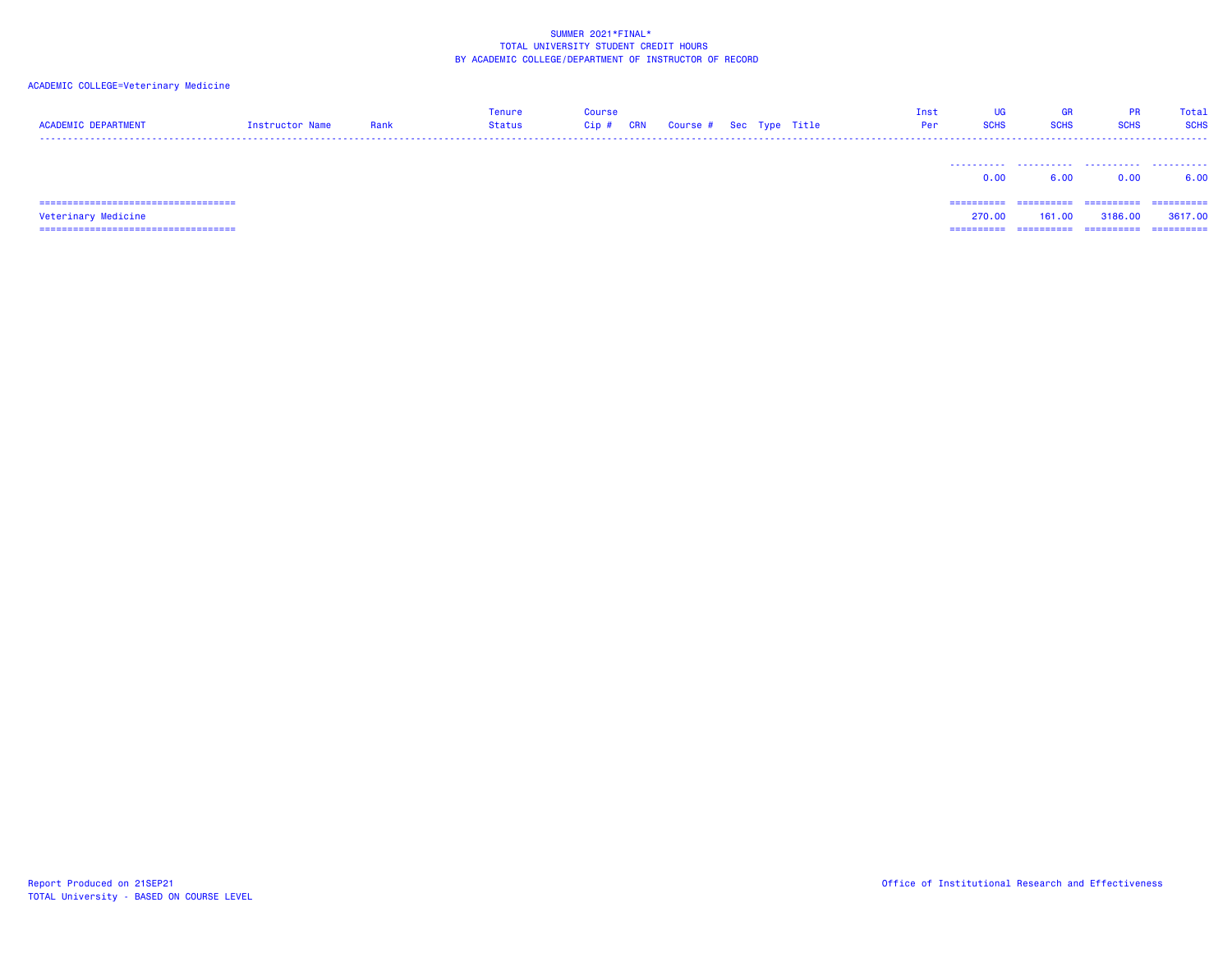| <b>ACADEMIC DEPARTMENT</b>            | Instructor Name | Rank | <b>Tenure</b><br>Status | <b>Course</b><br>Cip#<br><b>CRN</b> | Course # Sec Type Title |  | Inst<br>Per | UG<br><b>SCHS</b> | <b>GR</b><br><b>SCHS</b> | <b>PR</b><br><b>SCHS</b> | Total<br><b>SCHS</b> |
|---------------------------------------|-----------------|------|-------------------------|-------------------------------------|-------------------------|--|-------------|-------------------|--------------------------|--------------------------|----------------------|
|                                       |                 |      |                         |                                     |                         |  |             | 0.00              | 6.00                     | 0.00                     | 6.00                 |
| ------------------------------------- |                 |      |                         |                                     |                         |  |             | ==========        | ==========               | -----------              | -----------          |
| Veterinary Medicine                   |                 |      |                         |                                     |                         |  |             | 270.00            | 161.00                   | 3186.00                  | 3617,00              |
| ====================================  |                 |      |                         |                                     |                         |  |             | =========         |                          | ==========               | ==========           |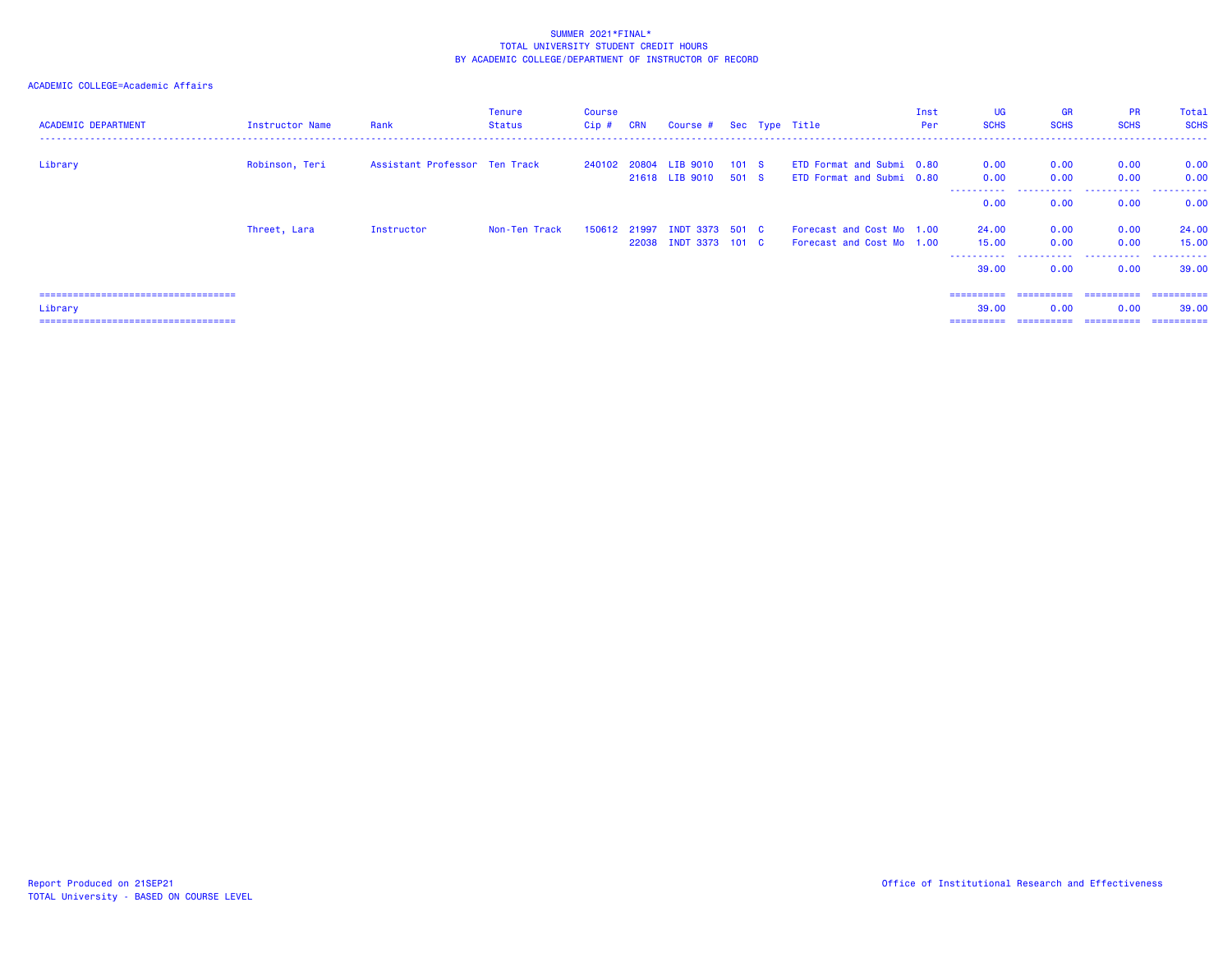# ACADEMIC COLLEGE=Academic Affairs

| <b>ACADEMIC DEPARTMENT</b>                                                                 | Instructor Name | Rank                          | <b>Tenure</b><br>Status | <b>Course</b><br>Cip # | CRN | Course # Sec Type Title                               |  |                                                        | Inst<br>Per | <b>UG</b><br><b>SCHS</b>              | <b>GR</b><br><b>SCHS</b>          | <b>PR</b><br><b>SCHS</b>          | Total<br><b>SCHS</b>               |
|--------------------------------------------------------------------------------------------|-----------------|-------------------------------|-------------------------|------------------------|-----|-------------------------------------------------------|--|--------------------------------------------------------|-------------|---------------------------------------|-----------------------------------|-----------------------------------|------------------------------------|
| Library                                                                                    | Robinson, Teri  | Assistant Professor Ten Track |                         |                        |     | 240102 20804 LIB 9010 101 S<br>21618 LIB 9010 501 S   |  | ETD Format and Submi 0.80<br>ETD Format and Submi 0.80 |             | 0.00<br>0.00                          | 0.00<br>0.00                      | 0.00<br>0.00                      | 0.00<br>0.00                       |
|                                                                                            |                 |                               |                         |                        |     |                                                       |  |                                                        |             | .<br>0.00                             | .<br>0.00                         | .<br>0.00                         | .<br>0.00                          |
|                                                                                            | Threet, Lara    | Instructor                    | Non-Ten Track           |                        |     | 150612 21997 INDT 3373 501 C<br>22038 INDT 3373 101 C |  | Forecast and Cost Mo 1.00<br>Forecast and Cost Mo 1.00 |             | 24,00<br>15,00<br>----------<br>39,00 | 0.00<br>0.00<br>.<br>0.00         | 0.00<br>0.00<br>.<br>0.00         | 24.00<br>15.00<br>.<br>39.00       |
| =====================================<br>Library<br>====================================== |                 |                               |                         |                        |     |                                                       |  |                                                        |             | ==========<br>39.00<br>==========     | ==========<br>0.00<br>----------- | -----------<br>0.00<br>========== | -----------<br>39.00<br>========== |